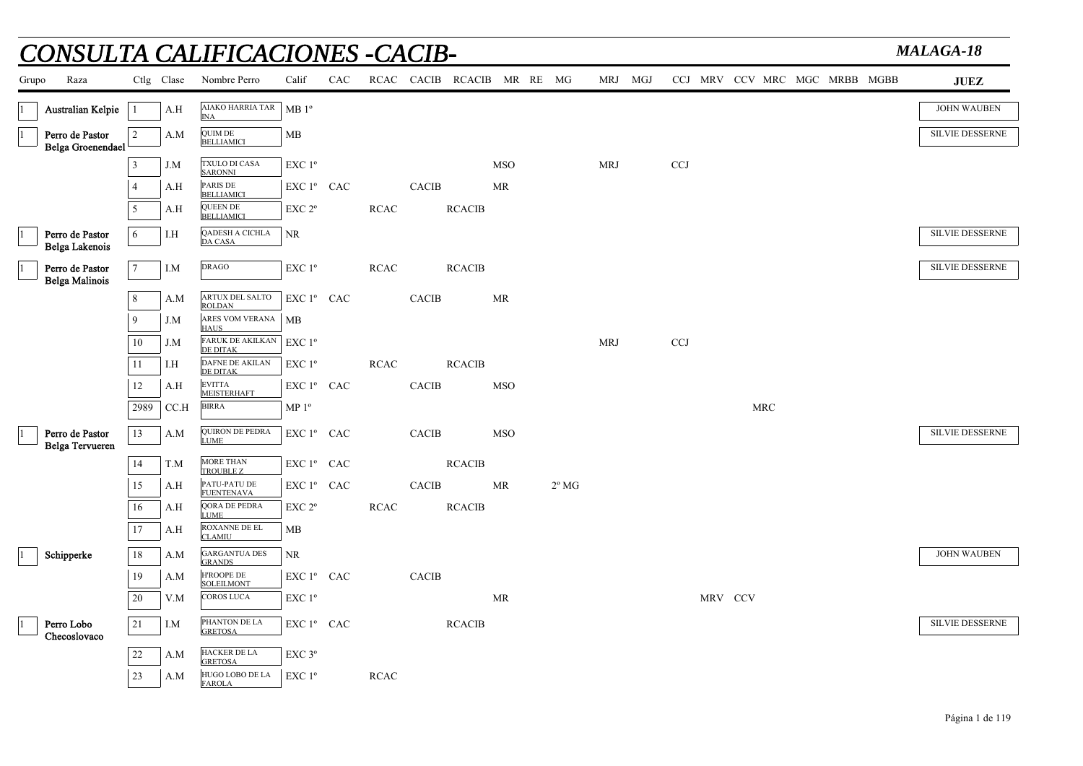|       |                                           |                |            | CONSULTA CALIFICACIONES -CACIB-        |                                                 |            |             |                        |               |                            |                |            |            |                               |  | MALAGA-18              |
|-------|-------------------------------------------|----------------|------------|----------------------------------------|-------------------------------------------------|------------|-------------|------------------------|---------------|----------------------------|----------------|------------|------------|-------------------------------|--|------------------------|
| Grupo | Raza                                      |                | Ctlg Clase | Nombre Perro                           | Calif                                           | <b>CAC</b> |             |                        |               | RCAC CACIB RCACIB MR RE MG |                | MRJ MGJ    |            | CCJ MRV CCV MRC MGC MRBB MGBB |  | <b>JUEZ</b>            |
|       | Australian Kelpie                         | $\mathbf{1}$   | A.H        | <b>AIAKO HARRIA TAR</b><br><b>INA</b>  | MB1°                                            |            |             |                        |               |                            |                |            |            |                               |  | <b>JOHN WAUBEN</b>     |
|       | Perro de Pastor<br>Belga Groenendael      | 2              | A.M        | <b>QUIM DE</b><br><b>BELLIAMICI</b>    | MB                                              |            |             |                        |               |                            |                |            |            |                               |  | <b>SILVIE DESSERNE</b> |
|       |                                           | 3              | J.M        | TXULO DI CASA<br><b>SARONNI</b>        | EXC 1 <sup>o</sup>                              |            |             |                        |               | <b>MSO</b>                 |                | <b>MRJ</b> | <b>CCJ</b> |                               |  |                        |
|       |                                           | $\overline{4}$ | A.H        | PARIS DE<br><b>BELLIAMICI</b>          | $EXC1^{\circ}$ CAC                              |            |             | CACIB                  |               | MR                         |                |            |            |                               |  |                        |
|       |                                           | 5              | A.H        | <b>QUEEN DE</b><br><b>BELLIAMICI</b>   | EXC <sub>2°</sub>                               |            | <b>RCAC</b> |                        | <b>RCACIB</b> |                            |                |            |            |                               |  |                        |
|       | Perro de Pastor<br>Belga Lakenois         | 6              | I.H        | QADESH A CICHLA<br><b>DA CASA</b>      | NR                                              |            |             |                        |               |                            |                |            |            |                               |  | <b>SILVIE DESSERNE</b> |
|       | Perro de Pastor<br><b>Belga Malinois</b>  | $\tau$         | I.M        | <b>DRAGO</b>                           | $\ensuremath{\mathrm{EXC}}$<br>$1^{\mathrm{o}}$ |            | <b>RCAC</b> |                        | <b>RCACIB</b> |                            |                |            |            |                               |  | <b>SILVIE DESSERNE</b> |
|       |                                           | 8              | A.M        | ARTUX DEL SALTO<br><b>ROLDAN</b>       | EXC 1° CAC                                      |            |             | <b>CACIB</b>           |               | MR                         |                |            |            |                               |  |                        |
|       |                                           | 9              | J.M        | ARES VOM VERANA<br><b>HAUS</b>         | <b>MB</b>                                       |            |             |                        |               |                            |                |            |            |                               |  |                        |
|       |                                           | 10             | J.M        | <b>FARUK DE AKILKAN</b><br>DE DITAK    | EXC 1 <sup>o</sup>                              |            |             |                        |               |                            |                | <b>MRJ</b> | <b>CCJ</b> |                               |  |                        |
|       |                                           | 11             | I.H        | DAFNE DE AKILAN<br>DE DITAK            | $EXC1^{\circ}$                                  |            | <b>RCAC</b> |                        | <b>RCACIB</b> |                            |                |            |            |                               |  |                        |
|       |                                           | 12             | A.H        | <b>EVITTA</b><br><b>MEISTERHAFT</b>    | EXC 1º CAC                                      |            |             | $\operatorname{CACIB}$ |               | <b>MSO</b>                 |                |            |            |                               |  |                        |
|       |                                           | 2989           | CCA        | <b>BIRRA</b>                           | MP 1 <sup>o</sup>                               |            |             |                        |               |                            |                |            |            | <b>MRC</b>                    |  |                        |
|       | Perro de Pastor<br><b>Belga Tervueren</b> | 13             | A.M        | <b>QUIRON DE PEDRA</b><br><b>LUME</b>  | EXC $1^{\circ}$ CAC                             |            |             | <b>CACIB</b>           |               | <b>MSO</b>                 |                |            |            |                               |  | <b>SILVIE DESSERNE</b> |
|       |                                           | 14             | T.M        | MORE THAN<br>TROUBLE Z                 | EXC 1º CAC                                      |            |             |                        | <b>RCACIB</b> |                            |                |            |            |                               |  |                        |
|       |                                           | 15             | A.H        | PATU-PATU DE<br><b>FUENTENAVA</b>      | ${\rm EXC}$ $1^{\rm o}$ $\;$ CAC                |            |             | $\rm CACIB$            |               | MR                         | $2^{\circ}$ MG |            |            |                               |  |                        |
|       |                                           | 16             | A.H        | QORA DE PEDRA<br><b>LUME</b>           | EXC 2 <sup>o</sup>                              |            | RCAC        |                        | <b>RCACIB</b> |                            |                |            |            |                               |  |                        |
|       |                                           | 17             | A.H        | ROXANNE DE EL<br><b>CLAMIU</b>         | MB                                              |            |             |                        |               |                            |                |            |            |                               |  |                        |
|       | Schipperke                                | 18             | A.M        | <b>GARGANTUA DES</b><br><b>GRANDS</b>  | $\rm NR$                                        |            |             |                        |               |                            |                |            |            |                               |  | <b>JOHN WAUBEN</b>     |
|       |                                           | 19             | A.M        | <b>H'ROOPE DE</b><br><b>SOLEILMONT</b> | EXC 1° CAC                                      |            |             | <b>CACIB</b>           |               |                            |                |            |            |                               |  |                        |
|       |                                           | 20             | V.M        | <b>COROS LUCA</b>                      | EXC 1 <sup>o</sup>                              |            |             |                        |               | MR                         |                |            |            | MRV CCV                       |  |                        |
|       | Perro Lobo<br>Checoslovaco                | 21             | I.M        | PHANTON DE LA<br><b>GRETOSA</b>        | EXC 1º CAC                                      |            |             |                        | <b>RCACIB</b> |                            |                |            |            |                               |  | SILVIE DESSERNE        |
|       |                                           | 22             | A.M        | HACKER DE LA<br><b>GRETOSA</b>         | $EXC$ $3^{\circ}$                               |            |             |                        |               |                            |                |            |            |                               |  |                        |
|       |                                           | 23             | A.M        | HUGO LOBO DE LA<br><b>FAROLA</b>       | $EXC1^{\circ}$                                  |            | <b>RCAC</b> |                        |               |                            |                |            |            |                               |  |                        |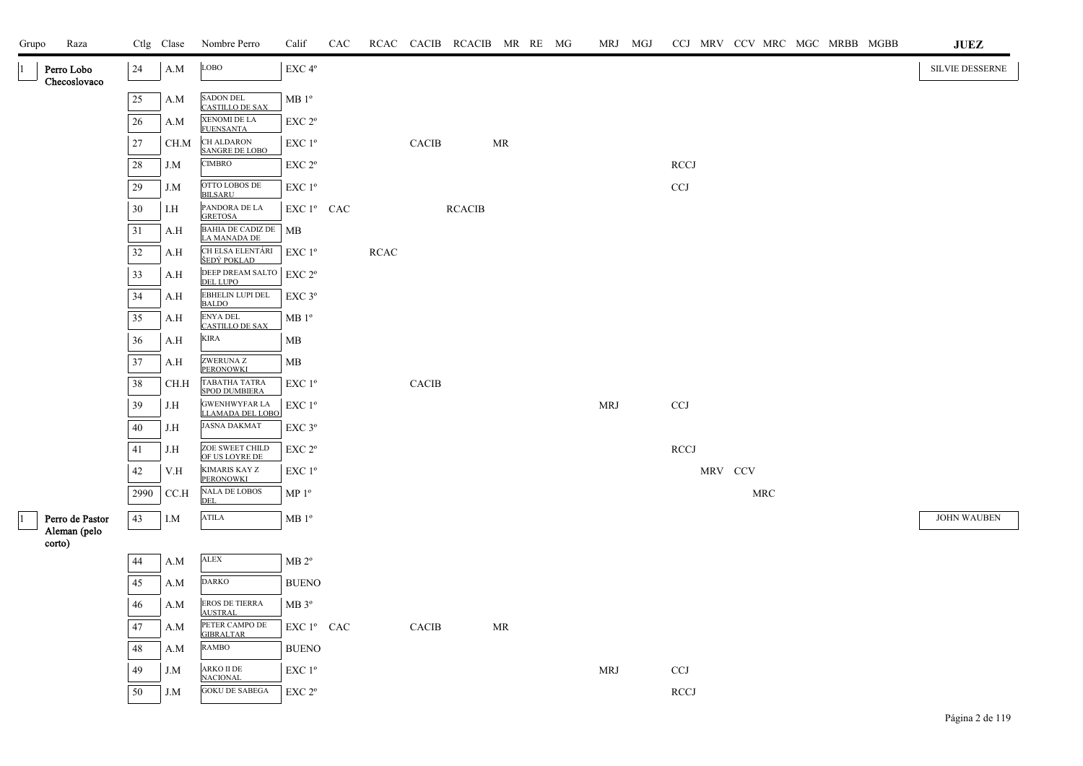| Grupo<br>Raza                   |        | Ctlg Clase | Nombre Perro                                               | Calif                | CAC |            |              | RCAC CACIB RCACIB MR RE MG |    |  | MRJ MGJ    |              |         |            |  | CCJ MRV CCV MRC MGC MRBB MGBB | <b>JUEZ</b>        |
|---------------------------------|--------|------------|------------------------------------------------------------|----------------------|-----|------------|--------------|----------------------------|----|--|------------|--------------|---------|------------|--|-------------------------------|--------------------|
| Perro Lobo<br>Checoslovaco      | 24     | A.M        | LOBO                                                       | EXC 4°               |     |            |              |                            |    |  |            |              |         |            |  |                               | SILVIE DESSERNE    |
|                                 | $25\,$ | A.M        | <b>SADON DEL</b><br><b>CASTILLO DE SAX</b>                 | $MB1^{\circ}$        |     |            |              |                            |    |  |            |              |         |            |  |                               |                    |
|                                 | 26     | A.M        | XENOMI DE LA<br><b>FUENSANTA</b>                           | EXC 2 <sup>o</sup>   |     |            |              |                            |    |  |            |              |         |            |  |                               |                    |
|                                 | 27     | CH.M       | <b>CH ALDARON</b><br>SANGRE DE LOBO                        | EXC 1 <sup>o</sup>   |     |            | <b>CACIB</b> |                            | MR |  |            |              |         |            |  |                               |                    |
|                                 | $28\,$ | J.M        | <b>CIMBRO</b>                                              | $EXC 2^{\circ}$      |     |            |              |                            |    |  |            | <b>RCCJ</b>  |         |            |  |                               |                    |
|                                 | 29     | J.M        | OTTO LOBOS DE<br><b>BILSARU</b>                            | EXC 1 <sup>o</sup>   |     |            |              |                            |    |  |            | CCJ          |         |            |  |                               |                    |
|                                 | 30     | I.H        | PANDORA DE LA<br><b>GRETOSA</b>                            | EXC 1º CAC           |     |            |              | <b>RCACIB</b>              |    |  |            |              |         |            |  |                               |                    |
|                                 | 31     | A.H        | BAHIA DE CADIZ DE<br>LA MANADA DE                          | <b>MB</b>            |     |            |              |                            |    |  |            |              |         |            |  |                               |                    |
|                                 | 32     | A.H        | CH ELSA ELENTÁRI<br>ŠEDÝ POKLAD                            | EXC 1 <sup>o</sup>   |     | $\sf RCAC$ |              |                            |    |  |            |              |         |            |  |                               |                    |
|                                 | 33     | A.H        | DEEP DREAM SALTO $ $ EXC 2 <sup>o</sup><br><b>DEL LUPO</b> |                      |     |            |              |                            |    |  |            |              |         |            |  |                               |                    |
|                                 | 34     | A.H        | EBHELIN LUPI DEL<br><b>BALDO</b>                           | EXC 3°               |     |            |              |                            |    |  |            |              |         |            |  |                               |                    |
|                                 | 35     | A.H        | <b>ENYA DEL</b><br><b>CASTILLO DE SAX</b>                  | $\rm MB$ $1^{\rm o}$ |     |            |              |                            |    |  |            |              |         |            |  |                               |                    |
|                                 | 36     | A.H        | <b>KIRA</b>                                                | MB                   |     |            |              |                            |    |  |            |              |         |            |  |                               |                    |
|                                 | 37     | A.H        | ZWERUNA Z<br>PERONOWKI                                     | MB                   |     |            |              |                            |    |  |            |              |         |            |  |                               |                    |
|                                 | 38     | CH.H       | TABATHA TATRA<br>SPOD DUMBIERA                             | EXC 1 <sup>o</sup>   |     |            | <b>CACIB</b> |                            |    |  |            |              |         |            |  |                               |                    |
|                                 | 39     | J.H        | <b>GWENHWYFAR LA</b><br>LLAMADA DEL LOBO                   | EXC 1 <sup>o</sup>   |     |            |              |                            |    |  | <b>MRJ</b> | <b>CCJ</b>   |         |            |  |                               |                    |
|                                 | 40     | J.H        | <b>JASNA DAKMAT</b>                                        | $EXC$ $3^{\circ}$    |     |            |              |                            |    |  |            |              |         |            |  |                               |                    |
|                                 | 41     | J.H        | ZOE SWEET CHILD<br>OF US LOYRE DE                          | EXC 2 <sup>o</sup>   |     |            |              |                            |    |  |            | <b>RCCJ</b>  |         |            |  |                               |                    |
|                                 | $42\,$ | V.H        | KIMARIS KAY Z<br>PERONOWKI                                 | EXC 1 <sup>o</sup>   |     |            |              |                            |    |  |            |              | MRV CCV |            |  |                               |                    |
|                                 | 2990   | CCA        | <b>NALA DE LOBOS</b><br><b>DEL</b>                         | MP 1 <sup>o</sup>    |     |            |              |                            |    |  |            |              |         | <b>MRC</b> |  |                               |                    |
| Perro de Pastor<br>Aleman (pelo | 43     | I.M        | <b>ATILA</b>                                               | $MB1^{\circ}$        |     |            |              |                            |    |  |            |              |         |            |  |                               | <b>JOHN WAUBEN</b> |
| corto)                          |        |            |                                                            |                      |     |            |              |                            |    |  |            |              |         |            |  |                               |                    |
|                                 | 44     | A.M        | ${\rm ALEX}$                                               | $MB 2^{\circ}$       |     |            |              |                            |    |  |            |              |         |            |  |                               |                    |
|                                 | 45     | A.M        | <b>DARKO</b>                                               | <b>BUENO</b>         |     |            |              |                            |    |  |            |              |         |            |  |                               |                    |
|                                 | 46     | A.M        | EROS DE TIERRA<br>AUSTRAL                                  | $MB 3^{\circ}$       |     |            |              |                            |    |  |            |              |         |            |  |                               |                    |
|                                 | 47     | A.M        | PETER CAMPO DE<br><b>GIBRALTAR</b>                         | EXC 1° CAC           |     |            | <b>CACIB</b> |                            | MR |  |            |              |         |            |  |                               |                    |
|                                 | 48     | A.M        | RAMBO                                                      | <b>BUENO</b>         |     |            |              |                            |    |  |            |              |         |            |  |                               |                    |
|                                 | 49     | $J.M$      | ARKO II DE<br><b>NACIONAL</b>                              | EXC 1 <sup>o</sup>   |     |            |              |                            |    |  | <b>MRJ</b> | $_{\rm CCJ}$ |         |            |  |                               |                    |
|                                 | 50     | J.M        | <b>GOKU DE SABEGA</b>                                      | EXC 2 <sup>o</sup>   |     |            |              |                            |    |  |            | <b>RCCJ</b>  |         |            |  |                               |                    |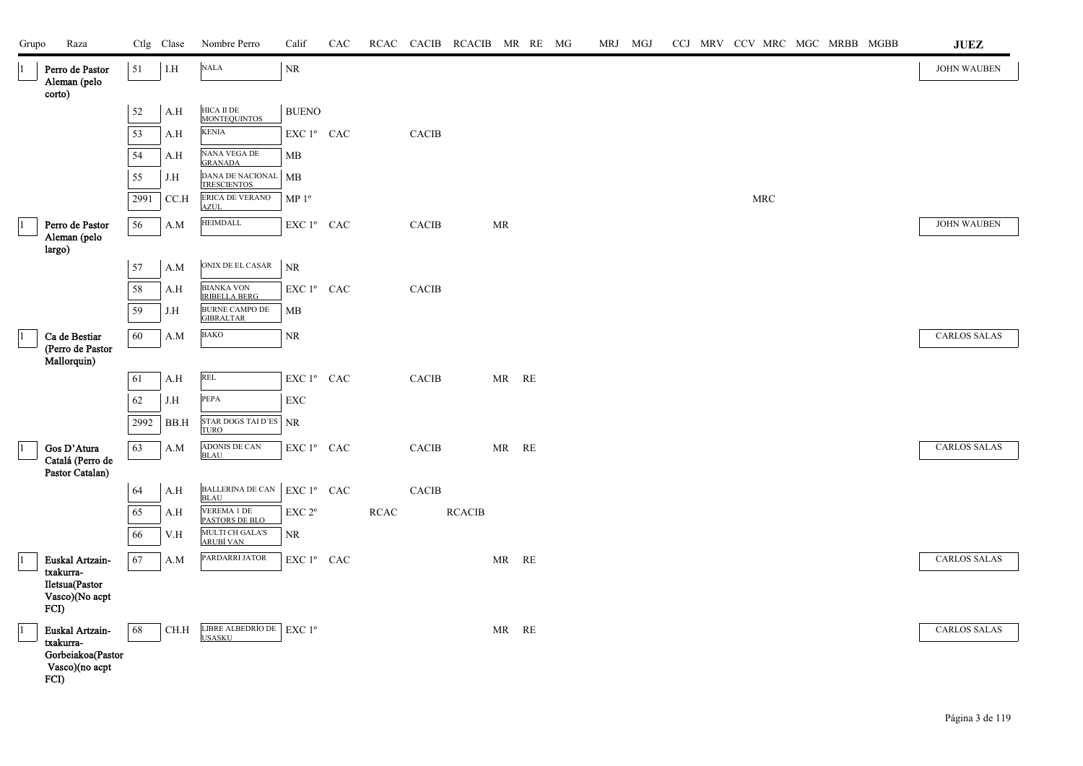| Grupo | Raza                                                      |        | Ctlg Clase  | Nombre Perro                              | Calif             | CAC |      |               | RCAC CACIB RCACIB MR RE MG |                        |  | MRJ MGJ |  | CCJ MRV CCV MRC MGC MRBB MGBB |  |  | <b>JUEZ</b>         |
|-------|-----------------------------------------------------------|--------|-------------|-------------------------------------------|-------------------|-----|------|---------------|----------------------------|------------------------|--|---------|--|-------------------------------|--|--|---------------------|
|       | Perro de Pastor<br>Aleman (pelo<br>corto)                 | 51     | ${\it I.H}$ | $\rm NALA$                                | $\rm NR$          |     |      |               |                            |                        |  |         |  |                               |  |  | <b>JOHN WAUBEN</b>  |
|       |                                                           | $52\,$ | A.H         | HICA II DE<br><b>MONTEQUINTOS</b>         | <b>BUENO</b>      |     |      |               |                            |                        |  |         |  |                               |  |  |                     |
|       |                                                           | 53     | A.H         | KENIA                                     | EXC 1º CAC        |     |      | <b>CACIB</b>  |                            |                        |  |         |  |                               |  |  |                     |
|       |                                                           | 54     | A.H         | NANA VEGA DE<br><b>GRANADA</b>            | MB                |     |      |               |                            |                        |  |         |  |                               |  |  |                     |
|       |                                                           | 55     | J.H         | DANA DE NACIONAL<br><b>TRESCIENTOS</b>    | MB                |     |      |               |                            |                        |  |         |  |                               |  |  |                     |
|       |                                                           | 2991   | CC.H        | ERICA DE VERANO<br><b>AZUL</b>            | MP 1 <sup>o</sup> |     |      |               |                            |                        |  |         |  | $\operatorname{MRC}$          |  |  |                     |
|       | Perro de Pastor                                           | 56     | A.M         | <b>HEIMDALL</b>                           | EXC 1º CAC        |     |      | <b>CACIB</b>  |                            | MR                     |  |         |  |                               |  |  | <b>JOHN WAUBEN</b>  |
|       | Aleman (pelo<br>largo)                                    |        |             |                                           |                   |     |      |               |                            |                        |  |         |  |                               |  |  |                     |
|       |                                                           | 57     | A.M         | ONIX DE EL CASAR                          | $\rm NR$          |     |      |               |                            |                        |  |         |  |                               |  |  |                     |
|       |                                                           | $58\,$ | A.H         | <b>BIANKA VON</b><br><b>IRIBELLA BERG</b> | $EXC1^{\circ}$    | CAC |      | <b>CACIB</b>  |                            |                        |  |         |  |                               |  |  |                     |
|       |                                                           | 59     | J.H         | <b>BURNE CAMPO DE</b><br><b>GIBRALTAR</b> | MB                |     |      |               |                            |                        |  |         |  |                               |  |  |                     |
|       | Ca de Bestiar                                             | 60     | A.M         | <b>BAKO</b>                               | $\rm NR$          |     |      |               |                            |                        |  |         |  |                               |  |  | <b>CARLOS SALAS</b> |
|       | (Perro de Pastor<br>Mallorquin)                           |        |             |                                           |                   |     |      |               |                            |                        |  |         |  |                               |  |  |                     |
|       |                                                           | 61     | A.H         | REL                                       | EXC 1º CAC        |     |      | <b>CACIB</b>  |                            | MR RE                  |  |         |  |                               |  |  |                     |
|       |                                                           | 62     | J.H         | PEPA                                      | <b>EXC</b>        |     |      |               |                            |                        |  |         |  |                               |  |  |                     |
|       |                                                           | 2992   | BB.H        | STAR DOGS TAI D'ES<br><b>TURO</b>         | <b>NR</b>         |     |      |               |                            |                        |  |         |  |                               |  |  |                     |
|       | $\rm{Gos}$ D'Atura<br>Catalá (Perro de<br>Pastor Catalan) | 63     | A.M         | ADONIS DE CAN<br><b>BLAU</b>              | EXC 1º CAC        |     |      | CACIB         |                            | $MR$ $\,$ $\,$ RE $\,$ |  |         |  |                               |  |  | <b>CARLOS SALAS</b> |
|       |                                                           | 64     | A.H         | BALLERINA DE CAN<br><b>BLAU</b>           | EXC 1º CAC        |     |      | ${\rm CACIB}$ |                            |                        |  |         |  |                               |  |  |                     |
|       |                                                           | 65     | A.H         | <b>VEREMA 1 DE</b><br>PASTORS DE BLO      | EXC 2°            |     | RCAC |               | <b>RCACIB</b>              |                        |  |         |  |                               |  |  |                     |
|       |                                                           | 66     | V.H         | MULTI CH GALA'S<br><u>ARUBÍ VAN</u>       | NR.               |     |      |               |                            |                        |  |         |  |                               |  |  |                     |
|       | Euskal Artzain-                                           | 67     | A.M         | PARDARRI JATOR                            | EXC 1º CAC        |     |      |               |                            | MR RE                  |  |         |  |                               |  |  | <b>CARLOS SALAS</b> |
|       | txakurra-<br>Iletsua(Pastor<br>Vasco)(No acpt<br>FCI)     |        |             |                                           |                   |     |      |               |                            |                        |  |         |  |                               |  |  |                     |
|       | Euskal Artzain-                                           | 68     | CH.H        | LIBRE ALBEDRÍO DE EXC 1º<br><b>USASKU</b> |                   |     |      |               |                            | MR RE                  |  |         |  |                               |  |  | <b>CARLOS SALAS</b> |
|       | txakurra-<br>Gorbeiakoa(Pastor<br>Vasco)(no acpt<br>FCI)  |        |             |                                           |                   |     |      |               |                            |                        |  |         |  |                               |  |  |                     |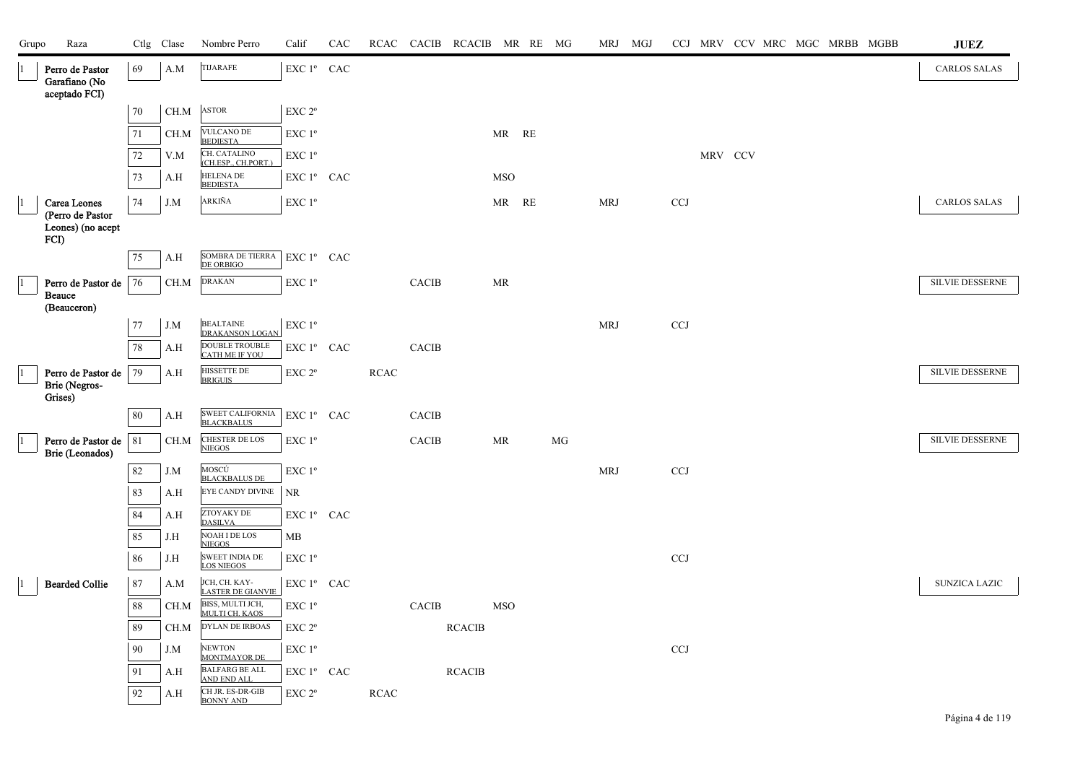| Grupo | Raza                                              |        | Ctlg Clase | Nombre Perro                                        | Calif                                                   | CAC |             |                        | RCAC CACIB RCACIB MR RE MG |            |    | MRJ MGJ    |              |         |  |  | CCJ MRV CCV MRC MGC MRBB MGBB | $\mathbf{J}\mathbf{U}\mathbf{E}\mathbf{Z}$ |  |
|-------|---------------------------------------------------|--------|------------|-----------------------------------------------------|---------------------------------------------------------|-----|-------------|------------------------|----------------------------|------------|----|------------|--------------|---------|--|--|-------------------------------|--------------------------------------------|--|
|       | Perro de Pastor<br>Garafiano (No<br>aceptado FCI) | 69     | A.M        | <b>TIJARAFE</b>                                     | EXC 1º CAC                                              |     |             |                        |                            |            |    |            |              |         |  |  |                               | <b>CARLOS SALAS</b>                        |  |
|       |                                                   | 70     | CH.M       | <b>ASTOR</b>                                        | EXC 2°                                                  |     |             |                        |                            |            |    |            |              |         |  |  |                               |                                            |  |
|       |                                                   | 71     | CH.M       | <b>VULCANO DE</b><br><b>BEDIESTA</b>                | EXC 1 <sup>o</sup>                                      |     |             |                        |                            | MR RE      |    |            |              |         |  |  |                               |                                            |  |
|       |                                                   | $72\,$ | V.M        | CH. CATALINO<br>(CH.ESP., CH.PORT.)                 | EXC 1 <sup>o</sup>                                      |     |             |                        |                            |            |    |            |              | MRV CCV |  |  |                               |                                            |  |
|       |                                                   | 73     | A.H        | <b>HELENA DE</b><br><b>BEDIESTA</b>                 | EXC 1º CAC                                              |     |             |                        |                            | <b>MSO</b> |    |            |              |         |  |  |                               |                                            |  |
|       | Carea Leones                                      | 74     | J.M        | ARKIÑA                                              | $\ensuremath{\mathrm{EXC}}$ $1^{\mathrm{o}}$            |     |             |                        |                            | MR RE      |    | MRJ        | CCJ          |         |  |  |                               | <b>CARLOS SALAS</b>                        |  |
|       | (Perro de Pastor<br>Leones) (no acept<br>FCI)     |        |            |                                                     |                                                         |     |             |                        |                            |            |    |            |              |         |  |  |                               |                                            |  |
|       |                                                   | 75     | A.H        | SOMBRA DE TIERRA<br>DE ORBIGO                       | EXC 1º CAC                                              |     |             |                        |                            |            |    |            |              |         |  |  |                               |                                            |  |
|       | Perro de Pastor de<br><b>Beauce</b>               | 76     | $\rm CH.M$ | <b>DRAKAN</b>                                       | EXC 1°                                                  |     |             | <b>CACIB</b>           |                            | MR         |    |            |              |         |  |  |                               | SILVIE DESSERNE                            |  |
|       | (Beauceron)                                       | 77     | J.M        | <b>BEALTAINE</b>                                    | EXC 1 <sup>o</sup>                                      |     |             |                        |                            |            |    | <b>MRJ</b> | <b>CCJ</b>   |         |  |  |                               |                                            |  |
|       |                                                   | 78     | A.H        | DRAKANSON LOGAN<br>DOUBLE TROUBLE<br>CATH ME IF YOU | $\mathop{\hbox{\rm EXC}}$ $1^{\circ}$ $\;$ CAC          |     |             | <b>CACIB</b>           |                            |            |    |            |              |         |  |  |                               |                                            |  |
|       | Perro de Pastor de                                | 79     | A.H        | HISSETTE DE                                         | EXC 2°                                                  |     | RCAC        |                        |                            |            |    |            |              |         |  |  |                               | SILVIE DESSERNE                            |  |
|       | Brie (Negros-<br>Grises)                          |        |            | <b>BRIGUIS</b>                                      |                                                         |     |             |                        |                            |            |    |            |              |         |  |  |                               |                                            |  |
|       |                                                   | 80     | A.H        | SWEET CALIFORNIA<br><b>BLACKBALUS</b>               | EXC 1º CAC                                              |     |             | <b>CACIB</b>           |                            |            |    |            |              |         |  |  |                               |                                            |  |
|       | Perro de Pastor de<br>Brie (Leonados)             | 81     | CH.M       | CHESTER DE LOS<br>NIEGOS                            | EXC 1 <sup>o</sup>                                      |     |             | <b>CACIB</b>           |                            | MR         | MG |            |              |         |  |  |                               | <b>SILVIE DESSERNE</b>                     |  |
|       |                                                   | 82     | J.M        | MOSCÚ<br><b>BLACKBALUS DE</b>                       | EXC 1 <sup>o</sup>                                      |     |             |                        |                            |            |    | <b>MRJ</b> | <b>CCJ</b>   |         |  |  |                               |                                            |  |
|       |                                                   | 83     | A.H        | EYE CANDY DIVINE                                    | <b>NR</b>                                               |     |             |                        |                            |            |    |            |              |         |  |  |                               |                                            |  |
|       |                                                   | 84     | A.H        | ZTOYAKY DE<br><b>DASILVA</b>                        | EXC 1º CAC                                              |     |             |                        |                            |            |    |            |              |         |  |  |                               |                                            |  |
|       |                                                   | 85     | J.H        | <b>NOAH I DE LOS</b><br><b>NIEGOS</b>               | MB                                                      |     |             |                        |                            |            |    |            |              |         |  |  |                               |                                            |  |
|       |                                                   | 86     | J.H        | SWEET INDIA DE<br><b>LOS NIEGOS</b>                 | EXC 1 <sup>°</sup>                                      |     |             |                        |                            |            |    |            | CCJ          |         |  |  |                               |                                            |  |
|       | <b>Bearded Collie</b>                             | 87     | A.M        | JCH, CH. KAY-<br>LASTER DE GIANVIE                  | EXC 1º CAC                                              |     |             |                        |                            |            |    |            |              |         |  |  |                               | <b>SUNZICA LAZIC</b>                       |  |
|       |                                                   | 88     | CH.M       | BISS, MULTI JCH,<br>MULTI CH. KAOS                  | EXC 1 <sup>o</sup>                                      |     |             | $\operatorname{CACIB}$ |                            | <b>MSO</b> |    |            |              |         |  |  |                               |                                            |  |
|       |                                                   | 89     | CH.M       | <b>DYLAN DE IRBOAS</b>                              | EXC 2°                                                  |     |             |                        | <b>RCACIB</b>              |            |    |            |              |         |  |  |                               |                                            |  |
|       |                                                   | 90     | J.M        | <b>NEWTON</b><br><b>MONTMAYOR DE</b>                | $\ensuremath{\mathrm{EXC}}$ $1^{\ensuremath{\text{o}}}$ |     |             |                        |                            |            |    |            | $_{\rm CCJ}$ |         |  |  |                               |                                            |  |
|       |                                                   | 91     | A.H        | <b>BALFARG BE ALL</b><br><b>AND END ALL</b>         | EXC 1 <sup>°</sup> CAC                                  |     |             |                        | <b>RCACIB</b>              |            |    |            |              |         |  |  |                               |                                            |  |
|       |                                                   | 92     | A.H        | CH JR. ES-DR-GIB<br><b>BONNY AND</b>                | EXC 2 <sup>o</sup>                                      |     | <b>RCAC</b> |                        |                            |            |    |            |              |         |  |  |                               |                                            |  |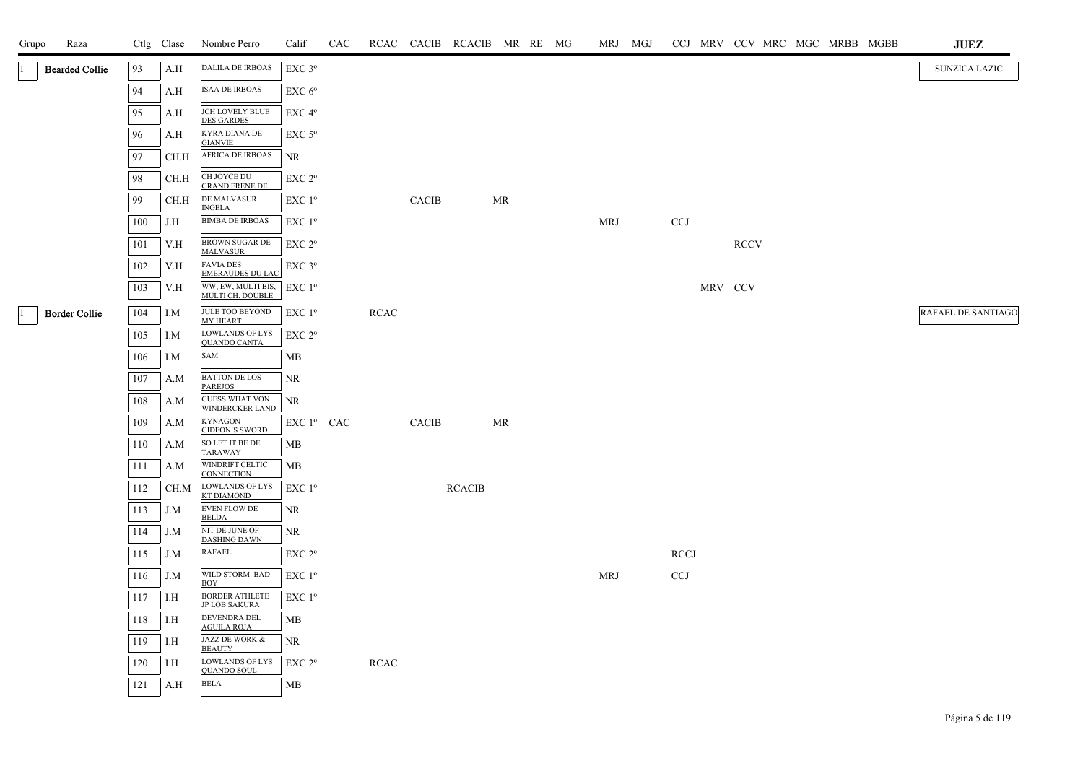| Grupo | Raza                  |     | Ctlg Clase | Nombre Perro                                    | Calif                  | CAC |             |              | RCAC CACIB RCACIB MR RE MG |           |  | MRJ MGJ    |             |         |             |  | CCJ MRV CCV MRC MGC MRBB MGBB | <b>JUEZ</b>               |
|-------|-----------------------|-----|------------|-------------------------------------------------|------------------------|-----|-------------|--------------|----------------------------|-----------|--|------------|-------------|---------|-------------|--|-------------------------------|---------------------------|
|       | <b>Bearded Collie</b> | 93  | A.H        | <b>DALILA DE IRBOAS</b>                         | $EXC$ $3^{\circ}$      |     |             |              |                            |           |  |            |             |         |             |  |                               | <b>SUNZICA LAZIC</b>      |
|       |                       | 94  | A.H        | <b>ISAA DE IRBOAS</b>                           | EXC 6 <sup>o</sup>     |     |             |              |                            |           |  |            |             |         |             |  |                               |                           |
|       |                       | 95  | A.H        | JCH LOVELY BLUE<br><b>DES GARDES</b>            | EXC 4 <sup>o</sup>     |     |             |              |                            |           |  |            |             |         |             |  |                               |                           |
|       |                       | 96  | A.H        | KYRA DIANA DE<br><b>GIANVIE</b>                 | $EXC$ 5 $\rm ^{\circ}$ |     |             |              |                            |           |  |            |             |         |             |  |                               |                           |
|       |                       | 97  | CH.H       | <b>AFRICA DE IRBOAS</b>                         | NR                     |     |             |              |                            |           |  |            |             |         |             |  |                               |                           |
|       |                       | 98  | CH.H       | CH JOYCE DU<br><b>GRAND FRENE DE</b>            | EXC 2 <sup>o</sup>     |     |             |              |                            |           |  |            |             |         |             |  |                               |                           |
|       |                       | 99  | CH.H       | DE MALVASUR<br><b>INGELA</b>                    | EXC 1 <sup>o</sup>     |     |             | <b>CACIB</b> |                            | <b>MR</b> |  |            |             |         |             |  |                               |                           |
|       |                       | 100 | J.H        | <b>BIMBA DE IRBOAS</b>                          | $EXC1^{\circ}$         |     |             |              |                            |           |  | <b>MRJ</b> | CCJ         |         |             |  |                               |                           |
|       |                       | 101 | V.H        | BROWN SUGAR DE<br><b>MALVASUR</b>               | EXC 2 <sup>o</sup>     |     |             |              |                            |           |  |            |             |         | <b>RCCV</b> |  |                               |                           |
|       |                       | 102 | V.H        | <b>FAVIA DES</b><br><b>EMERAUDES DU LAC</b>     | $EXC$ $3^{\circ}$      |     |             |              |                            |           |  |            |             |         |             |  |                               |                           |
|       |                       | 103 | V.H        | WW, EW, MULTI BIS, EXC 1º<br>MULTI CH. DOUBLE   |                        |     |             |              |                            |           |  |            |             | MRV CCV |             |  |                               |                           |
|       | <b>Border Collie</b>  | 104 | I.M        | JULE TOO BEYOND<br>MY HEART                     | EXC 1 <sup>°</sup>     |     | <b>RCAC</b> |              |                            |           |  |            |             |         |             |  |                               | <b>RAFAEL DE SANTIAGO</b> |
|       |                       | 105 | I.M        | <b>LOWLANDS OF LYS</b><br><b>QUANDO CANTA</b>   | EXC 2 <sup>o</sup>     |     |             |              |                            |           |  |            |             |         |             |  |                               |                           |
|       |                       | 106 | I.M        | SAM                                             | MВ                     |     |             |              |                            |           |  |            |             |         |             |  |                               |                           |
|       |                       | 107 | A.M        | <b>BATTON DE LOS</b><br><b>PAREJOS</b>          | <b>NR</b>              |     |             |              |                            |           |  |            |             |         |             |  |                               |                           |
|       |                       | 108 | A.M        | <b>GUESS WHAT VON</b><br><b>WINDERCKER LAND</b> | <b>NR</b>              |     |             |              |                            |           |  |            |             |         |             |  |                               |                           |
|       |                       | 109 | A.M        | <b>KYNAGON</b><br><b>GIDEON'S SWORD</b>         | EXC 1 <sup>°</sup> CAC |     |             | <b>CACIB</b> |                            | MR        |  |            |             |         |             |  |                               |                           |
|       |                       | 110 | A.M        | SO LET IT BE DE<br><b>TARAWAY</b>               | MB                     |     |             |              |                            |           |  |            |             |         |             |  |                               |                           |
|       |                       | 111 | A.M        | WINDRIFT CELTIC<br><b>CONNECTION</b>            | MB                     |     |             |              |                            |           |  |            |             |         |             |  |                               |                           |
|       |                       | 112 | CH.M       | <b>LOWLANDS OF LYS</b><br><b>KT DIAMOND</b>     | $EXC1^{\circ}$         |     |             |              | <b>RCACIB</b>              |           |  |            |             |         |             |  |                               |                           |
|       |                       | 113 | J.M        | <b>EVEN FLOW DE</b><br><b>BELDA</b>             | NR                     |     |             |              |                            |           |  |            |             |         |             |  |                               |                           |
|       |                       | 114 | J.M        | NIT DE JUNE OF<br><b>DASHING DAWN</b>           | NR                     |     |             |              |                            |           |  |            |             |         |             |  |                               |                           |
|       |                       | 115 | J.M        | RAFAEL                                          | EXC 2 <sup>o</sup>     |     |             |              |                            |           |  |            | <b>RCCJ</b> |         |             |  |                               |                           |
|       |                       | 116 | J.M        | WILD STORM BAD<br>BOY                           | $EXC1^{\circ}$         |     |             |              |                            |           |  | <b>MRJ</b> | <b>CCJ</b>  |         |             |  |                               |                           |
|       |                       | 117 | I.H        | <b>BORDER ATHLETE</b><br><b>JP LOB SAKURA</b>   | EXC 1 <sup>o</sup>     |     |             |              |                            |           |  |            |             |         |             |  |                               |                           |
|       |                       | 118 | I.H        | DEVENDRA DEL<br><b>AGUILA ROJA</b>              | <b>MB</b>              |     |             |              |                            |           |  |            |             |         |             |  |                               |                           |
|       |                       | 119 | I.H        | JAZZ DE WORK &<br><b>BEAUTY</b>                 | NR                     |     |             |              |                            |           |  |            |             |         |             |  |                               |                           |
|       |                       | 120 | I.H        | <b>LOWLANDS OF LYS</b><br><b>QUANDO SOUL</b>    | EXC 2 <sup>o</sup>     |     | <b>RCAC</b> |              |                            |           |  |            |             |         |             |  |                               |                           |
|       |                       | 121 | A.H        | <b>BELA</b>                                     | MB                     |     |             |              |                            |           |  |            |             |         |             |  |                               |                           |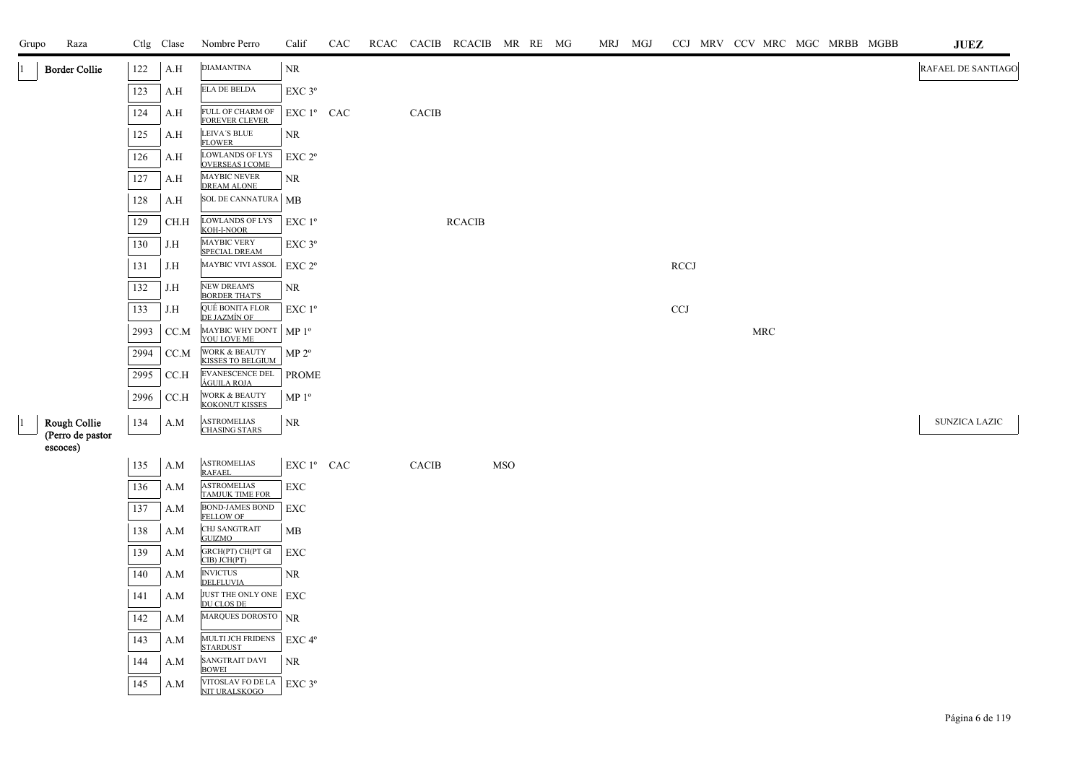| Grupo | Raza                             |         | Ctlg Clase | Nombre Perro                                     | Calif                                          | CAC |              | RCAC CACIB RCACIB MR RE MG |            |  | MRJ MGJ |             |                      |  | CCJ MRV CCV MRC MGC MRBB MGBB | $\mathbf{J}\mathbf{U}\mathbf{E}\mathbf{Z}$ |
|-------|----------------------------------|---------|------------|--------------------------------------------------|------------------------------------------------|-----|--------------|----------------------------|------------|--|---------|-------------|----------------------|--|-------------------------------|--------------------------------------------|
|       | <b>Border Collie</b>             | 122     | A.H        | <b>DIAMANTINA</b>                                | NR                                             |     |              |                            |            |  |         |             |                      |  |                               | RAFAEL DE SANTIAGO                         |
|       |                                  | 123     | A.H        | <b>ELA DE BELDA</b>                              | EXC <sub>3°</sub>                              |     |              |                            |            |  |         |             |                      |  |                               |                                            |
|       |                                  | 124     | A.H        | FULL OF CHARM OF<br>FOREVER CLEVER               | EXC 1º CAC                                     |     | <b>CACIB</b> |                            |            |  |         |             |                      |  |                               |                                            |
|       |                                  | 125     | A.H        | LEIVA'S BLUE<br><b>FLOWER</b>                    | NR.                                            |     |              |                            |            |  |         |             |                      |  |                               |                                            |
|       |                                  | 126     | A.H        | <b>LOWLANDS OF LYS</b><br><b>OVERSEAS I COME</b> | EXC 2 <sup>o</sup>                             |     |              |                            |            |  |         |             |                      |  |                               |                                            |
|       |                                  | 127     | A.H        | MAYBIC NEVER<br><b>DREAM ALONE</b>               | <b>NR</b>                                      |     |              |                            |            |  |         |             |                      |  |                               |                                            |
|       |                                  | 128     | A.H        | SOL DE CANNATURA                                 | MB                                             |     |              |                            |            |  |         |             |                      |  |                               |                                            |
|       |                                  | 129     | CH.H       | LOWLANDS OF LYS<br>KOH-I-NOOR                    | EXC 1 <sup>o</sup>                             |     |              | <b>RCACIB</b>              |            |  |         |             |                      |  |                               |                                            |
|       |                                  | 130     | J.H        | <b>MAYBIC VERY</b><br>SPECIAL DREAM              | $EXC$ $3^{\circ}$                              |     |              |                            |            |  |         |             |                      |  |                               |                                            |
|       |                                  | 131     | J.H        | MAYBIC VIVI ASSOL                                | EXC 2 <sup>o</sup>                             |     |              |                            |            |  |         | <b>RCCJ</b> |                      |  |                               |                                            |
|       |                                  | 132     | J.H        | <b>NEW DREAM'S</b><br><b>BORDER THAT'S</b>       | NR.                                            |     |              |                            |            |  |         |             |                      |  |                               |                                            |
|       |                                  | 133     | J.H        | QUÉ BONITA FLOR<br>DE JAZMÍN OF                  | $EXC1^{\circ}$                                 |     |              |                            |            |  |         | <b>CCJ</b>  |                      |  |                               |                                            |
|       |                                  | 2993    | CC.M       | MAYBIC WHY DON'T<br>YOU LOVE ME                  | MP <sup>0</sup>                                |     |              |                            |            |  |         |             | $\operatorname{MRC}$ |  |                               |                                            |
|       |                                  | 2994    | CC.M       | WORK & BEAUTY<br>KISSES TO BELGIUM               | MP 2 <sup>o</sup>                              |     |              |                            |            |  |         |             |                      |  |                               |                                            |
|       |                                  | 2995    | CCA        | EVANESCENCE DEL<br>ÁGUILA ROJA                   | <b>PROME</b>                                   |     |              |                            |            |  |         |             |                      |  |                               |                                            |
|       |                                  | 2996    | CC.H       | WORK & BEAUTY<br>KOKONUT KISSES                  | MP <sup>0</sup>                                |     |              |                            |            |  |         |             |                      |  |                               |                                            |
|       | Rough Collie<br>(Perro de pastor | 134     | A.M        | <b>ASTROMELIAS</b><br><b>CHASING STARS</b>       | <b>NR</b>                                      |     |              |                            |            |  |         |             |                      |  |                               | SUNZICA LAZIC                              |
|       | escoces)                         |         |            |                                                  |                                                |     |              |                            |            |  |         |             |                      |  |                               |                                            |
|       |                                  | 135     | A.M        | <b>ASTROMELIAS</b><br><b>RAFAEL</b>              | $\mathop{\hbox{\rm EXC}}$ $1^{\circ}$ $\;$ CAC |     | <b>CACIB</b> |                            | <b>MSO</b> |  |         |             |                      |  |                               |                                            |
|       |                                  | 136     | A.M        | <b>ASTROMELIAS</b><br><b>TAMJUK TIME FOR</b>     | EXC                                            |     |              |                            |            |  |         |             |                      |  |                               |                                            |
|       |                                  | 137     | A.M        | BOND-JAMES BOND<br>FELLOW OF                     | EXC                                            |     |              |                            |            |  |         |             |                      |  |                               |                                            |
|       |                                  | 138     | A.M        | CHJ SANGTRAIT<br><b>GUIZMO</b>                   | MB                                             |     |              |                            |            |  |         |             |                      |  |                               |                                            |
|       |                                  | 139     | A.M        | GRCH(PT) CH(PT GI<br>CIB) JCH(PT)                | EXC                                            |     |              |                            |            |  |         |             |                      |  |                               |                                            |
|       |                                  | 140     | A.M        | <b>INVICTUS</b><br>DELFLUVIA                     | <b>NR</b>                                      |     |              |                            |            |  |         |             |                      |  |                               |                                            |
|       |                                  | 141     | A.M        | JUST THE ONLY ONE<br>DU CLOS DE                  | EXC                                            |     |              |                            |            |  |         |             |                      |  |                               |                                            |
|       |                                  | $142\,$ | A.M        | MARQUES DOROSTO NR                               |                                                |     |              |                            |            |  |         |             |                      |  |                               |                                            |
|       |                                  | 143     | A.M        | MULTI JCH FRIDENS<br><b>STARDUST</b>             | EXC 4°                                         |     |              |                            |            |  |         |             |                      |  |                               |                                            |
|       |                                  | 144     | A.M        | SANGTRAIT DAVI<br><b>BOWEI</b>                   | <b>NR</b>                                      |     |              |                            |            |  |         |             |                      |  |                               |                                            |
|       |                                  | 145     | A.M        | VITOSLAV FO DE LA<br>NIT URALSKOGO               | $EXC$ 3 $^{\circ}$                             |     |              |                            |            |  |         |             |                      |  |                               |                                            |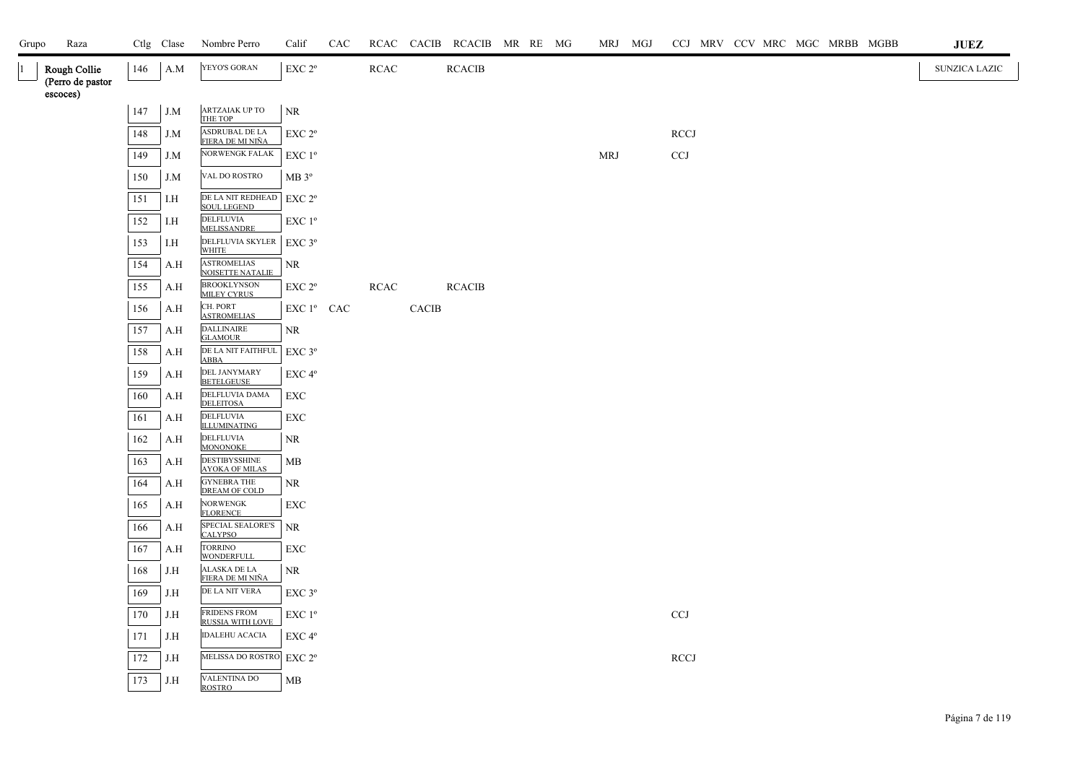| Grupo | Raza                             |     | Ctlg Clase | Nombre Perro                                       | Calif              | CAC |             |              | RCAC CACIB RCACIB MR RE MG |  | MRJ MGJ    | CCJ MRV CCV MRC MGC MRBB MGBB |  |  |  | JUEZ          |
|-------|----------------------------------|-----|------------|----------------------------------------------------|--------------------|-----|-------------|--------------|----------------------------|--|------------|-------------------------------|--|--|--|---------------|
|       | Rough Collie<br>(Perro de pastor | 146 | A.M        | YEYO'S GORAN                                       | EXC 2 <sup>o</sup> |     | <b>RCAC</b> |              | <b>RCACIB</b>              |  |            |                               |  |  |  | SUNZICA LAZIC |
|       | escoces)                         |     |            |                                                    |                    |     |             |              |                            |  |            |                               |  |  |  |               |
|       |                                  | 147 | J.M        | ARTZAIAK UP TO<br>THE TOP                          | NR                 |     |             |              |                            |  |            |                               |  |  |  |               |
|       |                                  | 148 | J.M        | ASDRUBAL DE LA<br>FIERA DE MI NIÑA                 | EXC 2 <sup>o</sup> |     |             |              |                            |  |            | <b>RCCJ</b>                   |  |  |  |               |
|       |                                  | 149 | J.M        | NORWENGK FALAK                                     | $EXC1^{\circ}$     |     |             |              |                            |  | <b>MRJ</b> | <b>CCJ</b>                    |  |  |  |               |
|       |                                  | 150 | J.M        | VAL DO ROSTRO                                      | MB 3 <sup>o</sup>  |     |             |              |                            |  |            |                               |  |  |  |               |
|       |                                  | 151 | I.H        | DE LA NIT REDHEAD<br><b>SOUL LEGEND</b>            | EXC 2 <sup>o</sup> |     |             |              |                            |  |            |                               |  |  |  |               |
|       |                                  | 152 | I.H        | <b>DELFLUVIA</b><br><b>MELISSANDRE</b>             | $EXC1^{\circ}$     |     |             |              |                            |  |            |                               |  |  |  |               |
|       |                                  | 153 | I.H        | DELFLUVIA SKYLER   EXC 3°<br><b>WHITE</b>          |                    |     |             |              |                            |  |            |                               |  |  |  |               |
|       |                                  | 154 | A.H        | <b>ASTROMELIAS</b><br>NOISETTE NATALIE             | NR                 |     |             |              |                            |  |            |                               |  |  |  |               |
|       |                                  | 155 | A.H        | <b>BROOKLYNSON</b><br><b>MILEY CYRUS</b>           | EXC 2 <sup>o</sup> |     | <b>RCAC</b> |              | <b>RCACIB</b>              |  |            |                               |  |  |  |               |
|       |                                  | 156 | A.H        | CH. PORT<br><b>ASTROMELIAS</b>                     | EXC 1º CAC         |     |             | <b>CACIB</b> |                            |  |            |                               |  |  |  |               |
|       |                                  | 157 | A.H        | <b>DALLINAIRE</b><br><b>GLAMOUR</b>                | NR                 |     |             |              |                            |  |            |                               |  |  |  |               |
|       |                                  | 158 | A.H        | DE LA NIT FAITHFUL EXC 3°<br><b>ABBA</b>           |                    |     |             |              |                            |  |            |                               |  |  |  |               |
|       |                                  | 159 | A.H        | <b>DEL JANYMARY</b><br><b>BETELGEUSE</b>           | EXC 4 <sup>o</sup> |     |             |              |                            |  |            |                               |  |  |  |               |
|       |                                  | 160 | A.H        | DELFLUVIA DAMA<br><b>DELEITOSA</b>                 | <b>EXC</b>         |     |             |              |                            |  |            |                               |  |  |  |               |
|       |                                  | 161 | A.H        | <b>DELFLUVIA</b><br><b>ILLUMINATING</b>            | EXC                |     |             |              |                            |  |            |                               |  |  |  |               |
|       |                                  | 162 | A.H        | <b>DELFLUVIA</b><br><b>MONONOKE</b>                | <b>NR</b>          |     |             |              |                            |  |            |                               |  |  |  |               |
|       |                                  | 163 | A.H        | <b>DESTIBYSSHINE</b><br><b>AYOKA OF MILAS</b>      | MB                 |     |             |              |                            |  |            |                               |  |  |  |               |
|       |                                  | 164 | A.H        | <b>GYNEBRA THE</b><br>DREAM OF COLD                | NR                 |     |             |              |                            |  |            |                               |  |  |  |               |
|       |                                  | 165 | A.H        | <b>NORWENGK</b><br><b>FLORENCE</b>                 | <b>EXC</b>         |     |             |              |                            |  |            |                               |  |  |  |               |
|       |                                  | 166 | A.H        | SPECIAL SEALORE'S<br><b>CALYPSO</b>                | <b>NR</b>          |     |             |              |                            |  |            |                               |  |  |  |               |
|       |                                  | 167 | A.H        | TORRINO<br>WONDERFULL                              | <b>EXC</b>         |     |             |              |                            |  |            |                               |  |  |  |               |
|       |                                  | 168 | J.H        | ALASKA DE LA<br>FIERA DE MI NIÑA<br>DE LA NIT VERA | NR                 |     |             |              |                            |  |            |                               |  |  |  |               |
|       |                                  | 169 | J.H        | <b>FRIDENS FROM</b>                                | EXC 3°             |     |             |              |                            |  |            |                               |  |  |  |               |
|       |                                  | 170 | J.H        | <b>RUSSIA WITH LOVE</b><br><b>IDALEHU ACACIA</b>   | $EXC1^{\circ}$     |     |             |              |                            |  |            | $CCJ$                         |  |  |  |               |
|       |                                  | 171 | J.H        | MELISSA DO ROSTRO                                  | EXC 4°             |     |             |              |                            |  |            |                               |  |  |  |               |
|       |                                  | 172 | J.H        | VALENTINA DO                                       | EXC 2 <sup>o</sup> |     |             |              |                            |  |            | <b>RCCJ</b>                   |  |  |  |               |
|       |                                  | 173 | J.H        | <b>ROSTRO</b>                                      | MB                 |     |             |              |                            |  |            |                               |  |  |  |               |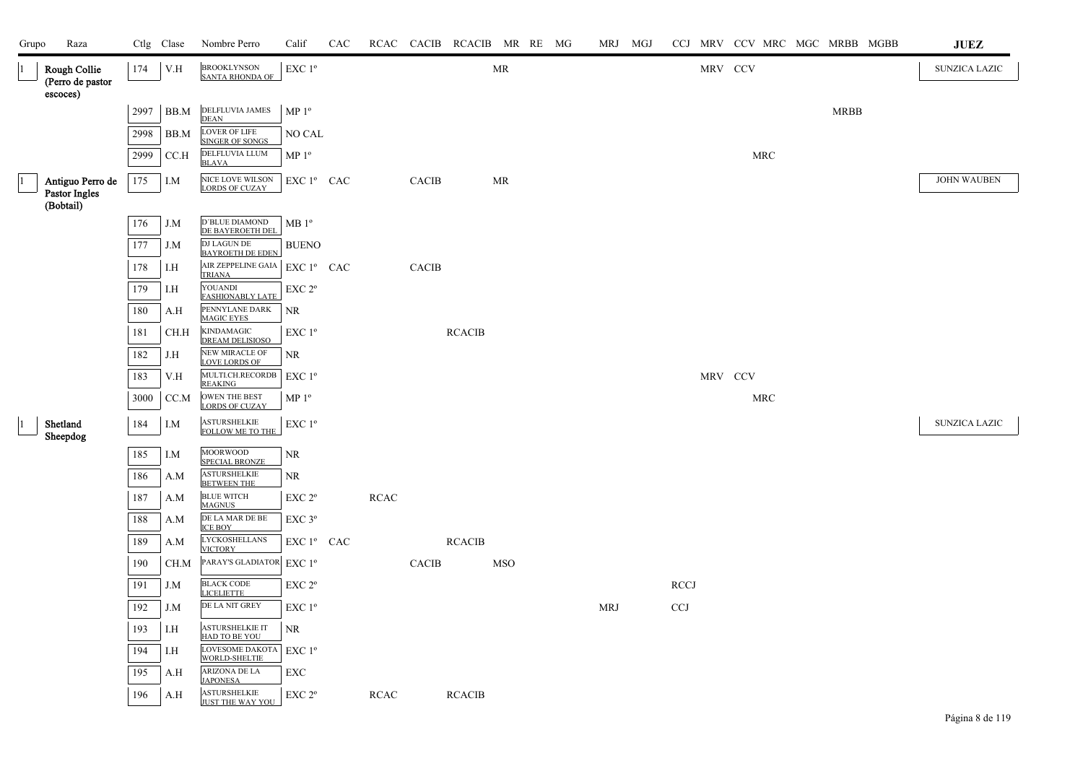| Grupo | Raza                                           |      | Ctlg Clase | Nombre Perro                                        | Calif                  | CAC |             |              | RCAC CACIB RCACIB MR RE MG |            |  | MRJ MGJ    |             |         | CCJ MRV CCV MRC MGC MRBB MGBB |             | <b>JUEZ</b>          |
|-------|------------------------------------------------|------|------------|-----------------------------------------------------|------------------------|-----|-------------|--------------|----------------------------|------------|--|------------|-------------|---------|-------------------------------|-------------|----------------------|
|       | Rough Collie<br>(Perro de pastor<br>escoces)   | 174  | V.H        | <b>BROOKLYNSON</b><br><b>SANTA RHONDA OF</b>        | EXC 1 <sup>o</sup>     |     |             |              |                            | MR         |  |            |             | MRV CCV |                               |             | <b>SUNZICA LAZIC</b> |
|       |                                                | 2997 | BB.M       | DELFLUVIA JAMES<br><b>DEAN</b>                      | $MP 1^{\circ}$         |     |             |              |                            |            |  |            |             |         |                               | <b>MRBB</b> |                      |
|       |                                                | 2998 | BB.M       | <b>LOVER OF LIFE</b><br><b>SINGER OF SONGS</b>      | NO CAL                 |     |             |              |                            |            |  |            |             |         |                               |             |                      |
|       |                                                | 2999 | CC.H       | DELFLUVIA LLUM<br><b>BLAVA</b>                      | $MP 1^{\circ}$         |     |             |              |                            |            |  |            |             |         | $\operatorname{MRC}$          |             |                      |
|       | Antiguo Perro de<br>Pastor Ingles<br>(Bobtail) | 175  | I.M        | NICE LOVE WILSON<br><b>LORDS OF CUZAY</b>           | $EXC1^{\circ}$ CAC     |     |             | CACIB        |                            | MR         |  |            |             |         |                               |             | <b>JOHN WAUBEN</b>   |
|       |                                                | 176  | J.M        | D'BLUE DIAMOND<br>DE BAYEROETH DEL                  | $MB1^{\circ}$          |     |             |              |                            |            |  |            |             |         |                               |             |                      |
|       |                                                | 177  | J.M        | DJ LAGUN DE<br><b>BAYROETH DE EDEN</b>              | <b>BUENO</b>           |     |             |              |                            |            |  |            |             |         |                               |             |                      |
|       |                                                | 178  | I.H        | AIR ZEPPELINE GAIA                                  | EXC 1º CAC             |     |             | <b>CACIB</b> |                            |            |  |            |             |         |                               |             |                      |
|       |                                                | 179  | I.H        | <b>TRIANA</b><br>YOUANDI<br><b>FASHIONABLY LATE</b> | EXC 2°                 |     |             |              |                            |            |  |            |             |         |                               |             |                      |
|       |                                                | 180  | A.H        | PENNYLANE DARK<br><b>MAGIC EYES</b>                 | <b>NR</b>              |     |             |              |                            |            |  |            |             |         |                               |             |                      |
|       |                                                | 181  | CH.H       | <b>KINDAMAGIC</b><br>DREAM DELISIOSO                | EXC 1 <sup>o</sup>     |     |             |              | <b>RCACIB</b>              |            |  |            |             |         |                               |             |                      |
|       |                                                | 182  | J.H        | <b>NEW MIRACLE OF</b><br><b>LOVE LORDS OF</b>       | NR                     |     |             |              |                            |            |  |            |             |         |                               |             |                      |
|       |                                                | 183  | V.H        | MULTI.CH.RECORDB<br><b>REAKING</b>                  | EXC 1 <sup>°</sup>     |     |             |              |                            |            |  |            |             | MRV CCV |                               |             |                      |
|       |                                                | 3000 | CC.M       | OWEN THE BEST<br><b>LORDS OF CUZAY</b>              | $MP 1^{\circ}$         |     |             |              |                            |            |  |            |             |         | <b>MRC</b>                    |             |                      |
|       | Shetland<br>Sheepdog                           | 184  | I.M        | <b>ASTURSHELKIE</b><br>FOLLOW ME TO THE             | EXC 1 <sup>o</sup>     |     |             |              |                            |            |  |            |             |         |                               |             | SUNZICA LAZIC        |
|       |                                                | 185  | I.M        | <b>MOORWOOD</b><br><b>SPECIAL BRONZE</b>            | <b>NR</b>              |     |             |              |                            |            |  |            |             |         |                               |             |                      |
|       |                                                | 186  | A.M        | <b>ASTURSHELKIE</b><br><b>BETWEEN THE</b>           | NR.                    |     |             |              |                            |            |  |            |             |         |                               |             |                      |
|       |                                                | 187  | A.M        | <b>BLUE WITCH</b><br><b>MAGNUS</b>                  | EXC 2 <sup>o</sup>     |     | <b>RCAC</b> |              |                            |            |  |            |             |         |                               |             |                      |
|       |                                                | 188  | A.M        | DE LA MAR DE BE<br><b>ICE BOY</b>                   | $EXC$ $3^{\circ}$      |     |             |              |                            |            |  |            |             |         |                               |             |                      |
|       |                                                | 189  | A.M        | <b>LYCKOSHELLANS</b><br><b>VICTORY</b>              | EXC 1 <sup>°</sup> CAC |     |             |              | <b>RCACIB</b>              |            |  |            |             |         |                               |             |                      |
|       |                                                | 190  | CH.M       | PARAY'S GLADIATOR                                   | EXC 1 <sup>o</sup>     |     |             | CACIB        |                            | <b>MSO</b> |  |            |             |         |                               |             |                      |
|       |                                                | 191  | J.M        | <b>BLACK CODE</b><br><b>LICELIETTE</b>              | EXC 2°                 |     |             |              |                            |            |  |            | <b>RCCJ</b> |         |                               |             |                      |
|       |                                                | 192  | J.M        | DE LA NIT GREY                                      | EXC 1 <sup>o</sup>     |     |             |              |                            |            |  | <b>MRJ</b> | <b>CCJ</b>  |         |                               |             |                      |
|       |                                                | 193  | I.H        | <b>ASTURSHELKIE IT</b><br>HAD TO BE YOU             | <b>NR</b>              |     |             |              |                            |            |  |            |             |         |                               |             |                      |
|       |                                                | 194  | I.H        | LOVESOME DAKOTA<br>WORLD-SHELTIE                    | EXC 1 <sup>o</sup>     |     |             |              |                            |            |  |            |             |         |                               |             |                      |
|       |                                                | 195  | A.H        | <b>ARIZONA DE LA</b><br><b>JAPONESA</b>             | EXC                    |     |             |              |                            |            |  |            |             |         |                               |             |                      |
|       |                                                | 196  | A.H        | <b>ASTURSHELKIE</b><br><b>ILIST THE WAY YOU</b>     | EXC 2°                 |     | <b>RCAC</b> |              | <b>RCACIB</b>              |            |  |            |             |         |                               |             |                      |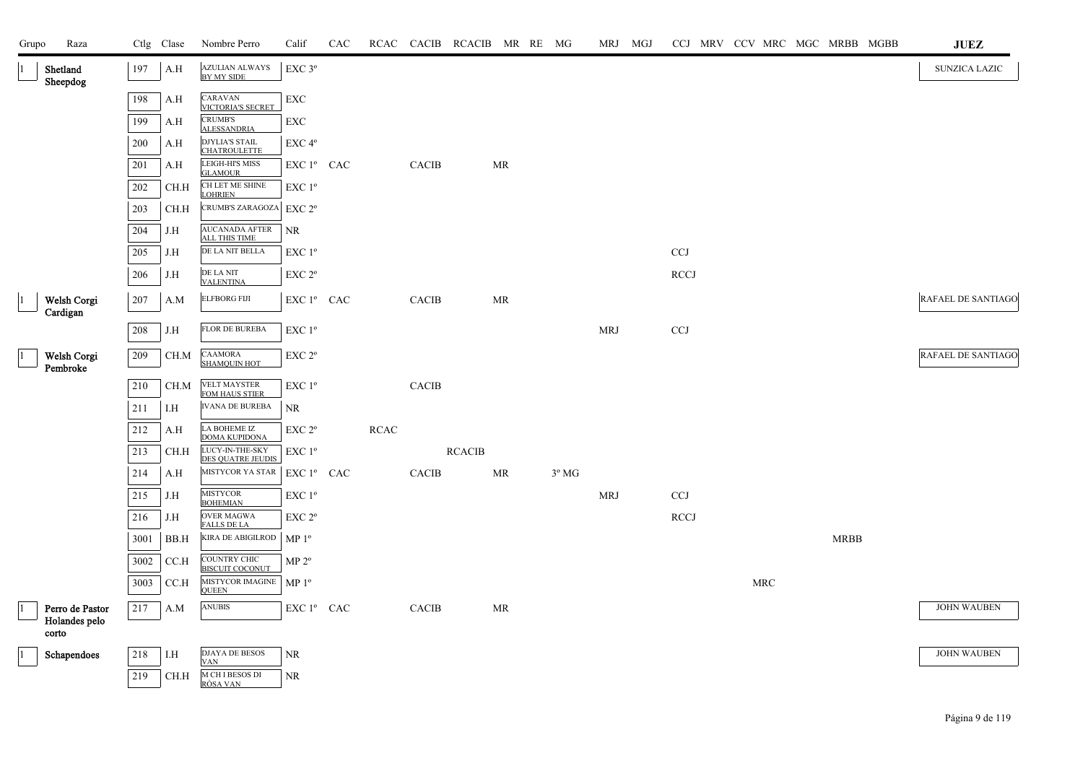| Grupo | Raza                             |      | Ctlg Clase | Nombre Perro                                 | Calif                                           | CAC |                       |                        | RCAC CACIB RCACIB MR RE MG |    |                |            | MRJ MGJ |                           |  |            |             | CCJ MRV CCV MRC MGC MRBB MGBB | <b>JUEZ</b>        |
|-------|----------------------------------|------|------------|----------------------------------------------|-------------------------------------------------|-----|-----------------------|------------------------|----------------------------|----|----------------|------------|---------|---------------------------|--|------------|-------------|-------------------------------|--------------------|
|       | Shetland<br>Sheepdog             | 197  | A.H        | <b>AZULIAN ALWAYS</b><br>BY MY SIDE          | EXC 3°                                          |     |                       |                        |                            |    |                |            |         |                           |  |            |             |                               | SUNZICA LAZIC      |
|       |                                  | 198  | A.H        | CARAVAN<br>VICTORIA'S SECRET                 | ${\rm EXC}$                                     |     |                       |                        |                            |    |                |            |         |                           |  |            |             |                               |                    |
|       |                                  | 199  | A.H        | <b>CRUMB'S</b><br><b>ALESSANDRIA</b>         | ${\rm EXC}$                                     |     |                       |                        |                            |    |                |            |         |                           |  |            |             |                               |                    |
|       |                                  | 200  | A.H        | <b>DJYLIA'S STAIL</b><br><b>CHATROULETTE</b> | EXC <sub>4°</sub>                               |     |                       |                        |                            |    |                |            |         |                           |  |            |             |                               |                    |
|       |                                  | 201  | A.H        | <b>LEIGH-HI'S MISS</b><br><b>GLAMOUR</b>     | EXC 1º CAC                                      |     |                       | <b>CACIB</b>           |                            | MR |                |            |         |                           |  |            |             |                               |                    |
|       |                                  | 202  | CH.H       | CH LET ME SHINE<br><b>LOHRIEN</b>            | EXC 1°                                          |     |                       |                        |                            |    |                |            |         |                           |  |            |             |                               |                    |
|       |                                  | 203  | CH.H       | CRUMB'S ZARAGOZA                             | EXC 2 <sup>o</sup>                              |     |                       |                        |                            |    |                |            |         |                           |  |            |             |                               |                    |
|       |                                  | 204  | J.H        | AUCANADA AFTER<br><b>ALL THIS TIME</b>       | NR                                              |     |                       |                        |                            |    |                |            |         |                           |  |            |             |                               |                    |
|       |                                  | 205  | J.H        | DE LA NIT BELLA                              | $\ensuremath{\mathrm{EXC}}$<br>$1^{\mathrm{o}}$ |     |                       |                        |                            |    |                |            |         | $\ensuremath{\text{CCJ}}$ |  |            |             |                               |                    |
|       |                                  | 206  | J.H        | DE LA NIT<br><b>VALENTINA</b>                | EXC 2°                                          |     |                       |                        |                            |    |                |            |         | <b>RCCJ</b>               |  |            |             |                               |                    |
|       | Welsh Corgi<br>Cardigan          | 207  | A.M        | <b>ELFBORG FIJI</b>                          | EXC 1º CAC                                      |     |                       | <b>CACIB</b>           |                            | MR |                |            |         |                           |  |            |             |                               | RAFAEL DE SANTIAGO |
|       |                                  | 208  | J.H        | <b>FLOR DE BUREBA</b>                        | $\ensuremath{\mathrm{EXC}}$ $1^{\mathrm{o}}$    |     |                       |                        |                            |    |                | <b>MRJ</b> |         | $\ensuremath{\text{CCJ}}$ |  |            |             |                               |                    |
|       | Welsh Corgi<br>Pembroke          | 209  | CH.M       | <b>CAAMORA</b><br><b>SHAMQUIN HOT</b>        | EXC 2°                                          |     |                       |                        |                            |    |                |            |         |                           |  |            |             |                               | RAFAEL DE SANTIAGO |
|       |                                  | 210  | CH.M       | <b>VELT MAYSTER</b><br>FOM HAUS STIER        | EXC 1 <sup>o</sup>                              |     |                       | $\operatorname{CACIB}$ |                            |    |                |            |         |                           |  |            |             |                               |                    |
|       |                                  | 211  | I.H        | <b>IVANA DE BUREBA</b>                       | NR.                                             |     |                       |                        |                            |    |                |            |         |                           |  |            |             |                               |                    |
|       |                                  | 212  | A.H        | LA BOHEME IZ<br><b>DOMA KUPIDONA</b>         | EXC <sub>2°</sub>                               |     | $\operatorname{RCAC}$ |                        |                            |    |                |            |         |                           |  |            |             |                               |                    |
|       |                                  | 213  | CH.H       | LUCY-IN-THE-SKY<br><b>DES QUATRE JEUDIS</b>  | EXC 1°                                          |     |                       |                        | <b>RCACIB</b>              |    |                |            |         |                           |  |            |             |                               |                    |
|       |                                  | 214  | A.H        | <b>MISTYCOR YA STAR</b>                      | EXC 1º CAC                                      |     |                       | <b>CACIB</b>           |                            | MR | $3^{\circ}$ MG |            |         |                           |  |            |             |                               |                    |
|       |                                  | 215  | J.H        | <b>MISTYCOR</b><br><b>BOHEMIAN</b>           | EXC 1 <sup>o</sup>                              |     |                       |                        |                            |    |                | <b>MRJ</b> |         | CCJ                       |  |            |             |                               |                    |
|       |                                  | 216  | J.H        | <b>OVER MAGWA</b><br><b>FALLS DE LA</b>      | EXC 2 <sup>o</sup>                              |     |                       |                        |                            |    |                |            |         | <b>RCCJ</b>               |  |            |             |                               |                    |
|       |                                  | 3001 | BB.H       | KIRA DE ABIGILROD                            | MP <sup>0</sup>                                 |     |                       |                        |                            |    |                |            |         |                           |  |            | <b>MRBB</b> |                               |                    |
|       |                                  | 3002 | CC.H       | COUNTRY CHIC<br><b>BISCUIT COCONUT</b>       | $MP 2^{\circ}$                                  |     |                       |                        |                            |    |                |            |         |                           |  |            |             |                               |                    |
|       |                                  | 3003 | CC.H       | MISTYCOR IMAGINE<br><b>OUEEN</b>             | MP <sup>0</sup>                                 |     |                       |                        |                            |    |                |            |         |                           |  | <b>MRC</b> |             |                               |                    |
|       | Perro de Pastor<br>Holandes pelo | 217  | A.M        | <b>ANUBIS</b>                                | ${\rm EXC}$ $1^{\rm o}$ $\;$ CAC $\;$           |     |                       | $\operatorname{CACIB}$ |                            | MR |                |            |         |                           |  |            |             |                               | <b>JOHN WAUBEN</b> |
|       | corto                            |      |            |                                              |                                                 |     |                       |                        |                            |    |                |            |         |                           |  |            |             |                               |                    |
|       | Schapendoes                      | 218  | I.H        | <b>DJAYA DE BESOS</b><br><b>VAN</b>          | NR                                              |     |                       |                        |                            |    |                |            |         |                           |  |            |             |                               | <b>JOHN WAUBEN</b> |
|       |                                  | 219  | CH.H       | M CH I BESOS DI<br>RÒSA VAN                  | NR                                              |     |                       |                        |                            |    |                |            |         |                           |  |            |             |                               |                    |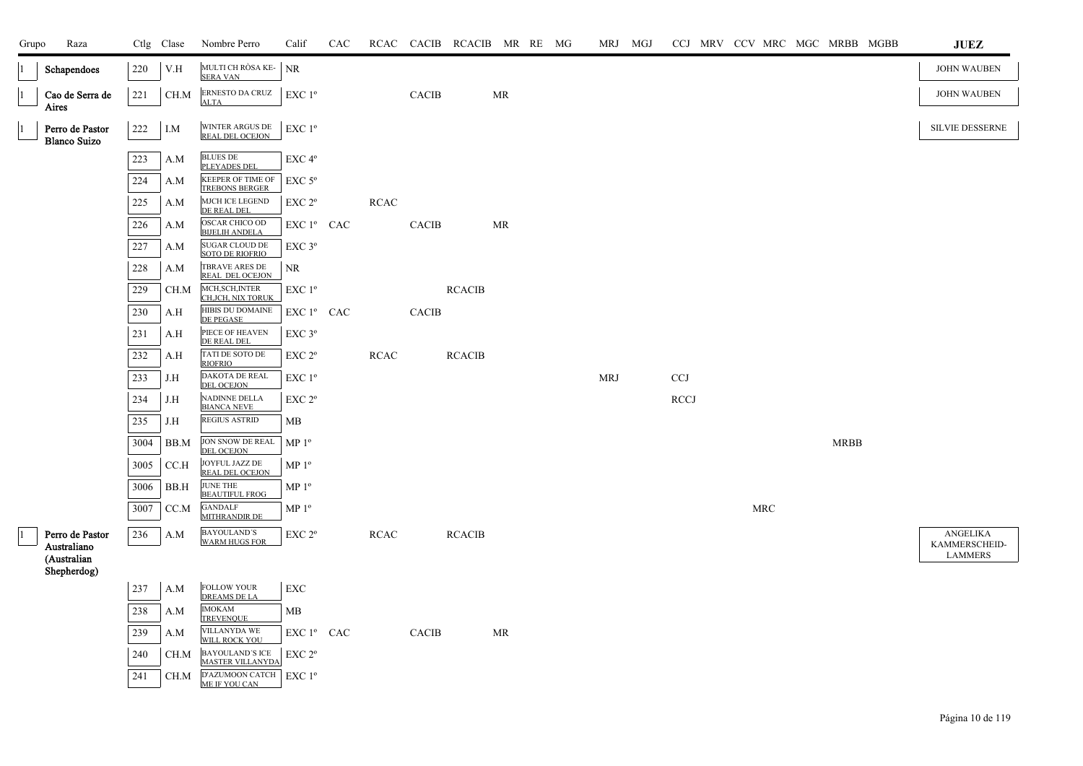| Grupo           | Raza                                   |         | Ctlg Clase | Nombre Perro                                      | Calif                         | CAC |             |              | RCAC CACIB RCACIB MR RE MG |    |  | MRJ MGJ    |             |                      |  |             | CCJ MRV CCV MRC MGC MRBB MGBB | JUEZ                      |
|-----------------|----------------------------------------|---------|------------|---------------------------------------------------|-------------------------------|-----|-------------|--------------|----------------------------|----|--|------------|-------------|----------------------|--|-------------|-------------------------------|---------------------------|
|                 | Schapendoes                            | 220     | V.H        | MULTI CH RÒSA KE-<br><b>SERA VAN</b>              | <b>NR</b>                     |     |             |              |                            |    |  |            |             |                      |  |             |                               | <b>JOHN WAUBEN</b>        |
| 1               | Cao de Serra de<br>Aires               | 221     | CH.M       | ERNESTO DA CRUZ<br><b>ALTA</b>                    | $EXC1^{\circ}$                |     |             | <b>CACIB</b> |                            | MR |  |            |             |                      |  |             |                               | <b>JOHN WAUBEN</b>        |
| 1               | Perro de Pastor<br><b>Blanco Suizo</b> | 222     | I.M        | WINTER ARGUS DE<br><b>REAL DEL OCEJON</b>         | EXC 1 <sup>o</sup>            |     |             |              |                            |    |  |            |             |                      |  |             |                               | SILVIE DESSERNE           |
|                 |                                        | 223     | A.M        | <b>BLUES DE</b><br><b>PLEYADES DEL</b>            | EXC 4 <sup>o</sup>            |     |             |              |                            |    |  |            |             |                      |  |             |                               |                           |
|                 |                                        | 224     | A.M        | KEEPER OF TIME OF<br><b>TREBONS BERGER</b>        | $EXC$ 5 $^{\circ}$            |     |             |              |                            |    |  |            |             |                      |  |             |                               |                           |
|                 |                                        | 225     | A.M        | MJCH ICE LEGEND<br>DE REAL DEL                    | EXC 2 <sup>o</sup>            |     | <b>RCAC</b> |              |                            |    |  |            |             |                      |  |             |                               |                           |
|                 |                                        | $226\,$ | A.M        | OSCAR CHICO OD<br><b>BIJELIH ANDELA</b>           | EXC 1º CAC                    |     |             | CACIB        |                            | MR |  |            |             |                      |  |             |                               |                           |
|                 |                                        | 227     | A.M        | SUGAR CLOUD DE<br><b>SOTO DE RIOFRIO</b>          | $EXC$ 3 $^{\circ}$            |     |             |              |                            |    |  |            |             |                      |  |             |                               |                           |
|                 |                                        | 228     | A.M        | TBRAVE ARES DE<br>REAL DEL OCEJON                 | <b>NR</b>                     |     |             |              |                            |    |  |            |             |                      |  |             |                               |                           |
|                 |                                        | 229     | CH.M       | MCH, SCH, INTER<br>CH, JCH, NIX TORUK             | $EXC1^{\circ}$                |     |             |              | <b>RCACIB</b>              |    |  |            |             |                      |  |             |                               |                           |
|                 |                                        | 230     | A.H        | HIBIS DU DOMAINE<br>DE PEGASE                     | $EXC1^{\circ}$ CAC            |     |             | CACIB        |                            |    |  |            |             |                      |  |             |                               |                           |
|                 |                                        | 231     | A.H        | PIECE OF HEAVEN<br>DE REAL DEL                    | $EXC$ 3 $^{\circ}$            |     |             |              |                            |    |  |            |             |                      |  |             |                               |                           |
|                 |                                        | $232\,$ | A.H        | TATI DE SOTO DE<br><b>RIOFRIO</b>                 | EXC 2 <sup>o</sup>            |     | <b>RCAC</b> |              | <b>RCACIB</b>              |    |  |            |             |                      |  |             |                               |                           |
|                 |                                        | 233     | J.H        | DAKOTA DE REAL<br><b>DEL OCEJON</b>               | $EXC1^{\circ}$                |     |             |              |                            |    |  | <b>MRJ</b> | <b>CCJ</b>  |                      |  |             |                               |                           |
|                 |                                        | 234     | J.H        | NADINNE DELLA<br><b>BIANCA NEVE</b>               | EXC 2 <sup>o</sup>            |     |             |              |                            |    |  |            | <b>RCCJ</b> |                      |  |             |                               |                           |
|                 |                                        | 235     | J.H        | <b>REGIUS ASTRID</b>                              | MB                            |     |             |              |                            |    |  |            |             |                      |  |             |                               |                           |
|                 |                                        | 3004    | BB.M       | JON SNOW DE REAL<br><b>DEL OCEJON</b>             | MP <sup>0</sup>               |     |             |              |                            |    |  |            |             |                      |  | <b>MRBB</b> |                               |                           |
|                 |                                        | 3005    | CCA        | JOYFUL JAZZ DE<br>REAL DEL OCEJON                 | $\mathbf{MP}\ 1^{\mathsf{o}}$ |     |             |              |                            |    |  |            |             |                      |  |             |                               |                           |
|                 |                                        | 3006    | BB.H       | JUNE THE<br><b>BEAUTIFUL FROG</b>                 | ${\rm MP}$ $1^{\rm o}$        |     |             |              |                            |    |  |            |             |                      |  |             |                               |                           |
|                 |                                        | 3007    | CC.M       | <b>GANDALF</b><br>MITHRANDIR DE                   | MP <sup>0</sup>               |     |             |              |                            |    |  |            |             | $\operatorname{MRC}$ |  |             |                               |                           |
| $\vert 1 \vert$ | Perro de Pastor<br>Australiano         | 236     | A.M        | <b>BAYOULAND'S</b><br><b>WARM HUGS FOR</b>        | EXC 2 <sup>o</sup>            |     | <b>RCAC</b> |              | <b>RCACIB</b>              |    |  |            |             |                      |  |             |                               | ANGELIKA<br>KAMMERSCHEID- |
|                 | (Australian<br>Shepherdog)             |         |            |                                                   |                               |     |             |              |                            |    |  |            |             |                      |  |             |                               | <b>LAMMERS</b>            |
|                 |                                        | 237     | A.M        | <b>FOLLOW YOUR</b><br><b>DREAMS DE LA</b>         | EXC                           |     |             |              |                            |    |  |            |             |                      |  |             |                               |                           |
|                 |                                        | 238     | A.M        | <b>IMOKAM</b><br>TREVENOUE                        | MB                            |     |             |              |                            |    |  |            |             |                      |  |             |                               |                           |
|                 |                                        | 239     | A.M        | <b>VILLANYDA WE</b><br>WILL ROCK YOU              | EXC 1º CAC                    |     |             | CACIB        |                            | MR |  |            |             |                      |  |             |                               |                           |
|                 |                                        | 240     | CH.M       | <b>BAYOULAND'S ICE</b><br><b>MASTER VILLANYDA</b> | EXC 2 <sup>o</sup>            |     |             |              |                            |    |  |            |             |                      |  |             |                               |                           |
|                 |                                        | 241     | CH.M       | D'AZUMOON CATCH EXC 1º<br>ME IF YOU CAN           |                               |     |             |              |                            |    |  |            |             |                      |  |             |                               |                           |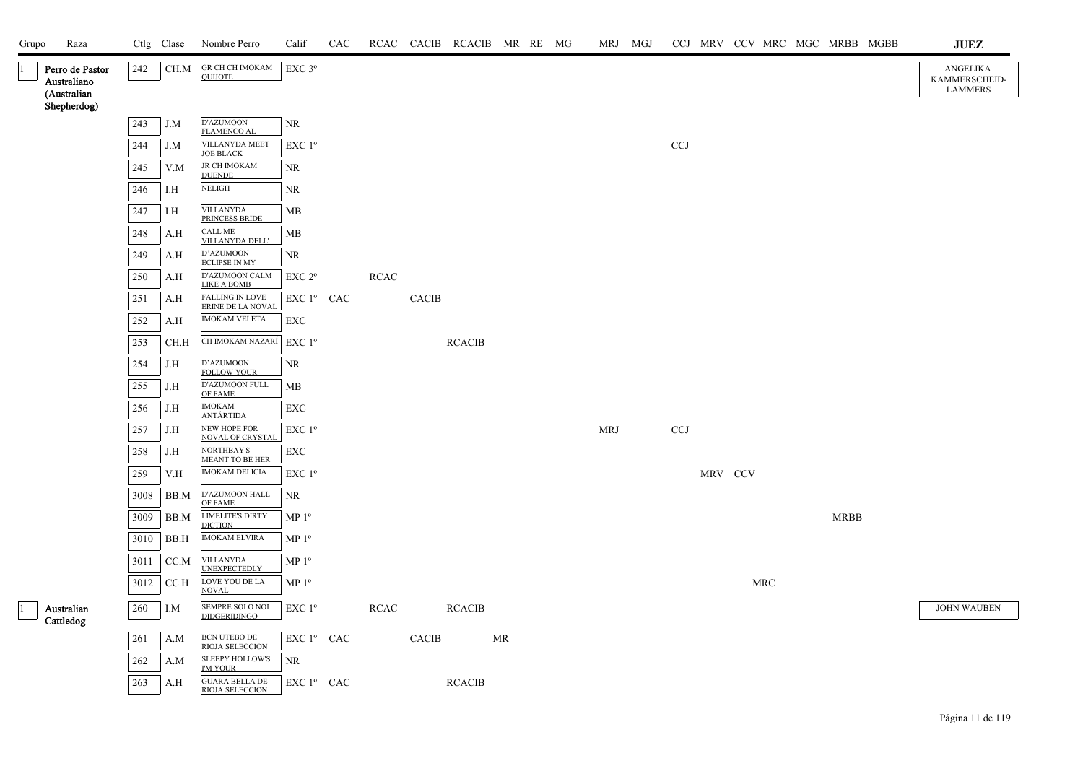| Grupo | Raza                                          |         | Ctlg Clase | Nombre Perro                                    | Calif                                                                   | CAC |             |                        | RCAC CACIB RCACIB MR RE MG |           |            | MRJ MGJ |              |         |     |             | CCJ MRV CCV MRC MGC MRBB MGBB | <b>JUEZ</b>                                        |
|-------|-----------------------------------------------|---------|------------|-------------------------------------------------|-------------------------------------------------------------------------|-----|-------------|------------------------|----------------------------|-----------|------------|---------|--------------|---------|-----|-------------|-------------------------------|----------------------------------------------------|
|       | Perro de Pastor<br>Australiano<br>(Australian | 242     | CH.M       | GR CH CH IMOKAM<br><b>OUIJOTE</b>               | EXC 3°                                                                  |     |             |                        |                            |           |            |         |              |         |     |             |                               | <b>ANGELIKA</b><br>KAMMERSCHEID-<br><b>LAMMERS</b> |
|       | Shepherdog)                                   |         |            |                                                 |                                                                         |     |             |                        |                            |           |            |         |              |         |     |             |                               |                                                    |
|       |                                               | 243     | J.M        | D'AZUMOON<br><b>FLAMENCO AL</b>                 | <b>NR</b>                                                               |     |             |                        |                            |           |            |         |              |         |     |             |                               |                                                    |
|       |                                               | 244     | J.M        | VILLANYDA MEET<br>JOE BLACK                     | EXC 1 <sup>o</sup>                                                      |     |             |                        |                            |           |            |         | $_{\rm CCJ}$ |         |     |             |                               |                                                    |
|       |                                               | 245     | V.M        | JR CH IMOKAM<br><b>DUENDE</b>                   | NR                                                                      |     |             |                        |                            |           |            |         |              |         |     |             |                               |                                                    |
|       |                                               | 246     | I.H        | <b>NELIGH</b>                                   | <b>NR</b>                                                               |     |             |                        |                            |           |            |         |              |         |     |             |                               |                                                    |
|       |                                               | 247     | I.H        | <b>VILLANYDA</b><br>PRINCESS BRIDE              | MB                                                                      |     |             |                        |                            |           |            |         |              |         |     |             |                               |                                                    |
|       |                                               | 248     | A.H        | <b>CALL ME</b><br><b>VILLANYDA DELL'</b>        | <b>MB</b>                                                               |     |             |                        |                            |           |            |         |              |         |     |             |                               |                                                    |
|       |                                               | 249     | A.H        | D'AZUMOON<br><b>ECLIPSE IN MY</b>               | <b>NR</b>                                                               |     |             |                        |                            |           |            |         |              |         |     |             |                               |                                                    |
|       |                                               | $250\,$ | A.H        | D'AZUMOON CALM<br><b>LIKE A BOMB</b>            | EXC 2 <sup>o</sup>                                                      |     | RCAC        |                        |                            |           |            |         |              |         |     |             |                               |                                                    |
|       |                                               | 251     | A.H        | <b>FALLING IN LOVE</b><br>ERINE DE LA NOVAL     | EXC 1 <sup>°</sup> CAC                                                  |     |             | CACIB                  |                            |           |            |         |              |         |     |             |                               |                                                    |
|       |                                               | 252     | A.H        | <b>IMOKAM VELETA</b>                            | EXC                                                                     |     |             |                        |                            |           |            |         |              |         |     |             |                               |                                                    |
|       |                                               | 253     | CH.H       | CH IMOKAM NAZARÍ                                | EXC 1 <sup>o</sup>                                                      |     |             |                        | <b>RCACIB</b>              |           |            |         |              |         |     |             |                               |                                                    |
|       |                                               | 254     | J.H        | D'AZUMOON<br><b>FOLLOW YOUR</b>                 | NR                                                                      |     |             |                        |                            |           |            |         |              |         |     |             |                               |                                                    |
|       |                                               | 255     | J.H        | D'AZUMOON FULL<br>OF FAME                       | MB                                                                      |     |             |                        |                            |           |            |         |              |         |     |             |                               |                                                    |
|       |                                               | 256     | J.H        | <b>IMOKAM</b><br><u>ANTÁRTIDA</u>               | EXC                                                                     |     |             |                        |                            |           |            |         |              |         |     |             |                               |                                                    |
|       |                                               | 257     | J.H        | NEW HOPE FOR<br><b>NOVAL OF CRYSTAL</b>         | EXC 1 <sup>o</sup>                                                      |     |             |                        |                            |           | <b>MRJ</b> |         | <b>CCJ</b>   |         |     |             |                               |                                                    |
|       |                                               | 258     | J.H        | NORTHBAY'S<br><b>MEANT TO BE HER</b>            | EXC                                                                     |     |             |                        |                            |           |            |         |              |         |     |             |                               |                                                    |
|       |                                               | 259     | V.H        | <b>IMOKAM DELICIA</b>                           | EXC 1 <sup>°</sup>                                                      |     |             |                        |                            |           |            |         |              | MRV CCV |     |             |                               |                                                    |
|       |                                               | 3008    | BB.M       | D'AZUMOON HALL<br>OF FAME                       | NR                                                                      |     |             |                        |                            |           |            |         |              |         |     |             |                               |                                                    |
|       |                                               | 3009    | BB.M       | <b>LIMELITE'S DIRTY</b><br><b>DICTION</b>       | MP <sup>0</sup>                                                         |     |             |                        |                            |           |            |         |              |         |     | <b>MRBB</b> |                               |                                                    |
|       |                                               | 3010    | BB.H       | <b>IMOKAM ELVIRA</b>                            | MP <sup>0</sup>                                                         |     |             |                        |                            |           |            |         |              |         |     |             |                               |                                                    |
|       |                                               | 3011    | CC.M       | <b>VILLANYDA</b><br><b>UNEXPECTEDLY</b>         | MP <sup>0</sup>                                                         |     |             |                        |                            |           |            |         |              |         |     |             |                               |                                                    |
|       |                                               | 3012    | CC.H       | LOVE YOU DE LA<br><b>NOVAL</b>                  | MP <sup>0</sup>                                                         |     |             |                        |                            |           |            |         |              |         | MRC |             |                               |                                                    |
|       | Australian<br>Cattledog                       | 260     | I.M        | SEMPRE SOLO NOI<br><b>DIDGERIDINGO</b>          | $EXC1^{\circ}$                                                          |     | <b>RCAC</b> |                        | <b>RCACIB</b>              |           |            |         |              |         |     |             |                               | <b>JOHN WAUBEN</b>                                 |
|       |                                               | 261     | A.M        | BCN UTEBO DE<br>RIOJA SELECCION                 | EXC 1º CAC                                                              |     |             | $\operatorname{CACIB}$ |                            | <b>MR</b> |            |         |              |         |     |             |                               |                                                    |
|       |                                               | 262     | A.M        | <b>SLEEPY HOLLOW'S</b><br><b>I'M YOUR</b>       | <b>NR</b>                                                               |     |             |                        |                            |           |            |         |              |         |     |             |                               |                                                    |
|       |                                               | 263     | A.H        | <b>GUARA BELLA DE</b><br><b>RIOJA SELECCION</b> | $\mathop{\rm EXC}\nolimits 1^{\mathfrak o}$ $\mathop{\rm CAC}\nolimits$ |     |             |                        | <b>RCACIB</b>              |           |            |         |              |         |     |             |                               |                                                    |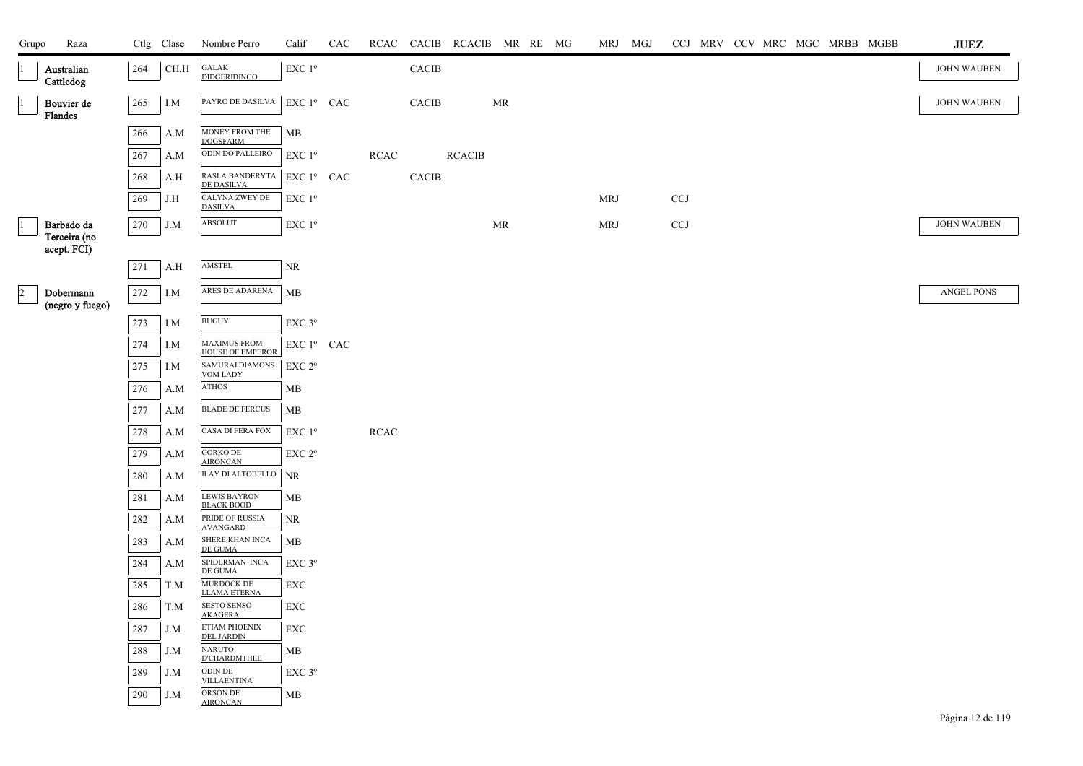| Grupo                | Raza                        |         | Ctlg Clase | Nombre Perro                                   | Calif              | CAC |             |              | RCAC CACIB RCACIB MR RE MG |           |  | MRJ MGJ    |            |  |  | CCJ MRV CCV MRC MGC MRBB MGBB | <b>JUEZ</b>        |
|----------------------|-----------------------------|---------|------------|------------------------------------------------|--------------------|-----|-------------|--------------|----------------------------|-----------|--|------------|------------|--|--|-------------------------------|--------------------|
|                      | Australian<br>Cattledog     | 264     | CH.H       | $\mathsf{GALAK}$<br><b>DIDGERIDINGO</b>        | EXC 1 <sup>o</sup> |     |             | <b>CACIB</b> |                            |           |  |            |            |  |  |                               | JOHN WAUBEN        |
|                      | Bouvier de<br>Flandes       | 265     | I.M        | PAYRO DE DASILVA   EXC 1º CAC                  |                    |     |             | <b>CACIB</b> |                            | <b>MR</b> |  |            |            |  |  |                               | <b>JOHN WAUBEN</b> |
|                      |                             | 266     | A.M        | MONEY FROM THE<br><b>DOGSFARM</b>              | MB                 |     |             |              |                            |           |  |            |            |  |  |                               |                    |
|                      |                             | 267     | A.M        | ODIN DO PALLEIRO                               | EXC $1^{\circ}$    |     | <b>RCAC</b> |              | <b>RCACIB</b>              |           |  |            |            |  |  |                               |                    |
|                      |                             | 268     | A.H        | RASLA BANDERYTA<br><b>DE DASILVA</b>           | $EXC1^{\circ}$ CAC |     |             | <b>CACIB</b> |                            |           |  |            |            |  |  |                               |                    |
|                      |                             | 269     | J.H        | CALYNA ZWEY DE<br><b>DASILVA</b>               | EXC 1 <sup>o</sup> |     |             |              |                            |           |  | MRJ        | <b>CCJ</b> |  |  |                               |                    |
|                      | Barbado da                  | 270     | J.M        | <b>ABSOLUT</b>                                 | EXC 1 <sup>o</sup> |     |             |              |                            | <b>MR</b> |  | <b>MRJ</b> | CCJ        |  |  |                               | <b>JOHN WAUBEN</b> |
|                      | Terceira (no<br>acept. FCI) |         |            |                                                |                    |     |             |              |                            |           |  |            |            |  |  |                               |                    |
|                      |                             | 271     | A.H        | AMSTEL                                         | $\rm NR$           |     |             |              |                            |           |  |            |            |  |  |                               |                    |
| $\vert$ <sub>2</sub> | Dobermann                   | 272     | I.M        | ARES DE ADARENA                                | MB                 |     |             |              |                            |           |  |            |            |  |  |                               | ANGEL PONS         |
|                      | (negro y fuego)             |         |            |                                                |                    |     |             |              |                            |           |  |            |            |  |  |                               |                    |
|                      |                             | 273     | I.M        | <b>BUGUY</b>                                   | EXC <sub>3°</sub>  |     |             |              |                            |           |  |            |            |  |  |                               |                    |
|                      |                             | 274     | I.M        | <b>MAXIMUS FROM</b><br><b>HOUSE OF EMPEROR</b> | EXC 1º CAC         |     |             |              |                            |           |  |            |            |  |  |                               |                    |
|                      |                             | 275     | I.M        | <b>SAMURAI DIAMONS</b><br><b>VOM LADY</b>      | EXC 2°             |     |             |              |                            |           |  |            |            |  |  |                               |                    |
|                      |                             | $276\,$ | A.M        | <b>ATHOS</b>                                   | MВ                 |     |             |              |                            |           |  |            |            |  |  |                               |                    |
|                      |                             | 277     | A.M        | <b>BLADE DE FERCUS</b>                         | MB                 |     |             |              |                            |           |  |            |            |  |  |                               |                    |
|                      |                             | 278     | A.M        | CASA DI FERA FOX                               | EXC 1 <sup>o</sup> |     | <b>RCAC</b> |              |                            |           |  |            |            |  |  |                               |                    |
|                      |                             | 279     | A.M        | <b>GORKO DE</b><br><b>AIRONCAN</b>             | EXC 2 <sup>o</sup> |     |             |              |                            |           |  |            |            |  |  |                               |                    |
|                      |                             | 280     | A.M        | <b>ILAY DI ALTOBELLO</b>                       | <b>NR</b>          |     |             |              |                            |           |  |            |            |  |  |                               |                    |
|                      |                             | 281     | A.M        | LEWIS BAYRON<br>BLACK BOOD                     | MB                 |     |             |              |                            |           |  |            |            |  |  |                               |                    |
|                      |                             | 282     | A.M        | PRIDE OF RUSSIA<br>AVANGARD                    | $\rm NR$           |     |             |              |                            |           |  |            |            |  |  |                               |                    |
|                      |                             | 283     | A.M        | SHERE KHAN INCA<br>DE GUMA                     | MB                 |     |             |              |                            |           |  |            |            |  |  |                               |                    |
|                      |                             | 284     | A.M        | SPIDERMAN INCA<br>DE GUMA                      | EXC 3°             |     |             |              |                            |           |  |            |            |  |  |                               |                    |
|                      |                             | $285\,$ | T.M        | MURDOCK DE<br><b>LLAMA ETERNA</b>              | EXC                |     |             |              |                            |           |  |            |            |  |  |                               |                    |
|                      |                             | 286     | T.M        | <b>SESTO SENSO</b><br><b>AKAGERA</b>           | EXC                |     |             |              |                            |           |  |            |            |  |  |                               |                    |
|                      |                             | 287     | J.M        | ETIAM PHOENIX<br><b>DEL JARDIN</b>             | <b>EXC</b>         |     |             |              |                            |           |  |            |            |  |  |                               |                    |
|                      |                             | 288     | J.M        | <b>NARUTO</b><br><b>D'CHARDMTHEE</b>           | MB                 |     |             |              |                            |           |  |            |            |  |  |                               |                    |
|                      |                             | 289     | J.M        | ODIN DE<br><b>VILLAENTINA</b>                  | EXC 3°             |     |             |              |                            |           |  |            |            |  |  |                               |                    |
|                      |                             | 290     | J.M        | ORSON DE<br><b>AIRONCAN</b>                    | MB                 |     |             |              |                            |           |  |            |            |  |  |                               |                    |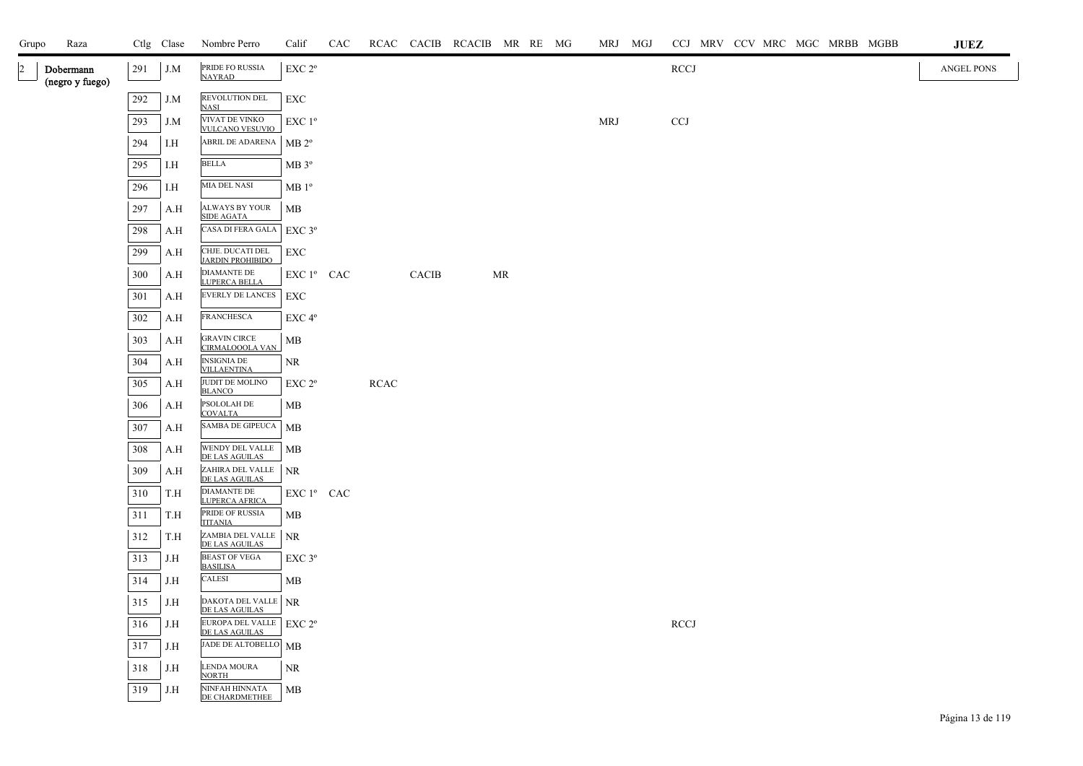| Grupo | Raza                         |     | Ctlg Clase | Nombre Perro                                | Calif              | CAC |             |              | RCAC CACIB RCACIB MR RE MG |    |  | MRJ MGJ    | CCJ MRV CCV MRC MGC MRBB MGBB<br><b>JUEZ</b> |
|-------|------------------------------|-----|------------|---------------------------------------------|--------------------|-----|-------------|--------------|----------------------------|----|--|------------|----------------------------------------------|
| 2     | Dobermann<br>(negro y fuego) | 291 | J.M        | PRIDE FO RUSSIA<br><b>NAYRAD</b>            | EXC 2 <sup>o</sup> |     |             |              |                            |    |  |            | <b>RCCJ</b><br>ANGEL PONS                    |
|       |                              | 292 | J.M        | REVOLUTION DEL<br><b>NASI</b>               | EXC                |     |             |              |                            |    |  |            |                                              |
|       |                              | 293 | J.M        | VIVAT DE VINKO<br><b>VULCANO VESUVIO</b>    | $EXC1^{\circ}$     |     |             |              |                            |    |  | <b>MRJ</b> | $CCJ$                                        |
|       |                              | 294 | I.H        | ABRIL DE ADARENA                            | MB 2 <sup>o</sup>  |     |             |              |                            |    |  |            |                                              |
|       |                              | 295 | I.H        | <b>BELLA</b>                                | MB 3°              |     |             |              |                            |    |  |            |                                              |
|       |                              | 296 | I.H        | MIA DEL NASI                                | MB1°               |     |             |              |                            |    |  |            |                                              |
|       |                              | 297 | A.H        | ALWAYS BY YOUR<br><b>SIDE AGATA</b>         | MB                 |     |             |              |                            |    |  |            |                                              |
|       |                              | 298 | A.H        | CASA DI FERA GALA                           | $EXC$ 3°           |     |             |              |                            |    |  |            |                                              |
|       |                              | 299 | A.H        | CHJE. DUCATI DEL<br><b>JARDIN PROHIBIDO</b> | EXC                |     |             |              |                            |    |  |            |                                              |
|       |                              | 300 | A.H        | <b>DIAMANTE DE</b><br>LUPERCA BELLA         | EXC 1º CAC         |     |             | <b>CACIB</b> |                            | MR |  |            |                                              |
|       |                              | 301 | A.H        | <b>EVERLY DE LANCES</b>                     | EXC                |     |             |              |                            |    |  |            |                                              |
|       |                              | 302 | A.H        | <b>FRANCHESCA</b>                           | EXC 4°             |     |             |              |                            |    |  |            |                                              |
|       |                              | 303 | A.H        | <b>GRAVIN CIRCE</b><br>CIRMALOOOLA VAN      | MB                 |     |             |              |                            |    |  |            |                                              |
|       |                              | 304 | A.H        | <b>INSIGNIA DE</b><br><b>VILLAENTINA</b>    | NR                 |     |             |              |                            |    |  |            |                                              |
|       |                              | 305 | A.H        | JUDIT DE MOLINO<br><b>BLANCO</b>            | EXC 2 <sup>o</sup> |     | <b>RCAC</b> |              |                            |    |  |            |                                              |
|       |                              | 306 | A.H        | PSOLOLAH DE<br><b>COVALTA</b>               | MB                 |     |             |              |                            |    |  |            |                                              |
|       |                              | 307 | A.H        | SAMBA DE GIPEUCA                            | МB                 |     |             |              |                            |    |  |            |                                              |
|       |                              | 308 | A.H        | WENDY DEL VALLE<br>DE LAS AGUILAS           | MB                 |     |             |              |                            |    |  |            |                                              |
|       |                              | 309 | A.H        | ZAHIRA DEL VALLE<br>DE LAS AGUILAS          | <b>NR</b>          |     |             |              |                            |    |  |            |                                              |
|       |                              | 310 | T.H        | <b>DIAMANTE DE</b><br><b>LUPERCA AFRICA</b> | EXC 1º CAC         |     |             |              |                            |    |  |            |                                              |
|       |                              | 311 | T.H        | PRIDE OF RUSSIA<br><b>TITANIA</b>           | MB                 |     |             |              |                            |    |  |            |                                              |
|       |                              | 312 | T.H        | ZAMBIA DEL VALLE<br>DE LAS AGUILAS          | <b>NR</b>          |     |             |              |                            |    |  |            |                                              |
|       |                              | 313 | J.H        | <b>BEAST OF VEGA</b><br><b>BASILISA</b>     | $EXC$ 3 $^{\circ}$ |     |             |              |                            |    |  |            |                                              |
|       |                              | 314 | J.H        | CALESI                                      | MB                 |     |             |              |                            |    |  |            |                                              |
|       |                              | 315 | J.H        | DAKOTA DEL VALLE NR<br>DE LAS AGUILAS       |                    |     |             |              |                            |    |  |            |                                              |
|       |                              | 316 | J.H        | EUROPA DEL VALLE   EXC 2º<br>DE LAS AGUILAS |                    |     |             |              |                            |    |  |            | <b>RCCJ</b>                                  |
|       |                              | 317 | J.H        | JADE DE ALTOBELLO MB                        |                    |     |             |              |                            |    |  |            |                                              |
|       |                              | 318 | J.H        | <b>LENDA MOURA</b><br><b>NORTH</b>          | NR.                |     |             |              |                            |    |  |            |                                              |
|       |                              | 319 | J.H        | NINFAH HINNATA<br>DE CHARDMETHEE            | MB                 |     |             |              |                            |    |  |            |                                              |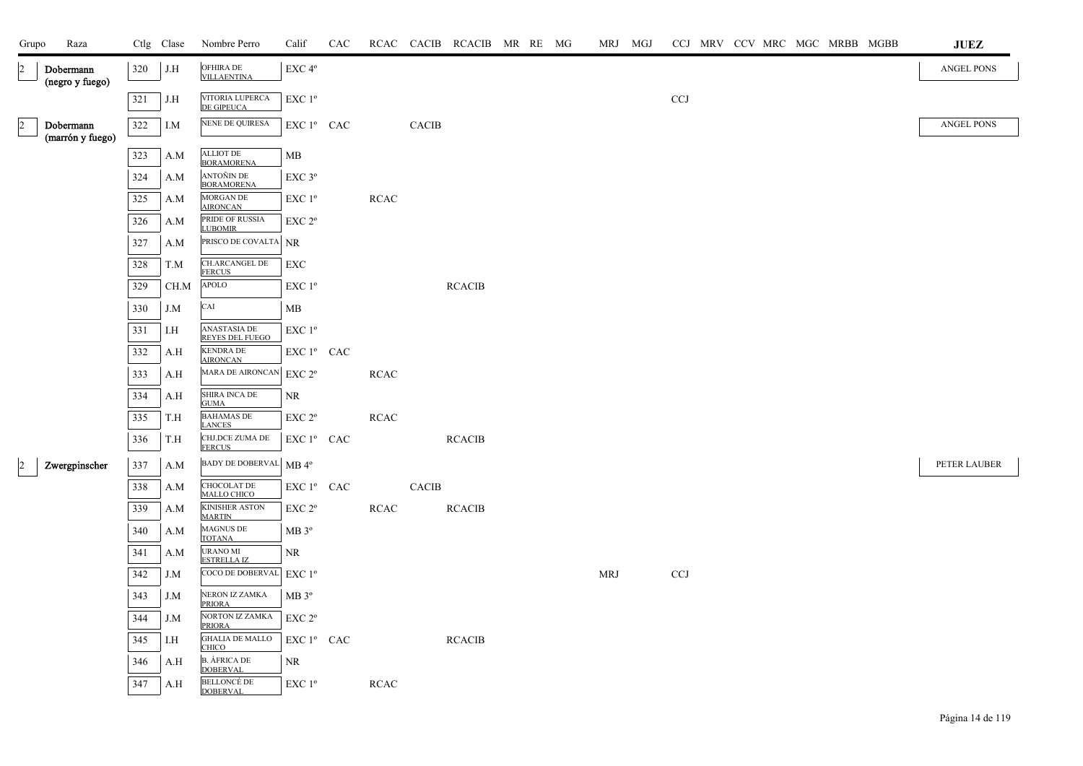| Grupo                | Raza                          |            | Ctlg Clase | Nombre Perro                                               | Calif                                                              | CAC |             |              | RCAC CACIB RCACIB MR RE MG |  | MRJ MGJ |                           |  |  | CCJ MRV CCV MRC MGC MRBB MGBB | <b>JUEZ</b>       |
|----------------------|-------------------------------|------------|------------|------------------------------------------------------------|--------------------------------------------------------------------|-----|-------------|--------------|----------------------------|--|---------|---------------------------|--|--|-------------------------------|-------------------|
| $\vert$ <sub>2</sub> | Dobermann<br>(negro y fuego)  | 320        | J.H        | OFHIRA DE<br><b>VILLAENTINA</b>                            | EXC 4°                                                             |     |             |              |                            |  |         |                           |  |  |                               | <b>ANGEL PONS</b> |
|                      |                               | 321        | J.H        | VITORIA LUPERCA<br><b>DE GIPEUCA</b>                       | EXC 1 <sup>o</sup>                                                 |     |             |              |                            |  |         | CCJ                       |  |  |                               |                   |
| $\overline{a}$       | Dobermann<br>(marrón y fuego) | 322        | I.M        | NENE DE QUIRESA                                            | EXC 1º CAC                                                         |     |             | <b>CACIB</b> |                            |  |         |                           |  |  |                               | <b>ANGEL PONS</b> |
|                      |                               | 323        | A.M        | ALLIOT DE<br>BORAMORENA                                    | MB                                                                 |     |             |              |                            |  |         |                           |  |  |                               |                   |
|                      |                               | 324        | A.M        | ANTOÑIN DE<br><b>BORAMORENA</b>                            | $EXC$ $3^{\circ}$                                                  |     |             |              |                            |  |         |                           |  |  |                               |                   |
|                      |                               | 325<br>326 | A.M<br>A.M | MORGAN DE<br><b>AIRONCAN</b><br>PRIDE OF RUSSIA            | EXC 1 <sup>o</sup><br>$\ensuremath{\mathrm{EXC}}$ $2^{\mathrm{o}}$ |     | RCAC        |              |                            |  |         |                           |  |  |                               |                   |
|                      |                               | 327        | A.M        | <b>LUBOMIR</b><br>PRISCO DE COVALTA NR                     |                                                                    |     |             |              |                            |  |         |                           |  |  |                               |                   |
|                      |                               | 328        | T.M        | CH.ARCANGEL DE<br><b>FERCUS</b>                            | ${\rm EXC}$                                                        |     |             |              |                            |  |         |                           |  |  |                               |                   |
|                      |                               | 329        | CH.M       | ${\bf APOLO}$                                              | EXC 1 <sup>o</sup>                                                 |     |             |              | <b>RCACIB</b>              |  |         |                           |  |  |                               |                   |
|                      |                               | 330        | J.M        | CAI                                                        | MВ                                                                 |     |             |              |                            |  |         |                           |  |  |                               |                   |
|                      |                               | 331        | I.H        | <b>ANASTASIA DE</b><br><b>REYES DEL FUEGO</b>              | EXC 1 <sup>o</sup>                                                 |     |             |              |                            |  |         |                           |  |  |                               |                   |
|                      |                               | 332        | A.H        | <b>KENDRA DE</b><br><b>AIRONCAN</b>                        | $EXC1^{\circ}$ CAC                                                 |     |             |              |                            |  |         |                           |  |  |                               |                   |
|                      |                               | 333        | A.H        | MARA DE AIRONCAN EXC 2°                                    |                                                                    |     | <b>RCAC</b> |              |                            |  |         |                           |  |  |                               |                   |
|                      |                               | 334        | A.H        | SHIRA INCA DE<br><b>GUMA</b>                               | <b>NR</b>                                                          |     |             |              |                            |  |         |                           |  |  |                               |                   |
|                      |                               | 335        | T.H        | <b>BAHAMAS DE</b><br><b>LANCES</b>                         | EXC 2 <sup>o</sup>                                                 |     | <b>RCAC</b> |              |                            |  |         |                           |  |  |                               |                   |
|                      |                               | 336        | T.H        | CHJ.DCE ZUMA DE<br>FERCUS                                  | EXC 1º CAC                                                         |     |             |              | <b>RCACIB</b>              |  |         |                           |  |  |                               |                   |
| $\overline{2}$       | Zwergpinscher                 | 337        | A.M        | BADY DE DOBERVAL MB 4°                                     |                                                                    |     |             |              |                            |  |         |                           |  |  |                               | PETER LAUBER      |
|                      |                               | 338        | A.M        | CHOCOLAT DE<br><b>MALLO CHICO</b>                          | EXC 1º CAC                                                         |     |             | CACIB        |                            |  |         |                           |  |  |                               |                   |
|                      |                               | 339        | A.M        | <b>KINISHER ASTON</b><br><b>MARTIN</b>                     | EXC 2°                                                             |     | RCAC        |              | <b>RCACIB</b>              |  |         |                           |  |  |                               |                   |
|                      |                               | 340        | A.M        | MAGNUS DE<br><b>TOTANA</b>                                 | $MB 3^{\circ}$                                                     |     |             |              |                            |  |         |                           |  |  |                               |                   |
|                      |                               | 341        | A.M        | <b>URANO MI</b><br><b>ESTRELLA IZ</b>                      | NR                                                                 |     |             |              |                            |  |         |                           |  |  |                               |                   |
|                      |                               | 342        | J.M        | COCO DE DOBERVAL                                           | EXC1 <sup>o</sup>                                                  |     |             |              |                            |  | MRJ     | $\ensuremath{\text{CCJ}}$ |  |  |                               |                   |
|                      |                               | 343        | J.M        | NERON IZ ZAMKA<br><b>PRIORA</b>                            | MB 3 <sup>o</sup>                                                  |     |             |              |                            |  |         |                           |  |  |                               |                   |
|                      |                               | 344        | J.M        | NORTON IZ ZAMKA<br><b>PRIORA</b><br><b>GHALIA DE MALLO</b> | EXC 2 <sup>o</sup>                                                 |     |             |              |                            |  |         |                           |  |  |                               |                   |
|                      |                               | 345        | I.H        | <b>CHICO</b>                                               | EXC 1º CAC                                                         |     |             |              | <b>RCACIB</b>              |  |         |                           |  |  |                               |                   |
|                      |                               | 346        | A.H        | <b>B. ÁFRICA DE<br/>DOBERVAL</b><br><b>BELLONCÉ DE</b>     | <b>NR</b>                                                          |     |             |              |                            |  |         |                           |  |  |                               |                   |
|                      |                               | 347        | A.H        | <b>DOBERVAL</b>                                            | $EXC1^{\circ}$                                                     |     | <b>RCAC</b> |              |                            |  |         |                           |  |  |                               |                   |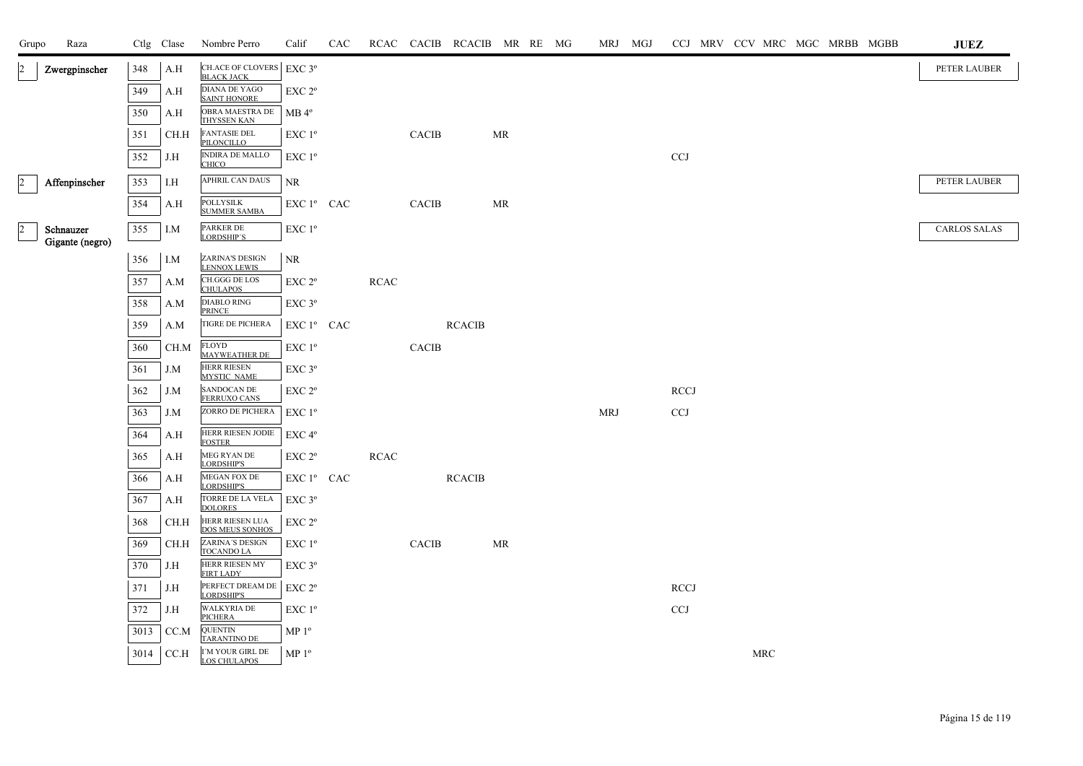| Grupo                | Raza            |      | Ctlg Clase | Nombre Perro                                  | Calif                            | CAC |             |              | RCAC CACIB RCACIB MR RE MG |    |  |            | MRJ MGJ |             |  |                      |  | CCJ MRV CCV MRC MGC MRBB MGBB | <b>JUEZ</b>         |
|----------------------|-----------------|------|------------|-----------------------------------------------|----------------------------------|-----|-------------|--------------|----------------------------|----|--|------------|---------|-------------|--|----------------------|--|-------------------------------|---------------------|
| $\overline{2}$       | Zwergpinscher   | 348  | A.H        | CH.ACE OF CLOVERS EXC 3°<br><b>BLACK JACK</b> |                                  |     |             |              |                            |    |  |            |         |             |  |                      |  |                               | PETER LAUBER        |
|                      |                 | 349  | A.H        | DIANA DE YAGO<br><b>SAINT HONORE</b>          | EXC 2°                           |     |             |              |                            |    |  |            |         |             |  |                      |  |                               |                     |
|                      |                 | 350  | A.H        | OBRA MAESTRA DE<br>THYSSEN KAN                | MB 4 <sup>°</sup>                |     |             |              |                            |    |  |            |         |             |  |                      |  |                               |                     |
|                      |                 | 351  | CH.H       | <b>FANTASIE DEL</b><br>PILONCILLO             | EXC 1°                           |     |             | CACIB        |                            | MR |  |            |         |             |  |                      |  |                               |                     |
|                      |                 | 352  | J.H        | <b>INDIRA DE MALLO</b><br><b>CHICO</b>        | EXC 1 <sup>o</sup>               |     |             |              |                            |    |  |            |         | CCJ         |  |                      |  |                               |                     |
| $\vert$ <sub>2</sub> | Affenpinscher   | 353  | I.H        | APHRIL CAN DAUS                               | NR.                              |     |             |              |                            |    |  |            |         |             |  |                      |  |                               | PETER LAUBER        |
|                      |                 | 354  | A.H        | POLLYSILK<br><b>SUMMER SAMBA</b>              | EXC 1º CAC                       |     |             | <b>CACIB</b> |                            | MR |  |            |         |             |  |                      |  |                               |                     |
| $\overline{2}$       | Schnauzer       | 355  | I.M        | PARKER DE                                     | EXC 1 <sup>o</sup>               |     |             |              |                            |    |  |            |         |             |  |                      |  |                               | <b>CARLOS SALAS</b> |
|                      | Gigante (negro) |      |            | LORDSHIP'S                                    |                                  |     |             |              |                            |    |  |            |         |             |  |                      |  |                               |                     |
|                      |                 | 356  | I.M        | <b>ZARINA'S DESIGN</b><br><b>LENNOX LEWIS</b> | NR.                              |     |             |              |                            |    |  |            |         |             |  |                      |  |                               |                     |
|                      |                 | 357  | A.M        | CH.GGG DE LOS<br><b>CHULAPOS</b>              | EXC 2°                           |     | <b>RCAC</b> |              |                            |    |  |            |         |             |  |                      |  |                               |                     |
|                      |                 | 358  | A.M        | DIABLO RING<br>PRINCE                         | EXC 3°                           |     |             |              |                            |    |  |            |         |             |  |                      |  |                               |                     |
|                      |                 | 359  | A.M        | TIGRE DE PICHERA                              | EXC 1 <sup>°</sup> CAC           |     |             |              | <b>RCACIB</b>              |    |  |            |         |             |  |                      |  |                               |                     |
|                      |                 | 360  | CH.M       | FLOYD<br>MAYWEATHER DE                        | EXC 1°                           |     |             | CACIB        |                            |    |  |            |         |             |  |                      |  |                               |                     |
|                      |                 | 361  | J.M        | <b>HERR RIESEN</b><br><b>MYSTIC NAME</b>      | EXC 3°                           |     |             |              |                            |    |  |            |         |             |  |                      |  |                               |                     |
|                      |                 | 362  | J.M        | SANDOCAN DE<br><b>FERRUXO CANS</b>            | $EXC 2^{\circ}$                  |     |             |              |                            |    |  |            |         | <b>RCCJ</b> |  |                      |  |                               |                     |
|                      |                 | 363  | J.M        | ZORRO DE PICHERA                              | EXC 1 <sup>o</sup>               |     |             |              |                            |    |  | <b>MRJ</b> |         | CCJ         |  |                      |  |                               |                     |
|                      |                 | 364  | A.H        | HERR RIESEN JODIE<br><b>FOSTER</b>            | EXC 4 <sup>o</sup>               |     |             |              |                            |    |  |            |         |             |  |                      |  |                               |                     |
|                      |                 | 365  | A.H        | MEG RYAN DE<br>LORDSHIP'S                     | $EXC 2^{\circ}$                  |     | RCAC        |              |                            |    |  |            |         |             |  |                      |  |                               |                     |
|                      |                 | 366  | A.H        | <b>MEGAN FOX DE</b><br>LORDSHIP'S             | ${\rm EXC}$ $1^{\rm o}$ $\;$ CAC |     |             |              | <b>RCACIB</b>              |    |  |            |         |             |  |                      |  |                               |                     |
|                      |                 | 367  | A.H        | TORRE DE LA VELA<br>DOLORES                   | EXC 3°                           |     |             |              |                            |    |  |            |         |             |  |                      |  |                               |                     |
|                      |                 | 368  | CH.H       | HERR RIESEN LUA<br>DOS MEUS SONHOS            | $EXC 2^{\circ}$                  |     |             |              |                            |    |  |            |         |             |  |                      |  |                               |                     |
|                      |                 | 369  | CH.H       | ZARINA'S DESIGN<br><b>TOCANDO LA</b>          | EXC 1°                           |     |             | CACIB        |                            | MR |  |            |         |             |  |                      |  |                               |                     |
|                      |                 | 370  | J.H        | HERR RIESEN MY<br><b>FIRT LADY</b>            | EXC 3°                           |     |             |              |                            |    |  |            |         |             |  |                      |  |                               |                     |
|                      |                 | 371  | J.H        | PERFECT DREAM DE<br>LORDSHIP'S                | EXC 2 <sup>o</sup>               |     |             |              |                            |    |  |            |         | <b>RCCJ</b> |  |                      |  |                               |                     |
|                      |                 | 372  | J.H        | <b>WALKYRIA DE</b><br>PICHERA                 | EXC 1 <sup>o</sup>               |     |             |              |                            |    |  |            |         | CCJ         |  |                      |  |                               |                     |
|                      |                 | 3013 | CC.M       | <b>QUENTIN</b><br><b>TARANTINO DE</b>         | MP <sup>0</sup>                  |     |             |              |                            |    |  |            |         |             |  |                      |  |                               |                     |
|                      |                 | 3014 | CC.H       | I'M YOUR GIRL DE<br>LOS CHULAPOS              | MP 1 <sup>o</sup>                |     |             |              |                            |    |  |            |         |             |  | $\operatorname{MRC}$ |  |                               |                     |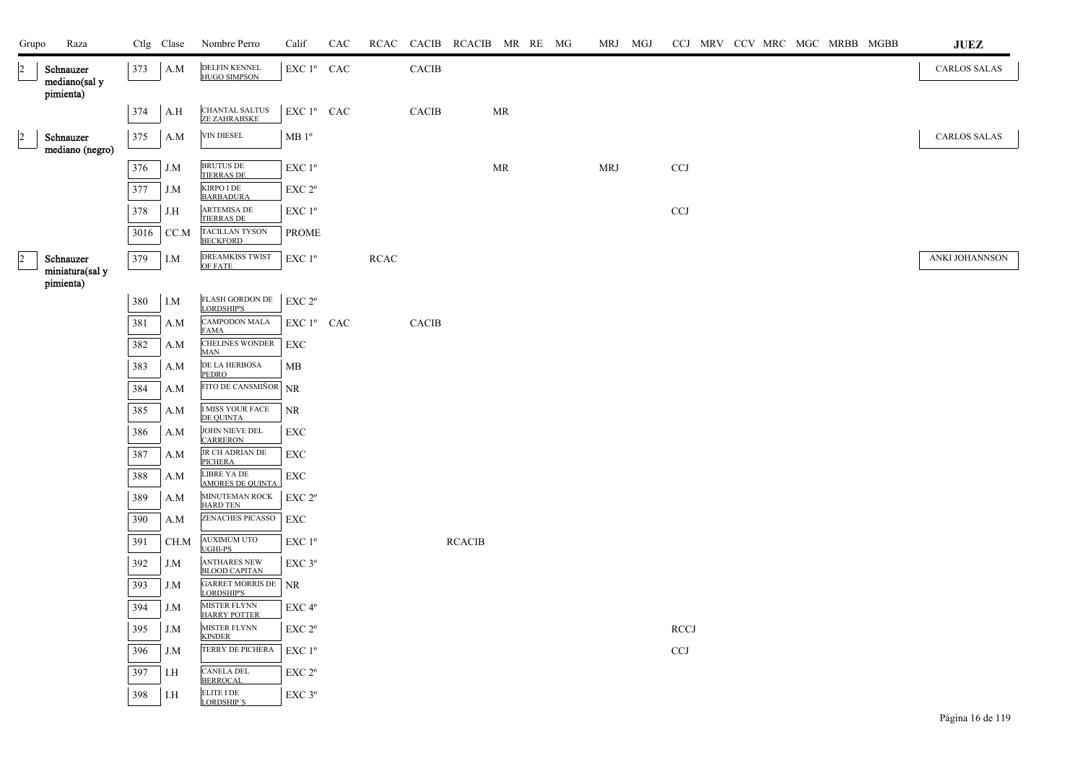| Grupo          | Raza                                    |      | Ctlg Clase | Nombre Perro                                                  | Calif                                           | CAC |      |              | RCAC CACIB RCACIB MR RE MG |    |  | MRJ MGJ    |                           |  |  | CCJ MRV CCV MRC MGC MRBB MGBB | $\mathbf{J}\mathbf{U}\mathbf{E}\mathbf{Z}$ |  |
|----------------|-----------------------------------------|------|------------|---------------------------------------------------------------|-------------------------------------------------|-----|------|--------------|----------------------------|----|--|------------|---------------------------|--|--|-------------------------------|--------------------------------------------|--|
| $\vert$ 2      | Schnauzer<br>mediano(sal y<br>pimienta) | 373  | A.M        | DELFIN KENNEL<br>HUGO SIMPSON                                 | EXC 1º CAC                                      |     |      | CACIB        |                            |    |  |            |                           |  |  |                               | <b>CARLOS SALAS</b>                        |  |
|                |                                         | 374  | A.H        | CHANTAL SALTUS<br>ZE ZAHRABSKE                                | EXC 1º CAC                                      |     |      | <b>CACIB</b> |                            | MR |  |            |                           |  |  |                               |                                            |  |
| $\overline{2}$ | Schnauzer<br>mediano (negro)            | 375  | A.M        | VIN DIESEL                                                    | MB <sup>0</sup>                                 |     |      |              |                            |    |  |            |                           |  |  |                               | <b>CARLOS SALAS</b>                        |  |
|                |                                         | 376  | J.M        | <b>BRUTUS DE</b>                                              | $\ensuremath{\mathrm{EXC}}$<br>$1^{\mathrm{o}}$ |     |      |              |                            | MR |  | <b>MRJ</b> | CCJ                       |  |  |                               |                                            |  |
|                |                                         | 377  | J.M        | <b>TIERRAS DE</b><br><b>KIRPO I DE</b>                        | EXC 2°                                          |     |      |              |                            |    |  |            |                           |  |  |                               |                                            |  |
|                |                                         | 378  | J.H        | <b>BARBADURA</b><br><b>ARTEMISA DE</b>                        | EXC 1 <sup>o</sup>                              |     |      |              |                            |    |  |            | <b>CCJ</b>                |  |  |                               |                                            |  |
|                |                                         | 3016 | CC.M       | <b>TIERRAS DE</b><br><b>TACILLAN TYSON</b><br><b>BECKFORD</b> | <b>PROME</b>                                    |     |      |              |                            |    |  |            |                           |  |  |                               |                                            |  |
| $\overline{2}$ | Schnauzer                               | 379  | I.M        | <b>DREAMKISS TWIST</b><br><b>OF FATE</b>                      | EXC 1 <sup>o</sup>                              |     | RCAC |              |                            |    |  |            |                           |  |  |                               | ANKI JOHANNSON                             |  |
|                | miniatura(sal y<br>pimienta)            |      |            |                                                               |                                                 |     |      |              |                            |    |  |            |                           |  |  |                               |                                            |  |
|                |                                         | 380  | I.M        | FLASH GORDON DE<br>LORDSHIP'S                                 | EXC 2°                                          |     |      |              |                            |    |  |            |                           |  |  |                               |                                            |  |
|                |                                         | 381  | A.M        | <b>CAMPODON MALA</b>                                          | EXC 1° CAC                                      |     |      | CACIB        |                            |    |  |            |                           |  |  |                               |                                            |  |
|                |                                         | 382  | A.M        | FAMA<br><b>CHELINES WONDER</b><br><b>MAN</b>                  | EXC                                             |     |      |              |                            |    |  |            |                           |  |  |                               |                                            |  |
|                |                                         | 383  | A.M        | DE LA HERBOSA<br><b>PEDRO</b>                                 | MB                                              |     |      |              |                            |    |  |            |                           |  |  |                               |                                            |  |
|                |                                         | 384  | A.M        | FITO DE CANSMIÑOR NR                                          |                                                 |     |      |              |                            |    |  |            |                           |  |  |                               |                                            |  |
|                |                                         | 385  | A.M        | <b>I MISS YOUR FACE</b><br><b>DE QUINTA</b>                   | <b>NR</b>                                       |     |      |              |                            |    |  |            |                           |  |  |                               |                                            |  |
|                |                                         | 386  | A.M        | JOHN NIEVE DEL<br><b>CARRERON</b>                             | <b>EXC</b>                                      |     |      |              |                            |    |  |            |                           |  |  |                               |                                            |  |
|                |                                         | 387  | A.M        | $\overline{\text{JR}}$ CH ADRIAN DE<br><b>PICHERA</b>         | EXC                                             |     |      |              |                            |    |  |            |                           |  |  |                               |                                            |  |
|                |                                         | 388  | A.M        | <b>LIBRE YA DE</b><br><b>AMORES DE QUINTA</b>                 | EXC                                             |     |      |              |                            |    |  |            |                           |  |  |                               |                                            |  |
|                |                                         | 389  | A.M        | MINUTEMAN ROCK<br><b>HARD TEN</b>                             | EXC <sub>2°</sub>                               |     |      |              |                            |    |  |            |                           |  |  |                               |                                            |  |
|                |                                         | 390  | A.M        | ZENACHES PICASSO                                              | EXC                                             |     |      |              |                            |    |  |            |                           |  |  |                               |                                            |  |
|                |                                         | 391  | CH.M       | <b>AUXIMUM UTO</b><br>UGHI-PS                                 | EXC 1 <sup>o</sup>                              |     |      |              | <b>RCACIB</b>              |    |  |            |                           |  |  |                               |                                            |  |
|                |                                         | 392  | J.M        | <b>ANTHARES NEW</b><br><b>BLOOD CAPITAN</b>                   | EXC 3°                                          |     |      |              |                            |    |  |            |                           |  |  |                               |                                            |  |
|                |                                         | 393  | J.M        | <b>GARRET MORRIS DE</b><br><b>LORDSHIP'S</b>                  | NR.                                             |     |      |              |                            |    |  |            |                           |  |  |                               |                                            |  |
|                |                                         | 394  | J.M        | <b>MISTER FLYNN</b><br><b>HARRY POTTER</b>                    | EXC 4°                                          |     |      |              |                            |    |  |            |                           |  |  |                               |                                            |  |
|                |                                         | 395  | J.M        | <b>MISTER FLYNN</b><br><b>KINDER</b>                          | EXC 2°                                          |     |      |              |                            |    |  |            | <b>RCCJ</b>               |  |  |                               |                                            |  |
|                |                                         | 396  | J.M        | TERRY DE PICHERA                                              | $EXC1^{\circ}$                                  |     |      |              |                            |    |  |            | $\ensuremath{\text{CCJ}}$ |  |  |                               |                                            |  |
|                |                                         | 397  | I.H        | CANELA DEL<br><b>BERROCAL</b>                                 | $\ensuremath{\mathrm{EXC}}$ $2^{\mathrm{o}}$    |     |      |              |                            |    |  |            |                           |  |  |                               |                                            |  |
|                |                                         | 398  | I.H        | ELITE I DE<br>LORDSHIP'S                                      | $EXC$ $3^{\circ}$                               |     |      |              |                            |    |  |            |                           |  |  |                               |                                            |  |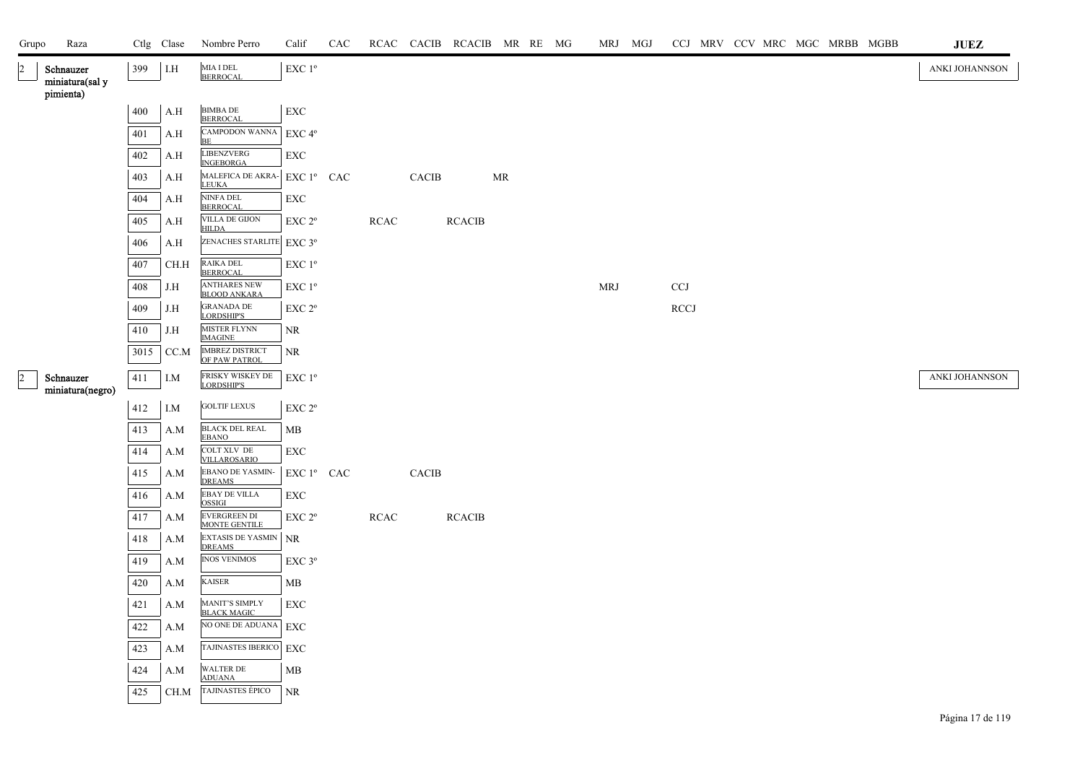| Grupo          | Raza                          |      | Ctlg Clase | Nombre Perro                                 | Calif                                                        | CAC |             |              | RCAC CACIB RCACIB MR RE MG |    |  | MRJ MGJ    |             |  |  | CCJ MRV CCV MRC MGC MRBB MGBB | ${\bf JUEZ}$   |
|----------------|-------------------------------|------|------------|----------------------------------------------|--------------------------------------------------------------|-----|-------------|--------------|----------------------------|----|--|------------|-------------|--|--|-------------------------------|----------------|
| 2              | Schnauzer<br>miniatura(sal y  | 399  | $\rm I.H$  | MIA I DEL<br><b>BERROCAL</b>                 | $\ensuremath{\mathrm{EXC}}$ $1^{\mathrm{o}}$                 |     |             |              |                            |    |  |            |             |  |  |                               | ANKI JOHANNSON |
|                | pimienta)                     |      |            |                                              |                                                              |     |             |              |                            |    |  |            |             |  |  |                               |                |
|                |                               | 400  | A.H        | <b>BIMBA DE</b><br><b>BERROCAL</b>           | EXC                                                          |     |             |              |                            |    |  |            |             |  |  |                               |                |
|                |                               | 401  | A.H        | CAMPODON WANNA<br>BE                         | EXC 4°                                                       |     |             |              |                            |    |  |            |             |  |  |                               |                |
|                |                               | 402  | A.H        | LIBENZVERG<br><b>INGEBORGA</b>               | EXC                                                          |     |             |              |                            |    |  |            |             |  |  |                               |                |
|                |                               | 403  | A.H        | MALEFICA DE AKRA- EXC 1º CAC<br><b>LEUKA</b> |                                                              |     |             | CACIB        |                            | MR |  |            |             |  |  |                               |                |
|                |                               | 404  | A.H        | NINFA DEL<br><b>BERROCAL</b>                 | EXC                                                          |     |             |              |                            |    |  |            |             |  |  |                               |                |
|                |                               | 405  | A.H        | VILLA DE GIJON<br><b>HILDA</b>               | EXC 2 <sup>o</sup>                                           |     | <b>RCAC</b> |              | <b>RCACIB</b>              |    |  |            |             |  |  |                               |                |
|                |                               | 406  | A.H        | ZENACHES STARLITE EXC 3°                     |                                                              |     |             |              |                            |    |  |            |             |  |  |                               |                |
|                |                               | 407  | $\rm CH.H$ | RAIKA DEL<br><b>BERROCAL</b>                 | $\ensuremath{\mathrm{EXC}}$<br>$1^{\ensuremath{\mathsf{o}}}$ |     |             |              |                            |    |  |            |             |  |  |                               |                |
|                |                               | 408  | J.H        | <b>ANTHARES NEW</b><br><b>BLOOD ANKARA</b>   | $\ensuremath{\mathrm{EXC}}$<br>$1^{\ensuremath{\mathsf{o}}}$ |     |             |              |                            |    |  | <b>MRJ</b> | <b>CCJ</b>  |  |  |                               |                |
|                |                               | 409  | J.H        | <b>GRANADA DE</b><br>LORDSHIP'S              | EXC 2 <sup>o</sup>                                           |     |             |              |                            |    |  |            | <b>RCCJ</b> |  |  |                               |                |
|                |                               | 410  | J.H        | <b>MISTER FLYNN</b><br><b>IMAGINE</b>        | NR.                                                          |     |             |              |                            |    |  |            |             |  |  |                               |                |
|                |                               | 3015 | CC.M       | <b>IMBREZ DISTRICT</b><br>OF PAW PATROL      | NR                                                           |     |             |              |                            |    |  |            |             |  |  |                               |                |
| $\overline{2}$ | Schnauzer<br>miniatura(negro) | 411  | I.M        | FRISKY WISKEY DE<br>LORDSHIP'S               | EXC 1 <sup>o</sup>                                           |     |             |              |                            |    |  |            |             |  |  |                               | ANKI JOHANNSON |
|                |                               | 412  | $I.M$      | <b>GOLTIF LEXUS</b>                          | EXC 2°                                                       |     |             |              |                            |    |  |            |             |  |  |                               |                |
|                |                               | 413  | A.M        | <b>BLACK DEL REAL</b><br><b>EBANO</b>        | MB                                                           |     |             |              |                            |    |  |            |             |  |  |                               |                |
|                |                               | 414  | A.M        | COLT XLV DE<br>VILLAROSARIO                  | EXC                                                          |     |             |              |                            |    |  |            |             |  |  |                               |                |
|                |                               | 415  | A.M        | <b>EBANO DE YASMIN-</b><br><b>DREAMS</b>     | EXC 1º CAC                                                   |     |             | <b>CACIB</b> |                            |    |  |            |             |  |  |                               |                |
|                |                               | 416  | A.M        | EBAY DE VILLA<br>OSSIGI                      | EXC                                                          |     |             |              |                            |    |  |            |             |  |  |                               |                |
|                |                               | 417  | A.M        | <b>EVERGREEN DI</b><br><b>MONTE GENTILE</b>  | EXC 2 <sup>o</sup>                                           |     | <b>RCAC</b> |              | <b>RCACIB</b>              |    |  |            |             |  |  |                               |                |
|                |                               | 418  | A.M        | EXTASIS DE YASMIN<br><b>DREAMS</b>           | <b>NR</b>                                                    |     |             |              |                            |    |  |            |             |  |  |                               |                |
|                |                               | 419  | A.M        | <b>INOS VENIMOS</b>                          | EXC 3°                                                       |     |             |              |                            |    |  |            |             |  |  |                               |                |
|                |                               | 420  | A.M        | <b>KAISER</b>                                | MB                                                           |     |             |              |                            |    |  |            |             |  |  |                               |                |
|                |                               | 421  | A.M        | MANIT'S SIMPLY<br>BLACK MAGIC                | <b>EXC</b>                                                   |     |             |              |                            |    |  |            |             |  |  |                               |                |
|                |                               | 422  | A.M        | NO ONE DE ADUANA                             | EXC                                                          |     |             |              |                            |    |  |            |             |  |  |                               |                |
|                |                               | 423  | A.M        | TAJINASTES IBERICO EXC                       |                                                              |     |             |              |                            |    |  |            |             |  |  |                               |                |
|                |                               | 424  | A.M        | WALTER DE<br><b>ADUANA</b>                   | MB                                                           |     |             |              |                            |    |  |            |             |  |  |                               |                |
|                |                               | 425  | CH.M       | TAJINASTES ÉPICO                             | NR                                                           |     |             |              |                            |    |  |            |             |  |  |                               |                |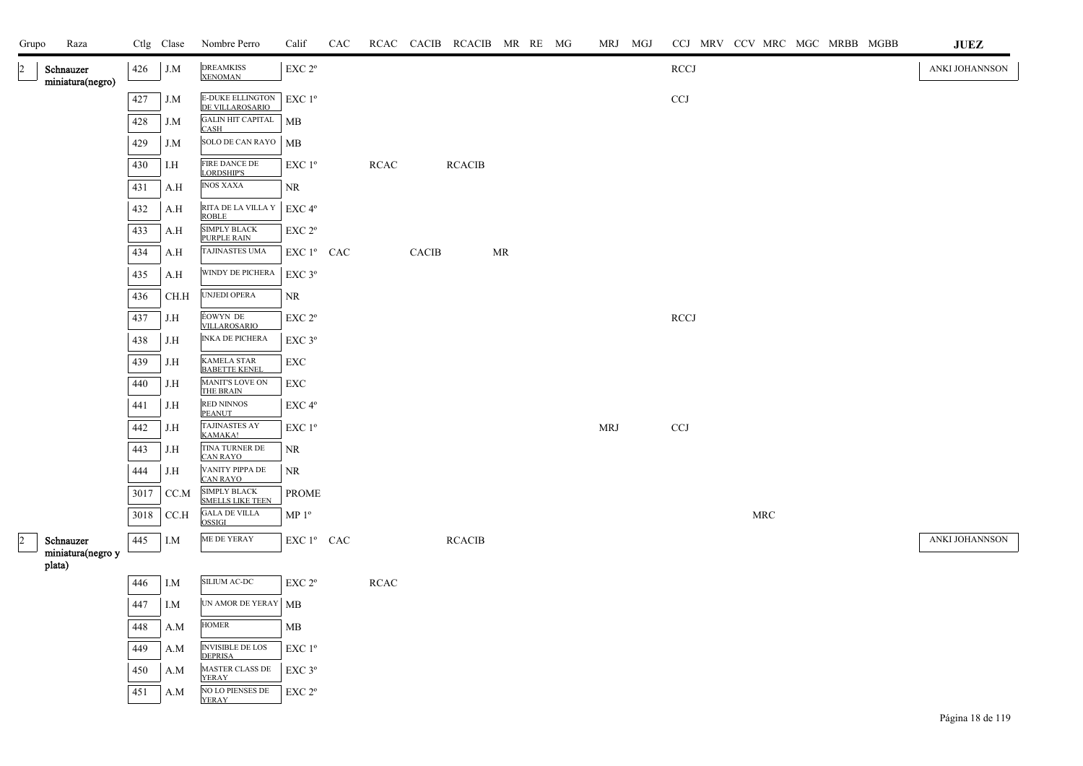| Grupo | Raza                           |      | Ctlg Clase   | Nombre Perro                                   | Calif                                           | CAC |             | RCAC CACIB RCACIB MR RE MG |               |    |  | MRJ MGJ |                           |                      | CCJ MRV CCV MRC MGC MRBB MGBB | <b>JUEZ</b>    |
|-------|--------------------------------|------|--------------|------------------------------------------------|-------------------------------------------------|-----|-------------|----------------------------|---------------|----|--|---------|---------------------------|----------------------|-------------------------------|----------------|
|       | Schnauzer<br>miniatura(negro)  | 426  | J.M          | <b>DREAMKISS</b><br><b>XENOMAN</b>             | EXC 2°                                          |     |             |                            |               |    |  |         | <b>RCCJ</b>               |                      |                               | ANKI JOHANNSON |
|       |                                | 427  | J.M          | <b>E-DUKE ELLINGTON</b><br>DE VILLAROSARIO     | EXC 1°                                          |     |             |                            |               |    |  |         | $_{\rm CCJ}$              |                      |                               |                |
|       |                                | 428  | J.M          | <b>GALIN HIT CAPITAL</b><br>CASH               | MB                                              |     |             |                            |               |    |  |         |                           |                      |                               |                |
|       |                                | 429  | $J.M$        | SOLO DE CAN RAYO                               | MB                                              |     |             |                            |               |    |  |         |                           |                      |                               |                |
|       |                                | 430  | I.H          | FIRE DANCE DE<br>LORDSHIP'S                    | EXC 1 <sup>o</sup>                              |     | <b>RCAC</b> |                            | <b>RCACIB</b> |    |  |         |                           |                      |                               |                |
|       |                                | 431  | A.H          | <b>INOS XAXA</b>                               | NR                                              |     |             |                            |               |    |  |         |                           |                      |                               |                |
|       |                                | 432  | A.H          | RITA DE LA VILLA Y<br><b>ROBLE</b>             | EXC 4°                                          |     |             |                            |               |    |  |         |                           |                      |                               |                |
|       |                                | 433  | A.H          | SIMPLY BLACK<br>PURPLE RAIN                    | EXC 2°                                          |     |             |                            |               |    |  |         |                           |                      |                               |                |
|       |                                | 434  | A.H          | TAJINASTES UMA                                 | EXC 1º CAC                                      |     |             | CACIB                      |               | MR |  |         |                           |                      |                               |                |
|       |                                | 435  | A.H          | WINDY DE PICHERA                               | EXC 3°                                          |     |             |                            |               |    |  |         |                           |                      |                               |                |
|       |                                | 436  | CH.H         | UNJEDI OPERA                                   | NR                                              |     |             |                            |               |    |  |         |                           |                      |                               |                |
|       |                                | 437  | J.H          | ÉOWYN DE<br>VILLAROSARIO                       | EXC 2 <sup>o</sup>                              |     |             |                            |               |    |  |         | RCCI                      |                      |                               |                |
|       |                                | 438  | J.H          | <b>INKA DE PICHERA</b>                         | $EXC$ $3^{\circ}$                               |     |             |                            |               |    |  |         |                           |                      |                               |                |
|       |                                | 439  | J.H          | KAMELA STAR<br>BABETTE KENEL                   | EXC                                             |     |             |                            |               |    |  |         |                           |                      |                               |                |
|       |                                | 440  | J.H          | <b>MANIT'S LOVE ON</b><br>THE BRAIN            | ${\rm EXC}$                                     |     |             |                            |               |    |  |         |                           |                      |                               |                |
|       |                                | 441  | J.H          | RED NINNOS<br><b>PEANUT</b>                    | EXC 4 <sup>o</sup>                              |     |             |                            |               |    |  |         |                           |                      |                               |                |
|       |                                | 442  | J.H          | TAJINASTES AY<br>KAMAKA!                       | EXC 1 <sup>o</sup>                              |     |             |                            |               |    |  | MRJ     | $\ensuremath{\text{CCJ}}$ |                      |                               |                |
|       |                                | 443  | $_{\rm J.H}$ | TINA TURNER DE<br><b>CAN RAYO</b>              | NR                                              |     |             |                            |               |    |  |         |                           |                      |                               |                |
|       |                                | 444  | J.H          | VANITY PIPPA DE<br><b>CAN RAYO</b>             | NR                                              |     |             |                            |               |    |  |         |                           |                      |                               |                |
|       |                                | 3017 | CC.M         | <b>SIMPLY BLACK</b><br><b>SMELLS LIKE TEEN</b> | PROME                                           |     |             |                            |               |    |  |         |                           |                      |                               |                |
|       |                                | 3018 | CCA          | <b>GALA DE VILLA</b><br><b>OSSIGI</b>          | $MP 1^{\circ}$                                  |     |             |                            |               |    |  |         |                           | $\operatorname{MRC}$ |                               |                |
|       | Schnauzer<br>miniatura(negro y | 445  | I.M          | ME DE YERAY                                    | EXC 1º CAC                                      |     |             |                            | <b>RCACIB</b> |    |  |         |                           |                      |                               | ANKI JOHANNSON |
|       | plata)                         |      |              |                                                |                                                 |     |             |                            |               |    |  |         |                           |                      |                               |                |
|       |                                | 446  | I.M          | SILIUM AC-DC                                   | EXC 2 <sup>o</sup>                              |     | <b>RCAC</b> |                            |               |    |  |         |                           |                      |                               |                |
|       |                                | 447  | I.M          | UN AMOR DE YERAY   MB                          |                                                 |     |             |                            |               |    |  |         |                           |                      |                               |                |
|       |                                | 448  | A.M          | <b>HOMER</b>                                   | MB                                              |     |             |                            |               |    |  |         |                           |                      |                               |                |
|       |                                | 449  | A.M          | <b>INVISIBLE DE LOS</b><br><b>DEPRISA</b>      | $\ensuremath{\mathrm{EXC}}$<br>$1^{\mathrm{o}}$ |     |             |                            |               |    |  |         |                           |                      |                               |                |
|       |                                | 450  | A.M          | MASTER CLASS DE<br><b>YERAY</b>                | EXC 3°                                          |     |             |                            |               |    |  |         |                           |                      |                               |                |
|       |                                | 451  | A.M          | <b>NO LO PIENSES DE</b><br>YERAY               | EXC 2 <sup>o</sup>                              |     |             |                            |               |    |  |         |                           |                      |                               |                |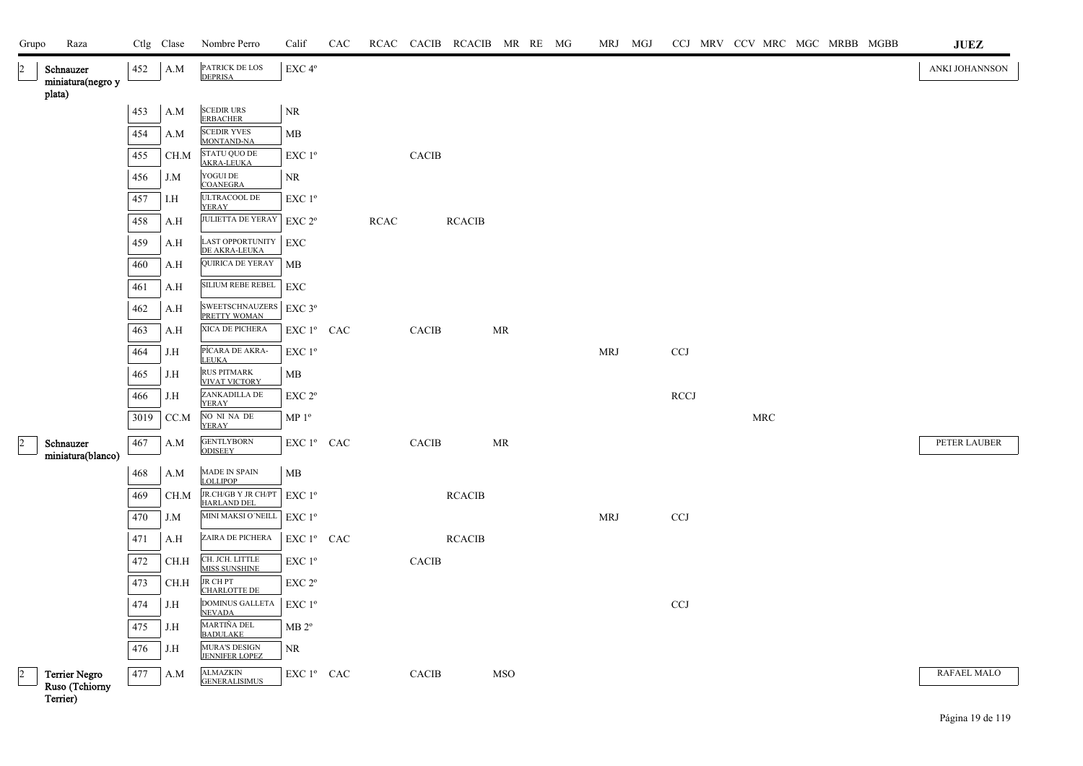| Grupo          | Raza                                        |      | Ctlg Clase | Nombre Perro                                                     | Calif                                 | CAC |             |              | RCAC CACIB RCACIB MR RE MG |            |  | MRJ MGJ    |             |  |                      |  | CCJ MRV CCV MRC MGC MRBB MGBB | JUEZ           |
|----------------|---------------------------------------------|------|------------|------------------------------------------------------------------|---------------------------------------|-----|-------------|--------------|----------------------------|------------|--|------------|-------------|--|----------------------|--|-------------------------------|----------------|
| $\overline{2}$ | Schnauzer<br>miniatura(negro y              | 452  | A.M        | PATRICK DE LOS<br><b>DEPRISA</b>                                 | EXC 4°                                |     |             |              |                            |            |  |            |             |  |                      |  |                               | ANKI JOHANNSON |
|                | plata)                                      | 453  | A.M        | <b>SCEDIR URS</b>                                                | <b>NR</b>                             |     |             |              |                            |            |  |            |             |  |                      |  |                               |                |
|                |                                             |      |            | <b>ERBACHER</b><br><b>SCEDIR YVES</b>                            |                                       |     |             |              |                            |            |  |            |             |  |                      |  |                               |                |
|                |                                             | 454  | A.M        | <b>MONTAND-NA</b>                                                | MB                                    |     |             |              |                            |            |  |            |             |  |                      |  |                               |                |
|                |                                             | 455  | CH.M       | <b>STATU QUO DE</b><br><b>AKRA-LEUKA</b>                         | EXC 1 <sup>°</sup>                    |     |             | <b>CACIB</b> |                            |            |  |            |             |  |                      |  |                               |                |
|                |                                             | 456  | J.M        | YOGUI DE<br><b>COANEGRA</b>                                      | NR                                    |     |             |              |                            |            |  |            |             |  |                      |  |                               |                |
|                |                                             | 457  | I.H        | ULTRACOOL $\rm DE$<br>YERAY                                      | EXC 1 <sup>°</sup>                    |     |             |              |                            |            |  |            |             |  |                      |  |                               |                |
|                |                                             | 458  | A.H        | <b>JULIETTA DE YERAY</b>                                         | EXC 2 <sup>o</sup>                    |     | <b>RCAC</b> |              | <b>RCACIB</b>              |            |  |            |             |  |                      |  |                               |                |
|                |                                             | 459  | A.H        | <b>LAST OPPORTUNITY</b><br>DE AKRA-LEUKA                         | EXC                                   |     |             |              |                            |            |  |            |             |  |                      |  |                               |                |
|                |                                             | 460  | A.H        | QUIRICA DE YERAY                                                 | MB                                    |     |             |              |                            |            |  |            |             |  |                      |  |                               |                |
|                |                                             | 461  | A.H        | SILIUM REBE REBEL                                                | EXC                                   |     |             |              |                            |            |  |            |             |  |                      |  |                               |                |
|                |                                             | 462  | A.H        | SWEETSCHNAUZERS EXC 3°<br>PRETTY WOMAN                           |                                       |     |             |              |                            |            |  |            |             |  |                      |  |                               |                |
|                |                                             | 463  | A.H        | XICA DE PICHERA                                                  | EXC 1º CAC                            |     |             | <b>CACIB</b> |                            | MR         |  |            |             |  |                      |  |                               |                |
|                |                                             | 464  | J.H        | PÍCARA DE AKRA-<br><b>LEUKA</b>                                  | $EXC1^{\circ}$                        |     |             |              |                            |            |  | <b>MRJ</b> | <b>CCJ</b>  |  |                      |  |                               |                |
|                |                                             | 465  | J.H        | <b>RUS PITMARK</b><br><b>VIVAT VICTORY</b>                       | MВ                                    |     |             |              |                            |            |  |            |             |  |                      |  |                               |                |
|                |                                             | 466  | J.H        | ZANKADILLA DE<br><b>YERAY</b>                                    | EXC 2 <sup>o</sup>                    |     |             |              |                            |            |  |            | <b>RCCJ</b> |  |                      |  |                               |                |
|                |                                             | 3019 | CC.M       | NO NI NA DE<br><b>YERAY</b>                                      | MP <sup>0</sup>                       |     |             |              |                            |            |  |            |             |  | $\operatorname{MRC}$ |  |                               |                |
| $\overline{2}$ | Schnauzer<br>miniatura(blanco)              | 467  | A.M        | <b>GENTLYBORN</b><br><b>ODISEEY</b>                              | EXC 1 <sup>°</sup> CAC                |     |             | CACIB        |                            | MR         |  |            |             |  |                      |  |                               | PETER LAUBER   |
|                |                                             | 468  | A.M        | MADE IN SPAIN<br><b>LOLLIPOP</b>                                 | MB                                    |     |             |              |                            |            |  |            |             |  |                      |  |                               |                |
|                |                                             | 469  | CH.M       | JR.CH/GB Y JR CH/PT                                              | $EXC1^{\circ}$                        |     |             |              | <b>RCACIB</b>              |            |  |            |             |  |                      |  |                               |                |
|                |                                             | 470  | J.M        | <b>HARLAND DEL</b><br>MINI MAKSI O'NEILL                         | EXC 1 <sup>o</sup>                    |     |             |              |                            |            |  | <b>MRJ</b> | <b>CCJ</b>  |  |                      |  |                               |                |
|                |                                             | 471  | A.H        | ZAIRA DE PICHERA                                                 | EXC 1 <sup>°</sup> CAC                |     |             |              | <b>RCACIB</b>              |            |  |            |             |  |                      |  |                               |                |
|                |                                             | 472  | CH.H       | CH. JCH. LITTLE<br>MISS SUNSHINE                                 | EXC 1 <sup>o</sup>                    |     |             | CACIB        |                            |            |  |            |             |  |                      |  |                               |                |
|                |                                             | 473  | CH.H       | <b>JR CHPT</b>                                                   | $EXC 2^{\circ}$                       |     |             |              |                            |            |  |            |             |  |                      |  |                               |                |
|                |                                             | 474  | J.H        | <b>CHARLOTTE DE</b><br>DOMINUS GALLETA                           | EXC 1 <sup>o</sup>                    |     |             |              |                            |            |  |            | <b>CCJ</b>  |  |                      |  |                               |                |
|                |                                             | 475  | J.H        | <b>NEVADA</b><br>MARTIÑA DEL                                     | MB 2 <sup>o</sup>                     |     |             |              |                            |            |  |            |             |  |                      |  |                               |                |
|                |                                             | 476  | J.H        | <b>BADULAKE</b><br><b>MURA'S DESIGN</b><br><b>JENNIFER LOPEZ</b> | NR                                    |     |             |              |                            |            |  |            |             |  |                      |  |                               |                |
| $\vert$ 2      | Terrier Negro<br>Ruso (Tchiorny<br>Terrier) | 477  | A.M        | <b>ALMAZKIN</b><br><b>GENERALISIMUS</b>                          | ${\rm EXC}$ $1^{\rm o}$ $\;$ CAC $\;$ |     |             | <b>CACIB</b> |                            | <b>MSO</b> |  |            |             |  |                      |  |                               | RAFAEL MALO    |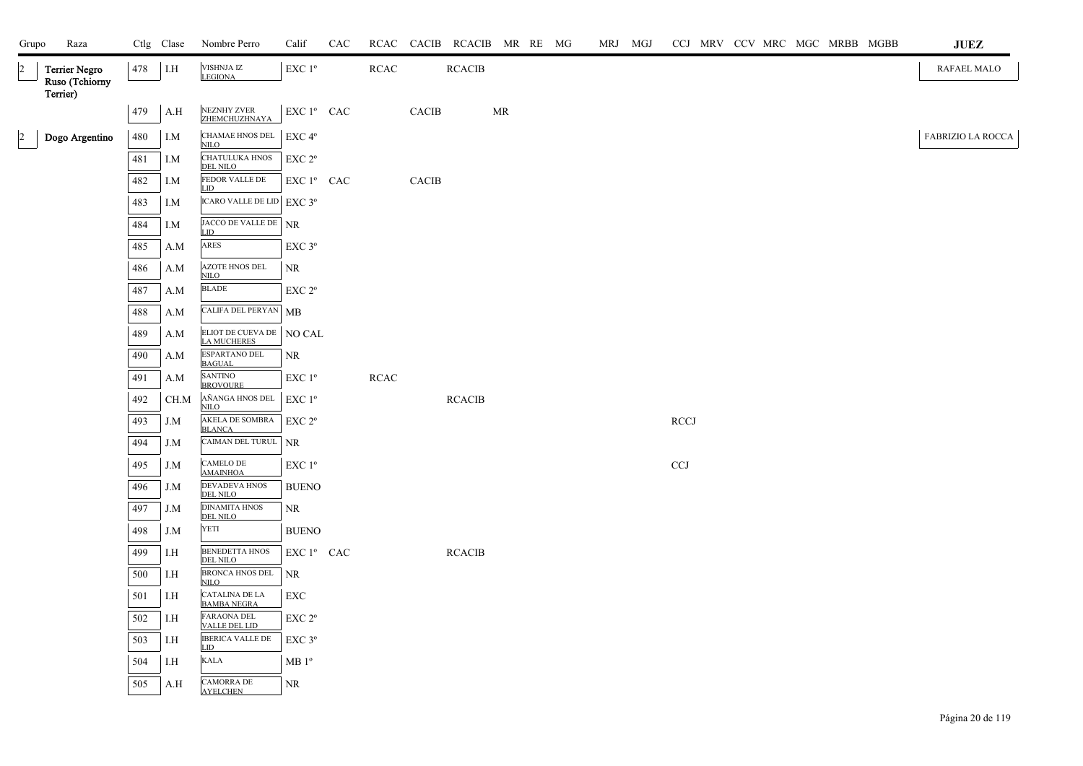| Grupo          | Raza                            |     | Ctlg Clase | Nombre Perro                             | Calif                                           | CAC |             |              | RCAC CACIB RCACIB MR RE MG |    |  | MRJ MGJ |                           |  | CCJ MRV CCV MRC MGC MRBB MGBB |  | $\mathbf{J}\mathbf{U}\mathbf{E}\mathbf{Z}$ |
|----------------|---------------------------------|-----|------------|------------------------------------------|-------------------------------------------------|-----|-------------|--------------|----------------------------|----|--|---------|---------------------------|--|-------------------------------|--|--------------------------------------------|
| $\overline{2}$ | Terrier Negro<br>Ruso (Tchiorny | 478 | I.H        | VISHNJA IZ<br><b>LEGIONA</b>             | $\ensuremath{\mathrm{EXC}}$<br>$1^{\mathrm{o}}$ |     | $\sf RCAC$  |              | <b>RCACIB</b>              |    |  |         |                           |  |                               |  | RAFAEL MALO                                |
|                | Terrier)                        | 479 | A.H        | NEZNHY ZVER<br>ZHEMCHUZHNAYA             | EXC 1º CAC                                      |     |             | <b>CACIB</b> |                            | MR |  |         |                           |  |                               |  |                                            |
| $\overline{2}$ | Dogo Argentino                  | 480 | I.M        | CHAMAE HNOS DEL EXC 4°<br><b>NILO</b>    |                                                 |     |             |              |                            |    |  |         |                           |  |                               |  | FABRIZIO LA ROCCA                          |
|                |                                 | 481 | I.M        | <b>CHATULUKA HNOS</b><br><b>DEL NILO</b> | EXC 2°                                          |     |             |              |                            |    |  |         |                           |  |                               |  |                                            |
|                |                                 | 482 | I.M        | FEDOR VALLE DE<br>LID                    | EXC 1º CAC                                      |     |             | <b>CACIB</b> |                            |    |  |         |                           |  |                               |  |                                            |
|                |                                 | 483 | I.M        | ICARO VALLE DE LID EXC 3º                |                                                 |     |             |              |                            |    |  |         |                           |  |                               |  |                                            |
|                |                                 | 484 | I.M        | JACCO DE VALLE DE NR<br>LID              |                                                 |     |             |              |                            |    |  |         |                           |  |                               |  |                                            |
|                |                                 | 485 | A.M        | ARES                                     | EXC 3°                                          |     |             |              |                            |    |  |         |                           |  |                               |  |                                            |
|                |                                 | 486 | A.M        | <b>AZOTE HNOS DEL</b><br><b>NILO</b>     | NR                                              |     |             |              |                            |    |  |         |                           |  |                               |  |                                            |
|                |                                 | 487 | A.M        | <b>BLADE</b>                             | EXC 2 <sup>o</sup>                              |     |             |              |                            |    |  |         |                           |  |                               |  |                                            |
|                |                                 | 488 | A.M        | CALIFA DEL PERYAN MB                     |                                                 |     |             |              |                            |    |  |         |                           |  |                               |  |                                            |
|                |                                 | 489 | A.M        | ELIOT DE CUEVA DE NO CAL<br>LA MUCHERES  |                                                 |     |             |              |                            |    |  |         |                           |  |                               |  |                                            |
|                |                                 | 490 | A.M        | ESPARTANO DEL<br><b>BAGUAL</b>           | NR                                              |     |             |              |                            |    |  |         |                           |  |                               |  |                                            |
|                |                                 | 491 | A.M        | <b>SANTINO</b><br><b>BROVOURE</b>        | EXC 1 <sup>o</sup>                              |     | <b>RCAC</b> |              |                            |    |  |         |                           |  |                               |  |                                            |
|                |                                 | 492 | CH.M       | AÑANGA HNOS DEL<br><b>NILO</b>           | $\rm EXC$ $1^{\rm o}$                           |     |             |              | <b>RCACIB</b>              |    |  |         |                           |  |                               |  |                                            |
|                |                                 | 493 | J.M        | AKELA DE SOMBRA<br><b>BLANCA</b>         | EXC 2 <sup>o</sup>                              |     |             |              |                            |    |  |         | <b>RCCJ</b>               |  |                               |  |                                            |
|                |                                 | 494 | J.M        | CAIMAN DEL TURUL NR                      |                                                 |     |             |              |                            |    |  |         |                           |  |                               |  |                                            |
|                |                                 | 495 | J.M        | CAMELO DE<br><b>AMAINHOA</b>             | EXC 1 <sup>o</sup>                              |     |             |              |                            |    |  |         | $\ensuremath{\text{CCJ}}$ |  |                               |  |                                            |
|                |                                 | 496 | J.M        | DEVADEVA HNOS<br><b>DEL NILO</b>         | <b>BUENO</b>                                    |     |             |              |                            |    |  |         |                           |  |                               |  |                                            |
|                |                                 | 497 | J.M        | <b>DINAMITA HNOS</b><br><b>DEL NILO</b>  | NR                                              |     |             |              |                            |    |  |         |                           |  |                               |  |                                            |
|                |                                 | 498 | J.M        | YETI                                     | <b>BUENO</b>                                    |     |             |              |                            |    |  |         |                           |  |                               |  |                                            |
|                |                                 | 499 | I.H        | <b>BENEDETTA HNOS</b><br><b>DEL NILO</b> | EXC 1º CAC                                      |     |             |              | <b>RCACIB</b>              |    |  |         |                           |  |                               |  |                                            |
|                |                                 | 500 | I.H        | BRONCA HNOS DEL<br><b>NILO</b>           | NR                                              |     |             |              |                            |    |  |         |                           |  |                               |  |                                            |
|                |                                 | 501 | I.H        | CATALINA DE LA<br><b>BAMBA NEGRA</b>     | EXC                                             |     |             |              |                            |    |  |         |                           |  |                               |  |                                            |
|                |                                 | 502 | I.H        | FARAONA DEL<br><b>VALLE DEL LID</b>      | EXC 2 <sup>o</sup>                              |     |             |              |                            |    |  |         |                           |  |                               |  |                                            |
|                |                                 | 503 | I.H        | <b>IBERICA VALLE DE</b><br>LID           | EXC 3°                                          |     |             |              |                            |    |  |         |                           |  |                               |  |                                            |
|                |                                 | 504 | I.H        | <b>KALA</b>                              | MB1°                                            |     |             |              |                            |    |  |         |                           |  |                               |  |                                            |
|                |                                 | 505 | A.H        | CAMORRA DE<br><b>AYELCHEN</b>            | NR                                              |     |             |              |                            |    |  |         |                           |  |                               |  |                                            |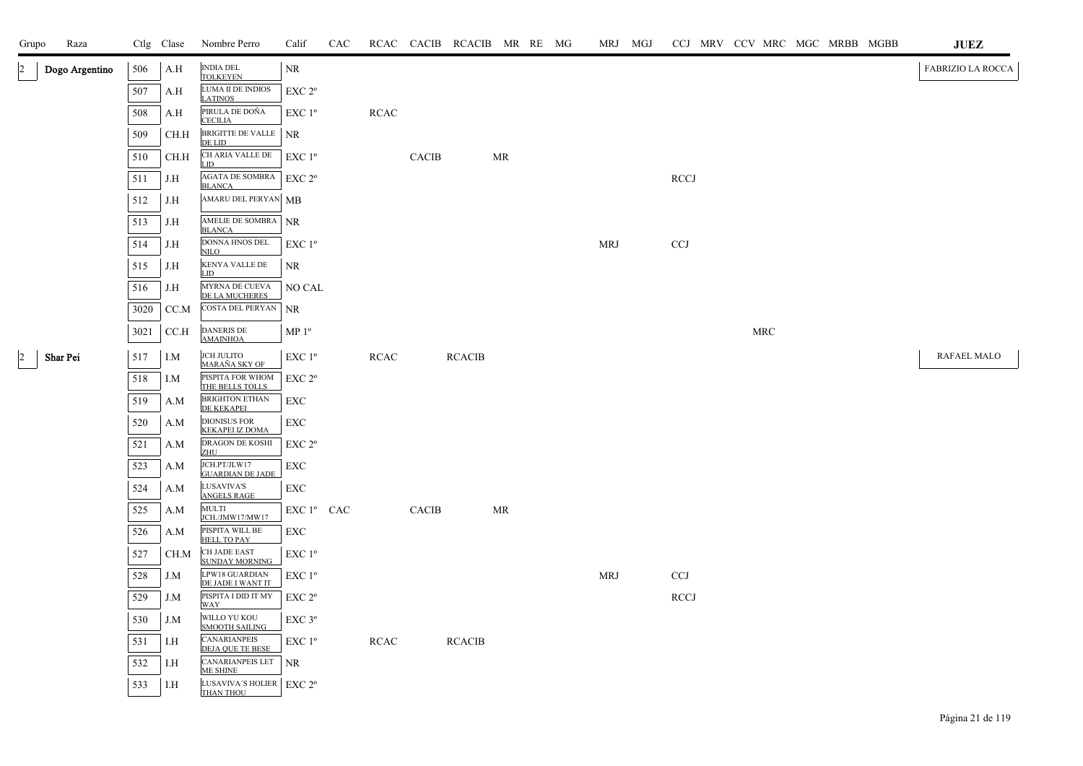| Grupo         | Raza           |      | Ctlg Clase | Nombre Perro                                  | Calif              | CAC |             |              | RCAC CACIB RCACIB MR RE MG |    |  | MRJ MGJ    |                           |  |            |  | CCJ MRV CCV MRC MGC MRBB MGBB | JUEZ              |
|---------------|----------------|------|------------|-----------------------------------------------|--------------------|-----|-------------|--------------|----------------------------|----|--|------------|---------------------------|--|------------|--|-------------------------------|-------------------|
|               | Dogo Argentino | 506  | A.H        | <b>INDIA DEL</b><br><b>TOLKEYEN</b>           | <b>NR</b>          |     |             |              |                            |    |  |            |                           |  |            |  |                               | FABRIZIO LA ROCCA |
|               |                | 507  | A.H        | LUMA II DE INDIOS<br><b>LATINOS</b>           | EXC 2 <sup>o</sup> |     |             |              |                            |    |  |            |                           |  |            |  |                               |                   |
|               |                | 508  | A.H        | PIRULA DE DOÑA<br><b>CECILIA</b>              | EXC 1 <sup>o</sup> |     | <b>RCAC</b> |              |                            |    |  |            |                           |  |            |  |                               |                   |
|               |                | 509  | CH.H       | BRIGITTE DE VALLE NR<br>DE LID                |                    |     |             |              |                            |    |  |            |                           |  |            |  |                               |                   |
|               |                | 510  | CH.H       | CH ARIA VALLE DE<br>LID                       | $EXC1^{\circ}$     |     |             | <b>CACIB</b> |                            | MR |  |            |                           |  |            |  |                               |                   |
|               |                | 511  | J.H        | AGATA DE SOMBRA<br><b>BLANCA</b>              | $EXC 2^{\circ}$    |     |             |              |                            |    |  |            | <b>RCCJ</b>               |  |            |  |                               |                   |
|               |                | 512  | J.H        | AMARU DEL PERYAN MB                           |                    |     |             |              |                            |    |  |            |                           |  |            |  |                               |                   |
|               |                | 513  | J.H        | AMELIE DE SOMBRA NR<br><b>BLANCA</b>          |                    |     |             |              |                            |    |  |            |                           |  |            |  |                               |                   |
|               |                | 514  | J.H        | DONNA HNOS DEL<br><b>NILO</b>                 | EXC 1 <sup>o</sup> |     |             |              |                            |    |  | <b>MRJ</b> | $\ensuremath{\text{CCJ}}$ |  |            |  |                               |                   |
|               |                | 515  | J.H        | KENYA VALLE DE<br><b>LID</b>                  | NR                 |     |             |              |                            |    |  |            |                           |  |            |  |                               |                   |
|               |                | 516  | J.H        | MYRNA DE CUEVA<br>DE LA MUCHERES              | NO CAL             |     |             |              |                            |    |  |            |                           |  |            |  |                               |                   |
|               |                | 3020 | CC.M       | COSTA DEL PERYAN                              | <b>NR</b>          |     |             |              |                            |    |  |            |                           |  |            |  |                               |                   |
|               |                | 3021 | CC.H       | DANERIS DE<br><b>AMAINHOA</b>                 | $MP 1^{\circ}$     |     |             |              |                            |    |  |            |                           |  | <b>MRC</b> |  |                               |                   |
| $\mathcal{D}$ | Shar Pei       | 517  | I.M        | <b>JCH JULITO</b><br><u>MARAÑA SKY OF</u>     | EXC 1 <sup>o</sup> |     | <b>RCAC</b> |              | <b>RCACIB</b>              |    |  |            |                           |  |            |  |                               | RAFAEL MALO       |
|               |                | 518  | I.M        | PISPITA FOR WHOM<br>THE BELLS TOLLS           | EXC 2 <sup>o</sup> |     |             |              |                            |    |  |            |                           |  |            |  |                               |                   |
|               |                | 519  | A.M        | <b>BRIGHTON ETHAN</b><br>DE KEKAPEI           | <b>EXC</b>         |     |             |              |                            |    |  |            |                           |  |            |  |                               |                   |
|               |                | 520  | A.M        | <b>DIONISUS FOR</b><br><b>KEKAPEI IZ DOMA</b> | EXC                |     |             |              |                            |    |  |            |                           |  |            |  |                               |                   |
|               |                | 521  | A.M        | DRAGON DE KOSHI<br><b>ZHU</b>                 | EXC 2°             |     |             |              |                            |    |  |            |                           |  |            |  |                               |                   |
|               |                | 523  | A.M        | JCH.PT/JLW17<br><b>GUARDIAN DE JADE</b>       | EXC                |     |             |              |                            |    |  |            |                           |  |            |  |                               |                   |
|               |                | 524  | A.M        | LUSAVIVA'S<br><b>ANGELS RAGE</b>              | EXC                |     |             |              |                            |    |  |            |                           |  |            |  |                               |                   |
|               |                | 525  | A.M        | MULTI<br>JCH./JMW17/MW17                      | EXC 1º CAC         |     |             | <b>CACIB</b> |                            | MR |  |            |                           |  |            |  |                               |                   |
|               |                | 526  | A.M        | PISPITA WILL BE<br><b>HELL TO PAY</b>         | EXC                |     |             |              |                            |    |  |            |                           |  |            |  |                               |                   |
|               |                | 527  | CH.M       | CH JADE EAST<br><b>SUNDAY MORNING</b>         | EXC 1 <sup>o</sup> |     |             |              |                            |    |  |            |                           |  |            |  |                               |                   |
|               |                | 528  | J.M        | LPW18 GUARDIAN<br>DE JADE I WANT IT           | EXC 1 <sup>o</sup> |     |             |              |                            |    |  | <b>MRJ</b> | <b>CCJ</b>                |  |            |  |                               |                   |
|               |                | 529  | J.M        | PISPITA I DID IT MY<br><b>WAY</b>             | EXC 2 <sup>o</sup> |     |             |              |                            |    |  |            | <b>RCCJ</b>               |  |            |  |                               |                   |
|               |                | 530  | J.M        | WILLO YU KOU<br><b>SMOOTH SAILING</b>         | EXC <sub>3°</sub>  |     |             |              |                            |    |  |            |                           |  |            |  |                               |                   |
|               |                | 531  | I.H        | <b>CANARIANPEIS</b><br>DEJA QUE TE BESE       | EXC 1 <sup>o</sup> |     | <b>RCAC</b> |              | <b>RCACIB</b>              |    |  |            |                           |  |            |  |                               |                   |
|               |                | 532  | I.H        | CANARIANPEIS LET<br><b>ME SHINE</b>           | NR                 |     |             |              |                            |    |  |            |                           |  |            |  |                               |                   |
|               |                | 533  | I.H        | LUSAVIVA'S HOLIER<br>THAN THOU                | EXC 2 <sup>o</sup> |     |             |              |                            |    |  |            |                           |  |            |  |                               |                   |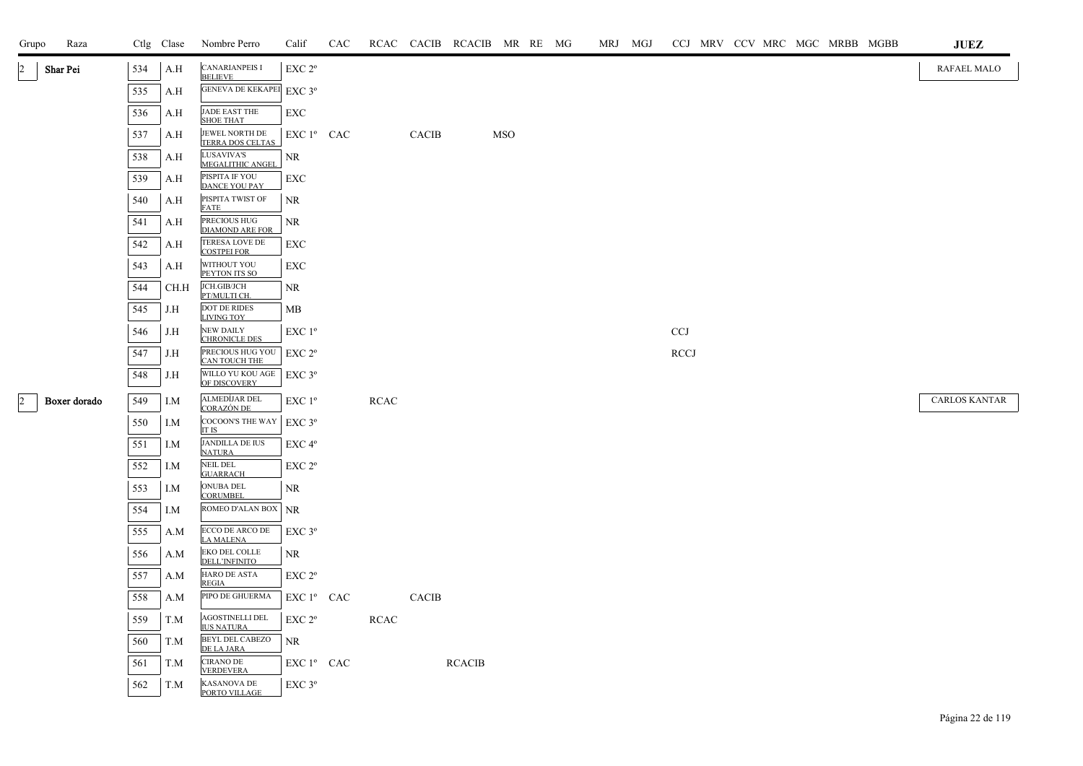| Grupo          | Raza         |     | Ctlg Clase | Nombre Perro                                | Calif                  | CAC |             |              | RCAC CACIB RCACIB MR RE MG |            |  | MRJ MGJ |             |  |  | CCJ MRV CCV MRC MGC MRBB MGBB | JUEZ                 |  |
|----------------|--------------|-----|------------|---------------------------------------------|------------------------|-----|-------------|--------------|----------------------------|------------|--|---------|-------------|--|--|-------------------------------|----------------------|--|
| $\overline{2}$ | Shar Pei     | 534 | A.H        | <b>CANARIANPEIS I</b><br><b>BELIEVE</b>     | EXC <sub>2°</sub>      |     |             |              |                            |            |  |         |             |  |  |                               | RAFAEL MALO          |  |
|                |              | 535 | A.H        | GENEVA DE KEKAPEI EXC 3°                    |                        |     |             |              |                            |            |  |         |             |  |  |                               |                      |  |
|                |              | 536 | A.H        | JADE EAST THE<br><b>SHOE THAT</b>           | EXC                    |     |             |              |                            |            |  |         |             |  |  |                               |                      |  |
|                |              | 537 | A.H        | JEWEL NORTH DE<br>TERRA DOS CELTAS          | EXC 1 <sup>°</sup> CAC |     |             | <b>CACIB</b> |                            | <b>MSO</b> |  |         |             |  |  |                               |                      |  |
|                |              | 538 | A.H        | LUSAVIVA'S<br>MEGALITHIC ANGEL              | NR                     |     |             |              |                            |            |  |         |             |  |  |                               |                      |  |
|                |              | 539 | A.H        | PISPITA IF YOU<br><b>DANCE YOU PAY</b>      | EXC                    |     |             |              |                            |            |  |         |             |  |  |                               |                      |  |
|                |              | 540 | A.H        | PISPITA TWIST OF<br><b>FATE</b>             | NR                     |     |             |              |                            |            |  |         |             |  |  |                               |                      |  |
|                |              | 541 | A.H        | PRECIOUS HUG<br><b>DIAMOND ARE FOR</b>      | NR                     |     |             |              |                            |            |  |         |             |  |  |                               |                      |  |
|                |              | 542 | A.H        | TERESA LOVE DE<br><b>COSTPEI FOR</b>        | EXC                    |     |             |              |                            |            |  |         |             |  |  |                               |                      |  |
|                |              | 543 | A.H        | WITHOUT YOU<br>PEYTON ITS SO                | EXC                    |     |             |              |                            |            |  |         |             |  |  |                               |                      |  |
|                |              | 544 | CH.H       | JCH.GIB/JCH<br>PT/MULTI CH.                 | NR                     |     |             |              |                            |            |  |         |             |  |  |                               |                      |  |
|                |              | 545 | J.H        | <b>DOT DE RIDES</b><br><b>LIVING TOY</b>    | MB                     |     |             |              |                            |            |  |         |             |  |  |                               |                      |  |
|                |              | 546 | J.H        | <b>NEW DAILY</b><br><b>CHRONICLE DES</b>    | $EXC1^{\circ}$         |     |             |              |                            |            |  |         | <b>CCJ</b>  |  |  |                               |                      |  |
|                |              | 547 | J.H        | PRECIOUS HUG YOU<br>CAN TOUCH THE           | $EXC 2^{\circ}$        |     |             |              |                            |            |  |         | <b>RCCJ</b> |  |  |                               |                      |  |
|                |              | 548 | J.H        | WILLO YU KOU AGE<br>OF DISCOVERY            | $EXC$ 3°               |     |             |              |                            |            |  |         |             |  |  |                               |                      |  |
| $\overline{a}$ | Boxer dorado | 549 | I.M        | ALMEDÍJAR DEL<br>CORAZÓN DE                 | EXC 1 <sup>o</sup>     |     | <b>RCAC</b> |              |                            |            |  |         |             |  |  |                               | <b>CARLOS KANTAR</b> |  |
|                |              | 550 | I.M        | COCOON'S THE WAY<br>IT IS                   | $EXC$ 3°               |     |             |              |                            |            |  |         |             |  |  |                               |                      |  |
|                |              | 551 | I.M        | <b>JANDILLA DE IUS</b><br><b>NATURA</b>     | EXC 4°                 |     |             |              |                            |            |  |         |             |  |  |                               |                      |  |
|                |              | 552 | I.M        | <b>NEIL DEL</b><br><b>GUARRACH</b>          | EXC 2 <sup>o</sup>     |     |             |              |                            |            |  |         |             |  |  |                               |                      |  |
|                |              | 553 | I.M        | ONUBA DEL<br><b>CORUMBEL</b>                | NR                     |     |             |              |                            |            |  |         |             |  |  |                               |                      |  |
|                |              | 554 | I.M        | ROMEO D'ALAN BOX                            | <b>NR</b>              |     |             |              |                            |            |  |         |             |  |  |                               |                      |  |
|                |              | 555 | A.M        | ECCO DE ARCO DE<br><b>LA MALENA</b>         | $EXC$ $3^{\circ}$      |     |             |              |                            |            |  |         |             |  |  |                               |                      |  |
|                |              | 556 | A.M        | EKO DEL COLLE<br><b>DELL'INFINITO</b>       | NR                     |     |             |              |                            |            |  |         |             |  |  |                               |                      |  |
|                |              | 557 | A.M        | HARO DE ASTA<br><b>REGIA</b>                | EXC <sub>2°</sub>      |     |             |              |                            |            |  |         |             |  |  |                               |                      |  |
|                |              | 558 | A.M        | PIPO DE GHUERMA                             | EXC 1º CAC             |     |             | <b>CACIB</b> |                            |            |  |         |             |  |  |                               |                      |  |
|                |              | 559 | T.M        | <b>AGOSTINELLI DEL</b><br><b>IUS NATURA</b> | EXC 2 <sup>o</sup>     |     | <b>RCAC</b> |              |                            |            |  |         |             |  |  |                               |                      |  |
|                |              | 560 | T.M        | <b>BEYL DEL CABEZO</b><br>DE LA JARA        | NR                     |     |             |              |                            |            |  |         |             |  |  |                               |                      |  |
|                |              | 561 | T.M        | <b>CIRANO DE</b><br><b>VERDEVERA</b>        | $EXC1^{\circ}$ CAC     |     |             |              | <b>RCACIB</b>              |            |  |         |             |  |  |                               |                      |  |
|                |              | 562 | T.M        | KASANOVA DE<br>PORTO VILLAGE                | $EXC$ $3^{\circ}$      |     |             |              |                            |            |  |         |             |  |  |                               |                      |  |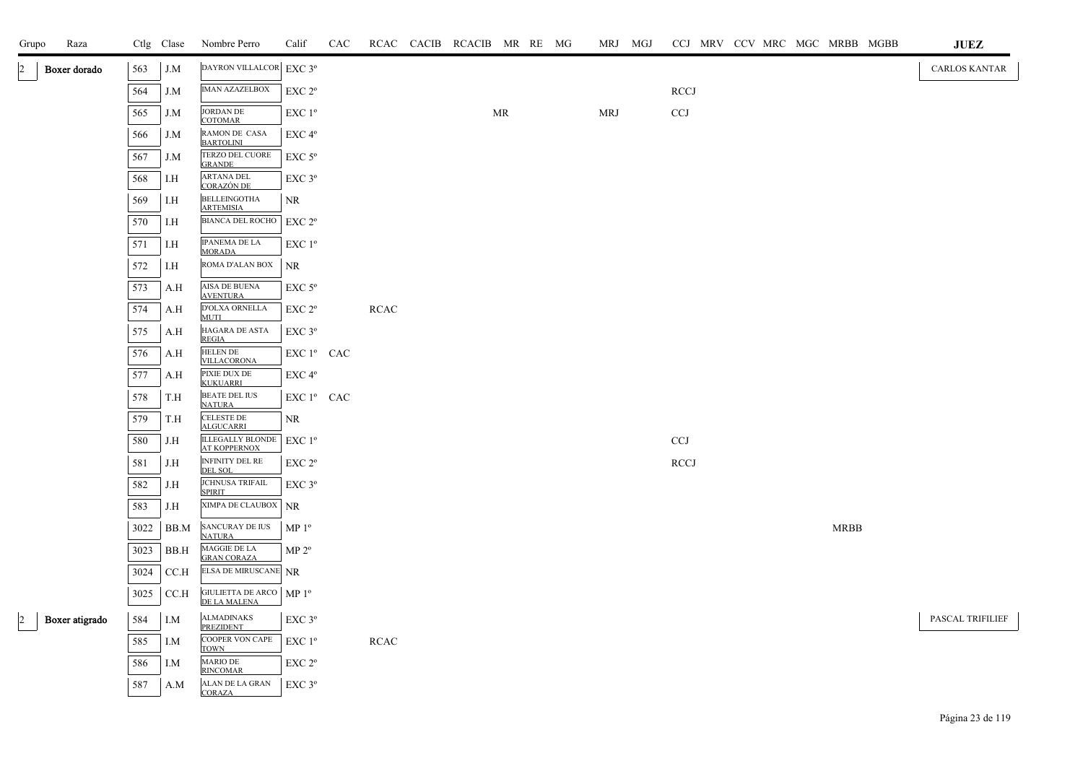| Grupo                | Raza           |      | Ctlg Clase | Nombre Perro                                   | Calif                  | CAC |             | RCAC CACIB RCACIB MR RE MG |           |  |            | MRJ MGJ |                           |  |  |             | CCJ MRV CCV MRC MGC MRBB MGBB | <b>JUEZ</b>      |
|----------------------|----------------|------|------------|------------------------------------------------|------------------------|-----|-------------|----------------------------|-----------|--|------------|---------|---------------------------|--|--|-------------|-------------------------------|------------------|
| $\overline{2}$       | Boxer dorado   | 563  | J.M        | DAYRON VILLALCOR EXC 3°                        |                        |     |             |                            |           |  |            |         |                           |  |  |             |                               | CARLOS KANTAR    |
|                      |                | 564  | J.M        | <b>IMAN AZAZELBOX</b>                          | EXC 2 <sup>o</sup>     |     |             |                            |           |  |            |         | <b>RCCJ</b>               |  |  |             |                               |                  |
|                      |                | 565  | J.M        | <b>JORDAN DE</b><br><b>COTOMAR</b>             | EXC 1 <sup>o</sup>     |     |             |                            | <b>MR</b> |  | <b>MRJ</b> |         | CCJ                       |  |  |             |                               |                  |
|                      |                | 566  | J.M        | RAMON DE CASA<br><b>BARTOLINI</b>              | EXC 4 <sup>o</sup>     |     |             |                            |           |  |            |         |                           |  |  |             |                               |                  |
|                      |                | 567  | J.M        | TERZO DEL CUORE<br><b>GRANDE</b>               | $EXC$ 5 $^{\circ}$     |     |             |                            |           |  |            |         |                           |  |  |             |                               |                  |
|                      |                | 568  | I.H        | <b>ARTANA DEL</b><br><b>CORAZÓN DE</b>         | $EXC$ $3^{\circ}$      |     |             |                            |           |  |            |         |                           |  |  |             |                               |                  |
|                      |                | 569  | I.H        | <b>BELLEINGOTHA</b><br><b>ARTEMISIA</b>        | NR                     |     |             |                            |           |  |            |         |                           |  |  |             |                               |                  |
|                      |                | 570  | I.H        | BIANCA DEL ROCHO                               | EXC 2 <sup>o</sup>     |     |             |                            |           |  |            |         |                           |  |  |             |                               |                  |
|                      |                | 571  | I.H        | <b>IPANEMA DE LA</b><br><b>MORADA</b>          | EXC 1 <sup>o</sup>     |     |             |                            |           |  |            |         |                           |  |  |             |                               |                  |
|                      |                | 572  | I.H        | ROMA D'ALAN BOX                                | NR                     |     |             |                            |           |  |            |         |                           |  |  |             |                               |                  |
|                      |                | 573  | A.H        | AISA DE BUENA<br><b>AVENTURA</b>               | $EXC$ 5 $^{\circ}$     |     |             |                            |           |  |            |         |                           |  |  |             |                               |                  |
|                      |                | 574  | A.H        | D'OLXA ORNELLA<br><b>MUTI</b>                  | EXC 2 <sup>o</sup>     |     | RCAC        |                            |           |  |            |         |                           |  |  |             |                               |                  |
|                      |                | 575  | A.H        | HAGARA DE ASTA<br><b>REGIA</b>                 | EXC 3°                 |     |             |                            |           |  |            |         |                           |  |  |             |                               |                  |
|                      |                | 576  | A.H        | <b>HELEN DE</b><br><b>VILLACORONA</b>          | EXC 1 <sup>°</sup> CAC |     |             |                            |           |  |            |         |                           |  |  |             |                               |                  |
|                      |                | 577  | A.H        | PIXIE DUX DE<br><b>KUKUARRI</b>                | EXC 4°                 |     |             |                            |           |  |            |         |                           |  |  |             |                               |                  |
|                      |                | 578  | T.H        | <b>BEATE DEL IUS</b><br><b>NATURA</b>          | EXC 1 <sup>°</sup> CAC |     |             |                            |           |  |            |         |                           |  |  |             |                               |                  |
|                      |                | 579  | T.H        | <b>CELESTE DE</b><br><b>ALGUCARRI</b>          | NR                     |     |             |                            |           |  |            |         |                           |  |  |             |                               |                  |
|                      |                | 580  | J.H        | <b>ILLEGALLY BLONDE</b><br><b>AT KOPPERNOX</b> | $EXC1^{\circ}$         |     |             |                            |           |  |            |         | $\ensuremath{\text{CCJ}}$ |  |  |             |                               |                  |
|                      |                | 581  | J.H        | INFINITY DEL RE<br><b>DEL SOL</b>              | EXC 2°                 |     |             |                            |           |  |            |         | <b>RCCJ</b>               |  |  |             |                               |                  |
|                      |                | 582  | J.H        | <b>JCHNUSA TRIFAIL</b><br><b>SPIRIT</b>        | $EXC$ $3^{\circ}$      |     |             |                            |           |  |            |         |                           |  |  |             |                               |                  |
|                      |                | 583  | J.H        | <b>XIMPA DE CLAUBOX</b> NR                     |                        |     |             |                            |           |  |            |         |                           |  |  |             |                               |                  |
|                      |                | 3022 | BB.M       | SANCURAY DE IUS<br><b>NATURA</b>               | MP <sup>0</sup>        |     |             |                            |           |  |            |         |                           |  |  | <b>MRBB</b> |                               |                  |
|                      |                | 3023 | BB.H       | MAGGIE DE LA<br><b>GRAN CORAZA</b>             | MP 2 <sup>o</sup>      |     |             |                            |           |  |            |         |                           |  |  |             |                               |                  |
|                      |                | 3024 | CC.H       | <b>ELSA DE MIRUSCANE</b> NR                    |                        |     |             |                            |           |  |            |         |                           |  |  |             |                               |                  |
|                      |                | 3025 | CC.H       | GIULIETTA DE ARCO   MP 1º<br>DE LA MALENA      |                        |     |             |                            |           |  |            |         |                           |  |  |             |                               |                  |
| $\vert$ <sup>2</sup> | Boxer atigrado | 584  | I.M        | <b>ALMADINAKS</b><br><b>PREZIDENT</b>          | $EXC$ $3^{\circ}$      |     |             |                            |           |  |            |         |                           |  |  |             |                               | PASCAL TRIFILIEF |
|                      |                | 585  | I.M        | COOPER VON CAPE<br><b>TOWN</b>                 | $EXC1^{\circ}$         |     | <b>RCAC</b> |                            |           |  |            |         |                           |  |  |             |                               |                  |
|                      |                | 586  | I.M        | MARIO DE<br><b>RINCOMAR</b>                    | EXC 2°                 |     |             |                            |           |  |            |         |                           |  |  |             |                               |                  |
|                      |                | 587  | A.M        | ALAN DE LA GRAN<br><b>CORAZA</b>               | EXC 3°                 |     |             |                            |           |  |            |         |                           |  |  |             |                               |                  |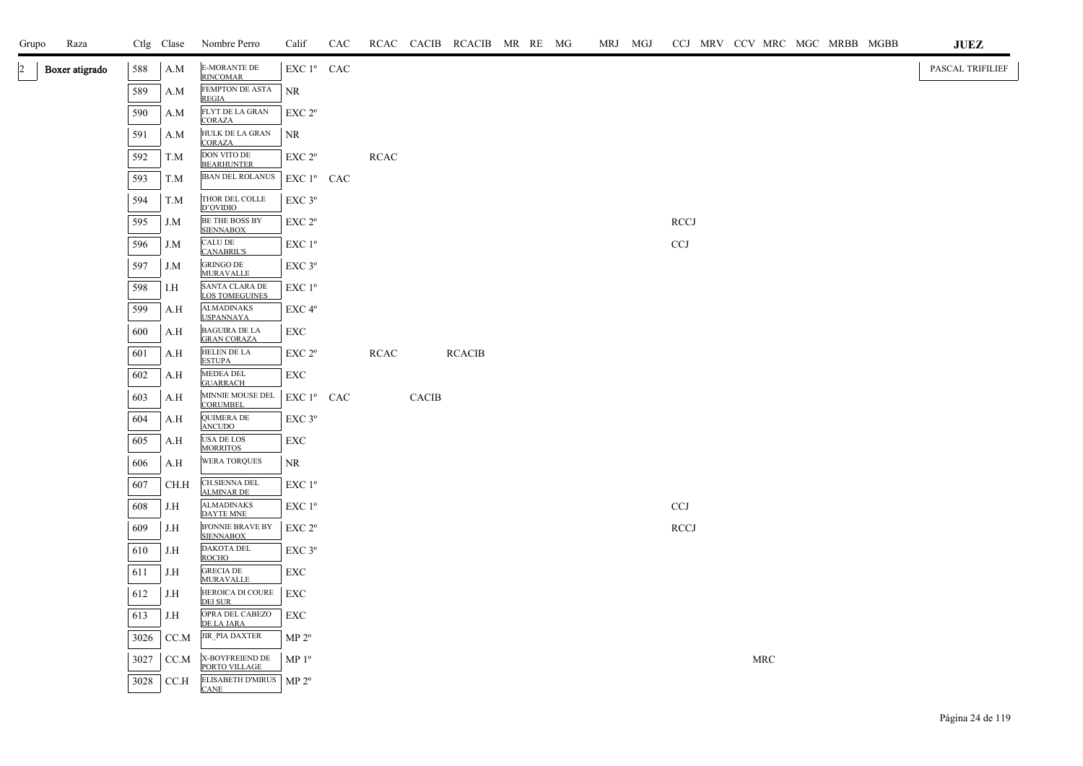| Raza<br>Grupo                    |      | Ctlg Clase | Nombre Perro                                | Calif              | CAC |             |              | RCAC CACIB RCACIB MR RE MG |  | MRJ MGJ |             |  |            | CCJ MRV CCV MRC MGC MRBB MGBB |  | <b>JUEZ</b>      |
|----------------------------------|------|------------|---------------------------------------------|--------------------|-----|-------------|--------------|----------------------------|--|---------|-------------|--|------------|-------------------------------|--|------------------|
| $\overline{2}$<br>Boxer atigrado | 588  | A.M        | <b>E-MORANTE DE</b><br><b>RINCOMAR</b>      | EXC 1º CAC         |     |             |              |                            |  |         |             |  |            |                               |  | PASCAL TRIFILIEF |
|                                  | 589  | A.M        | FEMPTON DE ASTA<br><b>REGIA</b>             | <b>NR</b>          |     |             |              |                            |  |         |             |  |            |                               |  |                  |
|                                  | 590  | A.M        | FLYT DE LA GRAN<br><b>CORAZA</b>            | EXC 2 <sup>o</sup> |     |             |              |                            |  |         |             |  |            |                               |  |                  |
|                                  | 591  | A.M        | HULK DE LA GRAN<br><b>CORAZA</b>            | <b>NR</b>          |     |             |              |                            |  |         |             |  |            |                               |  |                  |
|                                  | 592  | T.M        | DON VITO DE<br><b>BEARHUNTER</b>            | EXC 2 <sup>o</sup> |     | <b>RCAC</b> |              |                            |  |         |             |  |            |                               |  |                  |
|                                  | 593  | T.M        | <b>IBAN DEL ROLANUS</b>                     | $EXC1^{\circ}$ CAC |     |             |              |                            |  |         |             |  |            |                               |  |                  |
|                                  | 594  | T.M        | THOR DEL COLLE<br>D'OVIDIO                  | EXC 3°             |     |             |              |                            |  |         |             |  |            |                               |  |                  |
|                                  | 595  | J.M        | <b>BE THE BOSS BY</b><br><b>SIENNABOX</b>   | EXC 2 <sup>o</sup> |     |             |              |                            |  |         | <b>RCCJ</b> |  |            |                               |  |                  |
|                                  | 596  | J.M        | <b>CALU DE</b><br><b>CANABRIL'S</b>         | $EXC1^{\circ}$     |     |             |              |                            |  |         | <b>CCJ</b>  |  |            |                               |  |                  |
|                                  | 597  | J.M        | <b>GRINGO DE</b><br><b>MURAVALLE</b>        | $EXC$ $3^{\circ}$  |     |             |              |                            |  |         |             |  |            |                               |  |                  |
|                                  | 598  | I.H        | SANTA CLARA DE<br><b>LOS TOMEGUINES</b>     | $EXC1^{\circ}$     |     |             |              |                            |  |         |             |  |            |                               |  |                  |
|                                  | 599  | A.H        | <b>ALMADINAKS</b><br><b>USPANNAYA</b>       | EXC 4 <sup>o</sup> |     |             |              |                            |  |         |             |  |            |                               |  |                  |
|                                  | 600  | A.H        | <b>BAGUIRA DE LA</b><br><b>GRAN CORAZA</b>  | EXC                |     |             |              |                            |  |         |             |  |            |                               |  |                  |
|                                  | 601  | A.H        | HELEN DE LA<br><b>ESTUPA</b>                | EXC 2 <sup>o</sup> |     | <b>RCAC</b> |              | <b>RCACIB</b>              |  |         |             |  |            |                               |  |                  |
|                                  | 602  | A.H        | MEDEA DEL<br><b>GUARRACH</b>                | EXC                |     |             |              |                            |  |         |             |  |            |                               |  |                  |
|                                  | 603  | A.H        | MINNIE MOUSE DEL<br><b>CORUMBEL</b>         | $EXC1^{\circ}$ CAC |     |             | <b>CACIB</b> |                            |  |         |             |  |            |                               |  |                  |
|                                  | 604  | A.H        | QUIMERA DE<br><b>ANCUDO</b>                 | EXC <sub>3°</sub>  |     |             |              |                            |  |         |             |  |            |                               |  |                  |
|                                  | 605  | A.H        | USA DE LOS<br><b>MORRITOS</b>               | EXC                |     |             |              |                            |  |         |             |  |            |                               |  |                  |
|                                  | 606  | A.H        | <b>WERA TORQUES</b>                         | <b>NR</b>          |     |             |              |                            |  |         |             |  |            |                               |  |                  |
|                                  | 607  | CH.H       | <b>CH.SIENNA DEL</b><br><b>ALMINAR DE</b>   | EXC 1º             |     |             |              |                            |  |         |             |  |            |                               |  |                  |
|                                  | 608  | J.H        | <b>ALMADINAKS</b><br>DAYTE MNE              | EXC 1 <sup>o</sup> |     |             |              |                            |  |         | <b>CCJ</b>  |  |            |                               |  |                  |
|                                  | 609  | J.H        | <b>B'ONNIE BRAVE BY</b><br><b>SIENNABOX</b> | EXC 2 <sup>o</sup> |     |             |              |                            |  |         | <b>RCCJ</b> |  |            |                               |  |                  |
|                                  | 610  | J.H        | DAKOTA DEL<br><b>ROCHO</b>                  | $EXC$ $3^{\circ}$  |     |             |              |                            |  |         |             |  |            |                               |  |                  |
|                                  | 611  | J.H        | <b>GRECIA DE</b><br><b>MURAVALLE</b>        | EXC                |     |             |              |                            |  |         |             |  |            |                               |  |                  |
|                                  | 612  | J.H        | HEROICA DI COURE<br>DEI SUR                 | EXC                |     |             |              |                            |  |         |             |  |            |                               |  |                  |
|                                  | 613  | J.H        | OPRA DEL CABEZO<br>DE LA JARA               | EXC                |     |             |              |                            |  |         |             |  |            |                               |  |                  |
|                                  | 3026 | CC.M       | JIR_PIA DAXTER                              | MP 2 <sup>o</sup>  |     |             |              |                            |  |         |             |  |            |                               |  |                  |
|                                  | 3027 | CC.M       | X-BOYFREIEND DE<br>PORTO VILLAGE            | MP <sup>0</sup>    |     |             |              |                            |  |         |             |  | <b>MRC</b> |                               |  |                  |
|                                  | 3028 | CC.H       | ELISABETH D'MIRUS   MP 2º<br><b>CANE</b>    |                    |     |             |              |                            |  |         |             |  |            |                               |  |                  |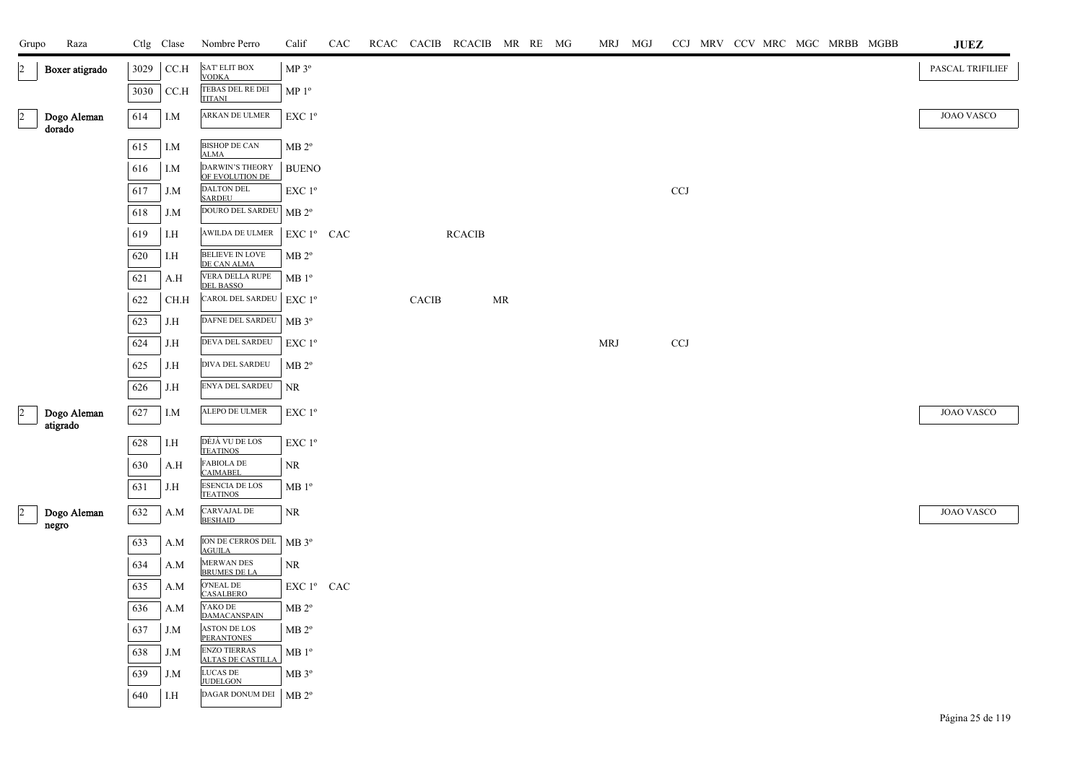| Grupo                         | Raza                    |      | Ctlg Clase | Nombre Perro                                    | Calif                | CAC | RCAC CACIB   | RCACIB MR RE MG |                                   |  | MRJ MGJ    |     |  |  | CCJ MRV CCV MRC MGC MRBB MGBB | <b>JUEZ</b>       |
|-------------------------------|-------------------------|------|------------|-------------------------------------------------|----------------------|-----|--------------|-----------------|-----------------------------------|--|------------|-----|--|--|-------------------------------|-------------------|
| $\vert$ 2                     | Boxer atigrado          | 3029 | CCA        | SAT' ELIT BOX<br><b>VODKA</b>                   | $MP 3^o$             |     |              |                 |                                   |  |            |     |  |  |                               | PASCAL TRIFILIEF  |
|                               |                         | 3030 | CC.H       | TEBAS DEL RE DEI<br><b>TITANI</b>               | MP <sup>0</sup>      |     |              |                 |                                   |  |            |     |  |  |                               |                   |
| $\overline{2}$<br>dorado      | Dogo Aleman             | 614  | I.M        | ARKAN DE ULMER                                  | EXC $1^{\circ}$      |     |              |                 |                                   |  |            |     |  |  |                               | <b>JOAO VASCO</b> |
|                               |                         | 615  | I.M        | <b>BISHOP DE CAN</b><br><b>ALMA</b>             | MB 2 <sup>o</sup>    |     |              |                 |                                   |  |            |     |  |  |                               |                   |
|                               |                         | 616  | I.M        | DARWIN'S THEORY<br>OF EVOLUTION DE              | <b>BUENO</b>         |     |              |                 |                                   |  |            |     |  |  |                               |                   |
|                               |                         | 617  | J.M        | <b>DALTON DEL</b><br><b>SARDEU</b>              | $EXC1^{\circ}$       |     |              |                 |                                   |  |            | CCJ |  |  |                               |                   |
|                               |                         | 618  | J.M        | DOURO DEL SARDEU   MB 2º                        |                      |     |              |                 |                                   |  |            |     |  |  |                               |                   |
|                               |                         | 619  | I.H        | AWILDA DE ULMER                                 | EXC 1º CAC           |     |              | <b>RCACIB</b>   |                                   |  |            |     |  |  |                               |                   |
|                               |                         | 620  | I.H        | BELIEVE IN LOVE<br>DE CAN ALMA                  | MB 2 <sup>o</sup>    |     |              |                 |                                   |  |            |     |  |  |                               |                   |
|                               |                         | 621  | A.H        | VERA DELLA RUPE<br><b>DEL BASSO</b>             | $MB1^{\circ}$        |     |              |                 |                                   |  |            |     |  |  |                               |                   |
|                               |                         | 622  | CH.H       | <b>CAROL DEL SARDEU</b>                         | EXC $1^{\circ}$      |     | <b>CACIB</b> |                 | $\ensuremath{\mathsf{MR}}\xspace$ |  |            |     |  |  |                               |                   |
|                               |                         | 623  | J.H        | DAFNE DEL SARDEU                                | MB 3 <sup>o</sup>    |     |              |                 |                                   |  |            |     |  |  |                               |                   |
|                               |                         | 624  | J.H        | DEVA DEL SARDEU                                 | $EXC1^{\circ}$       |     |              |                 |                                   |  | <b>MRJ</b> | CCJ |  |  |                               |                   |
|                               |                         | 625  | J.H        | DIVA DEL SARDEU                                 | $MB 2^{\circ}$       |     |              |                 |                                   |  |            |     |  |  |                               |                   |
|                               |                         | 626  | J.H        | ENYA DEL SARDEU                                 | <b>NR</b>            |     |              |                 |                                   |  |            |     |  |  |                               |                   |
| $\vert$ <sub>2</sub>          | Dogo Aleman<br>atigrado | 627  | I.M        | ALEPO DE ULMER                                  | EXC 1 <sup>o</sup>   |     |              |                 |                                   |  |            |     |  |  |                               | <b>JOAO VASCO</b> |
|                               |                         | 628  | I.H        | DÉJÀ VU DE LOS<br><b>TEATINOS</b>               | EXC 1 <sup>o</sup>   |     |              |                 |                                   |  |            |     |  |  |                               |                   |
|                               |                         | 630  | A.H        | <b>FABIOLA DE</b><br><b>CAIMABEL</b>            | <b>NR</b>            |     |              |                 |                                   |  |            |     |  |  |                               |                   |
|                               |                         | 631  | J.H        | <b>ESENCIA DE LOS</b><br><b>TEATINOS</b>        | $\rm MB$ $1^{\rm o}$ |     |              |                 |                                   |  |            |     |  |  |                               |                   |
| $\vert$ <sub>2</sub><br>negro | Dogo Aleman             | 632  | A.M        | CARVAJAL DE<br><b>BESHAID</b>                   | <b>NR</b>            |     |              |                 |                                   |  |            |     |  |  |                               | <b>JOAO VASCO</b> |
|                               |                         | 633  | A.M        | ION DE CERROS DEL<br><b>AGUILA</b>              | $MB 3^{\circ}$       |     |              |                 |                                   |  |            |     |  |  |                               |                   |
|                               |                         | 634  | A.M        | MERWAN DES<br><b>BRUMES DE LA</b>               | <b>NR</b>            |     |              |                 |                                   |  |            |     |  |  |                               |                   |
|                               |                         | 635  | A.M        | O'NEAL DE<br><b>CASALBERO</b>                   | EXC 1º CAC           |     |              |                 |                                   |  |            |     |  |  |                               |                   |
|                               |                         | 636  | A.M        | YAKO DE<br><b>DAMACANSPAIN</b>                  | $MB 2^{\circ}$       |     |              |                 |                                   |  |            |     |  |  |                               |                   |
|                               |                         | 637  | J.M        | <b>ASTON DE LOS</b><br><b>PERANTONES</b>        | $MB 2^{\circ}$       |     |              |                 |                                   |  |            |     |  |  |                               |                   |
|                               |                         | 638  | J.M        | <b>ENZO TIERRAS</b><br><b>ALTAS DE CASTILLA</b> | $MB1^{\circ}$        |     |              |                 |                                   |  |            |     |  |  |                               |                   |
|                               |                         | 639  | J.M        | LUCAS DE<br><b>JUDELGON</b>                     | $MB 3^{\circ}$       |     |              |                 |                                   |  |            |     |  |  |                               |                   |
|                               |                         | 640  | I.H        | DAGAR DONUM DEI                                 | MB 2 <sup>o</sup>    |     |              |                 |                                   |  |            |     |  |  |                               |                   |
|                               |                         |      |            |                                                 |                      |     |              |                 |                                   |  |            |     |  |  |                               |                   |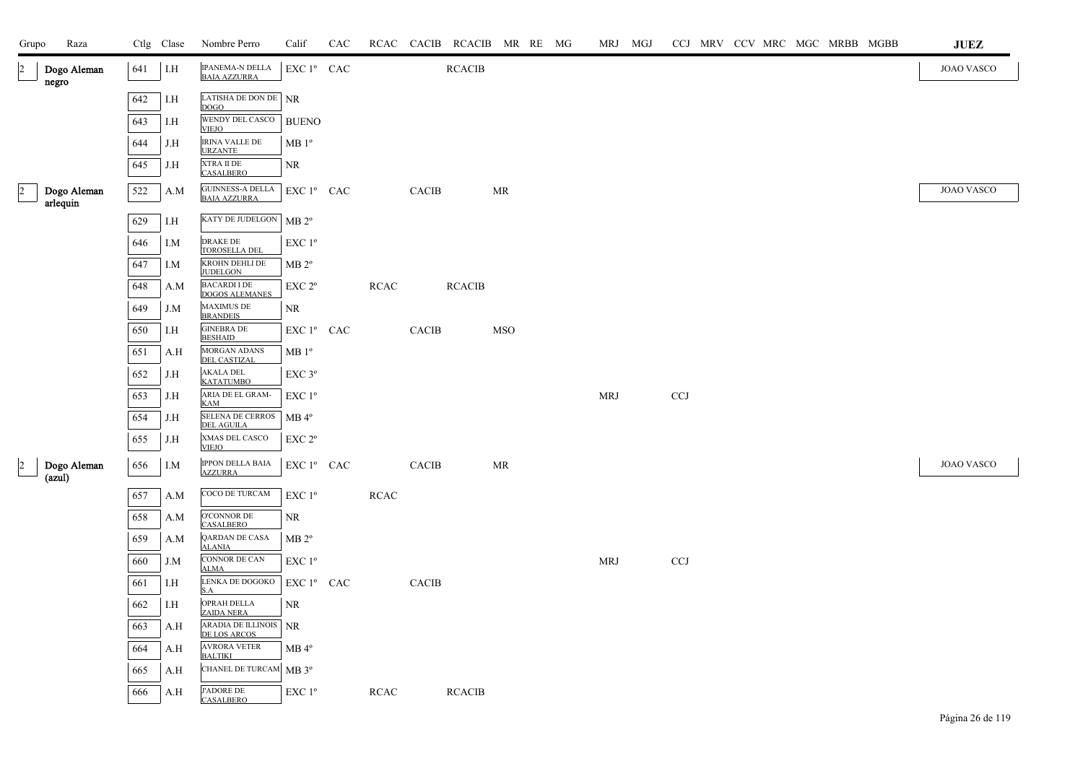| Grupo          | Raza                    |     | Ctlg Clase | Nombre Perro                                  | Calif                  | CAC |             |              | RCAC CACIB RCACIB MR RE MG |            |  |            | MRJ MGJ |       |  |  | CCJ MRV CCV MRC MGC MRBB MGBB | $\mathbf{J}\mathbf{U}\mathbf{E}\mathbf{Z}$ |
|----------------|-------------------------|-----|------------|-----------------------------------------------|------------------------|-----|-------------|--------------|----------------------------|------------|--|------------|---------|-------|--|--|-------------------------------|--------------------------------------------|
| $\vert$ 2      | Dogo Aleman<br>negro    | 641 | I.H        | <b>IPANEMA-N DELLA</b><br><b>BAIA AZZURRA</b> | EXC 1º CAC             |     |             |              | $\operatorname{RCACIB}$    |            |  |            |         |       |  |  |                               | <b>JOAO VASCO</b>                          |
|                |                         | 642 | I.H        | LATISHA DE DON DE NR<br><b>DOGO</b>           |                        |     |             |              |                            |            |  |            |         |       |  |  |                               |                                            |
|                |                         | 643 | I.H        | WENDY DEL CASCO<br><b>VIEJO</b>               | <b>BUENO</b>           |     |             |              |                            |            |  |            |         |       |  |  |                               |                                            |
|                |                         | 644 | J.H        | <b>IRINA VALLE DE</b><br><b>URZANTE</b>       | $MB1^{\circ}$          |     |             |              |                            |            |  |            |         |       |  |  |                               |                                            |
|                |                         | 645 | J.H        | XTRA II DE<br><b>CASALBERO</b>                | NR                     |     |             |              |                            |            |  |            |         |       |  |  |                               |                                            |
| $\overline{2}$ | Dogo Aleman<br>arlequin | 522 | A.M        | GUINNESS-A DELLA<br><b>BAIA AZZURRA</b>       | EXC 1º CAC             |     |             | CACIB        |                            | MR         |  |            |         |       |  |  |                               | <b>JOAO VASCO</b>                          |
|                |                         | 629 | I.H        | KATY DE JUDELGON   MB 2º                      |                        |     |             |              |                            |            |  |            |         |       |  |  |                               |                                            |
|                |                         | 646 | I.M        | <b>DRAKE DE</b><br><b>TOROSELLA DEL</b>       | EXC 1 <sup>o</sup>     |     |             |              |                            |            |  |            |         |       |  |  |                               |                                            |
|                |                         | 647 | I.M        | KROHN DEHLI DE<br><b>JUDELGON</b>             | $MB 2^{\circ}$         |     |             |              |                            |            |  |            |         |       |  |  |                               |                                            |
|                |                         | 648 | A.M        | <b>BACARDI I DE</b><br><b>DOGOS ALEMANES</b>  | EXC 2 <sup>o</sup>     |     | <b>RCAC</b> |              | <b>RCACIB</b>              |            |  |            |         |       |  |  |                               |                                            |
|                |                         | 649 | J.M        | <b>MAXIMUS DE</b><br><b>BRANDEIS</b>          | NR                     |     |             |              |                            |            |  |            |         |       |  |  |                               |                                            |
|                |                         | 650 | I.H        | <b>GINEBRA DE</b><br><b>BESHAID</b>           | EXC 1º CAC             |     |             | CACIB        |                            | <b>MSO</b> |  |            |         |       |  |  |                               |                                            |
|                |                         | 651 | A.H        | <b>MORGAN ADANS</b><br><b>DEL CASTIZAL</b>    | $MB1^{\circ}$          |     |             |              |                            |            |  |            |         |       |  |  |                               |                                            |
|                |                         | 652 | J.H        | <b>AKALA DEL</b><br><b>KATATUMBO</b>          | EXC 3°                 |     |             |              |                            |            |  |            |         |       |  |  |                               |                                            |
|                |                         | 653 | J.H        | ARIA DE EL GRAM-<br><b>KAM</b>                | EXC 1 <sup>o</sup>     |     |             |              |                            |            |  | <b>MRJ</b> |         | $CCJ$ |  |  |                               |                                            |
|                |                         | 654 | J.H        | SELENA DE CERROS<br><b>DEL AGUILA</b>         | $MB$ <sup>4°</sup>     |     |             |              |                            |            |  |            |         |       |  |  |                               |                                            |
|                |                         | 655 | J.H        | XMAS DEL CASCO<br><b>VIEJO</b>                | $EXC 2^{\circ}$        |     |             |              |                            |            |  |            |         |       |  |  |                               |                                            |
| $\overline{a}$ | Dogo Aleman<br>(azul)   | 656 | I.M        | IPPON DELLA BAIA<br><b>AZZURRA</b>            | EXC 1º CAC             |     |             | <b>CACIB</b> |                            | MR         |  |            |         |       |  |  |                               | <b>JOAO VASCO</b>                          |
|                |                         | 657 | A.M        | COCO DE TURCAM                                | EXC 1 <sup>o</sup>     |     | <b>RCAC</b> |              |                            |            |  |            |         |       |  |  |                               |                                            |
|                |                         | 658 | A.M        | <b>O'CONNOR DE</b><br><b>CASALBERO</b>        | NR                     |     |             |              |                            |            |  |            |         |       |  |  |                               |                                            |
|                |                         | 659 | A.M        | QARDAN DE CASA<br><b>ALANIA</b>               | MB 2 <sup>o</sup>      |     |             |              |                            |            |  |            |         |       |  |  |                               |                                            |
|                |                         | 660 | J.M        | <b>CONNOR DE CAN</b><br><b>ALMA</b>           | EXC 1 <sup>o</sup>     |     |             |              |                            |            |  | <b>MRJ</b> |         | CCJ   |  |  |                               |                                            |
|                |                         | 661 | I.H        | LENKA DE DOGOKO<br>S.A                        | EXC 1 <sup>°</sup> CAC |     |             | CACIB        |                            |            |  |            |         |       |  |  |                               |                                            |
|                |                         | 662 | I.H        | OPRAH DELLA<br><b>ZAIDA NERA</b>              | NR.                    |     |             |              |                            |            |  |            |         |       |  |  |                               |                                            |
|                |                         | 663 | A.H        | ARADIA DE ILLINOIS<br>DE LOS ARCOS            | <b>NR</b>              |     |             |              |                            |            |  |            |         |       |  |  |                               |                                            |
|                |                         | 664 | A.H        | <b>AVRORA VETER</b><br><b>BALTIKI</b>         | $MB 4^{\circ}$         |     |             |              |                            |            |  |            |         |       |  |  |                               |                                            |
|                |                         | 665 | A.H        | CHANEL DE TURCAM MB 3º                        |                        |     |             |              |                            |            |  |            |         |       |  |  |                               |                                            |
|                |                         | 666 | A.H        | <b>J'ADORE DE</b><br><b>CASALBERO</b>         | EXC 1 <sup>o</sup>     |     | <b>RCAC</b> |              | <b>RCACIB</b>              |            |  |            |         |       |  |  |                               |                                            |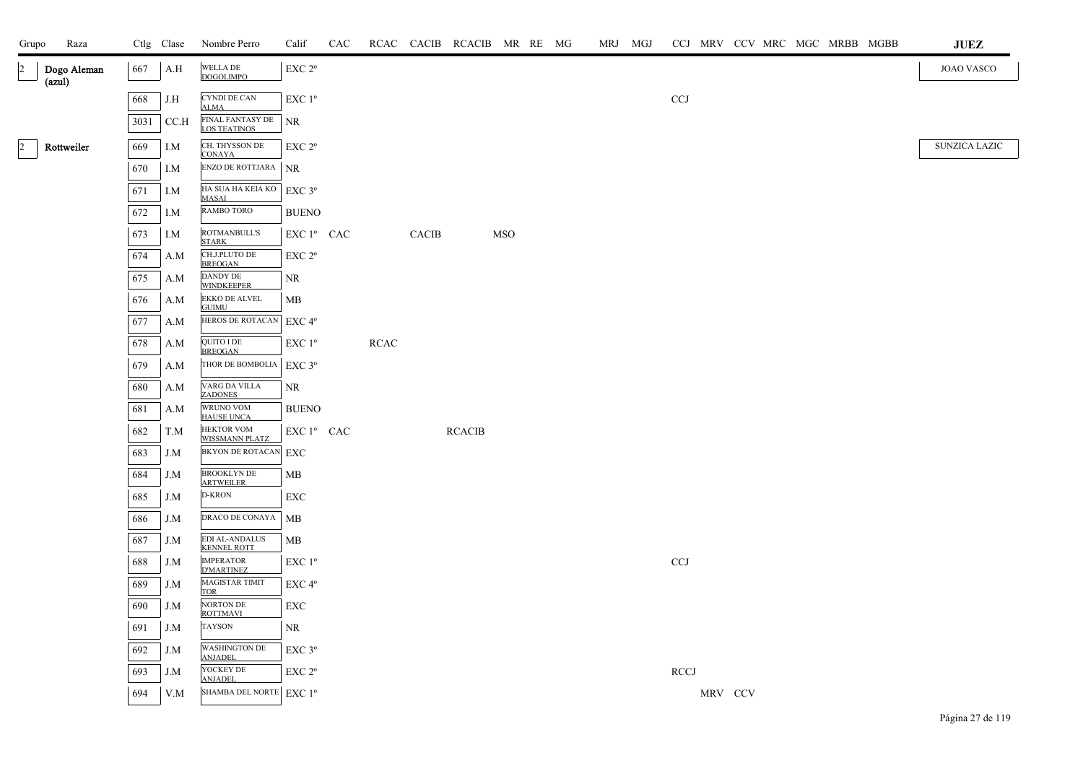| Raza<br>Grupo                           |      |                                                  | Ctlg Clase Nombre Perro                         | Calif                                                   | CAC |      |       | RCAC CACIB RCACIB MR RE MG |     |  | MRJ MGJ |                       |         |  |  | CCJ MRV CCV MRC MGC MRBB MGBB | <b>JUEZ</b>       |
|-----------------------------------------|------|--------------------------------------------------|-------------------------------------------------|---------------------------------------------------------|-----|------|-------|----------------------------|-----|--|---------|-----------------------|---------|--|--|-------------------------------|-------------------|
| $\overline{2}$<br>Dogo Aleman<br>(azul) | 667  | A.H                                              | WELLA DE<br><b>DOGOLIMPO</b>                    | $\ensuremath{\mathrm{EXC}}$ $2^{\mathrm{o}}$            |     |      |       |                            |     |  |         |                       |         |  |  |                               | <b>JOAO VASCO</b> |
|                                         | 668  | J.H                                              | CYNDI DE CAN                                    | EXC 1 <sup>o</sup>                                      |     |      |       |                            |     |  |         | <b>CCJ</b>            |         |  |  |                               |                   |
|                                         | 3031 | CC.H                                             | <b>ALMA</b><br>FINAL FANTASY DE<br>LOS TEATINOS | <b>NR</b>                                               |     |      |       |                            |     |  |         |                       |         |  |  |                               |                   |
| $\overline{2}$<br>Rottweiler            | 669  | I.M                                              | CH. THYSSON DE<br><b>CONAYA</b>                 | EXC 2°                                                  |     |      |       |                            |     |  |         |                       |         |  |  |                               | SUNZICA LAZIC     |
|                                         | 670  | I.M                                              | ENZO DE ROTTJARA                                | NR                                                      |     |      |       |                            |     |  |         |                       |         |  |  |                               |                   |
|                                         | 671  | I.M                                              | HA SUA HA KEIA KO<br><b>MASAI</b>               | EXC 3°                                                  |     |      |       |                            |     |  |         |                       |         |  |  |                               |                   |
|                                         | 672  | I.M                                              | RAMBO TORO                                      | <b>BUENO</b>                                            |     |      |       |                            |     |  |         |                       |         |  |  |                               |                   |
|                                         | 673  | I.M                                              | ROTMANBULL'S<br><b>STARK</b>                    | EXC 1º CAC                                              |     |      | CACIB |                            | MSO |  |         |                       |         |  |  |                               |                   |
|                                         | 674  | A.M                                              | CH.J.PLUTO DE<br><b>BREOGAN</b>                 | EXC 2°                                                  |     |      |       |                            |     |  |         |                       |         |  |  |                               |                   |
|                                         | 675  | A.M                                              | DANDY DE<br><b>WINDKEEPER</b>                   | NR                                                      |     |      |       |                            |     |  |         |                       |         |  |  |                               |                   |
|                                         | 676  | A.M                                              | <b>EKKO DE ALVEL</b><br><b>GUIMU</b>            | MB                                                      |     |      |       |                            |     |  |         |                       |         |  |  |                               |                   |
|                                         | 677  | A.M                                              | HEROS DE ROTACAN                                | $\ensuremath{\mathrm{EXC}}\xspace$ 4°                   |     |      |       |                            |     |  |         |                       |         |  |  |                               |                   |
|                                         | 678  | A.M                                              | QUITO I DE<br><b>BREOGAN</b>                    | EXC 1 <sup>o</sup>                                      |     | RCAC |       |                            |     |  |         |                       |         |  |  |                               |                   |
|                                         | 679  | A.M                                              | THOR DE BOMBOLIA                                | EXC 3°                                                  |     |      |       |                            |     |  |         |                       |         |  |  |                               |                   |
|                                         | 680  | A.M                                              | VARG DA VILLA<br><b>ZADONES</b>                 | NR                                                      |     |      |       |                            |     |  |         |                       |         |  |  |                               |                   |
|                                         | 681  | A.M                                              | WRUNO VOM<br><b>HAUSE UNCA</b>                  | <b>BUENO</b>                                            |     |      |       |                            |     |  |         |                       |         |  |  |                               |                   |
|                                         | 682  | T.M                                              | <b>HEKTOR VOM</b><br><b>WISSMANN PLATZ</b>      | EXC 1º CAC                                              |     |      |       | <b>RCACIB</b>              |     |  |         |                       |         |  |  |                               |                   |
|                                         | 683  | J.M                                              | <b>BKYON DE ROTACAN</b>                         | $ $ EXC                                                 |     |      |       |                            |     |  |         |                       |         |  |  |                               |                   |
|                                         | 684  | J.M                                              | <b>BROOKLYN DE</b><br><b>ARTWEILER</b>          | MB                                                      |     |      |       |                            |     |  |         |                       |         |  |  |                               |                   |
|                                         | 685  | J.M                                              | D-KRON                                          | ${\rm EXC}$                                             |     |      |       |                            |     |  |         |                       |         |  |  |                               |                   |
|                                         | 686  | J.M                                              | DRACO DE CONAYA                                 | $\mathbf{MB}$                                           |     |      |       |                            |     |  |         |                       |         |  |  |                               |                   |
|                                         | 687  | J.M                                              | EDI AL-ANDALUS<br>KENNEL ROTT                   | MB                                                      |     |      |       |                            |     |  |         |                       |         |  |  |                               |                   |
|                                         | 688  | J.M                                              | <b>IMPERATOR</b><br><b>D'MARTINEZ</b>           | $\ensuremath{\mathrm{EXC}}$ $1^{\ensuremath{\text{o}}}$ |     |      |       |                            |     |  |         | CCJ                   |         |  |  |                               |                   |
|                                         | 689  | J.M                                              | <b>MAGISTAR TIMIT</b><br><b>TOR</b>             | EXC 4°                                                  |     |      |       |                            |     |  |         |                       |         |  |  |                               |                   |
|                                         | 690  | J.M                                              | NORTON DE<br><b>ROTTMAVI</b>                    | EXC                                                     |     |      |       |                            |     |  |         |                       |         |  |  |                               |                   |
|                                         | 691  | J.M                                              | TAYSON                                          | $\rm NR$                                                |     |      |       |                            |     |  |         |                       |         |  |  |                               |                   |
|                                         | 692  | J.M                                              | WASHINGTON DE<br>ANJADEL                        | $\ensuremath{\mathrm{EXC}}\,3^{\mathrm{o}}$             |     |      |       |                            |     |  |         |                       |         |  |  |                               |                   |
|                                         | 693  | J.M                                              | YOCKEY DE<br><b>ANJADEL</b>                     | $\ensuremath{\mathrm{EXC}}$ $2^{\mathrm{o}}$            |     |      |       |                            |     |  |         | $\operatorname{RCCJ}$ |         |  |  |                               |                   |
|                                         | 694  | $\ensuremath{\text{V}}\xspace\text{-}\mathrm{M}$ | SHAMBA DEL NORTE EXC 1º                         |                                                         |     |      |       |                            |     |  |         |                       | MRV CCV |  |  |                               |                   |
|                                         |      |                                                  |                                                 |                                                         |     |      |       |                            |     |  |         |                       |         |  |  |                               | Página 27 de 119  |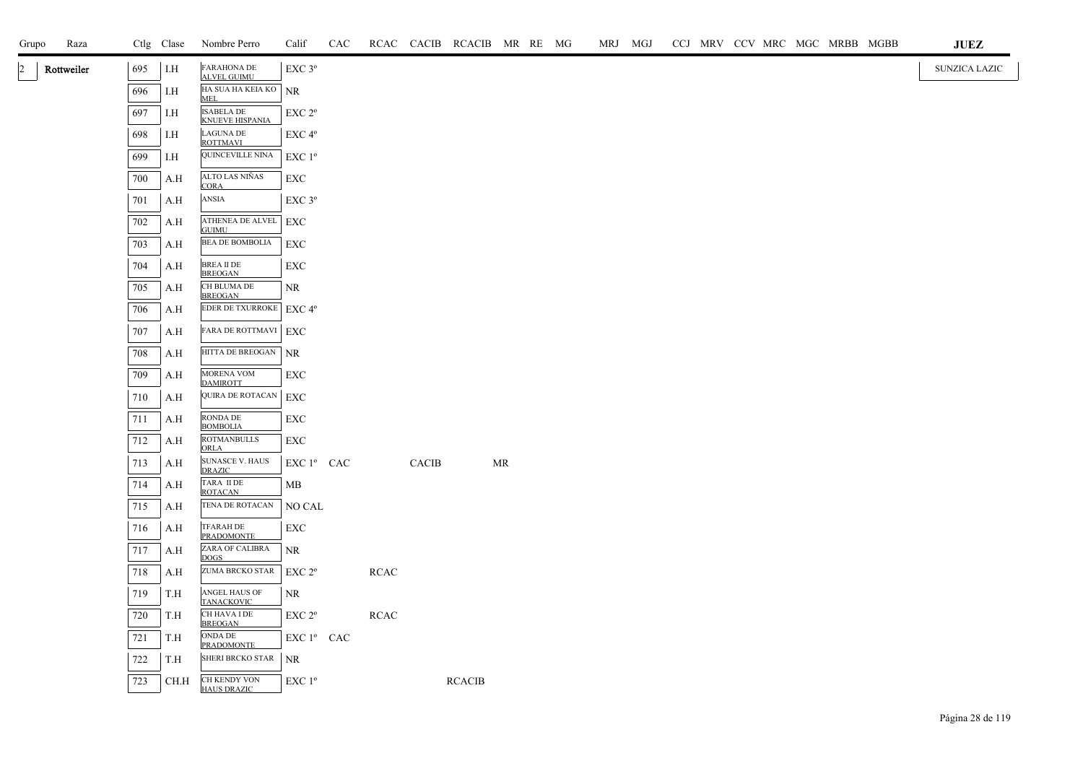| Grupo        | Raza       |     | Ctlg Clase | Nombre Perro                                | Calif              | CAC |             |              |               | RCAC CACIB RCACIB MR RE MG |  | MRJ MGJ |  |  | CCJ MRV CCV MRC MGC MRBB MGBB | <b>JUEZ</b>          |
|--------------|------------|-----|------------|---------------------------------------------|--------------------|-----|-------------|--------------|---------------|----------------------------|--|---------|--|--|-------------------------------|----------------------|
| $ 2 \rangle$ | Rottweiler | 695 | I.H        | <b>FARAHONA DE</b><br><b>ALVEL GUIMU</b>    | EXC <sub>3°</sub>  |     |             |              |               |                            |  |         |  |  |                               | <b>SUNZICA LAZIC</b> |
|              |            | 696 | I.H        | HA SUA HA KEIA KO NR<br><b>MEL</b>          |                    |     |             |              |               |                            |  |         |  |  |                               |                      |
|              |            | 697 | I.H        | <b>ISABELA DE</b><br><b>KNUEVE HISPANIA</b> | EXC 2 <sup>o</sup> |     |             |              |               |                            |  |         |  |  |                               |                      |
|              |            | 698 | I.H        | LAGUNA DE<br><b>ROTTMAVI</b>                | EXC 4°             |     |             |              |               |                            |  |         |  |  |                               |                      |
|              |            | 699 | I.H        | QUINCEVILLE NINA                            | EXC 1 <sup>o</sup> |     |             |              |               |                            |  |         |  |  |                               |                      |
|              |            | 700 | A.H        | ALTO LAS NIÑAS<br><b>CORA</b>               | EXC                |     |             |              |               |                            |  |         |  |  |                               |                      |
|              |            | 701 | A.H        | ANSIA                                       | EXC 3°             |     |             |              |               |                            |  |         |  |  |                               |                      |
|              |            | 702 | A.H        | ATHENEA DE ALVEL<br><b>GUIMU</b>            | EXC                |     |             |              |               |                            |  |         |  |  |                               |                      |
|              |            | 703 | A.H        | BEA DE BOMBOLIA                             | EXC                |     |             |              |               |                            |  |         |  |  |                               |                      |
|              |            | 704 | A.H        | BREA II DE<br><b>BREOGAN</b>                | <b>EXC</b>         |     |             |              |               |                            |  |         |  |  |                               |                      |
|              |            | 705 | A.H        | CH BLUMA DE<br><b>BREOGAN</b>               | NR                 |     |             |              |               |                            |  |         |  |  |                               |                      |
|              |            | 706 | A.H        | <b>EDER DE TXURROKE</b>   <b>EXC 4°</b>     |                    |     |             |              |               |                            |  |         |  |  |                               |                      |
|              |            | 707 | A.H        | FARA DE ROTTMAVI EXC                        |                    |     |             |              |               |                            |  |         |  |  |                               |                      |
|              |            | 708 | A.H        | HITTA DE BREOGAN                            | <b>NR</b>          |     |             |              |               |                            |  |         |  |  |                               |                      |
|              |            | 709 | A.H        | MORENA VOM<br><b>DAMIROTT</b>               | <b>EXC</b>         |     |             |              |               |                            |  |         |  |  |                               |                      |
|              |            | 710 | A.H        | QUIRA DE ROTACAN                            | ${\rm EXC}$        |     |             |              |               |                            |  |         |  |  |                               |                      |
|              |            | 711 | A.H        | RONDA DE<br><b>BOMBOLIA</b>                 | <b>EXC</b>         |     |             |              |               |                            |  |         |  |  |                               |                      |
|              |            | 712 | A.H        | <b>ROTMANBULLS</b><br>ORLA                  | EXC                |     |             |              |               |                            |  |         |  |  |                               |                      |
|              |            | 713 | A.H        | SUNASCE V. HAUS<br>DRAZIC                   | EXC 1º CAC         |     |             | <b>CACIB</b> |               | MR                         |  |         |  |  |                               |                      |
|              |            | 714 | A.H        | TARA II DE<br><b>ROTACAN</b>                | MB                 |     |             |              |               |                            |  |         |  |  |                               |                      |
|              |            | 715 | A.H        | TENA DE ROTACAN                             | NO CAL             |     |             |              |               |                            |  |         |  |  |                               |                      |
|              |            | 716 | A.H        | TFARAH DE<br><b>PRADOMONTE</b>              | <b>EXC</b>         |     |             |              |               |                            |  |         |  |  |                               |                      |
|              |            | 717 | A.H        | ZARA OF CALIBRA<br><b>DOGS</b>              | NR                 |     |             |              |               |                            |  |         |  |  |                               |                      |
|              |            | 718 | A.H        | ZUMA BRCKO STAR                             | EXC 2 <sup>o</sup> |     | <b>RCAC</b> |              |               |                            |  |         |  |  |                               |                      |
|              |            | 719 | T.H        | ANGEL HAUS OF<br><b>TANACKOVIC</b>          | NR                 |     |             |              |               |                            |  |         |  |  |                               |                      |
|              |            | 720 | T.H        | CH HAVA I DE<br><b>BREOGAN</b>              | EXC 2 <sup>o</sup> |     | <b>RCAC</b> |              |               |                            |  |         |  |  |                               |                      |
|              |            | 721 | T.H        | ONDA DE<br><b>PRADOMONTE</b>                | EXC 1º CAC         |     |             |              |               |                            |  |         |  |  |                               |                      |
|              |            | 722 | T.H        | SHERI BRCKO STAR                            | NR                 |     |             |              |               |                            |  |         |  |  |                               |                      |
|              |            | 723 | CH.H       | CH KENDY VON<br><b>HAUS DRAZIC</b>          | EXC 1°             |     |             |              | <b>RCACIB</b> |                            |  |         |  |  |                               |                      |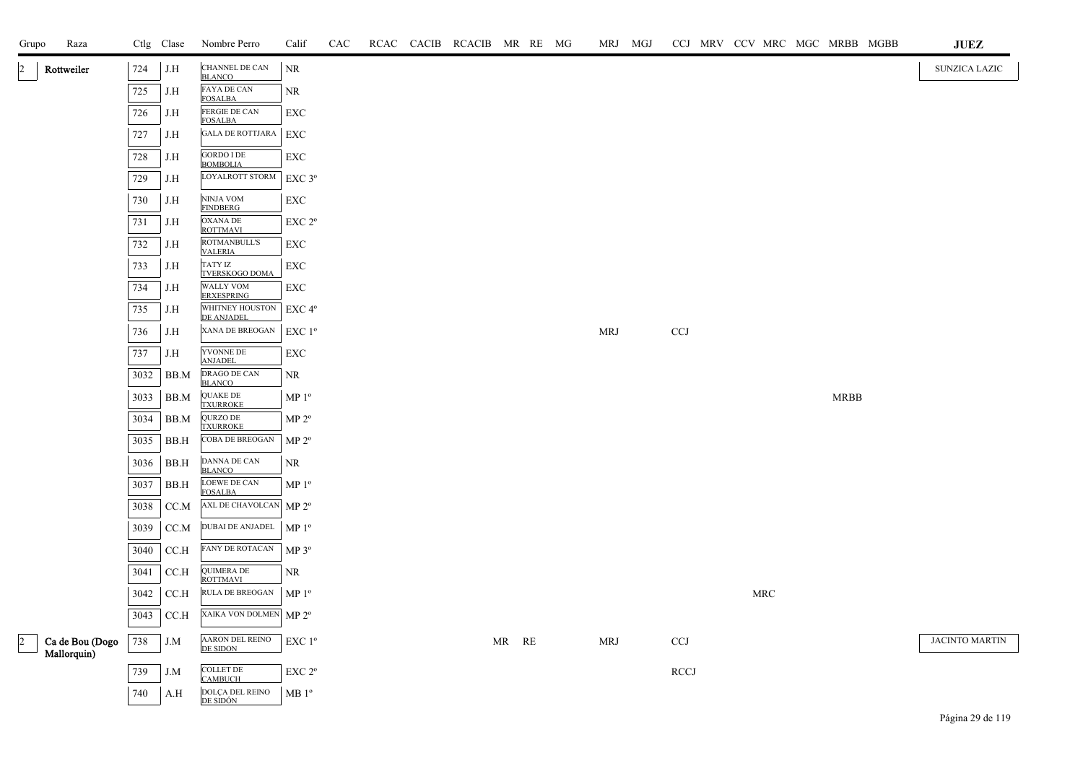| Grupo     | Raza                           |      | Ctlg Clase | Nombre Perro                          | Calif              | CAC |  | RCAC CACIB RCACIB MR RE MG |    |    | MRJ MGJ    |                           |  |                      |             | CCJ MRV CCV MRC MGC MRBB MGBB | $\mathbf{J}\mathbf{U}\mathbf{E}\mathbf{Z}$ |  |
|-----------|--------------------------------|------|------------|---------------------------------------|--------------------|-----|--|----------------------------|----|----|------------|---------------------------|--|----------------------|-------------|-------------------------------|--------------------------------------------|--|
|           | Rottweiler                     | 724  | J.H        | CHANNEL DE CAN<br><b>BLANCO</b>       | $\rm NR$           |     |  |                            |    |    |            |                           |  |                      |             |                               | SUNZICA LAZIC                              |  |
|           |                                | 725  | J.H        | FAYA DE CAN<br><b>FOSALBA</b>         | NR.                |     |  |                            |    |    |            |                           |  |                      |             |                               |                                            |  |
|           |                                | 726  | J.H        | FERGIE DE CAN<br><b>FOSALBA</b>       | <b>EXC</b>         |     |  |                            |    |    |            |                           |  |                      |             |                               |                                            |  |
|           |                                | 727  | J.H        | <b>GALA DE ROTTJARA</b>               | EXC                |     |  |                            |    |    |            |                           |  |                      |             |                               |                                            |  |
|           |                                | 728  | J.H        | <b>GORDO I DE</b><br><b>BOMBOLIA</b>  | EXC                |     |  |                            |    |    |            |                           |  |                      |             |                               |                                            |  |
|           |                                | 729  | J.H        | LOYALROTT STORM                       | EXC 3°             |     |  |                            |    |    |            |                           |  |                      |             |                               |                                            |  |
|           |                                | 730  | J.H        | NINJA VOM<br><b>FINDBERG</b>          | ${\rm EXC}$        |     |  |                            |    |    |            |                           |  |                      |             |                               |                                            |  |
|           |                                | 731  | J.H        | <b>OXANA DE</b><br><b>ROTTMAVI</b>    | EXC 2°             |     |  |                            |    |    |            |                           |  |                      |             |                               |                                            |  |
|           |                                | 732  | J.H        | ROTMANBULL'S<br><b>VALERIA</b>        | EXC                |     |  |                            |    |    |            |                           |  |                      |             |                               |                                            |  |
|           |                                | 733  | J.H        | <b>TATY IZ</b><br>TVERSKOGO DOMA      | EXC                |     |  |                            |    |    |            |                           |  |                      |             |                               |                                            |  |
|           |                                | 734  | J.H        | <b>WALLY VOM</b><br><b>ERXESPRING</b> | EXC                |     |  |                            |    |    |            |                           |  |                      |             |                               |                                            |  |
|           |                                | 735  | J.H        | WHITNEY HOUSTON<br>DE ANJADEL         | EXC 4°             |     |  |                            |    |    |            |                           |  |                      |             |                               |                                            |  |
|           |                                | 736  | J.H        | XANA DE BREOGAN                       | EXC 1 <sup>o</sup> |     |  |                            |    |    | <b>MRJ</b> | <b>CCJ</b>                |  |                      |             |                               |                                            |  |
|           |                                | 737  | J.H        | YVONNE DE<br><b>ANJADEL</b>           | EXC                |     |  |                            |    |    |            |                           |  |                      |             |                               |                                            |  |
|           |                                | 3032 | BB.M       | DRAGO DE CAN<br><b>BLANCO</b>         | NR                 |     |  |                            |    |    |            |                           |  |                      |             |                               |                                            |  |
|           |                                | 3033 | BB.M       | <b>QUAKE DE</b><br><b>TXURROKE</b>    | $MP 1^{\circ}$     |     |  |                            |    |    |            |                           |  |                      | <b>MRBB</b> |                               |                                            |  |
|           |                                | 3034 | BB.M       | QURZO DE<br><b>TXURROKE</b>           | MP 2 <sup>o</sup>  |     |  |                            |    |    |            |                           |  |                      |             |                               |                                            |  |
|           |                                | 3035 | BB.H       | COBA DE BREOGAN                       | $MP 2^{\circ}$     |     |  |                            |    |    |            |                           |  |                      |             |                               |                                            |  |
|           |                                | 3036 | BB.H       | DANNA DE CAN<br><b>BLANCO</b>         | NR                 |     |  |                            |    |    |            |                           |  |                      |             |                               |                                            |  |
|           |                                | 3037 | BB.H       | LOEWE DE CAN<br><b>FOSALBA</b>        | MP <sup>0</sup>    |     |  |                            |    |    |            |                           |  |                      |             |                               |                                            |  |
|           |                                | 3038 | CC.M       | AXL DE CHAVOLCAN MP 2°                |                    |     |  |                            |    |    |            |                           |  |                      |             |                               |                                            |  |
|           |                                | 3039 | CC.M       | DUBAI DE ANJADEL                      | MP <sup>0</sup>    |     |  |                            |    |    |            |                           |  |                      |             |                               |                                            |  |
|           |                                | 3040 | CC.H       | FANY DE ROTACAN                       | $MP 3^{\circ}$     |     |  |                            |    |    |            |                           |  |                      |             |                               |                                            |  |
|           |                                | 3041 | CCA        | <b>QUIMERA DE</b><br>ROTTMAVI         | NR.                |     |  |                            |    |    |            |                           |  |                      |             |                               |                                            |  |
|           |                                | 3042 | CC.H       | RULA DE BREOGAN                       | MP <sup>0</sup>    |     |  |                            |    |    |            |                           |  | $\operatorname{MRC}$ |             |                               |                                            |  |
|           |                                | 3043 | CCA        | XAIKA VON DOLMEN                      | MP 2 <sup>o</sup>  |     |  |                            |    |    |            |                           |  |                      |             |                               |                                            |  |
| $\vert$ 2 | Ca de Bou (Dogo<br>Mallorquin) | 738  | J.M        | AARON DEL REINO<br>DE SIDON           | EXC 1 <sup>o</sup> |     |  |                            | MR | RE | <b>MRJ</b> | $\ensuremath{\text{CCJ}}$ |  |                      |             |                               | JACINTO MARTIN                             |  |
|           |                                | 739  | J.M        | <b>COLLET DE</b><br><b>CAMBUCH</b>    | EXC 2°             |     |  |                            |    |    |            | <b>RCCJ</b>               |  |                      |             |                               |                                            |  |
|           |                                | 740  | A.H        | DOLÇA DEL REINO<br>DE SIDÓN           | MB <sup>0</sup>    |     |  |                            |    |    |            |                           |  |                      |             |                               |                                            |  |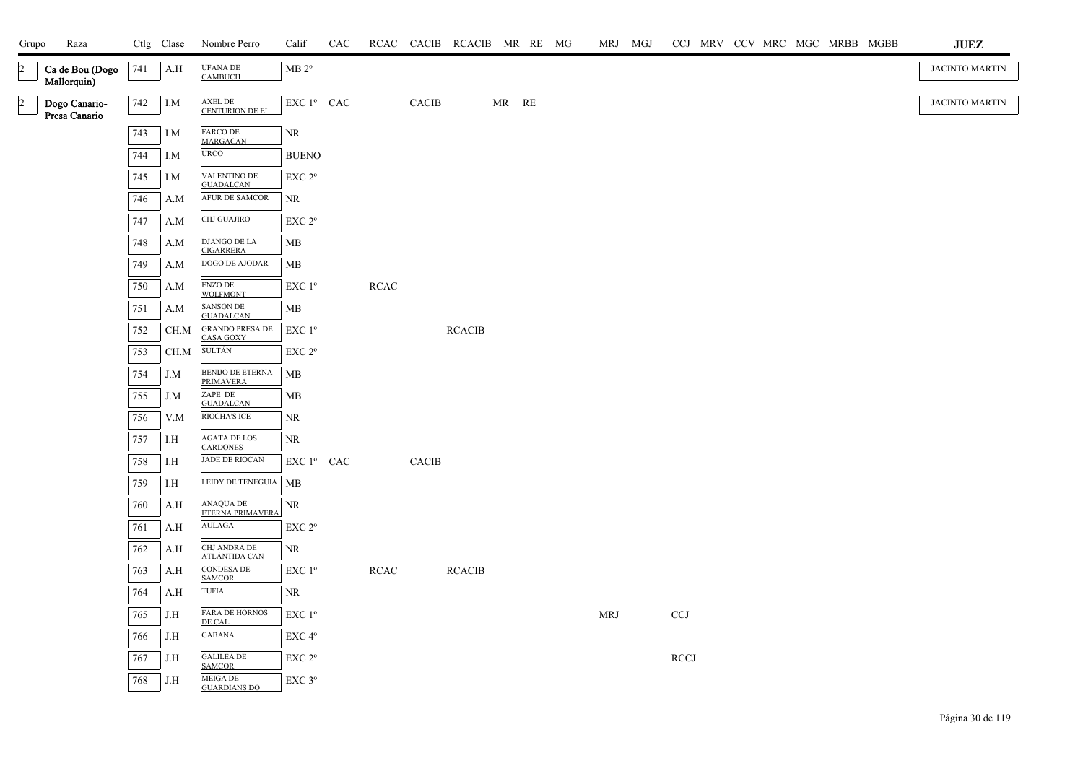| Grupo          | Raza                           |     | Ctlg Clase              | Nombre Perro                           | Calif                                                                   | CAC |            |                        | RCAC CACIB RCACIB MR RE MG |       |  | MRJ MGJ    |                           |  |  | CCJ MRV CCV MRC MGC MRBB MGBB | $\mathbf{JUEZ}$       |
|----------------|--------------------------------|-----|-------------------------|----------------------------------------|-------------------------------------------------------------------------|-----|------------|------------------------|----------------------------|-------|--|------------|---------------------------|--|--|-------------------------------|-----------------------|
| $\overline{2}$ | Ca de Bou (Dogo<br>Mallorquin) | 741 | $\mathbf{A}.\mathbf{H}$ | <b>UFANA DE</b><br><b>CAMBUCH</b>      | MB 2 <sup>o</sup>                                                       |     |            |                        |                            |       |  |            |                           |  |  |                               | <b>JACINTO MARTIN</b> |
| $\overline{2}$ | Dogo Canario-<br>Presa Canario | 742 | I.M                     | AXEL DE<br>CENTURION DE EL             | EXC 1º CAC                                                              |     |            | <b>CACIB</b>           |                            | MR RE |  |            |                           |  |  |                               | JACINTO MARTIN        |
|                |                                | 743 | I.M                     | FARCO DE<br><b>MARGACAN</b>            | $\rm NR$                                                                |     |            |                        |                            |       |  |            |                           |  |  |                               |                       |
|                |                                | 744 | I.M                     | <b>URCO</b>                            | <b>BUENO</b>                                                            |     |            |                        |                            |       |  |            |                           |  |  |                               |                       |
|                |                                | 745 | I.M                     | VALENTINO DE<br><b>GUADALCAN</b>       | EXC <sub>2°</sub>                                                       |     |            |                        |                            |       |  |            |                           |  |  |                               |                       |
|                |                                | 746 | A.M                     | <b>AFUR DE SAMCOR</b>                  | NR.                                                                     |     |            |                        |                            |       |  |            |                           |  |  |                               |                       |
|                |                                | 747 | A.M                     | CHJ GUAJIRO                            | EXC <sub>2°</sub>                                                       |     |            |                        |                            |       |  |            |                           |  |  |                               |                       |
|                |                                | 748 | A.M                     | DJANGO DE LA<br><b>CIGARRERA</b>       | MB                                                                      |     |            |                        |                            |       |  |            |                           |  |  |                               |                       |
|                |                                | 749 | A.M                     | DOGO DE AJODAR                         | ${\bf MB}$                                                              |     |            |                        |                            |       |  |            |                           |  |  |                               |                       |
|                |                                | 750 | A.M                     | <b>ENZO DE</b><br><b>WOLFMONT</b>      | EXC 1°                                                                  |     | RCAC       |                        |                            |       |  |            |                           |  |  |                               |                       |
|                |                                | 751 | A.M                     | SANSON DE<br><b>GUADALCAN</b>          | MB                                                                      |     |            |                        |                            |       |  |            |                           |  |  |                               |                       |
|                |                                | 752 | CH.M                    | <b>GRANDO PRESA DE</b><br>CASA GOXY    | EXC 1 <sup>o</sup>                                                      |     |            |                        | $\operatorname{RCACIB}$    |       |  |            |                           |  |  |                               |                       |
|                |                                | 753 | CH.M                    | <b>SULTÁN</b>                          | EXC 2°                                                                  |     |            |                        |                            |       |  |            |                           |  |  |                               |                       |
|                |                                | 754 | J.M                     | BENIJO DE ETERNA<br><b>PRIMAVERA</b>   | MB                                                                      |     |            |                        |                            |       |  |            |                           |  |  |                               |                       |
|                |                                | 755 | J.M                     | ZAPE DE<br><b>GUADALCAN</b>            | MB                                                                      |     |            |                        |                            |       |  |            |                           |  |  |                               |                       |
|                |                                | 756 | V.M                     | RIOCHA'S ICE                           | NR                                                                      |     |            |                        |                            |       |  |            |                           |  |  |                               |                       |
|                |                                | 757 | I.H                     | <b>AGATA DE LOS</b><br><b>CARDONES</b> | NR                                                                      |     |            |                        |                            |       |  |            |                           |  |  |                               |                       |
|                |                                | 758 | I.H                     | JADE DE RIOCAN                         | $\mathop{\rm EXC}\nolimits 1^{\mathfrak o}$ $\mathop{\rm CAC}\nolimits$ |     |            | $\operatorname{CACIB}$ |                            |       |  |            |                           |  |  |                               |                       |
|                |                                | 759 | $\rm I.H$               | LEIDY DE TENEGUIA   MB                 |                                                                         |     |            |                        |                            |       |  |            |                           |  |  |                               |                       |
|                |                                | 760 | A.H                     | ANAQUA DE<br>ETERNA PRIMAVERA          | $\rm NR$                                                                |     |            |                        |                            |       |  |            |                           |  |  |                               |                       |
|                |                                | 761 | A.H                     | AULAGA                                 | $\ensuremath{\mathrm{EXC}}$ $2^{\mathrm{o}}$                            |     |            |                        |                            |       |  |            |                           |  |  |                               |                       |
|                |                                | 762 | A.H                     | CHJ ANDRA DE<br><b>ATLÁNTIDA CAN</b>   | NR                                                                      |     |            |                        |                            |       |  |            |                           |  |  |                               |                       |
|                |                                | 763 | A.H                     | CONDESA DE<br><b>SAMCOR</b>            | $\ensuremath{\mathrm{EXC}}$ $1^{\mathrm{o}}$                            |     | $\sf RCAC$ |                        | $\sf RCACIB$               |       |  |            |                           |  |  |                               |                       |
|                |                                | 764 | A.H                     | TUFIA                                  | NR                                                                      |     |            |                        |                            |       |  |            |                           |  |  |                               |                       |
|                |                                | 765 | J.H                     | <b>FARA DE HORNOS</b><br>DE CAL        | EXC 1 <sup>o</sup>                                                      |     |            |                        |                            |       |  | <b>MRJ</b> | $\ensuremath{\text{CCJ}}$ |  |  |                               |                       |
|                |                                | 766 | $_{\rm J.H}$            | <b>GABANA</b>                          | $\ensuremath{\mathrm{EXC}}\,4^{\mathrm{o}}$                             |     |            |                        |                            |       |  |            |                           |  |  |                               |                       |
|                |                                | 767 | J.H                     | <b>GALILEA DE</b><br><b>SAMCOR</b>     | EXC 2°                                                                  |     |            |                        |                            |       |  |            | RCCI                      |  |  |                               |                       |
|                |                                | 768 | J.H                     | <b>MEIGA DE</b><br><b>GUARDIANS DO</b> | EXC 3°                                                                  |     |            |                        |                            |       |  |            |                           |  |  |                               |                       |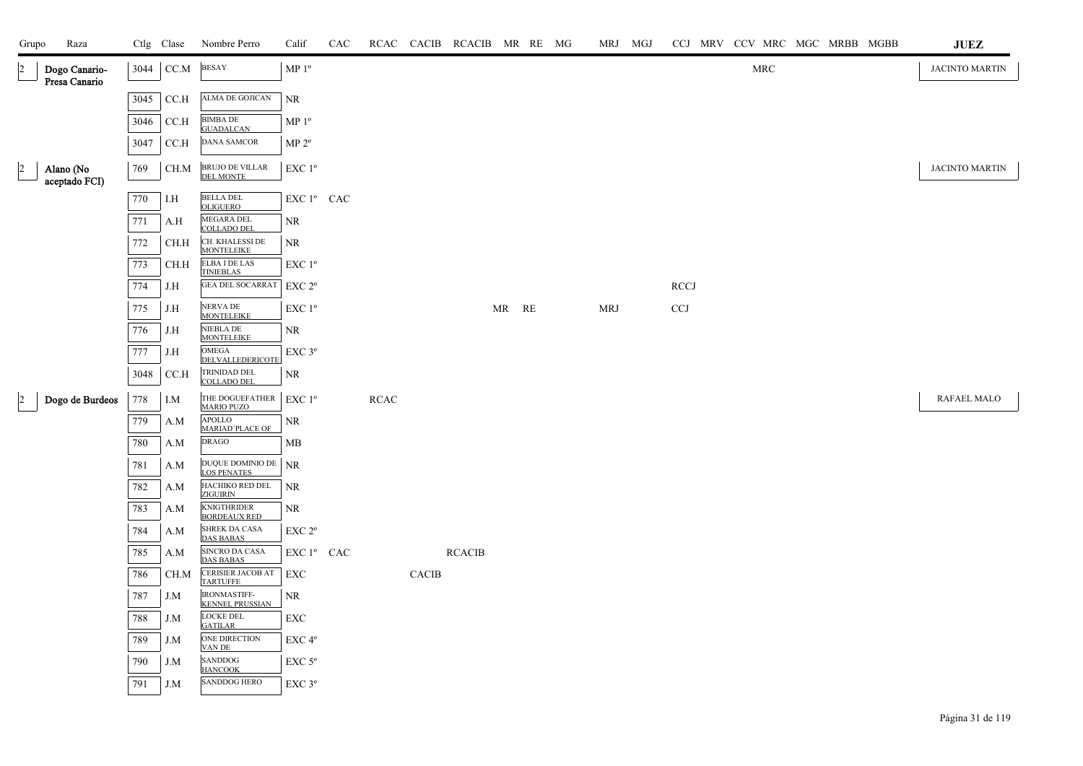| Grupo          | Raza                           |      | Ctlg Clase                                                      | Nombre Perro                                  | Calif                                        | CAC |      |       | RCAC CACIB RCACIB MR RE MG |       |  |            | MRJ MGJ |                           | CCJ MRV CCV MRC MGC MRBB MGBB |  |  | <b>JUEZ</b>    |
|----------------|--------------------------------|------|-----------------------------------------------------------------|-----------------------------------------------|----------------------------------------------|-----|------|-------|----------------------------|-------|--|------------|---------|---------------------------|-------------------------------|--|--|----------------|
| $\vert$ 2      | Dogo Canario-<br>Presa Canario | 3044 | $\ensuremath{\mathsf{CC}}\xspace\ensuremath{\mathsf{M}}\xspace$ | <b>BESAY</b>                                  | MP $1^{\rm o}$                               |     |      |       |                            |       |  |            |         |                           | $\operatorname{MRC}$          |  |  | JACINTO MARTIN |
|                |                                | 3045 | $\rm C C.H$                                                     | ALMA DE GOJICAN                               | $\rm NR$                                     |     |      |       |                            |       |  |            |         |                           |                               |  |  |                |
|                |                                | 3046 | CCA                                                             | <b>BIMBA DE</b><br><b>GUADALCAN</b>           | MP 1 <sup>o</sup>                            |     |      |       |                            |       |  |            |         |                           |                               |  |  |                |
|                |                                | 3047 | CCA                                                             | <b>DANA SAMCOR</b>                            | MP 2 <sup>o</sup>                            |     |      |       |                            |       |  |            |         |                           |                               |  |  |                |
| $\overline{2}$ | Alano (No<br>aceptado FCI)     | 769  | CH.M                                                            | BRUJO DE VILLAR<br><b>DEL MONTE</b>           | EXC 1 <sup>o</sup>                           |     |      |       |                            |       |  |            |         |                           |                               |  |  | JACINTO MARTIN |
|                |                                | 770  | I.H                                                             | BELLA DEL<br><b>OLIGUERO</b>                  | ${\rm EXC}$ $1^{\rm o}$ $\;$ CAC $\;$        |     |      |       |                            |       |  |            |         |                           |                               |  |  |                |
|                |                                | 771  | A.H                                                             | MEGARA DEL<br><b>COLLADO DEL</b>              | <b>NR</b>                                    |     |      |       |                            |       |  |            |         |                           |                               |  |  |                |
|                |                                | 772  | CH.H                                                            | CH. KHALESSI DE<br>MONTELEIKE                 | NR                                           |     |      |       |                            |       |  |            |         |                           |                               |  |  |                |
|                |                                | 773  | CH.H                                                            | ELBA I DE LAS<br><b>TINIEBLAS</b>             | EXC 1 <sup>o</sup>                           |     |      |       |                            |       |  |            |         |                           |                               |  |  |                |
|                |                                | 774  | J.H                                                             | <b>GEA DEL SOCARRAT</b>                       | EXC 2 <sup>o</sup>                           |     |      |       |                            |       |  |            |         | <b>RCCJ</b>               |                               |  |  |                |
|                |                                | 775  | J.H                                                             | NERVA DE<br><b>MONTELEIKE</b>                 | $\ensuremath{\mathrm{EXC}}$ $1^{\mathrm{o}}$ |     |      |       |                            | MR RE |  | <b>MRJ</b> |         | $\ensuremath{\text{CCJ}}$ |                               |  |  |                |
|                |                                | 776  | J.H                                                             | NIEBLA DE<br><b>MONTELEIKE</b>                | NR                                           |     |      |       |                            |       |  |            |         |                           |                               |  |  |                |
|                |                                | 777  | J.H                                                             | OMEGA<br>DELVALLEDERICOTE                     | $\ensuremath{\mathrm{EXC}}$ $3^{\mathrm{o}}$ |     |      |       |                            |       |  |            |         |                           |                               |  |  |                |
|                |                                | 3048 | CC.H                                                            | TRINIDAD DEL<br><b>COLLADO DEL</b>            | NR                                           |     |      |       |                            |       |  |            |         |                           |                               |  |  |                |
| $\overline{a}$ | Dogo de Burdeos                | 778  | $I.M$                                                           | THE DOGUEFATHER<br><b>MARIO PUZO</b>          | EXC 1 <sup>o</sup>                           |     | RCAC |       |                            |       |  |            |         |                           |                               |  |  | RAFAEL MALO    |
|                |                                | 779  | A.M                                                             | <b>APOLLO</b><br>MARIAD'PLACE OF              | NR                                           |     |      |       |                            |       |  |            |         |                           |                               |  |  |                |
|                |                                | 780  | A.M                                                             | <b>DRAGO</b>                                  | MB                                           |     |      |       |                            |       |  |            |         |                           |                               |  |  |                |
|                |                                | 781  | A.M                                                             | DUQUE DOMINIO DE<br><b>LOS PENATES</b>        | NR                                           |     |      |       |                            |       |  |            |         |                           |                               |  |  |                |
|                |                                | 782  | A.M                                                             | HACHIKO RED DEL<br><b>ZIGUIRIN</b>            | <b>NR</b>                                    |     |      |       |                            |       |  |            |         |                           |                               |  |  |                |
|                |                                | 783  | A.M                                                             | <b>KNIGTHRIDER</b><br><b>BORDEAUX RED</b>     | NR                                           |     |      |       |                            |       |  |            |         |                           |                               |  |  |                |
|                |                                | 784  | A.M                                                             | SHREK DA CASA<br><b>DAS BABAS</b>             | EXC <sub>2°</sub>                            |     |      |       |                            |       |  |            |         |                           |                               |  |  |                |
|                |                                | 785  | A.M                                                             | SINCRO DA CASA<br><b>DAS BABAS</b>            | EXC 1º CAC                                   |     |      |       | $\sf RCACIB$               |       |  |            |         |                           |                               |  |  |                |
|                |                                | 786  | CH.M                                                            | CERISIER JACOB AT<br>TARTUFFE                 | <b>EXC</b>                                   |     |      | CACIB |                            |       |  |            |         |                           |                               |  |  |                |
|                |                                | 787  | J.M                                                             | <b>IRONMASTIFF-</b><br><b>KENNEL PRUSSIAN</b> | $\rm NR$                                     |     |      |       |                            |       |  |            |         |                           |                               |  |  |                |
|                |                                | 788  | J.M                                                             | LOCKE DEL<br><b>GATILAR</b>                   | EXC                                          |     |      |       |                            |       |  |            |         |                           |                               |  |  |                |
|                |                                | 789  | J.M                                                             | ONE DIRECTION<br>VAN DE                       | EXC 4°                                       |     |      |       |                            |       |  |            |         |                           |                               |  |  |                |
|                |                                | 790  | J.M                                                             | SANDDOG<br><b>HANCOOK</b>                     | EXC 5°                                       |     |      |       |                            |       |  |            |         |                           |                               |  |  |                |
|                |                                | 791  | J.M                                                             | <b>SANDDOG HERO</b>                           | EXC 3°                                       |     |      |       |                            |       |  |            |         |                           |                               |  |  |                |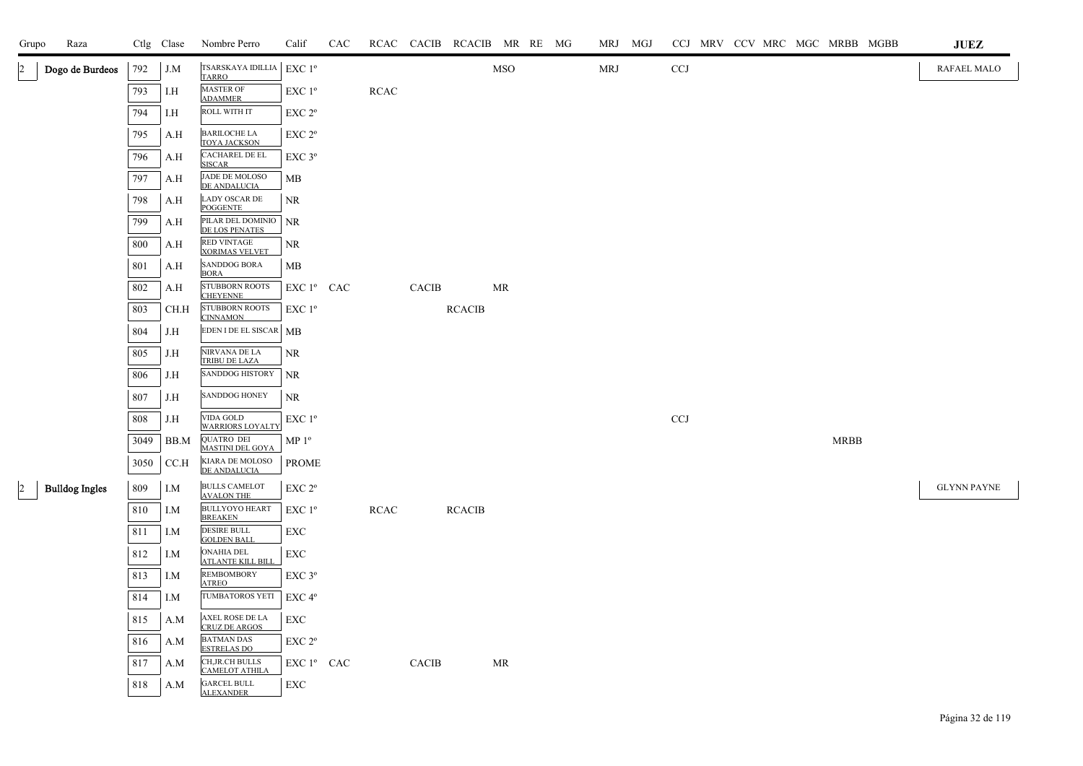| Grupo          | Raza                  |      | Ctlg Clase | Nombre Perro                                  | Calif              | CAC |             |              | RCAC CACIB RCACIB MR RE MG |           |  | MRJ MGJ |              |  |  |             | CCJ MRV CCV MRC MGC MRBB MGBB | <b>JUEZ</b>        |
|----------------|-----------------------|------|------------|-----------------------------------------------|--------------------|-----|-------------|--------------|----------------------------|-----------|--|---------|--------------|--|--|-------------|-------------------------------|--------------------|
| $\overline{2}$ | Dogo de Burdeos       | 792  | J.M        | TSARSKAYA IDILLIA<br><b>TARRO</b>             | $EXC1^{\circ}$     |     |             |              |                            | MSO       |  | MRJ     | CCJ          |  |  |             |                               | RAFAEL MALO        |
|                |                       | 793  | I.H        | MASTER OF<br><b>ADAMMER</b>                   | EXC 1 <sup>o</sup> |     | <b>RCAC</b> |              |                            |           |  |         |              |  |  |             |                               |                    |
|                |                       | 794  | I.H        | ROLL WITH IT                                  | EXC 2 <sup>o</sup> |     |             |              |                            |           |  |         |              |  |  |             |                               |                    |
|                |                       | 795  | A.H        | <b>BARILOCHE LA</b><br><b>TOYA JACKSON</b>    | EXC 2°             |     |             |              |                            |           |  |         |              |  |  |             |                               |                    |
|                |                       | 796  | A.H        | CACHAREL DE EL<br><b>SISCAR</b>               | EXC 3°             |     |             |              |                            |           |  |         |              |  |  |             |                               |                    |
|                |                       | 797  | A.H        | JADE DE MOLOSO<br>DE ANDALUCIA                | МB                 |     |             |              |                            |           |  |         |              |  |  |             |                               |                    |
|                |                       | 798  | A.H        | <b>LADY OSCAR DE</b><br><b>POGGENTE</b>       | NR                 |     |             |              |                            |           |  |         |              |  |  |             |                               |                    |
|                |                       | 799  | A.H        | PILAR DEL DOMINIO<br>DE LOS PENATES           | <b>NR</b>          |     |             |              |                            |           |  |         |              |  |  |             |                               |                    |
|                |                       | 800  | A.H        | RED VINTAGE<br><b>XORIMAS VELVET</b>          | NR                 |     |             |              |                            |           |  |         |              |  |  |             |                               |                    |
|                |                       | 801  | A.H        | SANDDOG BORA<br><b>BORA</b>                   | MB                 |     |             |              |                            |           |  |         |              |  |  |             |                               |                    |
|                |                       | 802  | A.H        | STUBBORN ROOTS<br><b>CHEYENNE</b>             | EXC 1º CAC         |     |             | <b>CACIB</b> |                            | <b>MR</b> |  |         |              |  |  |             |                               |                    |
|                |                       | 803  | CH.H       | STUBBORN ROOTS<br><b>CINNAMON</b>             | $EXC1^{\circ}$     |     |             |              | <b>RCACIB</b>              |           |  |         |              |  |  |             |                               |                    |
|                |                       | 804  | J.H        | EDEN I DE EL SISCAR   MB                      |                    |     |             |              |                            |           |  |         |              |  |  |             |                               |                    |
|                |                       | 805  | J.H        | NIRVANA DE LA<br>TRIBU DE LAZA                | <b>NR</b>          |     |             |              |                            |           |  |         |              |  |  |             |                               |                    |
|                |                       | 806  | J.H        | <b>SANDDOG HISTORY</b>                        | <b>NR</b>          |     |             |              |                            |           |  |         |              |  |  |             |                               |                    |
|                |                       | 807  | J.H        | <b>SANDDOG HONEY</b>                          | <b>NR</b>          |     |             |              |                            |           |  |         |              |  |  |             |                               |                    |
|                |                       | 808  | J.H        | VIDA GOLD<br><b>WARRIORS LOYALTY</b>          | EXC 1 <sup>o</sup> |     |             |              |                            |           |  |         | $_{\rm CCJ}$ |  |  |             |                               |                    |
|                |                       | 3049 | BB.M       | QUATRO DEI<br>MASTINI DEL GOYA                | $MP 1^{\circ}$     |     |             |              |                            |           |  |         |              |  |  | <b>MRBB</b> |                               |                    |
|                |                       | 3050 | CCA        | KIARA DE MOLOSO<br>DE ANDALUCIA               | <b>PROME</b>       |     |             |              |                            |           |  |         |              |  |  |             |                               |                    |
| $\vert$ 2      | <b>Bulldog Ingles</b> | 809  | I.M        | <b>BULLS CAMELOT</b><br><b>AVALON THE</b>     | EXC 2°             |     |             |              |                            |           |  |         |              |  |  |             |                               | <b>GLYNN PAYNE</b> |
|                |                       | 810  | I.M        | <b>BULLYOYO HEART</b><br><b>BREAKEN</b>       | $EXC1^{\circ}$     |     | <b>RCAC</b> |              | <b>RCACIB</b>              |           |  |         |              |  |  |             |                               |                    |
|                |                       | 811  | I.M        | <b>DESIRE BULL</b><br><b>GOLDEN BALL</b>      | EXC                |     |             |              |                            |           |  |         |              |  |  |             |                               |                    |
|                |                       | 812  | I.M        | <b>ONAHIA DEL</b><br><b>ATLANTE KILL BILL</b> | EXC                |     |             |              |                            |           |  |         |              |  |  |             |                               |                    |
|                |                       | 813  | I.M        | <b>REMBOMBORY</b><br><b>ATREO</b>             | EXC 3°             |     |             |              |                            |           |  |         |              |  |  |             |                               |                    |
|                |                       | 814  | I.M        | TUMBATOROS YETI                               | EXC 4°             |     |             |              |                            |           |  |         |              |  |  |             |                               |                    |
|                |                       | 815  | A.M        | AXEL ROSE DE LA<br>CRUZ DE ARGOS              | <b>EXC</b>         |     |             |              |                            |           |  |         |              |  |  |             |                               |                    |
|                |                       | 816  | A.M        | <b>BATMAN DAS</b><br><b>ESTRELAS DO</b>       | EXC <sub>2°</sub>  |     |             |              |                            |           |  |         |              |  |  |             |                               |                    |
|                |                       | 817  | A.M        | CH, JR.CH BULLS<br><b>CAMELOT ATHILA</b>      | EXC 1º CAC         |     |             | CACIB        |                            | MR        |  |         |              |  |  |             |                               |                    |
|                |                       | 818  | A.M        | <b>GARCEL BULL</b><br><b>ALEXANDER</b>        | EXC                |     |             |              |                            |           |  |         |              |  |  |             |                               |                    |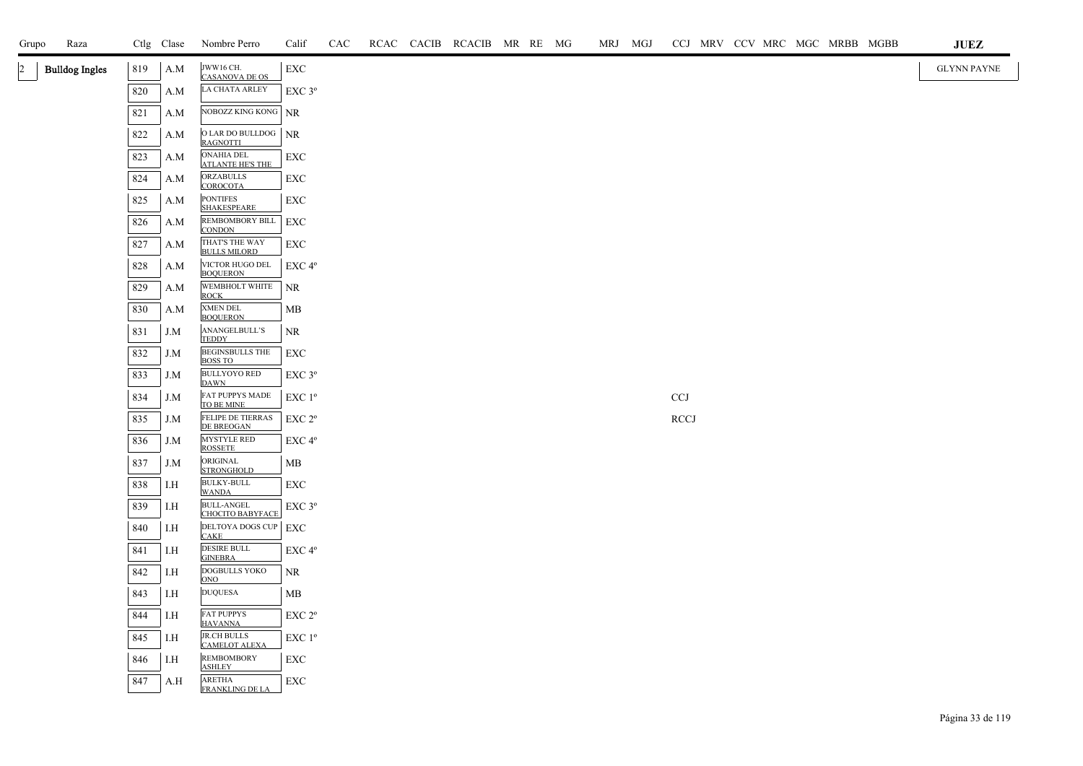| Grupo        | Raza                  |            | Ctlg Clase | Nombre Perro                                              | Calif                    | CAC |  | RCAC CACIB RCACIB MR RE MG |  | MRJ MGJ |                           |  |  | CCJ MRV CCV MRC MGC MRBB MGBB | $\mathbf{J}\mathbf{U}\mathbf{E}\mathbf{Z}$ |
|--------------|-----------------------|------------|------------|-----------------------------------------------------------|--------------------------|-----|--|----------------------------|--|---------|---------------------------|--|--|-------------------------------|--------------------------------------------|
| $\mathbf{2}$ | <b>Bulldog Ingles</b> | 819        | A.M        | JWW16 CH.<br><b>CASANOVA DE OS</b>                        | ${\rm EXC}$              |     |  |                            |  |         |                           |  |  |                               | <b>GLYNN PAYNE</b>                         |
|              |                       | 820        | A.M        | LA CHATA ARLEY                                            | EXC 3°                   |     |  |                            |  |         |                           |  |  |                               |                                            |
|              |                       | 821        | A.M        | NOBOZZ KING KONG NR                                       |                          |     |  |                            |  |         |                           |  |  |                               |                                            |
|              |                       | 822        | A.M        | O LAR DO BULLDOG<br><b>RAGNOTTI</b>                       | NR                       |     |  |                            |  |         |                           |  |  |                               |                                            |
|              |                       | 823        | A.M        | ONAHIA DEL<br><b>ATLANTE HE'S THE</b>                     | EXC                      |     |  |                            |  |         |                           |  |  |                               |                                            |
|              |                       | 824        | A.M        | ORZABULLS<br>COROCOTA                                     | <b>EXC</b>               |     |  |                            |  |         |                           |  |  |                               |                                            |
|              |                       | 825        | A.M        | <b>PONTIFES</b><br><b>SHAKESPEARE</b>                     | EXC                      |     |  |                            |  |         |                           |  |  |                               |                                            |
|              |                       | 826        | A.M        | REMBOMBORY BILL<br><b>CONDON</b>                          | EXC                      |     |  |                            |  |         |                           |  |  |                               |                                            |
|              |                       | 827        | A.M        | THAT'S THE WAY<br><b>BULLS MILORD</b>                     | EXC                      |     |  |                            |  |         |                           |  |  |                               |                                            |
|              |                       | 828        | A.M        | VICTOR HUGO DEL<br><b>BOQUERON</b>                        | EXC 4°                   |     |  |                            |  |         |                           |  |  |                               |                                            |
|              |                       | 829        | A.M        | WEMBHOLT WHITE<br><b>ROCK</b>                             | <b>NR</b>                |     |  |                            |  |         |                           |  |  |                               |                                            |
|              |                       | 830        | A.M        | XMEN DEL<br><b>BOQUERON</b>                               | МB                       |     |  |                            |  |         |                           |  |  |                               |                                            |
|              |                       | 831        | J.M        | ANANGELBULL'S<br><b>TEDDY</b>                             | NR                       |     |  |                            |  |         |                           |  |  |                               |                                            |
|              |                       | 832        | J.M        | <b>BEGINSBULLS THE</b><br><b>BOSS TO</b>                  | <b>EXC</b>               |     |  |                            |  |         |                           |  |  |                               |                                            |
|              |                       | 833        | J.M        | <b>BULLYOYO RED</b><br><b>DAWN</b>                        | EXC 3°                   |     |  |                            |  |         |                           |  |  |                               |                                            |
|              |                       | 834        | J.M        | FAT PUPPYS MADE<br>TO BE MINE                             | EXC 1 <sup>o</sup>       |     |  |                            |  |         | $\ensuremath{\text{CCJ}}$ |  |  |                               |                                            |
|              |                       | 835        | J.M        | FELIPE DE TIERRAS<br>DE BREOGAN                           | EXC 2°                   |     |  |                            |  |         | <b>RCCJ</b>               |  |  |                               |                                            |
|              |                       | 836        | J.M        | MYSTYLE RED<br><b>ROSSETE</b>                             | EXC 4°                   |     |  |                            |  |         |                           |  |  |                               |                                            |
|              |                       | 837        | J.M        | ORIGINAL<br><b>STRONGHOLD</b>                             | MВ                       |     |  |                            |  |         |                           |  |  |                               |                                            |
|              |                       | 838        | I.H        | <b>BULKY-BULL</b><br><b>WANDA</b>                         | EXC                      |     |  |                            |  |         |                           |  |  |                               |                                            |
|              |                       | 839        | I.H        | <b>BULL-ANGEL</b><br><b>CHOCITO BABYFACE</b>              | $EXC$ 3°                 |     |  |                            |  |         |                           |  |  |                               |                                            |
|              |                       | 840        | I.H        | DELTOYA DOGS CUP EXC<br><b>CAKE</b><br><b>DESIRE BULL</b> |                          |     |  |                            |  |         |                           |  |  |                               |                                            |
|              |                       | 841        | I.H        | <b>GINEBRA</b><br><b>DOGBULLS YOKO</b>                    | $EXC 4^{\circ}$          |     |  |                            |  |         |                           |  |  |                               |                                            |
|              |                       | 842<br>843 | I.H<br>I.H | ONO<br><b>DUQUESA</b>                                     | NR                       |     |  |                            |  |         |                           |  |  |                               |                                            |
|              |                       | 844        | I.H        | <b>FAT PUPPYS</b>                                         | MB<br>EXC 2 <sup>o</sup> |     |  |                            |  |         |                           |  |  |                               |                                            |
|              |                       | 845        | I.H        | <b>HAVANNA</b><br><b>JR.CH BULLS</b>                      | $EXC1^{\circ}$           |     |  |                            |  |         |                           |  |  |                               |                                            |
|              |                       | 846        | I.H        | <b>CAMELOT ALEXA</b><br><b>REMBOMBORY</b>                 | EXC                      |     |  |                            |  |         |                           |  |  |                               |                                            |
|              |                       | 847        | A.H        | <b>ASHLEY</b><br>ARETHA                                   | ${\rm EXC}$              |     |  |                            |  |         |                           |  |  |                               |                                            |
|              |                       |            |            | FRANKLING DE LA                                           |                          |     |  |                            |  |         |                           |  |  |                               |                                            |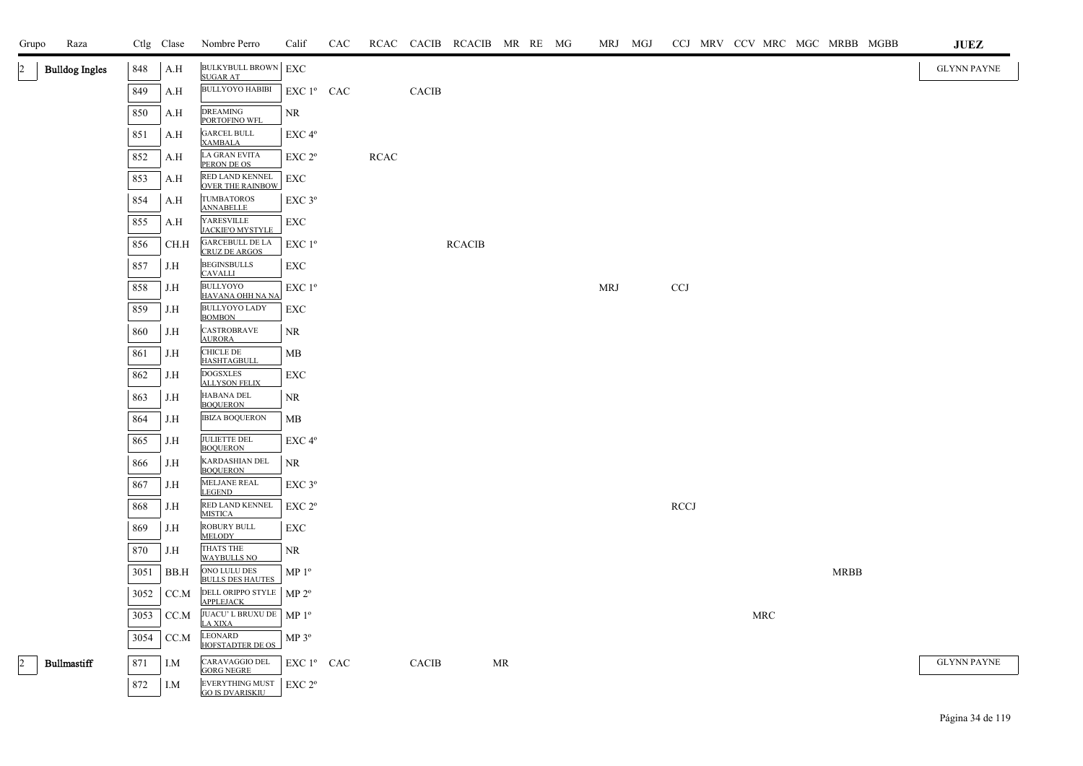| Grupo          | Raza                  |      | Ctlg Clase | Nombre Perro                                                      | Calif              | CAC |             |              | RCAC CACIB RCACIB MR RE MG |    |  | MRJ MGJ    |             |  |            |             | CCJ MRV CCV MRC MGC MRBB MGBB | <b>JUEZ</b>        |
|----------------|-----------------------|------|------------|-------------------------------------------------------------------|--------------------|-----|-------------|--------------|----------------------------|----|--|------------|-------------|--|------------|-------------|-------------------------------|--------------------|
| 2              | <b>Bulldog Ingles</b> | 848  | A.H        | <b>BULKYBULL BROWN</b> EXC                                        |                    |     |             |              |                            |    |  |            |             |  |            |             |                               | <b>GLYNN PAYNE</b> |
|                |                       | 849  | A.H        | <b>SUGAR AT</b><br><b>BULLYOYO HABIBI</b>                         | EXC 1º CAC         |     |             | CACIB        |                            |    |  |            |             |  |            |             |                               |                    |
|                |                       | 850  | A.H        | <b>DREAMING</b><br>PORTOFINO WFL                                  | <b>NR</b>          |     |             |              |                            |    |  |            |             |  |            |             |                               |                    |
|                |                       | 851  | A.H        | <b>GARCEL BULL</b><br><b>XAMBALA</b>                              | EXC <sup>4°</sup>  |     |             |              |                            |    |  |            |             |  |            |             |                               |                    |
|                |                       | 852  | A.H        | LA GRAN EVITA<br>PERON DE OS                                      | EXC <sub>2°</sub>  |     | <b>RCAC</b> |              |                            |    |  |            |             |  |            |             |                               |                    |
|                |                       | 853  | A.H        | RED LAND KENNEL<br><b>OVER THE RAINBOW</b>                        | EXC                |     |             |              |                            |    |  |            |             |  |            |             |                               |                    |
|                |                       | 854  | A.H        | <b>TUMBATOROS</b><br><b>ANNABELLE</b>                             | EXC 3°             |     |             |              |                            |    |  |            |             |  |            |             |                               |                    |
|                |                       | 855  | A.H        | YARESVILLE<br><b>JACKIE'O MYSTYLE</b>                             | <b>EXC</b>         |     |             |              |                            |    |  |            |             |  |            |             |                               |                    |
|                |                       | 856  | CH.H       | <b>GARCEBULL DE LA</b><br><b>CRUZ DE ARGOS</b>                    | $EXC1^{\circ}$     |     |             |              | <b>RCACIB</b>              |    |  |            |             |  |            |             |                               |                    |
|                |                       | 857  | J.H        | <b>BEGINSBULLS</b><br><b>CAVALLI</b>                              | EXC                |     |             |              |                            |    |  |            |             |  |            |             |                               |                    |
|                |                       | 858  | J.H        | <b>BULLYOYO</b><br>HAVANA OHH NA NA                               | EXC 1 <sup>o</sup> |     |             |              |                            |    |  | <b>MRJ</b> | <b>CCJ</b>  |  |            |             |                               |                    |
|                |                       | 859  | J.H        | <b>BULLYOYO LADY</b><br><b>BOMBON</b>                             | EXC                |     |             |              |                            |    |  |            |             |  |            |             |                               |                    |
|                |                       | 860  | J.H        | <b>CASTROBRAVE</b><br><b>AURORA</b>                               | <b>NR</b>          |     |             |              |                            |    |  |            |             |  |            |             |                               |                    |
|                |                       | 861  | J.H        | CHICLE DE<br><b>HASHTAGBULL</b>                                   | MB                 |     |             |              |                            |    |  |            |             |  |            |             |                               |                    |
|                |                       | 862  | J.H        | <b>DOGSXLES</b><br><b>ALLYSON FELIX</b>                           | EXC                |     |             |              |                            |    |  |            |             |  |            |             |                               |                    |
|                |                       | 863  | J.H        | HABANA DEL<br><b>BOQUERON</b>                                     | <b>NR</b>          |     |             |              |                            |    |  |            |             |  |            |             |                               |                    |
|                |                       | 864  | J.H        | <b>IBIZA BOQUERON</b>                                             | MB                 |     |             |              |                            |    |  |            |             |  |            |             |                               |                    |
|                |                       | 865  | J.H        | JULIETTE DEL<br><b>BOQUERON</b>                                   | EXC <sub>4°</sub>  |     |             |              |                            |    |  |            |             |  |            |             |                               |                    |
|                |                       | 866  | J.H        | KARDASHIAN DEL<br><b>BOQUERON</b>                                 | <b>NR</b>          |     |             |              |                            |    |  |            |             |  |            |             |                               |                    |
|                |                       | 867  | J.H        | MELJANE REAL<br><b>LEGEND</b>                                     | EXC <sub>3°</sub>  |     |             |              |                            |    |  |            |             |  |            |             |                               |                    |
|                |                       | 868  | J.H        | RED LAND KENNEL<br><b>MISTICA</b>                                 | EXC 2 <sup>o</sup> |     |             |              |                            |    |  |            | <b>RCCJ</b> |  |            |             |                               |                    |
|                |                       | 869  | J.H        | <b>ROBURY BULL</b><br><b>MELODY</b>                               | <b>EXC</b>         |     |             |              |                            |    |  |            |             |  |            |             |                               |                    |
|                |                       | 870  | J.H        | THATS THE<br><b>WAYBULLS NO</b><br>ONO LULU DES                   | <b>NR</b>          |     |             |              |                            |    |  |            |             |  |            |             |                               |                    |
|                |                       | 3051 | BB.H       | <b>BULLS DES HAUTES</b>                                           | MP <sup>0</sup>    |     |             |              |                            |    |  |            |             |  |            | <b>MRBB</b> |                               |                    |
|                |                       | 3052 | CC.M       | DELL ORIPPO STYLE<br><b>APPLEJACK</b><br>JUACU'L BRUXU DE   MP 1º | MP 2 <sup>o</sup>  |     |             |              |                            |    |  |            |             |  |            |             |                               |                    |
|                |                       | 3053 | CC.M       | LA XIXA<br><b>LEONARD</b>                                         |                    |     |             |              |                            |    |  |            |             |  | <b>MRC</b> |             |                               |                    |
|                |                       | 3054 | CC.M       | <b>HOFSTADTER DE OS</b>                                           | $MP 3^{\circ}$     |     |             |              |                            |    |  |            |             |  |            |             |                               |                    |
| $\overline{2}$ | <b>Bullmastiff</b>    | 871  | I.M        | CARAVAGGIO DEL<br><b>GORG NEGRE</b>                               | EXC 1º CAC         |     |             | <b>CACIB</b> |                            | MR |  |            |             |  |            |             |                               | <b>GLYNN PAYNE</b> |
|                |                       | 872  | I.M        | EVERYTHING MUST<br><b>GO IS DVARISKIU</b>                         | EXC 2 <sup>o</sup> |     |             |              |                            |    |  |            |             |  |            |             |                               |                    |

Página 34 de 119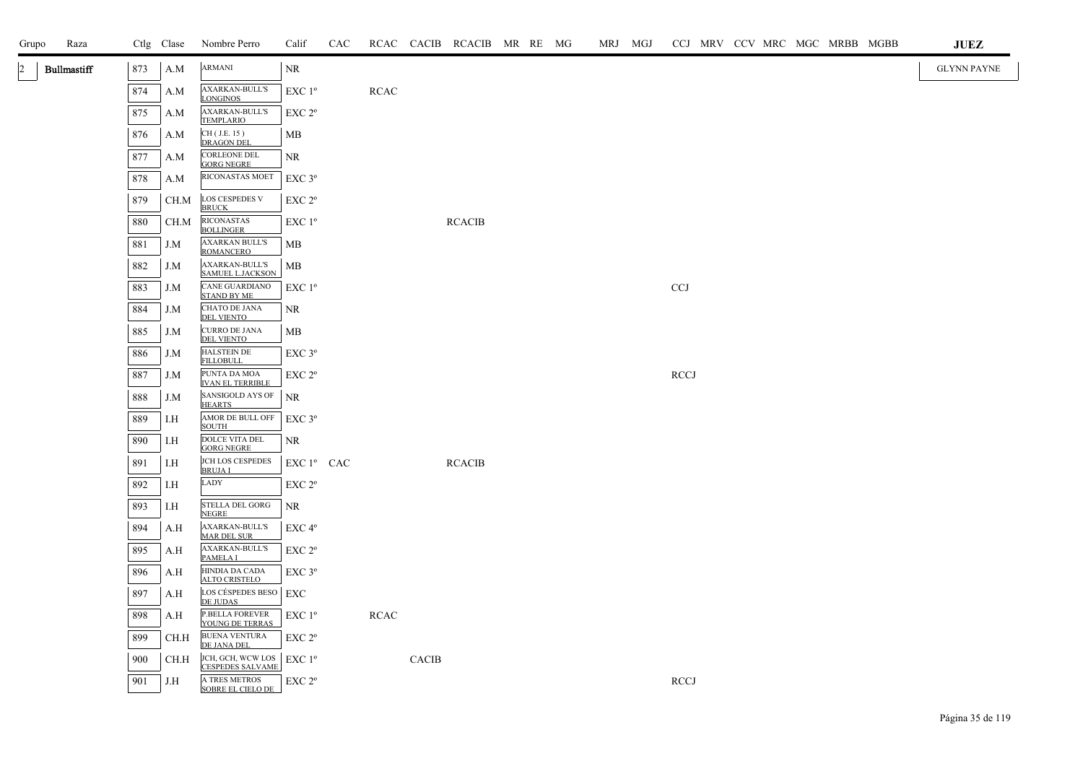| Grupo | Raza               |     | Ctlg Clase | Nombre Perro                                                        | Calif              | CAC |             |              | RCAC CACIB RCACIB MR RE MG |  | MRJ MGJ |             |  |  | CCJ MRV CCV MRC MGC MRBB MGBB | <b>JUEZ</b>        |  |
|-------|--------------------|-----|------------|---------------------------------------------------------------------|--------------------|-----|-------------|--------------|----------------------------|--|---------|-------------|--|--|-------------------------------|--------------------|--|
| 2     | <b>Bullmastiff</b> | 873 | A.M        | <b>ARMANI</b>                                                       | NR                 |     |             |              |                            |  |         |             |  |  |                               | <b>GLYNN PAYNE</b> |  |
|       |                    | 874 | A.M        | <b>AXARKAN-BULL'S</b><br>LONGINOS                                   | EXC 1 <sup>o</sup> |     | <b>RCAC</b> |              |                            |  |         |             |  |  |                               |                    |  |
|       |                    | 875 | A.M        | AXARKAN-BULL'S<br><b>TEMPLARIO</b>                                  | EXC 2°             |     |             |              |                            |  |         |             |  |  |                               |                    |  |
|       |                    | 876 | A.M        | CH (J.E. 15)<br><b>DRAGON DEL</b>                                   | MB                 |     |             |              |                            |  |         |             |  |  |                               |                    |  |
|       |                    | 877 | A.M        | CORLEONE DEL<br>GORG NEGRE                                          | NR.                |     |             |              |                            |  |         |             |  |  |                               |                    |  |
|       |                    | 878 | A.M        | RICONASTAS MOET                                                     | $EXC$ $3^{\circ}$  |     |             |              |                            |  |         |             |  |  |                               |                    |  |
|       |                    | 879 | CH.M       | LOS CESPEDES V<br><b>BRUCK</b>                                      | EXC 2°             |     |             |              |                            |  |         |             |  |  |                               |                    |  |
|       |                    | 880 | CH.M       | <b>RICONASTAS</b><br><b>BOLLINGER</b>                               | EXC 1 <sup>o</sup> |     |             |              | <b>RCACIB</b>              |  |         |             |  |  |                               |                    |  |
|       |                    | 881 | J.M        | <b>AXARKAN BULL'S</b><br><b>ROMANCERO</b>                           | MB                 |     |             |              |                            |  |         |             |  |  |                               |                    |  |
|       |                    | 882 | J.M        | <b>AXARKAN-BULL'S</b><br><b>SAMUEL L.JACKSON</b>                    | MB                 |     |             |              |                            |  |         |             |  |  |                               |                    |  |
|       |                    | 883 | J.M        | CANE GUARDIANO<br><b>STAND BY ME</b>                                | $EXC1^{\circ}$     |     |             |              |                            |  |         | <b>CCJ</b>  |  |  |                               |                    |  |
|       |                    | 884 | J.M        | CHATO DE JANA<br><b>DEL VIENTO</b>                                  | NR                 |     |             |              |                            |  |         |             |  |  |                               |                    |  |
|       |                    | 885 | J.M        | <b>CURRO DE JANA</b><br><b>DEL VIENTO</b>                           | МB                 |     |             |              |                            |  |         |             |  |  |                               |                    |  |
|       |                    | 886 | J.M        | HALSTEIN DE<br><b>FILLOBULL</b>                                     | $EXC$ 3°           |     |             |              |                            |  |         |             |  |  |                               |                    |  |
|       |                    | 887 | J.M        | PUNTA DA MOA<br><b>IVAN EL TERRIBLE</b>                             | EXC 2 <sup>o</sup> |     |             |              |                            |  |         | <b>RCCJ</b> |  |  |                               |                    |  |
|       |                    | 888 | J.M        | SANSIGOLD AYS OF<br><b>HEARTS</b>                                   | <b>NR</b>          |     |             |              |                            |  |         |             |  |  |                               |                    |  |
|       |                    | 889 | I.H        | AMOR DE BULL OFF<br><b>SOUTH</b>                                    | $EXC$ 3°           |     |             |              |                            |  |         |             |  |  |                               |                    |  |
|       |                    | 890 | I.H        | DOLCE VITA DEL<br><b>GORG NEGRE</b>                                 | NR                 |     |             |              |                            |  |         |             |  |  |                               |                    |  |
|       |                    | 891 | I.H        | JCH LOS CESPEDES<br><b>BRUJAI</b>                                   | $EXC1^{\circ}$ CAC |     |             |              | <b>RCACIB</b>              |  |         |             |  |  |                               |                    |  |
|       |                    | 892 | I.H        | LADY                                                                | EXC 2°             |     |             |              |                            |  |         |             |  |  |                               |                    |  |
|       |                    | 893 | I.H        | STELLA DEL GORG<br><b>NEGRE</b>                                     | <b>NR</b>          |     |             |              |                            |  |         |             |  |  |                               |                    |  |
|       |                    | 894 | A.H        | <b>AXARKAN-BULL'S</b><br><b>MAR DEL SUR</b>                         | EXC 4°             |     |             |              |                            |  |         |             |  |  |                               |                    |  |
|       |                    | 895 | A.H        | <b>AXARKAN-BULL'S</b><br>PAMELA I                                   | EXC 2°             |     |             |              |                            |  |         |             |  |  |                               |                    |  |
|       |                    | 896 | A.H        | HINDIA DA CADA<br>ALTO CRISTELO                                     | $EXC$ $3^{\circ}$  |     |             |              |                            |  |         |             |  |  |                               |                    |  |
|       |                    | 897 | A.H        | LOS CÉSPEDES BESO   EXC<br>DE JUDAS                                 |                    |     |             |              |                            |  |         |             |  |  |                               |                    |  |
|       |                    | 898 | A.H        | P.BELLA FOREVER<br>YOUNG DE TERRAS                                  | $EXC1^{\circ}$     |     | <b>RCAC</b> |              |                            |  |         |             |  |  |                               |                    |  |
|       |                    | 899 | CH.H       | <b>BUENA VENTURA</b><br>DE JANA DEL                                 | EXC 2 <sup>o</sup> |     |             |              |                            |  |         |             |  |  |                               |                    |  |
|       |                    | 900 | CH.H       | JCH, GCH, WCW LOS $ $ EXC 1 <sup>o</sup><br><b>CESPEDES SALVAME</b> |                    |     |             | <b>CACIB</b> |                            |  |         |             |  |  |                               |                    |  |
|       |                    | 901 | J.H        | A TRES METROS<br>SOBRE EL CIELO DE                                  | EXC 2 <sup>o</sup> |     |             |              |                            |  |         | <b>RCCJ</b> |  |  |                               |                    |  |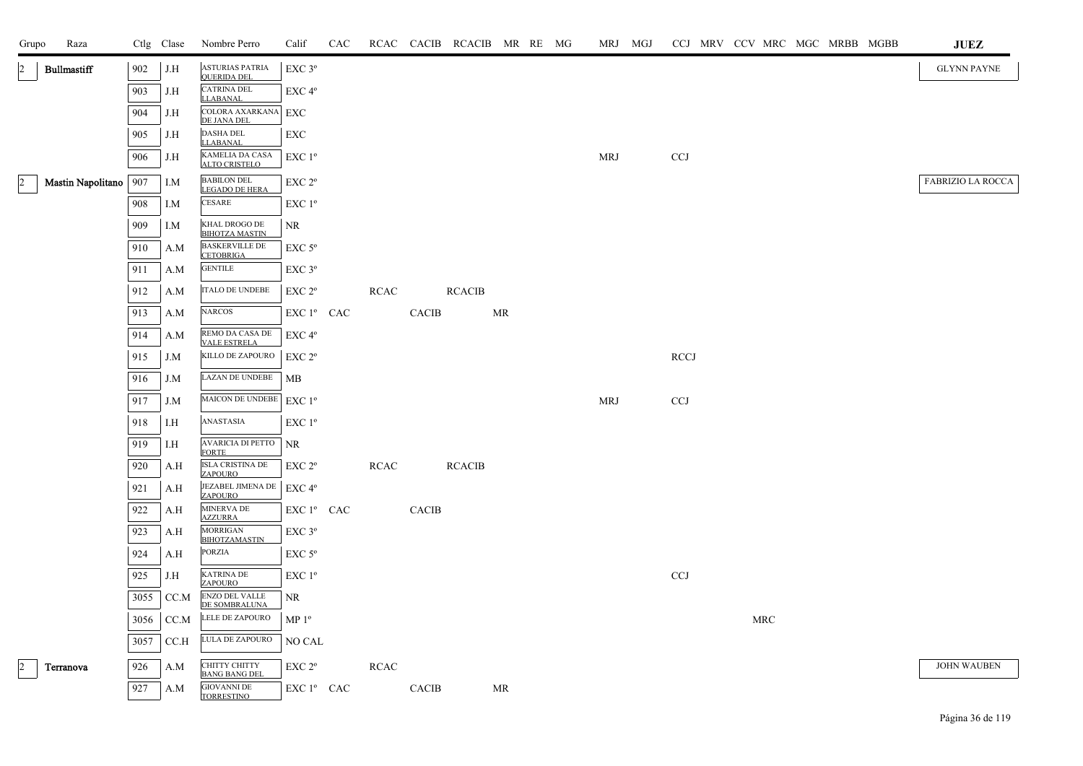| Grupo | Raza                    |      | Ctlg Clase | Nombre Perro                                 | Calif                                        | CAC |             |       | RCAC CACIB RCACIB MR RE MG |           |  | MRJ MGJ    | CCJ MRV CCV MRC MGC MRBB MGBB |                      |  |  | $\mathbf{J}\mathbf{U}\mathbf{E}\mathbf{Z}$ |
|-------|-------------------------|------|------------|----------------------------------------------|----------------------------------------------|-----|-------------|-------|----------------------------|-----------|--|------------|-------------------------------|----------------------|--|--|--------------------------------------------|
|       | <b>Bullmastiff</b>      | 902  | J.H        | <b>ASTURIAS PATRIA</b><br><b>QUERIDA DEL</b> | EXC 3°                                       |     |             |       |                            |           |  |            |                               |                      |  |  | <b>GLYNN PAYNE</b>                         |
|       |                         | 903  | J.H        | <b>CATRINA DEL</b><br><b>LLABANAL</b>        | EXC 4°                                       |     |             |       |                            |           |  |            |                               |                      |  |  |                                            |
|       |                         | 904  | J.H        | COLORA AXARKANA EXC<br>DE JANA DEL           |                                              |     |             |       |                            |           |  |            |                               |                      |  |  |                                            |
|       |                         | 905  | J.H        | <b>DASHA DEL</b><br><b>LLABANAL</b>          | EXC                                          |     |             |       |                            |           |  |            |                               |                      |  |  |                                            |
|       |                         | 906  | J.H        | KAMELIA DA CASA<br><b>ALTO CRISTELO</b>      | $EXC1^{\circ}$                               |     |             |       |                            |           |  | MRJ        | <b>CCJ</b>                    |                      |  |  |                                            |
|       | Mastin Napolitano   907 |      | I.M        | <b>BABILON DEL</b>                           | EXC 2°                                       |     |             |       |                            |           |  |            |                               |                      |  |  | <b>FABRIZIO LA ROCCA</b>                   |
|       |                         | 908  | I.M        | LEGADO DE HERA<br>CESARE                     | EXC 1 <sup>o</sup>                           |     |             |       |                            |           |  |            |                               |                      |  |  |                                            |
|       |                         | 909  | I.M        | KHAL DROGO DE<br><b>BIHOTZA MASTIN</b>       | NR                                           |     |             |       |                            |           |  |            |                               |                      |  |  |                                            |
|       |                         | 910  | A.M        | <b>BASKERVILLE DE</b><br><b>CETOBRIGA</b>    | $EXC$ 5 $^{\circ}$                           |     |             |       |                            |           |  |            |                               |                      |  |  |                                            |
|       |                         | 911  | A.M        | <b>GENTILE</b>                               | $EXC$ $3^{\circ}$                            |     |             |       |                            |           |  |            |                               |                      |  |  |                                            |
|       |                         | 912  | A.M        | ITALO DE UNDEBE                              | EXC 2°                                       |     | <b>RCAC</b> |       | <b>RCACIB</b>              |           |  |            |                               |                      |  |  |                                            |
|       |                         | 913  | A.M        | NARCOS                                       | EXC 1 <sup>°</sup> CAC                       |     |             | CACIB |                            | <b>MR</b> |  |            |                               |                      |  |  |                                            |
|       |                         | 914  | A.M        | REMO DA CASA DE<br><b>VALE ESTRELA</b>       | EXC 4°                                       |     |             |       |                            |           |  |            |                               |                      |  |  |                                            |
|       |                         | 915  | J.M        | KILLO DE ZAPOURO                             | EXC 2°                                       |     |             |       |                            |           |  |            | <b>RCCJ</b>                   |                      |  |  |                                            |
|       |                         | 916  | J.M        | LAZAN DE UNDEBE                              | MB                                           |     |             |       |                            |           |  |            |                               |                      |  |  |                                            |
|       |                         | 917  | J.M        | MAICON DE UNDEBE                             | $EXC1^{\circ}$                               |     |             |       |                            |           |  | <b>MRJ</b> | <b>CCJ</b>                    |                      |  |  |                                            |
|       |                         | 918  | I.H        | ANASTASIA                                    | $EXC1^{\circ}$                               |     |             |       |                            |           |  |            |                               |                      |  |  |                                            |
|       |                         | 919  | I.H        | AVARICIA DI PETTO<br><b>FORTE</b>            | NR.                                          |     |             |       |                            |           |  |            |                               |                      |  |  |                                            |
|       |                         | 920  | A.H        | ISLA CRISTINA DE<br><b>ZAPOURO</b>           | EXC 2 <sup>o</sup>                           |     | <b>RCAC</b> |       | <b>RCACIB</b>              |           |  |            |                               |                      |  |  |                                            |
|       |                         | 921  | A.H        | JEZABEL JIMENA DE<br>ZAPOURO                 | $\ensuremath{\mathrm{EXC}}$ $4^{\mathrm{o}}$ |     |             |       |                            |           |  |            |                               |                      |  |  |                                            |
|       |                         | 922  | A.H        | MINERVA DE<br><b>AZZURRA</b>                 | EXC 1º CAC                                   |     |             | CACIB |                            |           |  |            |                               |                      |  |  |                                            |
|       |                         | 923  | A.H        | <b>MORRIGAN</b><br><b>BIHOTZAMASTIN</b>      | EXC 3°                                       |     |             |       |                            |           |  |            |                               |                      |  |  |                                            |
|       |                         | 924  | A.H        | <b>PORZIA</b>                                | $EXC$ 5 $^{\circ}$                           |     |             |       |                            |           |  |            |                               |                      |  |  |                                            |
|       |                         | 925  | J.H        | <b>KATRINA DE</b><br><b>ZAPOURO</b>          | EXC 1 <sup>o</sup>                           |     |             |       |                            |           |  |            | $\ensuremath{\text{CCJ}}$     |                      |  |  |                                            |
|       |                         | 3055 | CC.M       | <b>ENZO DEL VALLE</b><br>DE SOMBRALUNA       | NR                                           |     |             |       |                            |           |  |            |                               |                      |  |  |                                            |
|       |                         | 3056 | CC.M       | LELE DE ZAPOURO                              | MP 1 <sup>o</sup>                            |     |             |       |                            |           |  |            |                               | $\operatorname{MRC}$ |  |  |                                            |
|       |                         | 3057 | CC.H       | LULA DE ZAPOURO                              | NO CAL                                       |     |             |       |                            |           |  |            |                               |                      |  |  |                                            |
|       | Terranova               | 926  | A.M        | CHITTY CHITTY<br><b>BANG BANG DEL</b>        | EXC 2 <sup>o</sup>                           |     | <b>RCAC</b> |       |                            |           |  |            |                               |                      |  |  | <b>JOHN WAUBEN</b>                         |
|       |                         | 927  | A.M        | <b>GIOVANNI DE</b><br><b>TORRESTINO</b>      | EXC 1º CAC                                   |     |             | CACIB |                            | MR        |  |            |                               |                      |  |  |                                            |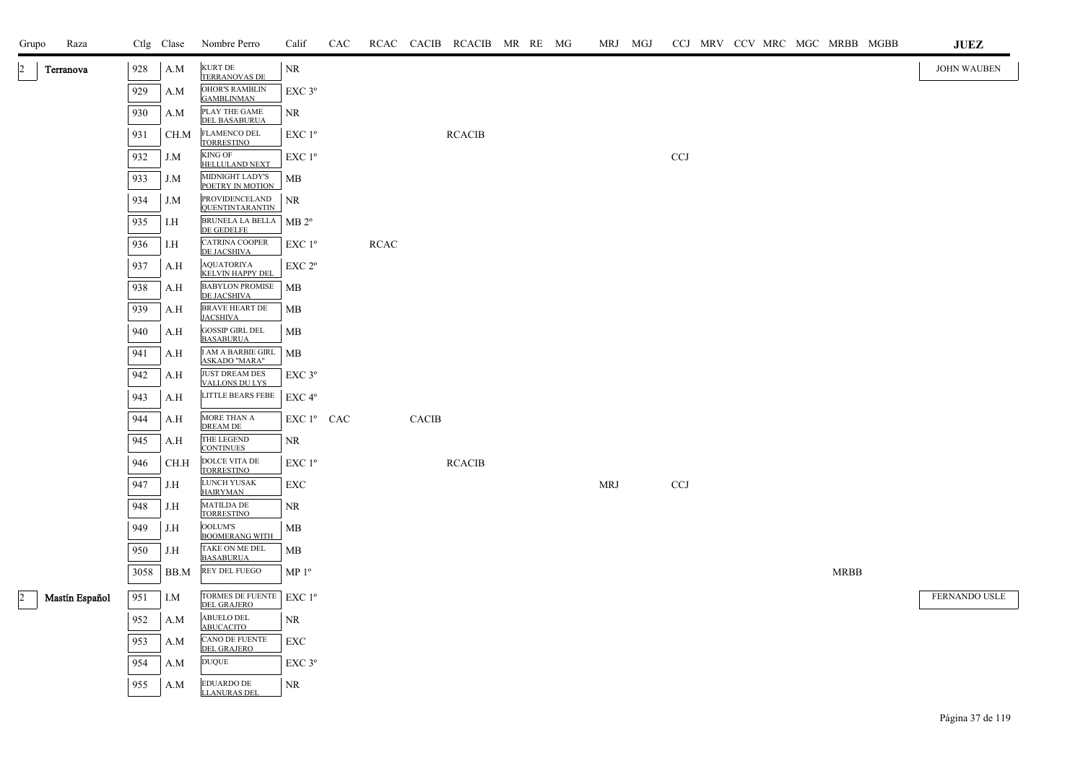| Grupo                | Raza           |      | Ctlg Clase | Nombre Perro                                   | Calif                                 | CAC |             |       | RCAC CACIB RCACIB MR RE MG |  |            | MRJ MGJ |              |  |  |             | CCJ MRV CCV MRC MGC MRBB MGBB | <b>JUEZ</b>        |
|----------------------|----------------|------|------------|------------------------------------------------|---------------------------------------|-----|-------------|-------|----------------------------|--|------------|---------|--------------|--|--|-------------|-------------------------------|--------------------|
| $\overline{2}$       | Terranova      | 928  | A.M        | <b>KURT DE</b><br><b>TERRANOVAS DE</b>         | NR                                    |     |             |       |                            |  |            |         |              |  |  |             |                               | <b>JOHN WAUBEN</b> |
|                      |                | 929  | A.M        | <b>OHOR'S RAMBLIN</b><br><b>GAMBLINMAN</b>     | $EXC$ $3^{\circ}$                     |     |             |       |                            |  |            |         |              |  |  |             |                               |                    |
|                      |                | 930  | A.M        | PLAY THE GAME<br><b>DEL BASABURUA</b>          | <b>NR</b>                             |     |             |       |                            |  |            |         |              |  |  |             |                               |                    |
|                      |                | 931  | CH.M       | <b>FLAMENCO DEL</b><br><b>TORRESTINO</b>       | $EXC1^{\circ}$                        |     |             |       | <b>RCACIB</b>              |  |            |         |              |  |  |             |                               |                    |
|                      |                | 932  | J.M        | <b>KING OF</b><br>HELLULAND NEXT               | EXC 1 <sup>o</sup>                    |     |             |       |                            |  |            |         | $_{\rm CCJ}$ |  |  |             |                               |                    |
|                      |                | 933  | J.M        | MIDNIGHT LADY'S<br>POETRY IN MOTION            | MB                                    |     |             |       |                            |  |            |         |              |  |  |             |                               |                    |
|                      |                | 934  | J.M        | PROVIDENCELAND<br><b>QUENTINTARANTIN</b>       | $\rm NR$                              |     |             |       |                            |  |            |         |              |  |  |             |                               |                    |
|                      |                | 935  | I.H        | BRUNELA LA BELLA<br>DE GEDELFE                 | $MB 2^{\circ}$                        |     |             |       |                            |  |            |         |              |  |  |             |                               |                    |
|                      |                | 936  | I.H        | CATRINA COOPER<br>DE JACSHIVA                  | EXC 1 <sup>o</sup>                    |     | <b>RCAC</b> |       |                            |  |            |         |              |  |  |             |                               |                    |
|                      |                | 937  | A.H        | AQUATORIYA<br><b>KELVIN HAPPY DEL</b>          | EXC 2 <sup>o</sup>                    |     |             |       |                            |  |            |         |              |  |  |             |                               |                    |
|                      |                | 938  | A.H        | <b>BABYLON PROMISE</b><br><b>DE JACSHIVA</b>   | <b>MB</b>                             |     |             |       |                            |  |            |         |              |  |  |             |                               |                    |
|                      |                | 939  | A.H        | BRAVE HEART DE<br><b>JACSHIVA</b>              | MB                                    |     |             |       |                            |  |            |         |              |  |  |             |                               |                    |
|                      |                | 940  | A.H        | <b>GOSSIP GIRL DEL</b><br><b>BASABURUA</b>     | MB                                    |     |             |       |                            |  |            |         |              |  |  |             |                               |                    |
|                      |                | 941  | A.H        | I AM A BARBIE GIRL<br><b>ASKADO "MARA"</b>     | <b>MB</b>                             |     |             |       |                            |  |            |         |              |  |  |             |                               |                    |
|                      |                | 942  | A.H        | <b>JUST DREAM DES</b><br><b>VALLONS DU LYS</b> | $EXC$ $3^{\circ}$                     |     |             |       |                            |  |            |         |              |  |  |             |                               |                    |
|                      |                | 943  | A.H        | <b>LITTLE BEARS FEBE</b>                       | EXC 4°                                |     |             |       |                            |  |            |         |              |  |  |             |                               |                    |
|                      |                | 944  | A.H        | MORE THAN A<br><b>DREAM DE</b>                 | ${\rm EXC}$ $1^{\rm o}$ $\;$ CAC $\;$ |     |             | CACIB |                            |  |            |         |              |  |  |             |                               |                    |
|                      |                | 945  | A.H        | THE LEGEND<br><b>CONTINUES</b>                 | NR                                    |     |             |       |                            |  |            |         |              |  |  |             |                               |                    |
|                      |                | 946  | CH.H       | DOLCE VITA DE<br><b>TORRESTINO</b>             | EXC 1 <sup>o</sup>                    |     |             |       | <b>RCACIB</b>              |  |            |         |              |  |  |             |                               |                    |
|                      |                | 947  | J.H        | LUNCH YUSAK<br><b>HAIRYMAN</b>                 | EXC                                   |     |             |       |                            |  | <b>MRJ</b> |         | <b>CCJ</b>   |  |  |             |                               |                    |
|                      |                | 948  | J.H        | <b>MATILDA DE</b><br><b>TORRESTINO</b>         | NR                                    |     |             |       |                            |  |            |         |              |  |  |             |                               |                    |
|                      |                | 949  | J.H        | <b>OOLUM'S</b><br><b>BOOMERANG WITH</b>        | MB                                    |     |             |       |                            |  |            |         |              |  |  |             |                               |                    |
|                      |                | 950  | J.H        | TAKE ON ME DEL<br><b>BASABURUA</b>             | MB                                    |     |             |       |                            |  |            |         |              |  |  |             |                               |                    |
|                      |                | 3058 | BB.M       | REY DEL FUEGO                                  | MP <sup>0</sup>                       |     |             |       |                            |  |            |         |              |  |  | <b>MRBB</b> |                               |                    |
| $\vert$ <sub>2</sub> | Mastín Español | 951  | I.M        | TORMES DE FUENTE<br><b>DEL GRAJERO</b>         | $EXC1^{\circ}$                        |     |             |       |                            |  |            |         |              |  |  |             |                               | FERNANDO USLE      |
|                      |                | 952  | A.M        | ABUELO DEL<br>ABUCACITO                        | NR                                    |     |             |       |                            |  |            |         |              |  |  |             |                               |                    |
|                      |                | 953  | A.M        | CANO DE FUENTE<br><b>DEL GRAJERO</b>           | EXC                                   |     |             |       |                            |  |            |         |              |  |  |             |                               |                    |
|                      |                | 954  | A.M        | <b>DUQUE</b>                                   | EXC <sub>3°</sub>                     |     |             |       |                            |  |            |         |              |  |  |             |                               |                    |
|                      |                | 955  | A.M        | <b>EDUARDO DE</b><br><b>LLANURAS DEL</b>       | NR                                    |     |             |       |                            |  |            |         |              |  |  |             |                               |                    |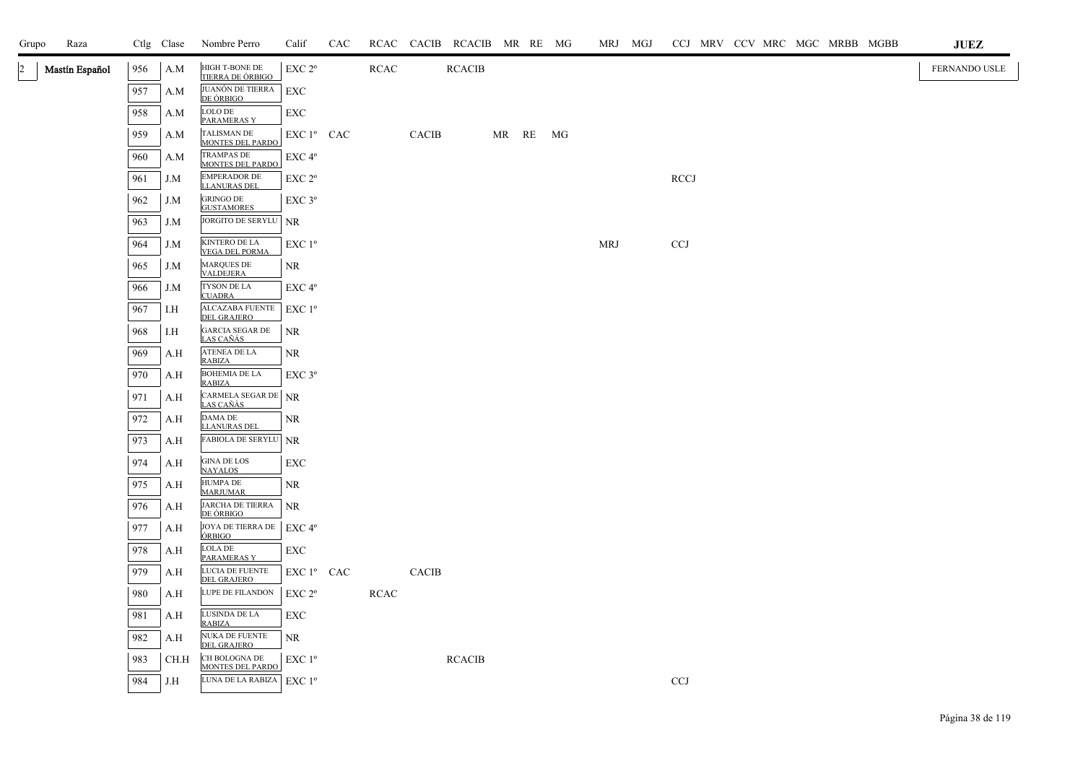| Raza<br>Grupo                    |     | Ctlg Clase | Nombre Perro                                  | Calif                  | CAC |             |              | RCAC CACIB RCACIB MR RE MG |          | MRJ MGJ    |                           |  |  | CCJ MRV CCV MRC MGC MRBB MGBB | $\mathbf{J}\mathbf{U}\mathbf{E}\mathbf{Z}$ |
|----------------------------------|-----|------------|-----------------------------------------------|------------------------|-----|-------------|--------------|----------------------------|----------|------------|---------------------------|--|--|-------------------------------|--------------------------------------------|
| Mastín Español<br>$\overline{2}$ | 956 | A.M        | HIGH T-BONE DE<br>TIERRA DE ÓRBIGO            | EXC 2 <sup>o</sup>     |     | <b>RCAC</b> |              | <b>RCACIB</b>              |          |            |                           |  |  |                               | FERNANDO USLE                              |
|                                  | 957 | A.M        | JUANÓN DE TIERRA<br>DE ÓRBIGO                 | EXC                    |     |             |              |                            |          |            |                           |  |  |                               |                                            |
|                                  | 958 | A.M        | LOLO DE<br>PARAMERAS Y                        | EXC                    |     |             |              |                            |          |            |                           |  |  |                               |                                            |
|                                  | 959 | A.M        | TALISMAN DE<br><b>MONTES DEL PARDO</b>        | EXC 1 <sup>°</sup> CAC |     |             | CACIB        |                            | MR RE MG |            |                           |  |  |                               |                                            |
|                                  | 960 | A.M        | <b>TRAMPAS DE</b><br><b>MONTES DEL PARDO</b>  | EXC 4°                 |     |             |              |                            |          |            |                           |  |  |                               |                                            |
|                                  | 961 | J.M        | <b>EMPERADOR DE</b><br><b>LLANURAS DEL</b>    | EXC 2 <sup>o</sup>     |     |             |              |                            |          |            | <b>RCCJ</b>               |  |  |                               |                                            |
|                                  | 962 | J.M        | <b>GRINGO DE</b><br><b>GUSTAMORES</b>         | $EXC$ $3^{\circ}$      |     |             |              |                            |          |            |                           |  |  |                               |                                            |
|                                  | 963 | J.M        | JORGITO DE SERYLU                             | <b>NR</b>              |     |             |              |                            |          |            |                           |  |  |                               |                                            |
|                                  | 964 | J.M        | <b>KINTERO DE LA</b><br><b>VEGA DEL PORMA</b> | EXC 1 <sup>o</sup>     |     |             |              |                            |          | <b>MRJ</b> | <b>CCJ</b>                |  |  |                               |                                            |
|                                  | 965 | J.M        | <b>MARQUES DE</b><br><b>VALDEJERA</b>         | NR                     |     |             |              |                            |          |            |                           |  |  |                               |                                            |
|                                  | 966 | J.M        | TYSON DE LA<br><b>CUADRA</b>                  | EXC 4 <sup>o</sup>     |     |             |              |                            |          |            |                           |  |  |                               |                                            |
|                                  | 967 | I.H        | <b>ALCAZABA FUENTE</b><br><b>DEL GRAJERO</b>  | EXC 1 <sup>o</sup>     |     |             |              |                            |          |            |                           |  |  |                               |                                            |
|                                  | 968 | I.H        | GARCIA SEGAR DE<br><u>LAS CAÑÁS </u>          | <b>NR</b>              |     |             |              |                            |          |            |                           |  |  |                               |                                            |
|                                  | 969 | A.H        | ATENEA DE LA<br><b>RABIZA</b>                 | <b>NR</b>              |     |             |              |                            |          |            |                           |  |  |                               |                                            |
|                                  | 970 | A.H        | <b>BOHEMIA DE LA</b><br><b>RABIZA</b>         | $EXC$ $3^{\circ}$      |     |             |              |                            |          |            |                           |  |  |                               |                                            |
|                                  | 971 | A.H        | CARMELA SEGAR DE NR<br><u>LAS CAÑÀS</u>       |                        |     |             |              |                            |          |            |                           |  |  |                               |                                            |
|                                  | 972 | A.H        | DAMA DE<br><b>LLANURAS DEL</b>                | NR                     |     |             |              |                            |          |            |                           |  |  |                               |                                            |
|                                  | 973 | A.H        | <b>FABIOLA DE SERYLU NR</b>                   |                        |     |             |              |                            |          |            |                           |  |  |                               |                                            |
|                                  | 974 | A.H        | <b>GINA DE LOS</b><br><b>NAYALOS</b>          | <b>EXC</b>             |     |             |              |                            |          |            |                           |  |  |                               |                                            |
|                                  | 975 | A.H        | HUMPA DE<br><b>MARJUMAR</b>                   | <b>NR</b>              |     |             |              |                            |          |            |                           |  |  |                               |                                            |
|                                  | 976 | A.H        | JARCHA DE TIERRA<br><u>DE ÓRBIGO</u>          | <b>NR</b>              |     |             |              |                            |          |            |                           |  |  |                               |                                            |
|                                  | 977 | A.H        | JOYA DE TIERRA DE<br>ÓRBIGO                   | EXC 4 <sup>o</sup>     |     |             |              |                            |          |            |                           |  |  |                               |                                            |
|                                  | 978 | A.H        | LOLA DE<br>PARAMERAS Y                        | EXC                    |     |             |              |                            |          |            |                           |  |  |                               |                                            |
|                                  | 979 | A.H        | LUCIA DE FUENTE<br><b>DEL GRAJERO</b>         | EXC 1º CAC             |     |             | <b>CACIB</b> |                            |          |            |                           |  |  |                               |                                            |
|                                  | 980 | A.H        | LUPE DE FILANDON                              | EXC 2 <sup>o</sup>     |     | <b>RCAC</b> |              |                            |          |            |                           |  |  |                               |                                            |
|                                  | 981 | A.H        | LUSINDA DE LA<br>RABIZA                       | <b>EXC</b>             |     |             |              |                            |          |            |                           |  |  |                               |                                            |
|                                  | 982 | A.H        | NUKA DE FUENTE<br>DEL GRAJERO                 | <b>NR</b>              |     |             |              |                            |          |            |                           |  |  |                               |                                            |
|                                  | 983 | CH.H       | CH BOLOGNA DE<br><b>MONTES DEL PARDO</b>      | EXC 1 <sup>o</sup>     |     |             |              | <b>RCACIB</b>              |          |            |                           |  |  |                               |                                            |
|                                  | 984 | J.H        | LUNA DE LA RABIZA EXC $1^{\circ}$             |                        |     |             |              |                            |          |            | $\ensuremath{\text{CCJ}}$ |  |  |                               |                                            |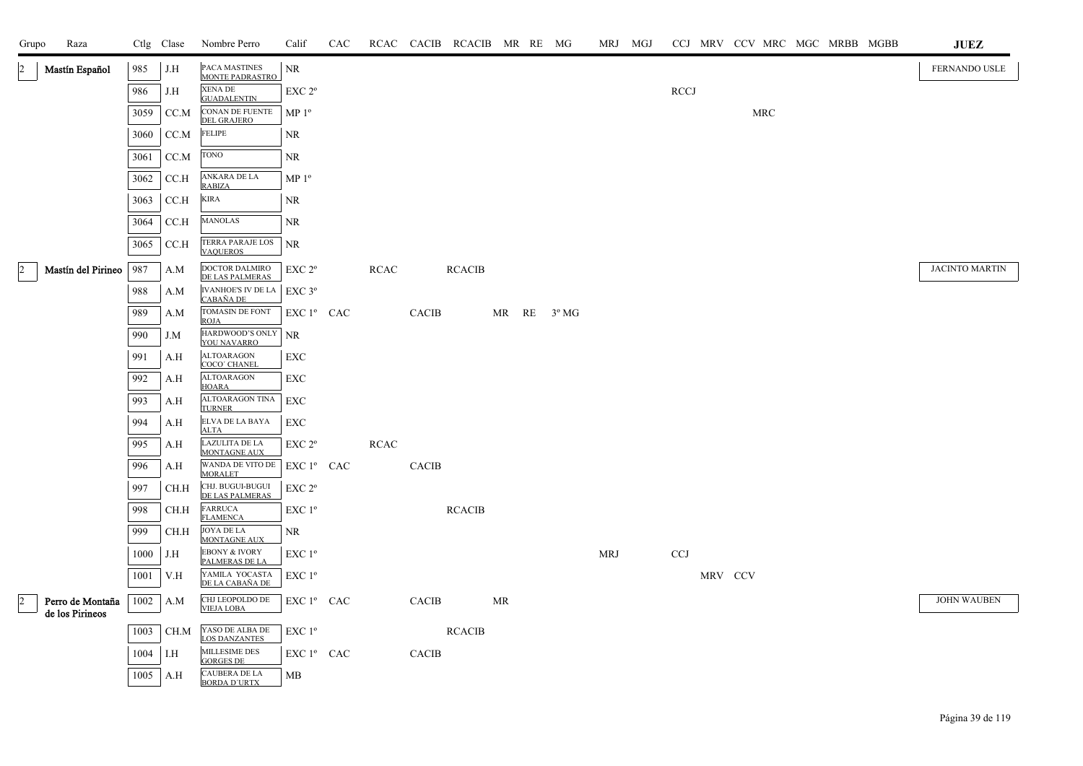| Grupo          | Raza               |      | Ctlg Clase                   | Nombre Perro                                    | Calif                                               | CAC |             |              | RCAC CACIB RCACIB MR RE MG |    |                        |            | MRJ MGJ |             |         | CCJ MRV CCV MRC MGC MRBB MGBB |  |  | JUEZ                  |
|----------------|--------------------|------|------------------------------|-------------------------------------------------|-----------------------------------------------------|-----|-------------|--------------|----------------------------|----|------------------------|------------|---------|-------------|---------|-------------------------------|--|--|-----------------------|
| $\overline{2}$ | Mastín Español     | 985  | J.H                          | PACA MASTINES<br>MONTE PADRASTRO                | NR                                                  |     |             |              |                            |    |                        |            |         |             |         |                               |  |  | FERNANDO USLE         |
|                |                    | 986  | J.H                          | XENA DE<br><b>GUADALENTIN</b>                   | EXC 2 <sup>o</sup>                                  |     |             |              |                            |    |                        |            |         | <b>RCCJ</b> |         |                               |  |  |                       |
|                |                    | 3059 | CC.M                         | CONAN DE FUENTE<br><b>DEL GRAJERO</b>           | MP <sup>0</sup>                                     |     |             |              |                            |    |                        |            |         |             |         | MRC                           |  |  |                       |
|                |                    | 3060 | CC.M                         | <b>FELIPE</b>                                   | NR                                                  |     |             |              |                            |    |                        |            |         |             |         |                               |  |  |                       |
|                |                    | 3061 | CC.M                         | <b>TONO</b>                                     | NR                                                  |     |             |              |                            |    |                        |            |         |             |         |                               |  |  |                       |
|                |                    | 3062 | CCA                          | ANKARA DE LA                                    | MP <sup>0</sup>                                     |     |             |              |                            |    |                        |            |         |             |         |                               |  |  |                       |
|                |                    | 3063 | CCA                          | <b>RABIZA</b><br><b>KIRA</b>                    | NR                                                  |     |             |              |                            |    |                        |            |         |             |         |                               |  |  |                       |
|                |                    | 3064 | CCA                          | <b>MANOLAS</b>                                  | <b>NR</b>                                           |     |             |              |                            |    |                        |            |         |             |         |                               |  |  |                       |
|                |                    | 3065 | CCA                          | TERRA PARAJE LOS<br><b>VAQUEROS</b>             | <b>NR</b>                                           |     |             |              |                            |    |                        |            |         |             |         |                               |  |  |                       |
| $\overline{c}$ | Mastín del Pirineo | 987  | A.M                          | DOCTOR DALMIRO<br>DE LAS PALMERAS               | EXC 2 <sup>o</sup>                                  |     | <b>RCAC</b> |              | <b>RCACIB</b>              |    |                        |            |         |             |         |                               |  |  | <b>JACINTO MARTIN</b> |
|                |                    | 988  | A.M                          | IVANHOE'S IV DE LA                              | $EXC$ 3°                                            |     |             |              |                            |    |                        |            |         |             |         |                               |  |  |                       |
|                |                    | 989  | A.M                          | CABAÑA DE<br>TOMASIN DE FONT                    | EXC 1º CAC                                          |     |             | <b>CACIB</b> |                            |    | MR $RE = 3^{\circ} MG$ |            |         |             |         |                               |  |  |                       |
|                |                    | 990  | J.M                          | ROJA<br>HARDWOOD'S ONLY                         | NR                                                  |     |             |              |                            |    |                        |            |         |             |         |                               |  |  |                       |
|                |                    | 991  | A.H                          | YOU NAVARRO<br><b>ALTOARAGON</b>                | EXC                                                 |     |             |              |                            |    |                        |            |         |             |         |                               |  |  |                       |
|                |                    | 992  | A.H                          | COCO' CHANEL<br><b>ALTOARAGON</b>               | EXC                                                 |     |             |              |                            |    |                        |            |         |             |         |                               |  |  |                       |
|                |                    | 993  | A.H                          | <b>HOARA</b><br>ALTOARAGON TINA                 | EXC                                                 |     |             |              |                            |    |                        |            |         |             |         |                               |  |  |                       |
|                |                    | 994  | A.H                          | <b>TURNER</b><br>ELVA DE LA BAYA                | <b>EXC</b>                                          |     |             |              |                            |    |                        |            |         |             |         |                               |  |  |                       |
|                |                    | 995  | A.H                          | <b>ALTA</b><br>LAZULITA DE LA                   | EXC <sub>2°</sub>                                   |     | RCAC        |              |                            |    |                        |            |         |             |         |                               |  |  |                       |
|                |                    | 996  | A.H                          | MONTAGNE AUX<br>WANDA DE VITO DE                | EXC 1° CAC                                          |     |             | <b>CACIB</b> |                            |    |                        |            |         |             |         |                               |  |  |                       |
|                |                    | 997  | CH.H                         | <b>MORALET</b><br>CHJ. BUGUI-BUGUI              | EXC 2 <sup>o</sup>                                  |     |             |              |                            |    |                        |            |         |             |         |                               |  |  |                       |
|                |                    | 998  | CH.H                         | DE LAS PALMERAS<br><b>FARRUCA</b>               | EXC 1 <sup>o</sup>                                  |     |             |              | <b>RCACIB</b>              |    |                        |            |         |             |         |                               |  |  |                       |
|                |                    | 999  | CH.H                         | <b>FLAMENCA</b><br>JOYA DE LA                   | NR                                                  |     |             |              |                            |    |                        |            |         |             |         |                               |  |  |                       |
|                |                    | 1000 | J.H                          | <b>MONTAGNE AUX</b><br><b>EBONY &amp; IVORY</b> | $EXC1^{\circ}$                                      |     |             |              |                            |    |                        | <b>MRJ</b> |         | <b>CCJ</b>  |         |                               |  |  |                       |
|                |                    | 1001 | V.H                          | PALMERAS DE LA<br>YAMILA YOCASTA                | EXC 1 <sup>o</sup>                                  |     |             |              |                            |    |                        |            |         |             | MRV CCV |                               |  |  |                       |
|                | Perro de Montaña   |      | $1002$ A.M                   | DE LA CABAÑA DE<br>CHJ LEOPOLDO DE              | $\mathop{\hbox{\rm EXC}}$ $1^{\circ}$ $\;$ CAC $\;$ |     |             | <b>CACIB</b> |                            | MR |                        |            |         |             |         |                               |  |  | <b>JOHN WAUBEN</b>    |
| $\overline{2}$ | de los Pirineos    |      |                              | <b>VIEJA LOBA</b>                               |                                                     |     |             |              |                            |    |                        |            |         |             |         |                               |  |  |                       |
|                |                    | 1003 | CH.M                         | YASO DE ALBA DE<br><b>LOS DANZANTES</b>         | EXC 1 <sup>o</sup>                                  |     |             |              | <b>RCACIB</b>              |    |                        |            |         |             |         |                               |  |  |                       |
|                |                    | 1004 | $\overline{\phantom{1}}$ I.H | MILLESIME DES<br><b>GORGES DE</b>               | EXC 1º CAC                                          |     |             | <b>CACIB</b> |                            |    |                        |            |         |             |         |                               |  |  |                       |
|                |                    | 1005 | A.H                          | <b>CAUBERA DE LA</b><br><b>BORDA D'URTX</b>     | МB                                                  |     |             |              |                            |    |                        |            |         |             |         |                               |  |  |                       |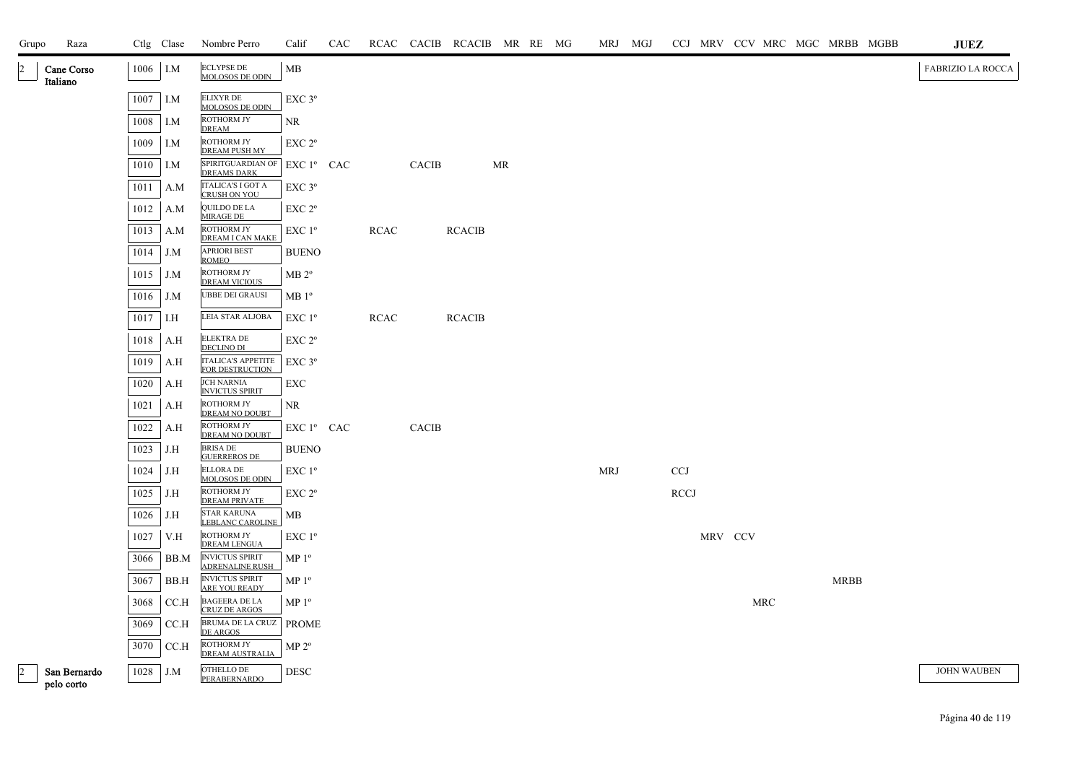| Grupo | Raza                       |      | Ctlg Clase | Nombre Perro                                     | Calif                  | CAC |             |              | RCAC CACIB RCACIB MR RE MG |           |  | MRJ MGJ    |             |         |            | CCJ MRV CCV MRC MGC MRBB MGBB | <b>JUEZ</b>              |
|-------|----------------------------|------|------------|--------------------------------------------------|------------------------|-----|-------------|--------------|----------------------------|-----------|--|------------|-------------|---------|------------|-------------------------------|--------------------------|
|       | Cane Corso<br>Italiano     | 1006 | I.M        | <b>ECLYPSE DE</b><br>MOLOSOS DE ODIN             | MB                     |     |             |              |                            |           |  |            |             |         |            |                               | <b>FABRIZIO LA ROCCA</b> |
|       |                            | 1007 | I.M        | <b>ELIXYR DE</b><br>MOLOSOS DE ODIN              | EXC 3°                 |     |             |              |                            |           |  |            |             |         |            |                               |                          |
|       |                            | 1008 | I.M        | ROTHORM JY<br><b>DREAM</b>                       | NR                     |     |             |              |                            |           |  |            |             |         |            |                               |                          |
|       |                            | 1009 | I.M        | <b>ROTHORM JY</b><br><b>DREAM PUSH MY</b>        | $EXC 2^{\circ}$        |     |             |              |                            |           |  |            |             |         |            |                               |                          |
|       |                            | 1010 | I.M        | SPIRITGUARDIAN OF<br><b>DREAMS DARK</b>          | EXC 1º CAC             |     |             | CACIB        |                            | <b>MR</b> |  |            |             |         |            |                               |                          |
|       |                            | 1011 | A.M        | <b>ITALICA'S I GOT A</b><br><b>CRUSH ON YOU</b>  | $EXC$ $3^{\circ}$      |     |             |              |                            |           |  |            |             |         |            |                               |                          |
|       |                            | 1012 | A.M        | QUILDO DE LA<br>MIRAGE DE                        | EXC 2 <sup>o</sup>     |     |             |              |                            |           |  |            |             |         |            |                               |                          |
|       |                            | 1013 | A.M        | ROTHORM JY<br>DREAM I CAN MAKE                   | $EXC1^{\circ}$         |     | <b>RCAC</b> |              | <b>RCACIB</b>              |           |  |            |             |         |            |                               |                          |
|       |                            | 1014 | J.M        | <b>APRIORI BEST</b><br><b>ROMEO</b>              | <b>BUENO</b>           |     |             |              |                            |           |  |            |             |         |            |                               |                          |
|       |                            | 1015 | J.M        | ROTHORM JY<br><b>DREAM VICIOUS</b>               | MB 2 <sup>o</sup>      |     |             |              |                            |           |  |            |             |         |            |                               |                          |
|       |                            | 1016 | J.M        | UBBE DEI GRAUSI                                  | MB1°                   |     |             |              |                            |           |  |            |             |         |            |                               |                          |
|       |                            | 1017 | I.H        | LEIA STAR ALJOBA                                 | $EXC1^{\circ}$         |     | <b>RCAC</b> |              | <b>RCACIB</b>              |           |  |            |             |         |            |                               |                          |
|       |                            | 1018 | A.H        | <b>ELEKTRA DE</b><br><b>DECLINO DI</b>           | EXC 2 <sup>o</sup>     |     |             |              |                            |           |  |            |             |         |            |                               |                          |
|       |                            | 1019 | A.H        | <b>ITALICA'S APPETITE</b><br>FOR DESTRUCTION     | $EXC$ $3^{\circ}$      |     |             |              |                            |           |  |            |             |         |            |                               |                          |
|       |                            | 1020 | A.H        | <b>JCH NARNIA</b><br><b>INVICTUS SPIRIT</b>      | EXC                    |     |             |              |                            |           |  |            |             |         |            |                               |                          |
|       |                            | 1021 | A.H        | ROTHORM JY<br>DREAM NO DOUBT                     | NR                     |     |             |              |                            |           |  |            |             |         |            |                               |                          |
|       |                            | 1022 | A.H        | ROTHORM JY<br>DREAM NO DOUBT                     | EXC 1 <sup>°</sup> CAC |     |             | <b>CACIB</b> |                            |           |  |            |             |         |            |                               |                          |
|       |                            | 1023 | J.H        | <b>BRISA DE</b><br><b>GUERREROS DE</b>           | <b>BUENO</b>           |     |             |              |                            |           |  |            |             |         |            |                               |                          |
|       |                            | 1024 | J.H        | <b>ELLORA DE</b><br><b>MOLOSOS DE ODIN</b>       | $EXC1^{\circ}$         |     |             |              |                            |           |  | <b>MRJ</b> | <b>CCJ</b>  |         |            |                               |                          |
|       |                            | 1025 | J.H        | ROTHORM JY<br><b>DREAM PRIVATE</b>               | $EXC 2^{\circ}$        |     |             |              |                            |           |  |            | <b>RCCJ</b> |         |            |                               |                          |
|       |                            | 1026 | J.H        | <b>STAR KARUNA</b><br><b>LEBLANC CAROLINE</b>    | MВ                     |     |             |              |                            |           |  |            |             |         |            |                               |                          |
|       |                            | 1027 | V.H        | ROTHORM JY<br><b>DREAM LENGUA</b>                | $EXC1^{\circ}$         |     |             |              |                            |           |  |            |             | MRV CCV |            |                               |                          |
|       |                            | 3066 | BB.M       | <b>INVICTUS SPIRIT</b><br><b>ADRENALINE RUSH</b> | MP <sup>0</sup>        |     |             |              |                            |           |  |            |             |         |            |                               |                          |
|       |                            | 3067 | BB.H       | <b>INVICTUS SPIRIT</b><br><b>ARE YOU READY</b>   | MP 1 <sup>o</sup>      |     |             |              |                            |           |  |            |             |         |            | <b>MRBB</b>                   |                          |
|       |                            | 3068 | CC.H       | <b>BAGEERA DE LA</b><br><b>CRUZ DE ARGOS</b>     | MP <sup>0</sup>        |     |             |              |                            |           |  |            |             |         | <b>MRC</b> |                               |                          |
|       |                            | 3069 | CCA        | BRUMA DE LA CRUZ<br>DE ARGOS                     | <b>PROME</b>           |     |             |              |                            |           |  |            |             |         |            |                               |                          |
|       |                            | 3070 | CC.H       | ROTHORM JY<br>DREAM AUSTRALIA                    | $MP 2^{\circ}$         |     |             |              |                            |           |  |            |             |         |            |                               |                          |
|       | San Bernardo<br>pelo corto | 1028 | J.M        | OTHELLO DE<br>PERABERNARDO                       | <b>DESC</b>            |     |             |              |                            |           |  |            |             |         |            |                               | <b>JOHN WAUBEN</b>       |

Página 40 de 119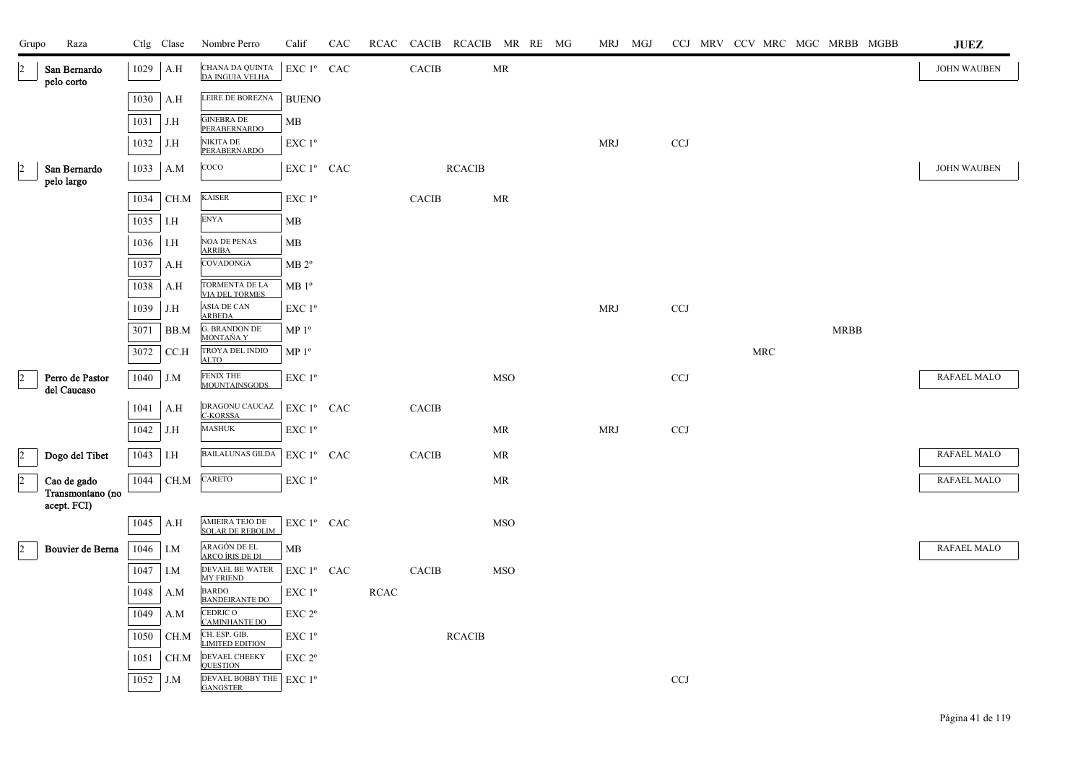| Grupo                | Raza                            |      | Ctlg Clase | Nombre Perro                                   | Calif                  | CAC |             |              | RCAC CACIB RCACIB MR RE MG |                                   |  | MRJ MGJ    |            |  |     |  | CCJ MRV CCV MRC MGC MRBB MGBB | <b>JUEZ</b>        |
|----------------------|---------------------------------|------|------------|------------------------------------------------|------------------------|-----|-------------|--------------|----------------------------|-----------------------------------|--|------------|------------|--|-----|--|-------------------------------|--------------------|
| 2                    | San Bernardo<br>pelo corto      | 1029 | A.H        | CHANA DA QUINTA<br>DA INGUIA VELHA             | EXC 1º CAC             |     |             | CACIB        |                            | $\ensuremath{\mathsf{MR}}\xspace$ |  |            |            |  |     |  |                               | <b>JOHN WAUBEN</b> |
|                      |                                 | 1030 | A.H        | LEIRE DE BOREZNA                               | <b>BUENO</b>           |     |             |              |                            |                                   |  |            |            |  |     |  |                               |                    |
|                      |                                 | 1031 | J.H        | <b>GINEBRA DE</b><br>PERABERNARDO              | MB                     |     |             |              |                            |                                   |  |            |            |  |     |  |                               |                    |
|                      |                                 | 1032 | J.H        | <b>NIKITA DE</b><br>PERABERNARDO               | $EXC1^{\circ}$         |     |             |              |                            |                                   |  | <b>MRJ</b> | <b>CCJ</b> |  |     |  |                               |                    |
| $\frac{2}{\sqrt{2}}$ | San Bernardo                    | 1033 | A.M        | COCO                                           | EXC 1º CAC             |     |             |              | <b>RCACIB</b>              |                                   |  |            |            |  |     |  |                               | <b>JOHN WAUBEN</b> |
|                      | pelo largo                      | 1034 | CH.M       | <b>KAISER</b>                                  | EXC 1 <sup>o</sup>     |     |             | <b>CACIB</b> |                            | MR                                |  |            |            |  |     |  |                               |                    |
|                      |                                 | 1035 | I.H        | <b>ENYA</b>                                    | MB                     |     |             |              |                            |                                   |  |            |            |  |     |  |                               |                    |
|                      |                                 | 1036 | I.H        | <b>NOA DE PENAS</b>                            | MB                     |     |             |              |                            |                                   |  |            |            |  |     |  |                               |                    |
|                      |                                 | 1037 | A.H        | <b>ARRIBA</b><br>COVADONGA                     | $\rm MB$ $2^{\rm o}$   |     |             |              |                            |                                   |  |            |            |  |     |  |                               |                    |
|                      |                                 | 1038 | A.H        | <b>TORMENTA DE LA</b><br><b>VIA DEL TORMES</b> | $MB1^{\circ}$          |     |             |              |                            |                                   |  |            |            |  |     |  |                               |                    |
|                      |                                 | 1039 | J.H        | ASIA DE CAN<br><b>ARBEDA</b>                   | EXC 1 <sup>o</sup>     |     |             |              |                            |                                   |  | <b>MRJ</b> | CCJ        |  |     |  |                               |                    |
|                      |                                 | 3071 | BB.M       | <b>G. BRANDON DE</b><br>MONTAÑA Y              | MP <sup>0</sup>        |     |             |              |                            |                                   |  |            |            |  |     |  | <b>MRBB</b>                   |                    |
|                      |                                 | 3072 | CC.H       | TROYA DEL INDIO<br><b>ALTO</b>                 | MP <sup>0</sup>        |     |             |              |                            |                                   |  |            |            |  | MRC |  |                               |                    |
| $\overline{a}$       | Perro de Pastor<br>del Caucaso  | 1040 | J.M        | FENIX THE<br><b>MOUNTAINSGODS</b>              | EXC 1 <sup>o</sup>     |     |             |              |                            | <b>MSO</b>                        |  |            | CCJ        |  |     |  |                               | <b>RAFAEL MALO</b> |
|                      |                                 | 1041 | A.H        | DRAGONU CAUCAZ                                 | EXC 1º CAC             |     |             | <b>CACIB</b> |                            |                                   |  |            |            |  |     |  |                               |                    |
|                      |                                 | 1042 | J.H        | <b>C-KORSSA</b><br><b>MASHUK</b>               | $EXC1^{\circ}$         |     |             |              |                            | MR                                |  | <b>MRJ</b> | <b>CCJ</b> |  |     |  |                               |                    |
| $\overline{2}$       | Dogo del Tibet                  | 1043 | I.H        | <b>BAILALUNAS GILDA</b>                        | EXC 1º CAC             |     |             | CACIB        |                            | MR                                |  |            |            |  |     |  |                               | <b>RAFAEL MALO</b> |
| $\overline{2}$       | Cao de gado                     | 1044 | CH.M       | CARETO                                         | EXC 1 <sup>o</sup>     |     |             |              |                            | MR                                |  |            |            |  |     |  |                               | <b>RAFAEL MALO</b> |
|                      | Transmontano (no<br>acept. FCI) |      |            |                                                |                        |     |             |              |                            |                                   |  |            |            |  |     |  |                               |                    |
|                      |                                 | 1045 | A.H        | AMIEIRA TEJO DE<br><b>SOLAR DE REBOLIM</b>     | EXC 1º CAC             |     |             |              |                            | <b>MSO</b>                        |  |            |            |  |     |  |                               |                    |
| $\overline{2}$       | Bouvier de Berna                | 1046 | I.M        | ARAGÓN DE EL<br>ARCO ÍRIS DE DI                | МB                     |     |             |              |                            |                                   |  |            |            |  |     |  |                               | <b>RAFAEL MALO</b> |
|                      |                                 | 1047 | I.M        | DEVAEL BE WATER<br><b>MY FRIEND</b>            | EXC 1 <sup>°</sup> CAC |     |             | <b>CACIB</b> |                            | <b>MSO</b>                        |  |            |            |  |     |  |                               |                    |
|                      |                                 | 1048 | A.M        | <b>BARDO</b><br><b>BANDEIRANTE DO</b>          | EXC 1 <sup>o</sup>     |     | <b>RCAC</b> |              |                            |                                   |  |            |            |  |     |  |                               |                    |
|                      |                                 | 1049 | A.M        | CEDRIC O<br><b>CAMINHANTE DO</b>               | $EXC 2^{\circ}$        |     |             |              |                            |                                   |  |            |            |  |     |  |                               |                    |
|                      |                                 | 1050 | CH.M       | CH. ESP. GIB.<br><b>LIMITED EDITION</b>        | EXC 1 <sup>o</sup>     |     |             |              | <b>RCACIB</b>              |                                   |  |            |            |  |     |  |                               |                    |
|                      |                                 | 1051 | CH.M       | DEVAEL CHEEKY<br><b>QUESTION</b>               | EXC 2 <sup>o</sup>     |     |             |              |                            |                                   |  |            |            |  |     |  |                               |                    |
|                      |                                 | 1052 | J.M        | <b>DEVAEL BOBBY THE</b><br><b>GANGSTER</b>     | EXC 1 <sup>o</sup>     |     |             |              |                            |                                   |  |            | CCJ        |  |     |  |                               |                    |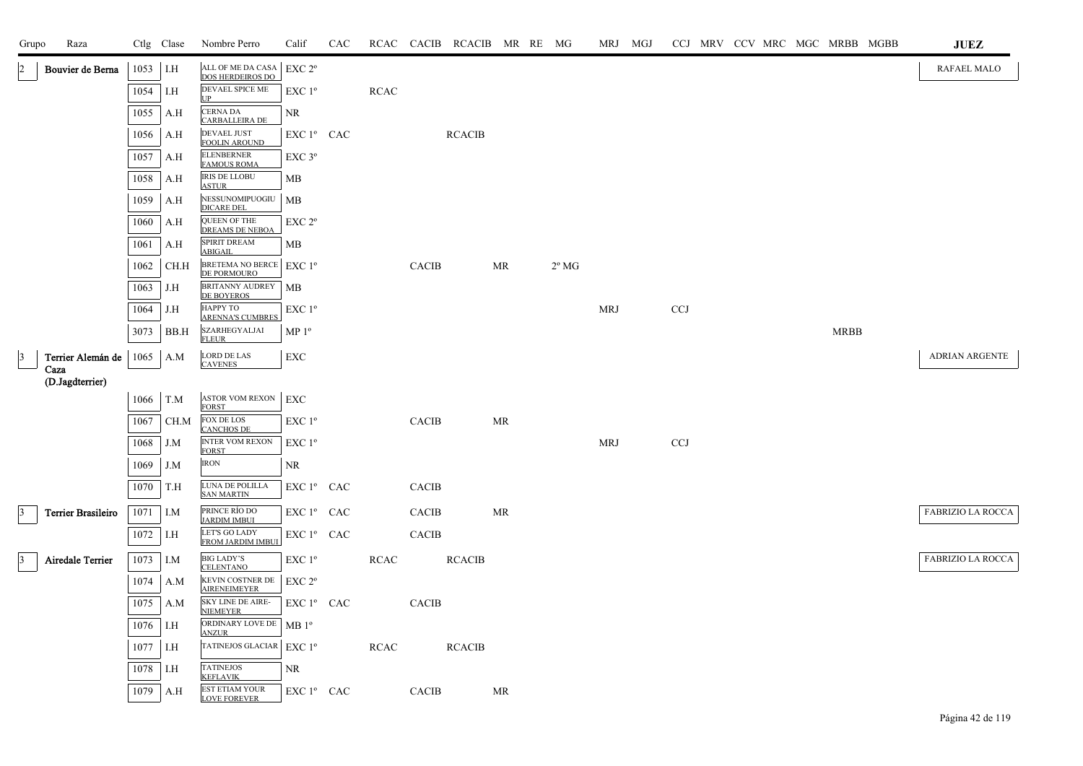| Grupo           | Raza                      |      | Ctlg Clase | Nombre Perro                                 | Calif                        | CAC | RCAC        | CACIB        | RCACIB MR RE MG |    |                |            | MRJ MGJ |            |  |  |             | CCJ MRV CCV MRC MGC MRBB MGBB | $\mathbf{J}\mathbf{U}\mathbf{E}\mathbf{Z}$ |
|-----------------|---------------------------|------|------------|----------------------------------------------|------------------------------|-----|-------------|--------------|-----------------|----|----------------|------------|---------|------------|--|--|-------------|-------------------------------|--------------------------------------------|
| 2               | Bouvier de Berna          | 1053 | I.H        | ALL OF ME DA CASA<br>DOS HERDEIROS DO        | EXC 2°                       |     |             |              |                 |    |                |            |         |            |  |  |             |                               | RAFAEL MALO                                |
|                 |                           | 1054 | I.H        | DEVAEL SPICE ME<br>UP                        | EXC 1 <sup>o</sup>           |     | <b>RCAC</b> |              |                 |    |                |            |         |            |  |  |             |                               |                                            |
|                 |                           | 1055 | A.H        | CERNA DA<br>CARBALLEIRA DE                   | <b>NR</b>                    |     |             |              |                 |    |                |            |         |            |  |  |             |                               |                                            |
|                 |                           | 1056 | A.H        | DEVAEL JUST<br><b>FOOLIN AROUND</b>          | EXC 1º CAC                   |     |             |              | <b>RCACIB</b>   |    |                |            |         |            |  |  |             |                               |                                            |
|                 |                           | 1057 | A.H        | <b>ELENBERNER</b><br><b>FAMOUS ROMA</b>      | $EXC$ $3^{\circ}$            |     |             |              |                 |    |                |            |         |            |  |  |             |                               |                                            |
|                 |                           | 1058 | A.H        | <b>IRIS DE LLOBU</b><br><b>ASTUR</b>         | MB                           |     |             |              |                 |    |                |            |         |            |  |  |             |                               |                                            |
|                 |                           | 1059 | A.H        | NESSUNOMIPUOGIU<br><b>DICARE DEL</b>         | MB                           |     |             |              |                 |    |                |            |         |            |  |  |             |                               |                                            |
|                 |                           | 1060 | A.H        | QUEEN OF THE<br><b>DREAMS DE NEBOA</b>       | EXC 2°                       |     |             |              |                 |    |                |            |         |            |  |  |             |                               |                                            |
|                 |                           | 1061 | A.H        | SPIRIT DREAM<br><b>ABIGAIL</b>               | MВ                           |     |             |              |                 |    |                |            |         |            |  |  |             |                               |                                            |
|                 |                           | 1062 | CH.H       | BRETEMA NO BERCE<br>DE PORMOURO              | $EXC1^{\circ}$               |     |             | <b>CACIB</b> |                 | MR | $2^{\circ}$ MG |            |         |            |  |  |             |                               |                                            |
|                 |                           | 1063 | J.H        | <b>BRITANNY AUDREY</b><br><b>DE BOYEROS</b>  | МB                           |     |             |              |                 |    |                |            |         |            |  |  |             |                               |                                            |
|                 |                           | 1064 | J.H        | НАРРҮ ТО<br><b>ARENNA'S CUMBRES</b>          | EXC 1°                       |     |             |              |                 |    |                | <b>MRJ</b> |         | <b>CCJ</b> |  |  |             |                               |                                            |
|                 |                           | 3073 | BB.H       | SZARHEGYALJAI<br><b>FLEUR</b>                | $\mathbf{MP}\; \mathbf{1^o}$ |     |             |              |                 |    |                |            |         |            |  |  | <b>MRBB</b> |                               |                                            |
| $\vert$ 3       | Terrier Alemán de         | 1065 | A.M        | <b>LORD DE LAS</b><br><b>CAVENES</b>         | EXC                          |     |             |              |                 |    |                |            |         |            |  |  |             |                               | <b>ADRIAN ARGENTE</b>                      |
|                 | Caza<br>(D.Jagdterrier)   |      |            |                                              |                              |     |             |              |                 |    |                |            |         |            |  |  |             |                               |                                            |
|                 |                           | 1066 | T.M        | <b>ASTOR VOM REXON</b><br><b>FORST</b>       | <b>EXC</b>                   |     |             |              |                 |    |                |            |         |            |  |  |             |                               |                                            |
|                 |                           | 1067 | CH.M       | FOX DE LOS<br><b>CANCHOS DE</b>              | EXC 1 <sup>o</sup>           |     |             | <b>CACIB</b> |                 | MR |                |            |         |            |  |  |             |                               |                                            |
|                 |                           | 1068 | J.M        | INTER VOM REXON<br><b>FORST</b>              | EXC 1 <sup>o</sup>           |     |             |              |                 |    |                | <b>MRJ</b> |         | <b>CCJ</b> |  |  |             |                               |                                            |
|                 |                           | 1069 | J.M        | <b>IRON</b>                                  | <b>NR</b>                    |     |             |              |                 |    |                |            |         |            |  |  |             |                               |                                            |
|                 |                           | 1070 | T.H        | LUNA DE POLILLA<br><b>SAN MARTIN</b>         | EXC 1º CAC                   |     |             | CACIB        |                 |    |                |            |         |            |  |  |             |                               |                                            |
| 3               | <b>Terrier Brasileiro</b> | 1071 | I.M        | PRINCE RÍO DO<br><b>JARDIM IMBUI</b>         | EXC 1º CAC                   |     |             | <b>CACIB</b> |                 | MR |                |            |         |            |  |  |             |                               | <b>FABRIZIO LA ROCCA</b>                   |
|                 |                           | 1072 | I.H        | LET'S GO LADY<br>FROM JARDIM IMBU            | EXC 1º CAC                   |     |             | <b>CACIB</b> |                 |    |                |            |         |            |  |  |             |                               |                                            |
| $\vert 3 \vert$ | Airedale Terrier          | 1073 | I.M        | <b>BIG LADY'S</b><br><b>CELENTANO</b>        | EXC 1 <sup>o</sup>           |     | <b>RCAC</b> |              | <b>RCACIB</b>   |    |                |            |         |            |  |  |             |                               | FABRIZIO LA ROCCA                          |
|                 |                           | 1074 | A.M        | KEVIN COSTNER DE<br><b>AIRENEIMEYER</b>      | EXC <sub>2°</sub>            |     |             |              |                 |    |                |            |         |            |  |  |             |                               |                                            |
|                 |                           | 1075 | A.M        | SKY LINE DE AIRE-<br>NIEMEYER                | EXC 1º CAC                   |     |             | CACIB        |                 |    |                |            |         |            |  |  |             |                               |                                            |
|                 |                           | 1076 | I.H        | ORDINARY LOVE DE<br><b>ANZUR</b>             | $MB1^{\circ}$                |     |             |              |                 |    |                |            |         |            |  |  |             |                               |                                            |
|                 |                           | 1077 | I.H        | TATINEJOS GLACIAR                            | EXC 1 <sup>o</sup>           |     | <b>RCAC</b> |              | <b>RCACIB</b>   |    |                |            |         |            |  |  |             |                               |                                            |
|                 |                           | 1078 | I.H        | <b>TATINEJOS</b><br><b>KEFLAVIK</b>          | NR                           |     |             |              |                 |    |                |            |         |            |  |  |             |                               |                                            |
|                 |                           | 1079 | A.H        | <b>EST ETIAM YOUR</b><br><b>LOVE FOREVER</b> | EXC 1º CAC                   |     |             | <b>CACIB</b> |                 | MR |                |            |         |            |  |  |             |                               |                                            |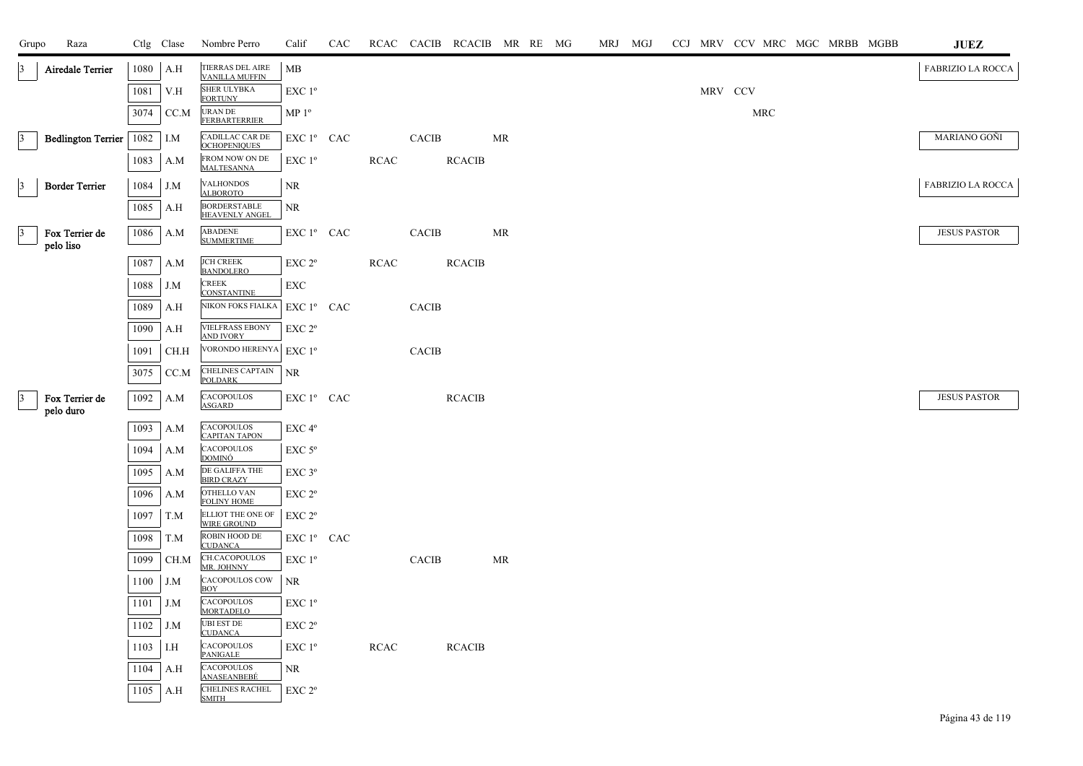| Grupo           | Raza                        |            | Ctlg Clase | Nombre Perro                                 | Calif              | CAC |             |              | RCAC CACIB RCACIB MR RE MG |           |  | MRJ MGJ |         |     | CCJ MRV CCV MRC MGC MRBB MGBB |  | <b>JUEZ</b>         |
|-----------------|-----------------------------|------------|------------|----------------------------------------------|--------------------|-----|-------------|--------------|----------------------------|-----------|--|---------|---------|-----|-------------------------------|--|---------------------|
| $\vert 3 \vert$ | Airedale Terrier            | 1080       | A.H        | TIERRAS DEL AIRE<br><b>VANILLA MUFFIN</b>    | MB                 |     |             |              |                            |           |  |         |         |     |                               |  | FABRIZIO LA ROCCA   |
|                 |                             | 1081       | V.H        | SHER ULYBKA<br><b>FORTUNY</b>                | EXC 1 <sup>o</sup> |     |             |              |                            |           |  |         | MRV CCV |     |                               |  |                     |
|                 |                             | 3074       | CC.M       | URAN DE<br><b>FERBARTERRIER</b>              | MP 1 <sup>o</sup>  |     |             |              |                            |           |  |         |         | MRC |                               |  |                     |
| 3               | <b>Bedlington Terrier</b>   | $1082$ I.M |            | CADILLAC CAR DE<br><b>OCHOPENIQUES</b>       | EXC 1º CAC         |     |             | <b>CACIB</b> |                            | <b>MR</b> |  |         |         |     |                               |  | MARIANO GOÑI        |
|                 |                             | 1083       | A.M        | FROM NOW ON DE<br><b>MALTESANNA</b>          | EXC 1 <sup>o</sup> |     | <b>RCAC</b> |              | <b>RCACIB</b>              |           |  |         |         |     |                               |  |                     |
| $\vert 3 \vert$ | <b>Border Terrier</b>       | 1084       | J.M        | VALHONDOS<br><b>ALBOROTO</b>                 | NR                 |     |             |              |                            |           |  |         |         |     |                               |  | FABRIZIO LA ROCCA   |
|                 |                             | 1085       | A.H        | <b>BORDERSTABLE</b><br><b>HEAVENLY ANGEL</b> | <b>NR</b>          |     |             |              |                            |           |  |         |         |     |                               |  |                     |
| $\vert 3 \vert$ | Fox Terrier de<br>pelo liso |            | $1086$ A.M | <b>ABADENE</b><br><b>SUMMERTIME</b>          | EXC 1º CAC         |     |             | CACIB        |                            | MR        |  |         |         |     |                               |  | <b>JESUS PASTOR</b> |
|                 |                             | 1087       | - A.M      | <b>JCH CREEK</b><br><b>BANDOLERO</b>         | EXC 2°             |     | <b>RCAC</b> |              | <b>RCACIB</b>              |           |  |         |         |     |                               |  |                     |
|                 |                             | 1088       | J.M        | <b>CREEK</b><br><b>CONSTANTINE</b>           | EXC                |     |             |              |                            |           |  |         |         |     |                               |  |                     |
|                 |                             | 1089       | A.H        | NIKON FOKS FIALKA                            | EXC 1º CAC         |     |             | CACIB        |                            |           |  |         |         |     |                               |  |                     |
|                 |                             | 1090       | A.H        | <b>VIELFRASS EBONY</b><br><b>AND IVORY</b>   | EXC <sub>2°</sub>  |     |             |              |                            |           |  |         |         |     |                               |  |                     |
|                 |                             | 1091       | CH.H       | VORONDO HERENYA EXC 1º                       |                    |     |             | <b>CACIB</b> |                            |           |  |         |         |     |                               |  |                     |
|                 |                             | 3075       | CC.M       | <b>CHELINES CAPTAIN</b><br><b>POLDARK</b>    | NR                 |     |             |              |                            |           |  |         |         |     |                               |  |                     |
| $\vert 3 \vert$ | Fox Terrier de<br>pelo duro | 1092       | A.M        | <b>CACOPOULOS</b><br><b>ASGARD</b>           | EXC 1º CAC         |     |             |              | <b>RCACIB</b>              |           |  |         |         |     |                               |  | <b>JESUS PASTOR</b> |
|                 |                             | 1093       | A.M        | CACOPOULOS<br><b>CAPITAN TAPON</b>           | EXC 4°             |     |             |              |                            |           |  |         |         |     |                               |  |                     |
|                 |                             | 1094       | A.M        | CACOPOULOS<br><u>DOMINÓ</u>                  | EXC <sub>5°</sub>  |     |             |              |                            |           |  |         |         |     |                               |  |                     |
|                 |                             | 1095       | A.M        | DE GALIFFA THE<br><b>BIRD CRAZY</b>          | $EXC$ $3^{\circ}$  |     |             |              |                            |           |  |         |         |     |                               |  |                     |
|                 |                             | 1096       | A.M        | OTHELLO VAN<br><b>FOLINY HOME</b>            | EXC 2°             |     |             |              |                            |           |  |         |         |     |                               |  |                     |
|                 |                             | 1097       | T.M        | ELLIOT THE ONE OF<br><b>WIRE GROUND</b>      | EXC 2°             |     |             |              |                            |           |  |         |         |     |                               |  |                     |
|                 |                             | 1098       | T.M        | ROBIN HOOD DE<br><b>CUDANCA</b>              | EXC 1º CAC         |     |             |              |                            |           |  |         |         |     |                               |  |                     |
|                 |                             | 1099       | CH.M       | CH.CACOPOULOS<br>MR. JOHNNY                  | EXC 1 <sup>o</sup> |     |             | <b>CACIB</b> |                            | <b>MR</b> |  |         |         |     |                               |  |                     |
|                 |                             | 1100       | J.M        | CACOPOULOS COW<br><b>BOY</b>                 | NR.                |     |             |              |                            |           |  |         |         |     |                               |  |                     |
|                 |                             | 1101       | J.M        | CACOPOULOS<br><b>MORTADELO</b>               | EXC 1 <sup>o</sup> |     |             |              |                            |           |  |         |         |     |                               |  |                     |
|                 |                             | 1102       | J.M        | <b>UBI EST DE</b><br><b>CUDANCA</b>          | EXC 2 <sup>o</sup> |     |             |              |                            |           |  |         |         |     |                               |  |                     |
|                 |                             | 1103       | I.H        | CACOPOULOS<br><b>PANIGALE</b>                | EXC 1°             |     | <b>RCAC</b> |              | <b>RCACIB</b>              |           |  |         |         |     |                               |  |                     |
|                 |                             | 1104       | A.H        | CACOPOULOS<br><u>ANASEANBEBÉ</u>             | NR.                |     |             |              |                            |           |  |         |         |     |                               |  |                     |
|                 |                             | 1105       | A.H        | <b>CHELINES RACHEL</b><br><b>SMITH</b>       | EXC 2 <sup>o</sup> |     |             |              |                            |           |  |         |         |     |                               |  |                     |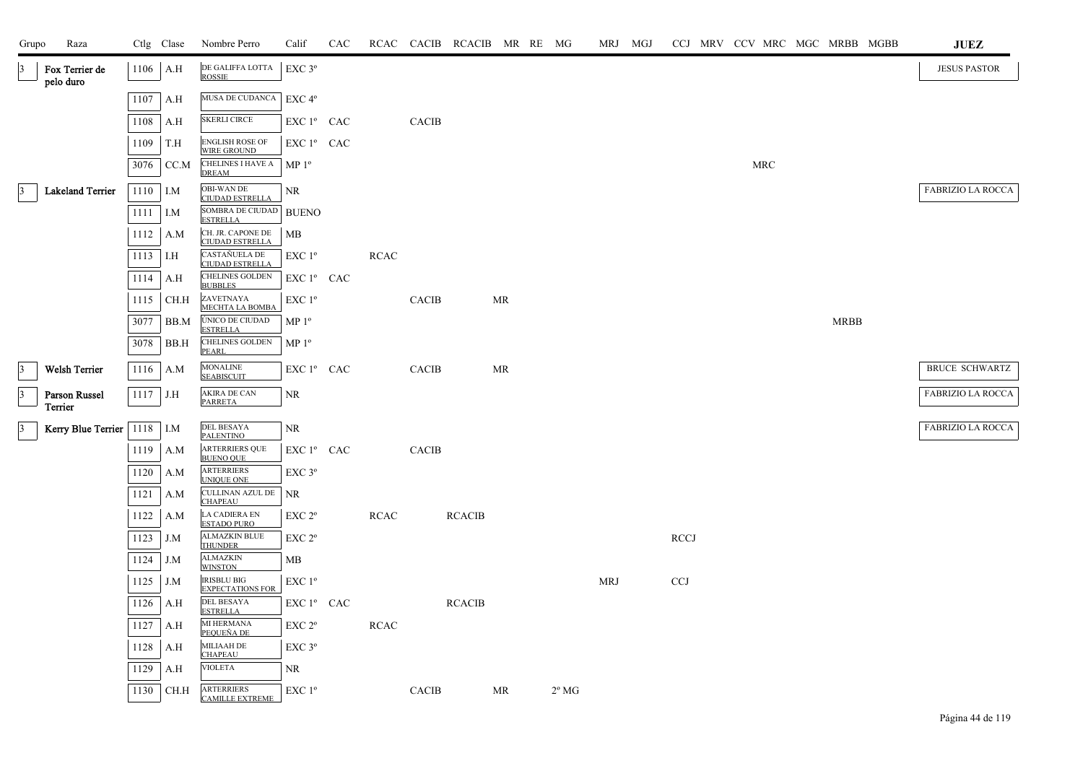| Grupo           | Raza                        |            | Ctlg Clase  | Nombre Perro                                       | Calif              | CAC |             |              | RCAC CACIB RCACIB MR RE MG |    |                |            | MRJ MGJ |             |  |            |  |             | CCJ MRV CCV MRC MGC MRBB MGBB | $\mathbf{J}\mathbf{U}\mathbf{E}\mathbf{Z}$ |
|-----------------|-----------------------------|------------|-------------|----------------------------------------------------|--------------------|-----|-------------|--------------|----------------------------|----|----------------|------------|---------|-------------|--|------------|--|-------------|-------------------------------|--------------------------------------------|
| $\mathbf{E}$    | Fox Terrier de<br>pelo duro |            | $1106$ A.H  | DE GALIFFA LOTTA<br><b>ROSSIE</b>                  | EXC 3°             |     |             |              |                            |    |                |            |         |             |  |            |  |             |                               | <b>JESUS PASTOR</b>                        |
|                 |                             | 1107       | A.H         | MUSA DE CUDANCA                                    | EXC <sub>4°</sub>  |     |             |              |                            |    |                |            |         |             |  |            |  |             |                               |                                            |
|                 |                             | 1108       | A.H         | <b>SKERLI CIRCE</b>                                | EXC 1° CAC         |     |             | <b>CACIB</b> |                            |    |                |            |         |             |  |            |  |             |                               |                                            |
|                 |                             | 1109       | T.H         | <b>ENGLISH ROSE OF</b><br>WIRE GROUND              | EXC 1º CAC         |     |             |              |                            |    |                |            |         |             |  |            |  |             |                               |                                            |
|                 |                             | 3076       | CC.M        | <b>CHELINES I HAVE A</b><br><b>DREAM</b>           | MP <sup>0</sup>    |     |             |              |                            |    |                |            |         |             |  | <b>MRC</b> |  |             |                               |                                            |
| $\mathbf{3}$    | <b>Lakeland Terrier</b>     | 1110 I.M   |             | OBI-WAN DE                                         | NR                 |     |             |              |                            |    |                |            |         |             |  |            |  |             |                               | <b>FABRIZIO LA ROCCA</b>                   |
|                 |                             | $1111$ I.M |             | <b>CIUDAD ESTRELLA</b><br>SOMBRA DE CIUDAD BUENO   |                    |     |             |              |                            |    |                |            |         |             |  |            |  |             |                               |                                            |
|                 |                             | 1112       | A.M         | <b>ESTRELLA</b><br>CH. JR. CAPONE DE               | МB                 |     |             |              |                            |    |                |            |         |             |  |            |  |             |                               |                                            |
|                 |                             | 1113       | I.H         | <b>CIUDAD ESTRELLA</b><br>CASTAÑUELA DE            | $EXC1^{\circ}$     |     | <b>RCAC</b> |              |                            |    |                |            |         |             |  |            |  |             |                               |                                            |
|                 |                             | 1114       | A.H         | <b>CIUDAD ESTRELLA</b><br>CHELINES GOLDEN          | EXC 1º CAC         |     |             |              |                            |    |                |            |         |             |  |            |  |             |                               |                                            |
|                 |                             | 1115       | CH.H        | <b>BUBBLES</b><br>ZAVETNAYA                        | EXC 1 <sup>o</sup> |     |             | <b>CACIB</b> |                            | MR |                |            |         |             |  |            |  |             |                               |                                            |
|                 |                             | 3077       | BB.M        | <b>MECHTA LA BOMBA</b><br>ÚNICO DE CIUDAD          | $MP 1^{\circ}$     |     |             |              |                            |    |                |            |         |             |  |            |  | <b>MRBB</b> |                               |                                            |
|                 |                             | 3078       | BB.H        | <b>ESTRELLA</b><br><b>CHELINES GOLDEN</b><br>PEARL | MP 1 <sup>o</sup>  |     |             |              |                            |    |                |            |         |             |  |            |  |             |                               |                                            |
| $\vert$ 3       | <b>Welsh Terrier</b>        | 1116       | A.M         | <b>MONALINE</b><br><b>SEABISCUIT</b>               | EXC 1º CAC         |     |             | <b>CACIB</b> |                            | MR |                |            |         |             |  |            |  |             |                               | <b>BRUCE SCHWARTZ</b>                      |
| $\vert 3 \vert$ | Parson Russel               | $1117$ J.H |             | <b>AKIRA DE CAN</b><br><b>PARRETA</b>              | NR                 |     |             |              |                            |    |                |            |         |             |  |            |  |             |                               | FABRIZIO LA ROCCA                          |
|                 | Terrier                     |            |             |                                                    |                    |     |             |              |                            |    |                |            |         |             |  |            |  |             |                               |                                            |
| $\vert 3 \vert$ | Kerry Blue Terrier          | $1118$ I.M |             | DEL BESAYA<br><b>PALENTINO</b>                     | NR                 |     |             |              |                            |    |                |            |         |             |  |            |  |             |                               | <b>FABRIZIO LA ROCCA</b>                   |
|                 |                             | 1119       | A.M         | <b>ARTERRIERS QUE</b><br><b>BUENO QUE</b>          | EXC 1º CAC         |     |             | <b>CACIB</b> |                            |    |                |            |         |             |  |            |  |             |                               |                                            |
|                 |                             | 1120       | A.M         | <b>ARTERRIERS</b><br><b>UNIQUE ONE</b>             | EXC <sub>3°</sub>  |     |             |              |                            |    |                |            |         |             |  |            |  |             |                               |                                            |
|                 |                             | 1121       | A.M         | CULLINAN AZUL DE<br><b>CHAPEAU</b>                 | <b>NR</b>          |     |             |              |                            |    |                |            |         |             |  |            |  |             |                               |                                            |
|                 |                             | 1122       | A.M         | LA CADIERA EN<br><b>ESTADO PURO</b>                | EXC 2°             |     | <b>RCAC</b> |              | <b>RCACIB</b>              |    |                |            |         |             |  |            |  |             |                               |                                            |
|                 |                             | 1123       | J.M         | <b>ALMAZKIN BLUE</b><br><b>THUNDER</b>             | EXC 2 <sup>o</sup> |     |             |              |                            |    |                |            |         | <b>RCCJ</b> |  |            |  |             |                               |                                            |
|                 |                             | 1124       | J.M         | <b>ALMAZKIN</b><br><b>WINSTON</b>                  | MВ                 |     |             |              |                            |    |                |            |         |             |  |            |  |             |                               |                                            |
|                 |                             | 1125       | J.M         | <b>IRISBLU BIG</b><br><b>EXPECTATIONS FOR</b>      | EXC 1°             |     |             |              |                            |    |                | <b>MRJ</b> |         | <b>CCJ</b>  |  |            |  |             |                               |                                            |
|                 |                             | 1126       | A.H         | DEL BESAYA<br><b>ESTRELLA</b>                      | EXC 1º CAC         |     |             |              | <b>RCACIB</b>              |    |                |            |         |             |  |            |  |             |                               |                                            |
|                 |                             | 1127       | A.H         | MI HERMANA<br>PEOUEÑA DE                           | EXC <sub>2°</sub>  |     | <b>RCAC</b> |              |                            |    |                |            |         |             |  |            |  |             |                               |                                            |
|                 |                             | 1128       | A.H         | MILIAAH DE<br><b>CHAPEAU</b>                       | EXC 3°             |     |             |              |                            |    |                |            |         |             |  |            |  |             |                               |                                            |
|                 |                             | 1129       | A.H         | <b>VIOLETA</b>                                     | NR                 |     |             |              |                            |    |                |            |         |             |  |            |  |             |                               |                                            |
|                 |                             |            | 1130   CH.H | <b>ARTERRIERS</b><br>CAMILLE EXTREME               | EXC 1°             |     |             | <b>CACIB</b> |                            | MR | $2^{\circ}$ MG |            |         |             |  |            |  |             |                               |                                            |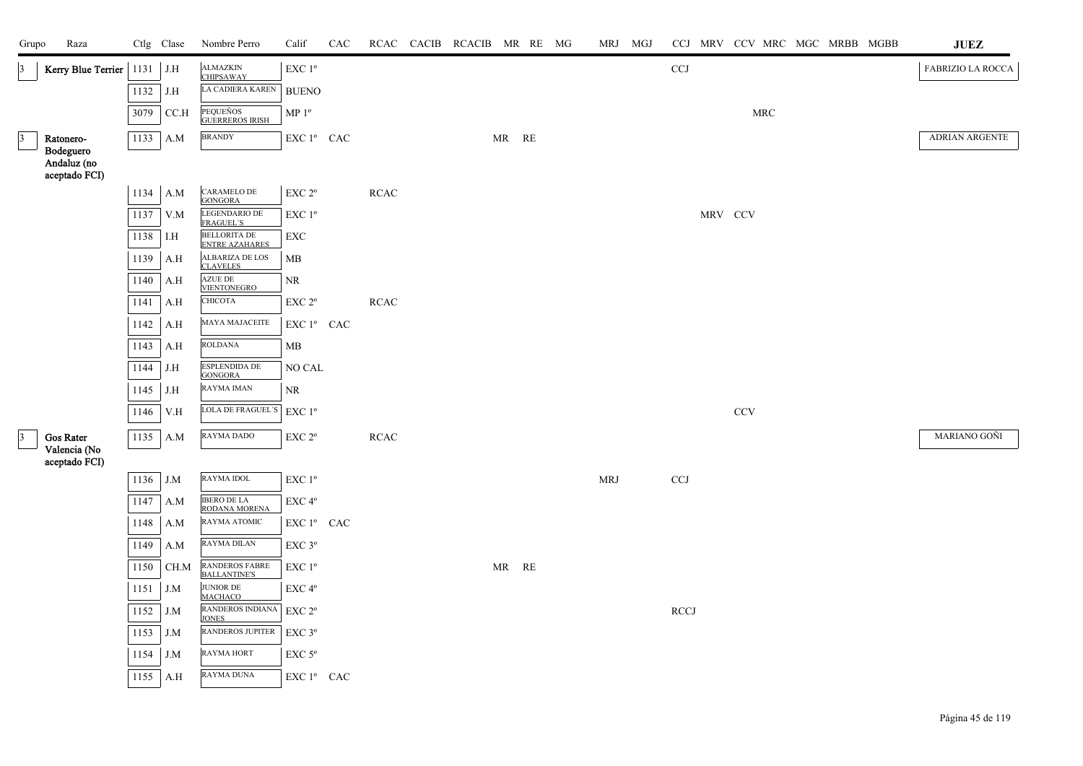| Grupo           | Raza                                      |            | Ctlg Clase | Nombre Perro                                 | Calif                                               | CAC |             | RCAC CACIB RCACIB MR RE MG |       |  | MRJ MGJ              |             |         | CCJ MRV CCV MRC MGC MRBB MGBB | ${\bf JUEZ}$      |
|-----------------|-------------------------------------------|------------|------------|----------------------------------------------|-----------------------------------------------------|-----|-------------|----------------------------|-------|--|----------------------|-------------|---------|-------------------------------|-------------------|
| $\vert 3 \vert$ | Kerry Blue Terrier   1131                 |            | J.H        | <b>ALMAZKIN</b><br><b>CHIPSAWAY</b>          | EXC 1 <sup>o</sup>                                  |     |             |                            |       |  |                      | <b>CCJ</b>  |         |                               | FABRIZIO LA ROCCA |
|                 |                                           | 1132       | J.H        | LA CADIERA KAREN                             | <b>BUENO</b>                                        |     |             |                            |       |  |                      |             |         |                               |                   |
|                 |                                           | 3079       | CC.H       | PEQUEÑOS<br><b>GUERREROS IRISH</b>           | $\mathbf{MP}\; \mathbf{1^o}$                        |     |             |                            |       |  |                      |             |         | $\operatorname{MRC}$          |                   |
| $\vert 3 \vert$ | Ratonero-                                 |            | 1133 A.M   | <b>BRANDY</b>                                | $\mathop{\hbox{\rm EXC}}$ $1^{\circ}$ $\;$ CAC $\;$ |     |             |                            | MR RE |  |                      |             |         |                               | ADRIAN ARGENTE    |
|                 | Bodeguero<br>Andaluz (no<br>aceptado FCI) |            |            |                                              |                                                     |     |             |                            |       |  |                      |             |         |                               |                   |
|                 |                                           |            | $1134$ A.M | <b>CARAMELO DE</b><br><b>GONGORA</b>         | $\ensuremath{\mathrm{EXC}}$ $2^{\mathrm{o}}$        |     | $\sf RCAC$  |                            |       |  |                      |             |         |                               |                   |
|                 |                                           | 1137       | V.M        | LEGENDARIO DE<br><b>FRAGUEL'S</b>            | EXC 1 <sup>o</sup>                                  |     |             |                            |       |  |                      |             | MRV CCV |                               |                   |
|                 |                                           | 1138       | I.H        | <b>BELLORITA DE</b><br><b>ENTRE AZAHARES</b> | ${\rm EXC}$                                         |     |             |                            |       |  |                      |             |         |                               |                   |
|                 |                                           | 1139       | A.H        | ALBARIZA DE LOS<br><b>CLAVELES</b>           | ${\rm MB}$                                          |     |             |                            |       |  |                      |             |         |                               |                   |
|                 |                                           | $1140$ A.H |            | <b>AZUE DE</b><br>VIENTONEGRO                | NR                                                  |     |             |                            |       |  |                      |             |         |                               |                   |
|                 |                                           | 1141       | A.H        | СНІСОТА                                      | $\ensuremath{\mathrm{EXC}}$ $2^{\mathrm{o}}$        |     | $\sf RCAC$  |                            |       |  |                      |             |         |                               |                   |
|                 |                                           | 1142       | A.H        | MAYA MAJACEITE                               | EXC 1º CAC                                          |     |             |                            |       |  |                      |             |         |                               |                   |
|                 |                                           | 1143       | A.H        | <b>ROLDANA</b>                               | MB                                                  |     |             |                            |       |  |                      |             |         |                               |                   |
|                 |                                           | 1144 J.H   |            | ESPLENDIDA DE<br><b>GONGORA</b>              | NO CAL                                              |     |             |                            |       |  |                      |             |         |                               |                   |
|                 |                                           | 1145       | J.H        | <b>RAYMA IMAN</b>                            | NR                                                  |     |             |                            |       |  |                      |             |         |                               |                   |
|                 |                                           | 1146       | V.H        | LOLA DE FRAGUEL'S                            | $\ensuremath{\mathrm{EXC}}$<br>$1^{\mathrm{o}}$     |     |             |                            |       |  |                      |             |         | CCV                           |                   |
| $\vert$ 3       | Gos Rater                                 |            | 1135 A.M   | <b>RAYMA DADO</b>                            | EXC 2°                                              |     | <b>RCAC</b> |                            |       |  |                      |             |         |                               | MARIANO GOÑI      |
|                 | Valencia (No<br>aceptado FCI)             |            |            |                                              |                                                     |     |             |                            |       |  |                      |             |         |                               |                   |
|                 |                                           | 1136 J.M   |            | RAYMA IDOL                                   | EXC 1 <sup>o</sup>                                  |     |             |                            |       |  | $\operatorname{MRJ}$ | <b>CCJ</b>  |         |                               |                   |
|                 |                                           |            | $1147$ A.M | <b>IBERO DE LA</b><br>RODANA MORENA          | $\ensuremath{\mathrm{EXC}}\,4^{\mathrm{o}}$         |     |             |                            |       |  |                      |             |         |                               |                   |
|                 |                                           | 1148       | A.M        | RAYMA ATOMIC                                 | EXC 1º CAC                                          |     |             |                            |       |  |                      |             |         |                               |                   |
|                 |                                           | 1149       | A.M        | <b>RAYMA DILAN</b>                           | EXC 3°                                              |     |             |                            |       |  |                      |             |         |                               |                   |
|                 |                                           | 1150       | CH.M       | RANDEROS FABRE<br>BALLANTINE'S               | $\ensuremath{\mathrm{EXC}}$ $1^{\mathrm{o}}$        |     |             |                            | MR RE |  |                      |             |         |                               |                   |
|                 |                                           | 1151       | J.M        | <b>JUNIOR DE</b><br><b>MACHACO</b>           | EXC 4°                                              |     |             |                            |       |  |                      |             |         |                               |                   |
|                 |                                           | 1152 J.M   |            | RANDEROS INDIANA<br><b>JONES</b>             | $\ensuremath{\mathrm{EXC}}$ $2^{\mathrm{o}}$        |     |             |                            |       |  |                      | <b>RCCJ</b> |         |                               |                   |
|                 |                                           | 1153       | J.M        | <b>RANDEROS JUPITER</b>                      | $\ensuremath{\mathrm{EXC}}\,3^{\mathrm{o}}$         |     |             |                            |       |  |                      |             |         |                               |                   |
|                 |                                           | 1154       | J.M        | RAYMA HORT                                   | $EXC$ 5 $^{\circ}$                                  |     |             |                            |       |  |                      |             |         |                               |                   |
|                 |                                           |            | 1155 A.H   | <b>RAYMA DUNA</b>                            | ${\rm EXC}$ $1^{\rm o}$ $\;$ CAC $\;$               |     |             |                            |       |  |                      |             |         |                               |                   |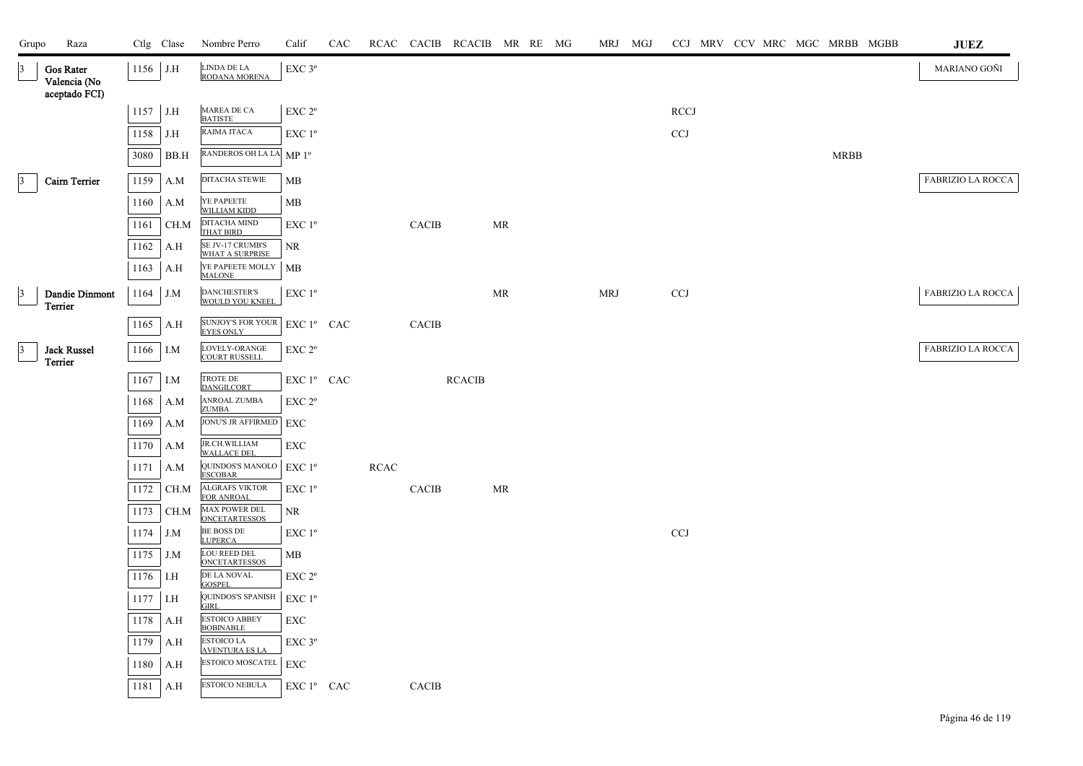| LINDA DE LA<br>1156 J.H<br>EXC <sub>3°</sub><br>Gos Rater<br>$\vert 3 \vert$<br>RODANA MORENA<br>Valencia (No<br>aceptado FCI)<br>MAREA DE CA<br>$1157$ J.H<br>EXC 2 <sup>o</sup><br><b>RCCJ</b><br><b>BATISTE</b><br>RAIMA ITACA<br>1158<br>EXC 1 <sup>o</sup><br><b>CCJ</b><br>J.H<br>RANDEROS OH LA LA MP 1º<br><b>MRBB</b><br>3080<br>BB.H<br>DITACHA STEWIE<br>1159<br>$\beta$<br>Cairn Terrier<br>MB<br>A.M<br>YE PAPEETE<br>WILLIAM KIDD<br>1160<br>MB<br>A.M<br>DITACHA MIND<br>EXC 1 <sup>o</sup><br>1161<br>CH.M<br>CACIB<br>MR<br><b>THAT BIRD</b><br>SE JV-17 CRUMB'S<br>1162<br>NR<br>A.H<br><b>WHAT A SURPRISE</b><br>YE PAPEETE MOLLY<br>1163<br>MB<br>A.H<br><b>MALONE</b><br><b>DANCHESTER'S</b><br>$\ensuremath{\mathrm{EXC}}$<br>$1^{\mathrm{o}}$<br>CCJ<br>$\beta$<br> | Grupo | Raza | Ctlg Clase | Nombre Perro | Calif | CAC | RCAC CACIB RCACIB MR RE MG |  |  | MRJ MGJ |  |  | CCJ MRV CCV MRC MGC MRBB MGBB | $\mathbf{J}\mathbf{U}\mathbf{E}\mathbf{Z}$ |
|--------------------------------------------------------------------------------------------------------------------------------------------------------------------------------------------------------------------------------------------------------------------------------------------------------------------------------------------------------------------------------------------------------------------------------------------------------------------------------------------------------------------------------------------------------------------------------------------------------------------------------------------------------------------------------------------------------------------------------------------------------------------------------------------|-------|------|------------|--------------|-------|-----|----------------------------|--|--|---------|--|--|-------------------------------|--------------------------------------------|
|                                                                                                                                                                                                                                                                                                                                                                                                                                                                                                                                                                                                                                                                                                                                                                                            |       |      |            |              |       |     |                            |  |  |         |  |  |                               | MARIANO GOÑI                               |
|                                                                                                                                                                                                                                                                                                                                                                                                                                                                                                                                                                                                                                                                                                                                                                                            |       |      |            |              |       |     |                            |  |  |         |  |  |                               |                                            |
|                                                                                                                                                                                                                                                                                                                                                                                                                                                                                                                                                                                                                                                                                                                                                                                            |       |      |            |              |       |     |                            |  |  |         |  |  |                               |                                            |
|                                                                                                                                                                                                                                                                                                                                                                                                                                                                                                                                                                                                                                                                                                                                                                                            |       |      |            |              |       |     |                            |  |  |         |  |  |                               |                                            |
|                                                                                                                                                                                                                                                                                                                                                                                                                                                                                                                                                                                                                                                                                                                                                                                            |       |      |            |              |       |     |                            |  |  |         |  |  |                               | FABRIZIO LA ROCCA                          |
|                                                                                                                                                                                                                                                                                                                                                                                                                                                                                                                                                                                                                                                                                                                                                                                            |       |      |            |              |       |     |                            |  |  |         |  |  |                               |                                            |
|                                                                                                                                                                                                                                                                                                                                                                                                                                                                                                                                                                                                                                                                                                                                                                                            |       |      |            |              |       |     |                            |  |  |         |  |  |                               |                                            |
|                                                                                                                                                                                                                                                                                                                                                                                                                                                                                                                                                                                                                                                                                                                                                                                            |       |      |            |              |       |     |                            |  |  |         |  |  |                               |                                            |
|                                                                                                                                                                                                                                                                                                                                                                                                                                                                                                                                                                                                                                                                                                                                                                                            |       |      |            |              |       |     |                            |  |  |         |  |  |                               |                                            |
|                                                                                                                                                                                                                                                                                                                                                                                                                                                                                                                                                                                                                                                                                                                                                                                            |       |      |            |              |       |     |                            |  |  |         |  |  |                               | FABRIZIO LA ROCCA                          |
|                                                                                                                                                                                                                                                                                                                                                                                                                                                                                                                                                                                                                                                                                                                                                                                            |       |      |            |              |       |     |                            |  |  |         |  |  |                               |                                            |
|                                                                                                                                                                                                                                                                                                                                                                                                                                                                                                                                                                                                                                                                                                                                                                                            |       |      |            |              |       |     |                            |  |  |         |  |  |                               | FABRIZIO LA ROCCA                          |
|                                                                                                                                                                                                                                                                                                                                                                                                                                                                                                                                                                                                                                                                                                                                                                                            |       |      |            |              |       |     |                            |  |  |         |  |  |                               |                                            |
|                                                                                                                                                                                                                                                                                                                                                                                                                                                                                                                                                                                                                                                                                                                                                                                            |       |      |            |              |       |     |                            |  |  |         |  |  |                               |                                            |
|                                                                                                                                                                                                                                                                                                                                                                                                                                                                                                                                                                                                                                                                                                                                                                                            |       |      |            |              |       |     |                            |  |  |         |  |  |                               |                                            |
|                                                                                                                                                                                                                                                                                                                                                                                                                                                                                                                                                                                                                                                                                                                                                                                            |       |      |            |              |       |     |                            |  |  |         |  |  |                               |                                            |
|                                                                                                                                                                                                                                                                                                                                                                                                                                                                                                                                                                                                                                                                                                                                                                                            |       |      |            |              |       |     |                            |  |  |         |  |  |                               |                                            |
|                                                                                                                                                                                                                                                                                                                                                                                                                                                                                                                                                                                                                                                                                                                                                                                            |       |      |            |              |       |     |                            |  |  |         |  |  |                               |                                            |
|                                                                                                                                                                                                                                                                                                                                                                                                                                                                                                                                                                                                                                                                                                                                                                                            |       |      |            |              |       |     |                            |  |  |         |  |  |                               |                                            |
|                                                                                                                                                                                                                                                                                                                                                                                                                                                                                                                                                                                                                                                                                                                                                                                            |       |      |            |              |       |     |                            |  |  |         |  |  |                               |                                            |
|                                                                                                                                                                                                                                                                                                                                                                                                                                                                                                                                                                                                                                                                                                                                                                                            |       |      |            |              |       |     |                            |  |  |         |  |  |                               |                                            |
|                                                                                                                                                                                                                                                                                                                                                                                                                                                                                                                                                                                                                                                                                                                                                                                            |       |      |            |              |       |     |                            |  |  |         |  |  |                               |                                            |
|                                                                                                                                                                                                                                                                                                                                                                                                                                                                                                                                                                                                                                                                                                                                                                                            |       |      |            |              |       |     |                            |  |  |         |  |  |                               |                                            |
|                                                                                                                                                                                                                                                                                                                                                                                                                                                                                                                                                                                                                                                                                                                                                                                            |       |      |            |              |       |     |                            |  |  |         |  |  |                               |                                            |
|                                                                                                                                                                                                                                                                                                                                                                                                                                                                                                                                                                                                                                                                                                                                                                                            |       |      |            |              |       |     |                            |  |  |         |  |  |                               |                                            |
|                                                                                                                                                                                                                                                                                                                                                                                                                                                                                                                                                                                                                                                                                                                                                                                            |       |      |            |              |       |     |                            |  |  |         |  |  |                               |                                            |
|                                                                                                                                                                                                                                                                                                                                                                                                                                                                                                                                                                                                                                                                                                                                                                                            |       |      |            |              |       |     |                            |  |  |         |  |  |                               |                                            |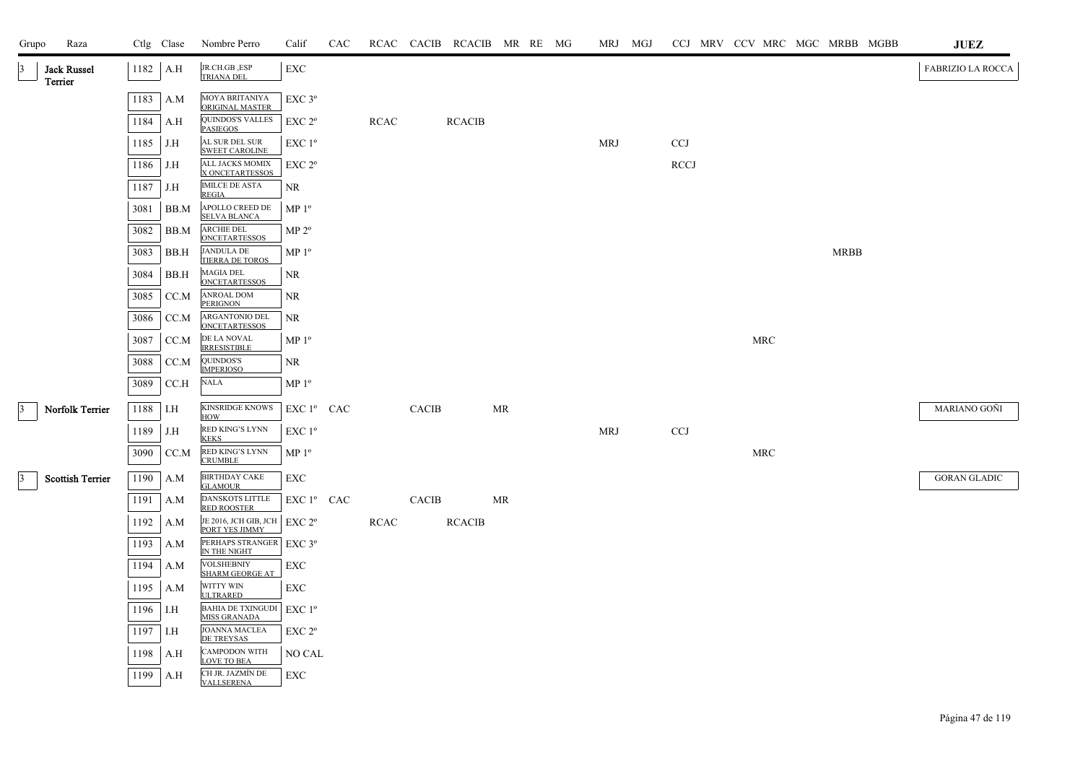| Grupo           | Raza                          |      | Ctlg Clase | Nombre Perro                                                | Calif                                        | CAC |             |              | RCAC CACIB RCACIB MR RE MG |           |  | MRJ MGJ    |             |            | CCJ MRV CCV MRC MGC MRBB MGBB | JUEZ                     |
|-----------------|-------------------------------|------|------------|-------------------------------------------------------------|----------------------------------------------|-----|-------------|--------------|----------------------------|-----------|--|------------|-------------|------------|-------------------------------|--------------------------|
| 13              | <b>Jack Russel</b><br>Terrier |      | 1182 A.H   | JR.CH.GB, ESP<br><b>TRIANA DEL</b>                          | <b>EXC</b>                                   |     |             |              |                            |           |  |            |             |            |                               | <b>FABRIZIO LA ROCCA</b> |
|                 |                               | 1183 | A.M        | MOYA BRITANIYA<br>ORIGINAL MASTER                           | EXC 3°                                       |     |             |              |                            |           |  |            |             |            |                               |                          |
|                 |                               | 1184 | A.H        | QUINDOS'S VALLES<br><b>PASIEGOS</b>                         | EXC 2 <sup>o</sup>                           |     | <b>RCAC</b> |              | <b>RCACIB</b>              |           |  |            |             |            |                               |                          |
|                 |                               | 1185 | J.H        | AL SUR DEL SUR<br><b>SWEET CAROLINE</b>                     | EXC 1 <sup>o</sup>                           |     |             |              |                            |           |  | <b>MRJ</b> | <b>CCJ</b>  |            |                               |                          |
|                 |                               | 1186 | J.H        | <b>ALL JACKS MOMIX</b><br>X ONCETARTESSOS                   | $\ensuremath{\mathrm{EXC}}$ $2^{\mathrm{o}}$ |     |             |              |                            |           |  |            | <b>RCCJ</b> |            |                               |                          |
|                 |                               | 1187 | J.H        | <b>IMILCE DE ASTA</b><br><b>REGIA</b>                       | NR                                           |     |             |              |                            |           |  |            |             |            |                               |                          |
|                 |                               | 3081 | BB.M       | APOLLO CREED DE<br><b>SELVA BLANCA</b>                      | MP 1 <sup>o</sup>                            |     |             |              |                            |           |  |            |             |            |                               |                          |
|                 |                               | 3082 | BB.M       | ARCHIE DEL<br><b>ONCETARTESSOS</b>                          | MP 2 <sup>o</sup>                            |     |             |              |                            |           |  |            |             |            |                               |                          |
|                 |                               | 3083 | BB.H       | <b>JANDULA DE</b><br>TIERRA DE TOROS                        | MP <sup>0</sup>                              |     |             |              |                            |           |  |            |             |            | <b>MRBB</b>                   |                          |
|                 |                               | 3084 | BB.H       | <b>MAGIA DEL</b><br><b>ONCETARTESSOS</b>                    | NR                                           |     |             |              |                            |           |  |            |             |            |                               |                          |
|                 |                               | 3085 | CC.M       | ANROAL DOM<br><b>PERIGNON</b>                               | NR                                           |     |             |              |                            |           |  |            |             |            |                               |                          |
|                 |                               | 3086 | CC.M       | ARGANTONIO DEL<br><b>ONCETARTESSOS</b>                      | NR                                           |     |             |              |                            |           |  |            |             |            |                               |                          |
|                 |                               | 3087 | CC.M       | DE LA NOVAL<br><b>IRRESISTIBLE</b>                          | MP <sup>0</sup>                              |     |             |              |                            |           |  |            |             | <b>MRC</b> |                               |                          |
|                 |                               | 3088 | CC.M       | QUINDOS'S<br><b>IMPERIOSO</b>                               | NR                                           |     |             |              |                            |           |  |            |             |            |                               |                          |
|                 |                               | 3089 | CCA        | <b>NALA</b>                                                 | MP <sup>0</sup>                              |     |             |              |                            |           |  |            |             |            |                               |                          |
| $\vert$ 3       | Norfolk Terrier               | 1188 | I.H        | <b>KINSRIDGE KNOWS</b><br>HOW                               | EXC 1º CAC                                   |     |             | <b>CACIB</b> |                            | <b>MR</b> |  |            |             |            |                               | MARIANO GOÑI             |
|                 |                               | 1189 | J.H        | RED KING'S LYNN<br><b>KEKS</b>                              | $EXC1^{\circ}$                               |     |             |              |                            |           |  | <b>MRJ</b> | <b>CCJ</b>  |            |                               |                          |
|                 |                               | 3090 | CC.M       | RED KING'S LYNN<br><b>CRUMBLE</b>                           | MP <sup>0</sup>                              |     |             |              |                            |           |  |            |             | <b>MRC</b> |                               |                          |
| $\vert 3 \vert$ | <b>Scottish Terrier</b>       | 1190 | A.M        | <b>BIRTHDAY CAKE</b>                                        | <b>EXC</b>                                   |     |             |              |                            |           |  |            |             |            |                               | <b>GORAN GLADIC</b>      |
|                 |                               | 1191 | A.M        | <b>GLAMOUR</b><br>DANSKOTS LITTLE                           | EXC 1º CAC                                   |     |             | <b>CACIB</b> |                            | MR        |  |            |             |            |                               |                          |
|                 |                               | 1192 | A.M        | <b>RED ROOSTER</b><br>JE 2016, JCH GIB, JCH   EXC 2°        |                                              |     | <b>RCAC</b> |              | <b>RCACIB</b>              |           |  |            |             |            |                               |                          |
|                 |                               | 1193 | A.M        | PORT YES JIMMY<br>PERHAPS STRANGER EXC 3°                   |                                              |     |             |              |                            |           |  |            |             |            |                               |                          |
|                 |                               | 1194 | A.M        | IN THE NIGHT<br><b>VOLSHEBNIY</b><br><b>SHARM GEORGE AT</b> | EXC                                          |     |             |              |                            |           |  |            |             |            |                               |                          |
|                 |                               | 1195 | A.M        | WITTY WIN<br><b>ULTRARED</b>                                | <b>EXC</b>                                   |     |             |              |                            |           |  |            |             |            |                               |                          |
|                 |                               | 1196 | I.H        | <b>BAHIA DE TXINGUDI</b><br><b>MISS GRANADA</b>             | $EXC1^{\circ}$                               |     |             |              |                            |           |  |            |             |            |                               |                          |
|                 |                               | 1197 | I.H        | <b>JOANNA MACLEA</b><br>DE TREYSAS                          | $EXC 2^{\circ}$                              |     |             |              |                            |           |  |            |             |            |                               |                          |
|                 |                               | 1198 | A.H        | <b>CAMPODON WITH</b><br><b>LOVE TO BEA</b>                  | NO CAL                                       |     |             |              |                            |           |  |            |             |            |                               |                          |
|                 |                               | 1199 | A.H        | CH JR. JAZMÍN DE<br><b>VALLSERENA</b>                       | <b>EXC</b>                                   |     |             |              |                            |           |  |            |             |            |                               |                          |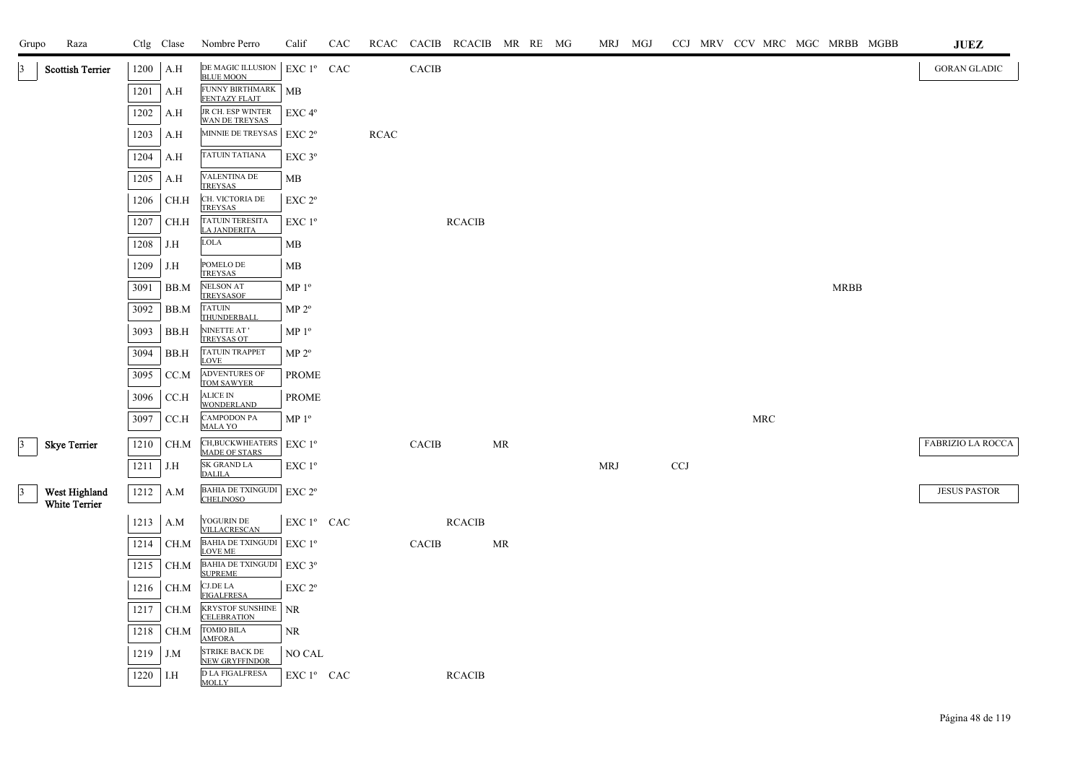| Grupo           | Raza                           |      | Ctlg Clase  | Nombre Perro                                     | Calif                  | CAC |             |              | RCAC CACIB RCACIB MR RE MG |    |  |            | MRJ MGJ |            |  |     |             | CCJ MRV CCV MRC MGC MRBB MGBB | <b>JUEZ</b>         |
|-----------------|--------------------------------|------|-------------|--------------------------------------------------|------------------------|-----|-------------|--------------|----------------------------|----|--|------------|---------|------------|--|-----|-------------|-------------------------------|---------------------|
|                 | <b>Scottish Terrier</b>        | 1200 | A.H         | DE MAGIC ILLUSION<br><b>BLUE MOON</b>            | EXC 1º CAC             |     |             | <b>CACIB</b> |                            |    |  |            |         |            |  |     |             |                               | <b>GORAN GLADIC</b> |
|                 |                                | 1201 | A.H         | FUNNY BIRTHMARK   MB<br>FENTAZY FLAJT            |                        |     |             |              |                            |    |  |            |         |            |  |     |             |                               |                     |
|                 |                                | 1202 | A.H         | JR CH. ESP WINTER<br>WAN DE TREYSAS              | EXC 4 <sup>o</sup>     |     |             |              |                            |    |  |            |         |            |  |     |             |                               |                     |
|                 |                                | 1203 | A.H         | MINNIE DE TREYSAS                                | EXC 2 <sup>o</sup>     |     | <b>RCAC</b> |              |                            |    |  |            |         |            |  |     |             |                               |                     |
|                 |                                | 1204 | A.H         | TATUIN TATIANA                                   | $EXC$ 3 $^{\circ}$     |     |             |              |                            |    |  |            |         |            |  |     |             |                               |                     |
|                 |                                | 1205 | A.H         | VALENTINA DE<br><b>TREYSAS</b>                   | МB                     |     |             |              |                            |    |  |            |         |            |  |     |             |                               |                     |
|                 |                                | 1206 | CH.H        | CH. VICTORIA DE<br>TREYSAS                       | EXC 2 <sup>o</sup>     |     |             |              |                            |    |  |            |         |            |  |     |             |                               |                     |
|                 |                                | 1207 | CH.H        | <b>TATUIN TERESITA</b><br>LA JANDERITA           | $EXC1^{\circ}$         |     |             |              | <b>RCACIB</b>              |    |  |            |         |            |  |     |             |                               |                     |
|                 |                                | 1208 | J.H         | <b>LOLA</b>                                      | MB                     |     |             |              |                            |    |  |            |         |            |  |     |             |                               |                     |
|                 |                                | 1209 | J.H         | POMELO DE<br>TREYSAS                             | MB                     |     |             |              |                            |    |  |            |         |            |  |     |             |                               |                     |
|                 |                                | 3091 | BB.M        | <b>NELSON AT</b><br><b>TREYSASOF</b>             | MP <sup>0</sup>        |     |             |              |                            |    |  |            |         |            |  |     | <b>MRBB</b> |                               |                     |
|                 |                                | 3092 | BB.M        | <b>TATUIN</b><br>THUNDERBALI                     | MP 2 <sup>o</sup>      |     |             |              |                            |    |  |            |         |            |  |     |             |                               |                     |
|                 |                                | 3093 | BB.H        | NINETTE AT'<br><b>TREYSAS OT</b>                 | MP <sup>0</sup>        |     |             |              |                            |    |  |            |         |            |  |     |             |                               |                     |
|                 |                                | 3094 | BB.H        | <b>TATUIN TRAPPET</b><br><b>LOVE</b>             | MP 2 <sup>o</sup>      |     |             |              |                            |    |  |            |         |            |  |     |             |                               |                     |
|                 |                                | 3095 | CC.M        | ADVENTURES OF<br><b>TOM SAWYER</b>               | <b>PROME</b>           |     |             |              |                            |    |  |            |         |            |  |     |             |                               |                     |
|                 |                                | 3096 | CC.H        | <b>ALICE IN</b><br><b>WONDERLAND</b>             | <b>PROME</b>           |     |             |              |                            |    |  |            |         |            |  |     |             |                               |                     |
|                 |                                | 3097 | CC.H        | <b>CAMPODON PA</b><br><b>MALA YO</b>             | MP <sup>0</sup>        |     |             |              |                            |    |  |            |         |            |  | MRC |             |                               |                     |
| 3 <sup>1</sup>  | <b>Skye Terrier</b>            | 1210 | CH.M        | CH, BUCKWHEATERS EXC 1°<br><b>MADE OF STARS</b>  |                        |     |             | <b>CACIB</b> |                            | MR |  |            |         |            |  |     |             |                               | FABRIZIO LA ROCCA   |
|                 |                                | 1211 | J.H         | SK GRAND LA<br><b>DALILA</b>                     | EXC 1 <sup>o</sup>     |     |             |              |                            |    |  | <b>MRJ</b> |         | <b>CCJ</b> |  |     |             |                               |                     |
| $\vert 3 \vert$ | West Highland<br>White Terrier | 1212 | A.M         | BAHIA DE TXINGUDI EXC 2º<br><b>CHELINOSO</b>     |                        |     |             |              |                            |    |  |            |         |            |  |     |             |                               | <b>JESUS PASTOR</b> |
|                 |                                |      | 1213 A.M    | YOGURIN DE<br>VILLACRESCAN                       | EXC 1º CAC             |     |             |              | <b>RCACIB</b>              |    |  |            |         |            |  |     |             |                               |                     |
|                 |                                | 1214 | CH.M        | BAHIA DE TXINGUDI EXC $1^{\rm o}$<br>LOVE ME     |                        |     |             | CACIB        |                            | MR |  |            |         |            |  |     |             |                               |                     |
|                 |                                | 1215 | CH.M        | <b>BAHIA DE TXINGUDI</b><br><b>SUPREME</b>       | $EXC$ 3°               |     |             |              |                            |    |  |            |         |            |  |     |             |                               |                     |
|                 |                                | 1216 | CH.M        | <b>CJ.DE LA</b><br><b>FIGALFRESA</b>             | EXC 2 <sup>o</sup>     |     |             |              |                            |    |  |            |         |            |  |     |             |                               |                     |
|                 |                                | 1217 | CH.M        | <b>KRYSTOF SUNSHINE</b> NR<br><b>CELEBRATION</b> |                        |     |             |              |                            |    |  |            |         |            |  |     |             |                               |                     |
|                 |                                | 1218 | CH.M        | TOMIO BILA<br><b>AMFORA</b>                      | NR                     |     |             |              |                            |    |  |            |         |            |  |     |             |                               |                     |
|                 |                                | 1219 | J.M         | <b>STRIKE BACK DE</b><br><b>NEW GRYFFINDOR</b>   | NO CAL                 |     |             |              |                            |    |  |            |         |            |  |     |             |                               |                     |
|                 |                                | 1220 | $\vert$ I.H | <b>D LA FIGALFRESA</b><br><b>MOLLY</b>           | EXC 1 <sup>°</sup> CAC |     |             |              | <b>RCACIB</b>              |    |  |            |         |            |  |     |             |                               |                     |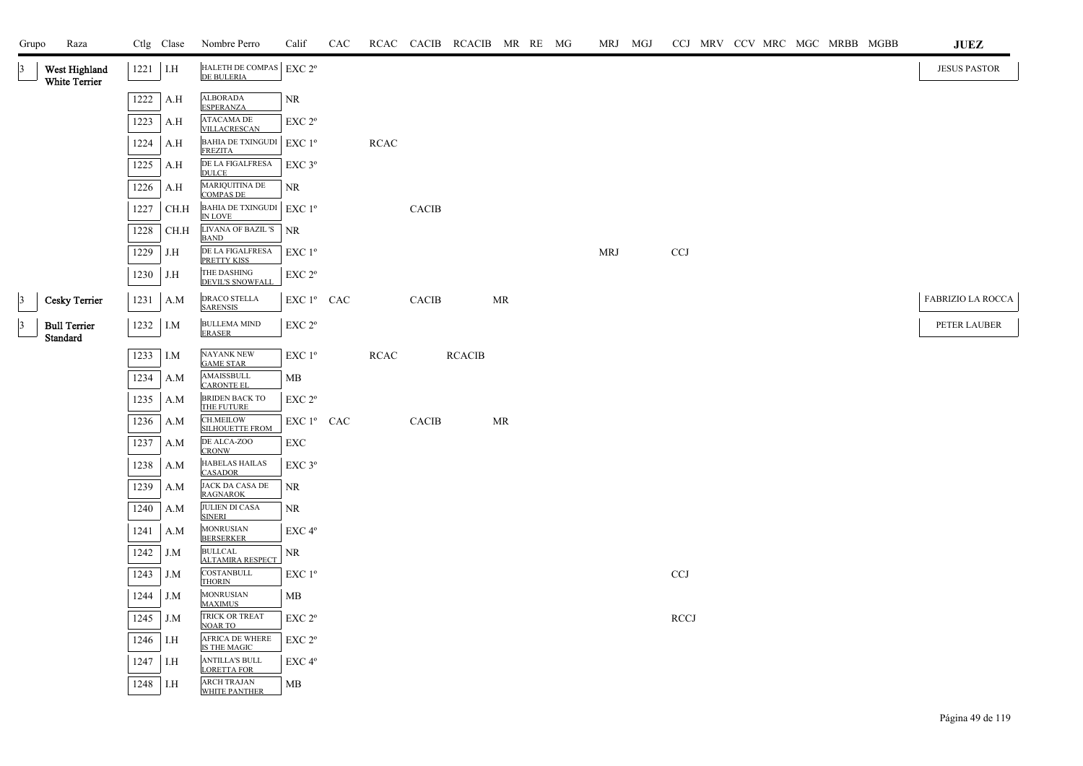| Grupo           | Raza                                  |      | Ctlg Clase | Nombre Perro                                          | Calif                 | CAC |      |              | RCAC CACIB RCACIB MR RE MG |           |  |            | MRJ MGJ |                           |  |  | CCJ MRV CCV MRC MGC MRBB MGBB | <b>JUEZ</b>              |
|-----------------|---------------------------------------|------|------------|-------------------------------------------------------|-----------------------|-----|------|--------------|----------------------------|-----------|--|------------|---------|---------------------------|--|--|-------------------------------|--------------------------|
| 13              | West Highland<br><b>White Terrier</b> |      | $1221$ I.H | HALETH DE COMPAS EXC $2^{\rm o}$<br><b>DE BULERIA</b> |                       |     |      |              |                            |           |  |            |         |                           |  |  |                               | <b>JESUS PASTOR</b>      |
|                 |                                       | 1222 | A.H        | <b>ALBORADA</b><br><b>ESPERANZA</b>                   | NR                    |     |      |              |                            |           |  |            |         |                           |  |  |                               |                          |
|                 |                                       | 1223 | A.H        | ATACAMA DE<br>VILLACRESCAN                            | EXC 2 <sup>o</sup>    |     |      |              |                            |           |  |            |         |                           |  |  |                               |                          |
|                 |                                       | 1224 | A.H        | <b>BAHIA DE TXINGUDI</b><br><b>FREZITA</b>            | EXC 1 <sup>o</sup>    |     | RCAC |              |                            |           |  |            |         |                           |  |  |                               |                          |
|                 |                                       | 1225 | A.H        | DE LA FIGALFRESA<br><b>DULCE</b>                      | $\rm EXC$ $3^{\rm o}$ |     |      |              |                            |           |  |            |         |                           |  |  |                               |                          |
|                 |                                       | 1226 | A.H        | MARIQUITINA DE<br>COMPAS DE                           | <b>NR</b>             |     |      |              |                            |           |  |            |         |                           |  |  |                               |                          |
|                 |                                       | 1227 | CH.H       | BAHIA DE TXINGUDI EXC $1^{\rm o}$<br>IN LOVE          |                       |     |      | CACIB        |                            |           |  |            |         |                           |  |  |                               |                          |
|                 |                                       | 1228 | CH.H       | LIVANA OF BAZIL 'S<br><b>BAND</b>                     | <b>NR</b>             |     |      |              |                            |           |  |            |         |                           |  |  |                               |                          |
|                 |                                       | 1229 | J.H        | DE LA FIGALFRESA<br>PRETTY KISS                       | EXC 1 <sup>o</sup>    |     |      |              |                            |           |  | <b>MRJ</b> |         | $\ensuremath{\text{CCJ}}$ |  |  |                               |                          |
|                 |                                       | 1230 | J.H        | THE DASHING<br>DEVIL'S SNOWFALL                       | EXC 2°                |     |      |              |                            |           |  |            |         |                           |  |  |                               |                          |
| $\vert$ 3       | <b>Cesky Terrier</b>                  | 1231 | A.M        | DRACO STELLA<br><b>SARENSIS</b>                       | EXC 1º CAC            |     |      | <b>CACIB</b> |                            | MR        |  |            |         |                           |  |  |                               | <b>FABRIZIO LA ROCCA</b> |
| $\vert 3 \vert$ | <b>Bull Terrier</b><br>Standard       |      | $1232$ I.M | <b>BULLEMA MIND</b><br><b>ERASER</b>                  | EXC 2°                |     |      |              |                            |           |  |            |         |                           |  |  |                               | PETER LAUBER             |
|                 |                                       | 1233 | I.M        | NAYANK NEW<br><b>GAME STAR</b>                        | EXC 1 <sup>o</sup>    |     | RCAC |              | <b>RCACIB</b>              |           |  |            |         |                           |  |  |                               |                          |
|                 |                                       | 1234 | A.M        | AMAISSBULL<br><b>CARONTE EL</b>                       | MВ                    |     |      |              |                            |           |  |            |         |                           |  |  |                               |                          |
|                 |                                       | 1235 | A.M        | <b>BRIDEN BACK TO</b><br>THE FUTURE                   | EXC 2 <sup>o</sup>    |     |      |              |                            |           |  |            |         |                           |  |  |                               |                          |
|                 |                                       | 1236 | A.M        | <b>CH.MEILOW</b><br><b>SILHOUETTE FROM</b>            | EXC 1º CAC            |     |      | <b>CACIB</b> |                            | <b>MR</b> |  |            |         |                           |  |  |                               |                          |
|                 |                                       | 1237 | A.M        | DE ALCA-ZOO<br><b>CRONW</b>                           | EXC                   |     |      |              |                            |           |  |            |         |                           |  |  |                               |                          |
|                 |                                       | 1238 | A.M        | <b>HABELAS HAILAS</b><br><b>CASADOR</b>               | $EXC$ $3^{\circ}$     |     |      |              |                            |           |  |            |         |                           |  |  |                               |                          |
|                 |                                       | 1239 | A.M        | JACK DA CASA DE<br><b>RAGNAROK</b>                    | NR                    |     |      |              |                            |           |  |            |         |                           |  |  |                               |                          |
|                 |                                       | 1240 | A.M        | JULIEN DI CASA<br><b>SINERI</b>                       | NR                    |     |      |              |                            |           |  |            |         |                           |  |  |                               |                          |
|                 |                                       | 1241 | A.M        | MONRUSIAN<br>BERSERKER                                | EXC <sub>4°</sub>     |     |      |              |                            |           |  |            |         |                           |  |  |                               |                          |
|                 |                                       | 1242 | J.M        | <b>BULLCAL</b><br><b>ALTAMIRA RESPECT</b>             | ${\rm NR}$            |     |      |              |                            |           |  |            |         |                           |  |  |                               |                          |
|                 |                                       | 1243 | J.M        | COSTANBULL<br><b>THORIN</b>                           | EXC 1 <sup>o</sup>    |     |      |              |                            |           |  |            |         | <b>CCJ</b>                |  |  |                               |                          |
|                 |                                       | 1244 | J.M        | MONRUSIAN<br>MAXIMUS                                  | MВ                    |     |      |              |                            |           |  |            |         |                           |  |  |                               |                          |
|                 |                                       | 1245 | J.M        | TRICK OR TREAT<br><b>NOAR TO</b>                      | EXC <sub>2°</sub>     |     |      |              |                            |           |  |            |         | <b>RCCJ</b>               |  |  |                               |                          |
|                 |                                       | 1246 | I.H        | AFRICA DE WHERE<br>IS THE MAGIC                       | EXC 2 <sup>o</sup>    |     |      |              |                            |           |  |            |         |                           |  |  |                               |                          |
|                 |                                       | 1247 | I.H        | <b>ANTILLA'S BULL</b><br><b>LORETTA FOR</b>           | EXC <sub>4°</sub>     |     |      |              |                            |           |  |            |         |                           |  |  |                               |                          |
|                 |                                       | 1248 | I.H        | <b>ARCH TRAJAN</b><br>WHITE PANTHER                   | МB                    |     |      |              |                            |           |  |            |         |                           |  |  |                               |                          |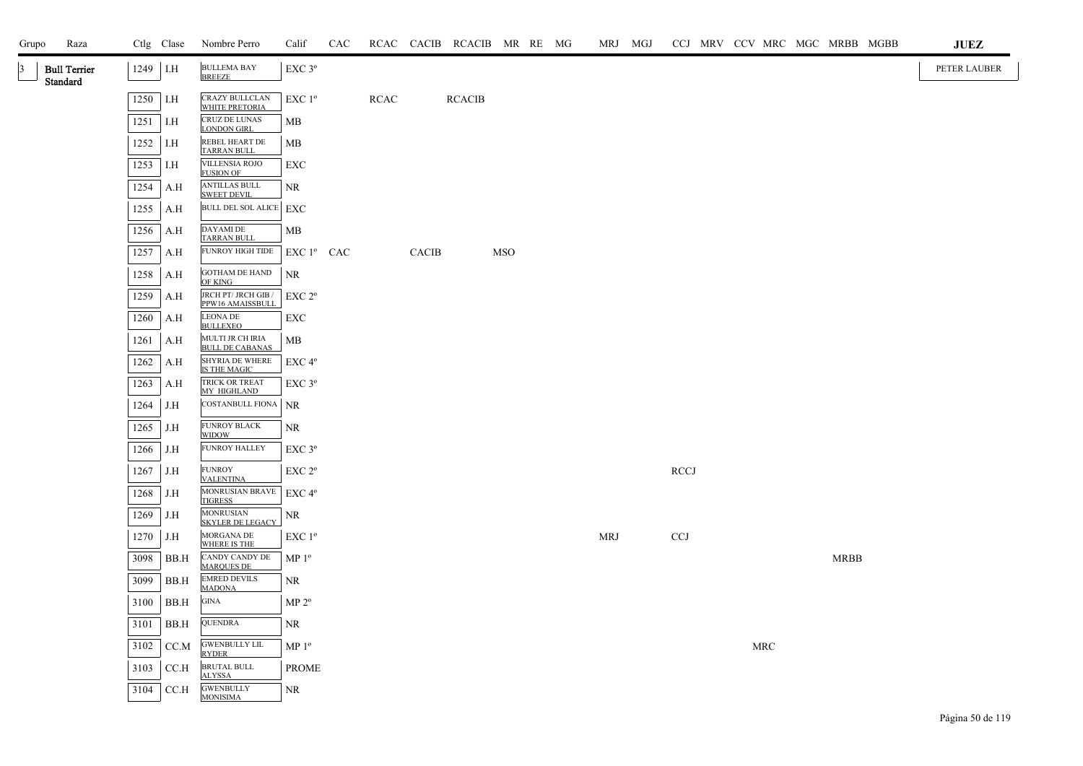| Grupo | Raza                            |          | Ctlg Clase | Nombre Perro                                | Calif                        | CAC |             |       | RCAC CACIB RCACIB MR RE MG |            |  | MRJ MGJ    |             |  |     | CCJ MRV CCV MRC MGC MRBB MGBB | <b>JUEZ</b>  |
|-------|---------------------------------|----------|------------|---------------------------------------------|------------------------------|-----|-------------|-------|----------------------------|------------|--|------------|-------------|--|-----|-------------------------------|--------------|
| 3     | <b>Bull Terrier</b><br>Standard | 1249 I.H |            | <b>BULLEMA BAY</b><br><b>BREEZE</b>         | EXC 3°                       |     |             |       |                            |            |  |            |             |  |     |                               | PETER LAUBER |
|       |                                 | 1250 I.H |            | CRAZY BULLCLAN<br>WHITE PRETORIA            | EXC 1 <sup>o</sup>           |     | <b>RCAC</b> |       | <b>RCACIB</b>              |            |  |            |             |  |     |                               |              |
|       |                                 | 1251     | I.H        | CRUZ DE LUNAS<br><b>LONDON GIRL</b>         | MB                           |     |             |       |                            |            |  |            |             |  |     |                               |              |
|       |                                 | 1252     | I.H        | REBEL HEART DE<br><b>TARRAN BULL</b>        | MB                           |     |             |       |                            |            |  |            |             |  |     |                               |              |
|       |                                 | 1253     | I.H        | <b>VILLENSIA ROJO</b><br><b>FUSION OF</b>   | EXC                          |     |             |       |                            |            |  |            |             |  |     |                               |              |
|       |                                 | 1254     | A.H        | <b>ANTILLAS BULL</b><br><b>SWEET DEVIL</b>  | NR                           |     |             |       |                            |            |  |            |             |  |     |                               |              |
|       |                                 | 1255     | A.H        | BULL DEL SOL ALICE EXC                      |                              |     |             |       |                            |            |  |            |             |  |     |                               |              |
|       |                                 | 1256     | A.H        | DAYAMI DE<br><b>TARRAN BULL</b>             | МB                           |     |             |       |                            |            |  |            |             |  |     |                               |              |
|       |                                 | 1257     | A.H        | FUNROY HIGH TIDE                            | $EXC1^{\circ}$ CAC           |     |             | CACIB |                            | <b>MSO</b> |  |            |             |  |     |                               |              |
|       |                                 | 1258     | A.H        | GOTHAM DE HAND<br>OF KING                   | NR                           |     |             |       |                            |            |  |            |             |  |     |                               |              |
|       |                                 | 1259     | A.H        | JRCH PT/ JRCH GIB /<br>PPW16 AMAISSBULL     | EXC 2°                       |     |             |       |                            |            |  |            |             |  |     |                               |              |
|       |                                 | 1260     | A.H        | <b>LEONA DE</b><br><b>BULLEXEO</b>          | EXC                          |     |             |       |                            |            |  |            |             |  |     |                               |              |
|       |                                 | 1261     | A.H        | MULTI JR CH IRIA<br><b>BULL DE CABANAS</b>  | MB                           |     |             |       |                            |            |  |            |             |  |     |                               |              |
|       |                                 | 1262     | A.H        | SHYRIA DE WHERE<br>IS THE MAGIC             | EXC 4°                       |     |             |       |                            |            |  |            |             |  |     |                               |              |
|       |                                 | 1263     | A.H        | TRICK OR TREAT<br>MY HIGHLAND               | $EXC$ $3^{\circ}$            |     |             |       |                            |            |  |            |             |  |     |                               |              |
|       |                                 | 1264     | J.H        | COSTANBULL FIONA                            | <b>NR</b>                    |     |             |       |                            |            |  |            |             |  |     |                               |              |
|       |                                 | 1265     | J.H        | FUNROY BLACK<br><b>WIDOW</b>                | NR                           |     |             |       |                            |            |  |            |             |  |     |                               |              |
|       |                                 | 1266     | J.H        | <b>FUNROY HALLEY</b>                        | $EXC$ $3^{\circ}$            |     |             |       |                            |            |  |            |             |  |     |                               |              |
|       |                                 | 1267     | J.H        | <b>FUNROY</b><br><b>VALENTINA</b>           | EXC 2 <sup>o</sup>           |     |             |       |                            |            |  |            | <b>RCCJ</b> |  |     |                               |              |
|       |                                 | 1268     | J.H        | MONRUSIAN BRAVE<br><b>TIGRESS</b>           | EXC 4°                       |     |             |       |                            |            |  |            |             |  |     |                               |              |
|       |                                 | 1269     | J.H        | <b>MONRUSIAN</b><br><b>SKYLER DE LEGACY</b> | NR                           |     |             |       |                            |            |  |            |             |  |     |                               |              |
|       |                                 | 1270     | J.H        | MORGANA DE<br>WHERE IS THE                  | EXC 1 <sup>o</sup>           |     |             |       |                            |            |  | <b>MRJ</b> | CCJ         |  |     |                               |              |
|       |                                 | 3098     | BB.H       | CANDY CANDY DE<br><b>MARQUES DE</b>         | $\mathbf{MP}\; \mathbf{1^o}$ |     |             |       |                            |            |  |            |             |  |     | <b>MRBB</b>                   |              |
|       |                                 | 3099     | BB.H       | <b>EMRED DEVILS</b><br><b>MADONA</b>        | NR                           |     |             |       |                            |            |  |            |             |  |     |                               |              |
|       |                                 | 3100     | BB.H       | $\rm GINA$                                  | MP 2 <sup>o</sup>            |     |             |       |                            |            |  |            |             |  |     |                               |              |
|       |                                 | 3101     | BB.H       | QUENDRA                                     | NR                           |     |             |       |                            |            |  |            |             |  |     |                               |              |
|       |                                 | 3102     | CC.M       | <b>GWENBULLY LIL</b><br><b>RYDER</b>        | MP <sup>0</sup>              |     |             |       |                            |            |  |            |             |  | MRC |                               |              |
|       |                                 | 3103     | CCA        | BRUTAL BULL<br><b>ALYSSA</b>                | <b>PROME</b>                 |     |             |       |                            |            |  |            |             |  |     |                               |              |
|       |                                 | 3104     | CC.H       | <b>GWENBULLY</b><br><b>MONISIMA</b>         | NR                           |     |             |       |                            |            |  |            |             |  |     |                               |              |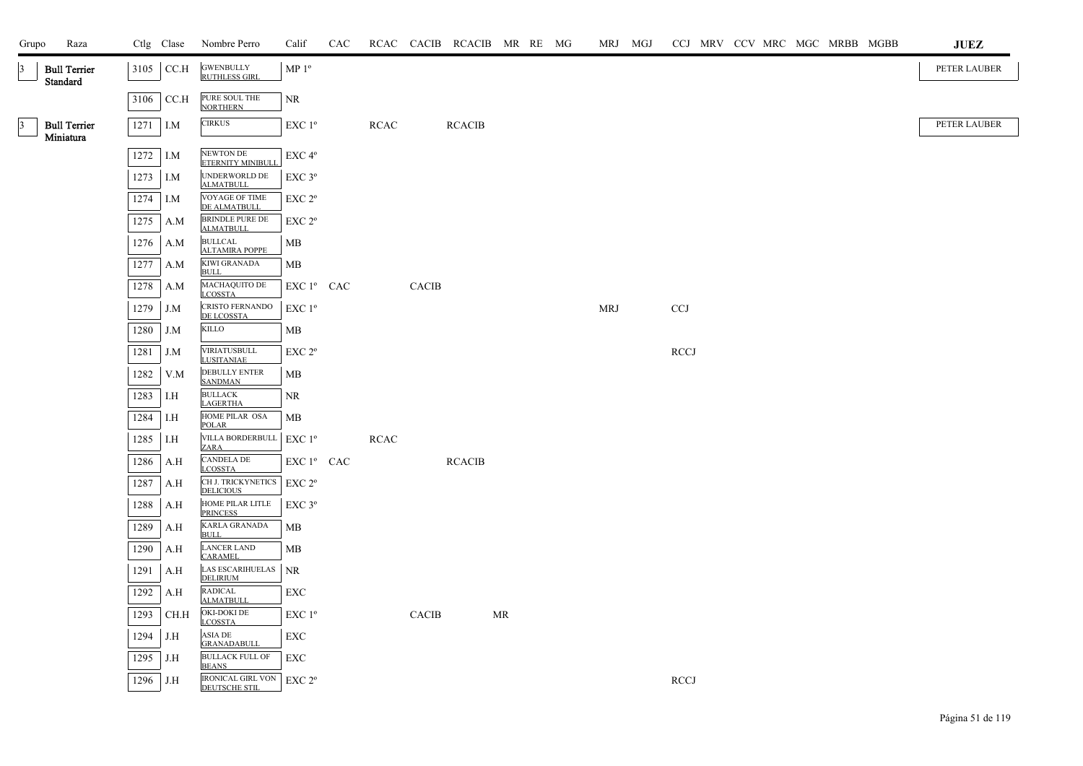| Grupo           | Raza                             |              | Ctlg Clase | Nombre Perro                                 | Calif                                                                   | CAC |             |              | RCAC CACIB RCACIB MR RE MG |    |  |            | MRJ MGJ |             |  |  | CCJ MRV CCV MRC MGC MRBB MGBB | <b>JUEZ</b>  |
|-----------------|----------------------------------|--------------|------------|----------------------------------------------|-------------------------------------------------------------------------|-----|-------------|--------------|----------------------------|----|--|------------|---------|-------------|--|--|-------------------------------|--------------|
| $\vert 3 \vert$ | <b>Bull Terrier</b><br>Standard  |              | 3105 CC.H  | <b>GWENBULLY</b><br><b>RUTHLESS GIRL</b>     | MP 1 <sup>o</sup>                                                       |     |             |              |                            |    |  |            |         |             |  |  |                               | PETER LAUBER |
|                 |                                  | 3106         | CC.H       | PURE SOUL THE<br><b>NORTHERN</b>             | $\rm NR$                                                                |     |             |              |                            |    |  |            |         |             |  |  |                               |              |
| $\vert 3 \vert$ | <b>Bull Terrier</b><br>Miniatura |              | 1271 I.M   | <b>CIRKUS</b>                                | EXC 1 <sup>o</sup>                                                      |     | <b>RCAC</b> |              | <b>RCACIB</b>              |    |  |            |         |             |  |  |                               | PETER LAUBER |
|                 |                                  |              | 1272 I.M   | NEWTON DE<br>ETERNITY MINIBULL               | EXC <sub>4°</sub>                                                       |     |             |              |                            |    |  |            |         |             |  |  |                               |              |
|                 |                                  |              | $1273$ I.M | UNDERWORLD DE ALMATBULL                      | EXC 3°                                                                  |     |             |              |                            |    |  |            |         |             |  |  |                               |              |
|                 |                                  | 1274         | I.M        | VOYAGE OF TIME<br>DE ALMATBULL               | EXC <sub>2°</sub>                                                       |     |             |              |                            |    |  |            |         |             |  |  |                               |              |
|                 |                                  | 1275         | A.M        | <b>BRINDLE PURE DE</b><br><b>ALMATBULL</b>   | EXC 2 <sup>o</sup>                                                      |     |             |              |                            |    |  |            |         |             |  |  |                               |              |
|                 |                                  | 1276         | A.M        | <b>BULLCAL</b><br><b>ALTAMIRA POPPE</b>      | MB                                                                      |     |             |              |                            |    |  |            |         |             |  |  |                               |              |
|                 |                                  | 1277         | A.M        | KIWI GRANADA<br><b>BULL</b>                  | MB                                                                      |     |             |              |                            |    |  |            |         |             |  |  |                               |              |
|                 |                                  | 1278         | A.M        | MACHAQUITO DE<br><b>LCOSSTA</b>              | $\mathop{\rm EXC}\nolimits 1^{\mathfrak o}$ $\mathop{\rm CAC}\nolimits$ |     |             | <b>CACIB</b> |                            |    |  |            |         |             |  |  |                               |              |
|                 |                                  | 1279         | J.M        | CRISTO FERNANDO<br>DE LCOSSTA                | EXC 1 <sup>o</sup>                                                      |     |             |              |                            |    |  | <b>MRJ</b> |         | <b>CCJ</b>  |  |  |                               |              |
|                 |                                  | 1280         | J.M        | $\mbox{KILLO}$<br><b>VIRIATUSBULL</b>        | MВ                                                                      |     |             |              |                            |    |  |            |         |             |  |  |                               |              |
|                 |                                  | 1281<br>1282 | J.M<br>V.M | <b>LUSITANIAE</b><br>DEBULLY ENTER           | EXC 2°<br>MB                                                            |     |             |              |                            |    |  |            |         | <b>RCCJ</b> |  |  |                               |              |
|                 |                                  |              |            | <b>SANDMAN</b><br><b>BULLACK</b>             |                                                                         |     |             |              |                            |    |  |            |         |             |  |  |                               |              |
|                 |                                  | 1283<br>1284 | I.H<br>I.H | <b>LAGERTHA</b><br>HOME PILAR OSA            | <b>NR</b><br>MB                                                         |     |             |              |                            |    |  |            |         |             |  |  |                               |              |
|                 |                                  | 1285         | I.H        | <b>POLAR</b><br>VILLA BORDERBULL             | $EXC1^{\circ}$                                                          |     | <b>RCAC</b> |              |                            |    |  |            |         |             |  |  |                               |              |
|                 |                                  | 1286         | A.H        | ZARA<br><b>CANDELA DE</b>                    | EXC 1º CAC                                                              |     |             |              | <b>RCACIB</b>              |    |  |            |         |             |  |  |                               |              |
|                 |                                  | 1287         | A.H        | <b>LCOSSTA</b><br>CH J. TRICKYNETICS         | $EXC 2^{\circ}$                                                         |     |             |              |                            |    |  |            |         |             |  |  |                               |              |
|                 |                                  | 1288         | A.H        | <b>DELICIOUS</b><br>HOME PILAR LITLE         | EXC 3°                                                                  |     |             |              |                            |    |  |            |         |             |  |  |                               |              |
|                 |                                  | 1289         | A.H        | <b>PRINCESS</b><br><b>KARLA GRANADA</b>      | MB                                                                      |     |             |              |                            |    |  |            |         |             |  |  |                               |              |
|                 |                                  | 1290         | A.H        | <b>BULL</b><br>LANCER LAND<br><b>CARAMEL</b> | МB                                                                      |     |             |              |                            |    |  |            |         |             |  |  |                               |              |
|                 |                                  | 1291         | A.H        | <b>LAS ESCARIHUELAS</b><br><b>DELIRIUM</b>   | <b>NR</b>                                                               |     |             |              |                            |    |  |            |         |             |  |  |                               |              |
|                 |                                  | 1292         | A.H        | <b>RADICAL</b><br><b>ALMATBULL</b>           | EXC                                                                     |     |             |              |                            |    |  |            |         |             |  |  |                               |              |
|                 |                                  | 1293         | CH.H       | OKI-DOKI DE<br><b>LCOSSTA</b>                | EXC 1 <sup>o</sup>                                                      |     |             | <b>CACIB</b> |                            | MR |  |            |         |             |  |  |                               |              |
|                 |                                  | 1294         | J.H        | ASIA DE<br><b>GRANADABULL</b>                | <b>EXC</b>                                                              |     |             |              |                            |    |  |            |         |             |  |  |                               |              |
|                 |                                  | 1295         | J.H        | BULLACK FULL OF<br><b>BEANS</b>              | <b>EXC</b>                                                              |     |             |              |                            |    |  |            |         |             |  |  |                               |              |
|                 |                                  | 1296         | J.H        | IRONICAL GIRL VON<br><b>DEUTSCHE STIL</b>    | EXC 2 <sup>o</sup>                                                      |     |             |              |                            |    |  |            |         | <b>RCCJ</b> |  |  |                               |              |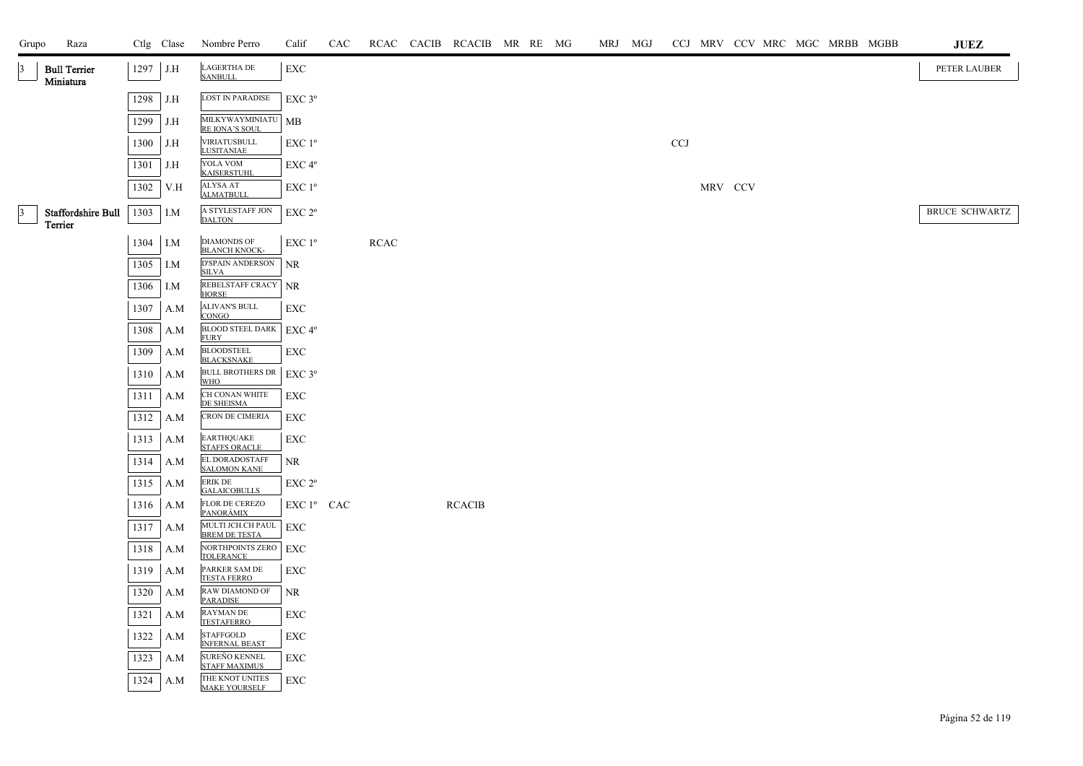| Grupo           | Raza                             |      | Ctlg Clase | Nombre Perro                               | Calif              | CAC |             | RCAC CACIB RCACIB MR RE MG |  | MRJ MGJ |            |         | CCJ MRV CCV MRC MGC MRBB MGBB |  |  | JUEZ                  |
|-----------------|----------------------------------|------|------------|--------------------------------------------|--------------------|-----|-------------|----------------------------|--|---------|------------|---------|-------------------------------|--|--|-----------------------|
| $\vert 3 \vert$ | <b>Bull Terrier</b><br>Miniatura | 1297 | J.H        | <b>LAGERTHA DE</b><br><b>SANBULL</b>       | ${\rm EXC}$        |     |             |                            |  |         |            |         |                               |  |  | PETER LAUBER          |
|                 |                                  | 1298 | J.H        | <b>LOST IN PARADISE</b>                    | EXC 3°             |     |             |                            |  |         |            |         |                               |  |  |                       |
|                 |                                  | 1299 | J.H        | MILKYWAYMINIATU<br>RE IONA'S SOUL          | <b>MB</b>          |     |             |                            |  |         |            |         |                               |  |  |                       |
|                 |                                  | 1300 | J.H        | VIRIATUSBULL<br><b>LUSITANIAE</b>          | EXC 1 <sup>o</sup> |     |             |                            |  |         | <b>CCJ</b> |         |                               |  |  |                       |
|                 |                                  | 1301 | J.H        | YOLA VOM<br><b>KAISERSTUHL</b>             | EXC 4 <sup>o</sup> |     |             |                            |  |         |            |         |                               |  |  |                       |
|                 |                                  | 1302 | V.H        | ALYSA AT<br><b>ALMATBULI</b>               | EXC 1 <sup>o</sup> |     |             |                            |  |         |            | MRV CCV |                               |  |  |                       |
| $\vert 3 \vert$ | Staffordshire Bull<br>Terrier    | 1303 | I.M        | A STYLESTAFF JON<br><b>DALTON</b>          | EXC 2 <sup>o</sup> |     |             |                            |  |         |            |         |                               |  |  | <b>BRUCE SCHWARTZ</b> |
|                 |                                  | 1304 | I.M        | <b>DIAMONDS OF</b><br><b>BLANCH KNOCK-</b> | EXC 1 <sup>o</sup> |     | <b>RCAC</b> |                            |  |         |            |         |                               |  |  |                       |
|                 |                                  | 1305 | I.M        | D'SPAIN ANDERSON<br><b>SILVA</b>           | <b>NR</b>          |     |             |                            |  |         |            |         |                               |  |  |                       |
|                 |                                  | 1306 | I.M        | REBELSTAFF CRACY<br><b>HORSE</b>           | <b>NR</b>          |     |             |                            |  |         |            |         |                               |  |  |                       |
|                 |                                  | 1307 | A.M        | <b>ALIVAN'S BULL</b><br><b>CONGO</b>       | EXC                |     |             |                            |  |         |            |         |                               |  |  |                       |
|                 |                                  | 1308 | A.M        | BLOOD STEEL DARK<br><b>FURY</b>            | EXC 4°             |     |             |                            |  |         |            |         |                               |  |  |                       |
|                 |                                  | 1309 | A.M        | <b>BLOODSTEEL</b><br><b>BLACKSNAKE</b>     | EXC                |     |             |                            |  |         |            |         |                               |  |  |                       |
|                 |                                  | 1310 | A.M        | <b>BULL BROTHERS DR</b><br><b>WHO</b>      | EXC 3°             |     |             |                            |  |         |            |         |                               |  |  |                       |
|                 |                                  | 1311 | A.M        | CH CONAN WHITE<br>DE SHEISMA               | EXC                |     |             |                            |  |         |            |         |                               |  |  |                       |
|                 |                                  | 1312 | A.M        | CRON DE CIMERIA                            | EXC                |     |             |                            |  |         |            |         |                               |  |  |                       |
|                 |                                  | 1313 | A.M        | EARTHQUAKE<br><b>STAFFS ORACLE</b>         | EXC                |     |             |                            |  |         |            |         |                               |  |  |                       |
|                 |                                  | 1314 | A.M        | EL DORADOSTAFF<br><b>SALOMON KANE</b>      | <b>NR</b>          |     |             |                            |  |         |            |         |                               |  |  |                       |
|                 |                                  | 1315 | A.M        | <b>ERIK DE</b><br><b>GALAICOBULLS</b>      | EXC 2°             |     |             |                            |  |         |            |         |                               |  |  |                       |
|                 |                                  | 1316 | A.M        | FLOR DE CEREZO<br><u>PANORÁMIX</u>         | $EXC1^{\circ}$ CAC |     |             | <b>RCACIB</b>              |  |         |            |         |                               |  |  |                       |
|                 |                                  | 1317 | A.M        | MULTI JCH.CH PAUL<br><b>BREM DE TESTA</b>  | EXC                |     |             |                            |  |         |            |         |                               |  |  |                       |
|                 |                                  | 1318 | A.M        | NORTHPOINTS ZERO<br><b>TOLERANCE</b>       | EXC                |     |             |                            |  |         |            |         |                               |  |  |                       |
|                 |                                  | 1319 | A.M        | PARKER SAM DE<br><b>TESTA FERRO</b>        | EXC                |     |             |                            |  |         |            |         |                               |  |  |                       |
|                 |                                  | 1320 | A.M        | RAW DIAMOND OF<br><b>PARADISE</b>          | <b>NR</b>          |     |             |                            |  |         |            |         |                               |  |  |                       |
|                 |                                  | 1321 | A.M        | RAYMAN DE<br><b>TESTAFERRO</b>             | <b>EXC</b>         |     |             |                            |  |         |            |         |                               |  |  |                       |
|                 |                                  | 1322 | A.M        | <b>STAFFGOLD</b><br><b>INFERNAL BEAST</b>  | EXC                |     |             |                            |  |         |            |         |                               |  |  |                       |
|                 |                                  | 1323 | A.M        | SUREÑO KENNEL<br><b>STAFF MAXIMUS</b>      | EXC                |     |             |                            |  |         |            |         |                               |  |  |                       |
|                 |                                  | 1324 | A.M        | THE KNOT UNITES<br><b>MAKE YOURSELF</b>    | EXC                |     |             |                            |  |         |            |         |                               |  |  |                       |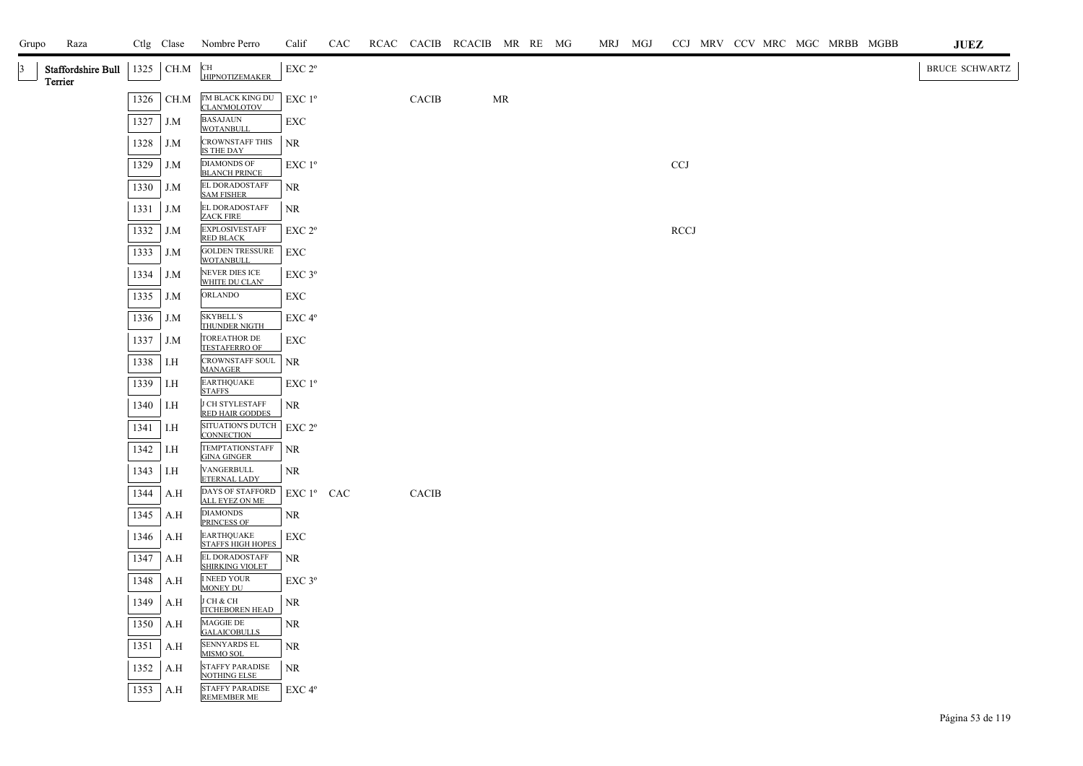| Grupo     | Raza                          |      | Ctlg Clase | Nombre Perro                                  | Calif              | CAC |              | RCAC CACIB RCACIB MR RE MG |    |  | MRJ MGJ |                           |  |  | CCJ MRV CCV MRC MGC MRBB MGBB | JUEZ                  |
|-----------|-------------------------------|------|------------|-----------------------------------------------|--------------------|-----|--------------|----------------------------|----|--|---------|---------------------------|--|--|-------------------------------|-----------------------|
| $\vert$ 3 | Staffordshire Bull<br>Terrier | 1325 | CH.M       | <b>CH</b><br><b>HIPNOTIZEMAKER</b>            | EXC 2°             |     |              |                            |    |  |         |                           |  |  |                               | <b>BRUCE SCHWARTZ</b> |
|           |                               | 1326 | CH.M       | I'M BLACK KING DU<br>CLAN'MOLOTOV             | EXC 1 <sup>o</sup> |     | CACIB        |                            | MR |  |         |                           |  |  |                               |                       |
|           |                               | 1327 | J.M        | <b>BASAJAUN</b><br><b>WOTANBULL</b>           | EXC                |     |              |                            |    |  |         |                           |  |  |                               |                       |
|           |                               | 1328 | J.M        | <b>CROWNSTAFF THIS</b><br>IS THE DAY          | <b>NR</b>          |     |              |                            |    |  |         |                           |  |  |                               |                       |
|           |                               | 1329 | J.M        | <b>DIAMONDS OF</b><br><b>BLANCH PRINCE</b>    | EXC 1 <sup>o</sup> |     |              |                            |    |  |         | $\ensuremath{\text{CCJ}}$ |  |  |                               |                       |
|           |                               | 1330 | J.M        | EL DORADOSTAFF<br><b>SAM FISHER</b>           | <b>NR</b>          |     |              |                            |    |  |         |                           |  |  |                               |                       |
|           |                               | 1331 | J.M        | EL DORADOSTAFF<br><b>ZACK FIRE</b>            | <b>NR</b>          |     |              |                            |    |  |         |                           |  |  |                               |                       |
|           |                               | 1332 | J.M        | <b>EXPLOSIVESTAFF</b><br><b>RED BLACK</b>     | EXC 2 <sup>o</sup> |     |              |                            |    |  |         | RCCJ                      |  |  |                               |                       |
|           |                               | 1333 | J.M        | <b>GOLDEN TRESSURE</b><br><b>WOTANBULL</b>    | EXC                |     |              |                            |    |  |         |                           |  |  |                               |                       |
|           |                               | 1334 | J.M        | NEVER DIES ICE<br>WHITE DU CLAN'              | EXC 3°             |     |              |                            |    |  |         |                           |  |  |                               |                       |
|           |                               | 1335 | J.M        | ORLANDO                                       | EXC                |     |              |                            |    |  |         |                           |  |  |                               |                       |
|           |                               | 1336 | J.M        | <b>SKYBELL'S</b><br>THUNDER NIGTH             | EXC 4°             |     |              |                            |    |  |         |                           |  |  |                               |                       |
|           |                               | 1337 | J.M        | <b>TOREATHOR DE</b><br><b>TESTAFERRO OF</b>   | EXC                |     |              |                            |    |  |         |                           |  |  |                               |                       |
|           |                               | 1338 | I.H        | CROWNSTAFF SOUL<br><b>MANAGER</b>             | NR                 |     |              |                            |    |  |         |                           |  |  |                               |                       |
|           |                               | 1339 | I.H        | <b>EARTHQUAKE</b><br><b>STAFFS</b>            | EXC 1 <sup>o</sup> |     |              |                            |    |  |         |                           |  |  |                               |                       |
|           |                               | 1340 | I.H        | J CH STYLESTAFF<br><b>RED HAIR GODDES</b>     | NR                 |     |              |                            |    |  |         |                           |  |  |                               |                       |
|           |                               | 1341 | I.H        | SITUATION'S DUTCH EXC 2°<br><b>CONNECTION</b> |                    |     |              |                            |    |  |         |                           |  |  |                               |                       |
|           |                               | 1342 | I.H        | TEMPTATIONSTAFF<br><b>GINA GINGER</b>         | <b>NR</b>          |     |              |                            |    |  |         |                           |  |  |                               |                       |
|           |                               | 1343 | I.H        | VANGERBULL<br>ETERNAL LADY                    | NR                 |     |              |                            |    |  |         |                           |  |  |                               |                       |
|           |                               | 1344 | A.H        | DAYS OF STAFFORD<br><b>ALL EYEZ ON ME</b>     | EXC 1º CAC         |     | <b>CACIB</b> |                            |    |  |         |                           |  |  |                               |                       |
|           |                               | 1345 | A.H        | <b>DIAMONDS</b><br><b>PRINCESS OF</b>         | NR                 |     |              |                            |    |  |         |                           |  |  |                               |                       |
|           |                               | 1346 | A.H        | <b>EARTHQUAKE</b><br><b>STAFFS HIGH HOPES</b> | EXC                |     |              |                            |    |  |         |                           |  |  |                               |                       |
|           |                               | 1347 | A.H        | EL DORADOSTAFF<br><b>SHIRKING VIOLET</b>      | NR                 |     |              |                            |    |  |         |                           |  |  |                               |                       |
|           |                               | 1348 | A.H        | <b>I NEED YOUR</b><br><b>MONEY DU</b>         | EXC <sub>3°</sub>  |     |              |                            |    |  |         |                           |  |  |                               |                       |
|           |                               | 1349 | A.H        | J CH & CH<br><b>ITCHEBOREN HEAD</b>           | NR                 |     |              |                            |    |  |         |                           |  |  |                               |                       |
|           |                               | 1350 | A.H        | MAGGIE DE<br><b>GALAICOBULLS</b>              | NR                 |     |              |                            |    |  |         |                           |  |  |                               |                       |
|           |                               | 1351 | A.H        | <b>SENNYARDS EL</b><br>MISMO SOL              | NR                 |     |              |                            |    |  |         |                           |  |  |                               |                       |
|           |                               | 1352 | A.H        | <b>STAFFY PARADISE</b><br><b>NOTHING ELSE</b> | NR.                |     |              |                            |    |  |         |                           |  |  |                               |                       |
|           |                               | 1353 | A.H        | <b>STAFFY PARADISE</b><br><b>REMEMBER ME</b>  | EXC 4°             |     |              |                            |    |  |         |                           |  |  |                               |                       |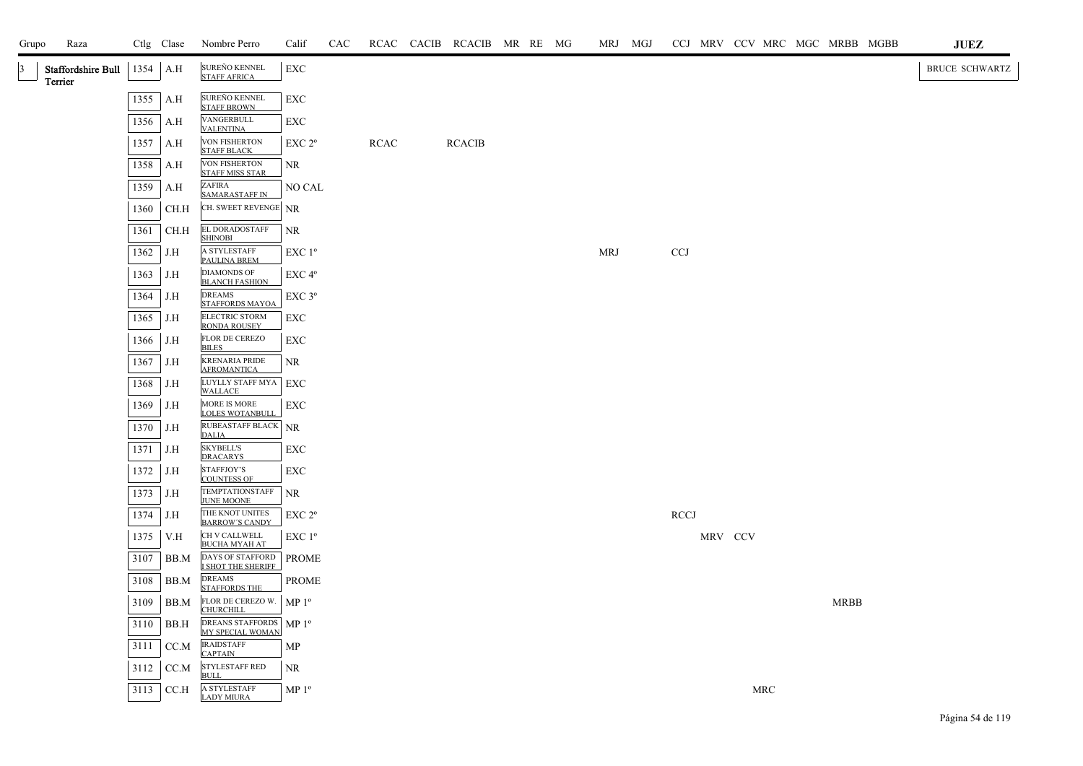| Grupo           | Raza                          |      | Ctlg Clase | Nombre Perro                                   | Calif              | CAC |             | RCAC CACIB RCACIB MR RE MG |  | MRJ MGJ    |             |         |     | CCJ MRV CCV MRC MGC MRBB MGBB | <b>JUEZ</b>           |
|-----------------|-------------------------------|------|------------|------------------------------------------------|--------------------|-----|-------------|----------------------------|--|------------|-------------|---------|-----|-------------------------------|-----------------------|
| $\vert 3 \vert$ | Staffordshire Bull<br>Terrier | 1354 | A.H        | SUREÑO KENNEL<br><b>STAFF AFRICA</b>           | EXC                |     |             |                            |  |            |             |         |     |                               | <b>BRUCE SCHWARTZ</b> |
|                 |                               | 1355 | A.H        | SUREÑO KENNEL<br><b>STAFF BROWN</b>            | EXC                |     |             |                            |  |            |             |         |     |                               |                       |
|                 |                               | 1356 | A.H        | VANGERBULL<br><b>VALENTINA</b>                 | EXC                |     |             |                            |  |            |             |         |     |                               |                       |
|                 |                               | 1357 | A.H        | VON FISHERTON<br><b>STAFF BLACK</b>            | EXC 2 <sup>o</sup> |     | <b>RCAC</b> | <b>RCACIB</b>              |  |            |             |         |     |                               |                       |
|                 |                               | 1358 | A.H        | <b>VON FISHERTON</b><br><b>STAFF MISS STAR</b> | NR.                |     |             |                            |  |            |             |         |     |                               |                       |
|                 |                               | 1359 | A.H        | ZAFIRA<br><b>SAMARASTAFF IN</b>                | NO CAL             |     |             |                            |  |            |             |         |     |                               |                       |
|                 |                               | 1360 | CH.H       | CH. SWEET REVENGE NR                           |                    |     |             |                            |  |            |             |         |     |                               |                       |
|                 |                               | 1361 | CH.H       | EL DORADOSTAFF<br><b>SHINOBI</b>               | <b>NR</b>          |     |             |                            |  |            |             |         |     |                               |                       |
|                 |                               | 1362 | J.H        | A STYLESTAFF<br>PAULINA BREM                   | EXC 1 <sup>o</sup> |     |             |                            |  | <b>MRJ</b> | <b>CCJ</b>  |         |     |                               |                       |
|                 |                               | 1363 | J.H        | <b>DIAMONDS OF</b><br><b>BLANCH FASHION</b>    | EXC 4°             |     |             |                            |  |            |             |         |     |                               |                       |
|                 |                               | 1364 | J.H        | <b>DREAMS</b><br><b>STAFFORDS MAYOA</b>        | EXC 3°             |     |             |                            |  |            |             |         |     |                               |                       |
|                 |                               | 1365 | J.H        | ELECTRIC STORM<br><b>RONDA ROUSEY</b>          | EXC                |     |             |                            |  |            |             |         |     |                               |                       |
|                 |                               | 1366 | J.H        | FLOR DE CEREZO<br><b>BILES</b>                 | EXC                |     |             |                            |  |            |             |         |     |                               |                       |
|                 |                               | 1367 | J.H        | <b>KRENARIA PRIDE</b><br><b>AFROMANTICA</b>    | NR                 |     |             |                            |  |            |             |         |     |                               |                       |
|                 |                               | 1368 | J.H        | LUYLLY STAFF MYA<br><b>WALLACE</b>             | EXC                |     |             |                            |  |            |             |         |     |                               |                       |
|                 |                               | 1369 | J.H        | MORE IS MORE<br><b>LOLES WOTANBULL</b>         | EXC                |     |             |                            |  |            |             |         |     |                               |                       |
|                 |                               | 1370 | J.H        | RUBEASTAFF BLACK NR<br><b>DALIA</b>            |                    |     |             |                            |  |            |             |         |     |                               |                       |
|                 |                               | 1371 | J.H        | <b>SKYBELL'S</b><br><b>DRACARYS</b>            | EXC                |     |             |                            |  |            |             |         |     |                               |                       |
|                 |                               | 1372 | J.H        | STAFFJOY'S<br><b>COUNTESS OF</b>               | EXC                |     |             |                            |  |            |             |         |     |                               |                       |
|                 |                               | 1373 | J.H        | TEMPTATIONSTAFF<br><b>JUNE MOONE</b>           | $\rm NR$           |     |             |                            |  |            |             |         |     |                               |                       |
|                 |                               | 1374 | J.H        | THE KNOT UNITES<br><b>BARROW'S CANDY</b>       | EXC 2 <sup>o</sup> |     |             |                            |  |            | <b>RCCJ</b> |         |     |                               |                       |
|                 |                               | 1375 | V.H        | CH V CALLWELL<br><b>BUCHA MYAH AT</b>          | EXC 1 <sup>o</sup> |     |             |                            |  |            |             | MRV CCV |     |                               |                       |
|                 |                               | 3107 | BB.M       | DAYS OF STAFFORD<br>I SHOT THE SHERIFF         | <b>PROME</b>       |     |             |                            |  |            |             |         |     |                               |                       |
|                 |                               | 3108 | BB.M       | <b>DREAMS</b><br><b>STAFFORDS THE</b>          | PROME              |     |             |                            |  |            |             |         |     |                               |                       |
|                 |                               | 3109 | BB.M       | FLOR DE CEREZO W.   MP 1º<br><b>CHURCHILL</b>  |                    |     |             |                            |  |            |             |         |     | <b>MRBB</b>                   |                       |
|                 |                               | 3110 | BB.H       | DREANS STAFFORDS MP 1º<br>MY SPECIAL WOMAN     |                    |     |             |                            |  |            |             |         |     |                               |                       |
|                 |                               | 3111 | CC.M       | <b>IRAIDSTAFF</b><br><b>CAPTAIN</b>            | MP                 |     |             |                            |  |            |             |         |     |                               |                       |
|                 |                               | 3112 | CC.M       | <b>STYLESTAFF RED</b><br><b>BULL</b>           | NR                 |     |             |                            |  |            |             |         |     |                               |                       |
|                 |                               | 3113 | CC.H       | A STYLESTAFF<br><b>LADY MIURA</b>              | MP <sup>0</sup>    |     |             |                            |  |            |             |         | MRC |                               |                       |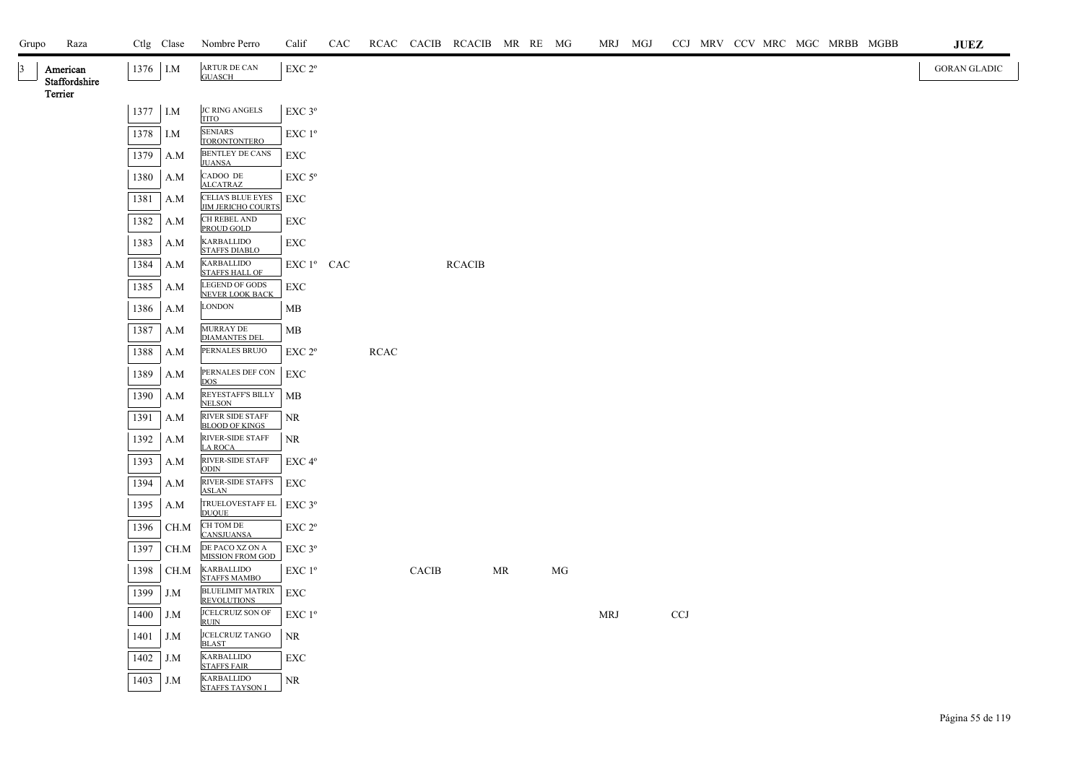| Grupo           |                           | Raza |          | Ctlg Clase | Nombre Perro                                                      | Calif                  | CAC |             |              | RCAC CACIB RCACIB MR RE MG |           |    | MRJ MGJ |            |  |  | CCJ MRV CCV MRC MGC MRBB MGBB | <b>JUEZ</b>         |
|-----------------|---------------------------|------|----------|------------|-------------------------------------------------------------------|------------------------|-----|-------------|--------------|----------------------------|-----------|----|---------|------------|--|--|-------------------------------|---------------------|
| $\vert 3 \vert$ | American<br>Staffordshire |      | 1376 I.M |            | ARTUR DE CAN<br><b>GUASCH</b>                                     | EXC 2°                 |     |             |              |                            |           |    |         |            |  |  |                               | <b>GORAN GLADIC</b> |
|                 | Terrier                   |      |          |            |                                                                   |                        |     |             |              |                            |           |    |         |            |  |  |                               |                     |
|                 |                           |      | 1377 I.M |            | <b>JC RING ANGELS</b><br><b>TITO</b>                              | EXC 3°                 |     |             |              |                            |           |    |         |            |  |  |                               |                     |
|                 |                           |      | 1378 I.M |            | <b>SENIARS</b><br><b>TORONTONTERO</b>                             | EXC 1 <sup>o</sup>     |     |             |              |                            |           |    |         |            |  |  |                               |                     |
|                 |                           |      | 1379     | A.M        | BENTLEY DE CANS<br><b>JUANSA</b>                                  | EXC                    |     |             |              |                            |           |    |         |            |  |  |                               |                     |
|                 |                           |      | 1380     | A.M        | CADOO DE<br><b>ALCATRAZ</b>                                       | $EXC$ 5 $\rm ^{o}$     |     |             |              |                            |           |    |         |            |  |  |                               |                     |
|                 |                           |      | 1381     | A.M        | <b>CELIA'S BLUE EYES</b><br><b>JIM JERICHO COURTS</b>             | EXC                    |     |             |              |                            |           |    |         |            |  |  |                               |                     |
|                 |                           |      | 1382     | A.M        | CH REBEL AND<br>PROUD GOLD                                        | EXC                    |     |             |              |                            |           |    |         |            |  |  |                               |                     |
|                 |                           |      | 1383     | A.M        | KARBALLIDO<br><b>STAFFS DIABLO</b>                                | EXC                    |     |             |              |                            |           |    |         |            |  |  |                               |                     |
|                 |                           |      | 1384     | A.M        | KARBALLIDO<br><b>STAFFS HALL OF</b>                               | EXC 1 <sup>°</sup> CAC |     |             |              | <b>RCACIB</b>              |           |    |         |            |  |  |                               |                     |
|                 |                           |      | 1385     | A.M        | <b>LEGEND OF GODS</b><br>NEVER LOOK BACK                          | EXC                    |     |             |              |                            |           |    |         |            |  |  |                               |                     |
|                 |                           |      | 1386     | A.M        | LONDON                                                            | MB                     |     |             |              |                            |           |    |         |            |  |  |                               |                     |
|                 |                           |      | 1387     | A.M        | MURRAY DE                                                         | MB                     |     |             |              |                            |           |    |         |            |  |  |                               |                     |
|                 |                           |      | 1388     | A.M        | <b>DIAMANTES DEL</b><br>PERNALES BRUJO                            | EXC 2 <sup>o</sup>     |     | <b>RCAC</b> |              |                            |           |    |         |            |  |  |                               |                     |
|                 |                           |      | 1389     | A.M        | PERNALES DEF CON<br><b>DOS</b>                                    | EXC                    |     |             |              |                            |           |    |         |            |  |  |                               |                     |
|                 |                           |      | 1390     | A.M        | REYESTAFF'S BILLY<br><b>NELSON</b>                                | MB                     |     |             |              |                            |           |    |         |            |  |  |                               |                     |
|                 |                           |      | 1391     | A.M        | RIVER SIDE STAFF<br><b>BLOOD OF KINGS</b>                         | <b>NR</b>              |     |             |              |                            |           |    |         |            |  |  |                               |                     |
|                 |                           |      | 1392     | A.M        | RIVER-SIDE STAFF<br><b>LA ROCA</b>                                | NR                     |     |             |              |                            |           |    |         |            |  |  |                               |                     |
|                 |                           |      | 1393     | A.M        | RIVER-SIDE STAFF<br><b>ODIN</b>                                   | EXC 4°                 |     |             |              |                            |           |    |         |            |  |  |                               |                     |
|                 |                           |      | 1394     | A.M        | RIVER-SIDE STAFFS<br><b>ASLAN</b>                                 | EXC                    |     |             |              |                            |           |    |         |            |  |  |                               |                     |
|                 |                           |      | 1395     | A.M        | TRUELOVESTAFF EL<br><b>DUQUE</b>                                  | $EXC$ 3 $^{\circ}$     |     |             |              |                            |           |    |         |            |  |  |                               |                     |
|                 |                           |      | 1396     | CH.M       | CH TOM DE<br><b>CANSJUANSA</b>                                    | EXC 2 <sup>o</sup>     |     |             |              |                            |           |    |         |            |  |  |                               |                     |
|                 |                           |      | 1397     | CH.M       | DE PACO XZ ON A<br><b>MISSION FROM GOD</b>                        | EXC 3°                 |     |             |              |                            |           |    |         |            |  |  |                               |                     |
|                 |                           |      | 1398     | CH.M       | <b>KARBALLIDO</b>                                                 | $EXC1^{\circ}$         |     |             | <b>CACIB</b> |                            | <b>MR</b> | MG |         |            |  |  |                               |                     |
|                 |                           |      | 1399     | J.M        | <b>STAFFS MAMBO</b><br><b>BLUELIMIT MATRIX</b>                    | EXC                    |     |             |              |                            |           |    |         |            |  |  |                               |                     |
|                 |                           |      | 1400     | J.M        | <b>REVOLUTIONS</b><br>JCELCRUIZ SON OF                            | EXC 1 <sup>o</sup>     |     |             |              |                            |           |    | MRJ     | <b>CCJ</b> |  |  |                               |                     |
|                 |                           |      | 1401     | J.M        | <b>RUIN</b><br>JCELCRUIZ TANGO                                    | NR                     |     |             |              |                            |           |    |         |            |  |  |                               |                     |
|                 |                           |      | 1402     | J.M        | <b>BLAST</b><br><b>KARBALLIDO</b>                                 | EXC                    |     |             |              |                            |           |    |         |            |  |  |                               |                     |
|                 |                           |      | 1403 J.M |            | <b>STAFFS FAIR</b><br><b>KARBALLIDO</b><br><b>STAFFS TAYSON I</b> | NR                     |     |             |              |                            |           |    |         |            |  |  |                               |                     |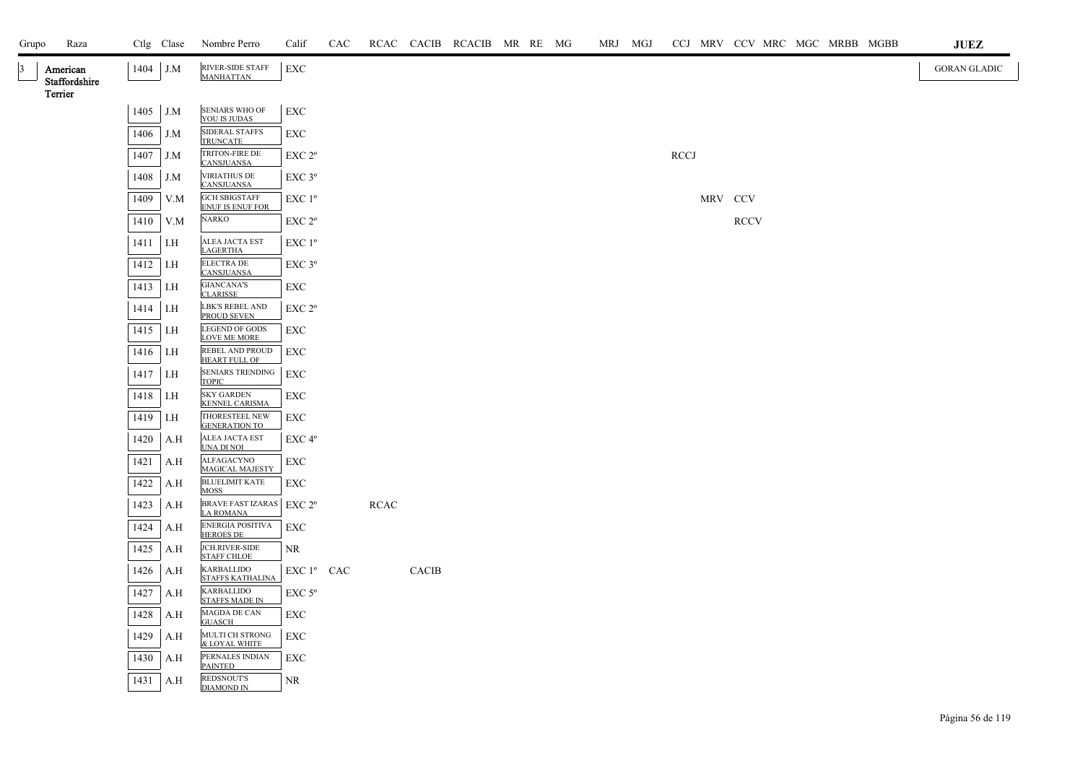| Grupo           | Raza                      |      | Ctlg Clase | Nombre Perro                                    | Calif                  | CAC |      |              | RCAC CACIB RCACIB MR RE MG |  |  | MRJ MGJ |             |         |             |  |  | CCJ MRV CCV MRC MGC MRBB MGBB | JUEZ                |
|-----------------|---------------------------|------|------------|-------------------------------------------------|------------------------|-----|------|--------------|----------------------------|--|--|---------|-------------|---------|-------------|--|--|-------------------------------|---------------------|
| $\vert 3 \vert$ | American<br>Staffordshire |      | 1404 J.M   | RIVER-SIDE STAFF<br><b>MANHATTAN</b>            | EXC                    |     |      |              |                            |  |  |         |             |         |             |  |  |                               | <b>GORAN GLADIC</b> |
|                 | Terrier                   |      |            |                                                 |                        |     |      |              |                            |  |  |         |             |         |             |  |  |                               |                     |
|                 |                           |      | $1405$ J.M | SENIARS WHO OF<br>YOU IS JUDAS                  | <b>EXC</b>             |     |      |              |                            |  |  |         |             |         |             |  |  |                               |                     |
|                 |                           | 1406 | J.M        | SIDERAL STAFFS<br><b>TRUNCATE</b>               | EXC                    |     |      |              |                            |  |  |         |             |         |             |  |  |                               |                     |
|                 |                           | 1407 | J.M        | TRITON-FIRE DE<br><b>CANSJUANSA</b>             | EXC 2°                 |     |      |              |                            |  |  |         | <b>RCCJ</b> |         |             |  |  |                               |                     |
|                 |                           | 1408 | J.M        | <b>VIRIATHUS DE</b><br><b>CANSJUANSA</b>        | EXC 3°                 |     |      |              |                            |  |  |         |             |         |             |  |  |                               |                     |
|                 |                           | 1409 | V.M        | <b>GCH SBIGSTAFF</b><br><b>ENUF IS ENUF FOR</b> | EXC 1°                 |     |      |              |                            |  |  |         |             | MRV CCV |             |  |  |                               |                     |
|                 |                           | 1410 | V.M        | NARKO                                           | EXC 2°                 |     |      |              |                            |  |  |         |             |         | <b>RCCV</b> |  |  |                               |                     |
|                 |                           | 1411 | I.H        | ALEA JACTA EST<br><b>LAGERTHA</b>               | $EXC1^{\circ}$         |     |      |              |                            |  |  |         |             |         |             |  |  |                               |                     |
|                 |                           | 1412 | I.H        | <b>ELECTRA DE</b><br><b>CANSJUANSA</b>          | EXC 3°                 |     |      |              |                            |  |  |         |             |         |             |  |  |                               |                     |
|                 |                           | 1413 | LH         | <b>GIANCANA'S</b><br><b>CLARISSE</b>            | EXC                    |     |      |              |                            |  |  |         |             |         |             |  |  |                               |                     |
|                 |                           | 1414 | I.H        | LBK'S REBEL AND<br>PROUD SEVEN                  | EXC <sub>2°</sub>      |     |      |              |                            |  |  |         |             |         |             |  |  |                               |                     |
|                 |                           | 1415 | I.H        | <b>LEGEND OF GODS</b><br>LOVE ME MORE           | EXC                    |     |      |              |                            |  |  |         |             |         |             |  |  |                               |                     |
|                 |                           | 1416 | I.H        | REBEL AND PROUD<br><b>HEART FULL OF</b>         | EXC                    |     |      |              |                            |  |  |         |             |         |             |  |  |                               |                     |
|                 |                           | 1417 | I.H        | SENIARS TRENDING<br><b>TOPIC</b>                | <b>EXC</b>             |     |      |              |                            |  |  |         |             |         |             |  |  |                               |                     |
|                 |                           | 1418 | I.H        | <b>SKY GARDEN</b><br><b>KENNEL CARISMA</b>      | EXC                    |     |      |              |                            |  |  |         |             |         |             |  |  |                               |                     |
|                 |                           | 1419 | I.H        | THORESTEEL NEW<br><b>GENERATION TO</b>          | EXC                    |     |      |              |                            |  |  |         |             |         |             |  |  |                               |                     |
|                 |                           | 1420 | A.H        | ALEA JACTA EST<br>UNA DI NOI                    | $EXC 4^{\circ}$        |     |      |              |                            |  |  |         |             |         |             |  |  |                               |                     |
|                 |                           | 1421 | A.H        | <b>ALFAGACYNO</b><br>MAGICAL MAJESTY            | EXC                    |     |      |              |                            |  |  |         |             |         |             |  |  |                               |                     |
|                 |                           | 1422 | A.H        | <b>BLUELIMIT KATE</b><br>MOSS                   | EXC                    |     |      |              |                            |  |  |         |             |         |             |  |  |                               |                     |
|                 |                           | 1423 | A.H        | BRAVE FAST IZARAS   EXC 2°<br><b>LA ROMANA</b>  |                        |     | RCAC |              |                            |  |  |         |             |         |             |  |  |                               |                     |
|                 |                           | 1424 | A.H        | ENERGIA POSITIVA<br><b>HEROES DE</b>            | EXC                    |     |      |              |                            |  |  |         |             |         |             |  |  |                               |                     |
|                 |                           | 1425 | A.H        | <b>JCH.RIVER-SIDE</b><br><b>STAFF CHLOE</b>     | NR                     |     |      |              |                            |  |  |         |             |         |             |  |  |                               |                     |
|                 |                           | 1426 | A.H        | <b>KARBALLIDO</b><br><b>STAFFS KATHALINA</b>    | EXC 1 <sup>°</sup> CAC |     |      | <b>CACIB</b> |                            |  |  |         |             |         |             |  |  |                               |                     |
|                 |                           | 1427 | A.H        | <b>KARBALLIDO</b><br><b>STAFFS MADE IN</b>      | EXC 5°                 |     |      |              |                            |  |  |         |             |         |             |  |  |                               |                     |
|                 |                           | 1428 | A.H        | $\rm MAGDA$ DE CAN<br><b>GUASCH</b>             | EXC                    |     |      |              |                            |  |  |         |             |         |             |  |  |                               |                     |
|                 |                           | 1429 | A.H        | MULTI CH STRONG<br>& LOYAL WHITE                | EXC                    |     |      |              |                            |  |  |         |             |         |             |  |  |                               |                     |
|                 |                           | 1430 | A.H        | PERNALES INDIAN<br><b>PAINTED</b>               | EXC                    |     |      |              |                            |  |  |         |             |         |             |  |  |                               |                     |
|                 |                           | 1431 | A.H        | REDSNOUT'S<br><b>DIAMOND IN</b>                 | NR.                    |     |      |              |                            |  |  |         |             |         |             |  |  |                               |                     |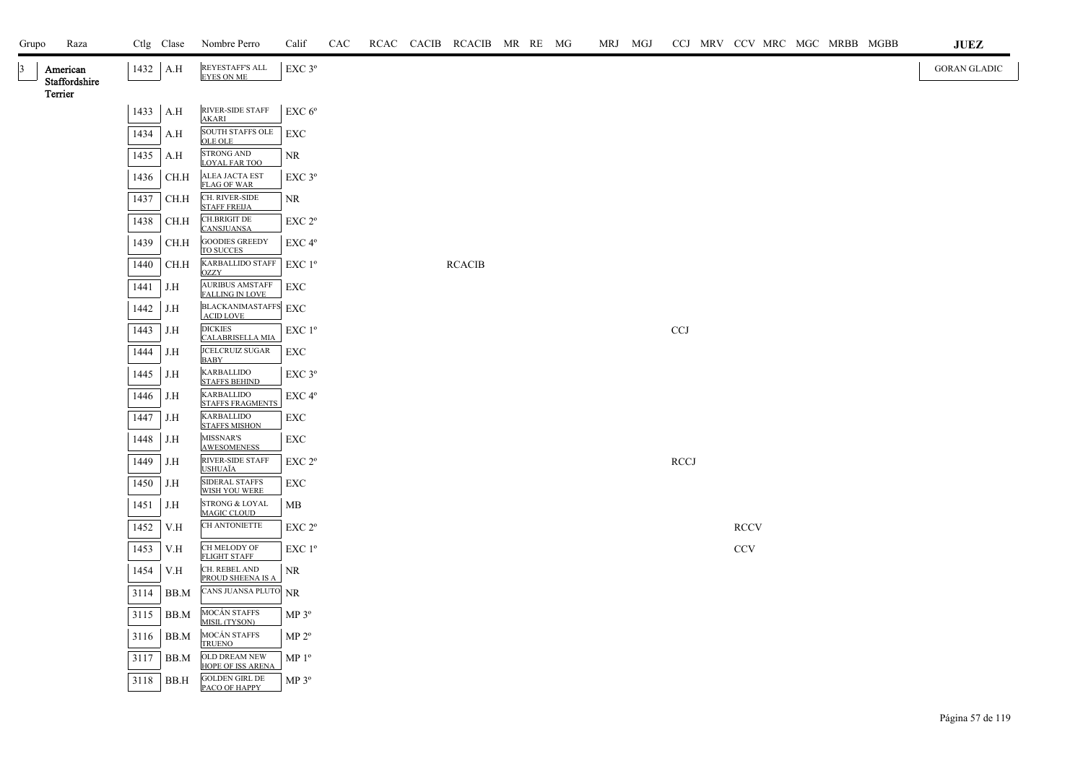| Grupo           | Raza                      |      | Ctlg Clase | Nombre Perro                                     | Calif                                        | CAC |  | RCAC CACIB RCACIB MR RE MG |  | MRJ MGJ |             |             |  | CCJ MRV CCV MRC MGC MRBB MGBB | $\mathbf{J}\mathbf{U}\mathbf{E}\mathbf{Z}$ |
|-----------------|---------------------------|------|------------|--------------------------------------------------|----------------------------------------------|-----|--|----------------------------|--|---------|-------------|-------------|--|-------------------------------|--------------------------------------------|
| $\vert 3 \vert$ | American<br>Staffordshire |      | $1432$ A.H | REYESTAFF'S ALL<br><b>EYES ON ME</b>             | EXC 3°                                       |     |  |                            |  |         |             |             |  |                               | <b>GORAN GLADIC</b>                        |
|                 | Terrier                   | 1433 | A.H        | RIVER-SIDE STAFF<br><b>AKARI</b>                 | EXC 6 <sup>o</sup>                           |     |  |                            |  |         |             |             |  |                               |                                            |
|                 |                           | 1434 | A.H        | SOUTH STAFFS OLE<br><b>OLE OLE</b>               | EXC                                          |     |  |                            |  |         |             |             |  |                               |                                            |
|                 |                           | 1435 | A.H        | <b>STRONG AND</b><br><b>LOYAL FAR TOO</b>        | NR                                           |     |  |                            |  |         |             |             |  |                               |                                            |
|                 |                           | 1436 | CH.H       | <b>ALEA JACTA EST</b><br><b>FLAG OF WAR</b>      | $EXC$ $3^{\circ}$                            |     |  |                            |  |         |             |             |  |                               |                                            |
|                 |                           | 1437 | CH.H       | CH. RIVER-SIDE<br><b>STAFF FREIJA</b>            | NR                                           |     |  |                            |  |         |             |             |  |                               |                                            |
|                 |                           | 1438 | CH.H       | <b>CH.BRIGIT DE</b><br><b>CANSJUANSA</b>         | EXC 2 <sup>o</sup>                           |     |  |                            |  |         |             |             |  |                               |                                            |
|                 |                           | 1439 | CH.H       | <b>GOODIES GREEDY</b><br>TO SUCCES               | EXC 4°                                       |     |  |                            |  |         |             |             |  |                               |                                            |
|                 |                           | 1440 | CH.H       | <b>KARBALLIDO STAFF</b><br><b>OZZY</b>           | $EXC1^{\circ}$                               |     |  | <b>RCACIB</b>              |  |         |             |             |  |                               |                                            |
|                 |                           | 1441 | J.H        | <b>AURIBUS AMSTAFF</b><br><b>FALLING IN LOVE</b> | EXC                                          |     |  |                            |  |         |             |             |  |                               |                                            |
|                 |                           | 1442 | J.H        | BLACKANIMASTAFFS EXC<br><b>ACID LOVE</b>         |                                              |     |  |                            |  |         |             |             |  |                               |                                            |
|                 |                           | 1443 | J.H        | <b>DICKIES</b><br>CALABRISELLA MIA               | EXC 1 <sup>o</sup>                           |     |  |                            |  |         | CCJ         |             |  |                               |                                            |
|                 |                           | 1444 | J.H        | JCELCRUIZ SUGAR<br><b>BABY</b>                   | <b>EXC</b>                                   |     |  |                            |  |         |             |             |  |                               |                                            |
|                 |                           | 1445 | J.H        | <b>KARBALLIDO</b><br><b>STAFFS BEHIND</b>        | EXC 3°                                       |     |  |                            |  |         |             |             |  |                               |                                            |
|                 |                           | 1446 | J.H        | <b>KARBALLIDO</b><br><b>STAFFS FRAGMENTS</b>     | EXC 4°                                       |     |  |                            |  |         |             |             |  |                               |                                            |
|                 |                           | 1447 | J.H        | <b>KARBALLIDO</b><br><b>STAFFS MISHON</b>        | EXC                                          |     |  |                            |  |         |             |             |  |                               |                                            |
|                 |                           | 1448 | J.H        | <b>MISSNAR'S</b><br><b>AWESOMENESS</b>           | EXC                                          |     |  |                            |  |         |             |             |  |                               |                                            |
|                 |                           | 1449 | J.H        | RIVER-SIDE STAFF<br><b>USHUAÏA</b>               | $\ensuremath{\mathrm{EXC}}$ $2^{\mathrm{o}}$ |     |  |                            |  |         | <b>RCCJ</b> |             |  |                               |                                            |
|                 |                           | 1450 | J.H        | <b>SIDERAL STAFFS</b><br>WISH YOU WERE           | EXC                                          |     |  |                            |  |         |             |             |  |                               |                                            |
|                 |                           | 1451 | J.H        | <b>STRONG &amp; LOYAL</b><br><b>MAGIC CLOUD</b>  | MB                                           |     |  |                            |  |         |             |             |  |                               |                                            |
|                 |                           | 1452 | V.H        | CH ANTONIETTE                                    | EXC 2 <sup>o</sup>                           |     |  |                            |  |         |             | <b>RCCV</b> |  |                               |                                            |
|                 |                           | 1453 | V.H        | CH MELODY OF<br><b>FLIGHT STAFF</b>              | $EXC1^{\circ}$                               |     |  |                            |  |         |             | <b>CCV</b>  |  |                               |                                            |
|                 |                           | 1454 | V.H        | CH. REBEL AND<br>PROUD SHEENA IS A               | NR                                           |     |  |                            |  |         |             |             |  |                               |                                            |
|                 |                           | 3114 | BB.M       | CANS JUANSA PLUTO NR                             |                                              |     |  |                            |  |         |             |             |  |                               |                                            |
|                 |                           | 3115 | BB.M       | MOCÁN STAFFS<br>MISIL (TYSON)                    | MP 3°                                        |     |  |                            |  |         |             |             |  |                               |                                            |
|                 |                           | 3116 | BB.M       | MOCÁN STAFFS<br><b>TRUENO</b>                    | MP 2 <sup>o</sup>                            |     |  |                            |  |         |             |             |  |                               |                                            |
|                 |                           | 3117 | BB.M       | OLD DREAM NEW<br><b>HOPE OF ISS ARENA</b>        | MP <sup>0</sup>                              |     |  |                            |  |         |             |             |  |                               |                                            |
|                 |                           | 3118 | BB.H       | <b>GOLDEN GIRL DE</b><br>PACO OF HAPPY           | MP 3 <sup>o</sup>                            |     |  |                            |  |         |             |             |  |                               |                                            |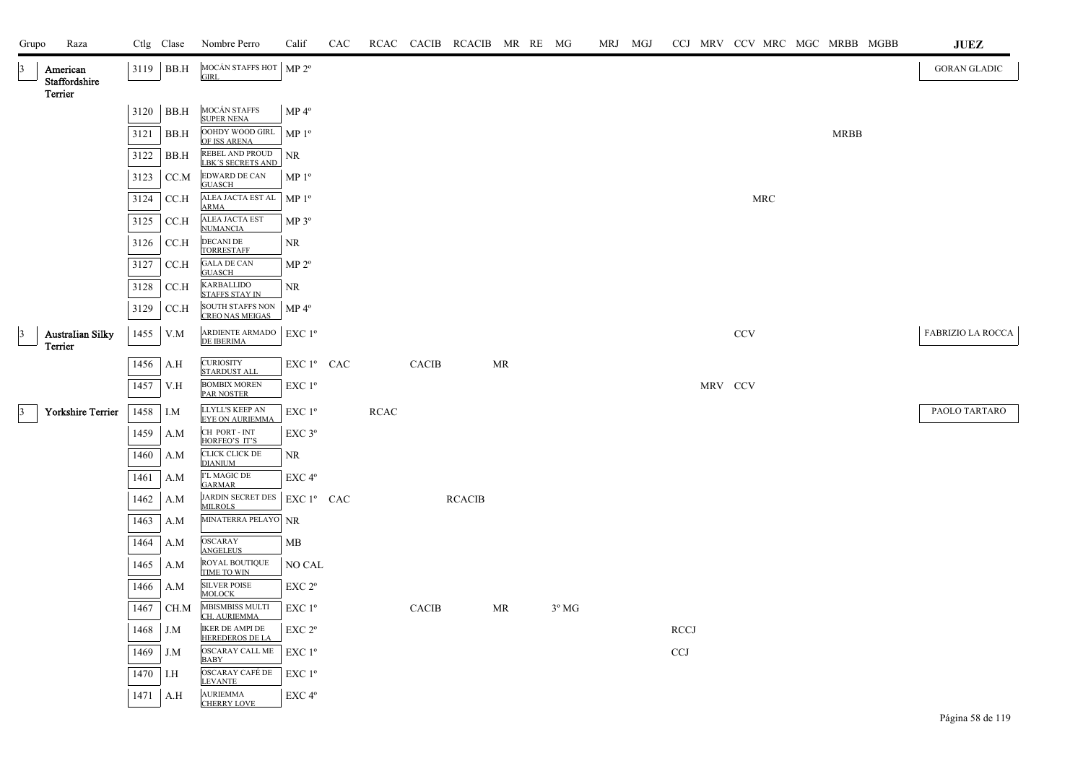| Grupo           | Raza                                 |      | Ctlg Clase  | Nombre Perro                                     | Calif                                        | CAC |             |              | RCAC CACIB RCACIB MR RE MG |    |                | MRJ MGJ |             |         |            |            | CCJ MRV CCV MRC MGC MRBB MGBB |             | JUEZ                     |
|-----------------|--------------------------------------|------|-------------|--------------------------------------------------|----------------------------------------------|-----|-------------|--------------|----------------------------|----|----------------|---------|-------------|---------|------------|------------|-------------------------------|-------------|--------------------------|
| $\vert 3 \vert$ | American<br>Staffordshire<br>Terrier |      | $3119$ BB.H | MOCÁN STAFFS HOT   MP 2º<br><b>GIRL</b>          |                                              |     |             |              |                            |    |                |         |             |         |            |            |                               |             | <b>GORAN GLADIC</b>      |
|                 |                                      |      | 3120 BB.H   | MOCÁN STAFFS<br><b>SUPER NENA</b>                | MP 4 <sup>°</sup>                            |     |             |              |                            |    |                |         |             |         |            |            |                               |             |                          |
|                 |                                      | 3121 | BB.H        | OOHDY WOOD GIRL<br>OF ISS ARENA                  | MP 1 <sup>o</sup>                            |     |             |              |                            |    |                |         |             |         |            |            |                               | <b>MRBB</b> |                          |
|                 |                                      | 3122 | BB.H        | REBEL AND PROUD<br><b>LBK'S SECRETS AND</b>      | <b>NR</b>                                    |     |             |              |                            |    |                |         |             |         |            |            |                               |             |                          |
|                 |                                      | 3123 | CC.M        | <b>EDWARD DE CAN</b><br><b>GUASCH</b>            | MP <sup>0</sup>                              |     |             |              |                            |    |                |         |             |         |            |            |                               |             |                          |
|                 |                                      | 3124 | CC.H        | ALEA JACTA EST AL<br><b>ARMA</b>                 | MP <sup>0</sup>                              |     |             |              |                            |    |                |         |             |         |            | <b>MRC</b> |                               |             |                          |
|                 |                                      | 3125 | CCA         | ALEA JACTA EST<br><b>NUMANCIA</b>                | $MP 3^{\circ}$                               |     |             |              |                            |    |                |         |             |         |            |            |                               |             |                          |
|                 |                                      | 3126 | CC.H        | <b>DECANI DE</b><br><b>TORRESTAFF</b>            | <b>NR</b>                                    |     |             |              |                            |    |                |         |             |         |            |            |                               |             |                          |
|                 |                                      | 3127 | CC.H        | <b>GALA DE CAN</b><br><b>GUASCH</b>              | $MP 2^{\circ}$                               |     |             |              |                            |    |                |         |             |         |            |            |                               |             |                          |
|                 |                                      | 3128 | CC.H        | KARBALLIDO<br><b>STAFFS STAY IN</b>              | NR.                                          |     |             |              |                            |    |                |         |             |         |            |            |                               |             |                          |
|                 |                                      | 3129 | CC.H        | SOUTH STAFFS NON MP 4°<br>CREO NAS MEIGAS        |                                              |     |             |              |                            |    |                |         |             |         |            |            |                               |             |                          |
| $\vert$ 3       | Australian Silky<br>Terrier          | 1455 | V.M         | ARDIENTE ARMADO<br>DE IBERIMA                    | EXC 1 <sup>o</sup>                           |     |             |              |                            |    |                |         |             |         | <b>CCV</b> |            |                               |             | <b>FABRIZIO LA ROCCA</b> |
|                 |                                      | 1456 | A.H         | <b>CURIOSITY</b><br><b>STARDUST ALL</b>          | EXC 1º CAC                                   |     |             | <b>CACIB</b> |                            | MR |                |         |             |         |            |            |                               |             |                          |
|                 |                                      | 1457 | V.H         | <b>BOMBIX MOREN</b><br><b>PAR NOSTER</b>         | EXC 1 <sup>o</sup>                           |     |             |              |                            |    |                |         |             | MRV CCV |            |            |                               |             |                          |
| $\vert 3 \vert$ | Yorkshire Terrier                    | 1458 | I.M         | LLYLL'S KEEP AN<br><b>EYE ON AURIEMMA</b>        | $\ensuremath{\mathrm{EXC}}$ $1^{\mathrm{o}}$ |     | <b>RCAC</b> |              |                            |    |                |         |             |         |            |            |                               |             | PAOLO TARTARO            |
|                 |                                      | 1459 | A.M         | CH PORT - INT<br>HORFEO'S IT'S                   | EXC <sub>3°</sub>                            |     |             |              |                            |    |                |         |             |         |            |            |                               |             |                          |
|                 |                                      | 1460 | A.M         | CLICK CLICK DE<br><b>DIANIUM</b>                 | NR                                           |     |             |              |                            |    |                |         |             |         |            |            |                               |             |                          |
|                 |                                      | 1461 | A.M         | I'L MAGIC DE<br><b>GARMAR</b>                    | EXC <sub>4°</sub>                            |     |             |              |                            |    |                |         |             |         |            |            |                               |             |                          |
|                 |                                      | 1462 | A.M         | JARDIN SECRET DES   EXC 1º CAC<br><b>MILROLS</b> |                                              |     |             |              | <b>RCACIB</b>              |    |                |         |             |         |            |            |                               |             |                          |
|                 |                                      | 1463 | A.M         | MINATERRA PELAYO NR                              |                                              |     |             |              |                            |    |                |         |             |         |            |            |                               |             |                          |
|                 |                                      | 1464 | A.M         | <b>OSCARAY</b><br><b>ANGELEUS</b>                | MB                                           |     |             |              |                            |    |                |         |             |         |            |            |                               |             |                          |
|                 |                                      | 1465 | A.M         | ROYAL BOUTIQUE<br>TIME TO WIN                    | NO CAL                                       |     |             |              |                            |    |                |         |             |         |            |            |                               |             |                          |
|                 |                                      | 1466 | A.M         | <b>SILVER POISE</b><br><b>MOLOCK</b>             | $EXC 2^{\circ}$                              |     |             |              |                            |    |                |         |             |         |            |            |                               |             |                          |
|                 |                                      | 1467 | CH.M        | MBISMBISS MULTI<br>CH. AURIEMMA                  | EXC 1 <sup>o</sup>                           |     |             | <b>CACIB</b> |                            | MR | $3^{\circ}$ MG |         |             |         |            |            |                               |             |                          |
|                 |                                      | 1468 | J.M         | <b>IKER DE AMPI DE</b><br><b>HEREDEROS DE LA</b> | EXC 2 <sup>o</sup>                           |     |             |              |                            |    |                |         | <b>RCCJ</b> |         |            |            |                               |             |                          |
|                 |                                      | 1469 | J.M         | OSCARAY CALL ME<br><b>BABY</b>                   | $EXC1^{\circ}$                               |     |             |              |                            |    |                |         | CCJ         |         |            |            |                               |             |                          |
|                 |                                      | 1470 | I.H         | OSCARAY CAFÉ DE<br><b>LEVANTE</b>                | EXC 1 <sup>o</sup>                           |     |             |              |                            |    |                |         |             |         |            |            |                               |             |                          |
|                 |                                      | 1471 | A.H         | <b>AURIEMMA</b><br><b>CHERRY LOVE</b>            | EXC <sub>4°</sub>                            |     |             |              |                            |    |                |         |             |         |            |            |                               |             |                          |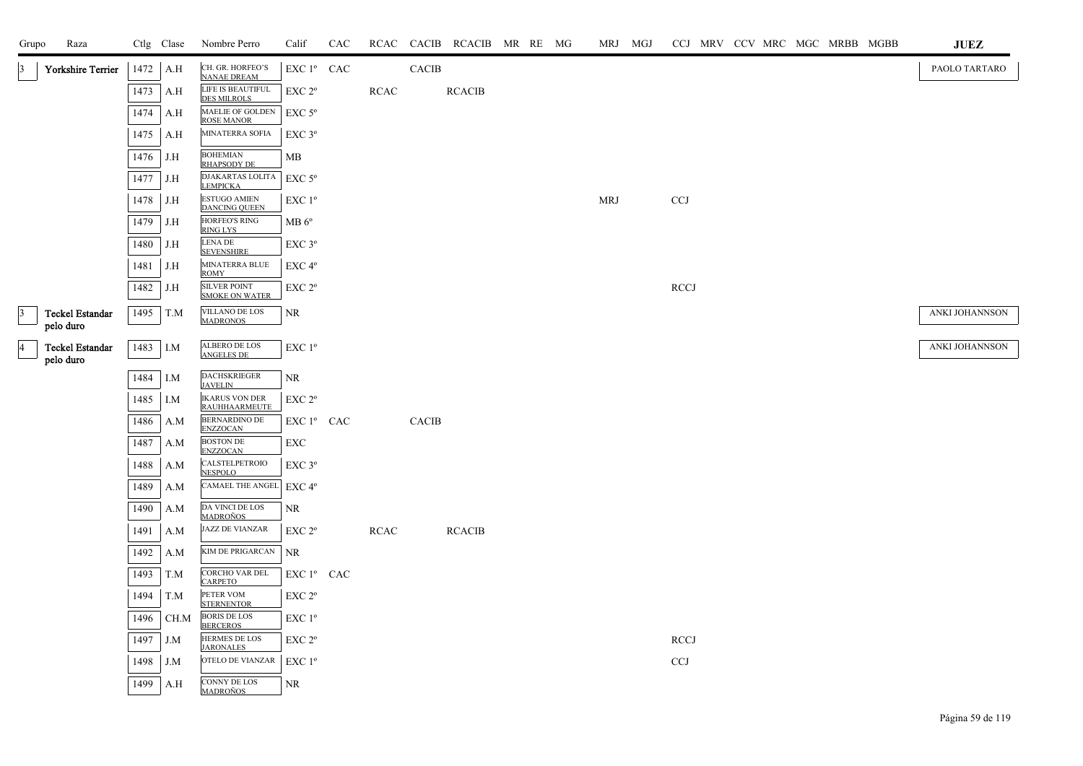| Grupo           | Raza                         |          | Ctlg Clase | Nombre Perro                                  | Calif                                            | CAC |             |              | RCAC CACIB RCACIB MR RE MG |  |            | MRJ MGJ |             | CCJ MRV CCV MRC MGC MRBB MGBB |  | <b>JUEZ</b>    |
|-----------------|------------------------------|----------|------------|-----------------------------------------------|--------------------------------------------------|-----|-------------|--------------|----------------------------|--|------------|---------|-------------|-------------------------------|--|----------------|
|                 | <b>Yorkshire Terrier</b>     | 1472     | A.H        | CH. GR. HORFEO'S<br><b>NANAE DREAM</b>        | EXC 1º CAC                                       |     |             | CACIB        |                            |  |            |         |             |                               |  | PAOLO TARTARO  |
|                 |                              | 1473     | A.H        | LIFE IS BEAUTIFUL<br><b>DES MILROLS</b>       | EXC 2 <sup>o</sup>                               |     | <b>RCAC</b> |              | <b>RCACIB</b>              |  |            |         |             |                               |  |                |
|                 |                              | 1474     | A.H        | MAELIE OF GOLDEN<br><b>ROSE MANOR</b>         | $EXC$ 5 $\rm ^{o}$                               |     |             |              |                            |  |            |         |             |                               |  |                |
|                 |                              | 1475     | A.H        | MINATERRA SOFIA                               | $EXC$ $3^{\circ}$                                |     |             |              |                            |  |            |         |             |                               |  |                |
|                 |                              | 1476     | J.H        | <b>BOHEMIAN</b><br><b>RHAPSODY DE</b>         | MB                                               |     |             |              |                            |  |            |         |             |                               |  |                |
|                 |                              | 1477     | J.H        | DJAKARTAS LOLITA<br><b>LEMPICKA</b>           | $EXC$ 5 $\rm ^{o}$                               |     |             |              |                            |  |            |         |             |                               |  |                |
|                 |                              | 1478     | J.H        | <b>ESTUGO AMIEN</b><br><b>DANCING QUEEN</b>   | EXC 1 <sup>o</sup>                               |     |             |              |                            |  | <b>MRJ</b> |         | <b>CCJ</b>  |                               |  |                |
|                 |                              | 1479     | J.H        | <b>HORFEO'S RING</b><br>RING LYS              | $MB 6^{\circ}$                                   |     |             |              |                            |  |            |         |             |                               |  |                |
|                 |                              | 1480     | J.H        | LENA DE<br><b>SEVENSHIRE</b>                  | EXC 3°                                           |     |             |              |                            |  |            |         |             |                               |  |                |
|                 |                              | 1481     | J.H        | MINATERRA BLUE<br>ROMY                        | EXC 4°                                           |     |             |              |                            |  |            |         |             |                               |  |                |
|                 |                              | 1482     | J.H        | SILVER POINT<br>SMOKE ON WATER                | EXC <sub>2°</sub>                                |     |             |              |                            |  |            |         | <b>RCCJ</b> |                               |  |                |
| $\vert 3 \vert$ | <b>Teckel Estandar</b>       | 1495     | T.M        | VILLANO DE LOS<br><b>MADRONOS</b>             | NR.                                              |     |             |              |                            |  |            |         |             |                               |  | ANKI JOHANNSON |
|                 | pelo duro                    |          |            |                                               |                                                  |     |             |              |                            |  |            |         |             |                               |  |                |
| $\overline{4}$  | Teckel Estandar<br>pelo duro | 1483 I.M |            | ALBERO DE LOS<br><b>ANGELES DE</b>            | EXC 1°                                           |     |             |              |                            |  |            |         |             |                               |  | ANKI JOHANNSON |
|                 |                              | 1484     | I.M        | <b>DACHSKRIEGER</b><br><b>JAVELIN</b>         | NR.                                              |     |             |              |                            |  |            |         |             |                               |  |                |
|                 |                              | 1485     | I.M        | <b>IKARUS VON DER</b><br><b>RAUHHAARMEUTE</b> | EXC 2 <sup>o</sup>                               |     |             |              |                            |  |            |         |             |                               |  |                |
|                 |                              | 1486     | A.M        | <b>BERNARDINO DE</b><br><b>ENZZOCAN</b>       | EXC 1 <sup>°</sup> CAC                           |     |             | <b>CACIB</b> |                            |  |            |         |             |                               |  |                |
|                 |                              | 1487     | A.M        | <b>BOSTON DE</b><br><b>ENZZOCAN</b>           | EXC                                              |     |             |              |                            |  |            |         |             |                               |  |                |
|                 |                              | 1488     | A.M        | CALSTELPETROIO<br><b>NESPOLO</b>              | $EXC$ 3 $^{\circ}$                               |     |             |              |                            |  |            |         |             |                               |  |                |
|                 |                              | 1489     | A.M        | <b>CAMAEL THE ANGEL</b>                       | EXC 4 <sup>o</sup>                               |     |             |              |                            |  |            |         |             |                               |  |                |
|                 |                              | 1490     | A.M        | DA VINCI DE LOS<br><u>MADROÑOS</u>            | NR.                                              |     |             |              |                            |  |            |         |             |                               |  |                |
|                 |                              | 1491     | A.M        | <b>JAZZ DE VIANZAR</b>                        | EXC 2 <sup>o</sup>                               |     | <b>RCAC</b> |              | <b>RCACIB</b>              |  |            |         |             |                               |  |                |
|                 |                              | 1492     | A.M        | <b>KIM DE PRIGARCAN</b>                       | <b>NR</b>                                        |     |             |              |                            |  |            |         |             |                               |  |                |
|                 |                              | 1493     | T.M        | CORCHO VAR DEL<br><b>CARPETO</b>              | $\mathop{\rm EXC}\nolimits$ $1^{\circ}$ $\;$ CAC |     |             |              |                            |  |            |         |             |                               |  |                |
|                 |                              | 1494     | T.M        | PETER VOM<br><b>STERNENTOR</b>                | EXC 2 <sup>o</sup>                               |     |             |              |                            |  |            |         |             |                               |  |                |
|                 |                              | 1496     | CH.M       | <b>BORIS DE LOS</b><br><b>BERCEROS</b>        | EXC 1 <sup>°</sup>                               |     |             |              |                            |  |            |         |             |                               |  |                |
|                 |                              | 1497     | J.M        | <b>HERMES DE LOS</b><br><b>JARONALES</b>      | EXC 2 <sup>o</sup>                               |     |             |              |                            |  |            |         | <b>RCCJ</b> |                               |  |                |
|                 |                              | 1498     | J.M        | OTELO DE VIANZAR                              | EXC 1 <sup>o</sup>                               |     |             |              |                            |  |            |         | CCJ         |                               |  |                |
|                 |                              | 1499     | A.H        | <b>CONNY DE LOS</b><br><b>MADROÑOS</b>        | NR                                               |     |             |              |                            |  |            |         |             |                               |  |                |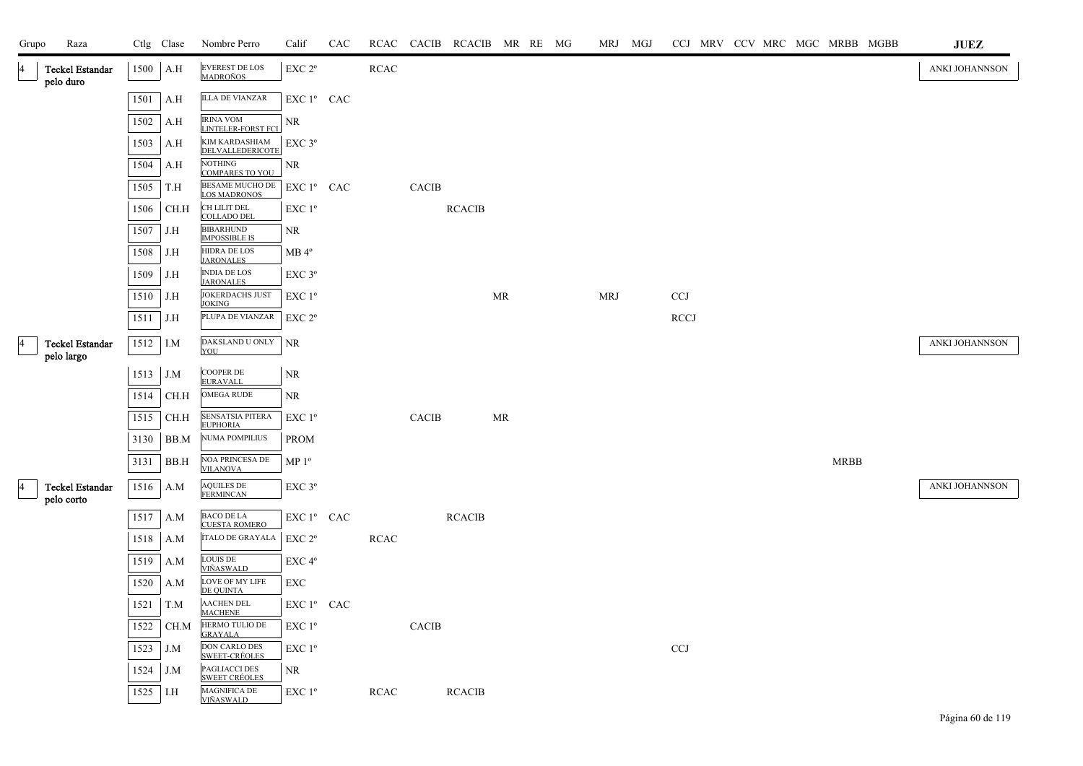| Grupo | Raza                                 |          | Ctlg Clase | Nombre Perro                                  | Calif              | CAC |             |                        | RCAC CACIB RCACIB MR RE MG |    |  |            | MRJ MGJ |             |  |  |             | CCJ MRV CCV MRC MGC MRBB MGBB | JUEZ           |
|-------|--------------------------------------|----------|------------|-----------------------------------------------|--------------------|-----|-------------|------------------------|----------------------------|----|--|------------|---------|-------------|--|--|-------------|-------------------------------|----------------|
| 4     | Teckel Estandar<br>pelo duro         | 1500     | A.H        | EVEREST DE LOS<br>MADROÑOS                    | EXC 2°             |     | <b>RCAC</b> |                        |                            |    |  |            |         |             |  |  |             |                               | ANKI JOHANNSON |
|       |                                      | 1501     | A.H        | <b>ILLA DE VIANZAR</b>                        | EXC 1º CAC         |     |             |                        |                            |    |  |            |         |             |  |  |             |                               |                |
|       |                                      | 1502     | A.H        | <b>IRINA VOM</b><br><b>LINTELER-FORST FCI</b> | NR                 |     |             |                        |                            |    |  |            |         |             |  |  |             |                               |                |
|       |                                      | 1503     | A.H        | <b>KIM KARDASHIAM</b><br>DELVALLEDERICOTE     | $EXC$ 3 $^{\circ}$ |     |             |                        |                            |    |  |            |         |             |  |  |             |                               |                |
|       |                                      | 1504     | A.H        | <b>NOTHING</b><br>COMPARES TO YOU             | NR                 |     |             |                        |                            |    |  |            |         |             |  |  |             |                               |                |
|       |                                      | 1505     | T.H        | <b>BESAME MUCHO DE</b><br><b>LOS MADRONOS</b> | EXC 1º CAC         |     |             | CACIB                  |                            |    |  |            |         |             |  |  |             |                               |                |
|       |                                      | 1506     | CH.H       | CH LILIT DEL<br><b>COLLADO DEL</b>            | EXC 1 <sup>o</sup> |     |             |                        | <b>RCACIB</b>              |    |  |            |         |             |  |  |             |                               |                |
|       |                                      | 1507     | J.H        | <b>BIBARHUND</b><br><b>IMPOSSIBLE IS</b>      | NR                 |     |             |                        |                            |    |  |            |         |             |  |  |             |                               |                |
|       |                                      | 1508     | J.H        | <b>HIDRA DE LOS</b><br><b>JARONALES</b>       | $MB 4^{\circ}$     |     |             |                        |                            |    |  |            |         |             |  |  |             |                               |                |
|       |                                      | 1509     | J.H        | <b>INDIA DE LOS</b><br><b>JARONALES</b>       | $EXC$ $3^{\circ}$  |     |             |                        |                            |    |  |            |         |             |  |  |             |                               |                |
|       |                                      | 1510     | J.H        | JOKERDACHS JUST<br><b>JOKING</b>              | $EXC1^{\circ}$     |     |             |                        |                            | MR |  | <b>MRJ</b> |         | <b>CCJ</b>  |  |  |             |                               |                |
|       |                                      | 1511     | J.H        | PLUPA DE VIANZAR                              | EXC 2 <sup>o</sup> |     |             |                        |                            |    |  |            |         | <b>RCCJ</b> |  |  |             |                               |                |
| 4     | Teckel Estandar<br>pelo largo        | 1512 I.M |            | DAKSLAND U ONLY<br>YOU                        | <b>NR</b>          |     |             |                        |                            |    |  |            |         |             |  |  |             |                               | ANKI JOHANNSON |
|       |                                      | 1513     | J.M        | <b>COOPER DE</b><br><b>EURAVALL</b>           | NR                 |     |             |                        |                            |    |  |            |         |             |  |  |             |                               |                |
|       |                                      | 1514     | CH.H       | <b>OMEGA RUDE</b>                             | NR                 |     |             |                        |                            |    |  |            |         |             |  |  |             |                               |                |
|       |                                      | 1515     | CH.H       | <b>SENSATSIA PITERA</b><br><b>EUPHORIA</b>    | $EXC1^{\circ}$     |     |             | CACIB                  |                            | MR |  |            |         |             |  |  |             |                               |                |
|       |                                      | 3130     | BB.M       | NUMA POMPILIUS                                | <b>PROM</b>        |     |             |                        |                            |    |  |            |         |             |  |  |             |                               |                |
|       |                                      | 3131     | BB.H       | NOA PRINCESA DE<br><b>VILANOVA</b>            | MP <sup>0</sup>    |     |             |                        |                            |    |  |            |         |             |  |  | <b>MRBB</b> |                               |                |
| 4     | <b>Teckel Estandar</b><br>pelo corto | 1516     | A.M        | <b>AQUILES DE</b><br><b>FERMINCAN</b>         | $EXC$ $3^{\circ}$  |     |             |                        |                            |    |  |            |         |             |  |  |             |                               | ANKI JOHANNSON |
|       |                                      | 1517     | A.M        | <b>BACO DE LA</b><br><b>CUESTA ROMERO</b>     | EXC 1º CAC         |     |             |                        | <b>RCACIB</b>              |    |  |            |         |             |  |  |             |                               |                |
|       |                                      | 1518     | A.M        | ÍTALO DE GRAYALA                              | EXC 2 <sup>o</sup> |     | <b>RCAC</b> |                        |                            |    |  |            |         |             |  |  |             |                               |                |
|       |                                      | 1519     | A.M        | <b>LOUIS DE</b><br><u>VIÑASWALD</u>           | EXC 4°             |     |             |                        |                            |    |  |            |         |             |  |  |             |                               |                |
|       |                                      | 1520     | A.M        | LOVE OF MY LIFE<br>DE QUINTA                  | <b>EXC</b>         |     |             |                        |                            |    |  |            |         |             |  |  |             |                               |                |
|       |                                      | 1521     | T.M        | <b>AACHEN DEL</b><br><b>MACHENE</b>           | $EXC1^{\circ}$ CAC |     |             |                        |                            |    |  |            |         |             |  |  |             |                               |                |
|       |                                      | 1522     | CH.M       | HERMO TULIO DE<br><b>GRAYALA</b>              | $EXC1^{\circ}$     |     |             | $\operatorname{CACIB}$ |                            |    |  |            |         |             |  |  |             |                               |                |
|       |                                      | 1523     | J.M        | DON CARLO DES<br><b>SWEET-CRÉOLES</b>         | $EXC1^{\circ}$     |     |             |                        |                            |    |  |            |         | <b>CCJ</b>  |  |  |             |                               |                |
|       |                                      | 1524     | J.M        | PAGLIACCI DES<br><b>SWEET CRÉOLES</b>         | NR.                |     |             |                        |                            |    |  |            |         |             |  |  |             |                               |                |
|       |                                      | 1525     | I.H        | MAGNIFICA DE<br>VIÑASWALD                     | EXC 1 <sup>o</sup> |     | <b>RCAC</b> |                        | <b>RCACIB</b>              |    |  |            |         |             |  |  |             |                               |                |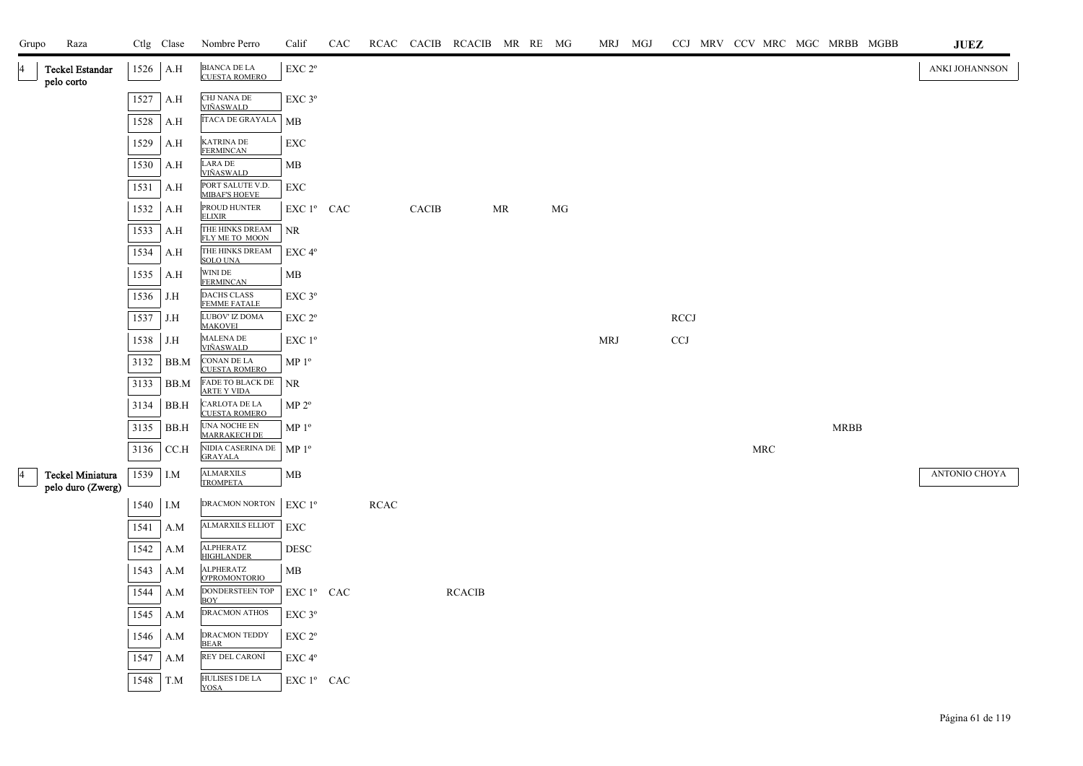| Grupo | Raza                                  |      | Ctlg Clase | Nombre Perro                              | Calif                                        | CAC |             |              | RCAC CACIB RCACIB MR RE MG |    |    | MRJ MGJ |             |  |     |             | CCJ MRV CCV MRC MGC MRBB MGBB | JUEZ           |
|-------|---------------------------------------|------|------------|-------------------------------------------|----------------------------------------------|-----|-------------|--------------|----------------------------|----|----|---------|-------------|--|-----|-------------|-------------------------------|----------------|
| 14    | <b>Teckel Estandar</b><br>pelo corto  | 1526 | A.H        | BIANCA DE LA<br>CUESTA ROMERO             | EXC <sub>2°</sub>                            |     |             |              |                            |    |    |         |             |  |     |             |                               | ANKI JOHANNSON |
|       |                                       | 1527 | A.H        | CHJ NANA DE                               | EXC <sub>3°</sub>                            |     |             |              |                            |    |    |         |             |  |     |             |                               |                |
|       |                                       | 1528 | A.H        | <b>VIÑASWALD</b><br>ÍTACA DE GRAYALA      | MB                                           |     |             |              |                            |    |    |         |             |  |     |             |                               |                |
|       |                                       | 1529 | A.H        | <b>KATRINA DE</b><br><b>FERMINCAN</b>     | EXC                                          |     |             |              |                            |    |    |         |             |  |     |             |                               |                |
|       |                                       | 1530 | A.H        | LARA DE<br><u>VIÑASWALD</u>               | MВ                                           |     |             |              |                            |    |    |         |             |  |     |             |                               |                |
|       |                                       | 1531 | A.H        | PORT SALUTE V.D.<br><b>MIBAF'S HOEVE</b>  | EXC                                          |     |             |              |                            |    |    |         |             |  |     |             |                               |                |
|       |                                       | 1532 | A.H        | PROUD HUNTER<br><b>ELIXIR</b>             | EXC 1 <sup>°</sup> CAC                       |     |             | <b>CACIB</b> |                            | MR | MG |         |             |  |     |             |                               |                |
|       |                                       | 1533 | A.H        | THE HINKS DREAM<br>FLY ME TO MOON         | NR                                           |     |             |              |                            |    |    |         |             |  |     |             |                               |                |
|       |                                       | 1534 | A.H        | THE HINKS DREAM<br><b>SOLO UNA</b>        | EXC 4°                                       |     |             |              |                            |    |    |         |             |  |     |             |                               |                |
|       |                                       | 1535 | A.H        | WINI DE<br><b>FERMINCAN</b>               | MB                                           |     |             |              |                            |    |    |         |             |  |     |             |                               |                |
|       |                                       | 1536 | J.H        | <b>DACHS CLASS</b><br><b>FEMME FATALE</b> | EXC <sub>3°</sub>                            |     |             |              |                            |    |    |         |             |  |     |             |                               |                |
|       |                                       | 1537 | J.H        | LUBOV' IZ DOMA<br><b>MAKOVEI</b>          | EXC 2°                                       |     |             |              |                            |    |    |         | <b>RCCJ</b> |  |     |             |                               |                |
|       |                                       | 1538 | J.H        | <b>MALENA DE</b><br><u>VIÑASWALD</u>      | $EXC1^{\circ}$                               |     |             |              |                            |    |    | MRJ     | <b>CCJ</b>  |  |     |             |                               |                |
|       |                                       | 3132 | BB.M       | CONAN DE LA<br><b>CUESTA ROMERO</b>       | MP 1 <sup>o</sup>                            |     |             |              |                            |    |    |         |             |  |     |             |                               |                |
|       |                                       | 3133 | BB.M       | FADE TO BLACK DE<br><b>ARTE Y VIDA</b>    | <b>NR</b>                                    |     |             |              |                            |    |    |         |             |  |     |             |                               |                |
|       |                                       | 3134 | BB.H       | CARLOTA DE LA<br><b>CUESTA ROMERO</b>     | $MP 2^{\circ}$                               |     |             |              |                            |    |    |         |             |  |     |             |                               |                |
|       |                                       | 3135 | BB.H       | UNA NOCHE EN<br><b>MARRAKECH DE</b>       | MP <sup>0</sup>                              |     |             |              |                            |    |    |         |             |  |     | <b>MRBB</b> |                               |                |
|       |                                       | 3136 | CCA        | NIDIA CASERINA DE<br><b>GRAYALA</b>       | MP <sup>0</sup>                              |     |             |              |                            |    |    |         |             |  | MRC |             |                               |                |
| 4     | Teckel Miniatura<br>pelo duro (Zwerg) | 1539 | I.M        | <b>ALMARXILS</b><br><b>TROMPETA</b>       | MB                                           |     |             |              |                            |    |    |         |             |  |     |             |                               | ANTONIO CHOYA  |
|       |                                       | 1540 | I.M        | DRACMON NORTON                            | EXC 1 <sup>o</sup>                           |     | <b>RCAC</b> |              |                            |    |    |         |             |  |     |             |                               |                |
|       |                                       | 1541 | A.M        | <b>ALMARXILS ELLIOT</b>                   | EXC                                          |     |             |              |                            |    |    |         |             |  |     |             |                               |                |
|       |                                       | 1542 | A.M        | <b>ALPHERATZ</b><br><b>HIGHLANDER</b>     | <b>DESC</b>                                  |     |             |              |                            |    |    |         |             |  |     |             |                               |                |
|       |                                       | 1543 | A.M        | <b>ALPHERATZ</b><br><b>O'PROMONTORIO</b>  | MB                                           |     |             |              |                            |    |    |         |             |  |     |             |                               |                |
|       |                                       | 1544 | A.M        | DONDERSTEEN TOP<br><b>BOY</b>             | $EXC1^{\circ}$ CAC                           |     |             |              | <b>RCACIB</b>              |    |    |         |             |  |     |             |                               |                |
|       |                                       | 1545 | A.M        | <b>DRACMON ATHOS</b>                      | EXC 3°                                       |     |             |              |                            |    |    |         |             |  |     |             |                               |                |
|       |                                       | 1546 | A.M        | DRACMON TEDDY<br><b>BEAR</b>              | $\ensuremath{\mathrm{EXC}}$ $2^{\mathrm{o}}$ |     |             |              |                            |    |    |         |             |  |     |             |                               |                |
|       |                                       | 1547 | A.M        | REY DEL CARONÍ                            | EXC <sub>4°</sub>                            |     |             |              |                            |    |    |         |             |  |     |             |                               |                |
|       |                                       | 1548 | T.M        | HULISES I DE LA<br><b>YOSA</b>            | EXC 1º CAC                                   |     |             |              |                            |    |    |         |             |  |     |             |                               |                |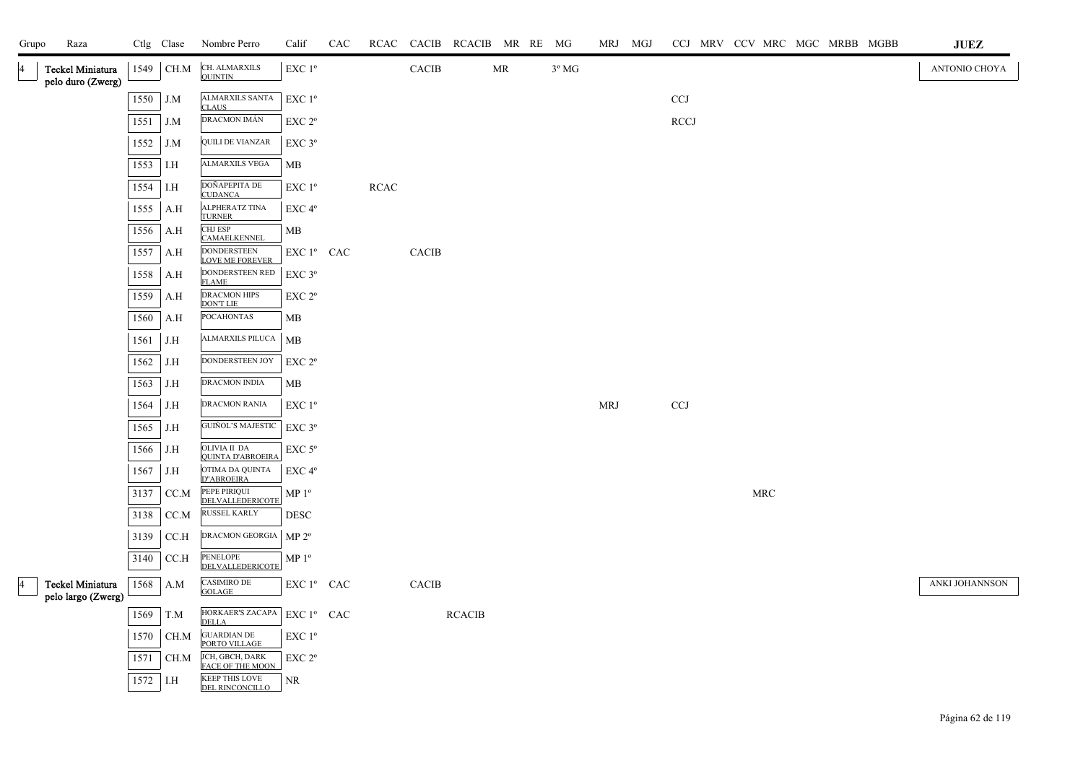| Grupo | Raza                                  |      | Ctlg Clase | Nombre Perro                                         | Calif                                           | CAC | RCAC        | CACIB RCACIB MR RE MG |               |                                   |                | MRJ MGJ    |                       |  |                      | CCJ MRV CCV MRC MGC MRBB MGBB | $\mathbf{J}\mathbf{U}\mathbf{E}\mathbf{Z}$ |
|-------|---------------------------------------|------|------------|------------------------------------------------------|-------------------------------------------------|-----|-------------|-----------------------|---------------|-----------------------------------|----------------|------------|-----------------------|--|----------------------|-------------------------------|--------------------------------------------|
|       | Teckel Miniatura<br>pelo duro (Zwerg) | 1549 | $\rm CH.M$ | CH. ALMARXILS<br><b>QUINTIN</b>                      | $\ensuremath{\mathrm{EXC}}$<br>$1^{\mathrm{o}}$ |     |             | CACIB                 |               | $\ensuremath{\mathsf{MR}}\xspace$ | $3^{\circ}$ MG |            |                       |  |                      |                               | ANTONIO CHOYA                              |
|       |                                       | 1550 | J.M        | ALMARXILS SANTA<br><b>CLAUS</b>                      | $\ensuremath{\mathrm{EXC}}$ $1^{\mathrm{o}}$    |     |             |                       |               |                                   |                |            | $_{\rm CCJ}$          |  |                      |                               |                                            |
|       |                                       | 1551 | J.M        | DRACMON IMÁN                                         | EXC 2°                                          |     |             |                       |               |                                   |                |            | $\operatorname{RCCJ}$ |  |                      |                               |                                            |
|       |                                       | 1552 | J.M        | <b>QUILI DE VIANZAR</b>                              | EXC 3°                                          |     |             |                       |               |                                   |                |            |                       |  |                      |                               |                                            |
|       |                                       | 1553 | $\rm I.H$  | <b>ALMARXILS VEGA</b>                                | MB                                              |     |             |                       |               |                                   |                |            |                       |  |                      |                               |                                            |
|       |                                       | 1554 | I.H        | DOÑAPEPITA DE<br><b>CUDANCA</b>                      | EXC 1 <sup>o</sup>                              |     | <b>RCAC</b> |                       |               |                                   |                |            |                       |  |                      |                               |                                            |
|       |                                       | 1555 | A.H        | <b>ALPHERATZ TINA</b><br><b>TURNER</b>               | EXC 4°                                          |     |             |                       |               |                                   |                |            |                       |  |                      |                               |                                            |
|       |                                       | 1556 | A.H        | CHJ ESP<br>CAMAELKENNEL                              | MB                                              |     |             |                       |               |                                   |                |            |                       |  |                      |                               |                                            |
|       |                                       | 1557 | A.H        | DONDERSTEEN<br>LOVE ME FOREVER                       | $\mathop{\hbox{\rm EXC}}$ $1^{\circ}$ $\;$ CAC  |     |             | CACIB                 |               |                                   |                |            |                       |  |                      |                               |                                            |
|       |                                       | 1558 | A.H        | DONDERSTEEN RED<br><b>FLAME</b>                      | EXC 3°                                          |     |             |                       |               |                                   |                |            |                       |  |                      |                               |                                            |
|       |                                       | 1559 | A.H        | <b>DRACMON HIPS</b><br><b>DON'T LIE</b>              | EXC 2°                                          |     |             |                       |               |                                   |                |            |                       |  |                      |                               |                                            |
|       |                                       | 1560 | A.H        | <b>POCAHONTAS</b>                                    | <b>MB</b>                                       |     |             |                       |               |                                   |                |            |                       |  |                      |                               |                                            |
|       |                                       | 1561 | J.H        | ALMARXILS PILUCA                                     | MB                                              |     |             |                       |               |                                   |                |            |                       |  |                      |                               |                                            |
|       |                                       | 1562 | J.H        | DONDERSTEEN JOY                                      | EXC 2 <sup>o</sup>                              |     |             |                       |               |                                   |                |            |                       |  |                      |                               |                                            |
|       |                                       | 1563 | J.H        | DRACMON INDIA                                        | MB                                              |     |             |                       |               |                                   |                |            |                       |  |                      |                               |                                            |
|       |                                       | 1564 | J.H        | DRACMON RANIA                                        | $EXC1^{\circ}$                                  |     |             |                       |               |                                   |                | <b>MRJ</b> | CCJ                   |  |                      |                               |                                            |
|       |                                       | 1565 | J.H        | GUIÑOL'S MAJESTIC                                    | $EXC$ $3^{\circ}$                               |     |             |                       |               |                                   |                |            |                       |  |                      |                               |                                            |
|       |                                       | 1566 | J.H        | OLIVIA II DA<br><b>QUINTA D'ABROEIRA</b>             | $\ensuremath{\mathrm{EXC}}$ $5^{\mathrm{o}}$    |     |             |                       |               |                                   |                |            |                       |  |                      |                               |                                            |
|       |                                       | 1567 | J.H        | OTIMA DA QUINTA<br>D"ABROEIRA                        | EXC 4 <sup>o</sup>                              |     |             |                       |               |                                   |                |            |                       |  |                      |                               |                                            |
|       |                                       | 3137 | CC.M       | PEPE PIRIQUI<br>DELVALLEDERICOTE                     | MP $1^{\rm o}$                                  |     |             |                       |               |                                   |                |            |                       |  | $\operatorname{MRC}$ |                               |                                            |
|       |                                       | 3138 | CC.M       | RUSSEL KARLY                                         | <b>DESC</b>                                     |     |             |                       |               |                                   |                |            |                       |  |                      |                               |                                            |
|       |                                       | 3139 | CCA        | DRACMON GEORGIA                                      | MP 2 <sup>o</sup>                               |     |             |                       |               |                                   |                |            |                       |  |                      |                               |                                            |
|       |                                       | 3140 | $\rm CCA$  | PENELOPE<br>DELVALLEDERICOTE                         | $\mathbf{MP}\; \mathbf{1^o}$                    |     |             |                       |               |                                   |                |            |                       |  |                      |                               |                                            |
|       | Teckel Miniatura                      |      | 1568 A.M   | CASIMIRO DE<br><b>GOLAGE</b>                         | EXC 1º CAC                                      |     |             | CACIB                 |               |                                   |                |            |                       |  |                      |                               | ANKI JOHANNSON                             |
|       | pelo largo (Zwerg)                    | 1569 | T.M        | HORKAER'S ZACAPA                                     | EXC 1º CAC                                      |     |             |                       | <b>RCACIB</b> |                                   |                |            |                       |  |                      |                               |                                            |
|       |                                       | 1570 | CH.M       | <b>DELLA</b><br><b>GUARDIAN DE<br/>PORTO VILLAGE</b> | EXC 1 <sup>o</sup>                              |     |             |                       |               |                                   |                |            |                       |  |                      |                               |                                            |
|       |                                       | 1571 | $\rm CH.M$ | JCH, GBCH, DARK                                      | EXC 2°                                          |     |             |                       |               |                                   |                |            |                       |  |                      |                               |                                            |
|       |                                       | 1572 | I.H        | FACE OF THE MOON<br><b>KEEP THIS LOVE</b>            | <b>NR</b>                                       |     |             |                       |               |                                   |                |            |                       |  |                      |                               |                                            |
|       |                                       |      |            | <b>DEL RINCONCILLO</b>                               |                                                 |     |             |                       |               |                                   |                |            |                       |  |                      |                               |                                            |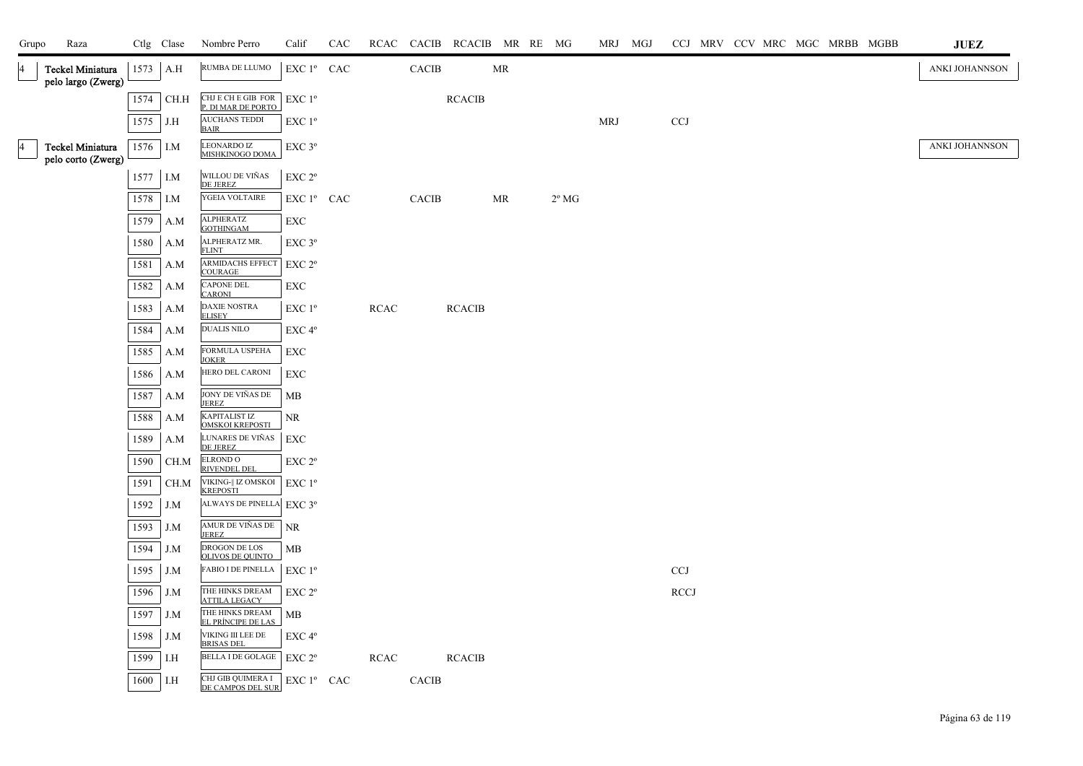| Grupo           | Raza                                   |            | Ctlg Clase | Nombre Perro                                                      | Calif              | CAC |             |              | RCAC CACIB RCACIB MR RE MG |    |                |            | MRJ MGJ |                           |  | CCJ MRV CCV MRC MGC MRBB MGBB |  | JUEZ           |
|-----------------|----------------------------------------|------------|------------|-------------------------------------------------------------------|--------------------|-----|-------------|--------------|----------------------------|----|----------------|------------|---------|---------------------------|--|-------------------------------|--|----------------|
| $\vert 4$       | Teckel Miniatura<br>pelo largo (Zwerg) | $1573$ A.H |            | RUMBA DE LLUMO                                                    | EXC 1º CAC         |     |             | <b>CACIB</b> |                            | MR |                |            |         |                           |  |                               |  | ANKI JOHANNSON |
|                 |                                        |            | 1574 CH.H  | CHJ E CH E GIB FOR<br>P. DI MAR DE PORTO                          | EXC 1 <sup>o</sup> |     |             |              | <b>RCACIB</b>              |    |                |            |         |                           |  |                               |  |                |
|                 |                                        | 1575       | J.H        | <b>AUCHANS TEDDI</b><br><b>BAIR</b>                               | EXC 1 <sup>o</sup> |     |             |              |                            |    |                | <b>MRJ</b> |         | CCJ                       |  |                               |  |                |
| $\vert 4 \vert$ | Teckel Miniatura<br>pelo corto (Zwerg) | 1576 I.M   |            | <b>LEONARDO IZ</b><br>MISHKINOGO DOMA                             | EXC 3°             |     |             |              |                            |    |                |            |         |                           |  |                               |  | ANKI JOHANNSON |
|                 |                                        | 1577 I.M   |            | WILLOU DE VIÑAS<br>DE JEREZ                                       | EXC 2 <sup>o</sup> |     |             |              |                            |    |                |            |         |                           |  |                               |  |                |
|                 |                                        | $1578$ I.M |            | YGEIA VOLTAIRE                                                    | EXC 1º CAC         |     |             | <b>CACIB</b> |                            | MR | $2^{\circ}$ MG |            |         |                           |  |                               |  |                |
|                 |                                        | 1579       | A.M        | ALPHERATZ<br><b>GOTHINGAM</b>                                     | EXC                |     |             |              |                            |    |                |            |         |                           |  |                               |  |                |
|                 |                                        | 1580       | A.M        | ALPHERATZ MR.<br><b>FLINT</b>                                     | $EXC$ $3^{\circ}$  |     |             |              |                            |    |                |            |         |                           |  |                               |  |                |
|                 |                                        | 1581       | A.M        | <b>ARMIDACHS EFFECT</b><br><b>COURAGE</b>                         | EXC 2°             |     |             |              |                            |    |                |            |         |                           |  |                               |  |                |
|                 |                                        | 1582       | A.M        | <b>CAPONE DEL</b><br><b>CARONI</b>                                | EXC                |     |             |              |                            |    |                |            |         |                           |  |                               |  |                |
|                 |                                        | 1583       | A.M        | <b>DAXIE NOSTRA</b><br><b>ELISEY</b>                              | EXC 1 <sup>o</sup> |     | <b>RCAC</b> |              | <b>RCACIB</b>              |    |                |            |         |                           |  |                               |  |                |
|                 |                                        | 1584       | A.M        | <b>DUALIS NILO</b>                                                | EXC <sub>4°</sub>  |     |             |              |                            |    |                |            |         |                           |  |                               |  |                |
|                 |                                        | 1585       | A.M        | FORMULA USPEHA<br><b>JOKER</b>                                    | EXC                |     |             |              |                            |    |                |            |         |                           |  |                               |  |                |
|                 |                                        | 1586       | A.M        | HERO DEL CARONI                                                   | EXC                |     |             |              |                            |    |                |            |         |                           |  |                               |  |                |
|                 |                                        | 1587       | A.M        | JONY DE VIÑAS DE<br><b>JEREZ</b>                                  | MB                 |     |             |              |                            |    |                |            |         |                           |  |                               |  |                |
|                 |                                        | 1588       | A.M        | <b>KAPITALIST IZ</b><br><b>OMSKOI KREPOST</b>                     | NR                 |     |             |              |                            |    |                |            |         |                           |  |                               |  |                |
|                 |                                        | 1589       | A.M        | LUNARES DE VIÑAS<br>DE JEREZ                                      | EXC                |     |             |              |                            |    |                |            |         |                           |  |                               |  |                |
|                 |                                        | 1590       | CH.M       | <b>ELROND O</b><br><b>RIVENDEL DEL</b>                            | EXC 2 <sup>o</sup> |     |             |              |                            |    |                |            |         |                           |  |                               |  |                |
|                 |                                        | 1591       | CH.M       | $\overline{\text{VIKING-}\parallel}$ IZ OMSKOI<br><b>KREPOSTI</b> | $EXC1^{\circ}$     |     |             |              |                            |    |                |            |         |                           |  |                               |  |                |
|                 |                                        | 1592       | J.M        | ALWAYS DE PINELLA EXC 3°                                          |                    |     |             |              |                            |    |                |            |         |                           |  |                               |  |                |
|                 |                                        | 1593       | J.M        | AMUR DE VIÑAS DE<br><b>JEREZ</b>                                  | <b>NR</b>          |     |             |              |                            |    |                |            |         |                           |  |                               |  |                |
|                 |                                        | 1594       | J.M        | DROGON DE LOS<br><b>OLIVOS DE QUINTO</b>                          | МB                 |     |             |              |                            |    |                |            |         |                           |  |                               |  |                |
|                 |                                        | 1595       | J.M        | <b>FABIO I DE PINELLA</b>                                         | $EXC1^{\circ}$     |     |             |              |                            |    |                |            |         | $\ensuremath{\text{CCJ}}$ |  |                               |  |                |
|                 |                                        | 1596       | J.M        | THE HINKS DREAM<br><b>ATTILA LEGACY</b>                           | EXC 2 <sup>o</sup> |     |             |              |                            |    |                |            |         | <b>RCCJ</b>               |  |                               |  |                |
|                 |                                        | 1597       | J.M        | THE HINKS DREAM<br>EL PRÍNCIPE DE LAS                             | MB                 |     |             |              |                            |    |                |            |         |                           |  |                               |  |                |
|                 |                                        | 1598 J.M   |            | VIKING III LEE DE<br><b>BRISAS DEL</b>                            | EXC 4 <sup>o</sup> |     |             |              |                            |    |                |            |         |                           |  |                               |  |                |
|                 |                                        | 1599       | I.H        | <b>BELLA I DE GOLAGE</b>                                          | $EXC 2^{\circ}$    |     | <b>RCAC</b> |              | <b>RCACIB</b>              |    |                |            |         |                           |  |                               |  |                |
|                 |                                        | $1600$ I.H |            | CHJ GIB QUIMERA I<br>DE CAMPOS DEL SUR                            | EXC 1º CAC         |     |             | CACIB        |                            |    |                |            |         |                           |  |                               |  |                |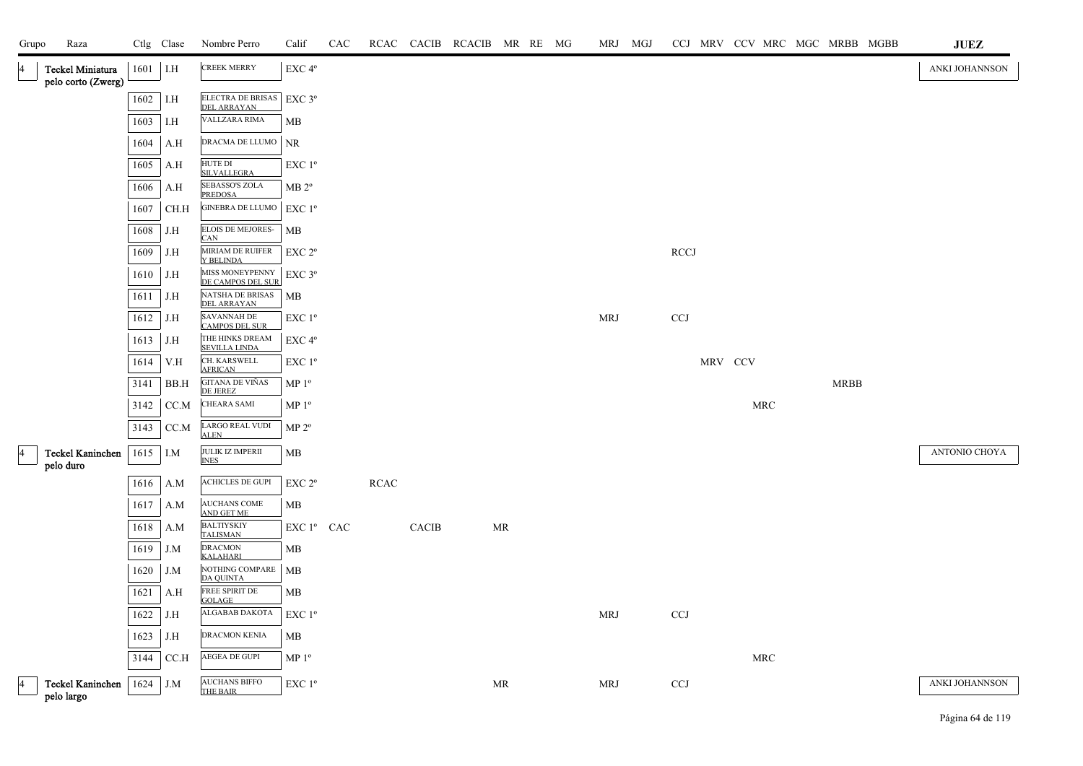| Grupo          | Raza                                   |      | Ctlg Clase                   | Nombre Perro                                | Calif              | CAC |             |       | RCAC CACIB RCACIB MR RE MG |    |  | MRJ MGJ    |             |         |                      |             | CCJ MRV CCV MRC MGC MRBB MGBB | <b>JUEZ</b>          |
|----------------|----------------------------------------|------|------------------------------|---------------------------------------------|--------------------|-----|-------------|-------|----------------------------|----|--|------------|-------------|---------|----------------------|-------------|-------------------------------|----------------------|
| $\overline{4}$ | Teckel Miniatura<br>pelo corto (Zwerg) | 1601 | $\overline{\phantom{a}}$ I.H | <b>CREEK MERRY</b>                          | EXC 4°             |     |             |       |                            |    |  |            |             |         |                      |             |                               | ANKI JOHANNSON       |
|                |                                        | 1602 | I.H                          | ELECTRA DE BRISAS   EXC 3º                  |                    |     |             |       |                            |    |  |            |             |         |                      |             |                               |                      |
|                |                                        | 1603 | I.H                          | <b>DEL ARRAYAN</b><br>VALLZARA RIMA         | МB                 |     |             |       |                            |    |  |            |             |         |                      |             |                               |                      |
|                |                                        | 1604 | A.H                          | DRACMA DE LLUMO                             | <b>NR</b>          |     |             |       |                            |    |  |            |             |         |                      |             |                               |                      |
|                |                                        | 1605 | A.H                          | HUTE DI                                     | EXC 1 <sup>o</sup> |     |             |       |                            |    |  |            |             |         |                      |             |                               |                      |
|                |                                        | 1606 | A.H                          | <b>SILVALLEGRA</b><br>SEBASSO'S ZOLA        | MB 2 <sup>o</sup>  |     |             |       |                            |    |  |            |             |         |                      |             |                               |                      |
|                |                                        | 1607 | CH.H                         | <b>PREDOSA</b><br><b>GINEBRA DE LLUMO</b>   | EXC1°              |     |             |       |                            |    |  |            |             |         |                      |             |                               |                      |
|                |                                        | 1608 | J.H                          | ELOIS DE MEJORES-<br><b>CAN</b>             | MB                 |     |             |       |                            |    |  |            |             |         |                      |             |                               |                      |
|                |                                        | 1609 | J.H                          | MIRIAM DE RUIFER<br>Y BELINDA               | EXC 2 <sup>o</sup> |     |             |       |                            |    |  |            | <b>RCCJ</b> |         |                      |             |                               |                      |
|                |                                        | 1610 | J.H                          | MISS MONEYPENNY<br>DE CAMPOS DEL SUR        | $EXC$ 3°           |     |             |       |                            |    |  |            |             |         |                      |             |                               |                      |
|                |                                        | 1611 | J.H                          | NATSHA DE BRISAS<br><b>DEL ARRAYAN</b>      | МB                 |     |             |       |                            |    |  |            |             |         |                      |             |                               |                      |
|                |                                        | 1612 | J.H                          | <b>SAVANNAH DE</b><br><b>CAMPOS DEL SUR</b> | EXC 1°             |     |             |       |                            |    |  | <b>MRJ</b> | <b>CCJ</b>  |         |                      |             |                               |                      |
|                |                                        | 1613 | J.H                          | THE HINKS DREAM<br><b>SEVILLA LINDA</b>     | EXC 4°             |     |             |       |                            |    |  |            |             |         |                      |             |                               |                      |
|                |                                        | 1614 | V.H                          | CH. KARSWELL<br><b>AFRICAN</b>              | EXC 1 <sup>o</sup> |     |             |       |                            |    |  |            |             | MRV CCV |                      |             |                               |                      |
|                |                                        | 3141 | BB.H                         | GITANA DE VIÑAS<br><b>DE JEREZ</b>          | MP <sup>0</sup>    |     |             |       |                            |    |  |            |             |         |                      | <b>MRBB</b> |                               |                      |
|                |                                        | 3142 | CC.M                         | <b>CHEARA SAMI</b>                          | MP <sup>0</sup>    |     |             |       |                            |    |  |            |             |         | $\operatorname{MRC}$ |             |                               |                      |
|                |                                        | 3143 | CC.M                         | <b>LARGO REAL VUDI</b><br><b>ALEN</b>       | MP 2 <sup>o</sup>  |     |             |       |                            |    |  |            |             |         |                      |             |                               |                      |
| 14             | <b>Teckel Kaninchen</b><br>pelo duro   | 1615 | I.M                          | <b>JULIK IZ IMPERII</b><br><b>INES</b>      | MВ                 |     |             |       |                            |    |  |            |             |         |                      |             |                               | <b>ANTONIO CHOYA</b> |
|                |                                        | 1616 | A.M                          | ACHICLES DE GUPI                            | EXC 2 <sup>o</sup> |     | <b>RCAC</b> |       |                            |    |  |            |             |         |                      |             |                               |                      |
|                |                                        | 1617 | A.M                          | AUCHANS COME<br>AND GET ME                  | MB                 |     |             |       |                            |    |  |            |             |         |                      |             |                               |                      |
|                |                                        | 1618 | A.M                          | <b>BALTIYSKIY</b><br><b>TALISMAN</b>        | EXC 1º CAC         |     |             | CACIB |                            | MR |  |            |             |         |                      |             |                               |                      |
|                |                                        | 1619 | J.M                          | <b>DRACMON</b><br><b>KALAHARI</b>           | МB                 |     |             |       |                            |    |  |            |             |         |                      |             |                               |                      |
|                |                                        | 1620 | J.M                          | NOTHING COMPARE<br><b>DA OUINTA</b>         | MB                 |     |             |       |                            |    |  |            |             |         |                      |             |                               |                      |
|                |                                        | 1621 | A.H                          | FREE SPIRIT DE<br><b>GOLAGE</b>             | МB                 |     |             |       |                            |    |  |            |             |         |                      |             |                               |                      |
|                |                                        | 1622 | J.H                          | ALGABAB DAKOTA                              | EXC 1 <sup>o</sup> |     |             |       |                            |    |  | <b>MRJ</b> | CCJ         |         |                      |             |                               |                      |
|                |                                        | 1623 | J.H                          | DRACMON KENIA                               | MB                 |     |             |       |                            |    |  |            |             |         |                      |             |                               |                      |
|                |                                        | 3144 | CC.H                         | AEGEA DE GUPI                               | MP <sup>0</sup>    |     |             |       |                            |    |  |            |             |         | MRC                  |             |                               |                      |
| $\overline{4}$ | Teckel Kaninchen<br>pelo largo         | 1624 | J.M                          | <b>AUCHANS BIFFO</b><br>THE BAIR            | EXC 1 <sup>°</sup> |     |             |       |                            | MR |  | <b>MRJ</b> | <b>CCJ</b>  |         |                      |             |                               | ANKI JOHANNSON       |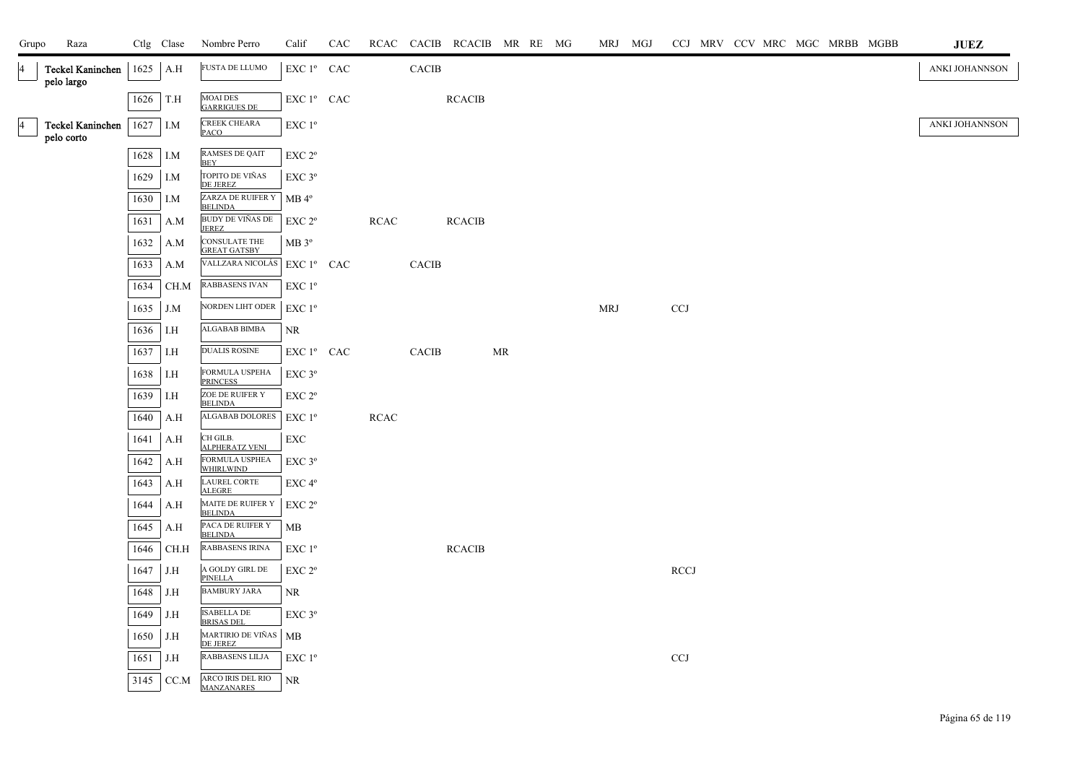| Grupo          | Raza                                  |              | Ctlg Clase | Nombre Perro                                            | Calif                           | CAC |             |              | RCAC CACIB RCACIB MR RE MG |    |  |            | MRJ MGJ |            |  |  | CCJ MRV CCV MRC MGC MRBB MGBB | JUEZ           |
|----------------|---------------------------------------|--------------|------------|---------------------------------------------------------|---------------------------------|-----|-------------|--------------|----------------------------|----|--|------------|---------|------------|--|--|-------------------------------|----------------|
| 4              | <b>Teckel Kaninchen</b><br>pelo largo | 1625         | A.H        | <b>FUSTA DE LLUMO</b>                                   | EXC 1º CAC                      |     |             | <b>CACIB</b> |                            |    |  |            |         |            |  |  |                               | ANKI JOHANNSON |
|                |                                       | 1626         | T.H        | <b>MOAI DES</b><br><b>GARRIGUES DE</b>                  | EXC 1º CAC                      |     |             |              | <b>RCACIB</b>              |    |  |            |         |            |  |  |                               |                |
| $\overline{4}$ | <b>Teckel Kaninchen</b><br>pelo corto | 1627         | I.M        | CREEK CHEARA<br><b>PACO</b>                             | EXC 1 <sup>o</sup>              |     |             |              |                            |    |  |            |         |            |  |  |                               | ANKI JOHANNSON |
|                |                                       | 1628         | I.M        | RAMSES DE QAIT<br><b>BEY</b>                            | EXC 2°                          |     |             |              |                            |    |  |            |         |            |  |  |                               |                |
|                |                                       | 1629         | I.M        | TOPITO DE VIÑAS<br><b>DE JEREZ</b>                      | $EXC$ $3^{\circ}$               |     |             |              |                            |    |  |            |         |            |  |  |                               |                |
|                |                                       | 1630         | I.M        | ZARZA DE RUIFER Y<br>BELINDA<br><b>BUDY DE VIÑAS DE</b> | $MB 4^{\circ}$                  |     |             |              |                            |    |  |            |         |            |  |  |                               |                |
|                |                                       | 1631         | A.M        | <b>JEREZ</b><br><b>CONSULATE THE</b>                    | EXC 2 <sup>o</sup>              |     | <b>RCAC</b> |              | <b>RCACIB</b>              |    |  |            |         |            |  |  |                               |                |
|                |                                       | 1632<br>1633 | A.M<br>A.M | <b>GREAT GATSBY</b><br>VALLZARA NICOLÁS                 | MB 3 <sup>o</sup><br>EXC 1º CAC |     |             | <b>CACIB</b> |                            |    |  |            |         |            |  |  |                               |                |
|                |                                       | 1634         | CH.M       | <b>RABBASENS IVAN</b>                                   | EXC 1 <sup>o</sup>              |     |             |              |                            |    |  |            |         |            |  |  |                               |                |
|                |                                       | 1635         | J.M        | NORDEN LIHT ODER                                        | $EXC1^{\circ}$                  |     |             |              |                            |    |  | <b>MRJ</b> |         | CCJ        |  |  |                               |                |
|                |                                       | 1636         | I.H        | ALGABAB BIMBA                                           | NR                              |     |             |              |                            |    |  |            |         |            |  |  |                               |                |
|                |                                       | 1637         | I.H        | <b>DUALIS ROSINE</b>                                    | EXC 1º CAC                      |     |             | CACIB        |                            | MR |  |            |         |            |  |  |                               |                |
|                |                                       | 1638         | I.H        | FORMULA USPEHA<br><b>PRINCESS</b>                       | $EXC$ $3^{\circ}$               |     |             |              |                            |    |  |            |         |            |  |  |                               |                |
|                |                                       | 1639         | I.H        | ZOE DE RUIFER Y<br><b>BELINDA</b>                       | EXC 2 <sup>o</sup>              |     |             |              |                            |    |  |            |         |            |  |  |                               |                |
|                |                                       | 1640         | A.H        | <b>ALGABAB DOLORES</b>                                  | EXC 1 <sup>o</sup>              |     | RCAC        |              |                            |    |  |            |         |            |  |  |                               |                |
|                |                                       | 1641         | A.H        | CH GILB.<br><b>ALPHERATZ VENI</b>                       | EXC                             |     |             |              |                            |    |  |            |         |            |  |  |                               |                |
|                |                                       | 1642         | A.H        | FORMULA USPHEA<br><b>WHIRLWIND</b>                      | EXC 3°                          |     |             |              |                            |    |  |            |         |            |  |  |                               |                |
|                |                                       | 1643         | A.H        | LAUREL CORTE<br><b>ALEGRE</b>                           | EXC 4°                          |     |             |              |                            |    |  |            |         |            |  |  |                               |                |
|                |                                       | 1644         | A.H        | MAITE DE RUIFER Y<br><b>BELINDA</b>                     | EXC 2 <sup>o</sup>              |     |             |              |                            |    |  |            |         |            |  |  |                               |                |
|                |                                       | 1645         | A.H        | PACA DE RUIFER Y<br><b>BELINDA</b>                      | MB                              |     |             |              |                            |    |  |            |         |            |  |  |                               |                |
|                |                                       | 1646         | CH.H       | RABBASENS IRINA                                         | $EXC1^{\circ}$                  |     |             |              | <b>RCACIB</b>              |    |  |            |         |            |  |  |                               |                |
|                |                                       | 1647         | J.H        | A GOLDY GIRL DE<br><b>PINELLA</b>                       | EXC 2 <sup>o</sup>              |     |             |              |                            |    |  |            |         | RCCJ       |  |  |                               |                |
|                |                                       | 1648         | J.H        | <b>BAMBURY JARA</b>                                     | NR                              |     |             |              |                            |    |  |            |         |            |  |  |                               |                |
|                |                                       | 1649         | J.H        | <b>ISABELLA DE</b><br><b>BRISAS DEL</b>                 | EXC 3°                          |     |             |              |                            |    |  |            |         |            |  |  |                               |                |
|                |                                       | 1650         | J.H        | MARTIRIO DE VIÑAS   MB<br>DE JEREZ                      |                                 |     |             |              |                            |    |  |            |         |            |  |  |                               |                |
|                |                                       | 1651         | J.H        | RABBASENS LILJA                                         | EXC 1 <sup>o</sup>              |     |             |              |                            |    |  |            |         | <b>CCJ</b> |  |  |                               |                |
|                |                                       | 3145         | CC.M       | ARCO IRIS DEL RIO<br><b>MANZANARES</b>                  | <b>NR</b>                       |     |             |              |                            |    |  |            |         |            |  |  |                               |                |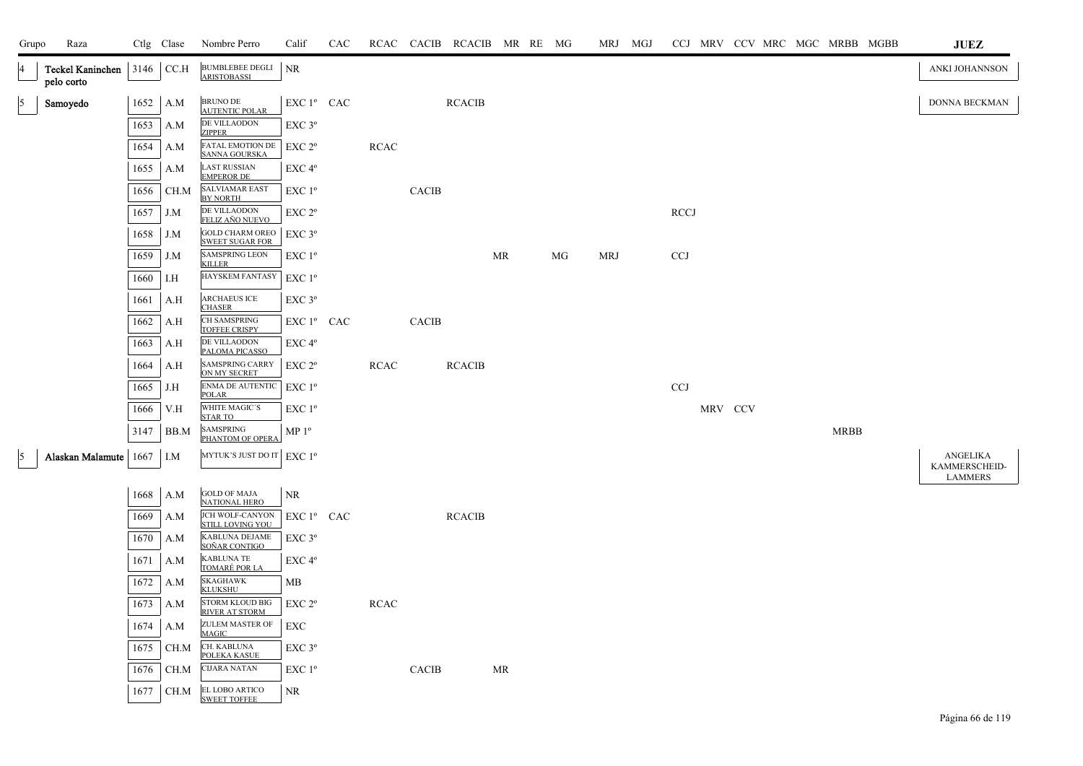| Grupo          | Raza                                  |      | Ctlg Clase                   | Nombre Perro                                      | Calif              | CAC |             |       | RCAC CACIB RCACIB MR RE MG |                                   |    | MRJ MGJ    |            |         |  |             | CCJ MRV CCV MRC MGC MRBB MGBB | <b>JUEZ</b>               |
|----------------|---------------------------------------|------|------------------------------|---------------------------------------------------|--------------------|-----|-------------|-------|----------------------------|-----------------------------------|----|------------|------------|---------|--|-------------|-------------------------------|---------------------------|
| <b>14</b>      | <b>Teckel Kaninchen</b><br>pelo corto |      | 3146 CC.H                    | <b>BUMBLEBEE DEGLI</b><br><b>ARISTOBASSI</b>      | NR                 |     |             |       |                            |                                   |    |            |            |         |  |             |                               | ANKI JOHANNSON            |
| $\mathfrak{g}$ | Samoyedo                              |      | 1652 A.M                     | BRUNO DE<br><b>AUTENTIC POLAR</b>                 | EXC 1º CAC         |     |             |       | <b>RCACIB</b>              |                                   |    |            |            |         |  |             |                               | DONNA BECKMAN             |
|                |                                       | 1653 | A.M                          | DE VILLAODON<br><b>ZIPPER</b>                     | EXC 3°             |     |             |       |                            |                                   |    |            |            |         |  |             |                               |                           |
|                |                                       | 1654 | A.M                          | FATAL EMOTION DE<br>SANNA GOURSKA                 | EXC 2 <sup>o</sup> |     | <b>RCAC</b> |       |                            |                                   |    |            |            |         |  |             |                               |                           |
|                |                                       | 1655 | A.M                          | <b>LAST RUSSIAN</b><br><b>EMPEROR DE</b>          | $EXC 4^{\circ}$    |     |             |       |                            |                                   |    |            |            |         |  |             |                               |                           |
|                |                                       | 1656 | CH.M                         | SALVIAMAR EAST<br><b>BY NORTH</b>                 | EXC 1 <sup>o</sup> |     |             | CACIB |                            |                                   |    |            |            |         |  |             |                               |                           |
|                |                                       | 1657 | J.M                          | DE VILLAODON<br>FELIZ AÑO NUEVO                   | EXC 2°             |     |             |       |                            |                                   |    |            | RCCI       |         |  |             |                               |                           |
|                |                                       | 1658 | J.M                          | <b>GOLD CHARM OREO</b><br><b>SWEET SUGAR FOR</b>  | EXC 3 <sup>o</sup> |     |             |       |                            |                                   |    |            |            |         |  |             |                               |                           |
|                |                                       | 1659 | J.M                          | <b>SAMSPRING LEON</b><br><b>KILLER</b>            | EXC 1 <sup>o</sup> |     |             |       |                            | MR                                | MG | <b>MRJ</b> | <b>CCJ</b> |         |  |             |                               |                           |
|                |                                       | 1660 | I.H                          | HAYSKEM FANTASY                                   | EXC 1 <sup>o</sup> |     |             |       |                            |                                   |    |            |            |         |  |             |                               |                           |
|                |                                       | 1661 | A.H                          | <b>ARCHAEUS ICE</b><br><b>CHASER</b>              | EXC 3°             |     |             |       |                            |                                   |    |            |            |         |  |             |                               |                           |
|                |                                       | 1662 | A.H                          | CH SAMSPRING<br><b>TOFFEE CRISPY</b>              | EXC 1º CAC         |     |             | CACIB |                            |                                   |    |            |            |         |  |             |                               |                           |
|                |                                       | 1663 | A.H                          | DE VILLAODON<br>PALOMA PICASSO                    | EXC 4°             |     |             |       |                            |                                   |    |            |            |         |  |             |                               |                           |
|                |                                       | 1664 | A.H                          | <b>SAMSPRING CARRY</b><br>ON MY SECRET            | EXC 2 <sup>o</sup> |     | <b>RCAC</b> |       | <b>RCACIB</b>              |                                   |    |            |            |         |  |             |                               |                           |
|                |                                       | 1665 | J.H                          | ENMA DE AUTENTIC<br><b>POLAR</b>                  | EXC 1 <sup>o</sup> |     |             |       |                            |                                   |    |            | <b>CCJ</b> |         |  |             |                               |                           |
|                |                                       | 1666 | V.H                          | WHITE MAGIC'S<br><b>STAR TO</b>                   | EXC 1 <sup>o</sup> |     |             |       |                            |                                   |    |            |            | MRV CCV |  |             |                               |                           |
|                |                                       | 3147 | BB.M                         | SAMSPRING<br>PHANTOM OF OPERA                     | MP 1 <sup>o</sup>  |     |             |       |                            |                                   |    |            |            |         |  | <b>MRBB</b> |                               |                           |
| $\vert$ 5      | Alaskan Malamute 1667                 |      | $\overline{\phantom{a}}$ I.M | MYTUK'S JUST DO IT EXC 1º                         |                    |     |             |       |                            |                                   |    |            |            |         |  |             |                               | ANGELIKA<br>KAMMERSCHEID- |
|                |                                       |      |                              |                                                   |                    |     |             |       |                            |                                   |    |            |            |         |  |             |                               | <b>LAMMERS</b>            |
|                |                                       | 1668 | A.M                          | <b>GOLD OF MAJA</b><br><b>NATIONAL HERO</b>       | <b>NR</b>          |     |             |       |                            |                                   |    |            |            |         |  |             |                               |                           |
|                |                                       | 1669 | A.M                          | <b>JCH WOLF-CANYON</b><br><b>STILL LOVING YOU</b> | EXC 1º CAC         |     |             |       | <b>RCACIB</b>              |                                   |    |            |            |         |  |             |                               |                           |
|                |                                       | 1670 | A.M                          | KABLUNA DEJAME<br>SOÑAR CONTIGO                   | $EXC$ 3 $^{\circ}$ |     |             |       |                            |                                   |    |            |            |         |  |             |                               |                           |
|                |                                       | 1671 | A.M                          | KABLUNA TE<br><u>TOMARÉ POR LA</u>                | EXC 4°             |     |             |       |                            |                                   |    |            |            |         |  |             |                               |                           |
|                |                                       | 1672 | A.M                          | <b>SKAGHAWK</b><br><b>KLUKSHU</b>                 | MВ                 |     |             |       |                            |                                   |    |            |            |         |  |             |                               |                           |
|                |                                       | 1673 | A.M                          | <b>STORM KLOUD BIG</b><br><b>RIVER AT STORM</b>   | EXC 2 <sup>o</sup> |     | <b>RCAC</b> |       |                            |                                   |    |            |            |         |  |             |                               |                           |
|                |                                       | 1674 | A.M                          | ZULEM MASTER OF<br><b>MAGIC</b>                   | EXC                |     |             |       |                            |                                   |    |            |            |         |  |             |                               |                           |
|                |                                       | 1675 | CH.M                         | CH. KABLUNA<br>POLEKA KASUE                       | EXC 3°             |     |             |       |                            |                                   |    |            |            |         |  |             |                               |                           |
|                |                                       | 1676 | CH.M                         | <b>CIJARA NATAN</b>                               | EXC 1 <sup>o</sup> |     |             | CACIB |                            | $\ensuremath{\mathsf{MR}}\xspace$ |    |            |            |         |  |             |                               |                           |
|                |                                       | 1677 | CH.M                         | EL LOBO ARTICO<br><b>SWEET TOFFEE</b>             | NR                 |     |             |       |                            |                                   |    |            |            |         |  |             |                               |                           |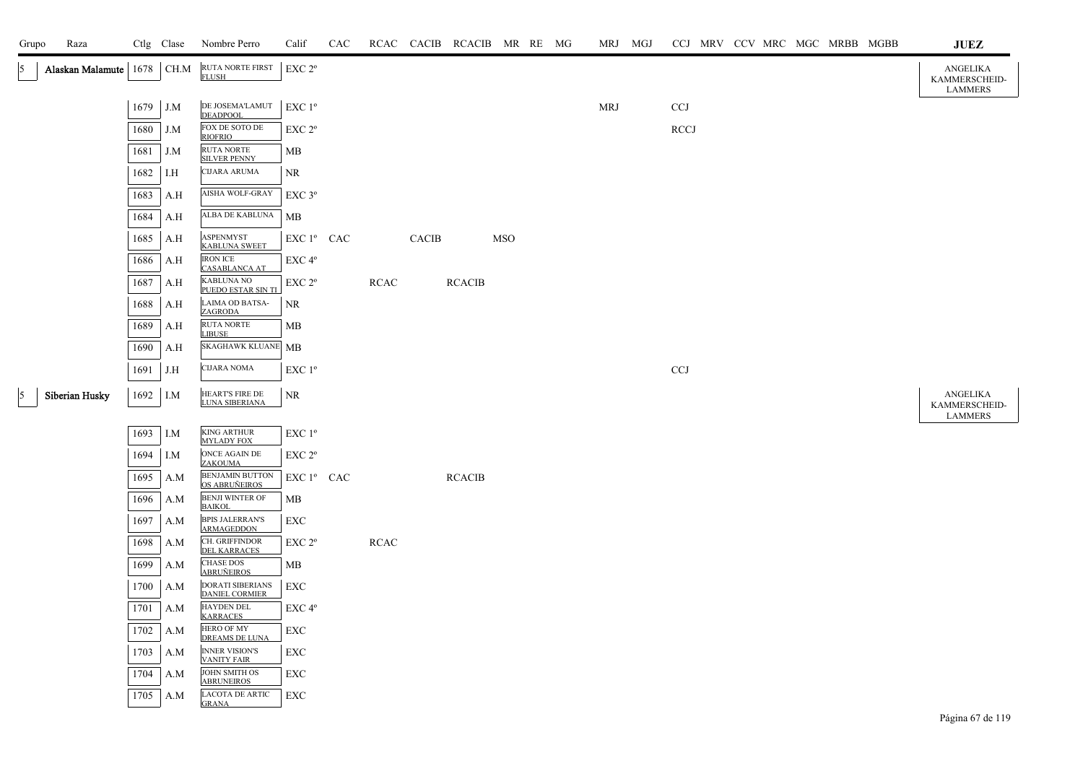| Grupo      | Raza                       |          |     | Ctlg Clase Nombre Perro                                      | Calif              | CAC |             |       | RCAC CACIB RCACIB MR RE MG |            |  | MRJ MGJ    |                           |  |  | CCJ MRV CCV MRC MGC MRBB MGBB | <b>JUEZ</b>                                 |
|------------|----------------------------|----------|-----|--------------------------------------------------------------|--------------------|-----|-------------|-------|----------------------------|------------|--|------------|---------------------------|--|--|-------------------------------|---------------------------------------------|
| $\vert$ 5  | Alaskan Malamute 1678 CH.M |          |     | RUTA NORTE FIRST<br><b>FLUSH</b>                             | EXC 2°             |     |             |       |                            |            |  |            |                           |  |  |                               | ANGELIKA<br>KAMMERSCHEID-<br><b>LAMMERS</b> |
|            |                            | 1679     | J.M | DE JOSEMA'LAMUT<br><b>DEADPOOL</b>                           | EXC 1 <sup>o</sup> |     |             |       |                            |            |  | <b>MRJ</b> | CCJ                       |  |  |                               |                                             |
|            |                            | 1680     | J.M | FOX DE SOTO DE<br><b>RIOFRIO</b>                             | EXC 2 <sup>o</sup> |     |             |       |                            |            |  |            | <b>RCCJ</b>               |  |  |                               |                                             |
|            |                            | 1681     | J.M | RUTA NORTE<br><b>SILVER PENNY</b>                            | МB                 |     |             |       |                            |            |  |            |                           |  |  |                               |                                             |
|            |                            | 1682     | I.H | CIJARA ARUMA                                                 | NR                 |     |             |       |                            |            |  |            |                           |  |  |                               |                                             |
|            |                            | 1683     | A.H | AISHA WOLF-GRAY                                              | $EXC$ $3^{\circ}$  |     |             |       |                            |            |  |            |                           |  |  |                               |                                             |
|            |                            | 1684     | A.H | ALBA DE KABLUNA                                              | MВ                 |     |             |       |                            |            |  |            |                           |  |  |                               |                                             |
|            |                            | 1685     | A.H | ASPENMYST<br><b>KABLUNA SWEET</b>                            | EXC 1º CAC         |     |             | CACIB |                            | <b>MSO</b> |  |            |                           |  |  |                               |                                             |
|            |                            | 1686     | A.H | <b>IRON ICE</b><br><b>CASABLANCA AT</b>                      | EXC 4°             |     |             |       |                            |            |  |            |                           |  |  |                               |                                             |
|            |                            | 1687     | A.H | <b>KABLUNA NO</b><br><b>PUEDO ESTAR SIN TI</b>               | EXC 2°             |     | <b>RCAC</b> |       | <b>RCACIB</b>              |            |  |            |                           |  |  |                               |                                             |
|            |                            | 1688     | A.H | LAIMA OD BATSA-<br><b>ZAGRODA</b>                            | <b>NR</b>          |     |             |       |                            |            |  |            |                           |  |  |                               |                                             |
|            |                            | 1689     | A.H | RUTA NORTE<br><b>LIBUSE</b>                                  | MB                 |     |             |       |                            |            |  |            |                           |  |  |                               |                                             |
|            |                            | 1690     | A.H | SKAGHAWK KLUANE MB                                           |                    |     |             |       |                            |            |  |            |                           |  |  |                               |                                             |
|            |                            | 1691     | J.H | <b>CIJARA NOMA</b>                                           | EXC 1 <sup>o</sup> |     |             |       |                            |            |  |            | $\ensuremath{\text{CCJ}}$ |  |  |                               |                                             |
| $\sqrt{5}$ | Siberian Husky             | 1692 I.M |     | HEART'S FIRE DE<br>LUNA SIBERIANA                            | <b>NR</b>          |     |             |       |                            |            |  |            |                           |  |  |                               | ANGELIKA<br>KAMMERSCHEID-                   |
|            |                            | 1693     | I.M | <b>KING ARTHUR</b>                                           | EXC 1 <sup>o</sup> |     |             |       |                            |            |  |            |                           |  |  |                               | <b>LAMMERS</b>                              |
|            |                            | 1694     | I.M | <b>MYLADY FOX</b><br>ONCE AGAIN DE                           | EXC 2 <sup>o</sup> |     |             |       |                            |            |  |            |                           |  |  |                               |                                             |
|            |                            | 1695     | A.M | <b>ZAKOUMA</b><br><b>BENJAMIN BUTTON</b>                     | EXC 1º CAC         |     |             |       | <b>RCACIB</b>              |            |  |            |                           |  |  |                               |                                             |
|            |                            | 1696     | A.M | OS ABRUÑEIROS<br><b>BENJI WINTER OF</b>                      | MВ                 |     |             |       |                            |            |  |            |                           |  |  |                               |                                             |
|            |                            | 1697     | A.M | <b>BAIKOL</b><br><b>BPIS JALERRAN'S</b><br><b>ARMAGEDDON</b> | EXC                |     |             |       |                            |            |  |            |                           |  |  |                               |                                             |
|            |                            | 1698     | A.M | CH. GRIFFINDOR<br><b>DEL KARRACES</b>                        | EXC 2°             |     | RCAC        |       |                            |            |  |            |                           |  |  |                               |                                             |
|            |                            | 1699     | A.M | <b>CHASE DOS</b><br><b>ABRUÑEIROS</b>                        | MB                 |     |             |       |                            |            |  |            |                           |  |  |                               |                                             |
|            |                            | 1700     | A.M | DORATI SIBERIANS<br><b>DANIEL CORMIER</b>                    | EXC                |     |             |       |                            |            |  |            |                           |  |  |                               |                                             |
|            |                            | 1701     | A.M | HAYDEN DEL<br><b>KARRACES</b>                                | EXC 4 <sup>o</sup> |     |             |       |                            |            |  |            |                           |  |  |                               |                                             |
|            |                            | 1702     | A.M | HERO OF MY<br>DREAMS DE LUNA                                 | ${\rm EXC}$        |     |             |       |                            |            |  |            |                           |  |  |                               |                                             |
|            |                            | 1703     | A.M | <b>INNER VISION'S</b><br><b>VANITY FAIR</b>                  | EXC                |     |             |       |                            |            |  |            |                           |  |  |                               |                                             |
|            |                            | 1704     | A.M | JOHN SMITH OS<br><b>ABRUNEIROS</b>                           | EXC                |     |             |       |                            |            |  |            |                           |  |  |                               |                                             |
|            |                            | 1705     | A.M | <b>LACOTA DE ARTIC</b><br><b>GRANA</b>                       | EXC                |     |             |       |                            |            |  |            |                           |  |  |                               |                                             |
|            |                            |          |     |                                                              |                    |     |             |       |                            |            |  |            |                           |  |  |                               | $D_2 \sim \sqrt{7}$ de 110                  |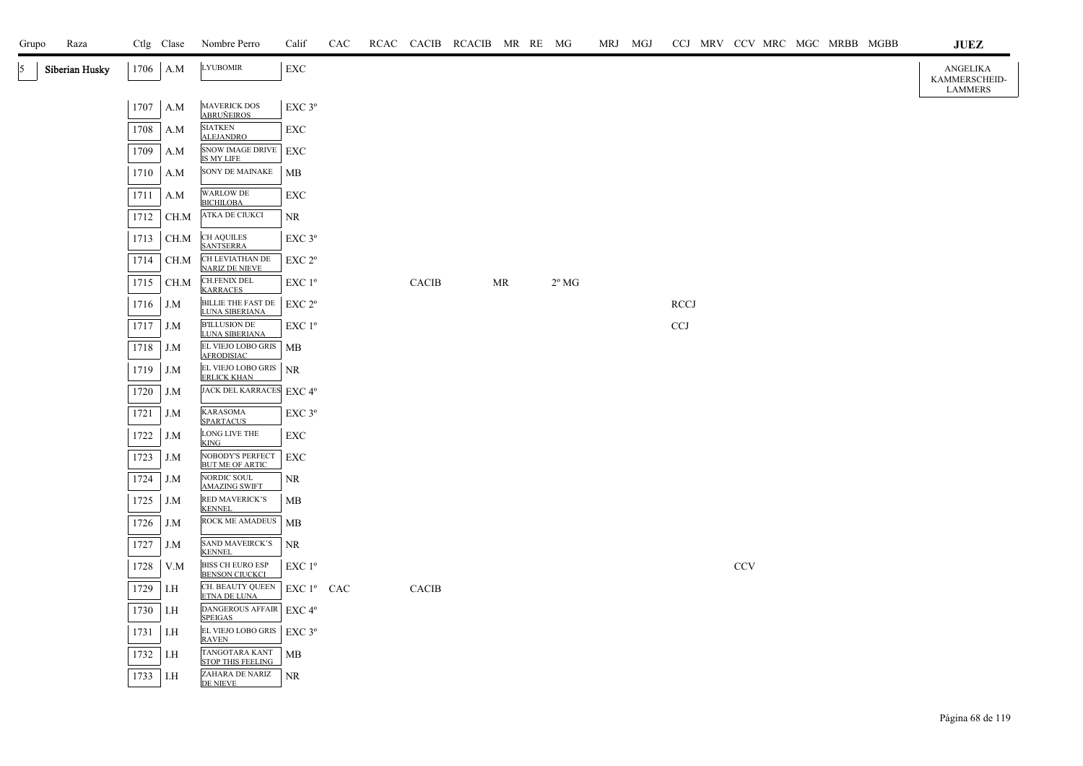| Grupo | Raza           |      | Ctlg Clase | Nombre Perro                                     | Calif                 | CAC |              | RCAC CACIB RCACIB MR RE MG |    |                | MRJ MGJ |             |            |  | CCJ MRV CCV MRC MGC MRBB MGBB | JUEZ                                               |
|-------|----------------|------|------------|--------------------------------------------------|-----------------------|-----|--------------|----------------------------|----|----------------|---------|-------------|------------|--|-------------------------------|----------------------------------------------------|
| 5     | Siberian Husky |      | $1706$ A.M | <b>LYUBOMIR</b>                                  | EXC                   |     |              |                            |    |                |         |             |            |  |                               | <b>ANGELIKA</b><br>KAMMERSCHEID-<br><b>LAMMERS</b> |
|       |                | 1707 | A.M        | <b>MAVERICK DOS</b><br><b>ABRUÑEIROS</b>         | $\rm EXC$ $3^{\rm o}$ |     |              |                            |    |                |         |             |            |  |                               |                                                    |
|       |                | 1708 | A.M        | <b>SIATKEN</b><br><b>ALEJANDRO</b>               | EXC                   |     |              |                            |    |                |         |             |            |  |                               |                                                    |
|       |                | 1709 | A.M        | <b>SNOW IMAGE DRIVE</b><br>IS MY LIFE            | EXC                   |     |              |                            |    |                |         |             |            |  |                               |                                                    |
|       |                | 1710 | A.M        | SONY DE MAINAKE                                  | МB                    |     |              |                            |    |                |         |             |            |  |                               |                                                    |
|       |                | 1711 | A.M        | <b>WARLOW DE</b><br><b>BICHILOBA</b>             | EXC                   |     |              |                            |    |                |         |             |            |  |                               |                                                    |
|       |                | 1712 | CH.M       | ATKA DE CIUKCI                                   | NR                    |     |              |                            |    |                |         |             |            |  |                               |                                                    |
|       |                | 1713 | CH.M       | <b>CH AQUILES</b><br><b>SANTSERRA</b>            | $EXC$ $3^{\circ}$     |     |              |                            |    |                |         |             |            |  |                               |                                                    |
|       |                | 1714 | CH.M       | CH LEVIATHAN DE<br><b>NARIZ DE NIEVE</b>         | EXC <sub>2°</sub>     |     |              |                            |    |                |         |             |            |  |                               |                                                    |
|       |                | 1715 | CH.M       | <b>CH.FENIX DEL</b><br><b>KARRACES</b>           | EXC 1 <sup>o</sup>    |     | <b>CACIB</b> |                            | MR | $2^{\circ}$ MG |         |             |            |  |                               |                                                    |
|       |                | 1716 | J.M        | BILLIE THE FAST DE<br>LUNA SIBERIANA             | $EXC 2^{\circ}$       |     |              |                            |    |                |         | <b>RCCJ</b> |            |  |                               |                                                    |
|       |                | 1717 | J.M        | <b>B'ILLUSION DE</b><br><b>LUNA SIBERIANA</b>    | EXC 1 <sup>°</sup>    |     |              |                            |    |                |         | <b>CCJ</b>  |            |  |                               |                                                    |
|       |                | 1718 | J.M        | EL VIEJO LOBO GRIS   MB<br><b>AFRODISIAC</b>     |                       |     |              |                            |    |                |         |             |            |  |                               |                                                    |
|       |                | 1719 | J.M        | EL VIEJO LOBO GRIS<br><b>ERLICK KHAN</b>         | NR                    |     |              |                            |    |                |         |             |            |  |                               |                                                    |
|       |                | 1720 | J.M        | JACK DEL KARRACES EXC 4°                         |                       |     |              |                            |    |                |         |             |            |  |                               |                                                    |
|       |                | 1721 | J.M        | <b>KARASOMA</b><br><b>SPARTACUS</b>              | EXC 3°                |     |              |                            |    |                |         |             |            |  |                               |                                                    |
|       |                | 1722 | J.M        | LONG LIVE THE<br>KING                            | EXC                   |     |              |                            |    |                |         |             |            |  |                               |                                                    |
|       |                | 1723 | J.M        | NOBODY'S PERFECT<br><b>BUT ME OF ARTIC</b>       | <b>EXC</b>            |     |              |                            |    |                |         |             |            |  |                               |                                                    |
|       |                | 1724 | J.M        | NORDIC SOUL<br><b>AMAZING SWIFT</b>              | NR                    |     |              |                            |    |                |         |             |            |  |                               |                                                    |
|       |                | 1725 | J.M        | <b>RED MAVERICK'S</b><br><b>KENNEL</b>           | МB                    |     |              |                            |    |                |         |             |            |  |                               |                                                    |
|       |                | 1726 | J.M        | ROCK ME AMADEUS                                  | <b>MB</b>             |     |              |                            |    |                |         |             |            |  |                               |                                                    |
|       |                | 1727 | J.M        | <b>SAND MAVEIRCK'S</b><br><b>KENNEL</b>          | NR.                   |     |              |                            |    |                |         |             |            |  |                               |                                                    |
|       |                | 1728 | V.M        | <b>BISS CH EURO ESP</b><br><b>BENSON CIUCKCI</b> | EXC 1 <sup>°</sup>    |     |              |                            |    |                |         |             | <b>CCV</b> |  |                               |                                                    |
|       |                | 1729 | I.H        | CH. BEAUTY QUEEN<br>ETNA DE LUNA                 | EXC 1º CAC            |     | CACIB        |                            |    |                |         |             |            |  |                               |                                                    |
|       |                | 1730 | I.H        | DANGEROUS AFFAIR EXC 4°<br><b>SPEIGAS</b>        |                       |     |              |                            |    |                |         |             |            |  |                               |                                                    |
|       |                | 1731 | I.H        | EL VIEJO LOBO GRIS<br><b>RAVEN</b>               | $EXC$ 3°              |     |              |                            |    |                |         |             |            |  |                               |                                                    |
|       |                | 1732 | I.H        | TANGOTARA KANT<br><b>STOP THIS FEELING</b>       | МB                    |     |              |                            |    |                |         |             |            |  |                               |                                                    |
|       |                | 1733 | I.H        | ZAHARA DE NARIZ<br><b>DE NIEVE</b>               | NR.                   |     |              |                            |    |                |         |             |            |  |                               |                                                    |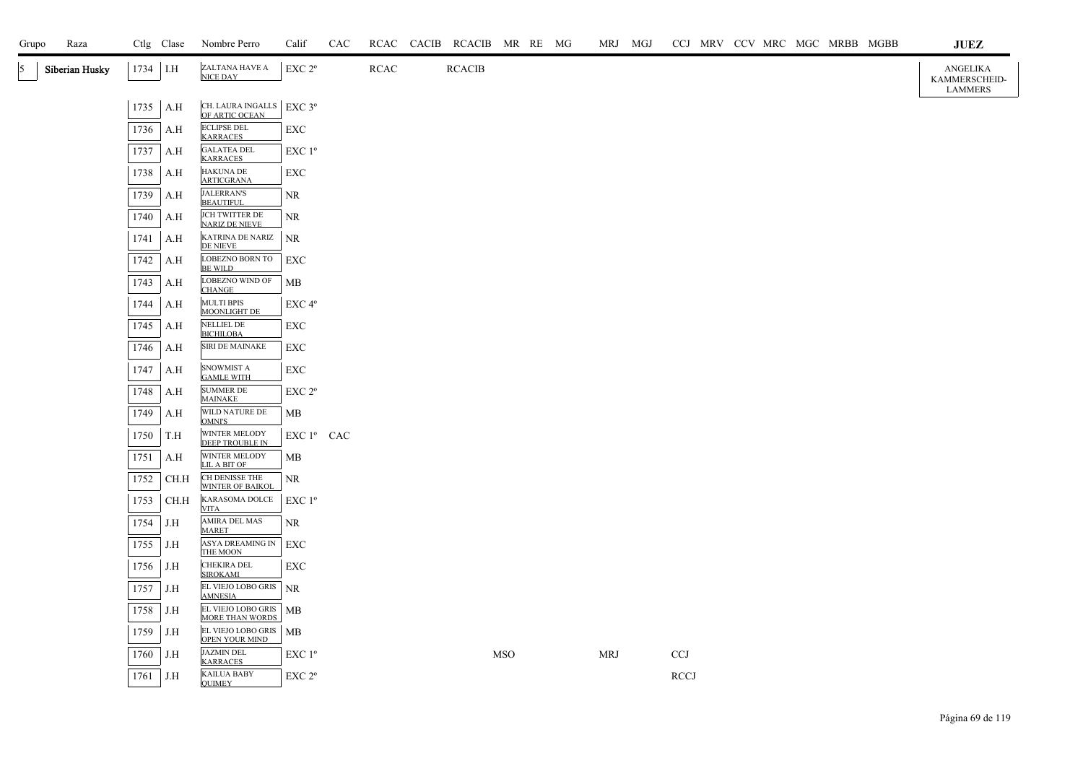| Grupo | Raza           |            | Ctlg Clase | Nombre Perro                                 | Calif              | CAC |             | RCAC CACIB RCACIB MR RE MG |            |  | MRJ MGJ    |             |  |  | CCJ MRV CCV MRC MGC MRBB MGBB | JUEZ                                 |
|-------|----------------|------------|------------|----------------------------------------------|--------------------|-----|-------------|----------------------------|------------|--|------------|-------------|--|--|-------------------------------|--------------------------------------|
| 5     | Siberian Husky | $1734$ I.H |            | ZALTANA HAVE A<br>NICE DAY                   | EXC 2 <sup>o</sup> |     | <b>RCAC</b> | <b>RCACIB</b>              |            |  |            |             |  |  |                               | ANGELIKA<br>KAMMERSCHEID-<br>LAMMERS |
|       |                | 1735       | A.H        | CH. LAURA INGALLS   EXC 3º<br>OF ARTIC OCEAN |                    |     |             |                            |            |  |            |             |  |  |                               |                                      |
|       |                | 1736       | A.H        | <b>ECLIPSE DEL</b><br><b>KARRACES</b>        | EXC                |     |             |                            |            |  |            |             |  |  |                               |                                      |
|       |                | 1737       | A.H        | <b>GALATEA DEL</b><br><b>KARRACES</b>        | EXC 1 <sup>o</sup> |     |             |                            |            |  |            |             |  |  |                               |                                      |
|       |                | 1738       | A.H        | <b>HAKUNA DE</b><br><b>ARTICGRANA</b>        | EXC                |     |             |                            |            |  |            |             |  |  |                               |                                      |
|       |                | 1739       | A.H        | <b>JALERRAN'S</b><br><b>BEAUTIFUL</b>        | NR.                |     |             |                            |            |  |            |             |  |  |                               |                                      |
|       |                | 1740       | A.H        | JCH TWITTER DE<br><b>NARIZ DE NIEVE</b>      | NR                 |     |             |                            |            |  |            |             |  |  |                               |                                      |
|       |                | 1741       | A.H        | KATRINA DE NARIZ<br>DE NIEVE                 | NR                 |     |             |                            |            |  |            |             |  |  |                               |                                      |
|       |                | 1742       | A.H        | LOBEZNO BORN TO<br><b>BE WILD</b>            | <b>EXC</b>         |     |             |                            |            |  |            |             |  |  |                               |                                      |
|       |                | 1743       | A.H        | LOBEZNO WIND OF<br><b>CHANGE</b>             | МB                 |     |             |                            |            |  |            |             |  |  |                               |                                      |
|       |                | 1744       | A.H        | <b>MULTI BPIS</b><br>MOONLIGHT DE            | EXC 4 <sup>o</sup> |     |             |                            |            |  |            |             |  |  |                               |                                      |
|       |                | 1745       | A.H        | <b>NELLIEL DE</b><br><b>BICHILOBA</b>        | EXC                |     |             |                            |            |  |            |             |  |  |                               |                                      |
|       |                | 1746       | A.H        | SIRI DE MAINAKE                              | EXC                |     |             |                            |            |  |            |             |  |  |                               |                                      |
|       |                | 1747       | A.H        | SNOWMIST A<br><b>GAMLE WITH</b>              | EXC                |     |             |                            |            |  |            |             |  |  |                               |                                      |
|       |                | 1748       | A.H        | <b>SUMMER DE</b><br><b>MAINAKE</b>           | EXC 2 <sup>o</sup> |     |             |                            |            |  |            |             |  |  |                               |                                      |
|       |                | 1749       | A.H        | WILD NATURE DE<br><b>OMNI'S</b>              | MB                 |     |             |                            |            |  |            |             |  |  |                               |                                      |
|       |                | 1750       | T.H        | WINTER MELODY<br>DEEP TROUBLE IN             | EXC 1º CAC         |     |             |                            |            |  |            |             |  |  |                               |                                      |
|       |                | 1751       | A.H        | WINTER MELODY<br>LIL A BIT OF                | <b>MB</b>          |     |             |                            |            |  |            |             |  |  |                               |                                      |
|       |                | 1752       | CH.H       | CH DENISSE THE<br><b>WINTER OF BAIKOL</b>    | NR                 |     |             |                            |            |  |            |             |  |  |                               |                                      |
|       |                | 1753       | CH.H       | KARASOMA DOLCE<br><b>VITA</b>                | $EXC1^{\circ}$     |     |             |                            |            |  |            |             |  |  |                               |                                      |
|       |                | 1754       | J.H        | AMIRA DEL MAS<br><b>MARET</b>                | NR                 |     |             |                            |            |  |            |             |  |  |                               |                                      |
|       |                | 1755       | J.H        | ASYA DREAMING IN EXC<br>THE MOON             |                    |     |             |                            |            |  |            |             |  |  |                               |                                      |
|       |                | 1756       | J.H        | CHEKIRA DEL<br><b>SIROKAMI</b>               | <b>EXC</b>         |     |             |                            |            |  |            |             |  |  |                               |                                      |
|       |                | 1757       | J.H        | EL VIEJO LOBO GRIS NR<br><b>AMNESIA</b>      |                    |     |             |                            |            |  |            |             |  |  |                               |                                      |
|       |                | 1758       | J.H        | EL VIEJO LOBO GRIS MB<br>MORE THAN WORDS     |                    |     |             |                            |            |  |            |             |  |  |                               |                                      |
|       |                | 1759       | J.H        | EL VIEJO LOBO GRIS   MB<br>OPEN YOUR MIND    |                    |     |             |                            |            |  |            |             |  |  |                               |                                      |
|       |                | 1760       | J.H        | <b>JAZMIN DEL</b><br><b>KARRACES</b>         | $EXC1^{\circ}$     |     |             |                            | <b>MSO</b> |  | <b>MRJ</b> | <b>CCJ</b>  |  |  |                               |                                      |
|       |                | 1761       | J.H        | <b>KAILUA BABY</b><br><b>OUIMEY</b>          | EXC 2 <sup>o</sup> |     |             |                            |            |  |            | <b>RCCJ</b> |  |  |                               |                                      |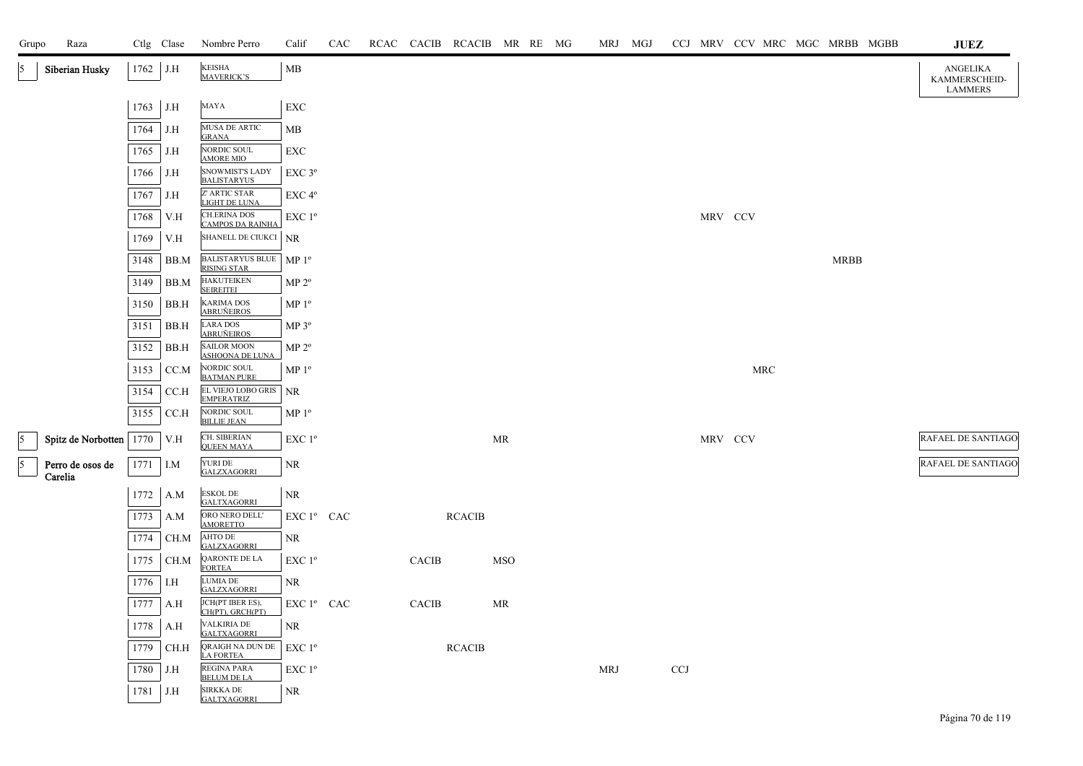| Grupo          | Raza                      |              | Ctlg Clase  | Nombre Perro                                   | Calif              | CAC |              | RCAC CACIB RCACIB MR RE MG |            |  | MRJ        | MGJ |            |         |            | CCJ MRV CCV MRC MGC MRBB MGBB | JUEZ                                        |
|----------------|---------------------------|--------------|-------------|------------------------------------------------|--------------------|-----|--------------|----------------------------|------------|--|------------|-----|------------|---------|------------|-------------------------------|---------------------------------------------|
| 15.            | Siberian Husky            | 1762 J.H     |             | <b>KEISHA</b><br><b>MAVERICK'S</b>             | MB                 |     |              |                            |            |  |            |     |            |         |            |                               | ANGELIKA<br>KAMMERSCHEID-<br><b>LAMMERS</b> |
|                |                           | 1763 J.H     |             | MAYA                                           | ${\rm EXC}$        |     |              |                            |            |  |            |     |            |         |            |                               |                                             |
|                |                           | 1764         | J.H         | MUSA DE ARTIC<br><b>GRANA</b>                  | МB                 |     |              |                            |            |  |            |     |            |         |            |                               |                                             |
|                |                           | 1765         | J.H         | NORDIC SOUL<br><b>AMORE MIO</b>                | EXC                |     |              |                            |            |  |            |     |            |         |            |                               |                                             |
|                |                           | 1766         | J.H         | SNOWMIST'S LADY<br><b>BALISTARYUS</b>          | $EXC$ $3^{\circ}$  |     |              |                            |            |  |            |     |            |         |            |                               |                                             |
|                |                           | 1767         | J.H         | Z' ARTIC STAR<br>LIGHT DE LUNA                 | $EXC 4^{\circ}$    |     |              |                            |            |  |            |     |            |         |            |                               |                                             |
|                |                           | 1768         | V.H         | <b>CH.ERINA DOS</b><br><b>CAMPOS DA RAINHA</b> | EXC 1 <sup>o</sup> |     |              |                            |            |  |            |     |            | MRV CCV |            |                               |                                             |
|                |                           | 1769         | V.H         | SHANELL DE CIUKCI NR                           |                    |     |              |                            |            |  |            |     |            |         |            |                               |                                             |
|                |                           | 3148         | BB.M        | <b>BALISTARYUS BLUE</b><br><b>RISING STAR</b>  | MP 1 <sup>o</sup>  |     |              |                            |            |  |            |     |            |         |            | <b>MRBB</b>                   |                                             |
|                |                           | 3149         | BB.M        | <b>HAKUTEIKEN</b><br><b>SEIREITEI</b>          | $MP 2^{\circ}$     |     |              |                            |            |  |            |     |            |         |            |                               |                                             |
|                |                           | 3150         | BB.H        | <b>KARIMA DOS</b><br><b>ABRUÑEIROS</b>         | MP <sup>0</sup>    |     |              |                            |            |  |            |     |            |         |            |                               |                                             |
|                |                           | 3151         | BB.H        | LARA DOS<br><b>ABRUÑEIROS</b>                  | MP 3 <sup>o</sup>  |     |              |                            |            |  |            |     |            |         |            |                               |                                             |
|                |                           | 3152         | BB.H        | <b>SAILOR MOON</b><br><b>ASHOONA DE LUNA</b>   | $MP 2^{\circ}$     |     |              |                            |            |  |            |     |            |         |            |                               |                                             |
|                |                           | 3153         | CC.M        | NORDIC SOUL<br><b>BATMAN PURE</b>              | MP <sup>0</sup>    |     |              |                            |            |  |            |     |            |         | <b>MRC</b> |                               |                                             |
|                |                           | 3154         | CC.H        | EL VIEJO LOBO GRIS<br><b>EMPERATRIZ</b>        | <b>NR</b>          |     |              |                            |            |  |            |     |            |         |            |                               |                                             |
|                |                           | 3155         | CC.H        | NORDIC SOUL<br><b>BILLIE JEAN</b>              | $MP 1^{\circ}$     |     |              |                            |            |  |            |     |            |         |            |                               |                                             |
| $\sqrt{5}$     | Spitz de Norbotten   1770 |              | V.H         | CH. SIBERIAN<br><b>QUEEN MAYA</b>              | EXC 1 <sup>o</sup> |     |              |                            | <b>MR</b>  |  |            |     |            | MRV CCV |            |                               | RAFAEL DE SANTIAGO                          |
| $\overline{5}$ | Perro de osos de          | $1771$ I.M   |             | YURI DE<br><b>GALZXAGORRI</b>                  | NR.                |     |              |                            |            |  |            |     |            |         |            |                               | <b>RAFAEL DE SANTIAGO</b>                   |
|                | Carelia                   |              |             | <b>ESKOL DE</b>                                |                    |     |              |                            |            |  |            |     |            |         |            |                               |                                             |
|                |                           | 1772         | A.M         | <b>GALTXAGORRI</b><br>ORO NERO DELL'           | NR<br>EXC 1º CAC   |     |              | <b>RCACIB</b>              |            |  |            |     |            |         |            |                               |                                             |
|                |                           | 1773<br>1774 | A.M<br>CH.M | <b>AMORETTO</b><br><b>AHTO DE</b>              | NR                 |     |              |                            |            |  |            |     |            |         |            |                               |                                             |
|                |                           | 1775         | CH.M        | <b>GALZXAGORRI</b><br>QARONTE DE LA            | EXC 1 <sup>o</sup> |     | <b>CACIB</b> |                            | <b>MSO</b> |  |            |     |            |         |            |                               |                                             |
|                |                           |              | I.H         | <b>FORTEA</b><br>LUMIA DE                      |                    |     |              |                            |            |  |            |     |            |         |            |                               |                                             |
|                |                           | 1776         |             | <b>GALZXAGORRI</b><br>JCH(PT IBER ES),         | NR                 |     |              |                            |            |  |            |     |            |         |            |                               |                                             |
|                |                           | 1777         | A.H         | CH(PT), GRCH(PT)                               | EXC 1º CAC         |     | <b>CACIB</b> |                            | MR         |  |            |     |            |         |            |                               |                                             |
|                |                           | 1778         | A.H         | VALKIRIA DE<br><b>GALTXAGORRI</b>              | NR                 |     |              |                            |            |  |            |     |            |         |            |                               |                                             |
|                |                           | 1779         | CH.H        | QRAIGH NA DUN DE<br><b>LA FORTEA</b>           | $EXC1^{\circ}$     |     |              | <b>RCACIB</b>              |            |  |            |     |            |         |            |                               |                                             |
|                |                           | 1780         | J.H         | <b>REGINA PARA</b><br><b>BELUM DE LA</b>       | EXC 1 <sup>o</sup> |     |              |                            |            |  | <b>MRJ</b> |     | <b>CCJ</b> |         |            |                               |                                             |
|                |                           | 1781         | J.H         | SIRKKA DE<br><b>GALTXAGORRI</b>                | NR                 |     |              |                            |            |  |            |     |            |         |            |                               |                                             |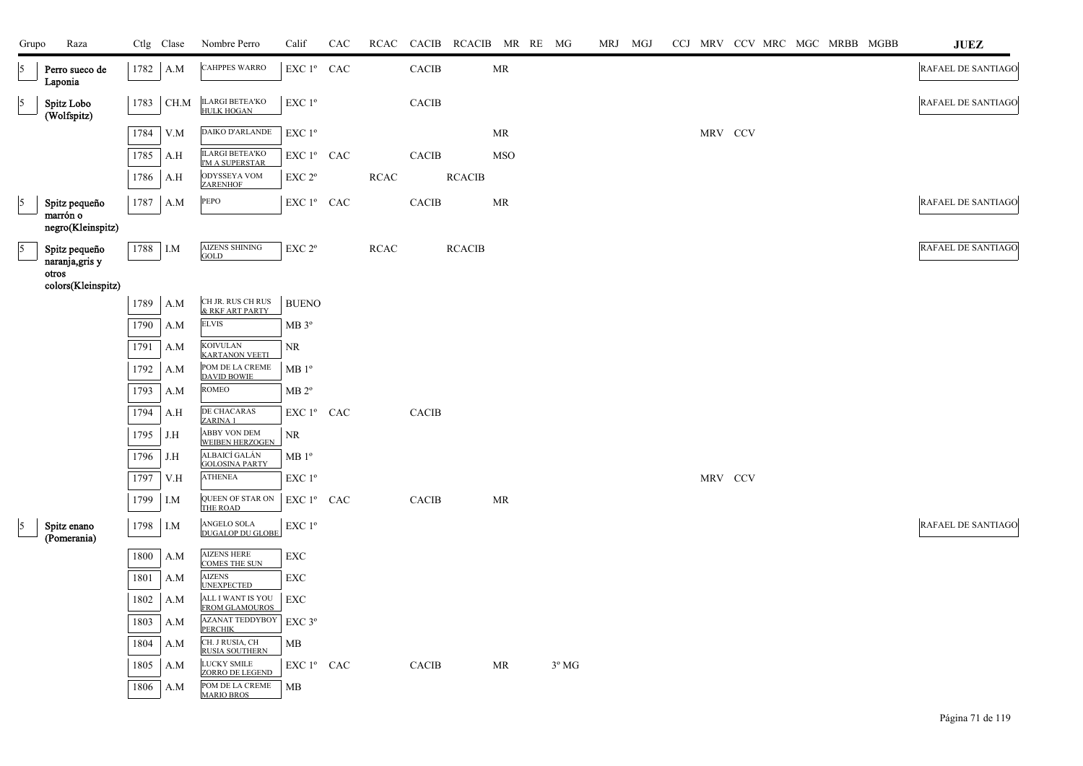| Grupo                    | Raza                                           |      | Ctlg Clase | Nombre Perro                                     | Calif                                        | CAC | RCAC        |              | CACIB RCACIB MR RE MG |            |                | MRJ MGJ |  |         |  |  | CCJ MRV CCV MRC MGC MRBB MGBB | <b>JUEZ</b>        |
|--------------------------|------------------------------------------------|------|------------|--------------------------------------------------|----------------------------------------------|-----|-------------|--------------|-----------------------|------------|----------------|---------|--|---------|--|--|-------------------------------|--------------------|
| $\sqrt{5}$               | Perro sueco de<br>Laponia                      |      | 1782 A.M   | <b>CAHPPES WARRO</b>                             | EXC 1º CAC                                   |     |             | CACIB        |                       | MR         |                |         |  |         |  |  |                               | RAFAEL DE SANTIAGO |
| $\vert$ 5                | Spitz Lobo<br>(Wolfspitz)                      | 1783 | CH.M       | ILARGI BETEA'KO<br>HULK HOGAN                    | EXC 1 <sup>o</sup>                           |     |             | <b>CACIB</b> |                       |            |                |         |  |         |  |  |                               | RAFAEL DE SANTIAGO |
|                          |                                                | 1784 | V.M        | DAIKO D'ARLANDE                                  | EXC 1 <sup>o</sup>                           |     |             |              |                       | MR         |                |         |  | MRV CCV |  |  |                               |                    |
|                          |                                                | 1785 | A.H        | <b>ILARGI BETEA'KO</b><br><b>I'M A SUPERSTAR</b> | EXC 1º CAC                                   |     |             | CACIB        |                       | <b>MSO</b> |                |         |  |         |  |  |                               |                    |
|                          |                                                | 1786 | A.H        | ODYSSEYA VOM<br><b>ZARENHOF</b>                  | EXC 2 <sup>o</sup>                           |     | RCAC        |              | <b>RCACIB</b>         |            |                |         |  |         |  |  |                               |                    |
| 5                        | Spitz pequeño                                  | 1787 | A.M        | PEPO                                             | EXC 1º CAC                                   |     |             | <b>CACIB</b> |                       | MR         |                |         |  |         |  |  |                               | RAFAEL DE SANTIAGO |
|                          | marrón o<br>negro(Kleinspitz)                  |      |            |                                                  |                                              |     |             |              |                       |            |                |         |  |         |  |  |                               |                    |
| $\overline{\phantom{a}}$ | Spitz pequeño                                  |      | 1788 I.M   | <b>AIZENS SHINING</b><br><b>GOLD</b>             | EXC <sub>2°</sub>                            |     | <b>RCAC</b> |              | <b>RCACIB</b>         |            |                |         |  |         |  |  |                               | RAFAEL DE SANTIAGO |
|                          | naranja, gris y<br>otros<br>colors(Kleinspitz) |      |            |                                                  |                                              |     |             |              |                       |            |                |         |  |         |  |  |                               |                    |
|                          |                                                | 1789 | A.M        | CH JR. RUS CH RUS<br>& RKF ART PARTY             | <b>BUENO</b>                                 |     |             |              |                       |            |                |         |  |         |  |  |                               |                    |
|                          |                                                | 1790 | A.M        | <b>ELVIS</b>                                     | MB 3 <sup>o</sup>                            |     |             |              |                       |            |                |         |  |         |  |  |                               |                    |
|                          |                                                | 1791 | A.M        | <b>KOIVULAN</b><br><b>KARTANON VEETI</b>         | NR                                           |     |             |              |                       |            |                |         |  |         |  |  |                               |                    |
|                          |                                                | 1792 | A.M        | POM DE LA CREME<br><b>DAVID BOWIE</b>            | $MB1^{\circ}$                                |     |             |              |                       |            |                |         |  |         |  |  |                               |                    |
|                          |                                                | 1793 | A.M        | <b>ROMEO</b>                                     | MB 2 <sup>o</sup>                            |     |             |              |                       |            |                |         |  |         |  |  |                               |                    |
|                          |                                                | 1794 | A.H        | DE CHACARAS<br>ZARINA 1                          | EXC 1º CAC                                   |     |             | <b>CACIB</b> |                       |            |                |         |  |         |  |  |                               |                    |
|                          |                                                | 1795 | J.H        | ABBY VON DEM<br><b>WEIBEN HERZOGEN</b>           | NR                                           |     |             |              |                       |            |                |         |  |         |  |  |                               |                    |
|                          |                                                | 1796 | J.H        | ALBAICÍ GALÁN<br><b>GOLOSINA PARTY</b>           | $MB1^{\circ}$                                |     |             |              |                       |            |                |         |  |         |  |  |                               |                    |
|                          |                                                | 1797 | V.H        | <b>ATHENEA</b>                                   | EXC 1 <sup>o</sup>                           |     |             |              |                       |            |                |         |  | MRV CCV |  |  |                               |                    |
|                          |                                                | 1799 | I.M        | QUEEN OF STAR ON<br>THE ROAD                     | EXC 1º CAC                                   |     |             | <b>CACIB</b> |                       | MR         |                |         |  |         |  |  |                               |                    |
| 15                       | Spitz enano<br>(Pomerania)                     | 1798 | I.M        | ANGELO SOLA<br><b>DUGALOP DU GLOBE</b>           | $\ensuremath{\mathrm{EXC}}$ $1^{\mathrm{o}}$ |     |             |              |                       |            |                |         |  |         |  |  |                               | RAFAEL DE SANTIAGO |
|                          |                                                | 1800 | A.M        | <b>AIZENS HERE</b><br><b>COMES THE SUN</b>       | ${\rm EXC}$                                  |     |             |              |                       |            |                |         |  |         |  |  |                               |                    |
|                          |                                                | 1801 | A.M        | <b>AIZENS</b><br><b>UNEXPECTED</b>               | <b>EXC</b>                                   |     |             |              |                       |            |                |         |  |         |  |  |                               |                    |
|                          |                                                | 1802 | A.M        | ALL I WANT IS YOU<br><b>FROM GLAMOUROS</b>       | ${\rm EXC}$                                  |     |             |              |                       |            |                |         |  |         |  |  |                               |                    |
|                          |                                                | 1803 | A.M        | <b>AZANAT TEDDYBOY</b><br><b>PERCHIK</b>         | $EXC$ 3 $^{\circ}$                           |     |             |              |                       |            |                |         |  |         |  |  |                               |                    |
|                          |                                                | 1804 | A.M        | CH. J RUSIA, CH<br><b>RUSIA SOUTHERN</b>         | MВ                                           |     |             |              |                       |            |                |         |  |         |  |  |                               |                    |
|                          |                                                | 1805 | A.M        | LUCKY SMILE<br>ZORRO DE LEGEND                   | EXC 1º CAC                                   |     |             | <b>CACIB</b> |                       | MR         | $3^{\circ}$ MG |         |  |         |  |  |                               |                    |
|                          |                                                | 1806 | A.M        | POM DE LA CREME<br><b>MARIO BROS</b>             | MB                                           |     |             |              |                       |            |                |         |  |         |  |  |                               |                    |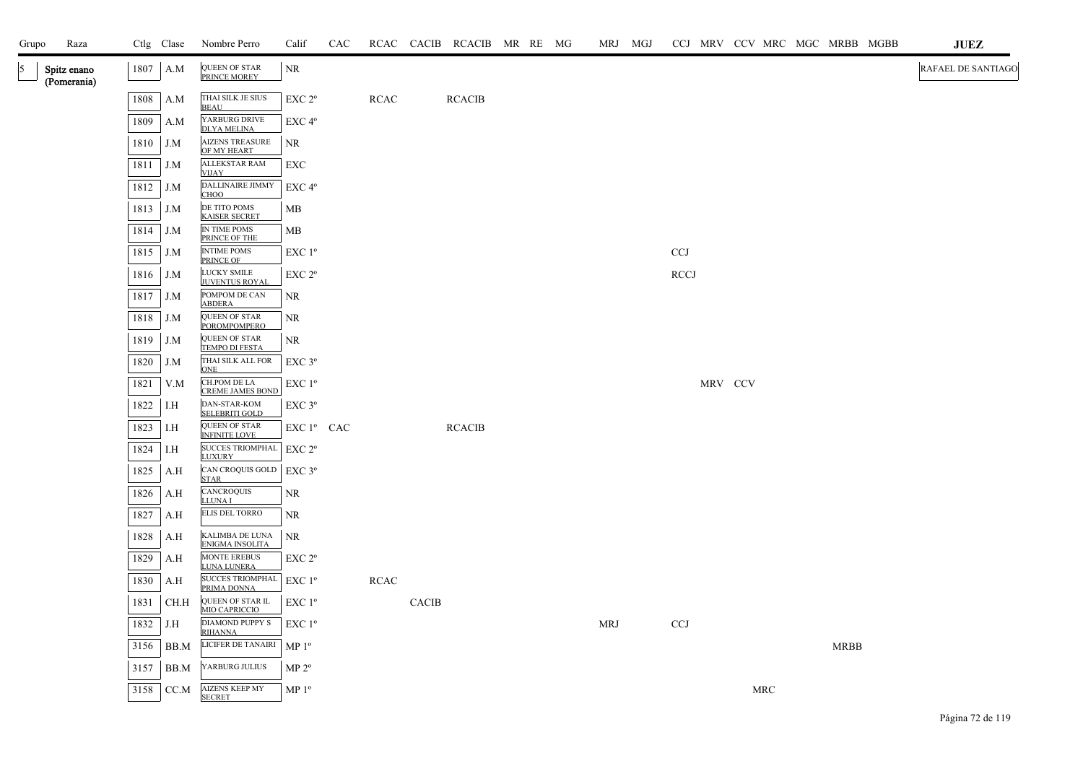| Grupo | Raza                       |      | Ctlg Clase | Nombre Perro                                | Calif              | CAC |             |              | RCAC CACIB RCACIB MR RE MG |  |            | MRJ MGJ |             |         |            |      | CCJ MRV CCV MRC MGC MRBB MGBB | JUEZ               |
|-------|----------------------------|------|------------|---------------------------------------------|--------------------|-----|-------------|--------------|----------------------------|--|------------|---------|-------------|---------|------------|------|-------------------------------|--------------------|
| 5     | Spitz enano<br>(Pomerania) | 1807 | A.M        | QUEEN OF STAR<br>PRINCE MOREY               | <b>NR</b>          |     |             |              |                            |  |            |         |             |         |            |      |                               | RAFAEL DE SANTIAGO |
|       |                            | 1808 | A.M        | THAI SILK JE SIUS<br><b>BEAU</b>            | EXC 2 <sup>o</sup> |     | <b>RCAC</b> |              | <b>RCACIB</b>              |  |            |         |             |         |            |      |                               |                    |
|       |                            | 1809 | A.M        | YARBURG DRIVE<br><b>DLYA MELINA</b>         | EXC <sub>4°</sub>  |     |             |              |                            |  |            |         |             |         |            |      |                               |                    |
|       |                            | 1810 | J.M        | <b>AIZENS TREASURE</b><br>OF MY HEART       | NR                 |     |             |              |                            |  |            |         |             |         |            |      |                               |                    |
|       |                            | 1811 | J.M        | <b>ALLEKSTAR RAM</b><br><b>VIJAY</b>        | EXC                |     |             |              |                            |  |            |         |             |         |            |      |                               |                    |
|       |                            | 1812 | J.M        | DALLINAIRE JIMMY<br>CHOO                    | EXC 4 <sup>o</sup> |     |             |              |                            |  |            |         |             |         |            |      |                               |                    |
|       |                            | 1813 | J.M        | DE TITO POMS<br><b>KAISER SECRET</b>        | MB                 |     |             |              |                            |  |            |         |             |         |            |      |                               |                    |
|       |                            | 1814 | J.M        | IN TIME POMS<br>PRINCE OF THE               | MB                 |     |             |              |                            |  |            |         |             |         |            |      |                               |                    |
|       |                            | 1815 | J.M        | <b>INTIME POMS</b><br>PRINCE OF             | EXC 1 <sup>o</sup> |     |             |              |                            |  |            |         | <b>CCJ</b>  |         |            |      |                               |                    |
|       |                            | 1816 | J.M        | LUCKY SMILE<br><b>JUVENTUS ROYAL</b>        | EXC 2 <sup>o</sup> |     |             |              |                            |  |            |         | <b>RCCJ</b> |         |            |      |                               |                    |
|       |                            | 1817 | J.M        | POMPOM DE CAN<br><b>ABDERA</b>              | NR.                |     |             |              |                            |  |            |         |             |         |            |      |                               |                    |
|       |                            | 1818 | J.M        | <b>QUEEN OF STAR</b><br><b>POROMPOMPERO</b> | NR                 |     |             |              |                            |  |            |         |             |         |            |      |                               |                    |
|       |                            | 1819 | J.M        | QUEEN OF STAR<br><b>TEMPO DI FESTA</b>      | NR                 |     |             |              |                            |  |            |         |             |         |            |      |                               |                    |
|       |                            | 1820 | J.M        | THAI SILK ALL FOR<br><b>ONE</b>             | $EXC$ $3^{\circ}$  |     |             |              |                            |  |            |         |             |         |            |      |                               |                    |
|       |                            | 1821 | V.M        | CH.POM DE LA<br><b>CREME JAMES BOND</b>     | EXC 1 <sup>o</sup> |     |             |              |                            |  |            |         |             | MRV CCV |            |      |                               |                    |
|       |                            | 1822 | I.H        | DAN-STAR-KOM<br>SELEBRITI GOLD              | EXC 3°             |     |             |              |                            |  |            |         |             |         |            |      |                               |                    |
|       |                            | 1823 | I.H        | QUEEN OF STAR<br><b>INFINITE LOVE</b>       | EXC 1º CAC         |     |             |              | <b>RCACIB</b>              |  |            |         |             |         |            |      |                               |                    |
|       |                            | 1824 | I.H        | SUCCES TRIOMPHAL EXC 2°<br><b>LUXURY</b>    |                    |     |             |              |                            |  |            |         |             |         |            |      |                               |                    |
|       |                            | 1825 | A.H        | CAN CROQUIS GOLD<br><b>STAR</b>             | EXC 3°             |     |             |              |                            |  |            |         |             |         |            |      |                               |                    |
|       |                            | 1826 | A.H        | CANCROQUIS<br><b>LLUNAI</b>                 | NR.                |     |             |              |                            |  |            |         |             |         |            |      |                               |                    |
|       |                            | 1827 | A.H        | <b>ELIS DEL TORRO</b>                       | NR                 |     |             |              |                            |  |            |         |             |         |            |      |                               |                    |
|       |                            | 1828 | A.H        | KALIMBA DE LUNA<br><b>ENIGMA INSOLITA</b>   | <b>NR</b>          |     |             |              |                            |  |            |         |             |         |            |      |                               |                    |
|       |                            | 1829 | A.H        | <b>MONTE EREBUS</b><br><b>LUNA LUNERA</b>   | EXC 2 <sup>o</sup> |     |             |              |                            |  |            |         |             |         |            |      |                               |                    |
|       |                            | 1830 | A.H        | SUCCES TRIOMPHAL   EXC 1º<br>PRIMA DONNA    |                    |     | <b>RCAC</b> |              |                            |  |            |         |             |         |            |      |                               |                    |
|       |                            | 1831 | CH.H       | QUEEN OF STAR IL<br>MIO CAPRICCIO           | $EXC1^{\circ}$     |     |             | <b>CACIB</b> |                            |  |            |         |             |         |            |      |                               |                    |
|       |                            | 1832 | J.H        | DIAMOND PUPPY S<br><b>RIHANNA</b>           | $EXC1^{\circ}$     |     |             |              |                            |  | <b>MRJ</b> |         | <b>CCJ</b>  |         |            |      |                               |                    |
|       |                            | 3156 | BB.M       | LICIFER DE TANAIRI                          | MP <sup>0</sup>    |     |             |              |                            |  |            |         |             |         |            | MRBB |                               |                    |
|       |                            | 3157 | BB.M       | YARBURG JULIUS                              | $MP 2^{\circ}$     |     |             |              |                            |  |            |         |             |         |            |      |                               |                    |
|       |                            | 3158 | CC.M       | <b>AIZENS KEEP MY</b><br><b>SECRET</b>      | MP <sup>0</sup>    |     |             |              |                            |  |            |         |             |         | <b>MRC</b> |      |                               |                    |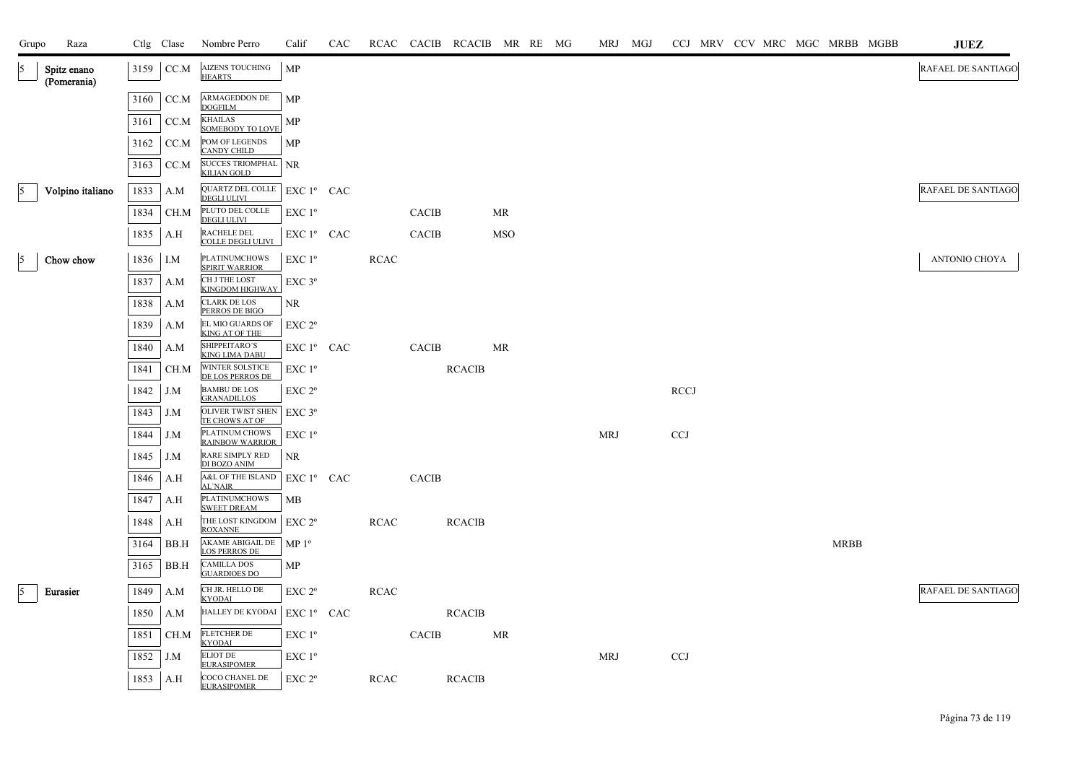| Grupo | Raza                       |              | Ctlg Clase  | Nombre Perro                                                   | Calif                                 | CAC |             |              | RCAC CACIB RCACIB MR RE MG |     |  |            | MRJ MGJ | CCJ MRV CCV MRC MGC MRBB MGBB |  |  |             |  | JUEZ                      |
|-------|----------------------------|--------------|-------------|----------------------------------------------------------------|---------------------------------------|-----|-------------|--------------|----------------------------|-----|--|------------|---------|-------------------------------|--|--|-------------|--|---------------------------|
| 5     | Spitz enano<br>(Pomerania) | 3159         | CC.M        | <b>AIZENS TOUCHING</b><br><b>HEARTS</b>                        | MP                                    |     |             |              |                            |     |  |            |         |                               |  |  |             |  | <b>RAFAEL DE SANTIAGO</b> |
|       |                            | 3160         | CC.M        | <b>ARMAGEDDON DE</b><br><b>DOGFILM</b>                         | MP                                    |     |             |              |                            |     |  |            |         |                               |  |  |             |  |                           |
|       |                            | 3161         | CC.M        | <b>KHAILAS</b><br><b>SOMEBODY TO LOVE</b>                      | MP                                    |     |             |              |                            |     |  |            |         |                               |  |  |             |  |                           |
|       |                            | 3162         | CC.M        | POM OF LEGENDS<br>CANDY CHILD                                  | MP                                    |     |             |              |                            |     |  |            |         |                               |  |  |             |  |                           |
|       |                            | 3163         | CC.M        | SUCCES TRIOMPHAL NR                                            |                                       |     |             |              |                            |     |  |            |         |                               |  |  |             |  |                           |
| 5     | Volpino italiano           | 1833         | A.M         | QUARTZ DEL COLLE   EXC 1º CAC<br><b>DEGLI ULIVI</b>            |                                       |     |             |              |                            |     |  |            |         |                               |  |  |             |  | RAFAEL DE SANTIAGO        |
|       |                            | 1834         | CH.M        | PLUTO DEL COLLE<br><b>DEGLI ULIVI</b>                          | $EXC1^{\circ}$                        |     |             | <b>CACIB</b> |                            | MR  |  |            |         |                               |  |  |             |  |                           |
|       |                            | 1835         | A.H         | RACHELE DEL<br>COLLE DEGLI ULIVI                               | EXC 1º CAC                            |     |             | CACIB        |                            | MSO |  |            |         |                               |  |  |             |  |                           |
| 5     | Chow chow                  | 1836         | I.M         | <b>PLATINUMCHOWS</b><br><b>SPIRIT WARRIOR</b>                  | EXC 1 <sup>o</sup>                    |     | RCAC        |              |                            |     |  |            |         |                               |  |  |             |  | ANTONIO CHOYA             |
|       |                            | 1837         | A.M         | CH J THE LOST<br>KINGDOM HIGHWAY                               | EXC 3 <sup>o</sup>                    |     |             |              |                            |     |  |            |         |                               |  |  |             |  |                           |
|       |                            | 1838         | A.M         | <b>CLARK DE LOS</b><br>PERROS DE BIGO                          | NR                                    |     |             |              |                            |     |  |            |         |                               |  |  |             |  |                           |
|       |                            | 1839         | A.M         | EL MIO GUARDS OF<br><b>KING AT OF THE</b>                      | EXC 2 <sup>o</sup>                    |     |             |              |                            |     |  |            |         |                               |  |  |             |  |                           |
|       |                            | 1840         | A.M         | SHIPPEITARO'S<br><b>KING LIMA DABU</b>                         | $EXC1^{\circ}$ CAC                    |     |             | CACIB        |                            | MR  |  |            |         |                               |  |  |             |  |                           |
|       |                            | 1841         | CH.M        | WINTER SOLSTICE<br>DE LOS PERROS DE                            | $EXC1^{\circ}$                        |     |             |              | <b>RCACIB</b>              |     |  |            |         |                               |  |  |             |  |                           |
|       |                            | 1842         | J.M         | <b>BAMBU DE LOS</b><br><b>GRANADILLOS</b>                      | $EXC 2^{\circ}$                       |     |             |              |                            |     |  |            |         | <b>RCCJ</b>                   |  |  |             |  |                           |
|       |                            | 1843         | J.M         | OLIVER TWIST SHEN<br>TE CHOWS AT OF                            | $EXC$ 3 $^{\circ}$                    |     |             |              |                            |     |  |            |         |                               |  |  |             |  |                           |
|       |                            | 1844         | J.M         | PLATINUM CHOWS<br><b>RAINBOW WARRIOR</b>                       | $EXC1^{\circ}$                        |     |             |              |                            |     |  | <b>MRJ</b> |         | <b>CCJ</b>                    |  |  |             |  |                           |
|       |                            | 1845         | J.M         | RARE SIMPLY RED<br>DI BOZO ANIM                                | <b>NR</b>                             |     |             |              |                            |     |  |            |         |                               |  |  |             |  |                           |
|       |                            | 1846         | A.H         | A&L OF THE ISLAND<br><b>AL'NAIR</b>                            | $EXC1^{\circ}$ CAC                    |     |             | <b>CACIB</b> |                            |     |  |            |         |                               |  |  |             |  |                           |
|       |                            | 1847         | A.H         | <b>PLATINUMCHOWS</b><br><b>SWEET DREAM</b><br>THE LOST KINGDOM | MB                                    |     |             |              |                            |     |  |            |         |                               |  |  |             |  |                           |
|       |                            | 1848<br>3164 | A.H<br>BB.H | <b>ROXANNE</b><br>AKAME ABIGAIL DE                             | EXC 2 <sup>o</sup><br>MP <sup>0</sup> |     | <b>RCAC</b> |              | <b>RCACIB</b>              |     |  |            |         |                               |  |  | <b>MRBB</b> |  |                           |
|       |                            | 3165         | BB.H        | <b>LOS PERROS DE</b><br><b>CAMILLA DOS</b>                     | MP                                    |     |             |              |                            |     |  |            |         |                               |  |  |             |  |                           |
| 5     |                            | 1849         |             | <b>GUARDIOES DO</b><br>CH JR. HELLO DE                         | EXC 2 <sup>o</sup>                    |     | <b>RCAC</b> |              |                            |     |  |            |         |                               |  |  |             |  | <b>RAFAEL DE SANTIAGO</b> |
|       | Eurasier                   | 1850         | A.M         | <b>KYODAI</b><br><b>HALLEY DE KYODAI</b>                       | EXC 1º CAC                            |     |             |              | <b>RCACIB</b>              |     |  |            |         |                               |  |  |             |  |                           |
|       |                            | 1851         | A.M<br>CH.M | <b>FLETCHER DE</b>                                             | $EXC1^{\circ}$                        |     |             | <b>CACIB</b> |                            | MR  |  |            |         |                               |  |  |             |  |                           |
|       |                            | 1852         | J.M         | <b>KYODAI</b><br><b>ELIOT DE</b>                               | $EXC1^{\circ}$                        |     |             |              |                            |     |  | MRJ        |         | <b>CCJ</b>                    |  |  |             |  |                           |
|       |                            | 1853         | A.H         | <b>EURASIPOMER</b><br>COCO CHANEL DE                           | EXC 2 <sup>o</sup>                    |     | RCAC        |              | <b>RCACIB</b>              |     |  |            |         |                               |  |  |             |  |                           |
|       |                            |              |             | <b>EURASIPOMER</b>                                             |                                       |     |             |              |                            |     |  |            |         |                               |  |  |             |  |                           |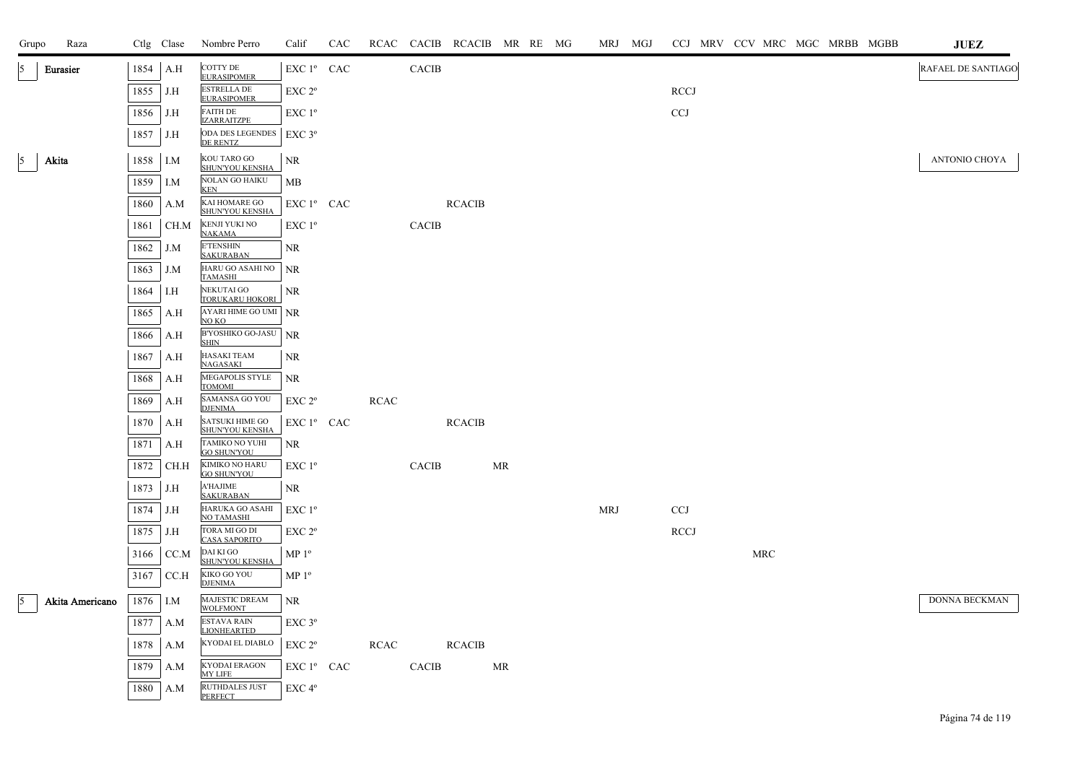| Raza<br>Grupo           |      | Ctlg Clase | Nombre Perro                                      | Calif                  | CAC |             |              | RCAC CACIB RCACIB MR RE MG |    |  | MRJ MGJ    |             | CCJ MRV CCV MRC MGC MRBB MGBB |     |  | JUEZ               |
|-------------------------|------|------------|---------------------------------------------------|------------------------|-----|-------------|--------------|----------------------------|----|--|------------|-------------|-------------------------------|-----|--|--------------------|
| 5<br>Eurasier           | 1854 | A.H        | COTTY DE<br><b>EURASIPOMER</b>                    | EXC 1º CAC             |     |             | <b>CACIB</b> |                            |    |  |            |             |                               |     |  | RAFAEL DE SANTIAGO |
|                         | 1855 | J.H        | <b>ESTRELLA DE</b><br><b>EURASIPOMER</b>          | EXC 2 <sup>o</sup>     |     |             |              |                            |    |  |            | RCCJ        |                               |     |  |                    |
|                         | 1856 | J.H        | <b>FAITH DE</b><br><b>IZARRAITZPE</b>             | EXC 1 <sup>o</sup>     |     |             |              |                            |    |  |            | CCJ         |                               |     |  |                    |
|                         | 1857 | J.H        | ODA DES LEGENDES   EXC 3°<br>DE RENTZ             |                        |     |             |              |                            |    |  |            |             |                               |     |  |                    |
| 5 <sup>5</sup><br>Akita | 1858 | I.M        | KOU TARO GO<br>SHUN'YOU KENSHA                    | NR                     |     |             |              |                            |    |  |            |             |                               |     |  | ANTONIO CHOYA      |
|                         | 1859 | I.M        | <b>NOLAN GO HAIKU</b>                             | <b>MB</b>              |     |             |              |                            |    |  |            |             |                               |     |  |                    |
|                         | 1860 | A.M        | <b>KEN</b><br>KAI HOMARE GO                       | $EXC1^{\circ}$ CAC     |     |             |              | <b>RCACIB</b>              |    |  |            |             |                               |     |  |                    |
|                         | 1861 | CH.M       | SHUN'YOU KENSHA<br>KENJI YUKI NO<br><b>NAKAMA</b> | $EXC1^{\circ}$         |     |             | <b>CACIB</b> |                            |    |  |            |             |                               |     |  |                    |
|                         | 1862 | J.M        | <b>E'TENSHIN</b><br><b>SAKURABAN</b>              | NR.                    |     |             |              |                            |    |  |            |             |                               |     |  |                    |
|                         | 1863 | J.M        | HARU GO ASAHI NO<br>TAMASHI                       | <b>NR</b>              |     |             |              |                            |    |  |            |             |                               |     |  |                    |
|                         | 1864 | I.H        | NEKUTAI GO<br><b>TORUKARU HOKORI</b>              | NR                     |     |             |              |                            |    |  |            |             |                               |     |  |                    |
|                         | 1865 | A.H        | AYARI HIME GO UMI NR<br>NO KO                     |                        |     |             |              |                            |    |  |            |             |                               |     |  |                    |
|                         | 1866 | A.H        | <b>B'YOSHIKO GO-JASU</b><br><b>SHIN</b>           | <b>NR</b>              |     |             |              |                            |    |  |            |             |                               |     |  |                    |
|                         | 1867 | A.H        | <b>HASAKI TEAM</b><br><b>NAGASAKI</b>             | <b>NR</b>              |     |             |              |                            |    |  |            |             |                               |     |  |                    |
|                         | 1868 | A.H        | MEGAPOLIS STYLE<br><b>TOMOMI</b>                  | <b>NR</b>              |     |             |              |                            |    |  |            |             |                               |     |  |                    |
|                         | 1869 | A.H        | SAMANSA GO YOU<br><b>DJENIMA</b>                  | EXC 2 <sup>o</sup>     |     | <b>RCAC</b> |              |                            |    |  |            |             |                               |     |  |                    |
|                         | 1870 | A.H        | <b>SATSUKI HIME GO</b><br>SHUN'YOU KENSHA         | EXC 1 <sup>°</sup> CAC |     |             |              | <b>RCACIB</b>              |    |  |            |             |                               |     |  |                    |
|                         | 1871 | A.H        | TAMIKO NO YUHI<br><b>GO SHUN'YOU</b>              | NR                     |     |             |              |                            |    |  |            |             |                               |     |  |                    |
|                         | 1872 | CH.H       | KIMIKO NO HARU<br><b>GO SHUN'YOU</b>              | $EXC1^{\circ}$         |     |             | CACIB        |                            | MR |  |            |             |                               |     |  |                    |
|                         | 1873 | J.H        | <b>A'HAJIME</b><br><b>SAKURABAN</b>               | NR                     |     |             |              |                            |    |  |            |             |                               |     |  |                    |
|                         | 1874 | J.H        | HARUKA GO ASAHI<br><b>NO TAMASHI</b>              | EXC 1 <sup>o</sup>     |     |             |              |                            |    |  | <b>MRJ</b> | CCJ         |                               |     |  |                    |
|                         | 1875 | J.H        | TORA MI GO DI<br><b>CASA SAPORITO</b>             | EXC 2 <sup>o</sup>     |     |             |              |                            |    |  |            | <b>RCCJ</b> |                               |     |  |                    |
|                         | 3166 | CC.M       | DAI KI GO<br>SHUN'YOU KENSHA                      | MP <sup>0</sup>        |     |             |              |                            |    |  |            |             |                               | MRC |  |                    |
|                         | 3167 | CC.H       | KIKO GO YOU<br><b>DJENIMA</b>                     | MP <sup>0</sup>        |     |             |              |                            |    |  |            |             |                               |     |  |                    |
| 5<br>Akita Americano    | 1876 | I.M        | MAJESTIC DREAM<br><b>WOLFMONT</b>                 | <b>NR</b>              |     |             |              |                            |    |  |            |             |                               |     |  | DONNA BECKMAN      |
|                         | 1877 | A.M        | <b>ESTAVA RAIN</b><br><b>LIONHEARTED</b>          | $EXC$ $3^{\circ}$      |     |             |              |                            |    |  |            |             |                               |     |  |                    |
|                         | 1878 | A.M        | KYODAI EL DIABLO                                  | EXC 2 <sup>o</sup>     |     | RCAC        |              | <b>RCACIB</b>              |    |  |            |             |                               |     |  |                    |
|                         | 1879 | A.M        | <b>KYODAI ERAGON</b><br><b>MY LIFE</b>            | EXC 1 <sup>°</sup> CAC |     |             | <b>CACIB</b> |                            | MR |  |            |             |                               |     |  |                    |
|                         | 1880 | A.M        | RUTHDALES JUST<br><b>PERFECT</b>                  | EXC 4°                 |     |             |              |                            |    |  |            |             |                               |     |  |                    |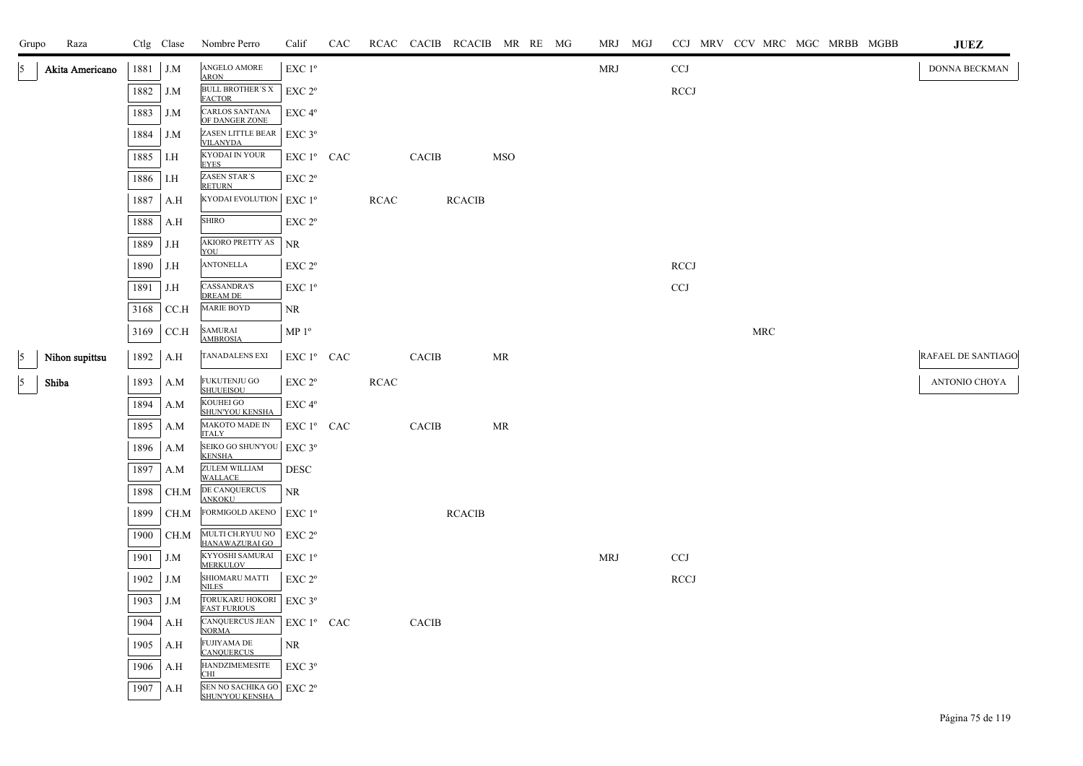| Grupo      | Raza            |      | Ctlg Clase | Nombre Perro                                            | Calif                                                                   | <b>CAC</b> |             |              | RCAC CACIB RCACIB MR RE MG |            |  | MRJ MGJ    | CCJ MRV CCV MRC MGC MRBB MGBB |     |  | JUEZ               |
|------------|-----------------|------|------------|---------------------------------------------------------|-------------------------------------------------------------------------|------------|-------------|--------------|----------------------------|------------|--|------------|-------------------------------|-----|--|--------------------|
| 5          | Akita Americano | 1881 | J.M        | ANGELO AMORE                                            | EXC 1 <sup>°</sup>                                                      |            |             |              |                            |            |  | <b>MRJ</b> | <b>CCJ</b>                    |     |  | DONNA BECKMAN      |
|            |                 | 1882 | J.M        | <b>ARON</b><br><b>BULL BROTHER'S X</b><br><b>FACTOR</b> | EXC 2 <sup>o</sup>                                                      |            |             |              |                            |            |  |            | RCCJ                          |     |  |                    |
|            |                 | 1883 | J.M        | <b>CARLOS SANTANA</b><br>OF DANGER ZONE                 | $EXC 4^{\circ}$                                                         |            |             |              |                            |            |  |            |                               |     |  |                    |
|            |                 | 1884 | J.M        | ZASEN LITTLE BEAR<br><b>VILANYDA</b>                    | $EXC$ $3^{\circ}$                                                       |            |             |              |                            |            |  |            |                               |     |  |                    |
|            |                 | 1885 | I.H        | KYODAI IN YOUR<br><b>EYES</b>                           | ${\rm EXC}$ $1^{\rm o}$ $\;$ CAC $\;$                                   |            |             | CACIB        |                            | <b>MSO</b> |  |            |                               |     |  |                    |
|            |                 | 1886 | I.H        | <b>ZASEN STAR'S</b><br><b>RETURN</b>                    | EXC 2°                                                                  |            |             |              |                            |            |  |            |                               |     |  |                    |
|            |                 | 1887 | A.H        | <b>KYODAI EVOLUTION</b>                                 | EXC 1 <sup>o</sup>                                                      |            | <b>RCAC</b> |              | <b>RCACIB</b>              |            |  |            |                               |     |  |                    |
|            |                 | 1888 | A.H        | <b>SHIRO</b>                                            | EXC 2°                                                                  |            |             |              |                            |            |  |            |                               |     |  |                    |
|            |                 | 1889 | J.H        | AKIORO PRETTY AS<br>YOU                                 | <b>NR</b>                                                               |            |             |              |                            |            |  |            |                               |     |  |                    |
|            |                 | 1890 | J.H        | <b>ANTONELLA</b>                                        | EXC 2°                                                                  |            |             |              |                            |            |  |            | <b>RCCJ</b>                   |     |  |                    |
|            |                 | 1891 | J.H        | <b>CASSANDRA'S</b><br><b>DREAM DE</b>                   | EXC 1 <sup>o</sup>                                                      |            |             |              |                            |            |  |            | CCJ                           |     |  |                    |
|            |                 | 3168 | CC.H       | <b>MARIE BOYD</b>                                       | NR                                                                      |            |             |              |                            |            |  |            |                               |     |  |                    |
|            |                 | 3169 | CC.H       | <b>SAMURAI</b><br><b>AMBROSIA</b>                       | MP 1 <sup>o</sup>                                                       |            |             |              |                            |            |  |            |                               | MRC |  |                    |
| $\sqrt{5}$ | Nihon supittsu  | 1892 | A.H        | <b>TANADALENS EXI</b>                                   | EXC 1º CAC                                                              |            |             | <b>CACIB</b> |                            | <b>MR</b>  |  |            |                               |     |  | RAFAEL DE SANTIAGO |
| $\sqrt{5}$ | Shiba           | 1893 | A.M        | FUKUTENJU GO<br><b>SHUUEISOU</b>                        | EXC 2 <sup>o</sup>                                                      |            | RCAC        |              |                            |            |  |            |                               |     |  | ANTONIO CHOYA      |
|            |                 | 1894 | A.M        | KOUHEI GO<br>SHUN'YOU KENSHA                            | $\rm EXC$ $4^{\rm o}$                                                   |            |             |              |                            |            |  |            |                               |     |  |                    |
|            |                 | 1895 | A.M        | MAKOTO MADE IN<br><b>ITALY</b>                          | EXC 1º CAC                                                              |            |             | CACIB        |                            | MR         |  |            |                               |     |  |                    |
|            |                 | 1896 | A.M        | SEIKO GO SHUN'YOU<br><b>KENSHA</b>                      | EXC 3°                                                                  |            |             |              |                            |            |  |            |                               |     |  |                    |
|            |                 | 1897 | A.M        | ZULEM WILLIAM<br><b>WALLACE</b>                         | <b>DESC</b>                                                             |            |             |              |                            |            |  |            |                               |     |  |                    |
|            |                 | 1898 | CH.M       | DE CANQUERCUS<br><b>ANKOKU</b>                          | NR                                                                      |            |             |              |                            |            |  |            |                               |     |  |                    |
|            |                 | 1899 | CH.M       | FORMIGOLD AKENO                                         | $EXC1^{\circ}$                                                          |            |             |              | <b>RCACIB</b>              |            |  |            |                               |     |  |                    |
|            |                 | 1900 | CH.M       | MULTI CH.RYUU NO<br>HANAWAZURAI GO                      | EXC 2 <sup>o</sup>                                                      |            |             |              |                            |            |  |            |                               |     |  |                    |
|            |                 | 1901 | J.M        | KYYOSHI SAMURAI<br><b>MERKULOV</b>                      | $EXC1^{\circ}$                                                          |            |             |              |                            |            |  | <b>MRJ</b> | <b>CCJ</b>                    |     |  |                    |
|            |                 | 1902 | J.M        | SHIOMARU MATTI<br><b>NILES</b>                          | EXC 2°                                                                  |            |             |              |                            |            |  |            | <b>RCCJ</b>                   |     |  |                    |
|            |                 | 1903 | J.M        | TORUKARU HOKORI<br>FAST FURIOUS                         | EXC 3°                                                                  |            |             |              |                            |            |  |            |                               |     |  |                    |
|            |                 | 1904 | A.H        | CANQUERCUS JEAN<br><b>NORMA</b>                         | $\mathop{\rm EXC}\nolimits 1^{\mathfrak o}$ $\mathop{\rm CAC}\nolimits$ |            |             | <b>CACIB</b> |                            |            |  |            |                               |     |  |                    |
|            |                 | 1905 | A.H        | <b>FUJIYAMA DE</b><br><b>CANQUERCUS</b>                 | NR                                                                      |            |             |              |                            |            |  |            |                               |     |  |                    |
|            |                 | 1906 | A.H        | <b>HANDZIMEMESITE</b><br><b>CHI</b>                     | EXC 3°                                                                  |            |             |              |                            |            |  |            |                               |     |  |                    |
|            |                 | 1907 | A.H        | SEN NO SACHIKA GO EXC 2º<br>SHUN'YOU KENSHA             |                                                                         |            |             |              |                            |            |  |            |                               |     |  |                    |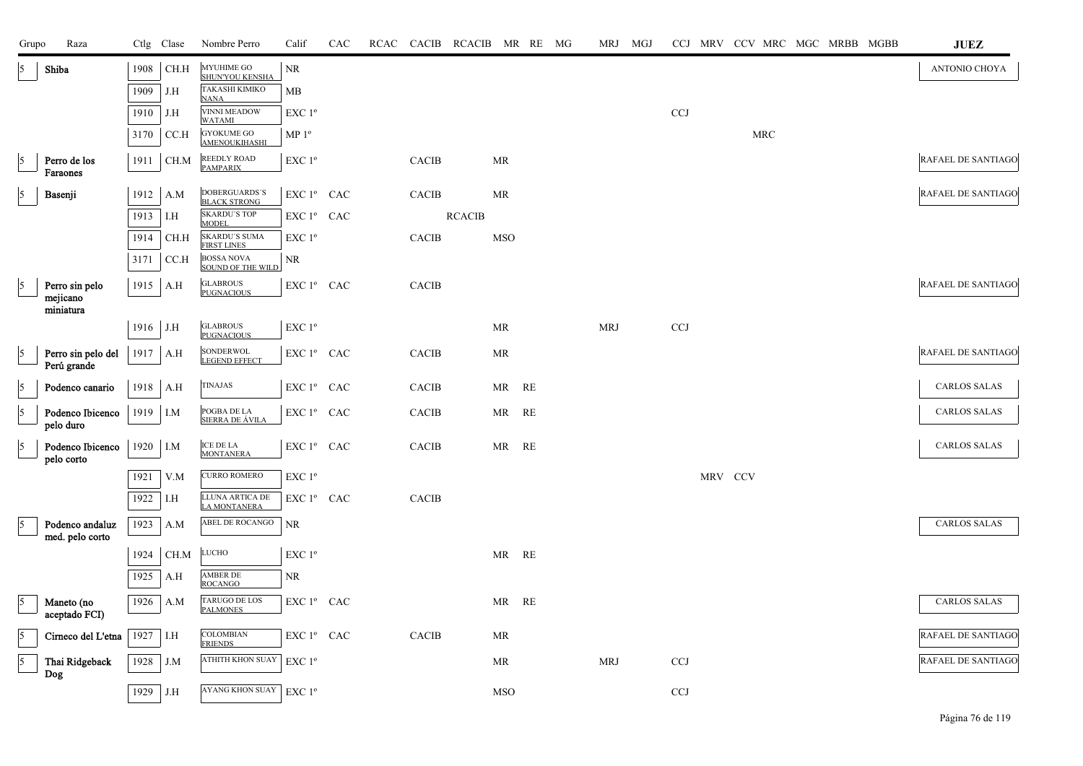| Grupo      | Raza                               |          | Ctlg Clase | Nombre Perro                                               | Calif                                           | CAC |              | RCAC CACIB RCACIB MR RE MG |            |    | MRJ        | MGJ |            |         | CCJ MRV CCV MRC MGC MRBB MGBB |  |  | <b>JUEZ</b>               |
|------------|------------------------------------|----------|------------|------------------------------------------------------------|-------------------------------------------------|-----|--------------|----------------------------|------------|----|------------|-----|------------|---------|-------------------------------|--|--|---------------------------|
| 15         | Shiba                              | 1908     | CH.H       | <b>MYUHIME GO</b><br><b>SHUN'YOU KENSHA</b>                | NR                                              |     |              |                            |            |    |            |     |            |         |                               |  |  | ANTONIO CHOYA             |
|            |                                    | 1909     | J.H        | <b>TAKASHI KIMIKO</b><br><b>NANA</b>                       | MB                                              |     |              |                            |            |    |            |     |            |         |                               |  |  |                           |
|            |                                    | 1910     | J.H        | <b>VINNI MEADOW</b><br>WATAMI                              | EXC 1 <sup>o</sup>                              |     |              |                            |            |    |            |     | <b>CCJ</b> |         |                               |  |  |                           |
|            |                                    | 3170     | CC.H       | <b>GYOKUME GO</b><br>AMENOUKIHASHI                         | MP 1 <sup>o</sup>                               |     |              |                            |            |    |            |     |            |         | MRC                           |  |  |                           |
| 5          | Perro de los<br>Faraones           | 1911     | CH.M       | <b>REEDLY ROAD</b><br><b>PAMPARIX</b>                      | EXC 1 <sup>o</sup>                              |     | <b>CACIB</b> |                            | MR         |    |            |     |            |         |                               |  |  | RAFAEL DE SANTIAGO        |
| 5          | Basenji                            | 1912     | A.M        | <b>DOBERGUARDS'S</b><br><b>BLACK STRONG</b>                | EXC 1º CAC                                      |     | <b>CACIB</b> |                            | MR         |    |            |     |            |         |                               |  |  | RAFAEL DE SANTIAGO        |
|            |                                    | 1913     | I.H        | <b>SKARDU'S TOP</b>                                        | EXC 1º CAC                                      |     |              | <b>RCACIB</b>              |            |    |            |     |            |         |                               |  |  |                           |
|            |                                    | 1914     | CH.H       | <b>MODEL</b><br><b>SKARDU'S SUMA</b><br><b>FIRST LINES</b> | EXC 1 <sup>o</sup>                              |     | CACIB        |                            | <b>MSO</b> |    |            |     |            |         |                               |  |  |                           |
|            |                                    | 3171     | CC.H       | <b>BOSSA NOVA</b><br><b>SOUND OF THE WILD</b>              | NR.                                             |     |              |                            |            |    |            |     |            |         |                               |  |  |                           |
| 5          | Perro sin pelo<br>mejicano         | 1915     | A.H        | <b>GLABROUS</b><br><b>PUGNACIOUS</b>                       | EXC 1º CAC                                      |     | <b>CACIB</b> |                            |            |    |            |     |            |         |                               |  |  | RAFAEL DE SANTIAGO        |
|            | miniatura                          |          |            |                                                            |                                                 |     |              |                            |            |    |            |     |            |         |                               |  |  |                           |
|            |                                    | 1916 J.H |            | <b>GLABROUS</b><br><b>PUGNACIOUS</b>                       | $\ensuremath{\mathrm{EXC}}$<br>$1^{\mathrm{o}}$ |     |              |                            | MR         |    | <b>MRJ</b> |     | <b>CCJ</b> |         |                               |  |  |                           |
| 5          | Perro sin pelo del<br>Perú grande  |          | 1917 A.H   | <b>SONDERWOL</b><br>LEGEND EFFECT                          | EXC 1º CAC                                      |     | <b>CACIB</b> |                            | MR         |    |            |     |            |         |                               |  |  | RAFAEL DE SANTIAGO        |
| 5          | Podenco canario                    | 1918     | A.H        | <b>TINAJAS</b>                                             | EXC 1 <sup>°</sup> CAC                          |     | CACIB        |                            | MR RE      |    |            |     |            |         |                               |  |  | <b>CARLOS SALAS</b>       |
| $\vert$ 5  | Podenco Ibicenco<br>pelo duro      | 1919 I.M |            | POGBA DE LA<br>SIERRA DE ÁVILA                             | EXC 1º CAC                                      |     | CACIB        |                            | MR RE      |    |            |     |            |         |                               |  |  | <b>CARLOS SALAS</b>       |
| $\sqrt{5}$ | Podenco Ibicenco<br>pelo corto     | 1920     | I.M        | <b>ICE DE LA</b><br><b>MONTANERA</b>                       | EXC 1º CAC                                      |     | <b>CACIB</b> |                            | MR         | RE |            |     |            |         |                               |  |  | <b>CARLOS SALAS</b>       |
|            |                                    | 1921     | V.M        | <b>CURRO ROMERO</b>                                        | EXC 1°                                          |     |              |                            |            |    |            |     |            | MRV CCV |                               |  |  |                           |
|            |                                    | 1922     | I.H        | LLUNA ARTICA DE<br>LA MONTANERA                            | EXC 1º CAC                                      |     | CACIB        |                            |            |    |            |     |            |         |                               |  |  |                           |
|            | Podenco andaluz<br>med. pelo corto | 1923     | A.M        | ABEL DE ROCANGO                                            | NR                                              |     |              |                            |            |    |            |     |            |         |                               |  |  | <b>CARLOS SALAS</b>       |
|            |                                    | 1924     | CH.M       | <b>LUCHO</b>                                               | EXC 1 <sup>o</sup>                              |     |              |                            | MR RE      |    |            |     |            |         |                               |  |  |                           |
|            |                                    | 1925     | A.H        | AMBER DE<br>ROCANGO                                        | NR.                                             |     |              |                            |            |    |            |     |            |         |                               |  |  |                           |
| l5         | Maneto (no<br>aceptado FCI)        | 1926     | A.M        | TARUGO DE LOS<br><b>PALMONES</b>                           | EXC 1º CAC                                      |     |              |                            | MR RE      |    |            |     |            |         |                               |  |  | <b>CARLOS SALAS</b>       |
| 15         | Cirneco del L'etna                 | 1927     | I.H        | COLOMBIAN<br><b>FRIENDS</b>                                | EXC 1 <sup>°</sup> CAC                          |     | <b>CACIB</b> |                            | MR         |    |            |     |            |         |                               |  |  | <b>RAFAEL DE SANTIAGO</b> |
| $\sqrt{5}$ | Thai Ridgeback                     | 1928     | J.M        | ATHITH KHON SUAY                                           | EXC 1 <sup>o</sup>                              |     |              |                            | MR         |    | <b>MRJ</b> |     | <b>CCJ</b> |         |                               |  |  | <b>RAFAEL DE SANTIAGO</b> |
|            | Dog                                | 1929     | J.H        | <b>AYANG KHON SUAY</b>                                     | EXC 1°                                          |     |              |                            | MSO        |    |            |     | <b>CCJ</b> |         |                               |  |  |                           |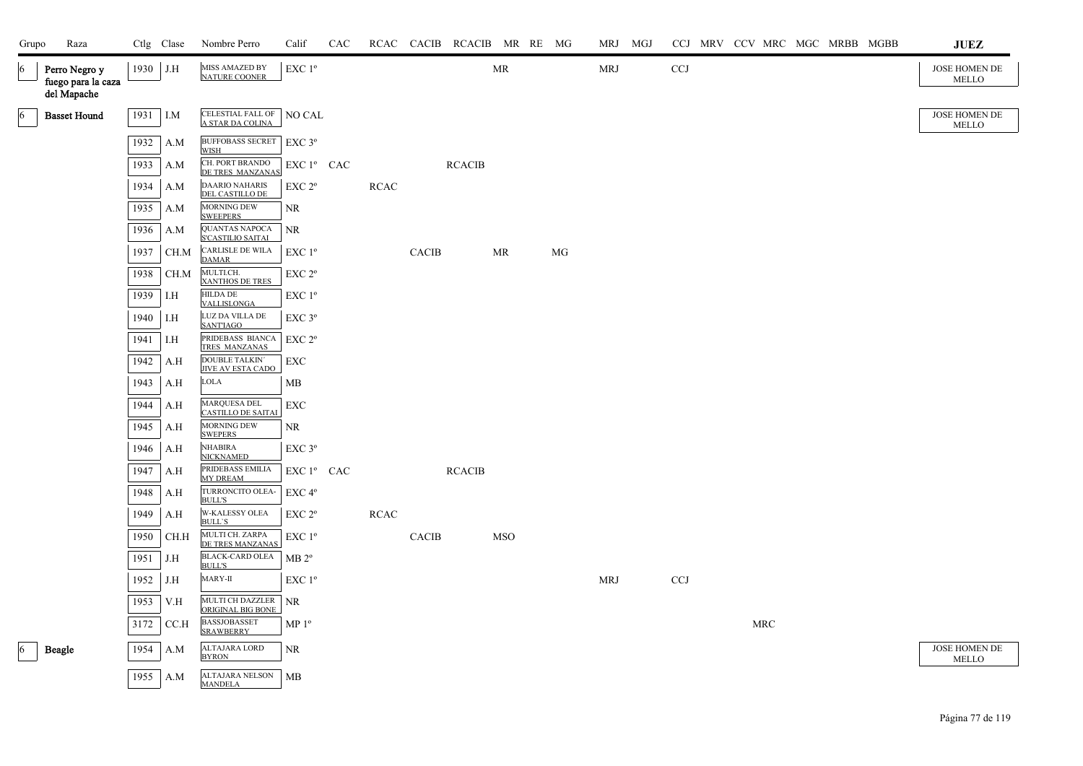| Grupo           | Raza                                               |      | Ctlg Clase | Nombre Perro                                      | Calif              | CAC |             |              | RCAC CACIB RCACIB MR RE MG |                                   |    |            | MRJ MGJ |            |  |     | CCJ MRV CCV MRC MGC MRBB MGBB | <b>JUEZ</b>                   |
|-----------------|----------------------------------------------------|------|------------|---------------------------------------------------|--------------------|-----|-------------|--------------|----------------------------|-----------------------------------|----|------------|---------|------------|--|-----|-------------------------------|-------------------------------|
| $\overline{6}$  | Perro Negro y<br>fuego para la caza<br>del Mapache | 1930 | J.H        | MISS AMAZED BY<br><b>NATURE COONER</b>            | EXC 1º             |     |             |              |                            | $\ensuremath{\mathsf{MR}}\xspace$ |    | <b>MRJ</b> |         | CCJ        |  |     |                               | JOSE HOMEN DE<br>MELLO        |
| $\vert 6 \vert$ | <b>Basset Hound</b>                                | 1931 | I.M        | CELESTIAL FALL OF<br>A STAR DA COLINA             | NO CAL             |     |             |              |                            |                                   |    |            |         |            |  |     |                               | JOSE HOMEN DE<br><b>MELLO</b> |
|                 |                                                    | 1932 | A.M        | <b>BUFFOBASS SECRET</b><br>WISH                   | $EXC$ 3°           |     |             |              |                            |                                   |    |            |         |            |  |     |                               |                               |
|                 |                                                    | 1933 | A.M        | CH. PORT BRANDO<br>DE TRES MANZANAS               | $EXC1^{\circ}$ CAC |     |             |              | <b>RCACIB</b>              |                                   |    |            |         |            |  |     |                               |                               |
|                 |                                                    | 1934 | A.M        | <b>DAARIO NAHARIS</b><br>DEL CASTILLO DE          | EXC <sub>2°</sub>  |     | <b>RCAC</b> |              |                            |                                   |    |            |         |            |  |     |                               |                               |
|                 |                                                    | 1935 | A.M        | <b>MORNING DEW</b><br><b>SWEEPERS</b>             | NR                 |     |             |              |                            |                                   |    |            |         |            |  |     |                               |                               |
|                 |                                                    | 1936 | A.M        | <b>QUANTAS NAPOCA</b><br><b>S'CASTILIO SAITAI</b> | NR                 |     |             |              |                            |                                   |    |            |         |            |  |     |                               |                               |
|                 |                                                    | 1937 | CH.M       | <b>CARLISLE DE WILA</b><br><b>DAMAR</b>           | $EXC1^{\circ}$     |     |             | <b>CACIB</b> |                            | MR                                | MG |            |         |            |  |     |                               |                               |
|                 |                                                    | 1938 | CH.M       | MULTI.CH.<br>XANTHOS DE TRES                      | EXC <sub>2°</sub>  |     |             |              |                            |                                   |    |            |         |            |  |     |                               |                               |
|                 |                                                    | 1939 | I.H        | <b>HILDA DE</b><br>VALLISLONGA                    | EXC 1 <sup>o</sup> |     |             |              |                            |                                   |    |            |         |            |  |     |                               |                               |
|                 |                                                    | 1940 | I.H        | LUZ DA VILLA DE<br><b>SANTIAGO</b>                | EXC <sub>3°</sub>  |     |             |              |                            |                                   |    |            |         |            |  |     |                               |                               |
|                 |                                                    | 1941 | I.H        | PRIDEBASS BIANCA<br>TRES MANZANAS                 | EXC 2 <sup>o</sup> |     |             |              |                            |                                   |    |            |         |            |  |     |                               |                               |
|                 |                                                    | 1942 | A.H        | <b>DOUBLE TALKIN</b><br><b>JIVE AV ESTA CADO</b>  | ${\rm EXC}$        |     |             |              |                            |                                   |    |            |         |            |  |     |                               |                               |
|                 |                                                    | 1943 | A.H        | LOLA                                              | MB                 |     |             |              |                            |                                   |    |            |         |            |  |     |                               |                               |
|                 |                                                    | 1944 | A.H        | MARQUESA DEL<br><b>CASTILLO DE SAITAI</b>         | <b>EXC</b>         |     |             |              |                            |                                   |    |            |         |            |  |     |                               |                               |
|                 |                                                    | 1945 | A.H        | <b>MORNING DEW</b><br><b>SWEPERS</b>              | NR                 |     |             |              |                            |                                   |    |            |         |            |  |     |                               |                               |
|                 |                                                    | 1946 | A.H        | <b>NHABIRA</b><br><b>NICKNAMED</b>                | EXC 3°             |     |             |              |                            |                                   |    |            |         |            |  |     |                               |                               |
|                 |                                                    | 1947 | A.H        | PRIDEBASS EMILIA<br><b>MY DREAM</b>               | EXC 1º CAC         |     |             |              | <b>RCACIB</b>              |                                   |    |            |         |            |  |     |                               |                               |
|                 |                                                    | 1948 | A.H        | TURRONCITO OLEA-<br><b>BULL'S</b>                 | EXC <sub>4°</sub>  |     |             |              |                            |                                   |    |            |         |            |  |     |                               |                               |
|                 |                                                    | 1949 | A.H        | <b>W-KALESSY OLEA</b><br><b>BULL'S</b>            | EXC 2 <sup>o</sup> |     | <b>RCAC</b> |              |                            |                                   |    |            |         |            |  |     |                               |                               |
|                 |                                                    | 1950 | CH.H       | MULTI CH. ZARPA<br>DE TRES MANZANAS               | EXC 1 <sup>o</sup> |     |             | <b>CACIB</b> |                            | <b>MSO</b>                        |    |            |         |            |  |     |                               |                               |
|                 |                                                    | 1951 | J.H        | <b>BLACK-CARD OLEA</b><br><b>BULL'S</b>           | MB 2 <sup>o</sup>  |     |             |              |                            |                                   |    |            |         |            |  |     |                               |                               |
|                 |                                                    | 1952 | J.H        | MARY-II                                           | EXC 1 <sup>o</sup> |     |             |              |                            |                                   |    | <b>MRJ</b> |         | <b>CCJ</b> |  |     |                               |                               |
|                 |                                                    | 1953 | V.H        | MULTI CH DAZZLER<br>ORIGINAL BIG BONE             | NR                 |     |             |              |                            |                                   |    |            |         |            |  |     |                               |                               |
|                 |                                                    | 3172 | CCA        | <b>BASSJOBASSET</b><br><b>SRAWBERRY</b>           | $MP 1^{\circ}$     |     |             |              |                            |                                   |    |            |         |            |  | MRC |                               |                               |
| $\vert 6 \vert$ | <b>Beagle</b>                                      | 1954 | A.M        | ALTAJARA LORD<br><b>BYRON</b>                     | NR.                |     |             |              |                            |                                   |    |            |         |            |  |     |                               | JOSE HOMEN DE<br><b>MELLO</b> |
|                 |                                                    | 1955 | A.M        | ALTAJARA NELSON<br><b>MANDELA</b>                 | <b>MB</b>          |     |             |              |                            |                                   |    |            |         |            |  |     |                               |                               |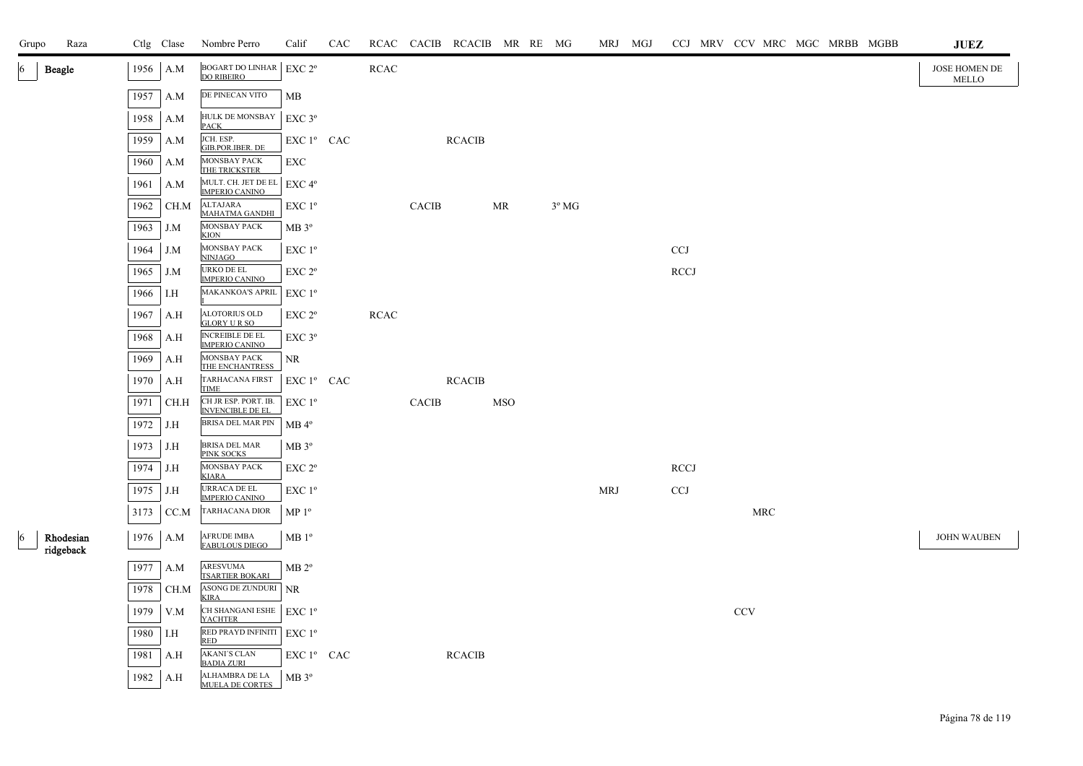| Grupo | Raza                   |      | Ctlg Clase | Nombre Perro                                          | Calif                                  | CAC |             |              | RCAC CACIB RCACIB MR RE MG |            |                |            | MRJ MGJ |             |                           |            |  | CCJ MRV CCV MRC MGC MRBB MGBB | <b>JUEZ</b>            |
|-------|------------------------|------|------------|-------------------------------------------------------|----------------------------------------|-----|-------------|--------------|----------------------------|------------|----------------|------------|---------|-------------|---------------------------|------------|--|-------------------------------|------------------------|
|       | <b>Beagle</b>          | 1956 | A.M        | BOGART DO LINHAR EXC $2^{\circ}$<br><b>DO RIBEIRO</b> |                                        |     | <b>RCAC</b> |              |                            |            |                |            |         |             |                           |            |  |                               | JOSE HOMEN DE<br>MELLO |
|       |                        | 1957 | A.M        | DE PINECAN VITO                                       | MB                                     |     |             |              |                            |            |                |            |         |             |                           |            |  |                               |                        |
|       |                        | 1958 | A.M        | HULK DE MONSBAY<br><b>PACK</b>                        | $EXC$ 3 $^{\circ}$                     |     |             |              |                            |            |                |            |         |             |                           |            |  |                               |                        |
|       |                        | 1959 | A.M        | JCH. ESP.<br>GIB.POR.IBER. DE                         | EXC 1 <sup>°</sup> CAC                 |     |             |              | <b>RCACIB</b>              |            |                |            |         |             |                           |            |  |                               |                        |
|       |                        | 1960 | A.M        | MONSBAY PACK<br>THE TRICKSTER                         | EXC                                    |     |             |              |                            |            |                |            |         |             |                           |            |  |                               |                        |
|       |                        | 1961 | A.M        | MULT. CH. JET DE EL EXC 4°<br><b>IMPERIO CANINO</b>   |                                        |     |             |              |                            |            |                |            |         |             |                           |            |  |                               |                        |
|       |                        | 1962 | CH.M       | ALTAJARA<br>MAHATMA GANDHI                            | $EXC1^{\circ}$                         |     |             | <b>CACIB</b> |                            | MR         | $3^{\circ}$ MG |            |         |             |                           |            |  |                               |                        |
|       |                        | 1963 | J.M        | MONSBAY PACK<br><b>KION</b>                           | $MB 3^{\circ}$                         |     |             |              |                            |            |                |            |         |             |                           |            |  |                               |                        |
|       |                        | 1964 | J.M        | MONSBAY PACK<br><b>NINJAGO</b>                        | $EXC1^{\circ}$                         |     |             |              |                            |            |                |            |         | <b>CCJ</b>  |                           |            |  |                               |                        |
|       |                        | 1965 | J.M        | URKO DE EL<br><b>IMPERIO CANINO</b>                   | EXC 2 <sup>o</sup>                     |     |             |              |                            |            |                |            |         | <b>RCCJ</b> |                           |            |  |                               |                        |
|       |                        | 1966 | I.H        | <b>MAKANKOA'S APRIL</b>                               | EXC 1 <sup>o</sup>                     |     |             |              |                            |            |                |            |         |             |                           |            |  |                               |                        |
|       |                        | 1967 | A.H        | ALOTORIUS OLD<br><b>GLORY URSO</b>                    | EXC 2 <sup>o</sup>                     |     | <b>RCAC</b> |              |                            |            |                |            |         |             |                           |            |  |                               |                        |
|       |                        | 1968 | A.H        | <b>INCREIBLE DE EL</b><br><b>IMPERIO CANINO</b>       | $EXC$ $3^{\circ}$                      |     |             |              |                            |            |                |            |         |             |                           |            |  |                               |                        |
|       |                        | 1969 | A.H        | MONSBAY PACK<br>THE ENCHANTRESS                       | NR.                                    |     |             |              |                            |            |                |            |         |             |                           |            |  |                               |                        |
|       |                        | 1970 | A.H        | TARHACANA FIRST<br><b>TIME</b>                        | $EXC1^{\circ}$ CAC                     |     |             |              | <b>RCACIB</b>              |            |                |            |         |             |                           |            |  |                               |                        |
|       |                        | 1971 | CH.H       | CH JR ESP. PORT. IB.<br><b>INVENCIBLE DE EL</b>       | $EXC1^{\circ}$                         |     |             | <b>CACIB</b> |                            | <b>MSO</b> |                |            |         |             |                           |            |  |                               |                        |
|       |                        |      | 1972 J.H   | BRISA DEL MAR PIN                                     | $MB$ <sup><math>4^{\circ}</math></sup> |     |             |              |                            |            |                |            |         |             |                           |            |  |                               |                        |
|       |                        |      | 1973 J.H   | <b>BRISA DEL MAR</b><br>PINK SOCKS                    | $MB 3^{\circ}$                         |     |             |              |                            |            |                |            |         |             |                           |            |  |                               |                        |
|       |                        | 1974 | J.H        | MONSBAY PACK<br><b>KIARA</b>                          | EXC 2 <sup>o</sup>                     |     |             |              |                            |            |                |            |         | <b>RCCJ</b> |                           |            |  |                               |                        |
|       |                        |      | 1975 J.H   | <b>URRACA DE EL</b><br><b>IMPERIO CANINO</b>          | EXC 1 <sup>o</sup>                     |     |             |              |                            |            |                | <b>MRJ</b> |         | <b>CCJ</b>  |                           |            |  |                               |                        |
|       |                        | 3173 | CC.M       | TARHACANA DIOR                                        | MP <sup>0</sup>                        |     |             |              |                            |            |                |            |         |             |                           | <b>MRC</b> |  |                               |                        |
| 16    | Rhodesian<br>ridgeback |      | 1976 A.M   | <b>AFRUDE IMBA</b><br><b>FABULOUS DIEGO</b>           | $MB1^{\circ}$                          |     |             |              |                            |            |                |            |         |             |                           |            |  |                               | <b>JOHN WAUBEN</b>     |
|       |                        | 1977 | A.M        | ARESVUMA<br><b>TSARTIER BOKARI</b>                    | $MB 2^{\circ}$                         |     |             |              |                            |            |                |            |         |             |                           |            |  |                               |                        |
|       |                        | 1978 | CH.M       | ASONG DE ZUNDURI NR<br><b>KIRA</b>                    |                                        |     |             |              |                            |            |                |            |         |             |                           |            |  |                               |                        |
|       |                        | 1979 | V.M        | CH SHANGANI ESHE<br><b>YACHTER</b>                    | EXC 1 <sup>o</sup>                     |     |             |              |                            |            |                |            |         |             | $\ensuremath{\text{CCV}}$ |            |  |                               |                        |
|       |                        | 1980 | I.H        | RED PRAYD INFINITI EXC 1º<br><b>RED</b>               |                                        |     |             |              |                            |            |                |            |         |             |                           |            |  |                               |                        |
|       |                        | 1981 | A.H        | <b>AKANI'S CLAN</b><br><b>BADIA ZURI</b>              | $EXC1^{\circ}$ CAC                     |     |             |              | <b>RCACIB</b>              |            |                |            |         |             |                           |            |  |                               |                        |
|       |                        | 1982 | A.H        | ALHAMBRA DE LA<br>MUELA DE CORTES                     | MB 3 <sup>°</sup>                      |     |             |              |                            |            |                |            |         |             |                           |            |  |                               |                        |
|       |                        |      |            |                                                       |                                        |     |             |              |                            |            |                |            |         |             |                           |            |  |                               |                        |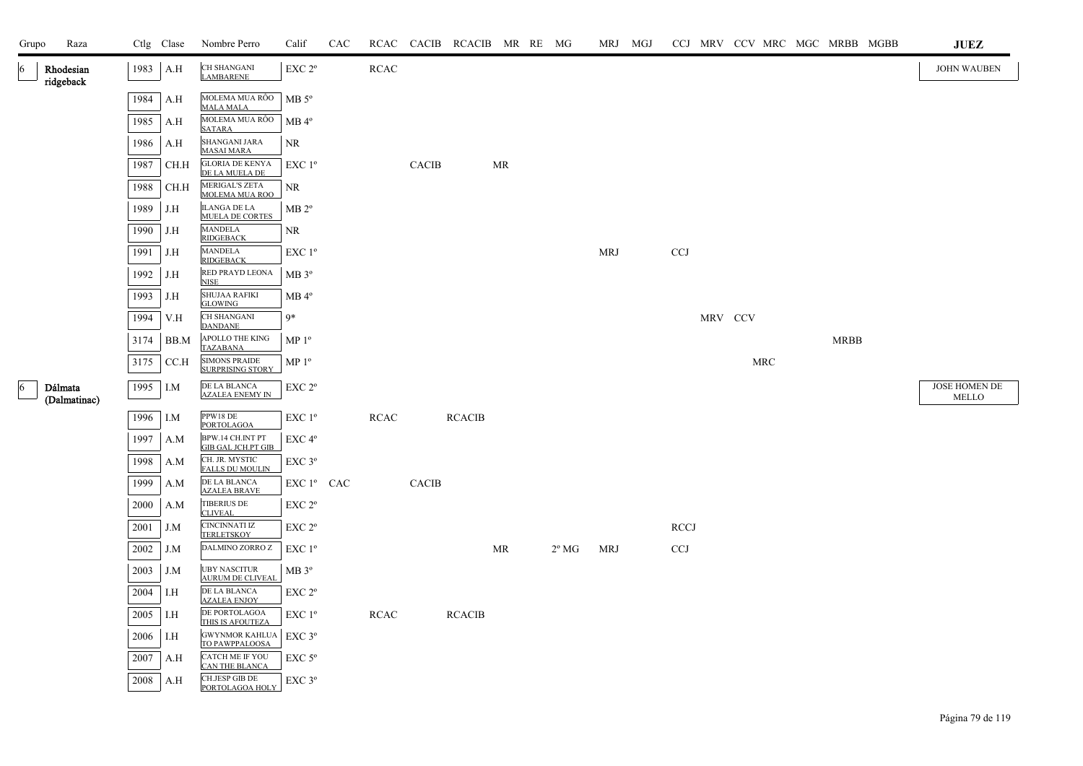| Raza<br>Grupo                |      | Ctlg Clase | Nombre Perro                                    | Calif              | CAC |             |              | RCAC CACIB RCACIB MR RE MG |    |                |            | MRJ MGJ |             |         |     | CCJ MRV CCV MRC MGC MRBB MGBB |             |  | $\mathbf{J}\mathbf{U}\mathbf{E}\mathbf{Z}$ |
|------------------------------|------|------------|-------------------------------------------------|--------------------|-----|-------------|--------------|----------------------------|----|----------------|------------|---------|-------------|---------|-----|-------------------------------|-------------|--|--------------------------------------------|
| Rhodesian<br>6<br>ridgeback  | 1983 | A.H        | <b>CH SHANGANI</b><br><b>LAMBARENE</b>          | EXC 2 <sup>o</sup> |     | <b>RCAC</b> |              |                            |    |                |            |         |             |         |     |                               |             |  | <b>JOHN WAUBEN</b>                         |
|                              | 1984 | A.H        | MOLEMA MUA RÔO<br><b>MALA MALA</b>              | $MB 5^{\circ}$     |     |             |              |                            |    |                |            |         |             |         |     |                               |             |  |                                            |
|                              | 1985 | A.H        | MOLEMA MUA RÔO<br><b>SATARA</b>                 | $MB 4^{\circ}$     |     |             |              |                            |    |                |            |         |             |         |     |                               |             |  |                                            |
|                              | 1986 | A.H        | SHANGANI JARA<br><b>MASAI MARA</b>              | NR                 |     |             |              |                            |    |                |            |         |             |         |     |                               |             |  |                                            |
|                              | 1987 | CH.H       | <b>GLORIA DE KENYA</b><br>DE LA MUELA DE        | $EXC1^{\circ}$     |     |             | <b>CACIB</b> |                            | MR |                |            |         |             |         |     |                               |             |  |                                            |
|                              | 1988 | CH.H       | MERIGAL'S ZETA<br>MOLEMA MUA ROO                | NR                 |     |             |              |                            |    |                |            |         |             |         |     |                               |             |  |                                            |
|                              | 1989 | J.H        | <b>ILANGA DE LA</b><br><b>MUELA DE CORTES</b>   | $MB 2^{\circ}$     |     |             |              |                            |    |                |            |         |             |         |     |                               |             |  |                                            |
|                              | 1990 | J.H        | <b>MANDELA</b><br><b>RIDGEBACK</b>              | NR                 |     |             |              |                            |    |                |            |         |             |         |     |                               |             |  |                                            |
|                              | 1991 | J.H        | <b>MANDELA</b><br><b>RIDGEBACK</b>              | EXC 1 <sup>o</sup> |     |             |              |                            |    |                | <b>MRJ</b> |         | <b>CCJ</b>  |         |     |                               |             |  |                                            |
|                              | 1992 | J.H        | RED PRAYD LEONA<br><b>NISE</b>                  | MB 3 <sup>o</sup>  |     |             |              |                            |    |                |            |         |             |         |     |                               |             |  |                                            |
|                              | 1993 | J.H        | <b>SHUJAA RAFIKI</b><br><b>GLOWING</b>          | $MB 4^{\circ}$     |     |             |              |                            |    |                |            |         |             |         |     |                               |             |  |                                            |
|                              | 1994 | V.H        | CH SHANGANI<br><b>DANDANE</b>                   | 9*                 |     |             |              |                            |    |                |            |         |             | MRV CCV |     |                               |             |  |                                            |
|                              | 3174 | BB.M       | APOLLO THE KING<br>TAZABANA                     | MP <sup>0</sup>    |     |             |              |                            |    |                |            |         |             |         |     |                               | <b>MRBB</b> |  |                                            |
|                              | 3175 | CC.H       | <b>SIMONS PRAIDE</b><br><b>SURPRISING STORY</b> | $MP 1^{\circ}$     |     |             |              |                            |    |                |            |         |             |         | MRC |                               |             |  |                                            |
| Dálmata<br>6<br>(Dalmatinac) | 1995 | I.M        | DE LA BLANCA<br><b>AZALEA ENEMY IN</b>          | EXC 2 <sup>o</sup> |     |             |              |                            |    |                |            |         |             |         |     |                               |             |  | JOSE HOMEN DE<br><b>MELLO</b>              |
|                              | 1996 | I.M        | PPW18 DE<br>PORTOLAGOA                          | EXC 1 <sup>o</sup> |     | <b>RCAC</b> |              | <b>RCACIB</b>              |    |                |            |         |             |         |     |                               |             |  |                                            |
|                              | 1997 | A.M        | BPW.14 CH.INT PT<br><b>GIB GAL JCH.PT GIB</b>   | EXC <sub>4°</sub>  |     |             |              |                            |    |                |            |         |             |         |     |                               |             |  |                                            |
|                              | 1998 | A.M        | CH. JR. MYSTIC<br><b>FALLS DU MOULIN</b>        | EXC 3°             |     |             |              |                            |    |                |            |         |             |         |     |                               |             |  |                                            |
|                              | 1999 | A.M        | DE LA BLANCA<br><b>AZALEA BRAVE</b>             | EXC 1º CAC         |     |             | <b>CACIB</b> |                            |    |                |            |         |             |         |     |                               |             |  |                                            |
|                              | 2000 | A.M        | <b>TIBERIUS DE</b><br><b>CLIVEAL</b>            | EXC 2°             |     |             |              |                            |    |                |            |         |             |         |     |                               |             |  |                                            |
|                              | 2001 | J.M        | <b>CINCINNATI IZ</b><br><b>TERLETSKOY</b>       | EXC 2 <sup>o</sup> |     |             |              |                            |    |                |            |         | <b>RCCJ</b> |         |     |                               |             |  |                                            |
|                              | 2002 | J.M        | DALMINO ZORRO Z                                 | EXC 1 <sup>o</sup> |     |             |              |                            | MR | $2^{\circ}$ MG | <b>MRJ</b> |         | <b>CCJ</b>  |         |     |                               |             |  |                                            |
|                              | 2003 | J.M        | <b>UBY NASCITUR</b><br><b>AURUM DE CLIVEAL</b>  | MB 3 <sup>o</sup>  |     |             |              |                            |    |                |            |         |             |         |     |                               |             |  |                                            |
|                              | 2004 | I.H        | DE LA BLANCA<br><b>AZALEA ENJOY</b>             | EXC 2 <sup>o</sup> |     |             |              |                            |    |                |            |         |             |         |     |                               |             |  |                                            |
|                              | 2005 | I.H        | DE PORTOLAGOA<br>THIS IS AFOUTEZA               | EXC 1°             |     | <b>RCAC</b> |              | <b>RCACIB</b>              |    |                |            |         |             |         |     |                               |             |  |                                            |
|                              | 2006 | I.H        | <b>GWYNMOR KAHLUA</b><br>TO PAWPPALOOSA         | $EXC$ 3°           |     |             |              |                            |    |                |            |         |             |         |     |                               |             |  |                                            |
|                              | 2007 | A.H        | <b>CATCH ME IF YOU</b><br><b>CAN THE BLANCA</b> | EXC <sub>5°</sub>  |     |             |              |                            |    |                |            |         |             |         |     |                               |             |  |                                            |
|                              | 2008 | A.H        | CH.JESP GIB DE<br>PORTOLAGOA HOLY               | EXC 3°             |     |             |              |                            |    |                |            |         |             |         |     |                               |             |  |                                            |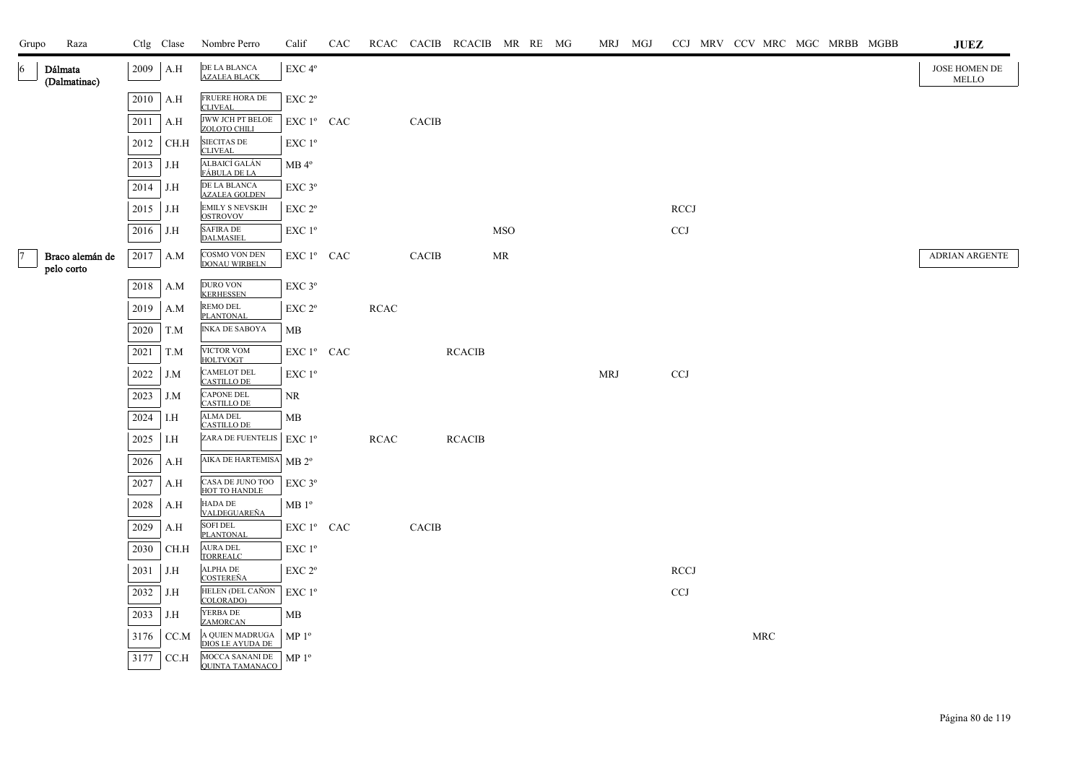| Grupo     | Raza                          |      | Ctlg Clase | Nombre Perro                                | Calif                  | CAC |             |              | RCAC CACIB RCACIB MR RE MG |            |  |            | MRJ MGJ |             |  |            |  | CCJ MRV CCV MRC MGC MRBB MGBB | <b>JUEZ</b>            |
|-----------|-------------------------------|------|------------|---------------------------------------------|------------------------|-----|-------------|--------------|----------------------------|------------|--|------------|---------|-------------|--|------------|--|-------------------------------|------------------------|
| 6         | Dálmata<br>(Dalmatinac)       | 2009 | A.H        | DE LA BLANCA<br><b>AZALEA BLACK</b>         | EXC 4°                 |     |             |              |                            |            |  |            |         |             |  |            |  |                               | JOSE HOMEN DE<br>MELLO |
|           |                               | 2010 | A.H        | FRUERE HORA DE<br><b>CLIVEAL</b>            | EXC 2 <sup>o</sup>     |     |             |              |                            |            |  |            |         |             |  |            |  |                               |                        |
|           |                               | 2011 | A.H        | <b>JWW JCH PT BELOE</b><br>ZOLOTO CHILI     | EXC 1 <sup>°</sup> CAC |     |             | <b>CACIB</b> |                            |            |  |            |         |             |  |            |  |                               |                        |
|           |                               | 2012 | CH.H       | <b>SIECITAS DE</b><br><b>CLIVEAL</b>        | EXC 1 <sup>o</sup>     |     |             |              |                            |            |  |            |         |             |  |            |  |                               |                        |
|           |                               | 2013 | J.H        | ALBAICÍ GALÁN<br>FÁBULA DE LA               | $MB 4^{\circ}$         |     |             |              |                            |            |  |            |         |             |  |            |  |                               |                        |
|           |                               | 2014 | J.H        | DE LA BLANCA<br><b>AZALEA GOLDEN</b>        | $EXC$ $3^{\circ}$      |     |             |              |                            |            |  |            |         |             |  |            |  |                               |                        |
|           |                               | 2015 | J.H        | <b>EMILY S NEVSKIH</b><br><b>OSTROVOV</b>   | EXC <sub>2°</sub>      |     |             |              |                            |            |  |            |         | <b>RCCJ</b> |  |            |  |                               |                        |
|           |                               | 2016 | J.H        | <b>SAFIRA DE</b><br><b>DALMASIEL</b>        | EXC 1 <sup>°</sup>     |     |             |              |                            | <b>MSO</b> |  |            |         | <b>CCJ</b>  |  |            |  |                               |                        |
| $\vert$ 7 | Braco alemán de<br>pelo corto | 2017 | A.M        | COSMO VON DEN<br><b>DONAU WIRBELN</b>       | EXC 1º CAC             |     |             | <b>CACIB</b> |                            | MR         |  |            |         |             |  |            |  |                               | <b>ADRIAN ARGENTE</b>  |
|           |                               | 2018 | A.M        | <b>DURO VON</b><br><b>KERHESSEN</b>         | EXC 3°                 |     |             |              |                            |            |  |            |         |             |  |            |  |                               |                        |
|           |                               | 2019 | A.M        | REMO DEL<br>PLANTONAL                       | $EXC 2^{\circ}$        |     | <b>RCAC</b> |              |                            |            |  |            |         |             |  |            |  |                               |                        |
|           |                               | 2020 | T.M        | <b>INKA DE SABOYA</b>                       | MВ                     |     |             |              |                            |            |  |            |         |             |  |            |  |                               |                        |
|           |                               | 2021 | T.M        | VICTOR VOM<br>HOLTVOGT                      | EXC 1º CAC             |     |             |              | <b>RCACIB</b>              |            |  |            |         |             |  |            |  |                               |                        |
|           |                               | 2022 | J.M        | <b>CAMELOT DEL</b><br><b>CASTILLO DE</b>    | EXC 1 <sup>o</sup>     |     |             |              |                            |            |  | <b>MRJ</b> |         | <b>CCJ</b>  |  |            |  |                               |                        |
|           |                               | 2023 | J.M        | <b>CAPONE DEL</b><br><b>CASTILLO DE</b>     | NR                     |     |             |              |                            |            |  |            |         |             |  |            |  |                               |                        |
|           |                               | 2024 | I.H        | <b>ALMA DEL</b><br><b>CASTILLO DE</b>       | MB                     |     |             |              |                            |            |  |            |         |             |  |            |  |                               |                        |
|           |                               | 2025 | I.H        | ZARA DE FUENTELIS   EXC 1º                  |                        |     | <b>RCAC</b> |              | <b>RCACIB</b>              |            |  |            |         |             |  |            |  |                               |                        |
|           |                               | 2026 | A.H        | AIKA DE HARTEMISA MB 2°                     |                        |     |             |              |                            |            |  |            |         |             |  |            |  |                               |                        |
|           |                               | 2027 | A.H        | CASA DE JUNO TOO<br>HOT TO HANDLE           | $EXC$ $3^{\circ}$      |     |             |              |                            |            |  |            |         |             |  |            |  |                               |                        |
|           |                               | 2028 | A.H        | HADA DE<br>VALDEGUAREÑA                     | MB1°                   |     |             |              |                            |            |  |            |         |             |  |            |  |                               |                        |
|           |                               | 2029 | A.H        | <b>SOFI DEL</b><br>PLANTONAL                | EXC 1 <sup>°</sup> CAC |     |             | <b>CACIB</b> |                            |            |  |            |         |             |  |            |  |                               |                        |
|           |                               | 2030 | CH.H       | <b>AURA DEL</b><br><b>TORREALC</b>          | EXC 1 <sup>o</sup>     |     |             |              |                            |            |  |            |         |             |  |            |  |                               |                        |
|           |                               | 2031 | J.H        | <b>ALPHA DE</b><br><b>COSTEREÑA</b>         | EXC 2°                 |     |             |              |                            |            |  |            |         | <b>RCCJ</b> |  |            |  |                               |                        |
|           |                               | 2032 | J.H        | HELEN (DEL CAÑON<br>COLORADO)               | EXC 1 <sup>o</sup>     |     |             |              |                            |            |  |            |         | <b>CCJ</b>  |  |            |  |                               |                        |
|           |                               | 2033 | J.H        | YERBA DE<br><b>ZAMORCAN</b>                 | MВ                     |     |             |              |                            |            |  |            |         |             |  |            |  |                               |                        |
|           |                               | 3176 | CC.M       | A QUIEN MADRUGA   MP 1º<br>DIOS LE AYUDA DE |                        |     |             |              |                            |            |  |            |         |             |  | <b>MRC</b> |  |                               |                        |
|           |                               | 3177 | CC.H       | MOCCA SANANI DE<br><b>QUINTA TAMANACO</b>   | MP <sup>0</sup>        |     |             |              |                            |            |  |            |         |             |  |            |  |                               |                        |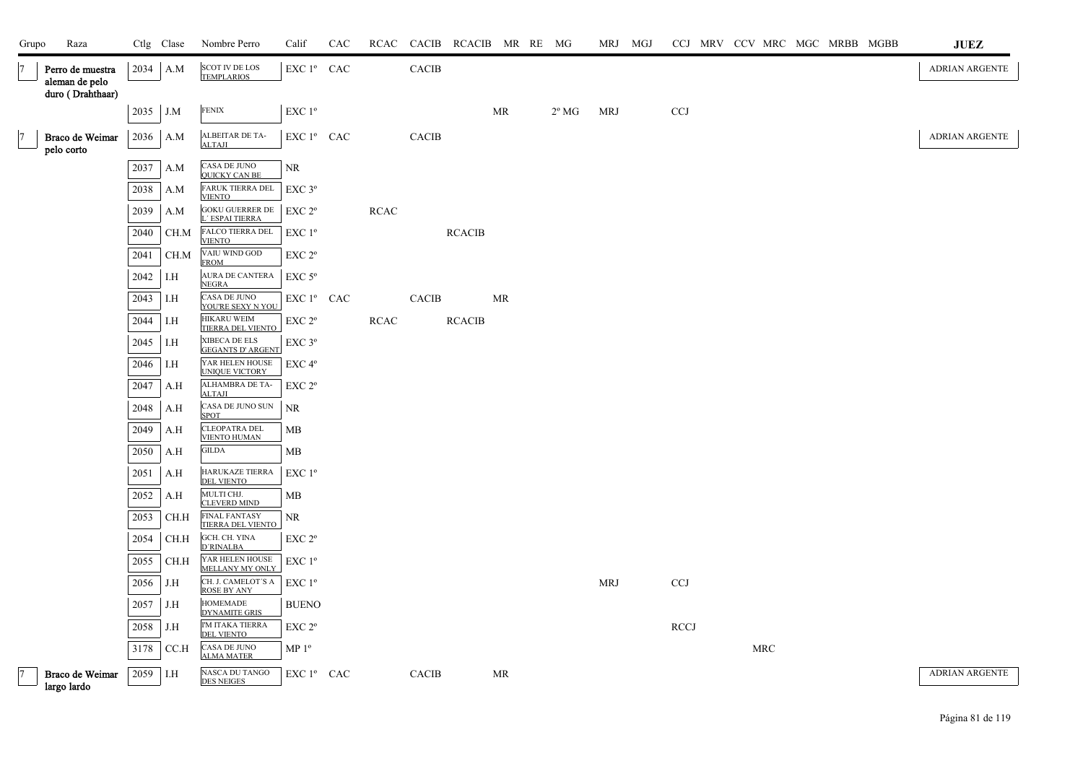| Grupo          | Raza                                                   |          | Ctlg Clase | Nombre Perro                                     | Calif              | CAC | RCAC        | CACIB        | RCACIB MR RE MG |           |                | MRJ MGJ    |             |  |     |  | CCJ MRV CCV MRC MGC MRBB MGBB | <b>JUEZ</b>           |
|----------------|--------------------------------------------------------|----------|------------|--------------------------------------------------|--------------------|-----|-------------|--------------|-----------------|-----------|----------------|------------|-------------|--|-----|--|-------------------------------|-----------------------|
|                | Perro de muestra<br>aleman de pelo<br>duro (Drahthaar) | 2034     | A.M        | <b>SCOT IV DE LOS</b><br><b>TEMPLARIOS</b>       | EXC 1º CAC         |     |             | <b>CACIB</b> |                 |           |                |            |             |  |     |  |                               | ADRIAN ARGENTE        |
|                |                                                        | 2035     | J.M        | <b>FENIX</b>                                     | EXC 1 <sup>°</sup> |     |             |              |                 | <b>MR</b> | $2^{\circ}$ MG | <b>MRJ</b> | <b>CCJ</b>  |  |     |  |                               |                       |
|                | Braco de Weimar<br>pelo corto                          | 2036     | A.M        | ALBEITAR DE TA-<br><b>ALTAJI</b>                 | EXC 1º CAC         |     |             | <b>CACIB</b> |                 |           |                |            |             |  |     |  |                               | ADRIAN ARGENTE        |
|                |                                                        | 2037     | A.M        | CASA DE JUNO<br><b>QUICKY CAN BE</b>             | $\rm NR$           |     |             |              |                 |           |                |            |             |  |     |  |                               |                       |
|                |                                                        | 2038     | A.M        | <b>FARUK TIERRA DEL</b><br><b>VIENTO</b>         | $EXC$ $3^{\circ}$  |     |             |              |                 |           |                |            |             |  |     |  |                               |                       |
|                |                                                        | 2039     | A.M        | <b>GOKU GUERRER DE</b><br>L' ESPAI TIERRA        | EXC 2 <sup>o</sup> |     | <b>RCAC</b> |              |                 |           |                |            |             |  |     |  |                               |                       |
|                |                                                        | 2040     | CH.M       | FALCO TIERRA DEL<br><b>VIENTO</b>                | $EXC1^{\circ}$     |     |             |              | <b>RCACIB</b>   |           |                |            |             |  |     |  |                               |                       |
|                |                                                        | 2041     | CH.M       | VAIU WIND GOD<br><b>FROM</b>                     | EXC <sub>2°</sub>  |     |             |              |                 |           |                |            |             |  |     |  |                               |                       |
|                |                                                        | 2042     | I.H        | <b>AURA DE CANTERA</b><br><b>NEGRA</b>           | $EXC$ 5°           |     |             |              |                 |           |                |            |             |  |     |  |                               |                       |
|                |                                                        | 2043     | I.H        | CASA DE JUNO<br>YOU'RE SEXY N YOU                | EXC 1º CAC         |     |             | CACIB        |                 | MR        |                |            |             |  |     |  |                               |                       |
|                |                                                        | 2044     | I.H        | <b>HIKARU WEIM</b><br>TIERRA DEL VIENTO          | EXC 2°             |     | <b>RCAC</b> |              | <b>RCACIB</b>   |           |                |            |             |  |     |  |                               |                       |
|                |                                                        | 2045     | I.H        | XIBECA DE ELS<br><b>GEGANTS D' ARGENT</b>        | EXC 3°             |     |             |              |                 |           |                |            |             |  |     |  |                               |                       |
|                |                                                        | 2046     | I.H        | YAR HELEN HOUSE<br>UNIQUE VICTORY                | EXC 4 <sup>o</sup> |     |             |              |                 |           |                |            |             |  |     |  |                               |                       |
|                |                                                        | 2047     | A.H        | ALHAMBRA DE TA-<br><b>ALTAJI</b>                 | EXC 2 <sup>o</sup> |     |             |              |                 |           |                |            |             |  |     |  |                               |                       |
|                |                                                        | 2048     | A.H        | CASA DE JUNO SUN<br><b>SPOT</b>                  | NR                 |     |             |              |                 |           |                |            |             |  |     |  |                               |                       |
|                |                                                        | 2049     | A.H        | <b>CLEOPATRA DEL</b><br><b>VIENTO HUMAN</b>      | MB                 |     |             |              |                 |           |                |            |             |  |     |  |                               |                       |
|                |                                                        | 2050     | A.H        | <b>GILDA</b>                                     | МB                 |     |             |              |                 |           |                |            |             |  |     |  |                               |                       |
|                |                                                        | 2051     | A.H        | HARUKAZE TIERRA<br>DEL VIENTO                    | $EXC1^{\circ}$     |     |             |              |                 |           |                |            |             |  |     |  |                               |                       |
|                |                                                        | 2052     | A.H        | MULTI CHJ.<br><b>CLEVERD MIND</b>                | МB                 |     |             |              |                 |           |                |            |             |  |     |  |                               |                       |
|                |                                                        | 2053     | CH.H       | <b>FINAL FANTASY</b><br><b>TIERRA DEL VIENTO</b> | NR                 |     |             |              |                 |           |                |            |             |  |     |  |                               |                       |
|                |                                                        | 2054     | CH.H       | GCH. CH. YINA<br><b>D'RINALBA</b>                | EXC <sub>2°</sub>  |     |             |              |                 |           |                |            |             |  |     |  |                               |                       |
|                |                                                        | 2055     | CH.H       | YAR HELEN HOUSE<br>MELLANY MY ONLY               | $EXC1^{\circ}$     |     |             |              |                 |           |                |            |             |  |     |  |                               |                       |
|                |                                                        | 2056     | J.H        | CH. J. CAMELOT'S A<br><b>ROSE BY ANY</b>         | EXC 1 <sup>o</sup> |     |             |              |                 |           |                | <b>MRJ</b> | <b>CCJ</b>  |  |     |  |                               |                       |
|                |                                                        | 2057     | J.H        | <b>HOMEMADE</b><br><b>DYNAMITE GRIS</b>          | <b>BUENO</b>       |     |             |              |                 |           |                |            |             |  |     |  |                               |                       |
|                |                                                        | 2058     | J.H        | I'M ITAKA TIERRA<br><b>DEL VIENTO</b>            | EXC 2 <sup>o</sup> |     |             |              |                 |           |                |            | <b>RCCJ</b> |  |     |  |                               |                       |
|                |                                                        | 3178     | CC.H       | CASA DE JUNO<br><b>ALMA MATER</b>                | MP 1 <sup>o</sup>  |     |             |              |                 |           |                |            |             |  | MRC |  |                               |                       |
| $\overline{7}$ | Braco de Weimar<br>largo lardo                         | 2059 I.H |            | NASCA DU TANGO<br><b>DES NEIGES</b>              | $EXC1^{\circ}$ CAC |     |             | CACIB        |                 | MR        |                |            |             |  |     |  |                               | <b>ADRIAN ARGENTE</b> |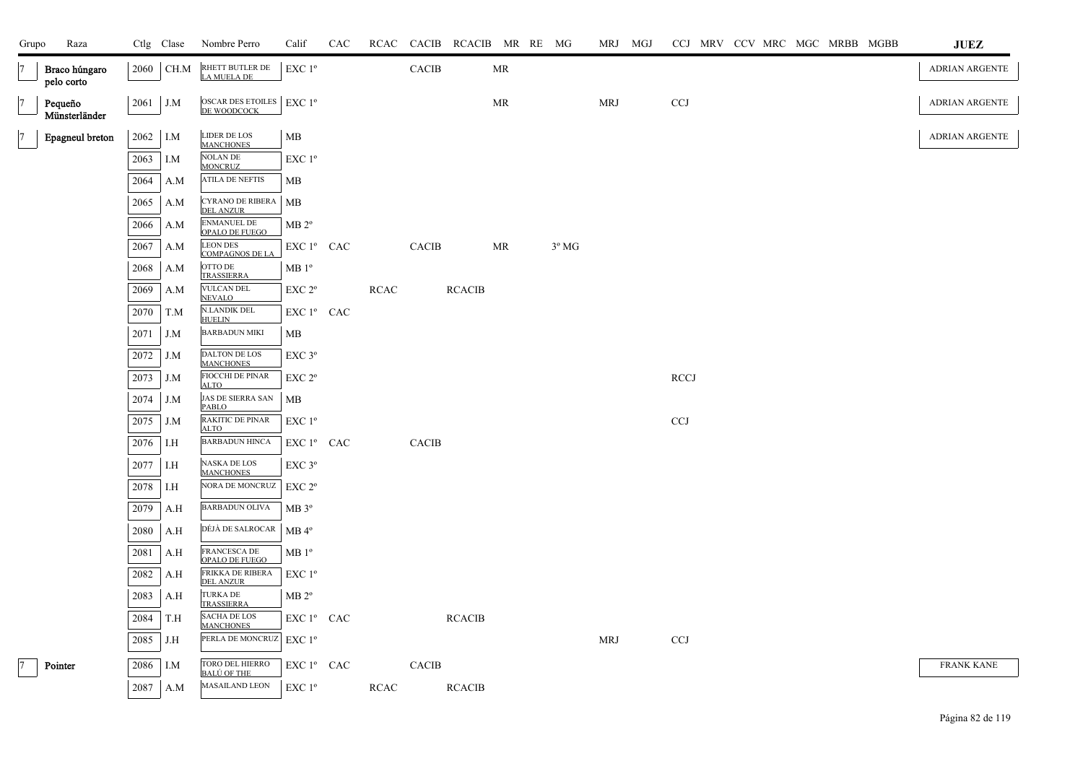| Grupo          | Raza                        |      | Ctlg Clase | Nombre Perro                                            | Calif              | CAC |             |              | RCAC CACIB RCACIB MR RE MG |    |                | MRJ MGJ    |             |  |  | CCJ MRV CCV MRC MGC MRBB MGBB | <b>JUEZ</b>           |
|----------------|-----------------------------|------|------------|---------------------------------------------------------|--------------------|-----|-------------|--------------|----------------------------|----|----------------|------------|-------------|--|--|-------------------------------|-----------------------|
| $\overline{7}$ | Braco húngaro<br>pelo corto |      | 2060 CH.M  | RHETT BUTLER DE<br>LA MUELA DE                          | EXC 1 <sup>o</sup> |     |             | <b>CACIB</b> |                            | MR |                |            |             |  |  |                               | ADRIAN ARGENTE        |
| $\overline{7}$ | Pequeño<br>Münsterländer    | 2061 | J.M        | OSCAR DES ETOILES $ $ EXC 1 <sup>o</sup><br>DE WOODCOCK |                    |     |             |              |                            | MR |                | MRJ        | <b>CCJ</b>  |  |  |                               | ADRIAN ARGENTE        |
| $\overline{7}$ | Epagneul breton             | 2062 | I.M        | <b>LIDER DE LOS</b><br><b>MANCHONES</b>                 | MB                 |     |             |              |                            |    |                |            |             |  |  |                               | <b>ADRIAN ARGENTE</b> |
|                |                             | 2063 | I.M        | <b>NOLAN DE</b><br><b>MONCRUZ</b>                       | EXC 1 <sup>o</sup> |     |             |              |                            |    |                |            |             |  |  |                               |                       |
|                |                             | 2064 | A.M        | <b>ATILA DE NEFTIS</b>                                  | MB                 |     |             |              |                            |    |                |            |             |  |  |                               |                       |
|                |                             | 2065 | A.M        | CYRANO DE RIBERA<br><b>DEL ANZUR</b>                    | <b>MB</b>          |     |             |              |                            |    |                |            |             |  |  |                               |                       |
|                |                             | 2066 | A.M        | <b>ENMANUEL DE</b><br>OPALO DE FUEGO                    | MB 2 <sup>o</sup>  |     |             |              |                            |    |                |            |             |  |  |                               |                       |
|                |                             | 2067 | A.M        | <b>LEON DES</b><br><b>COMPAGNOS DE LA</b>               | EXC 1º CAC         |     |             | CACIB        |                            | MR | $3^{\circ}$ MG |            |             |  |  |                               |                       |
|                |                             | 2068 | A.M        | OTTO DE<br><b>TRASSIERRA</b>                            | MB1°               |     |             |              |                            |    |                |            |             |  |  |                               |                       |
|                |                             | 2069 | A.M        | <b>VULCAN DEL</b><br><b>NEVALO</b>                      | EXC 2°             |     | <b>RCAC</b> |              | <b>RCACIB</b>              |    |                |            |             |  |  |                               |                       |
|                |                             | 2070 | T.M        | <b>N.LANDIK DEL</b><br><b>HUELIN</b>                    | EXC 1º CAC         |     |             |              |                            |    |                |            |             |  |  |                               |                       |
|                |                             | 2071 | J.M        | <b>BARBADUN MIKI</b>                                    | MB                 |     |             |              |                            |    |                |            |             |  |  |                               |                       |
|                |                             | 2072 | J.M        | DALTON DE LOS<br><b>MANCHONES</b>                       | EXC <sub>3°</sub>  |     |             |              |                            |    |                |            |             |  |  |                               |                       |
|                |                             | 2073 | J.M        | FIOCCHI DE PINAR<br><b>ALTO</b>                         | EXC 2°             |     |             |              |                            |    |                |            | <b>RCCJ</b> |  |  |                               |                       |
|                |                             | 2074 | J.M        | <b>JAS DE SIERRA SAN</b><br>PABLO                       | МB                 |     |             |              |                            |    |                |            |             |  |  |                               |                       |
|                |                             | 2075 | J.M        | RAKITIC DE PINAR<br><b>ALTO</b>                         | EXC 1 <sup>o</sup> |     |             |              |                            |    |                |            | CCJ         |  |  |                               |                       |
|                |                             | 2076 | I.H        | <b>BARBADUN HINCA</b>                                   | EXC 1º CAC         |     |             | <b>CACIB</b> |                            |    |                |            |             |  |  |                               |                       |
|                |                             | 2077 | I.H        | NASKA DE LOS<br><b>MANCHONES</b>                        | $EXC$ 3 $^{\circ}$ |     |             |              |                            |    |                |            |             |  |  |                               |                       |
|                |                             | 2078 | I.H        | NORA DE MONCRUZ                                         | EXC 2 <sup>o</sup> |     |             |              |                            |    |                |            |             |  |  |                               |                       |
|                |                             | 2079 | A.H        | BARBADUN OLIVA                                          | MB 3 <sup>o</sup>  |     |             |              |                            |    |                |            |             |  |  |                               |                       |
|                |                             | 2080 | A.H        | DÉJÀ DE SALROCAR                                        | $MB 4^{\circ}$     |     |             |              |                            |    |                |            |             |  |  |                               |                       |
|                |                             | 2081 | A.H        | FRANCESCA DE<br>OPALO DE FUEGO                          | MB1°               |     |             |              |                            |    |                |            |             |  |  |                               |                       |
|                |                             | 2082 | A.H        | FRIKKA DE RIBERA<br><b>DEL ANZUR</b>                    | EXC 1 <sup>o</sup> |     |             |              |                            |    |                |            |             |  |  |                               |                       |
|                |                             | 2083 | A.H        | <b>TURKA DE</b><br><b>TRASSIERRA</b>                    | MB 2 <sup>o</sup>  |     |             |              |                            |    |                |            |             |  |  |                               |                       |
|                |                             | 2084 | T.H        | SACHA DE LOS<br><b>MANCHONES</b>                        | EXC 1º CAC         |     |             |              | <b>RCACIB</b>              |    |                |            |             |  |  |                               |                       |
|                |                             | 2085 | J.H        | PERLA DE MONCRUZ                                        | $EXC1^{\circ}$     |     |             |              |                            |    |                | <b>MRJ</b> | <b>CCJ</b>  |  |  |                               |                       |
| $\overline{7}$ | Pointer                     | 2086 | I.M        | TORO DEL HIERRO<br><u>BALÚ OF THE</u>                   | $EXC1^{\circ}$ CAC |     |             | <b>CACIB</b> |                            |    |                |            |             |  |  |                               | <b>FRANK KANE</b>     |
|                |                             | 2087 | A.M        | <b>MASAILAND LEON</b>                                   | $EXC1^{\circ}$     |     | RCAC        |              | <b>RCACIB</b>              |    |                |            |             |  |  |                               |                       |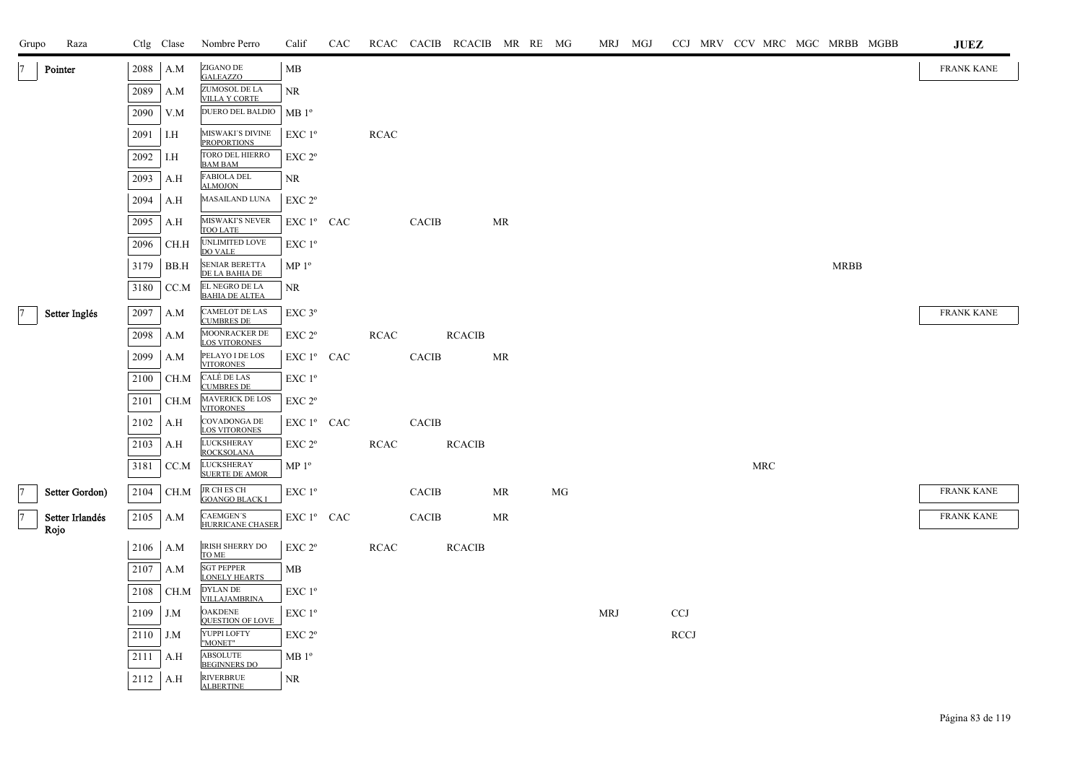| Grupo          | Raza                    |      | Ctlg Clase | Nombre Perro                               | Calif              | CAC |             |              | RCAC CACIB RCACIB MR RE MG |           |    |            | MRJ MGJ |             |  |     | CCJ MRV CCV MRC MGC MRBB MGBB |  | ${\bf JUEZ}$      |
|----------------|-------------------------|------|------------|--------------------------------------------|--------------------|-----|-------------|--------------|----------------------------|-----------|----|------------|---------|-------------|--|-----|-------------------------------|--|-------------------|
|                | Pointer                 | 2088 | A.M        | ZIGANO DE<br><b>GALEAZZO</b>               | MB                 |     |             |              |                            |           |    |            |         |             |  |     |                               |  | <b>FRANK KANE</b> |
|                |                         | 2089 | A.M        | ZUMOSOL DE LA<br><b>VILLA Y CORTE</b>      | NR.                |     |             |              |                            |           |    |            |         |             |  |     |                               |  |                   |
|                |                         | 2090 | V.M        | DUERO DEL BALDIO                           | MB <sup>0</sup>    |     |             |              |                            |           |    |            |         |             |  |     |                               |  |                   |
|                |                         | 2091 | I.H        | MISWAKI'S DIVINE<br><b>PROPORTIONS</b>     | EXC 1 <sup>o</sup> |     | <b>RCAC</b> |              |                            |           |    |            |         |             |  |     |                               |  |                   |
|                |                         | 2092 | I.H        | TORO DEL HIERRO<br><b>BAM BAM</b>          | EXC <sub>2°</sub>  |     |             |              |                            |           |    |            |         |             |  |     |                               |  |                   |
|                |                         | 2093 | A.H        | <b>FABIOLA DEL</b><br>ALMOJON              | NR                 |     |             |              |                            |           |    |            |         |             |  |     |                               |  |                   |
|                |                         | 2094 | A.H        | MASAILAND LUNA                             | EXC 2 <sup>o</sup> |     |             |              |                            |           |    |            |         |             |  |     |                               |  |                   |
|                |                         | 2095 | A.H        | MISWAKI'S NEVER<br><b>TOO LATE</b>         | EXC 1º CAC         |     |             | <b>CACIB</b> |                            | <b>MR</b> |    |            |         |             |  |     |                               |  |                   |
|                |                         | 2096 | CH.H       | UNLIMITED LOVE<br><b>DO VALE</b>           | EXC 1 <sup>o</sup> |     |             |              |                            |           |    |            |         |             |  |     |                               |  |                   |
|                |                         | 3179 | BB.H       | SENIAR BERETTA<br>DE LA BAHIA DE           | $MP 1^{\circ}$     |     |             |              |                            |           |    |            |         |             |  |     | <b>MRBB</b>                   |  |                   |
|                |                         | 3180 | CC.M       | EL NEGRO DE LA<br><b>BAHIA DE ALTEA</b>    | NR.                |     |             |              |                            |           |    |            |         |             |  |     |                               |  |                   |
| 7              | Setter Inglés           | 2097 | A.M        | <b>CAMELOT DE LAS</b><br><b>CUMBRES DE</b> | EXC <sub>3°</sub>  |     |             |              |                            |           |    |            |         |             |  |     |                               |  | <b>FRANK KANE</b> |
|                |                         | 2098 | A.M        | MOONRACKER DE<br><b>LOS VITORONES</b>      | EXC 2°             |     | <b>RCAC</b> |              | <b>RCACIB</b>              |           |    |            |         |             |  |     |                               |  |                   |
|                |                         | 2099 | A.M        | PELAYO I DE LOS<br><b>VITORONES</b>        | EXC 1º CAC         |     |             | CACIB        |                            | <b>MR</b> |    |            |         |             |  |     |                               |  |                   |
|                |                         | 2100 | CH.M       | CALÉ DE LAS<br><b>CUMBRES DE</b>           | EXC 1 <sup>o</sup> |     |             |              |                            |           |    |            |         |             |  |     |                               |  |                   |
|                |                         | 2101 | CH.M       | MAVERICK DE LOS<br><b>VITORONES</b>        | EXC 2 <sup>o</sup> |     |             |              |                            |           |    |            |         |             |  |     |                               |  |                   |
|                |                         | 2102 | A.H        | COVADONGA DE<br><b>LOS VITORONES</b>       | EXC 1º CAC         |     |             | <b>CACIB</b> |                            |           |    |            |         |             |  |     |                               |  |                   |
|                |                         | 2103 | A.H        | <b>LUCKSHERAY</b><br><b>ROCKSOLANA</b>     | $EXC 2^{\circ}$    |     | <b>RCAC</b> |              | <b>RCACIB</b>              |           |    |            |         |             |  |     |                               |  |                   |
|                |                         | 3181 | CC.M       | <b>LUCKSHERAY</b><br><b>SUERTE DE AMOR</b> | $MP 1^{\circ}$     |     |             |              |                            |           |    |            |         |             |  | MRC |                               |  |                   |
| $\overline{7}$ | Setter Gordon)          | 2104 | CH.M       | JR CH ES CH<br><b>GOANGO BLACK I</b>       | EXC 1 <sup>o</sup> |     |             | <b>CACIB</b> |                            | MR        | MG |            |         |             |  |     |                               |  | <b>FRANK KANE</b> |
| 7              | Setter Irlandés<br>Rojo | 2105 | A.M        | CAEMGEN'S<br>HURRICANE CHASER              | EXC 1º CAC         |     |             | <b>CACIB</b> |                            | <b>MR</b> |    |            |         |             |  |     |                               |  | <b>FRANK KANE</b> |
|                |                         | 2106 | A.M        | IRISH SHERRY DO<br>TO ME                   | EXC <sub>2°</sub>  |     | <b>RCAC</b> |              | <b>RCACIB</b>              |           |    |            |         |             |  |     |                               |  |                   |
|                |                         | 2107 | A.M        | <b>SGT PEPPER</b><br><b>LONELY HEARTS</b>  | MВ                 |     |             |              |                            |           |    |            |         |             |  |     |                               |  |                   |
|                |                         | 2108 | CH.M       | <b>DYLAN DE</b><br><b>VILLAJAMBRINA</b>    | EXC 1 <sup>o</sup> |     |             |              |                            |           |    |            |         |             |  |     |                               |  |                   |
|                |                         | 2109 | J.M        | OAKDENE<br><b>QUESTION OF LOVE</b>         | EXC 1 <sup>o</sup> |     |             |              |                            |           |    | <b>MRJ</b> |         | <b>CCJ</b>  |  |     |                               |  |                   |
|                |                         | 2110 | J.M        | YUPPI LOFTY<br>"MONET"                     | EXC <sub>2°</sub>  |     |             |              |                            |           |    |            |         | <b>RCCJ</b> |  |     |                               |  |                   |
|                |                         | 2111 | A.H        | <b>ABSOLUTE</b><br><b>BEGINNERS DO</b>     | MB1°               |     |             |              |                            |           |    |            |         |             |  |     |                               |  |                   |
|                |                         |      | $2112$ A.H | <b>RIVERBRUE</b><br><b>ALBERTINE</b>       | NR                 |     |             |              |                            |           |    |            |         |             |  |     |                               |  |                   |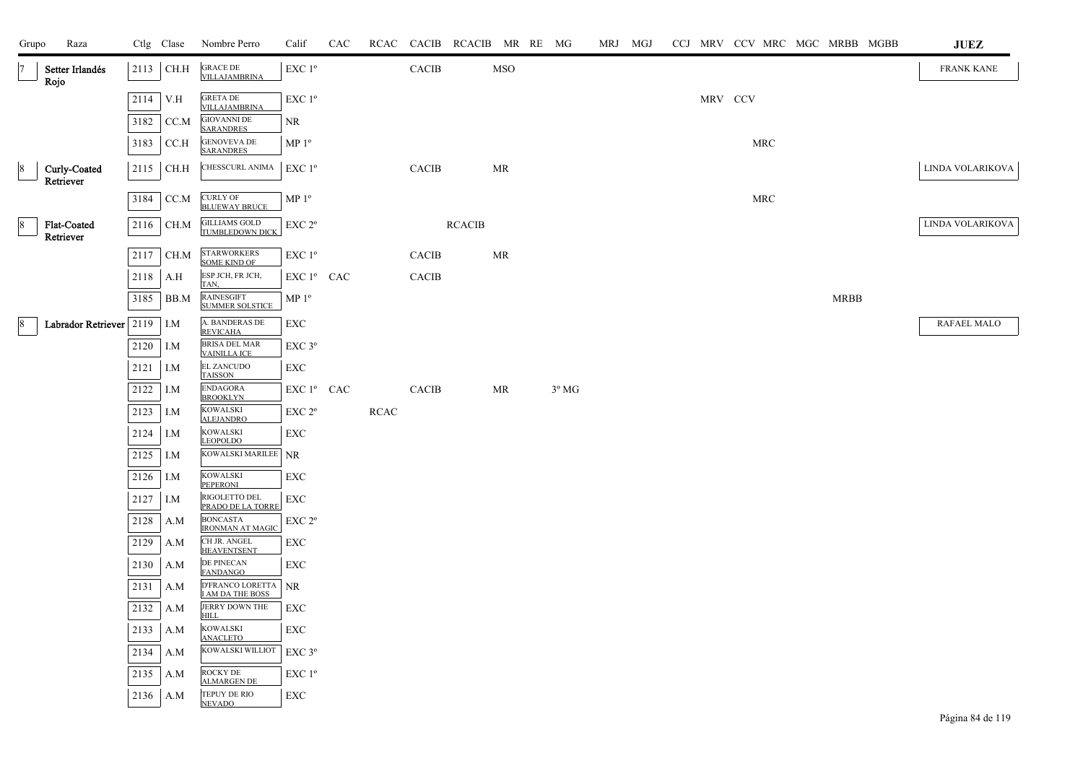| Grupo           | Raza                            |      | Ctlg Clase | Nombre Perro                                | Calif                  | CAC |             |              | RCAC CACIB RCACIB MR RE MG |            |                | MRJ MGJ |  |         |            | CCJ MRV CCV MRC MGC MRBB MGBB | <b>JUEZ</b>       |
|-----------------|---------------------------------|------|------------|---------------------------------------------|------------------------|-----|-------------|--------------|----------------------------|------------|----------------|---------|--|---------|------------|-------------------------------|-------------------|
|                 | Setter Irlandés<br>Rojo         | 2113 | CH.H       | <b>GRACE DE</b><br>VILLAJAMBRINA            | EXC 1 <sup>o</sup>     |     |             | CACIB        |                            | <b>MSO</b> |                |         |  |         |            |                               | <b>FRANK KANE</b> |
|                 |                                 | 2114 | V.H        | <b>GRETA DE</b><br>VILLAJAMBRINA            | EXC 1 <sup>o</sup>     |     |             |              |                            |            |                |         |  | MRV CCV |            |                               |                   |
|                 |                                 | 3182 | CC.M       | <b>GIOVANNI DE</b><br><b>SARANDRES</b>      | NR.                    |     |             |              |                            |            |                |         |  |         |            |                               |                   |
|                 |                                 | 3183 | CC.H       | <b>GENOVEVA DE</b><br><b>SARANDRES</b>      | MP <sup>0</sup>        |     |             |              |                            |            |                |         |  |         | MRC        |                               |                   |
|                 | Curly-Coated<br>Retriever       | 2115 | CH.H       | CHESSCURL ANIMA                             | EXC 1 <sup>o</sup>     |     |             | CACIB        |                            | MR         |                |         |  |         |            |                               | LINDA VOLARIKOVA  |
|                 |                                 | 3184 | CC.M       | <b>CURLY OF</b><br><b>BLUEWAY BRUCE</b>     | MP <sup>0</sup>        |     |             |              |                            |            |                |         |  |         | <b>MRC</b> |                               |                   |
| $\sqrt{8}$      | <b>Flat-Coated</b><br>Retriever | 2116 | CH.M       | <b>GILLIAMS GOLD</b><br>TUMBLEDOWN DICK     | EXC 2 <sup>o</sup>     |     |             |              | <b>RCACIB</b>              |            |                |         |  |         |            |                               | LINDA VOLARIKOVA  |
|                 |                                 | 2117 | CH.M       | <b>STARWORKERS</b><br><b>SOME KIND OF</b>   | $EXC1^{\circ}$         |     |             | <b>CACIB</b> |                            | MR         |                |         |  |         |            |                               |                   |
|                 |                                 | 2118 | A.H        | ESP JCH, FR JCH,<br>TAN,                    | EXC 1 <sup>°</sup> CAC |     |             | CACIB        |                            |            |                |         |  |         |            |                               |                   |
|                 |                                 | 3185 | BB.M       | <b>RAINESGIFT</b><br><b>SUMMER SOLSTICE</b> | MP <sup>0</sup>        |     |             |              |                            |            |                |         |  |         |            | <b>MRBB</b>                   |                   |
| $\vert 8 \vert$ | Labrador Retriever 2119         |      | I.M        | A. BANDERAS DE<br><b>REVICAHA</b>           | ${\rm EXC}$            |     |             |              |                            |            |                |         |  |         |            |                               | RAFAEL MALO       |
|                 |                                 | 2120 | I.M        | <b>BRISA DEL MAR</b><br><b>VAINILLA ICE</b> | $EXC$ $3^{\circ}$      |     |             |              |                            |            |                |         |  |         |            |                               |                   |
|                 |                                 | 2121 | I.M        | <b>EL ZANCUDO</b><br><b>TAISSON</b>         | EXC                    |     |             |              |                            |            |                |         |  |         |            |                               |                   |
|                 |                                 | 2122 | I.M        | <b>ENDAGORA</b><br><b>BROOKLYN</b>          | EXC 1º CAC             |     |             | CACIB        |                            | MR         | $3^{\circ}$ MG |         |  |         |            |                               |                   |
|                 |                                 | 2123 | I.M        | KOWALSKI<br><b>ALEJANDRO</b>                | EXC 2 <sup>o</sup>     |     | <b>RCAC</b> |              |                            |            |                |         |  |         |            |                               |                   |
|                 |                                 | 2124 | I.M        | KOWALSKI<br><b>LEOPOLDO</b>                 | EXC                    |     |             |              |                            |            |                |         |  |         |            |                               |                   |
|                 |                                 | 2125 | I.M        | KOWALSKI MARILEE                            | <b>NR</b>              |     |             |              |                            |            |                |         |  |         |            |                               |                   |
|                 |                                 | 2126 | I.M        | <b>KOWALSKI</b><br><b>PEPERONI</b>          | EXC                    |     |             |              |                            |            |                |         |  |         |            |                               |                   |
|                 |                                 | 2127 | I.M        | RIGOLETTO DEL<br>PRADO DE LA TORRE          | EXC                    |     |             |              |                            |            |                |         |  |         |            |                               |                   |
|                 |                                 | 2128 | A.M        | <b>BONCASTA</b><br><b>IRONMAN AT MAGIC</b>  | EXC 2 <sup>o</sup>     |     |             |              |                            |            |                |         |  |         |            |                               |                   |
|                 |                                 | 2129 | A.M        | CH JR. ANGEL<br><b>HEAVENTSENT</b>          | EXC                    |     |             |              |                            |            |                |         |  |         |            |                               |                   |
|                 |                                 | 2130 | A.M        | DE PINECAN<br><b>FANDANGO</b>               | EXC                    |     |             |              |                            |            |                |         |  |         |            |                               |                   |
|                 |                                 | 2131 | A.M        | D'FRANCO LORETTA<br>I AM DA THE BOSS        | $\rm NR$               |     |             |              |                            |            |                |         |  |         |            |                               |                   |
|                 |                                 | 2132 | A.M        | <b>JERRY DOWN THE</b><br><b>HILL</b>        | EXC                    |     |             |              |                            |            |                |         |  |         |            |                               |                   |
|                 |                                 | 2133 | A.M        | <b>KOWALSKI</b><br><b>ANACLETO</b>          | EXC                    |     |             |              |                            |            |                |         |  |         |            |                               |                   |
|                 |                                 | 2134 | A.M        | KOWALSKI WILLIOT                            | EXC 3°                 |     |             |              |                            |            |                |         |  |         |            |                               |                   |
|                 |                                 | 2135 | A.M        | ROCKY DE<br><b>ALMARGEN DE</b>              | EXC 1 <sup>o</sup>     |     |             |              |                            |            |                |         |  |         |            |                               |                   |
|                 |                                 | 2136 | A.M        | TEPUY DE RIO<br><b>NEVADO</b>               | EXC                    |     |             |              |                            |            |                |         |  |         |            |                               |                   |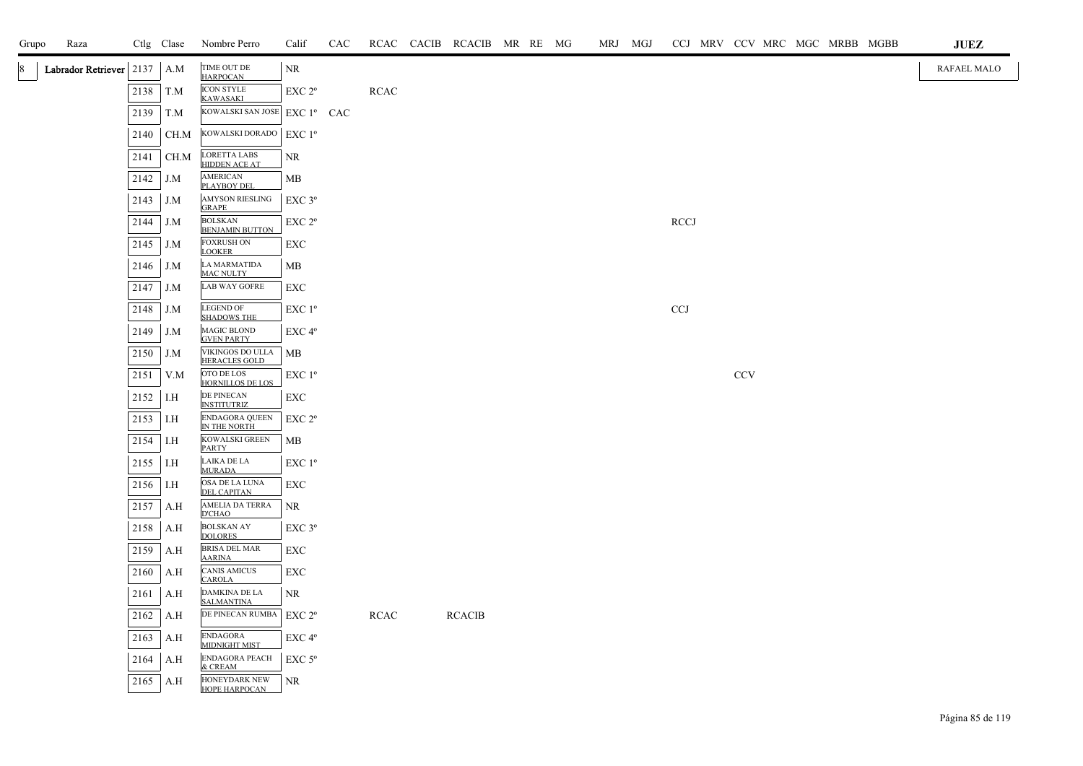| Grupo | Raza                      |      | Ctlg Clase | Nombre Perro                                | Calif                                        | CAC |             | RCAC CACIB RCACIB MR RE MG |  | MRJ MGJ |             |            |  | CCJ MRV CCV MRC MGC MRBB MGBB | $\mathbf{J}\mathbf{U}\mathbf{E}\mathbf{Z}$ |
|-------|---------------------------|------|------------|---------------------------------------------|----------------------------------------------|-----|-------------|----------------------------|--|---------|-------------|------------|--|-------------------------------|--------------------------------------------|
| 8     | Labrador Retriever   2137 |      | A.M        | TIME OUT DE<br><b>HARPOCAN</b>              | NR                                           |     |             |                            |  |         |             |            |  |                               | RAFAEL MALO                                |
|       |                           | 2138 | T.M        | <b>ICON STYLE</b><br><b>KAWASAKI</b>        | EXC 2 <sup>o</sup>                           |     | <b>RCAC</b> |                            |  |         |             |            |  |                               |                                            |
|       |                           | 2139 | T.M        | KOWALSKI SAN JOSE                           | $EXC1^{\circ}$ CAC                           |     |             |                            |  |         |             |            |  |                               |                                            |
|       |                           | 2140 | CH.M       | KOWALSKI DORADO                             | EXC 1 <sup>o</sup>                           |     |             |                            |  |         |             |            |  |                               |                                            |
|       |                           | 2141 | $\rm CH.M$ | <b>LORETTA LABS</b><br><b>HIDDEN ACE AT</b> | <b>NR</b>                                    |     |             |                            |  |         |             |            |  |                               |                                            |
|       |                           | 2142 | J.M        | <b>AMERICAN</b><br><b>PLAYBOY DEL</b>       | <b>MB</b>                                    |     |             |                            |  |         |             |            |  |                               |                                            |
|       |                           | 2143 | J.M        | <b>AMYSON RIESLING</b><br><b>GRAPE</b>      | EXC 3°                                       |     |             |                            |  |         |             |            |  |                               |                                            |
|       |                           | 2144 | J.M        | <b>BOLSKAN</b><br><b>BENJAMIN BUTTON</b>    | EXC 2 <sup>o</sup>                           |     |             |                            |  |         | <b>RCCJ</b> |            |  |                               |                                            |
|       |                           | 2145 | J.M        | <b>FOXRUSH ON</b><br><b>LOOKER</b>          | EXC                                          |     |             |                            |  |         |             |            |  |                               |                                            |
|       |                           | 2146 | J.M        | LA MARMATIDA<br>MAC NULTY                   | MB                                           |     |             |                            |  |         |             |            |  |                               |                                            |
|       |                           | 2147 | J.M        | ${\rm LAB}$ WAY GOFRE                       | EXC                                          |     |             |                            |  |         |             |            |  |                               |                                            |
|       |                           | 2148 | J.M        | <b>LEGEND OF</b><br><b>SHADOWS THE</b>      | EXC 1 <sup>o</sup>                           |     |             |                            |  |         | <b>CCJ</b>  |            |  |                               |                                            |
|       |                           | 2149 | J.M        | MAGIC BLOND<br><b>GVEN PARTY</b>            | EXC 4 <sup>o</sup>                           |     |             |                            |  |         |             |            |  |                               |                                            |
|       |                           | 2150 | J.M        | VIKINGOS DO ULLA<br><b>HERACLES GOLD</b>    | MB                                           |     |             |                            |  |         |             |            |  |                               |                                            |
|       |                           | 2151 | V.M        | $\,$ OTO DE LOS<br>HORNILLOS DE LOS         | $EXC1^{\circ}$                               |     |             |                            |  |         |             | <b>CCV</b> |  |                               |                                            |
|       |                           | 2152 | I.H        | DE PINECAN<br><b>INSTITUTRIZ</b>            | EXC                                          |     |             |                            |  |         |             |            |  |                               |                                            |
|       |                           | 2153 | I.H        | ENDAGORA QUEEN<br>IN THE NORTH              | EXC 2 <sup>o</sup>                           |     |             |                            |  |         |             |            |  |                               |                                            |
|       |                           | 2154 | I.H        | KOWALSKI GREEN<br><b>PARTY</b>              | MB                                           |     |             |                            |  |         |             |            |  |                               |                                            |
|       |                           | 2155 | I.H        | LAIKA DE LA<br><b>MURADA</b>                | EXC 1 <sup>o</sup>                           |     |             |                            |  |         |             |            |  |                               |                                            |
|       |                           | 2156 | I.H        | OSA DE LA LUNA<br><b>DEL CAPITAN</b>        | EXC                                          |     |             |                            |  |         |             |            |  |                               |                                            |
|       |                           | 2157 | A.H        | AMELIA DA TERRA<br><b>D'CHAO</b>            | <b>NR</b>                                    |     |             |                            |  |         |             |            |  |                               |                                            |
|       |                           | 2158 | A.H        | <b>BOLSKAN AY</b><br><b>DOLORES</b>         | $EXC$ $3^{\circ}$                            |     |             |                            |  |         |             |            |  |                               |                                            |
|       |                           | 2159 | A.H        | <b>BRISA DEL MAR</b><br><b>AARINA</b>       | EXC                                          |     |             |                            |  |         |             |            |  |                               |                                            |
|       |                           | 2160 | A.H        | <b>CANIS AMICUS</b><br><b>CAROLA</b>        | EXC                                          |     |             |                            |  |         |             |            |  |                               |                                            |
|       |                           | 2161 | A.H        | DAMKINA DE LA<br><b>SALMANTINA</b>          | NR                                           |     |             |                            |  |         |             |            |  |                               |                                            |
|       |                           | 2162 | A.H        | DE PINECAN RUMBA                            | EXC 2 <sup>o</sup>                           |     | <b>RCAC</b> | <b>RCACIB</b>              |  |         |             |            |  |                               |                                            |
|       |                           | 2163 | A.H        | <b>ENDAGORA</b><br><b>MIDNIGHT MIST</b>     | EXC 4°                                       |     |             |                            |  |         |             |            |  |                               |                                            |
|       |                           | 2164 | A.H        | <b>ENDAGORA PEACH</b><br>& CREAM            | $\ensuremath{\mathrm{EXC}}$ $5^{\mathrm{o}}$ |     |             |                            |  |         |             |            |  |                               |                                            |
|       |                           | 2165 | A.H        | HONEYDARK NEW<br>HOPE HARPOCAN              | NR                                           |     |             |                            |  |         |             |            |  |                               |                                            |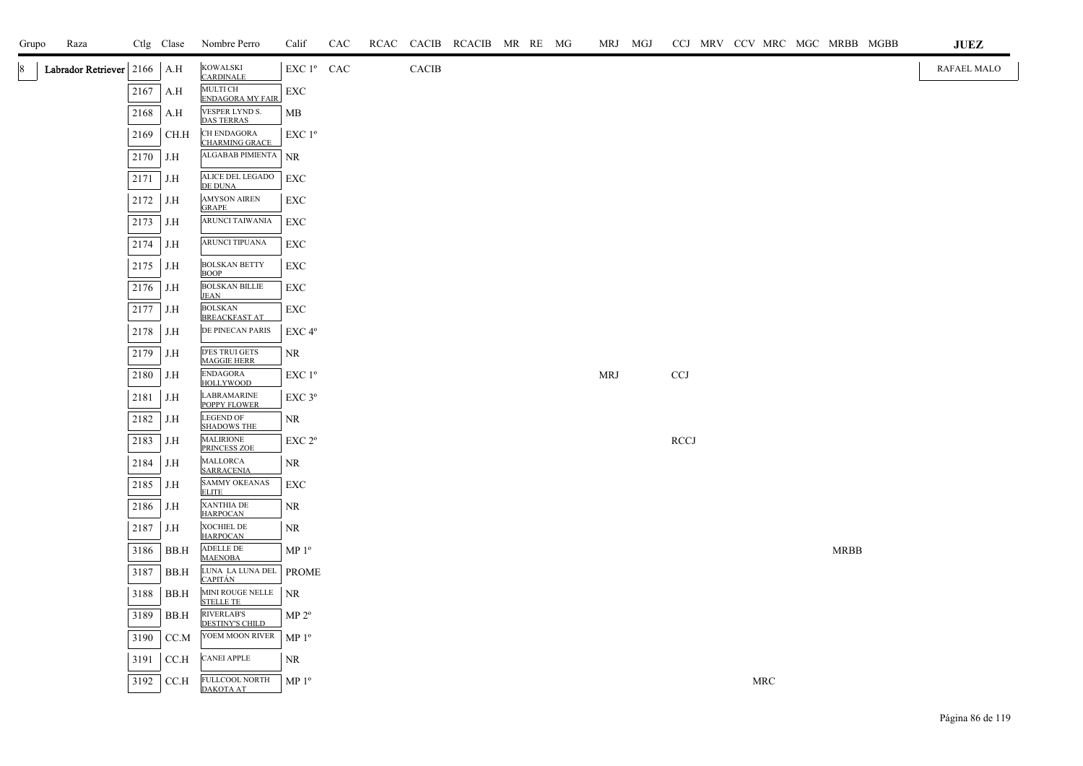| Raza<br>Grupo                 |      | Ctlg Clase | Nombre Perro                                | Calif              | CAC |       | RCAC CACIB RCACIB MR RE MG |  |     | MRJ MGJ |             |  |     | CCJ MRV CCV MRC MGC MRBB MGBB | <b>JUEZ</b> |
|-------------------------------|------|------------|---------------------------------------------|--------------------|-----|-------|----------------------------|--|-----|---------|-------------|--|-----|-------------------------------|-------------|
| Labrador Retriever 2166<br>18 |      | A.H        | <b>KOWALSKI</b><br><b>CARDINALE</b>         | EXC 1º CAC         |     | CACIB |                            |  |     |         |             |  |     |                               | RAFAEL MALO |
|                               | 2167 | A.H        | <b>MULTI CH</b><br><b>ENDAGORA MY FAIR</b>  | EXC                |     |       |                            |  |     |         |             |  |     |                               |             |
|                               | 2168 | A.H        | VESPER LYND S.<br><b>DAS TERRAS</b>         | MB                 |     |       |                            |  |     |         |             |  |     |                               |             |
|                               | 2169 | CH.H       | <b>CH ENDAGORA</b><br><b>CHARMING GRACE</b> | EXC 1 <sup>o</sup> |     |       |                            |  |     |         |             |  |     |                               |             |
|                               | 2170 | J.H        | ALGABAB PIMIENTA NR                         |                    |     |       |                            |  |     |         |             |  |     |                               |             |
|                               | 2171 | J.H        | ALICE DEL LEGADO<br>DE DUNA                 | EXC                |     |       |                            |  |     |         |             |  |     |                               |             |
|                               | 2172 | J.H        | AMYSON AIREN<br><b>GRAPE</b>                | EXC                |     |       |                            |  |     |         |             |  |     |                               |             |
|                               | 2173 | J.H        | <b>ARUNCI TAIWANIA</b>                      | EXC                |     |       |                            |  |     |         |             |  |     |                               |             |
|                               | 2174 | J.H        | ARUNCI TIPUANA                              | EXC                |     |       |                            |  |     |         |             |  |     |                               |             |
|                               | 2175 | J.H        | <b>BOLSKAN BETTY</b><br><b>BOOP</b>         | <b>EXC</b>         |     |       |                            |  |     |         |             |  |     |                               |             |
|                               | 2176 | J.H        | <b>BOLSKAN BILLIE</b><br><b>JEAN</b>        | EXC                |     |       |                            |  |     |         |             |  |     |                               |             |
|                               | 2177 | J.H        | <b>BOLSKAN</b><br><b>BREACKFAST AT</b>      | EXC                |     |       |                            |  |     |         |             |  |     |                               |             |
|                               | 2178 | J.H        | DE PINECAN PARIS                            | EXC <sub>4°</sub>  |     |       |                            |  |     |         |             |  |     |                               |             |
|                               | 2179 | J.H        | <b>D'ES TRUI GETS</b><br><b>MAGGIE HERR</b> | NR                 |     |       |                            |  |     |         |             |  |     |                               |             |
|                               | 2180 | J.H        | <b>ENDAGORA</b><br><b>HOLLYWOOD</b>         | EXC 1 <sup>o</sup> |     |       |                            |  | MRJ |         | <b>CCJ</b>  |  |     |                               |             |
|                               | 2181 | J.H        | <b>LABRAMARINE</b><br>POPPY FLOWER          | EXC <sub>3°</sub>  |     |       |                            |  |     |         |             |  |     |                               |             |
|                               | 2182 | J.H        | <b>LEGEND OF</b><br><b>SHADOWS THE</b>      | NR                 |     |       |                            |  |     |         |             |  |     |                               |             |
|                               | 2183 | J.H        | <b>MALIRIONE</b><br>PRINCESS ZOE            | EXC 2°             |     |       |                            |  |     |         | <b>RCCJ</b> |  |     |                               |             |
|                               | 2184 | J.H        | MALLORCA<br><b>SARRACENIA</b>               | NR                 |     |       |                            |  |     |         |             |  |     |                               |             |
|                               | 2185 | J.H        | <b>SAMMY OKEANAS</b><br><b>ELITE</b>        | EXC                |     |       |                            |  |     |         |             |  |     |                               |             |
|                               | 2186 | J.H        | <b>XANTHIA DE</b><br><b>HARPOCAN</b>        | NR.                |     |       |                            |  |     |         |             |  |     |                               |             |
|                               | 2187 | J.H        | <b>XOCHIEL DE</b><br><b>HARPOCAN</b>        | NR.                |     |       |                            |  |     |         |             |  |     |                               |             |
|                               | 3186 | BB.H       | ADELLE DE<br><b>MAENOBA</b>                 | $MP 1^{\circ}$     |     |       |                            |  |     |         |             |  |     | <b>MRBB</b>                   |             |
|                               | 3187 | BB.H       | LUNA LA LUNA DEL<br><b>CAPITÁN</b>          | <b>PROME</b>       |     |       |                            |  |     |         |             |  |     |                               |             |
|                               | 3188 | BB.H       | MINI ROUGE NELLE<br><b>STELLE TE</b>        | <b>NR</b>          |     |       |                            |  |     |         |             |  |     |                               |             |
|                               | 3189 | BB.H       | <b>RIVERLAB'S</b><br><b>DESTINY'S CHILD</b> | $MP 2^{\circ}$     |     |       |                            |  |     |         |             |  |     |                               |             |
|                               | 3190 | CC.M       | YOEM MOON RIVER                             | $MP 1^{\circ}$     |     |       |                            |  |     |         |             |  |     |                               |             |
|                               | 3191 | CCA        | <b>CANEI APPLE</b>                          | NR.                |     |       |                            |  |     |         |             |  |     |                               |             |
|                               | 3192 | CCA        | FULLCOOL NORTH<br>DAKOTA AT                 | $MP 1^{\circ}$     |     |       |                            |  |     |         |             |  | MRC |                               |             |
|                               |      |            |                                             |                    |     |       |                            |  |     |         |             |  |     |                               |             |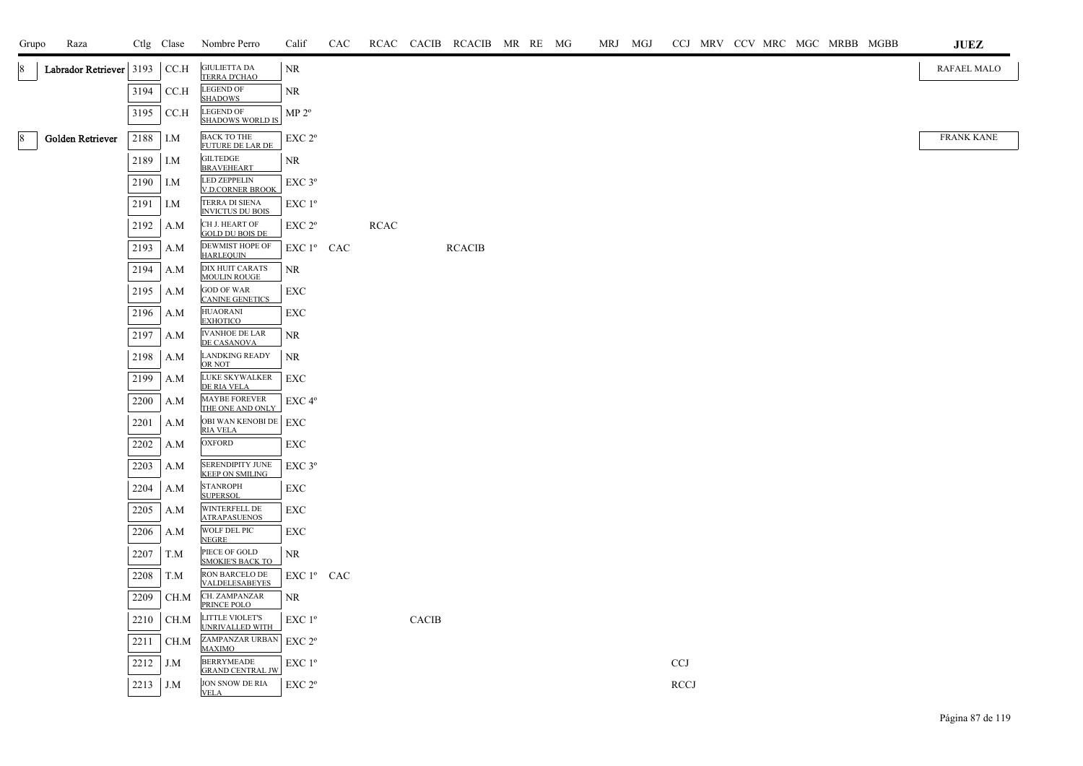| Grupo | Raza                    |              | Ctlg Clase | Nombre Perro                                                    | Calif                  | CAC |             |              | RCAC CACIB RCACIB MR RE MG |  |  | MRJ MGJ |             |  | CCJ MRV CCV MRC MGC MRBB MGBB |  | <b>JUEZ</b>       |
|-------|-------------------------|--------------|------------|-----------------------------------------------------------------|------------------------|-----|-------------|--------------|----------------------------|--|--|---------|-------------|--|-------------------------------|--|-------------------|
| 18    | Labrador Retriever 3193 |              | CC.H       | <b>GIULIETTA DA</b><br>TERRA D'CHAO                             | NR                     |     |             |              |                            |  |  |         |             |  |                               |  | RAFAEL MALO       |
|       |                         | 3194         | CC.H       | <b>LEGEND OF</b><br><b>SHADOWS</b>                              | <b>NR</b>              |     |             |              |                            |  |  |         |             |  |                               |  |                   |
|       |                         | 3195         | CCA        | <b>LEGEND OF</b><br><b>SHADOWS WORLD IS</b>                     | $MP 2^{\circ}$         |     |             |              |                            |  |  |         |             |  |                               |  |                   |
| 8     | Golden Retriever        | 2188         | I.M        | <b>BACK TO THE</b><br><b>FUTURE DE LAR DE</b>                   | EXC 2°                 |     |             |              |                            |  |  |         |             |  |                               |  | <b>FRANK KANE</b> |
|       |                         | 2189         | I.M        | <b>GILTEDGE</b><br><b>BRAVEHEART</b>                            | <b>NR</b>              |     |             |              |                            |  |  |         |             |  |                               |  |                   |
|       |                         | 2190         | I.M        | <b>LED ZEPPELIN</b><br><b>V.D.CORNER BROOK</b>                  | EXC 3°                 |     |             |              |                            |  |  |         |             |  |                               |  |                   |
|       |                         | 2191         | I.M        | TERRA DI SIENA<br><b>INVICTUS DU BOIS</b>                       | EXC 1 <sup>o</sup>     |     |             |              |                            |  |  |         |             |  |                               |  |                   |
|       |                         | 2192         | A.M        | CH J. HEART OF<br><b>GOLD DU BOIS DE</b>                        | EXC <sub>2°</sub>      |     | <b>RCAC</b> |              |                            |  |  |         |             |  |                               |  |                   |
|       |                         | 2193         | A.M        | DEWMIST HOPE OF<br><b>HARLEQUIN</b>                             | EXC 1º CAC             |     |             |              | <b>RCACIB</b>              |  |  |         |             |  |                               |  |                   |
|       |                         | 2194         | A.M        | DIX HUIT CARATS<br><b>MOULIN ROUGE</b>                          | <b>NR</b>              |     |             |              |                            |  |  |         |             |  |                               |  |                   |
|       |                         | 2195         | A.M        | <b>GOD OF WAR</b><br><b>CANINE GENETICS</b>                     | EXC                    |     |             |              |                            |  |  |         |             |  |                               |  |                   |
|       |                         | 2196         | A.M        | <b>HUAORANI</b><br><b>EXHOTICO</b>                              | ${\rm EXC}$            |     |             |              |                            |  |  |         |             |  |                               |  |                   |
|       |                         | 2197         | A.M        | <b>IVANHOE DE LAR</b><br><b>DE CASANOVA</b>                     | NR                     |     |             |              |                            |  |  |         |             |  |                               |  |                   |
|       |                         | 2198         | A.M        | <b>LANDKING READY</b><br>OR NOT<br>LUKE SKYWALKER               | <b>NR</b>              |     |             |              |                            |  |  |         |             |  |                               |  |                   |
|       |                         | 2199         | A.M        | DE RIA VELA<br><b>MAYBE FOREVER</b>                             | EXC                    |     |             |              |                            |  |  |         |             |  |                               |  |                   |
|       |                         | 2200         | A.M<br>A.M | THE ONE AND ONLY<br>OBI WAN KENOBI DE   EXC                     | EXC 4 <sup>o</sup>     |     |             |              |                            |  |  |         |             |  |                               |  |                   |
|       |                         | 2201<br>2202 | A.M        | <b>RIA VELA</b><br><b>OXFORD</b>                                | EXC                    |     |             |              |                            |  |  |         |             |  |                               |  |                   |
|       |                         | 2203         | A.M        | SERENDIPITY JUNE                                                | EXC 3°                 |     |             |              |                            |  |  |         |             |  |                               |  |                   |
|       |                         | 2204         | A.M        | <b>KEEP ON SMILING</b><br><b>STANROPH</b>                       | EXC                    |     |             |              |                            |  |  |         |             |  |                               |  |                   |
|       |                         | 2205         | A.M        | <b>SUPERSOL</b><br>WINTERFELL DE                                | <b>EXC</b>             |     |             |              |                            |  |  |         |             |  |                               |  |                   |
|       |                         | 2206         | A.M        | <b>ATRAPASUENOS</b><br>WOLF DEL PIC                             | EXC                    |     |             |              |                            |  |  |         |             |  |                               |  |                   |
|       |                         | 2207         | T.M        | <b>NEGRE</b><br>PIECE OF GOLD                                   | NR                     |     |             |              |                            |  |  |         |             |  |                               |  |                   |
|       |                         | 2208         | T.M        | <b>SMOKIE'S BACK TO</b><br>RON BARCELO DE                       | EXC 1 <sup>°</sup> CAC |     |             |              |                            |  |  |         |             |  |                               |  |                   |
|       |                         | 2209         | CH.M       | <b>VALDELESABEYES</b><br>CH. ZAMPANZAR                          | <b>NR</b>              |     |             |              |                            |  |  |         |             |  |                               |  |                   |
|       |                         | 2210         | CH.M       | PRINCE POLO<br><b>LITTLE VIOLET'S</b><br><b>UNRIVALLED WITH</b> | EXC 1 <sup>o</sup>     |     |             | <b>CACIB</b> |                            |  |  |         |             |  |                               |  |                   |
|       |                         | 2211         | CH.M       | ZAMPANZAR URBAN<br><b>MAXIMO</b>                                | EXC 2 <sup>o</sup>     |     |             |              |                            |  |  |         |             |  |                               |  |                   |
|       |                         | 2212         | J.M        | <b>BERRYMEADE</b><br><b>GRAND CENTRAL JW</b>                    | EXC 1°                 |     |             |              |                            |  |  |         | <b>CCJ</b>  |  |                               |  |                   |
|       |                         | 2213         | J.M        | <b>JON SNOW DE RIA</b><br><b>VELA</b>                           | EXC 2 <sup>o</sup>     |     |             |              |                            |  |  |         | <b>RCCJ</b> |  |                               |  |                   |
|       |                         |              |            |                                                                 |                        |     |             |              |                            |  |  |         |             |  |                               |  |                   |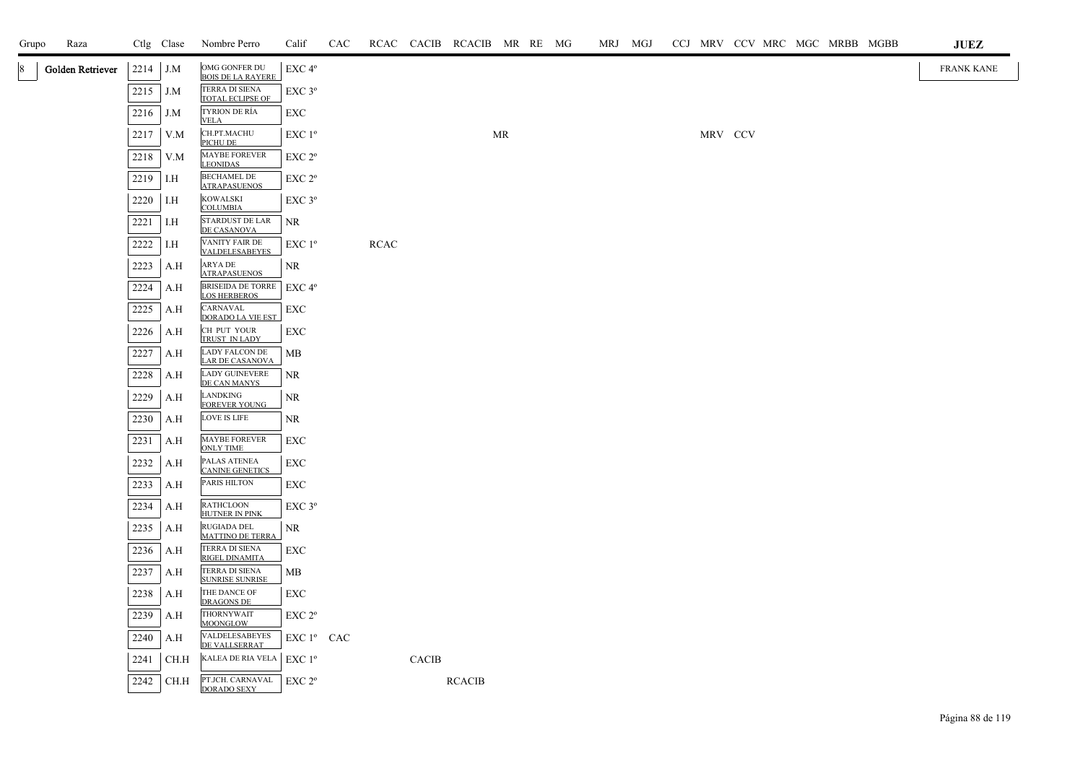| Grupo | Raza             |              | Ctlg Clase | Nombre Perro                                           | Calif              | CAC |      |              | RCAC CACIB RCACIB MR RE MG |    |  | MRJ MGJ |  |         |  |  | CCJ MRV CCV MRC MGC MRBB MGBB | <b>JUEZ</b>       |
|-------|------------------|--------------|------------|--------------------------------------------------------|--------------------|-----|------|--------------|----------------------------|----|--|---------|--|---------|--|--|-------------------------------|-------------------|
|       | Golden Retriever | 2214         | J.M        | OMG GONFER DU<br><b>BOIS DE LA RAYERE</b>              | EXC 4°             |     |      |              |                            |    |  |         |  |         |  |  |                               | <b>FRANK KANE</b> |
|       |                  | 2215         | J.M        | TERRA DI SIENA<br>TOTAL ECLIPSE OF                     | EXC 3°             |     |      |              |                            |    |  |         |  |         |  |  |                               |                   |
|       |                  | 2216         | J.M        | TYRION DE RÍA<br><b>VELA</b>                           | EXC                |     |      |              |                            |    |  |         |  |         |  |  |                               |                   |
|       |                  | 2217         | V.M        | CH.PT.MACHU<br>PICHU DE                                | EXC 1 <sup>o</sup> |     |      |              |                            | MR |  |         |  | MRV CCV |  |  |                               |                   |
|       |                  | 2218         | V.M        | MAYBE FOREVER<br><b>LEONIDAS</b>                       | $EXC 2^{\circ}$    |     |      |              |                            |    |  |         |  |         |  |  |                               |                   |
|       |                  | 2219         | I.H        | <b>BECHAMEL DE</b><br><b>ATRAPASUENOS</b>              | $EXC 2^{\circ}$    |     |      |              |                            |    |  |         |  |         |  |  |                               |                   |
|       |                  | 2220         | I.H        | <b>KOWALSKI</b><br><b>COLUMBIA</b>                     | $EXC$ $3^{\circ}$  |     |      |              |                            |    |  |         |  |         |  |  |                               |                   |
|       |                  | 2221         | I.H        | STARDUST DE LAR<br>DE CASANOVA                         | <b>NR</b>          |     |      |              |                            |    |  |         |  |         |  |  |                               |                   |
|       |                  | 2222         | I.H        | VANITY FAIR DE<br><b>VALDELESABEYES</b>                | EXC 1 <sup>o</sup> |     | RCAC |              |                            |    |  |         |  |         |  |  |                               |                   |
|       |                  | 2223         | A.H        | ARYA DE<br><b>ATRAPASUENOS</b>                         | NR                 |     |      |              |                            |    |  |         |  |         |  |  |                               |                   |
|       |                  | 2224         | A.H        | BRISEIDA DE TORRE   EXC 4°<br><b>LOS HERBEROS</b>      |                    |     |      |              |                            |    |  |         |  |         |  |  |                               |                   |
|       |                  | 2225         | A.H        | CARNAVAL<br><b>DORADO LA VIE EST</b>                   | <b>EXC</b>         |     |      |              |                            |    |  |         |  |         |  |  |                               |                   |
|       |                  | 2226         | A.H        | CH PUT YOUR<br>TRUST IN LADY                           | EXC                |     |      |              |                            |    |  |         |  |         |  |  |                               |                   |
|       |                  | 2227         | A.H        | LADY FALCON DE<br><b>LAR DE CASANOVA</b>               | MB                 |     |      |              |                            |    |  |         |  |         |  |  |                               |                   |
|       |                  | 2228         | A.H        | LADY GUINEVERE<br>DE CAN MANYS                         | <b>NR</b>          |     |      |              |                            |    |  |         |  |         |  |  |                               |                   |
|       |                  | 2229         | A.H        | LANDKING<br><b>FOREVER YOUNG</b>                       | <b>NR</b>          |     |      |              |                            |    |  |         |  |         |  |  |                               |                   |
|       |                  | 2230         | A.H        | LOVE IS LIFE                                           | NR.                |     |      |              |                            |    |  |         |  |         |  |  |                               |                   |
|       |                  | 2231         | A.H        | <b>MAYBE FOREVER</b><br><b>ONLY TIME</b>               | EXC                |     |      |              |                            |    |  |         |  |         |  |  |                               |                   |
|       |                  | 2232         | A.H        | PALAS ATENEA<br><b>CANINE GENETICS</b><br>PARIS HILTON | <b>EXC</b>         |     |      |              |                            |    |  |         |  |         |  |  |                               |                   |
|       |                  | 2233<br>2234 | A.H        | <b>RATHCLOON</b>                                       | EXC<br>EXC 3°      |     |      |              |                            |    |  |         |  |         |  |  |                               |                   |
|       |                  |              | A.H<br>A.H | <b>HUTNER IN PINK</b><br>RUGIADA DEL                   | NR.                |     |      |              |                            |    |  |         |  |         |  |  |                               |                   |
|       |                  | 2235<br>2236 | A.H        | <b>MATTINO DE TERRA</b><br>TERRA DI SIENA              | <b>EXC</b>         |     |      |              |                            |    |  |         |  |         |  |  |                               |                   |
|       |                  | 2237         | A.H        | RIGEL DINAMITA<br>TERRA DI SIENA                       | MB                 |     |      |              |                            |    |  |         |  |         |  |  |                               |                   |
|       |                  | 2238         | A.H        | <b>SUNRISE SUNRISE</b><br>THE DANCE OF                 | <b>EXC</b>         |     |      |              |                            |    |  |         |  |         |  |  |                               |                   |
|       |                  | 2239         | A.H        | <b>DRAGONS DE</b><br>THORNYWAIT                        | $EXC 2^{\circ}$    |     |      |              |                            |    |  |         |  |         |  |  |                               |                   |
|       |                  | 2240         | A.H        | <b>MOONGLOW</b><br>VALDELESABEYES                      | EXC 1º CAC         |     |      |              |                            |    |  |         |  |         |  |  |                               |                   |
|       |                  | 2241         | CH.H       | DE VALLSERRAT<br>KALEA DE RIA VELA                     | EXC1 <sup>o</sup>  |     |      | <b>CACIB</b> |                            |    |  |         |  |         |  |  |                               |                   |
|       |                  | 2242         | CH.H       | PT.JCH. CARNAVAL<br><b>DORADO SEXY</b>                 | EXC 2 <sup>o</sup> |     |      |              | <b>RCACIB</b>              |    |  |         |  |         |  |  |                               |                   |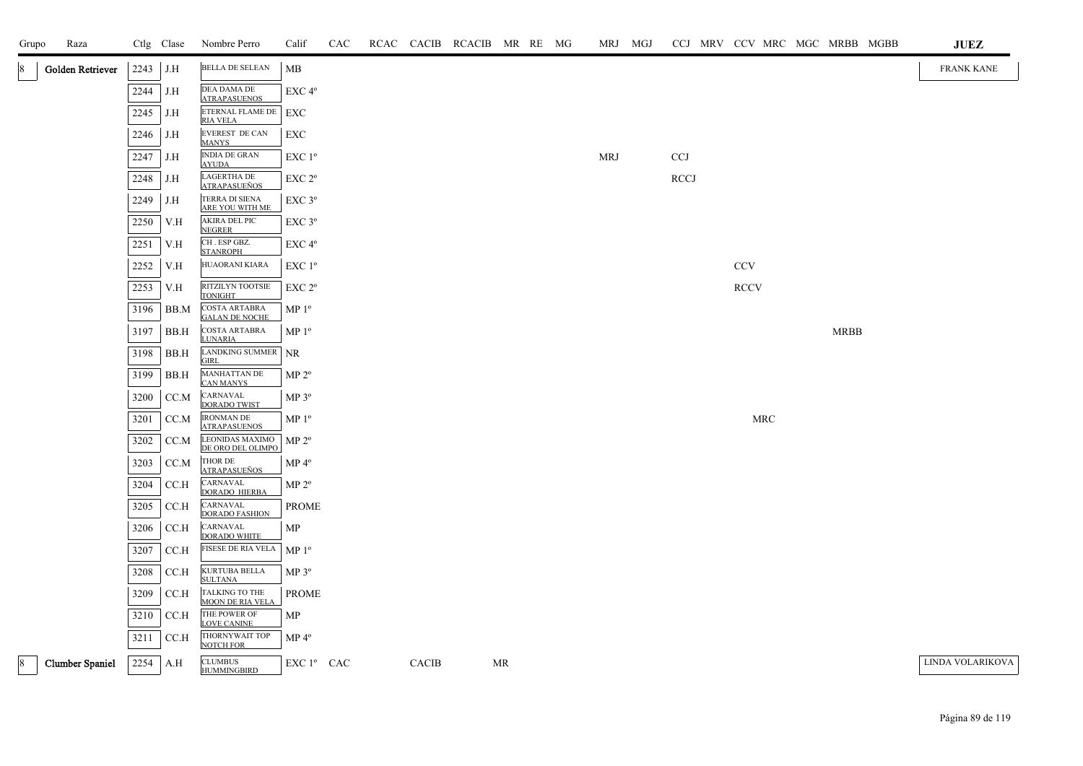| Grupo       | Raza                   |      | Ctlg Clase | Nombre Perro                                  | Calif              | CAC |              | RCAC CACIB RCACIB MR RE MG |    |  | MRJ MGJ    |             |             |            |  |             | CCJ MRV CCV MRC MGC MRBB MGBB | <b>JUEZ</b>       |
|-------------|------------------------|------|------------|-----------------------------------------------|--------------------|-----|--------------|----------------------------|----|--|------------|-------------|-------------|------------|--|-------------|-------------------------------|-------------------|
| 18          | Golden Retriever       | 2243 | J.H        | <b>BELLA DE SELEAN</b>                        | MB                 |     |              |                            |    |  |            |             |             |            |  |             |                               | <b>FRANK KANE</b> |
|             |                        | 2244 | J.H        | DEA DAMA DE<br><b>ATRAPASUENOS</b>            | EXC 4°             |     |              |                            |    |  |            |             |             |            |  |             |                               |                   |
|             |                        | 2245 | J.H        | ETERNAL FLAME DE<br><b>RIA VELA</b>           | EXC                |     |              |                            |    |  |            |             |             |            |  |             |                               |                   |
|             |                        | 2246 | J.H        | EVEREST DE CAN<br><b>MANYS</b>                | <b>EXC</b>         |     |              |                            |    |  |            |             |             |            |  |             |                               |                   |
|             |                        | 2247 | J.H        | <b>INDIA DE GRAN</b><br><b>AYUDA</b>          | EXC 1 <sup>o</sup> |     |              |                            |    |  | <b>MRJ</b> | <b>CCJ</b>  |             |            |  |             |                               |                   |
|             |                        | 2248 | J.H        | <b>LAGERTHA DE</b><br><b>ATRAPASUEÑOS</b>     | EXC 2 <sup>o</sup> |     |              |                            |    |  |            | <b>RCCJ</b> |             |            |  |             |                               |                   |
|             |                        | 2249 | J.H        | TERRA DI SIENA<br>ARE YOU WITH ME             | EXC 3°             |     |              |                            |    |  |            |             |             |            |  |             |                               |                   |
|             |                        | 2250 | V.H        | <b>AKIRA DEL PIC</b><br><b>NEGRER</b>         | EXC 3°             |     |              |                            |    |  |            |             |             |            |  |             |                               |                   |
|             |                        | 2251 | V.H        | CH. ESP GBZ.<br><b>STANROPH</b>               | EXC 4°             |     |              |                            |    |  |            |             |             |            |  |             |                               |                   |
|             |                        | 2252 | V.H        | HUAORANI KIARA                                | EXC 1 <sup>o</sup> |     |              |                            |    |  |            |             | <b>CCV</b>  |            |  |             |                               |                   |
|             |                        | 2253 | V.H        | RITZILYN TOOTSIE<br><b>TONIGHT</b>            | $EXC 2^{\circ}$    |     |              |                            |    |  |            |             | <b>RCCV</b> |            |  |             |                               |                   |
|             |                        | 3196 | BB.M       | <b>COSTA ARTABRA</b><br><b>GALAN DE NOCHE</b> | $MP 1^{\circ}$     |     |              |                            |    |  |            |             |             |            |  |             |                               |                   |
|             |                        | 3197 | BB.H       | COSTA ARTABRA<br><b>LUNARIA</b>               | MP <sup>0</sup>    |     |              |                            |    |  |            |             |             |            |  | <b>MRBB</b> |                               |                   |
|             |                        | 3198 | BB.H       | LANDKING SUMMER<br><b>GIRL</b>                | <b>NR</b>          |     |              |                            |    |  |            |             |             |            |  |             |                               |                   |
|             |                        | 3199 | BB.H       | MANHATTAN DE<br><b>CAN MANYS</b>              | $MP 2^{\circ}$     |     |              |                            |    |  |            |             |             |            |  |             |                               |                   |
|             |                        | 3200 | CC.M       | CARNAVAL<br><b>DORADO TWIST</b>               | MP 3°              |     |              |                            |    |  |            |             |             |            |  |             |                               |                   |
|             |                        | 3201 | CC.M       | <b>IRONMAN DE</b><br><b>ATRAPASUENOS</b>      | MP <sup>0</sup>    |     |              |                            |    |  |            |             |             | <b>MRC</b> |  |             |                               |                   |
|             |                        | 3202 | CC.M       | LEONIDAS MAXIMO<br>DE ORO DEL OLIMPO          | MP 2 <sup>o</sup>  |     |              |                            |    |  |            |             |             |            |  |             |                               |                   |
|             |                        | 3203 | CC.M       | THOR DE<br><b>ATRAPASUEÑOS</b>                | $MP 4^{\circ}$     |     |              |                            |    |  |            |             |             |            |  |             |                               |                   |
|             |                        | 3204 | CC.H       | CARNAVAL<br><b>DORADO HIERBA</b>              | MP 2 <sup>o</sup>  |     |              |                            |    |  |            |             |             |            |  |             |                               |                   |
|             |                        | 3205 | CC.H       | CARNAVAL<br><b>DORADO FASHION</b>             | <b>PROME</b>       |     |              |                            |    |  |            |             |             |            |  |             |                               |                   |
|             |                        | 3206 | CC.H       | CARNAVAL<br><b>DORADO WHITE</b>               | MP                 |     |              |                            |    |  |            |             |             |            |  |             |                               |                   |
|             |                        | 3207 | CC.H       | FISESE DE RIA VELA                            | MP <sup>0</sup>    |     |              |                            |    |  |            |             |             |            |  |             |                               |                   |
|             |                        | 3208 | CC.H       | KURTUBA BELLA<br><b>SULTANA</b>               | $MP 3^{\circ}$     |     |              |                            |    |  |            |             |             |            |  |             |                               |                   |
|             |                        | 3209 | CC.H       | TALKING TO THE<br><b>MOON DE RIA VELA</b>     | <b>PROME</b>       |     |              |                            |    |  |            |             |             |            |  |             |                               |                   |
|             |                        | 3210 | CC.H       | THE POWER OF<br><b>LOVE CANINE</b>            | MP                 |     |              |                            |    |  |            |             |             |            |  |             |                               |                   |
|             |                        | 3211 | CC.H       | THORNYWAIT TOP<br><b>NOTCH FOR</b>            | MP 4 <sup>°</sup>  |     |              |                            |    |  |            |             |             |            |  |             |                               |                   |
| $ 8\rangle$ | <b>Clumber Spaniel</b> | 2254 | A.H        | <b>CLUMBUS</b><br><b>HUMMINGBIRD</b>          | EXC 1º CAC         |     | <b>CACIB</b> |                            | MR |  |            |             |             |            |  |             |                               | LINDA VOLARIKOVA  |

## Página 89 de 119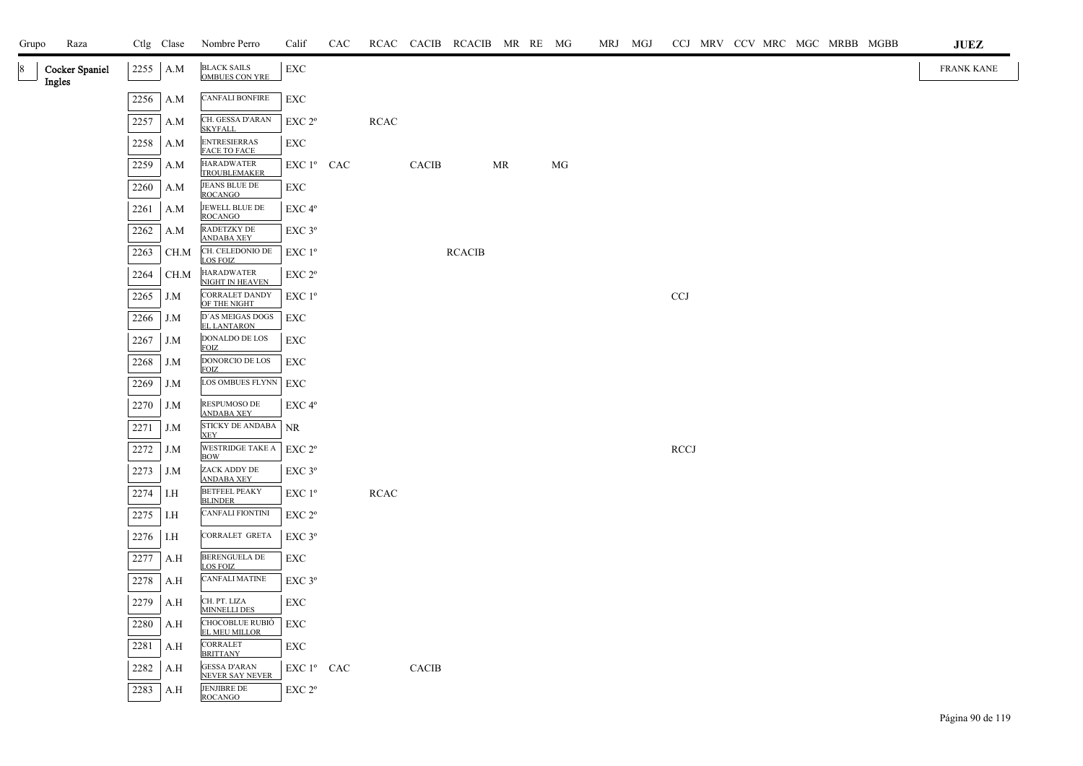| Grupo        | Raza                  |      | Ctlg Clase | Nombre Perro                                  | Calif              | CAC |             |              | RCAC CACIB RCACIB MR RE MG |           |    | MRJ MGJ |             |  |  | CCJ MRV CCV MRC MGC MRBB MGBB | $\mathbf{JUEZ}$   |
|--------------|-----------------------|------|------------|-----------------------------------------------|--------------------|-----|-------------|--------------|----------------------------|-----------|----|---------|-------------|--|--|-------------------------------|-------------------|
| 18<br>Ingles | <b>Cocker Spaniel</b> | 2255 | A.M        | BLACK SAILS<br>OMBUES CON YRE                 | EXC                |     |             |              |                            |           |    |         |             |  |  |                               | <b>FRANK KANE</b> |
|              |                       | 2256 | A.M        | <b>CANFALI BONFIRE</b>                        | EXC                |     |             |              |                            |           |    |         |             |  |  |                               |                   |
|              |                       | 2257 | A.M        | CH. GESSA D'ARAN<br><b>SKYFALL</b>            | EXC 2 <sup>o</sup> |     | <b>RCAC</b> |              |                            |           |    |         |             |  |  |                               |                   |
|              |                       | 2258 | A.M        | <b>ENTRESIERRAS</b><br><b>FACE TO FACE</b>    | EXC                |     |             |              |                            |           |    |         |             |  |  |                               |                   |
|              |                       | 2259 | A.M        | <b>HARADWATER</b><br><b>TROUBLEMAKER</b>      | EXC 1º CAC         |     |             | <b>CACIB</b> |                            | <b>MR</b> | MG |         |             |  |  |                               |                   |
|              |                       | 2260 | A.M        | JEANS BLUE DE<br><b>ROCANGO</b>               | EXC                |     |             |              |                            |           |    |         |             |  |  |                               |                   |
|              |                       | 2261 | A.M        | JEWELL BLUE DE<br><b>ROCANGO</b>              | EXC 4 <sup>o</sup> |     |             |              |                            |           |    |         |             |  |  |                               |                   |
|              |                       | 2262 | A.M        | RADETZKY DE<br><b>ANDABA XEY</b>              | $EXC$ 3 $^{\circ}$ |     |             |              |                            |           |    |         |             |  |  |                               |                   |
|              |                       | 2263 | CH.M       | CH. CELEDONIO DE<br>LOS FOIZ                  | EXC 1 <sup>o</sup> |     |             |              | <b>RCACIB</b>              |           |    |         |             |  |  |                               |                   |
|              |                       | 2264 | CH.M       | <b>HARADWATER</b><br>NIGHT IN HEAVEN          | EXC 2°             |     |             |              |                            |           |    |         |             |  |  |                               |                   |
|              |                       | 2265 | J.M        | CORRALET DANDY<br>OF THE NIGHT                | EXC 1 <sup>o</sup> |     |             |              |                            |           |    |         | <b>CCJ</b>  |  |  |                               |                   |
|              |                       | 2266 | J.M        | D'AS MEIGAS DOGS<br>EL LANTARON               | EXC                |     |             |              |                            |           |    |         |             |  |  |                               |                   |
|              |                       | 2267 | J.M        | DONALDO DE LOS<br><b>FOIZ</b>                 | EXC                |     |             |              |                            |           |    |         |             |  |  |                               |                   |
|              |                       | 2268 | J.M        | DONORCIO DE LOS<br><b>FOIZ</b>                | EXC                |     |             |              |                            |           |    |         |             |  |  |                               |                   |
|              |                       | 2269 | J.M        | LOS OMBUES FLYNN                              | EXC                |     |             |              |                            |           |    |         |             |  |  |                               |                   |
|              |                       | 2270 | J.M        | RESPUMOSO DE<br><b>ANDABA XEY</b>             | EXC 4 <sup>o</sup> |     |             |              |                            |           |    |         |             |  |  |                               |                   |
|              |                       | 2271 | J.M        | STICKY DE ANDABA<br><b>XEY</b>                | <b>NR</b>          |     |             |              |                            |           |    |         |             |  |  |                               |                   |
|              |                       | 2272 | J.M        | WESTRIDGE TAKE A<br><b>BOW</b>                | EXC 2 <sup>o</sup> |     |             |              |                            |           |    |         | <b>RCCJ</b> |  |  |                               |                   |
|              |                       | 2273 | J.M        | ZACK ADDY DE<br><b>ANDABA XEY</b>             | $EXC$ $3^{\circ}$  |     |             |              |                            |           |    |         |             |  |  |                               |                   |
|              |                       | 2274 | I.H        | <b>BETFEEL PEAKY</b><br><b>BLINDER</b>        | $EXC1^{\circ}$     |     | <b>RCAC</b> |              |                            |           |    |         |             |  |  |                               |                   |
|              |                       | 2275 | I.H        | <b>CANFALI FIONTINI</b>                       | EXC 2 <sup>o</sup> |     |             |              |                            |           |    |         |             |  |  |                               |                   |
|              |                       | 2276 | I.H        | CORRALET GRETA                                | $EXC$ $3^{\circ}$  |     |             |              |                            |           |    |         |             |  |  |                               |                   |
|              |                       | 2277 | A.H        | BERENGUELA DE<br>LOS FOIZ                     | EXC                |     |             |              |                            |           |    |         |             |  |  |                               |                   |
|              |                       | 2278 | A.H        | <b>CANFALI MATINE</b>                         | $EXC$ $3^{\circ}$  |     |             |              |                            |           |    |         |             |  |  |                               |                   |
|              |                       | 2279 | A.H        | CH. PT. LIZA<br><b>MINNELLI DES</b>           | EXC                |     |             |              |                            |           |    |         |             |  |  |                               |                   |
|              |                       | 2280 | A.H        | CHOCOBLUE RUBIÓ<br><b>EL MEU MILLOR</b>       | EXC                |     |             |              |                            |           |    |         |             |  |  |                               |                   |
|              |                       | 2281 | A.H        | CORRALET<br><b>BRITTANY</b>                   | EXC                |     |             |              |                            |           |    |         |             |  |  |                               |                   |
|              |                       | 2282 | A.H        | <b>GESSA D'ARAN</b><br><b>NEVER SAY NEVER</b> | EXC 1º CAC         |     |             | CACIB        |                            |           |    |         |             |  |  |                               |                   |
|              |                       | 2283 | A.H        | <b>JENJIBRE DE</b><br><b>ROCANGO</b>          | EXC 2 <sup>o</sup> |     |             |              |                            |           |    |         |             |  |  |                               |                   |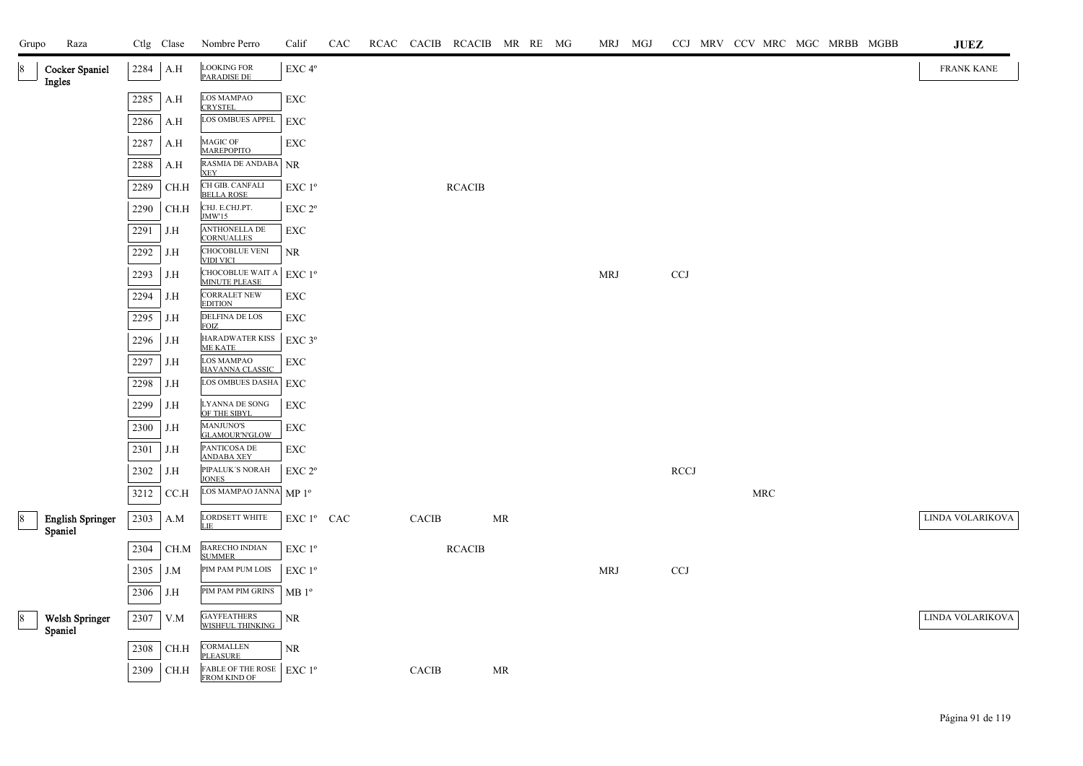| Grupo          | Raza                               |          | Ctlg Clase            | Nombre Perro                                                    | Calif                                           | CAC |              | RCAC CACIB RCACIB MR RE MG |    |  | MRJ MGJ    |                           |  |            | CCJ MRV CCV MRC MGC MRBB MGBB | ${\bf JUEZ}$     |
|----------------|------------------------------------|----------|-----------------------|-----------------------------------------------------------------|-------------------------------------------------|-----|--------------|----------------------------|----|--|------------|---------------------------|--|------------|-------------------------------|------------------|
| 8              | <b>Cocker Spaniel</b><br>Ingles    | 2284 A.H |                       | <b>LOOKING FOR</b><br><b>PARADISE DE</b>                        | EXC 4°                                          |     |              |                            |    |  |            |                           |  |            |                               | FRANK KANE       |
|                |                                    | 2285     | A.H                   | LOS MAMPAO<br><b>CRYSTEL</b>                                    | <b>EXC</b>                                      |     |              |                            |    |  |            |                           |  |            |                               |                  |
|                |                                    | 2286     | A.H                   | LOS OMBUES APPEL                                                | EXC                                             |     |              |                            |    |  |            |                           |  |            |                               |                  |
|                |                                    | 2287     | A.H                   | MAGIC OF<br><b>MAREPOPITO</b>                                   | EXC                                             |     |              |                            |    |  |            |                           |  |            |                               |                  |
|                |                                    | 2288     | A.H                   | RASMIA DE ANDABA<br><b>XEY</b>                                  | NR                                              |     |              |                            |    |  |            |                           |  |            |                               |                  |
|                |                                    | 2289     | CH.H                  | CH GIB. CANFALI<br><b>BELLA ROSE</b>                            | EXC 1 <sup>o</sup>                              |     |              | <b>RCACIB</b>              |    |  |            |                           |  |            |                               |                  |
|                |                                    | 2290     | $\operatorname{CH.H}$ | CHJ. E.CHJ.PT.<br>JMW'15                                        | EXC 2 <sup>o</sup>                              |     |              |                            |    |  |            |                           |  |            |                               |                  |
|                |                                    | 2291     | J.H                   | ANTHONELLA DE<br>CORNUALLES                                     | EXC                                             |     |              |                            |    |  |            |                           |  |            |                               |                  |
|                |                                    | 2292     | J.H                   | CHOCOBLUE VENI<br><b>VIDI VICI</b>                              | NR                                              |     |              |                            |    |  |            |                           |  |            |                               |                  |
|                |                                    | 2293     | J.H                   | CHOCOBLUE WAIT A<br><b>MINUTE PLEASE</b>                        | $\ensuremath{\mathrm{EXC}}$<br>$1^{\mathrm{o}}$ |     |              |                            |    |  | <b>MRJ</b> | $\ensuremath{\text{CCJ}}$ |  |            |                               |                  |
|                |                                    | 2294     | J.H                   | <b>CORRALET NEW</b><br><b>EDITION</b>                           | EXC                                             |     |              |                            |    |  |            |                           |  |            |                               |                  |
|                |                                    | 2295     | J.H                   | <b>DELFINA DE LOS</b><br><b>FOIZ</b>                            | <b>EXC</b>                                      |     |              |                            |    |  |            |                           |  |            |                               |                  |
|                |                                    | 2296     | J.H                   | HARADWATER KISS<br><b>ME KATE</b>                               | EXC 3°                                          |     |              |                            |    |  |            |                           |  |            |                               |                  |
|                |                                    | 2297     | J.H                   | LOS MAMPAO<br>HAVANNA CLASSIC                                   | EXC                                             |     |              |                            |    |  |            |                           |  |            |                               |                  |
|                |                                    | 2298     | J.H                   | LOS OMBUES DASHA                                                | EXC                                             |     |              |                            |    |  |            |                           |  |            |                               |                  |
|                |                                    | 2299     | J.H                   | LYANNA DE SONG<br>OF THE SIBYL                                  | <b>EXC</b>                                      |     |              |                            |    |  |            |                           |  |            |                               |                  |
|                |                                    | 2300     | J.H                   | <b>MANJUNO'S</b><br><b>GLAMOUR'N'GLOW</b>                       | ${\rm EXC}$                                     |     |              |                            |    |  |            |                           |  |            |                               |                  |
|                |                                    | 2301     | J.H                   | PANTICOSA DE<br><b>ANDABA XEY</b>                               | EXC                                             |     |              |                            |    |  |            |                           |  |            |                               |                  |
|                |                                    | 2302     | J.H                   | PIPALUK'S NORAH<br><b>JONES</b>                                 | EXC 2 <sup>o</sup>                              |     |              |                            |    |  |            | RCCJ                      |  |            |                               |                  |
|                |                                    | 3212     | CC.H                  | LOS MAMPAO JANNA                                                | MP <sup>0</sup>                                 |     |              |                            |    |  |            |                           |  | <b>MRC</b> |                               |                  |
| $\frac{8}{2}$  | <b>English Springer</b><br>Spaniel | 2303     | A.M                   | <b>LORDSETT WHITE</b><br>LIE                                    | EXC 1° CAC                                      |     | <b>CACIB</b> |                            | MR |  |            |                           |  |            |                               | LINDA VOLARIKOVA |
|                |                                    | 2304     | CH.M                  | <b>BARECHO INDIAN</b><br><b>SUMMER</b>                          | EXC 1 <sup>o</sup>                              |     |              | <b>RCACIB</b>              |    |  |            |                           |  |            |                               |                  |
|                |                                    | 2305     | J.M                   | PIM PAM PUM LOIS                                                | EXC 1 <sup>o</sup>                              |     |              |                            |    |  | <b>MRJ</b> | CCJ                       |  |            |                               |                  |
|                |                                    | 2306     | J.H                   | PIM PAM PIM GRINS                                               | MB1°                                            |     |              |                            |    |  |            |                           |  |            |                               |                  |
| $8\phantom{.}$ | <b>Welsh Springer</b><br>Spaniel   | 2307     | V.M                   | GAYFEATHERS<br>WISHFUL THINKING                                 | $\rm NR$                                        |     |              |                            |    |  |            |                           |  |            |                               | LINDA VOLARIKOVA |
|                |                                    | 2308     | CH.H                  | <b>CORMALLEN</b><br><b>PLEASURE</b>                             | NR.                                             |     |              |                            |    |  |            |                           |  |            |                               |                  |
|                |                                    | 2309     | CH.H                  | FABLE OF THE ROSE $ $ EXC 1 <sup>o</sup><br><b>FROM KIND OF</b> |                                                 |     | <b>CACIB</b> |                            | MR |  |            |                           |  |            |                               |                  |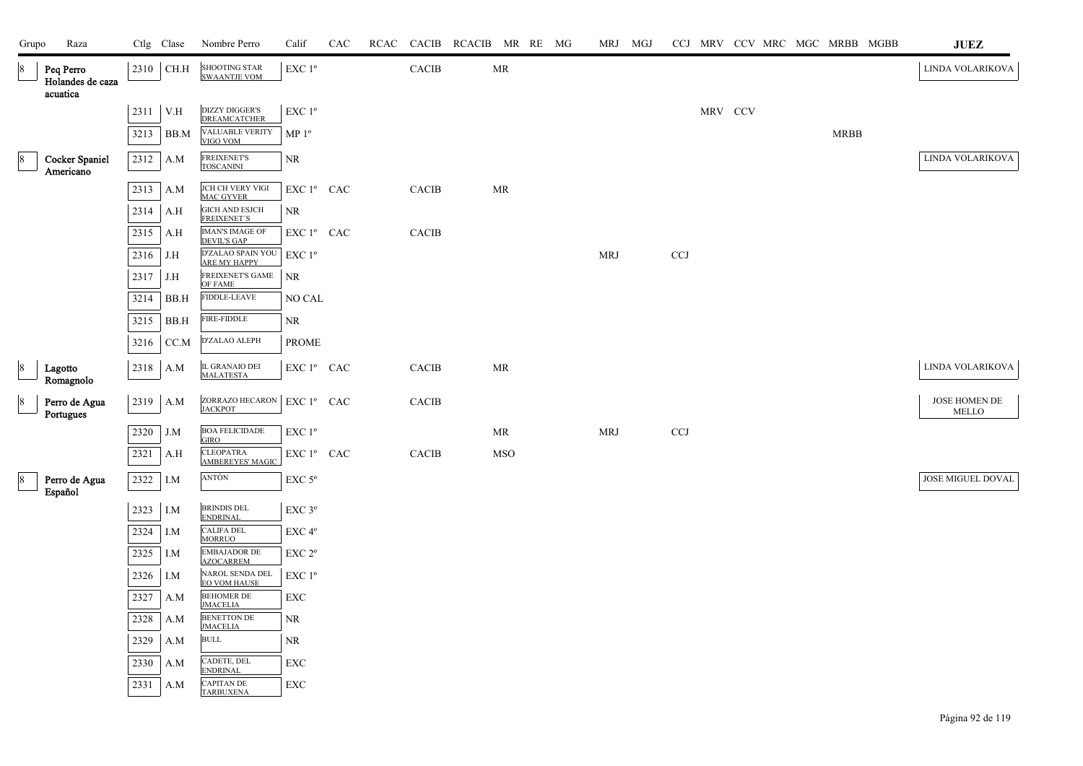| Grupo           | Raza                                      |      | Ctlg Clase | Nombre Perro                                 | Calif                                        | CAC | RCAC |              | CACIB RCACIB MR RE MG |            |  |            | MRJ MGJ |              |         |  | CCJ MRV CCV MRC MGC MRBB MGBB | JUEZ                   |
|-----------------|-------------------------------------------|------|------------|----------------------------------------------|----------------------------------------------|-----|------|--------------|-----------------------|------------|--|------------|---------|--------------|---------|--|-------------------------------|------------------------|
| 8               | Peq Perro<br>Holandes de caza<br>acuatica | 2310 | CH.H       | <b>SHOOTING STAR</b><br><b>SWAANTJE VOM</b>  | $EXC1^{\circ}$                               |     |      | CACIB        |                       | MR         |  |            |         |              |         |  |                               | LINDA VOLARIKOVA       |
|                 |                                           | 2311 | V.H        | <b>DIZZY DIGGER'S</b><br><b>DREAMCATCHER</b> | EXC 1°                                       |     |      |              |                       |            |  |            |         |              | MRV CCV |  |                               |                        |
|                 |                                           | 3213 | BB.M       | VALUABLE VERITY<br>VIGO VOM                  | MP <sup>0</sup>                              |     |      |              |                       |            |  |            |         |              |         |  | <b>MRBB</b>                   |                        |
| 8               | <b>Cocker Spaniel</b><br>Americano        | 2312 | A.M        | <b>FREIXENET'S</b><br><b>TOSCANINI</b>       | <b>NR</b>                                    |     |      |              |                       |            |  |            |         |              |         |  |                               | LINDA VOLARIKOVA       |
|                 |                                           | 2313 | A.M        | JCH CH VERY VIGI<br><b>MAC GYVER</b>         | EXC 1º CAC                                   |     |      | CACIB        |                       | MR         |  |            |         |              |         |  |                               |                        |
|                 |                                           | 2314 | A.H        | <b>GICH AND ESJCH</b><br>FREIXENET'S         | <b>NR</b>                                    |     |      |              |                       |            |  |            |         |              |         |  |                               |                        |
|                 |                                           | 2315 | A.H        | <b>IMAN'S IMAGE OF</b><br><b>DEVIL'S GAP</b> | EXC 1º CAC                                   |     |      | CACIB        |                       |            |  |            |         |              |         |  |                               |                        |
|                 |                                           | 2316 | J.H        | D'ZALAO SPAIN YOU<br>ARE MY HAPPY            | $EXC1^{\circ}$                               |     |      |              |                       |            |  | <b>MRJ</b> |         | $_{\rm CCJ}$ |         |  |                               |                        |
|                 |                                           | 2317 | J.H        | FREIXENET'S GAME<br>OF FAME                  | <b>NR</b>                                    |     |      |              |                       |            |  |            |         |              |         |  |                               |                        |
|                 |                                           | 3214 | BB.H       | <b>FIDDLE-LEAVE</b>                          | NO CAL                                       |     |      |              |                       |            |  |            |         |              |         |  |                               |                        |
|                 |                                           | 3215 | BB.H       | <b>FIRE-FIDDLE</b>                           | NR                                           |     |      |              |                       |            |  |            |         |              |         |  |                               |                        |
|                 |                                           | 3216 | CC.M       | D'ZALAO ALEPH                                | <b>PROME</b>                                 |     |      |              |                       |            |  |            |         |              |         |  |                               |                        |
| $\vert 8 \vert$ | Lagotto<br>Romagnolo                      | 2318 | A.M        | IL GRANAIO DEI<br>MALATESTA                  | EXC 1º CAC                                   |     |      | CACIB        |                       | MR         |  |            |         |              |         |  |                               | LINDA VOLARIKOVA       |
| $\vert 8 \vert$ | Perro de Agua<br>Portugues                | 2319 | A.M        | ZORRAZO HECARON<br><b>JACKPOT</b>            | EXC 1º CAC                                   |     |      | <b>CACIB</b> |                       |            |  |            |         |              |         |  |                               | JOSE HOMEN DE<br>MELLO |
|                 |                                           | 2320 | J.M        | <b>BOA FELICIDADE</b><br><b>GIRO</b>         | EXC 1 <sup>o</sup>                           |     |      |              |                       | MR         |  | <b>MRJ</b> |         | $_{\rm CCJ}$ |         |  |                               |                        |
|                 |                                           | 2321 | A.H        | <b>CLEOPATRA</b><br><b>AMBEREYES' MAGIC</b>  | EXC 1º CAC                                   |     |      | CACIB        |                       | <b>MSO</b> |  |            |         |              |         |  |                               |                        |
| 8               | Perro de Agua<br>Español                  | 2322 | I.M        | ANTÓN                                        | EXC 5°                                       |     |      |              |                       |            |  |            |         |              |         |  |                               | JOSE MIGUEL DOVAL      |
|                 |                                           | 2323 | I.M        | <b>BRINDIS DEL</b><br><b>ENDRINAL</b>        | EXC 3°                                       |     |      |              |                       |            |  |            |         |              |         |  |                               |                        |
|                 |                                           | 2324 | I.M        | <b>CALIFA DEL</b><br><b>MORRUO</b>           | EXC 4°                                       |     |      |              |                       |            |  |            |         |              |         |  |                               |                        |
|                 |                                           | 2325 | I.M        | <b>EMBAJADOR DE</b><br><b>AZOCARREM</b>      | $\ensuremath{\mathrm{EXC}}$ $2^{\mathrm{o}}$ |     |      |              |                       |            |  |            |         |              |         |  |                               |                        |
|                 |                                           | 2326 | I.M        | NAROL SENDA DEL<br><b>EO VOM HAUSE</b>       | EXC 1 <sup>o</sup>                           |     |      |              |                       |            |  |            |         |              |         |  |                               |                        |
|                 |                                           | 2327 | A.M        | <b>BEHOMER DE</b><br><b>JMACELIA</b>         | <b>EXC</b>                                   |     |      |              |                       |            |  |            |         |              |         |  |                               |                        |
|                 |                                           | 2328 | A.M        | <b>BENETTON DE</b><br><b>JMACELIA</b>        | <b>NR</b>                                    |     |      |              |                       |            |  |            |         |              |         |  |                               |                        |
|                 |                                           | 2329 | A.M        | <b>BULL</b>                                  | <b>NR</b>                                    |     |      |              |                       |            |  |            |         |              |         |  |                               |                        |
|                 |                                           | 2330 | A.M        | CADETE, DEL<br><b>ENDRINAL</b>               | <b>EXC</b>                                   |     |      |              |                       |            |  |            |         |              |         |  |                               |                        |
|                 |                                           | 2331 | A.M        | <b>CAPITAN DE</b><br><b>TARBUXENA</b>        | ${\rm EXC}$                                  |     |      |              |                       |            |  |            |         |              |         |  |                               |                        |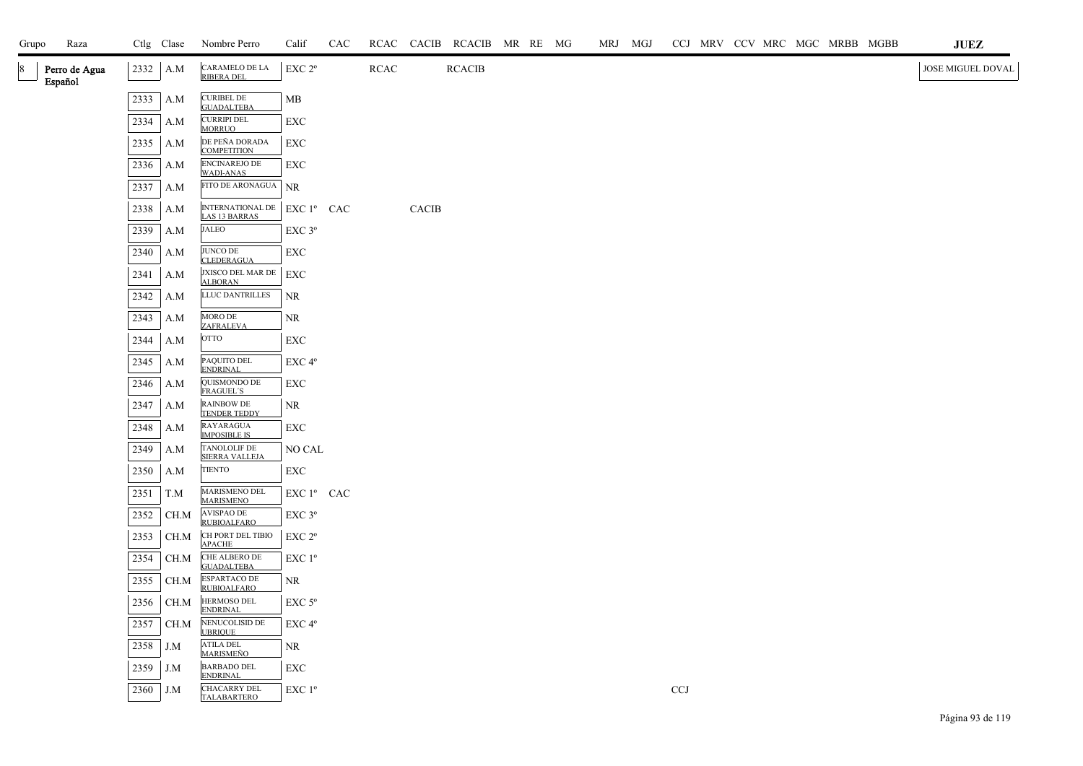| Grupo | Raza                     |      | Ctlg Clase | Nombre Perro                                        | Calif                                           | CAC |             |              | RCAC CACIB RCACIB MR RE MG |  |  | MRJ MGJ |       |  |  | CCJ MRV CCV MRC MGC MRBB MGBB | <b>JUEZ</b>       |
|-------|--------------------------|------|------------|-----------------------------------------------------|-------------------------------------------------|-----|-------------|--------------|----------------------------|--|--|---------|-------|--|--|-------------------------------|-------------------|
| 8     | Perro de Agua<br>Español | 2332 | A.M        | CARAMELO DE LA<br>RIBERA DEL                        | EXC 2 <sup>o</sup>                              |     | <b>RCAC</b> |              | <b>RCACIB</b>              |  |  |         |       |  |  |                               | JOSE MIGUEL DOVAL |
|       |                          | 2333 | A.M        | <b>CURIBEL DE</b><br><b>GUADALTEBA</b>              | MB                                              |     |             |              |                            |  |  |         |       |  |  |                               |                   |
|       |                          | 2334 | A.M        | <b>CURRIPI DEL</b><br><b>MORRUO</b>                 | EXC                                             |     |             |              |                            |  |  |         |       |  |  |                               |                   |
|       |                          | 2335 | A.M        | DE PEÑA DORADA<br><b>COMPETITION</b>                | EXC                                             |     |             |              |                            |  |  |         |       |  |  |                               |                   |
|       |                          | 2336 | A.M        | ENCINAREJO DE<br>WADI-ANAS                          | EXC                                             |     |             |              |                            |  |  |         |       |  |  |                               |                   |
|       |                          | 2337 | A.M        | FITO DE ARONAGUA                                    | <b>NR</b>                                       |     |             |              |                            |  |  |         |       |  |  |                               |                   |
|       |                          | 2338 | $\rm A.M$  | INTERNATIONAL DE EXC 1º CAC<br><b>LAS 13 BARRAS</b> |                                                 |     |             | <b>CACIB</b> |                            |  |  |         |       |  |  |                               |                   |
|       |                          | 2339 | A.M        | <b>JALEO</b>                                        | EXC 3°                                          |     |             |              |                            |  |  |         |       |  |  |                               |                   |
|       |                          | 2340 | A.M        | <b>JUNCO DE</b><br><b>CLEDERAGUA</b>                | EXC                                             |     |             |              |                            |  |  |         |       |  |  |                               |                   |
|       |                          | 2341 | A.M        | JXISCO DEL MAR DE<br><b>ALBORAN</b>                 | EXC                                             |     |             |              |                            |  |  |         |       |  |  |                               |                   |
|       |                          | 2342 | A.M        | LLUC DANTRILLES                                     | <b>NR</b>                                       |     |             |              |                            |  |  |         |       |  |  |                               |                   |
|       |                          | 2343 | A.M        | MORO DE<br>ZAFRALEVA                                | NR                                              |     |             |              |                            |  |  |         |       |  |  |                               |                   |
|       |                          | 2344 | A.M        | <b>OTTO</b>                                         | EXC                                             |     |             |              |                            |  |  |         |       |  |  |                               |                   |
|       |                          | 2345 | A.M        | PAQUITO DEL<br><b>ENDRINAL</b>                      | EXC 4°                                          |     |             |              |                            |  |  |         |       |  |  |                               |                   |
|       |                          | 2346 | A.M        | QUISMONDO DE<br><b>FRAGUEL'S</b>                    | EXC                                             |     |             |              |                            |  |  |         |       |  |  |                               |                   |
|       |                          | 2347 | A.M        | <b>RAINBOW DE</b><br><b>TENDER TEDDY</b>            | NR                                              |     |             |              |                            |  |  |         |       |  |  |                               |                   |
|       |                          | 2348 | A.M        | RAYARAGUA<br><b>IMPOSIBLE IS</b>                    | EXC                                             |     |             |              |                            |  |  |         |       |  |  |                               |                   |
|       |                          | 2349 | A.M        | TANOLOLIF DE<br><b>SIERRA VALLEJA</b>               | NO CAL                                          |     |             |              |                            |  |  |         |       |  |  |                               |                   |
|       |                          | 2350 | A.M        | TIENTO                                              | ${\rm EXC}$                                     |     |             |              |                            |  |  |         |       |  |  |                               |                   |
|       |                          | 2351 | T.M        | MARISMENO DEL<br><b>MARISMENO</b>                   | ${\rm EXC}$ $1^{\rm o}$ $\;$ CAC $\;$           |     |             |              |                            |  |  |         |       |  |  |                               |                   |
|       |                          | 2352 | CH.M       | AVISPAO DE<br><b>RUBIOALFARO</b>                    | EXC 3°                                          |     |             |              |                            |  |  |         |       |  |  |                               |                   |
|       |                          | 2353 | CH.M       | CH PORT DEL TIBIO<br><b>APACHE</b>                  | $EXC$ $2^{\circ}$                               |     |             |              |                            |  |  |         |       |  |  |                               |                   |
|       |                          | 2354 | CH.M       | CHE ALBERO DE<br><b>GUADALTEBA</b>                  | EXC 1 <sup>o</sup>                              |     |             |              |                            |  |  |         |       |  |  |                               |                   |
|       |                          | 2355 | CH.M       | ESPARTACO DE<br><b>RUBIOALFARO</b>                  | NR                                              |     |             |              |                            |  |  |         |       |  |  |                               |                   |
|       |                          | 2356 | CH.M       | HERMOSO DEL<br><b>ENDRINAL</b>                      | $EXC$ 5 $^{\circ}$                              |     |             |              |                            |  |  |         |       |  |  |                               |                   |
|       |                          | 2357 | CH.M       | NENUCOLISID DE<br><b>UBRIQUE</b>                    | EXC 4 <sup>o</sup>                              |     |             |              |                            |  |  |         |       |  |  |                               |                   |
|       |                          | 2358 | J.M        | <b>ATILA DEL</b><br><u>MARISMEÑO</u>                | NR                                              |     |             |              |                            |  |  |         |       |  |  |                               |                   |
|       |                          | 2359 | J.M        | <b>BARBADO DEL</b><br><b>ENDRINAL</b>               | EXC                                             |     |             |              |                            |  |  |         |       |  |  |                               |                   |
|       |                          | 2360 | J.M        | <b>CHACARRY DEL</b><br><b>TALABARTERO</b>           | $\ensuremath{\mathrm{EXC}}$<br>$1^{\mathrm{o}}$ |     |             |              |                            |  |  |         | $CCJ$ |  |  |                               |                   |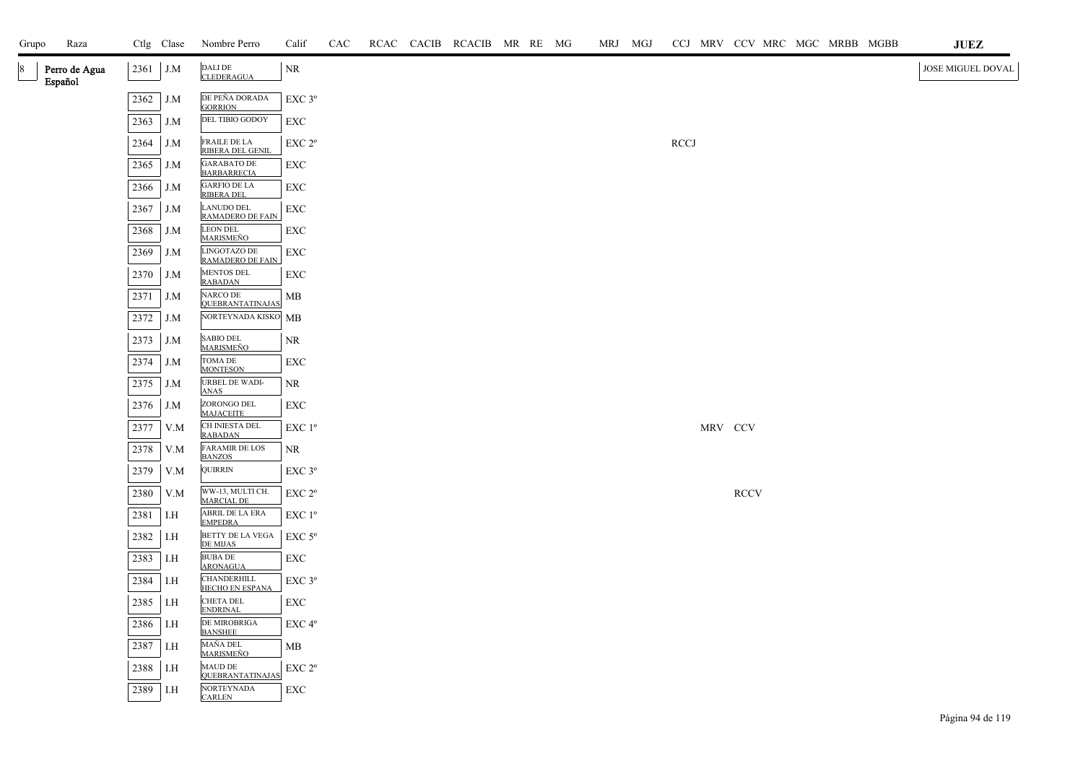| Grupo | Raza                     |      | Ctlg Clase | Nombre Perro                                 | Calif                                        | CAC |  | RCAC CACIB RCACIB MR RE MG |  | MRJ MGJ | CCJ MRV CCV MRC MGC MRBB MGBB |             |  |  | $\mathbf{J}\mathbf{U}\mathbf{E}\mathbf{Z}$ |
|-------|--------------------------|------|------------|----------------------------------------------|----------------------------------------------|-----|--|----------------------------|--|---------|-------------------------------|-------------|--|--|--------------------------------------------|
| 8     | Perro de Agua<br>Español | 2361 | J.M        | DALI DE<br><b>CLEDERAGUA</b>                 | NR                                           |     |  |                            |  |         |                               |             |  |  | JOSE MIGUEL DOVAL                          |
|       |                          | 2362 | J.M        | DE PEÑA DORADA<br><b>GORRION</b>             | EXC 3°                                       |     |  |                            |  |         |                               |             |  |  |                                            |
|       |                          | 2363 | J.M        | DEL TIBIO GODOY                              | EXC                                          |     |  |                            |  |         |                               |             |  |  |                                            |
|       |                          | 2364 | J.M        | FRAILE DE LA<br>RIBERA DEL GENIL             | EXC 2 <sup>o</sup>                           |     |  |                            |  |         | <b>RCCJ</b>                   |             |  |  |                                            |
|       |                          | 2365 | J.M        | <b>GARABATO DE</b><br><b>BARBARRECIA</b>     | EXC                                          |     |  |                            |  |         |                               |             |  |  |                                            |
|       |                          | 2366 | J.M        | <b>GARFIO DE LA</b><br><b>RIBERA DEL</b>     | EXC                                          |     |  |                            |  |         |                               |             |  |  |                                            |
|       |                          | 2367 | J.M        | <b>LANUDO DEL</b><br><b>RAMADERO DE FAIN</b> | ${\rm EXC}$                                  |     |  |                            |  |         |                               |             |  |  |                                            |
|       |                          | 2368 | J.M        | <b>LEON DEL</b><br><u>MARISMEÑO</u>          | EXC                                          |     |  |                            |  |         |                               |             |  |  |                                            |
|       |                          | 2369 | J.M        | LINGOTAZO DE<br><b>RAMADERO DE FAIN</b>      | EXC                                          |     |  |                            |  |         |                               |             |  |  |                                            |
|       |                          | 2370 | J.M        | <b>MENTOS DEL</b><br><b>RABADAN</b>          | EXC                                          |     |  |                            |  |         |                               |             |  |  |                                            |
|       |                          | 2371 | J.M        | NARCO DE<br><b>QUEBRANTATINAJAS</b>          | MB                                           |     |  |                            |  |         |                               |             |  |  |                                            |
|       |                          | 2372 | J.M        | NORTEYNADA KISKO MB                          |                                              |     |  |                            |  |         |                               |             |  |  |                                            |
|       |                          | 2373 | J.M        | <b>SABIO DEL</b><br>MARISMEÑO                | NR                                           |     |  |                            |  |         |                               |             |  |  |                                            |
|       |                          | 2374 | J.M        | TOMA DE<br><b>MONTESON</b>                   | ${\rm EXC}$                                  |     |  |                            |  |         |                               |             |  |  |                                            |
|       |                          | 2375 | J.M        | URBEL DE WADI-<br><b>ANAS</b>                | $\rm NR$                                     |     |  |                            |  |         |                               |             |  |  |                                            |
|       |                          | 2376 | J.M        | ZORONGO DEL<br><b>MAJACEITE</b>              | EXC                                          |     |  |                            |  |         |                               |             |  |  |                                            |
|       |                          | 2377 | V.M        | CH INIESTA DEL<br><b>RABADAN</b>             | EXC 1 <sup>o</sup>                           |     |  |                            |  |         |                               | MRV CCV     |  |  |                                            |
|       |                          | 2378 | V.M        | <b>FARAMIR DE LOS</b><br><b>BANZOS</b>       | NR                                           |     |  |                            |  |         |                               |             |  |  |                                            |
|       |                          | 2379 | V.M        | QUIRRIN                                      | $EXC$ $3^{\circ}$                            |     |  |                            |  |         |                               |             |  |  |                                            |
|       |                          | 2380 | V.M        | WW-13, MULTI CH.<br><b>MARCIAL DE</b>        | EXC 2 <sup>o</sup>                           |     |  |                            |  |         |                               | <b>RCCV</b> |  |  |                                            |
|       |                          | 2381 | I.H        | ABRIL DE LA ERA<br><b>EMPEDRA</b>            | $EXC1^{\circ}$                               |     |  |                            |  |         |                               |             |  |  |                                            |
|       |                          | 2382 | I.H        | BETTY DE LA VEGA<br><b>DE MIJAS</b>          | $\ensuremath{\mathrm{EXC}}$ $5^{\mathrm{o}}$ |     |  |                            |  |         |                               |             |  |  |                                            |
|       |                          | 2383 | I.H        | <b>BUBA DE</b><br><b>ARONAGUA</b>            | EXC                                          |     |  |                            |  |         |                               |             |  |  |                                            |
|       |                          | 2384 | I.H        | CHANDERHILL<br>HECHO EN ESPANA               | EXC 3°                                       |     |  |                            |  |         |                               |             |  |  |                                            |
|       |                          | 2385 | I.H        | <b>CHETA DEL</b><br>ENDRINAL                 | EXC                                          |     |  |                            |  |         |                               |             |  |  |                                            |
|       |                          | 2386 | I.H        | DE MIROBRIGA<br><b>BANSHEE</b>               | EXC 4°                                       |     |  |                            |  |         |                               |             |  |  |                                            |
|       |                          | 2387 | I.H        | MAÑA DEL<br><b>MARISMEÑO</b>                 | MВ                                           |     |  |                            |  |         |                               |             |  |  |                                            |
|       |                          | 2388 | I.H        | <b>MAUD DE</b><br><b>QUEBRANTATINAJAS</b>    | $\ensuremath{\mathrm{EXC}}$ $2^{\mathrm{o}}$ |     |  |                            |  |         |                               |             |  |  |                                            |
|       |                          | 2389 | I.H        | <b>NORTEYNADA</b><br><b>CARLEN</b>           | EXC                                          |     |  |                            |  |         |                               |             |  |  |                                            |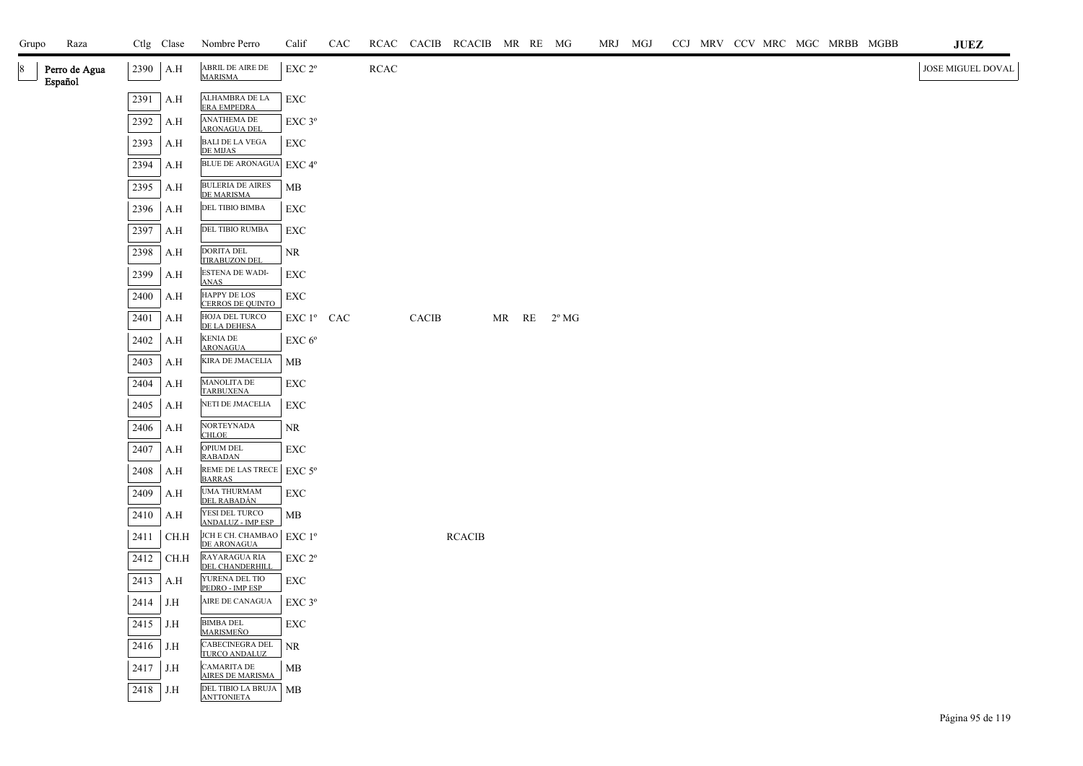| Grupo | Raza                     |          | Ctlg Clase | Nombre Perro                               | Calif              | CAC |      |              | RCAC CACIB RCACIB MR RE MG |  |                        | MRJ MGJ |  |  |  | CCJ MRV CCV MRC MGC MRBB MGBB | <b>JUEZ</b>       |
|-------|--------------------------|----------|------------|--------------------------------------------|--------------------|-----|------|--------------|----------------------------|--|------------------------|---------|--|--|--|-------------------------------|-------------------|
|       | Perro de Agua<br>Español |          | $2390$ A.H | ABRIL DE AIRE DE<br><b>MARISMA</b>         | EXC 2 <sup>o</sup> |     | RCAC |              |                            |  |                        |         |  |  |  |                               | JOSE MIGUEL DOVAL |
|       |                          | 2391     | A.H        | ALHAMBRA DE LA<br>ERA EMPEDRA              | <b>EXC</b>         |     |      |              |                            |  |                        |         |  |  |  |                               |                   |
|       |                          | 2392     | A.H        | <b>ANATHEMA DE</b><br><b>ARONAGUA DEI</b>  | EXC 3 <sup>o</sup> |     |      |              |                            |  |                        |         |  |  |  |                               |                   |
|       |                          | 2393     | A.H        | <b>BALI DE LA VEGA</b><br><b>DE MIJAS</b>  | EXC                |     |      |              |                            |  |                        |         |  |  |  |                               |                   |
|       |                          | 2394     | A.H        | <b>BLUE DE ARONAGUA</b>                    | EXC 4°             |     |      |              |                            |  |                        |         |  |  |  |                               |                   |
|       |                          | 2395     | A.H        | <b>BULERIA DE AIRES</b><br>DE MARISMA      | MB                 |     |      |              |                            |  |                        |         |  |  |  |                               |                   |
|       |                          | 2396     | A.H        | DEL TIBIO BIMBA                            | EXC                |     |      |              |                            |  |                        |         |  |  |  |                               |                   |
|       |                          | 2397     | A.H        | DEL TIBIO RUMBA                            | <b>EXC</b>         |     |      |              |                            |  |                        |         |  |  |  |                               |                   |
|       |                          | 2398     | A.H        | <b>DORITA DEL</b><br><b>TIRABUZON DEL</b>  | NR                 |     |      |              |                            |  |                        |         |  |  |  |                               |                   |
|       |                          | 2399     | A.H        | ESTENA DE WADI-<br><b>ANAS</b>             | <b>EXC</b>         |     |      |              |                            |  |                        |         |  |  |  |                               |                   |
|       |                          | 2400     | A.H        | HAPPY DE LOS<br>CERROS DE QUINTO           | EXC                |     |      |              |                            |  |                        |         |  |  |  |                               |                   |
|       |                          | 2401     | A.H        | HOJA DEL TURCO<br>DE LA DEHESA             | $EXC1^{\circ}$ CAC |     |      | <b>CACIB</b> |                            |  | MR $RE$ $2^{\circ}$ MG |         |  |  |  |                               |                   |
|       |                          | 2402     | A.H        | <b>KENIA DE</b><br><b>ARONAGUA</b>         | EXC 6 <sup>o</sup> |     |      |              |                            |  |                        |         |  |  |  |                               |                   |
|       |                          | 2403     | A.H        | KIRA DE JMACELIA                           | MB                 |     |      |              |                            |  |                        |         |  |  |  |                               |                   |
|       |                          | 2404     | A.H        | <b>MANOLITA DE</b><br>TARBUXENA            | EXC                |     |      |              |                            |  |                        |         |  |  |  |                               |                   |
|       |                          | 2405     | A.H        | NETI DE JMACELIA                           | EXC                |     |      |              |                            |  |                        |         |  |  |  |                               |                   |
|       |                          | 2406     | A.H        | NORTEYNADA<br><b>CHLOE</b>                 | NR                 |     |      |              |                            |  |                        |         |  |  |  |                               |                   |
|       |                          | 2407     | A.H        | OPIUM DEL<br><b>RABADAN</b>                | EXC                |     |      |              |                            |  |                        |         |  |  |  |                               |                   |
|       |                          | 2408     | A.H        | REME DE LAS TRECE<br><b>BARRAS</b>         | EXC $5^{\rm o}$    |     |      |              |                            |  |                        |         |  |  |  |                               |                   |
|       |                          | 2409     | A.H        | <b>UMA THURMAM</b><br><u>DEL RABADÁN</u>   | EXC                |     |      |              |                            |  |                        |         |  |  |  |                               |                   |
|       |                          | 2410     | A.H        | YESI DEL TURCO<br><b>ANDALUZ - IMP ESP</b> | MB                 |     |      |              |                            |  |                        |         |  |  |  |                               |                   |
|       |                          | 2411     | CH.H       | JCH E CH. CHAMBAO<br>DE ARONAGUA           | $EXC1^{\circ}$     |     |      |              | <b>RCACIB</b>              |  |                        |         |  |  |  |                               |                   |
|       |                          | 2412     | CH.H       | RAYARAGUA RIA<br>DEL CHANDERHILL           | EXC 2 <sup>o</sup> |     |      |              |                            |  |                        |         |  |  |  |                               |                   |
|       |                          | 2413     | A.H        | YURENA DEL TIO<br>PEDRO - IMP ESP          | ${\rm EXC}$        |     |      |              |                            |  |                        |         |  |  |  |                               |                   |
|       |                          | 2414     | J.H        | AIRE DE CANAGUA                            | EXC 3°             |     |      |              |                            |  |                        |         |  |  |  |                               |                   |
|       |                          | 2415     | J.H        | <b>BIMBA DEL</b><br><b>MARISMEÑO</b>       | <b>EXC</b>         |     |      |              |                            |  |                        |         |  |  |  |                               |                   |
|       |                          | 2416     | J.H        | CABECINEGRA DEL<br>TURCO ANDALUZ           | <b>NR</b>          |     |      |              |                            |  |                        |         |  |  |  |                               |                   |
|       |                          | 2417     | J.H        | CAMARITA DE<br>AIRES DE MARISMA            | MB                 |     |      |              |                            |  |                        |         |  |  |  |                               |                   |
|       |                          | 2418 J.H |            | DEL TIBIO LA BRUJA MB<br><b>ANTTONIETA</b> |                    |     |      |              |                            |  |                        |         |  |  |  |                               |                   |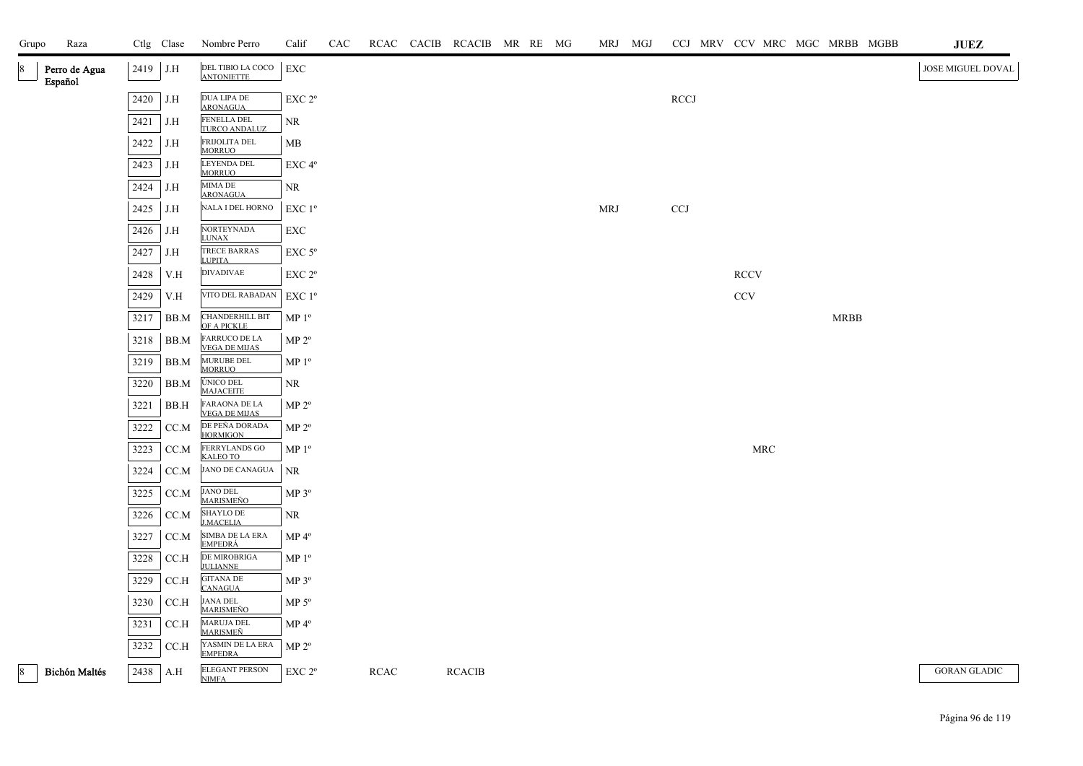| Grupo | Raza                     |            | Ctlg Clase | Nombre Perro                                 | Calif              | CAC |             | RCAC CACIB RCACIB MR RE MG |  | MRJ MGJ    |             |             | CCJ MRV CCV MRC MGC MRBB MGBB | <b>JUEZ</b>         |
|-------|--------------------------|------------|------------|----------------------------------------------|--------------------|-----|-------------|----------------------------|--|------------|-------------|-------------|-------------------------------|---------------------|
| 8     | Perro de Agua<br>Español | $2419$ J.H |            | DEL TIBIO LA COCO<br><b>ANTONIETTE</b>       | EXC                |     |             |                            |  |            |             |             |                               | JOSE MIGUEL DOVAL   |
|       |                          | 2420       | J.H        | DUA LIPA DE<br><b>ARONAGUA</b>               | EXC 2°             |     |             |                            |  |            | <b>RCCJ</b> |             |                               |                     |
|       |                          | 2421       | J.H        | FENELLA DEL<br>TURCO ANDALUZ                 | <b>NR</b>          |     |             |                            |  |            |             |             |                               |                     |
|       |                          | 2422       | J.H        | FRIJOLITA DEL<br><b>MORRUO</b>               | MB                 |     |             |                            |  |            |             |             |                               |                     |
|       |                          | 2423       | J.H        | LEYENDA DEL<br><b>MORRUO</b>                 | EXC <sub>4°</sub>  |     |             |                            |  |            |             |             |                               |                     |
|       |                          | 2424       | J.H        | MIMA DE<br><b>ARONAGUA</b>                   | <b>NR</b>          |     |             |                            |  |            |             |             |                               |                     |
|       |                          | 2425       | J.H        | NALA I DEL HORNO                             | $EXC1^{\circ}$     |     |             |                            |  | <b>MRJ</b> | <b>CCJ</b>  |             |                               |                     |
|       |                          | 2426       | J.H        | <b>NORTEYNADA</b><br><b>LUNAX</b>            | EXC                |     |             |                            |  |            |             |             |                               |                     |
|       |                          | 2427       | J.H        | TRECE BARRAS<br><b>LUPITA</b>                | $EXC$ 5 $\rm ^{o}$ |     |             |                            |  |            |             |             |                               |                     |
|       |                          | 2428       | V.H        | <b>DIVADIVAE</b>                             | EXC 2°             |     |             |                            |  |            |             | <b>RCCV</b> |                               |                     |
|       |                          | 2429       | V.H        | VITO DEL RABADAN                             | $EXC1^{\circ}$     |     |             |                            |  |            |             | CCV         |                               |                     |
|       |                          | 3217       | BB.M       | CHANDERHILL BIT<br>OF A PICKLE               | MP <sup>0</sup>    |     |             |                            |  |            |             |             | <b>MRBB</b>                   |                     |
|       |                          | 3218       | BB.M       | <b>FARRUCO DE LA</b><br><b>VEGA DE MIJAS</b> | MP 2 <sup>o</sup>  |     |             |                            |  |            |             |             |                               |                     |
|       |                          | 3219       | BB.M       | MURUBE DEL<br><b>MORRUO</b>                  | MP 1 <sup>°</sup>  |     |             |                            |  |            |             |             |                               |                     |
|       |                          | 3220       | BB.M       | ÚNICO DEL<br><b>MAJACEITE</b>                | NR.                |     |             |                            |  |            |             |             |                               |                     |
|       |                          | 3221       | BB.H       | FARAONA DE LA<br>VEGA DE MIJAS               | MP 2 <sup>o</sup>  |     |             |                            |  |            |             |             |                               |                     |
|       |                          | 3222       | CC.M       | DE PEÑA DORADA<br>HORMIGON                   | MP 2 <sup>o</sup>  |     |             |                            |  |            |             |             |                               |                     |
|       |                          | 3223       | CC.M       | FERRYLANDS GO<br>KALEO TO                    | MP <sup>0</sup>    |     |             |                            |  |            |             | <b>MRC</b>  |                               |                     |
|       |                          | 3224       | CC.M       | <b>JANO DE CANAGUA</b>                       | $\rm NR$           |     |             |                            |  |            |             |             |                               |                     |
|       |                          | 3225       | CC.M       | JANO DEL<br><u>MARISMEÑO</u>                 | $MP 3^{\circ}$     |     |             |                            |  |            |             |             |                               |                     |
|       |                          | 3226       | CC.M       | SHAYLO DE<br><b>J.MACELIA</b>                | NR.                |     |             |                            |  |            |             |             |                               |                     |
|       |                          | 3227       | CC.M       | SIMBA DE LA ERA<br>EMPEDRÁ                   | $MP 4^{\circ}$     |     |             |                            |  |            |             |             |                               |                     |
|       |                          | 3228       | CCA        | DE MIROBRIGA<br><b>JULIANNE</b>              | MP 1 <sup>o</sup>  |     |             |                            |  |            |             |             |                               |                     |
|       |                          | 3229       | CCA        | <b>GITANA DE</b><br><b>CANAGUA</b>           | $MP 3^{\circ}$     |     |             |                            |  |            |             |             |                               |                     |
|       |                          | 3230       | CCA        | <b>JANA DEL</b><br><b>MARISMEÑO</b>          | $MP 5^{\circ}$     |     |             |                            |  |            |             |             |                               |                     |
|       |                          | 3231       | CCA        | MARUJA DEL<br><b>MARISMEÑ</b>                | $MP 4^{\circ}$     |     |             |                            |  |            |             |             |                               |                     |
|       |                          | 3232       | CC.H       | YASMIN DE LA ERA<br><b>EMPEDRA</b>           | $MP 2^{\circ}$     |     |             |                            |  |            |             |             |                               |                     |
| 8     | <b>Bichón Maltés</b>     | 2438 A.H   |            | <b>ELEGANT PERSON</b><br><b>NIMFA</b>        | EXC 2 <sup>o</sup> |     | <b>RCAC</b> | <b>RCACIB</b>              |  |            |             |             |                               | <b>GORAN GLADIC</b> |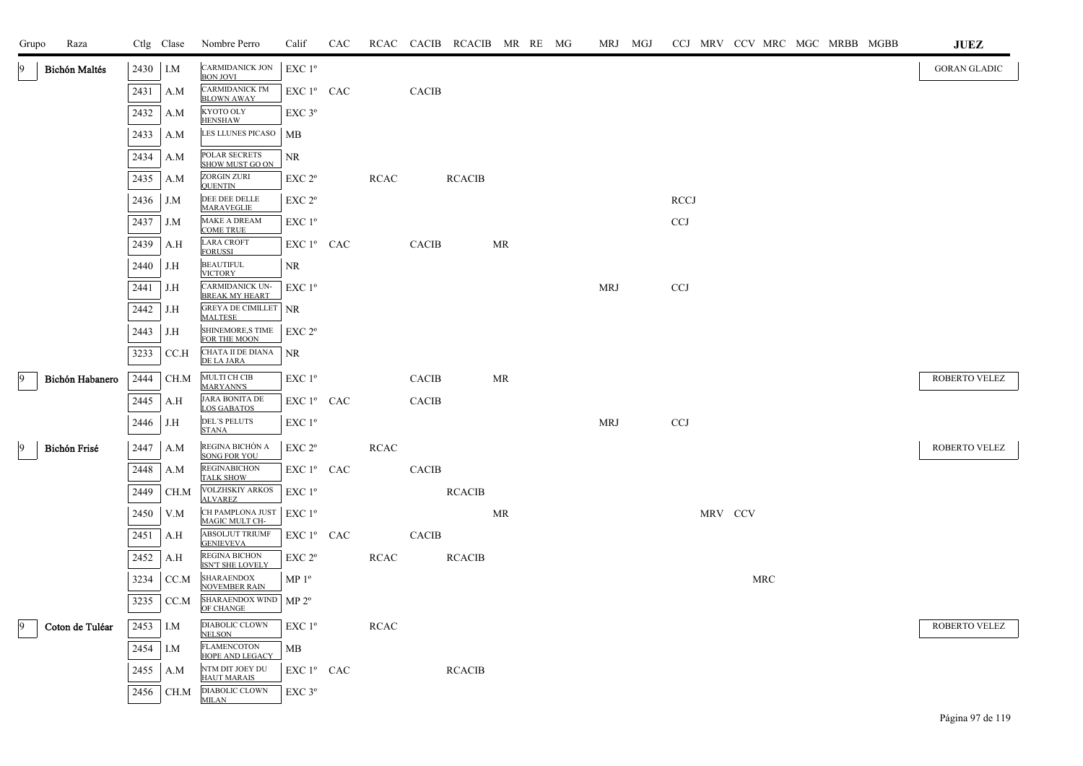| Grupo           | Raza                 |      | Ctlg Clase | Nombre Perro                                    | Calif              | CAC |             |              | RCAC CACIB RCACIB MR RE MG |           |  | MRJ MGJ    | CCJ MRV CCV MRC MGC MRBB MGBB |         |            |  |  | <b>JUEZ</b>         |
|-----------------|----------------------|------|------------|-------------------------------------------------|--------------------|-----|-------------|--------------|----------------------------|-----------|--|------------|-------------------------------|---------|------------|--|--|---------------------|
|                 | <b>Bichón Maltés</b> | 2430 | I.M        | CARMIDANICK JON<br><b>BON JOVI</b>              | EXC 1 <sup>o</sup> |     |             |              |                            |           |  |            |                               |         |            |  |  | <b>GORAN GLADIC</b> |
|                 |                      | 2431 | A.M        | CARMIDANICK I'M<br><b>BLOWN AWAY</b>            | EXC 1º CAC         |     |             | <b>CACIB</b> |                            |           |  |            |                               |         |            |  |  |                     |
|                 |                      | 2432 | A.M        | KYOTO OLY<br><b>HENSHAW</b>                     | $EXC$ 3°           |     |             |              |                            |           |  |            |                               |         |            |  |  |                     |
|                 |                      | 2433 | A.M        | LES LLUNES PICASO                               | MB                 |     |             |              |                            |           |  |            |                               |         |            |  |  |                     |
|                 |                      | 2434 | A.M        | POLAR SECRETS<br>SHOW MUST GO ON                | NR                 |     |             |              |                            |           |  |            |                               |         |            |  |  |                     |
|                 |                      | 2435 | A.M        | ZORGIN ZURI<br><b>OUENTIN</b>                   | EXC 2 <sup>o</sup> |     | <b>RCAC</b> |              | <b>RCACIB</b>              |           |  |            |                               |         |            |  |  |                     |
|                 |                      | 2436 | J.M        | DEE DEE DELLE<br><b>MARAVEGLIE</b>              | EXC 2 <sup>o</sup> |     |             |              |                            |           |  |            | <b>RCCJ</b>                   |         |            |  |  |                     |
|                 |                      | 2437 | J.M        | MAKE A DREAM<br><b>COME TRUE</b>                | EXC 1 <sup>o</sup> |     |             |              |                            |           |  |            | <b>CCJ</b>                    |         |            |  |  |                     |
|                 |                      | 2439 | A.H        | <b>LARA CROFT</b><br><b>FORUSSI</b>             | $EXC1^{\circ}$ CAC |     |             | <b>CACIB</b> |                            | MR        |  |            |                               |         |            |  |  |                     |
|                 |                      | 2440 | J.H        | <b>BEAUTIFUL</b><br><b>VICTORY</b>              | NR.                |     |             |              |                            |           |  |            |                               |         |            |  |  |                     |
|                 |                      | 2441 | J.H        | CARMIDANICK UN-<br><b>BREAK MY HEART</b>        | $EXC1^{\circ}$     |     |             |              |                            |           |  | <b>MRJ</b> | <b>CCJ</b>                    |         |            |  |  |                     |
|                 |                      | 2442 | J.H        | <b>GREYA DE CIMILLET   NR</b><br><b>MALTESE</b> |                    |     |             |              |                            |           |  |            |                               |         |            |  |  |                     |
|                 |                      | 2443 | J.H        | SHINEMORE,S TIME<br>FOR THE MOON                | EXC 2 <sup>o</sup> |     |             |              |                            |           |  |            |                               |         |            |  |  |                     |
|                 |                      | 3233 | CCA        | CHATA II DE DIANA<br>DE LA JARA                 | NR                 |     |             |              |                            |           |  |            |                               |         |            |  |  |                     |
| $\overline{9}$  | Bichón Habanero      | 2444 | CH.M       | <b>MULTI CH CIB</b><br><b>MARYANN'S</b>         | $EXC1^{\circ}$     |     |             | <b>CACIB</b> |                            | <b>MR</b> |  |            |                               |         |            |  |  | ROBERTO VELEZ       |
|                 |                      | 2445 | A.H        | <b>JARA BONITA DE</b><br><b>LOS GABATOS</b>     | EXC 1º CAC         |     |             | <b>CACIB</b> |                            |           |  |            |                               |         |            |  |  |                     |
|                 |                      | 2446 | J.H        | <b>DEL'S PELUTS</b><br><b>STANA</b>             | EXC 1 <sup>o</sup> |     |             |              |                            |           |  | <b>MRJ</b> | <b>CCJ</b>                    |         |            |  |  |                     |
| $\vert 9 \vert$ | Bichón Frisé         | 2447 | A.M        | REGINA BICHÓN A<br>SONG FOR YOU                 | EXC 2°             |     | <b>RCAC</b> |              |                            |           |  |            |                               |         |            |  |  | ROBERTO VELEZ       |
|                 |                      | 2448 | A.M        | REGINABICHON<br><b>TALK SHOW</b>                | EXC 1º CAC         |     |             | <b>CACIB</b> |                            |           |  |            |                               |         |            |  |  |                     |
|                 |                      | 2449 | CH.M       | <b>VOLZHSKIY ARKOS</b><br><b>ALVAREZ</b>        | EXC 1º             |     |             |              | <b>RCACIB</b>              |           |  |            |                               |         |            |  |  |                     |
|                 |                      | 2450 | V.M        | CH PAMPLONA JUST<br>MAGIC MULT CH-              | $EXC1^{\circ}$     |     |             |              |                            | MR        |  |            |                               | MRV CCV |            |  |  |                     |
|                 |                      | 2451 | A.H        | <b>ABSOLJUT TRIUMF</b><br><b>GENIEVEVA</b>      | $EXC1^{\circ}$ CAC |     |             | <b>CACIB</b> |                            |           |  |            |                               |         |            |  |  |                     |
|                 |                      | 2452 | A.H        | <b>REGINA BICHON</b><br>ISN'T SHE LOVELY        | EXC 2 <sup>o</sup> |     | <b>RCAC</b> |              | <b>RCACIB</b>              |           |  |            |                               |         |            |  |  |                     |
|                 |                      | 3234 | CC.M       | <b>SHARAENDOX</b><br><b>NOVEMBER RAIN</b>       | MP <sup>0</sup>    |     |             |              |                            |           |  |            |                               |         | <b>MRC</b> |  |  |                     |
|                 |                      | 3235 | CC.M       | SHARAENDOX WIND<br>OF CHANGE                    | MP 2 <sup>o</sup>  |     |             |              |                            |           |  |            |                               |         |            |  |  |                     |
| 9               | Coton de Tuléar      | 2453 | I.M        | DIABOLIC CLOWN<br><b>NELSON</b>                 | EXC1 <sup>o</sup>  |     | <b>RCAC</b> |              |                            |           |  |            |                               |         |            |  |  | ROBERTO VELEZ       |
|                 |                      | 2454 | I.M        | <b>FLAMENCOTON</b><br>HOPE AND LEGACY           | МB                 |     |             |              |                            |           |  |            |                               |         |            |  |  |                     |
|                 |                      | 2455 | A.M        | NTM DIT JOEY DU<br><b>HAUT MARAIS</b>           | EXC 1º CAC         |     |             |              | <b>RCACIB</b>              |           |  |            |                               |         |            |  |  |                     |
|                 |                      | 2456 | CH.M       | DIABOLIC CLOWN<br><b>MILAN</b>                  | EXC 3 <sup>o</sup> |     |             |              |                            |           |  |            |                               |         |            |  |  |                     |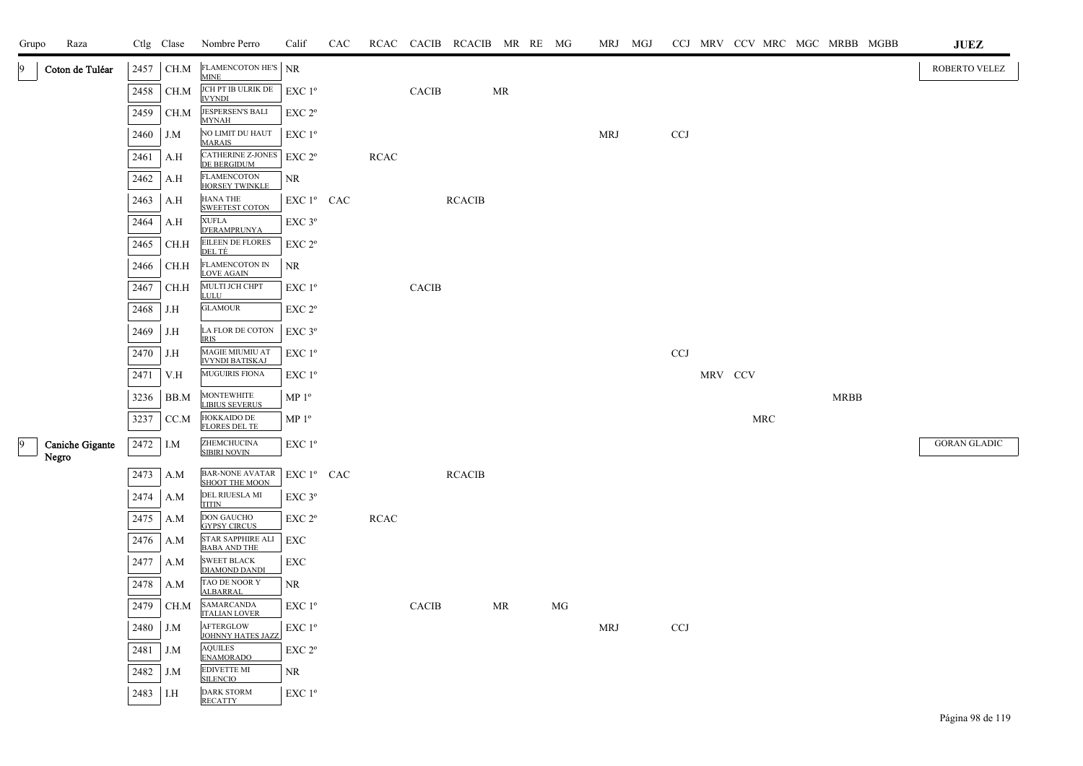| Grupo | Raza                            |      | Ctlg Clase | Nombre Perro                                | Calif                                        | <b>CAC</b> |             |              | RCAC CACIB RCACIB MR RE MG |           |    | MRJ MGJ    |            |         |            |             | CCJ MRV CCV MRC MGC MRBB MGBB | JUEZ                |
|-------|---------------------------------|------|------------|---------------------------------------------|----------------------------------------------|------------|-------------|--------------|----------------------------|-----------|----|------------|------------|---------|------------|-------------|-------------------------------|---------------------|
| 9     | Coton de Tuléar                 | 2457 | CH.M       | <b>FLAMENCOTON HE'S</b><br><b>MINE</b>      | <b>NR</b>                                    |            |             |              |                            |           |    |            |            |         |            |             |                               | ROBERTO VELEZ       |
|       |                                 | 2458 | CH.M       | JCH PT IB ULRIK DE<br><b>IVYNDI</b>         | EXC 1 <sup>o</sup>                           |            |             | <b>CACIB</b> |                            | <b>MR</b> |    |            |            |         |            |             |                               |                     |
|       |                                 | 2459 | CH.M       | JESPERSEN'S BALI<br><b>MYNAH</b>            | $EXC 2^{\circ}$                              |            |             |              |                            |           |    |            |            |         |            |             |                               |                     |
|       |                                 | 2460 | J.M        | NO LIMIT DU HAUT<br><b>MARAIS</b>           | $EXC1^{\circ}$                               |            |             |              |                            |           |    | <b>MRJ</b> | <b>CCJ</b> |         |            |             |                               |                     |
|       |                                 | 2461 | A.H        | CATHERINE Z-JONES<br>DE BERGIDUM            | EXC 2 <sup>o</sup>                           |            | <b>RCAC</b> |              |                            |           |    |            |            |         |            |             |                               |                     |
|       |                                 | 2462 | A.H        | <b>FLAMENCOTON</b><br><b>HORSEY TWINKLE</b> | NR                                           |            |             |              |                            |           |    |            |            |         |            |             |                               |                     |
|       |                                 | 2463 | A.H        | <b>HANA THE</b><br>SWEETEST COTON           | EXC 1º CAC                                   |            |             |              | <b>RCACIB</b>              |           |    |            |            |         |            |             |                               |                     |
|       |                                 | 2464 | A.H        | <b>XUFLA</b><br><b>D'ERAMPRUNYA</b>         | EXC 3°                                       |            |             |              |                            |           |    |            |            |         |            |             |                               |                     |
|       |                                 | 2465 | CH.H       | EILEEN DE FLORES<br>DEL TÉ                  | $\ensuremath{\mathrm{EXC}}$ $2^{\mathrm{o}}$ |            |             |              |                            |           |    |            |            |         |            |             |                               |                     |
|       |                                 | 2466 | CH.H       | FLAMENCOTON IN<br><b>LOVE AGAIN</b>         | NR                                           |            |             |              |                            |           |    |            |            |         |            |             |                               |                     |
|       |                                 | 2467 | CH.H       | MULTI JCH CHPT<br><b>LULU</b>               | EXC 1 <sup>o</sup>                           |            |             | <b>CACIB</b> |                            |           |    |            |            |         |            |             |                               |                     |
|       |                                 | 2468 | J.H        | <b>GLAMOUR</b>                              | EXC 2°                                       |            |             |              |                            |           |    |            |            |         |            |             |                               |                     |
|       |                                 | 2469 | J.H        | LA FLOR DE COTON<br><b>IRIS</b>             | EXC 3°                                       |            |             |              |                            |           |    |            |            |         |            |             |                               |                     |
|       |                                 | 2470 | J.H        | MAGIE MIUMIU AT<br><b>IVYNDI BATISKAJ</b>   | EXC 1 <sup>o</sup>                           |            |             |              |                            |           |    |            | <b>CCJ</b> |         |            |             |                               |                     |
|       |                                 | 2471 | V.H        | MUGUIRIS FIONA                              | EXC 1 <sup>o</sup>                           |            |             |              |                            |           |    |            |            | MRV CCV |            |             |                               |                     |
|       |                                 | 3236 | BB.M       | <b>MONTEWHITE</b><br><b>LIBIUS SEVERUS</b>  | MP <sup>0</sup>                              |            |             |              |                            |           |    |            |            |         |            | <b>MRBB</b> |                               |                     |
|       |                                 | 3237 | CC.M       | <b>HOKKAIDO DE</b><br><b>FLORES DEL TE</b>  | MP <sup>0</sup>                              |            |             |              |                            |           |    |            |            |         | <b>MRC</b> |             |                               |                     |
| 9     | <b>Caniche Gigante</b><br>Negro | 2472 | I.M        | ZHEMCHUCINA<br><b>SIBIRI NOVIN</b>          | EXC 1 <sup>o</sup>                           |            |             |              |                            |           |    |            |            |         |            |             |                               | <b>GORAN GLADIC</b> |
|       |                                 | 2473 | A.M        | BAR-NONE AVATAR<br>SHOOT THE MOON           | EXC 1º CAC                                   |            |             |              | <b>RCACIB</b>              |           |    |            |            |         |            |             |                               |                     |
|       |                                 | 2474 | A.M        | DEL RIUESLA MI<br><b>TITIN</b>              | EXC 3°                                       |            |             |              |                            |           |    |            |            |         |            |             |                               |                     |
|       |                                 | 2475 | A.M        | <b>DON GAUCHO</b><br><b>GYPSY CIRCUS</b>    | $EXC 2^{\circ}$                              |            | <b>RCAC</b> |              |                            |           |    |            |            |         |            |             |                               |                     |
|       |                                 | 2476 | A.M        | STAR SAPPHIRE ALI<br>BABA AND THE           | EXC                                          |            |             |              |                            |           |    |            |            |         |            |             |                               |                     |
|       |                                 | 2477 | A.M        | <b>SWEET BLACK</b><br><b>DIAMOND DANDI</b>  | EXC                                          |            |             |              |                            |           |    |            |            |         |            |             |                               |                     |
|       |                                 | 2478 | A.M        | TAO DE NOOR Y<br><b>ALBARRAL</b>            | NR.                                          |            |             |              |                            |           |    |            |            |         |            |             |                               |                     |
|       |                                 | 2479 | CH.M       | SAMARCANDA<br><b>ITALIAN LOVER</b>          | $EXC1^{\circ}$                               |            |             | <b>CACIB</b> |                            | MR        | МG |            |            |         |            |             |                               |                     |
|       |                                 | 2480 | J.M        | AFTERGLOW<br>JOHNNY HATES JAZZ              | $EXC1^{\circ}$                               |            |             |              |                            |           |    | <b>MRJ</b> | <b>CCJ</b> |         |            |             |                               |                     |
|       |                                 | 2481 | J.M        | <b>AQUILES</b><br><b>ENAMORADO</b>          | EXC 2°                                       |            |             |              |                            |           |    |            |            |         |            |             |                               |                     |
|       |                                 | 2482 | $J.M$      | <b>EDIVETTE MI</b><br><b>SILENCIO</b>       | NR                                           |            |             |              |                            |           |    |            |            |         |            |             |                               |                     |
|       |                                 | 2483 | I.H        | <b>DARK STORM</b><br><b>RECATTY</b>         | EXC 1 <sup>o</sup>                           |            |             |              |                            |           |    |            |            |         |            |             |                               |                     |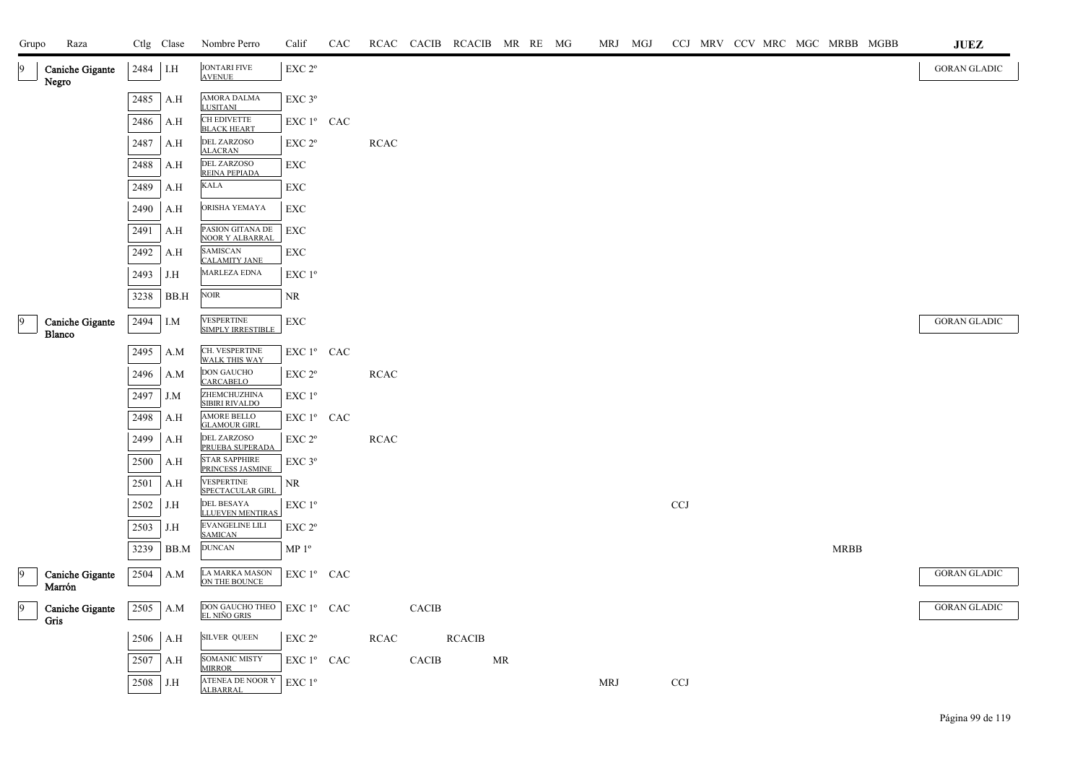| Grupo           | Raza                             |          | Ctlg Clase | Nombre Perro                                 | Calif              | CAC |             |              | RCAC CACIB RCACIB MR RE MG |    |  | MRJ MGJ |            |  |  |             | CCJ MRV CCV MRC MGC MRBB MGBB | <b>JUEZ</b>         |
|-----------------|----------------------------------|----------|------------|----------------------------------------------|--------------------|-----|-------------|--------------|----------------------------|----|--|---------|------------|--|--|-------------|-------------------------------|---------------------|
| 19              | Caniche Gigante<br>Negro         | 2484 I.H |            | <b>JONTARI FIVE</b><br><b>AVENUE</b>         | EXC 2 <sup>o</sup> |     |             |              |                            |    |  |         |            |  |  |             |                               | <b>GORAN GLADIC</b> |
|                 |                                  | 2485     | A.H        | AMORA DALMA<br><b>LUSITANI</b>               | EXC 3°             |     |             |              |                            |    |  |         |            |  |  |             |                               |                     |
|                 |                                  | 2486     | A.H        | CH EDIVETTE<br><b>BLACK HEART</b>            | EXC 1° CAC         |     |             |              |                            |    |  |         |            |  |  |             |                               |                     |
|                 |                                  | 2487     | A.H        | DEL ZARZOSO<br><b>ALACRAN</b>                | EXC 2 <sup>o</sup> |     | RCAC        |              |                            |    |  |         |            |  |  |             |                               |                     |
|                 |                                  | 2488     | A.H        | <b>DEL ZARZOSO</b><br>REINA PEPIADA          | EXC                |     |             |              |                            |    |  |         |            |  |  |             |                               |                     |
|                 |                                  | 2489     | A.H        | <b>KALA</b>                                  | EXC                |     |             |              |                            |    |  |         |            |  |  |             |                               |                     |
|                 |                                  | 2490     | A.H        | ORISHA YEMAYA                                | EXC                |     |             |              |                            |    |  |         |            |  |  |             |                               |                     |
|                 |                                  | 2491     | A.H        | PASION GITANA DE<br><b>NOOR Y ALBARRAL</b>   | EXC                |     |             |              |                            |    |  |         |            |  |  |             |                               |                     |
|                 |                                  | 2492     | A.H        | <b>SAMISCAN</b><br><b>CALAMITY JANE</b>      | EXC                |     |             |              |                            |    |  |         |            |  |  |             |                               |                     |
|                 |                                  | 2493     | J.H        | MARLEZA EDNA                                 | EXC 1 <sup>o</sup> |     |             |              |                            |    |  |         |            |  |  |             |                               |                     |
|                 |                                  | 3238     | BB.H       | $\rm NOIR$                                   | NR                 |     |             |              |                            |    |  |         |            |  |  |             |                               |                     |
| 9               | <b>Caniche Gigante</b>           | 2494     | I.M        | VESPERTINE<br>SIMPLY IRRESTIBLE              | <b>EXC</b>         |     |             |              |                            |    |  |         |            |  |  |             |                               | <b>GORAN GLADIC</b> |
|                 | <b>Blanco</b>                    | 2495     |            | CH. VESPERTINE                               | EXC 1º CAC         |     |             |              |                            |    |  |         |            |  |  |             |                               |                     |
|                 |                                  |          | A.M        | <b>WALK THIS WAY</b><br><b>DON GAUCHO</b>    |                    |     |             |              |                            |    |  |         |            |  |  |             |                               |                     |
|                 |                                  | 2496     | A.M        | <b>CARCABELO</b>                             | EXC <sub>2°</sub>  |     | <b>RCAC</b> |              |                            |    |  |         |            |  |  |             |                               |                     |
|                 |                                  | 2497     | J.M        | ZHEMCHUZHINA<br>SIBIRI RIVALDO               | EXC 1 <sup>°</sup> |     |             |              |                            |    |  |         |            |  |  |             |                               |                     |
|                 |                                  | 2498     | A.H        | <b>AMORE BELLO</b><br><b>GLAMOUR GIRL</b>    | EXC 1° CAC         |     |             |              |                            |    |  |         |            |  |  |             |                               |                     |
|                 |                                  | 2499     | A.H        | <b>DEL ZARZOSO</b><br>PRUEBA SUPERADA        | EXC 2 <sup>o</sup> |     | <b>RCAC</b> |              |                            |    |  |         |            |  |  |             |                               |                     |
|                 |                                  | 2500     | A.H        | <b>STAR SAPPHIRE</b><br>PRINCESS JASMINE     | EXC 3 <sup>o</sup> |     |             |              |                            |    |  |         |            |  |  |             |                               |                     |
|                 |                                  | 2501     | A.H        | <b>VESPERTINE</b><br>SPECTACULAR GIRL        | NR                 |     |             |              |                            |    |  |         |            |  |  |             |                               |                     |
|                 |                                  | 2502     | J.H        | <b>DEL BESAYA</b><br><b>LLUEVEN MENTIRAS</b> | EXC 1 <sup>o</sup> |     |             |              |                            |    |  |         | CCJ        |  |  |             |                               |                     |
|                 |                                  | 2503     | J.H        | EVANGELINE LILI<br><b>SAMICAN</b>            | EXC 2°             |     |             |              |                            |    |  |         |            |  |  |             |                               |                     |
|                 |                                  | 3239     | BB.M       | <b>DUNCAN</b>                                | MP <sup>0</sup>    |     |             |              |                            |    |  |         |            |  |  | <b>MRBB</b> |                               |                     |
| 19              | <b>Caniche Gigante</b><br>Marrón | 2504     | A.M        | LA MARKA MASON<br>ON THE BOUNCE              | EXC 1º CAC         |     |             |              |                            |    |  |         |            |  |  |             |                               | <b>GORAN GLADIC</b> |
| $\vert 9 \vert$ | Caniche Gigante                  |          | $2505$ A.M | DON GAUCHO THEO<br>EL NIÑO GRIS              | EXC 1º CAC         |     |             | <b>CACIB</b> |                            |    |  |         |            |  |  |             |                               | GORAN GLADIC        |
|                 | Gris                             |          | $2506$ A.H | <b>SILVER QUEEN</b>                          | EXC 2 <sup>o</sup> |     | RCAC        |              | <b>RCACIB</b>              |    |  |         |            |  |  |             |                               |                     |
|                 |                                  | 2507     | A.H        | <b>SOMANIC MISTY</b>                         | $EXC1^{\circ}$ CAC |     |             | CACIB        |                            | MR |  |         |            |  |  |             |                               |                     |
|                 |                                  | 2508     | $\mid$ J.H | <b>MIRROR</b><br>ATENEA DE NOOR Y            | $EXC1^{\circ}$     |     |             |              |                            |    |  | MRJ     | <b>CCJ</b> |  |  |             |                               |                     |
|                 |                                  |          |            | ALBARRAL                                     |                    |     |             |              |                            |    |  |         |            |  |  |             |                               |                     |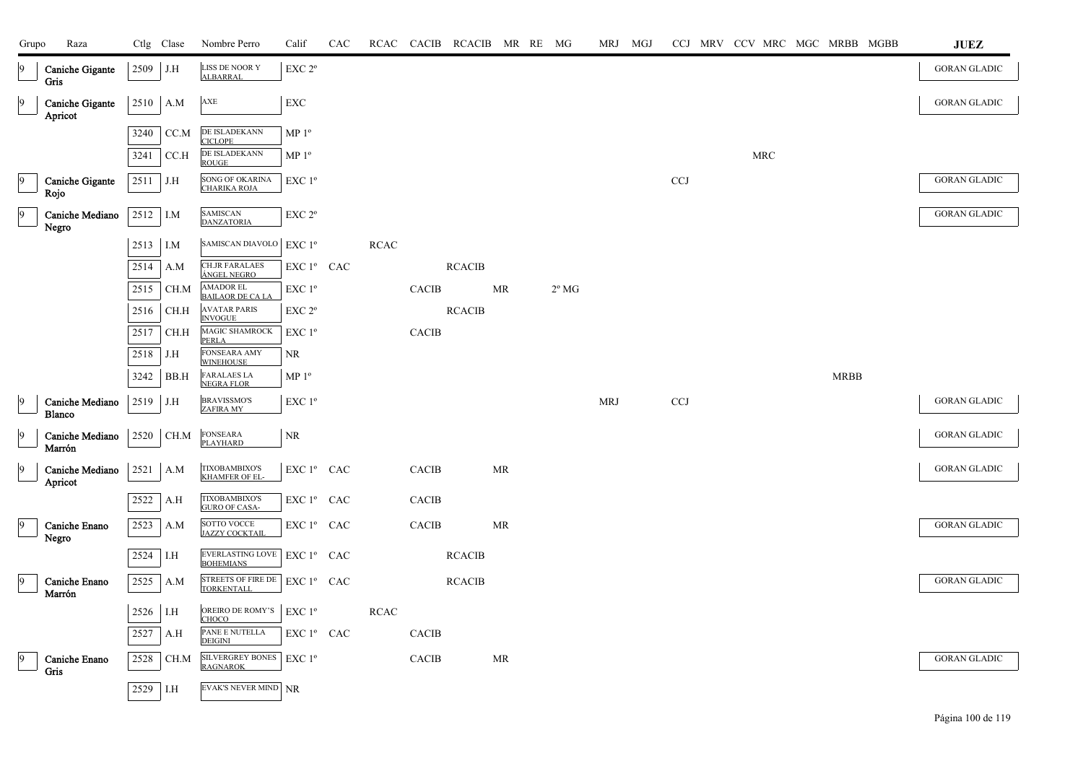| Grupo | Raza                                  |            | Ctlg Clase | Nombre Perro                                         | Calif                                               | CAC |             |              | RCAC CACIB RCACIB MR RE MG |           |                | MRJ MGJ    |            |  |            | CCJ MRV CCV MRC MGC MRBB MGBB |             | JUEZ                |
|-------|---------------------------------------|------------|------------|------------------------------------------------------|-----------------------------------------------------|-----|-------------|--------------|----------------------------|-----------|----------------|------------|------------|--|------------|-------------------------------|-------------|---------------------|
|       | <b>Caniche Gigante</b><br><b>Gris</b> | $2509$ J.H |            | LISS DE NOOR Y<br><b>ALBARRAL</b>                    | EXC <sub>2°</sub>                                   |     |             |              |                            |           |                |            |            |  |            |                               |             | <b>GORAN GLADIC</b> |
| 19    | Caniche Gigante<br>Apricot            | 2510 A.M   |            | AXE                                                  | EXC                                                 |     |             |              |                            |           |                |            |            |  |            |                               |             | <b>GORAN GLADIC</b> |
|       |                                       | 3240       | CC.M       | DE ISLADEKANN<br><b>CICLOPE</b>                      | MP <sup>0</sup>                                     |     |             |              |                            |           |                |            |            |  |            |                               |             |                     |
|       |                                       | 3241       | CC.H       | DE ISLADEKANN<br><b>ROUGE</b>                        | MP <sup>0</sup>                                     |     |             |              |                            |           |                |            |            |  | <b>MRC</b> |                               |             |                     |
|       | Caniche Gigante<br>Rojo               | 2511 J.H   |            | <b>SONG OF OKARINA</b><br><b>CHARIKA ROJA</b>        | EXC 1 <sup>o</sup>                                  |     |             |              |                            |           |                |            | <b>CCJ</b> |  |            |                               |             | <b>GORAN GLADIC</b> |
|       | Caniche Mediano<br>Negro              | 2512 I.M   |            | <b>SAMISCAN</b><br>DANZATORIA                        | EXC 2 <sup>o</sup>                                  |     |             |              |                            |           |                |            |            |  |            |                               |             | <b>GORAN GLADIC</b> |
|       |                                       | $2513$ I.M |            | SAMISCAN DIAVOLO EXC $1^{\circ}$                     |                                                     |     | <b>RCAC</b> |              |                            |           |                |            |            |  |            |                               |             |                     |
|       |                                       | 2514       | A.M        | <b>CH.JR FARALAES</b><br>ÁNGEL NEGRO                 | EXC 1º CAC                                          |     |             |              | <b>RCACIB</b>              |           |                |            |            |  |            |                               |             |                     |
|       |                                       | 2515       | CH.M       | AMADOR EL<br><b>BAILAOR DE CA LA</b>                 | EXC 1 <sup>o</sup>                                  |     |             | <b>CACIB</b> |                            | MR        | $2^{\circ}$ MG |            |            |  |            |                               |             |                     |
|       |                                       | 2516       | CH.H       | <b>AVATAR PARIS</b><br><b>INVOGUE</b>                | EXC <sub>2°</sub>                                   |     |             |              | <b>RCACIB</b>              |           |                |            |            |  |            |                               |             |                     |
|       |                                       | 2517       | CH.H       | MAGIC SHAMROCK<br><b>PERLA</b>                       | $EXC1^{\circ}$                                      |     |             | <b>CACIB</b> |                            |           |                |            |            |  |            |                               |             |                     |
|       |                                       | 2518       | J.H        | <b>FONSEARA AMY</b><br><b>WINEHOUSE</b>              | NR                                                  |     |             |              |                            |           |                |            |            |  |            |                               |             |                     |
|       |                                       | 3242       | BB.H       | <b>FARALAES LA</b><br><b>NEGRA FLOR</b>              | MP <sup>0</sup>                                     |     |             |              |                            |           |                |            |            |  |            |                               | <b>MRBB</b> |                     |
|       | Caniche Mediano<br><b>Blanco</b>      | $2519$ J.H |            | <b>BRAVISSMO'S</b><br><b>ZAFIRA MY</b>               | EXC 1 <sup>o</sup>                                  |     |             |              |                            |           |                | <b>MRJ</b> | <b>CCJ</b> |  |            |                               |             | <b>GORAN GLADIC</b> |
| 9     | Caniche Mediano<br>Marrón             |            | 2520 CH.M  | <b>FONSEARA</b><br><b>PLAYHARD</b>                   | $\rm NR$                                            |     |             |              |                            |           |                |            |            |  |            |                               |             | <b>GORAN GLADIC</b> |
| 9     | Caniche Mediano<br>Apricot            | $2521$ A.M |            | <b>TIXOBAMBIXO'S</b><br><b>KHAMFER OF EL</b>         | $\mathop{\hbox{\rm EXC}}$ $1^{\circ}$ $\;$ CAC $\;$ |     |             | <b>CACIB</b> |                            | MR        |                |            |            |  |            |                               |             | <b>GORAN GLADIC</b> |
|       |                                       | 2522       | A.H        | <b>TIXOBAMBIXO'S</b><br><b>GURO OF CASA-</b>         | EXC 1º CAC                                          |     |             | CACIB        |                            |           |                |            |            |  |            |                               |             |                     |
| 19    | Caniche Enano<br>Negro                | 2523       | A.M        | SOTTO VOCCE<br>JAZZY COCKTAIL                        | EXC 1º CAC                                          |     |             | <b>CACIB</b> |                            | <b>MR</b> |                |            |            |  |            |                               |             | <b>GORAN GLADIC</b> |
|       |                                       | 2524       | I.H        | EVERLASTING LOVE   EXC 1º CAC<br><b>BOHEMIANS</b>    |                                                     |     |             |              | <b>RCACIB</b>              |           |                |            |            |  |            |                               |             |                     |
|       | Caniche Enano<br>Marrón               | 2525       | A.M        | STREETS OF FIRE DE   EXC 1º CAC<br><b>TORKENTALL</b> |                                                     |     |             |              | <b>RCACIB</b>              |           |                |            |            |  |            |                               |             | <b>GORAN GLADIC</b> |
|       |                                       | 2526 I.H   |            | OREIRO DE ROMY'S<br>CHOCO                            | $EXC1^{\circ}$                                      |     | RCAC        |              |                            |           |                |            |            |  |            |                               |             |                     |
|       |                                       | 2527       | A.H        | PANE E NUTELLA<br><b>DEIGINI</b>                     | EXC 1º CAC                                          |     |             | <b>CACIB</b> |                            |           |                |            |            |  |            |                               |             |                     |
|       | Caniche Enano<br>Gris                 | 2528       | CH.M       | SILVERGREY BONES   EXC 1º<br><b>RAGNAROK</b>         |                                                     |     |             | <b>CACIB</b> |                            | <b>MR</b> |                |            |            |  |            |                               |             | <b>GORAN GLADIC</b> |
|       |                                       | 2529 I.H   |            | EVAK'S NEVER MIND NR                                 |                                                     |     |             |              |                            |           |                |            |            |  |            |                               |             |                     |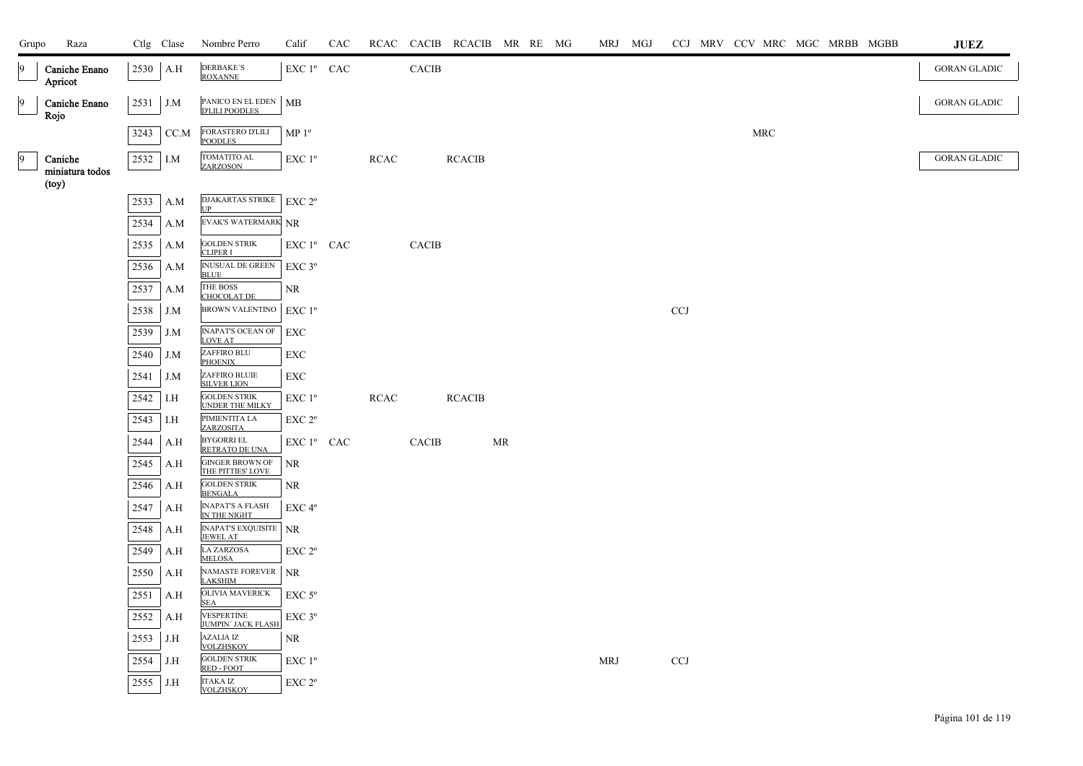| Grupo          | Raza                                |            | Ctlg Clase | Nombre Perro                                    | Calif                  | CAC |             |              | RCAC CACIB RCACIB MR RE MG |    |  | MRJ MGJ    |            | CCJ MRV CCV MRC MGC MRBB MGBB |  |  | <b>JUEZ</b>         |
|----------------|-------------------------------------|------------|------------|-------------------------------------------------|------------------------|-----|-------------|--------------|----------------------------|----|--|------------|------------|-------------------------------|--|--|---------------------|
| 9              | Caniche Enano<br>Apricot            | 2530       | A.H        | <b>DERBAKE'S</b><br><b>ROXANNE</b>              | EXC 1º CAC             |     |             | <b>CACIB</b> |                            |    |  |            |            |                               |  |  | <b>GORAN GLADIC</b> |
| $\overline{9}$ | Caniche Enano<br>Rojo               | $2531$ J.M |            | PANICO EN EL EDEN   MB<br><b>D'LILI POODLES</b> |                        |     |             |              |                            |    |  |            |            |                               |  |  | <b>GORAN GLADIC</b> |
|                |                                     | 3243       | CC.M       | <b>FORASTERO D'LILI</b><br><b>POODLES</b>       | MP <sup>0</sup>        |     |             |              |                            |    |  |            |            | <b>MRC</b>                    |  |  |                     |
| $\overline{9}$ | Caniche<br>miniatura todos<br>(toy) | 2532       | I.M        | TOMATITO AL<br>ZARZOSON                         | EXC 1 <sup>o</sup>     |     | <b>RCAC</b> |              | <b>RCACIB</b>              |    |  |            |            |                               |  |  | <b>GORAN GLADIC</b> |
|                |                                     | 2533       | A.M        | DJAKARTAS STRIKE<br><b>I</b> IP                 | EXC 2 <sup>o</sup>     |     |             |              |                            |    |  |            |            |                               |  |  |                     |
|                |                                     | 2534       | A.M        | EVAK'S WATERMARK NR                             |                        |     |             |              |                            |    |  |            |            |                               |  |  |                     |
|                |                                     | 2535       | A.M        | <b>GOLDEN STRIK</b><br><b>CLIPER I</b>          | EXC 1º CAC             |     |             | <b>CACIB</b> |                            |    |  |            |            |                               |  |  |                     |
|                |                                     | 2536       | A.M        | <b>INUSUAL DE GREEN</b><br><b>BLUE</b>          | EXC 3°                 |     |             |              |                            |    |  |            |            |                               |  |  |                     |
|                |                                     | 2537       | A.M        | THE BOSS                                        | NR                     |     |             |              |                            |    |  |            |            |                               |  |  |                     |
|                |                                     | 2538       | J.M        | <b>CHOCOLAT DE</b><br>BROWN VALENTINO   EXC 1º  |                        |     |             |              |                            |    |  |            | <b>CCJ</b> |                               |  |  |                     |
|                |                                     | 2539       | J.M        | <b>INAPAT'S OCEAN OF</b><br><b>LOVE AT</b>      | EXC                    |     |             |              |                            |    |  |            |            |                               |  |  |                     |
|                |                                     | 2540       | J.M        | ZAFFIRO BLU<br><b>PHOENIX</b>                   | EXC                    |     |             |              |                            |    |  |            |            |                               |  |  |                     |
|                |                                     | 2541       | J.M        | ZAFFIRO BLUIE<br><b>SILVER LION</b>             | EXC                    |     |             |              |                            |    |  |            |            |                               |  |  |                     |
|                |                                     | 2542       | I.H        | <b>GOLDEN STRIK</b><br><b>UNDER THE MILKY</b>   | EXC1 <sup>o</sup>      |     | <b>RCAC</b> |              | <b>RCACIB</b>              |    |  |            |            |                               |  |  |                     |
|                |                                     | 2543       | I.H        | PIMIENTITA LA<br>ZARZOSITA                      | EXC 2 <sup>o</sup>     |     |             |              |                            |    |  |            |            |                               |  |  |                     |
|                |                                     | 2544       | A.H        | <b>BYGORRI EL</b><br>RETRATO DE UNA             | EXC 1 <sup>°</sup> CAC |     |             | <b>CACIB</b> |                            | MR |  |            |            |                               |  |  |                     |
|                |                                     | 2545       | A.H        | <b>GINGER BROWN OF</b><br>THE PITTIES' LOVE     | NR                     |     |             |              |                            |    |  |            |            |                               |  |  |                     |
|                |                                     | 2546       | A.H        | <b>GOLDEN STRIK</b><br><b>BENGALA</b>           | NR                     |     |             |              |                            |    |  |            |            |                               |  |  |                     |
|                |                                     | 2547       | A.H        | <b>INAPAT'S A FLASH</b><br>IN THE NIGHT         | EXC 4 <sup>o</sup>     |     |             |              |                            |    |  |            |            |                               |  |  |                     |
|                |                                     | 2548       | A.H        | <b>INAPAT'S EXQUISITE</b> NR<br><b>JEWEL AT</b> |                        |     |             |              |                            |    |  |            |            |                               |  |  |                     |
|                |                                     | 2549       | A.H        | <b>LA ZARZOSA</b><br><b>MELOSA</b>              | EXC 2 <sup>o</sup>     |     |             |              |                            |    |  |            |            |                               |  |  |                     |
|                |                                     | 2550       | A.H        | NAMASTE FOREVER NR<br><b>LAKSHIM</b>            |                        |     |             |              |                            |    |  |            |            |                               |  |  |                     |
|                |                                     | 2551       | A.H        | <b>OLIVIA MAVERICK</b><br><b>SEA</b>            | $EXC$ 5 $^{\circ}$     |     |             |              |                            |    |  |            |            |                               |  |  |                     |
|                |                                     | 2552       | A.H        | VESPERTINE<br><b>JUMPIN' JACK FLASH</b>         | $EXC$ $3^{\circ}$      |     |             |              |                            |    |  |            |            |                               |  |  |                     |
|                |                                     | 2553       | J.H        | <b>AZALIA IZ</b><br><b>VOLZHSKOY</b>            | NR                     |     |             |              |                            |    |  |            |            |                               |  |  |                     |
|                |                                     | 2554       | J.H        | <b>GOLDEN STRIK</b><br>RED - FOOT               | $EXC1^{\circ}$         |     |             |              |                            |    |  | <b>MRJ</b> | <b>CCJ</b> |                               |  |  |                     |
|                |                                     | 2555       | J.H        | <b>ITAKA IZ</b><br><b>VOLZHSKOY</b>             | EXC 2 <sup>o</sup>     |     |             |              |                            |    |  |            |            |                               |  |  |                     |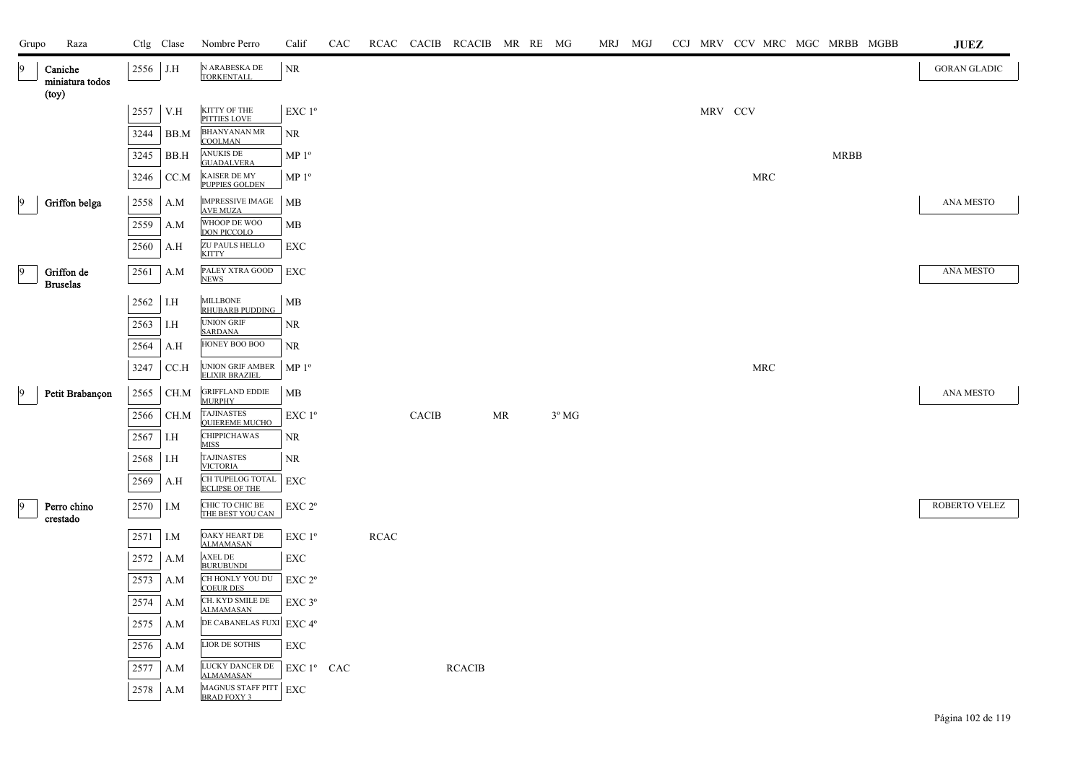| Grupo | Raza                                |      | Ctlg Clase | Nombre Perro                                                    | Calif              | CAC |             |              | RCAC CACIB RCACIB MR RE MG |    |                | MRJ MGJ |         |     |             | CCJ MRV CCV MRC MGC MRBB MGBB | <b>JUEZ</b>         |
|-------|-------------------------------------|------|------------|-----------------------------------------------------------------|--------------------|-----|-------------|--------------|----------------------------|----|----------------|---------|---------|-----|-------------|-------------------------------|---------------------|
| 9     | Caniche<br>miniatura todos<br>(toy) | 2556 | J.H        | N ARABESKA DE<br><b>TORKENTALL</b>                              | <b>NR</b>          |     |             |              |                            |    |                |         |         |     |             |                               | <b>GORAN GLADIC</b> |
|       |                                     | 2557 | V.H        | KITTY OF THE<br>PITTIES LOVE                                    | EXC 1 <sup>o</sup> |     |             |              |                            |    |                |         | MRV CCV |     |             |                               |                     |
|       |                                     | 3244 | BB.M       | <b>BHANYANAN MR</b><br><b>COOLMAN</b>                           | NR.                |     |             |              |                            |    |                |         |         |     |             |                               |                     |
|       |                                     | 3245 | BB.H       | <b>ANUKIS DE</b><br><b>GUADALVERA</b>                           | MP 1 <sup>o</sup>  |     |             |              |                            |    |                |         |         |     | <b>MRBB</b> |                               |                     |
|       |                                     | 3246 | CC.M       | KAISER DE MY<br><b>PUPPIES GOLDEN</b>                           | MP 1 <sup>o</sup>  |     |             |              |                            |    |                |         |         | MRC |             |                               |                     |
| 19    | Griffon belga                       | 2558 | A.M        | <b>IMPRESSIVE IMAGE</b><br><b>AVE MUZA</b>                      | MB                 |     |             |              |                            |    |                |         |         |     |             |                               | <b>ANA MESTO</b>    |
|       |                                     | 2559 | A.M        | WHOOP DE WOO<br><b>DON PICCOLO</b>                              | MB                 |     |             |              |                            |    |                |         |         |     |             |                               |                     |
|       |                                     | 2560 | A.H        | ZU PAULS HELLO<br><b>KITTY</b>                                  | EXC                |     |             |              |                            |    |                |         |         |     |             |                               |                     |
| 9     | Griffon de                          | 2561 | A.M        | PALEY XTRA GOOD                                                 | EXC                |     |             |              |                            |    |                |         |         |     |             |                               | ANA MESTO           |
|       | <b>Bruselas</b>                     |      |            | <b>NEWS</b><br><b>MILLBONE</b>                                  |                    |     |             |              |                            |    |                |         |         |     |             |                               |                     |
|       |                                     | 2562 | I.H        | <b>RHUBARB PUDDING</b>                                          | МB                 |     |             |              |                            |    |                |         |         |     |             |                               |                     |
|       |                                     | 2563 | I.H        | <b>UNION GRIF</b><br><b>SARDANA</b>                             | NR.                |     |             |              |                            |    |                |         |         |     |             |                               |                     |
|       |                                     | 2564 | A.H        | HONEY BOO BOO                                                   | NR                 |     |             |              |                            |    |                |         |         |     |             |                               |                     |
|       |                                     | 3247 | CC.H       | UNION GRIF AMBER<br><b>ELIXIR BRAZIEL</b>                       | MP 1 <sup>o</sup>  |     |             |              |                            |    |                |         |         | MRC |             |                               |                     |
| 19    | Petit Brabançon                     | 2565 | CH.M       | <b>GRIFFLAND EDDIE</b><br><b>MURPHY</b>                         | MB                 |     |             |              |                            |    |                |         |         |     |             |                               | <b>ANA MESTO</b>    |
|       |                                     | 2566 | CH.M       | <b>TAJINASTES</b><br><b>QUIEREME MUCHO</b>                      | EXC 1 <sup>o</sup> |     |             | <b>CACIB</b> |                            | MR | $3^{\circ}$ MG |         |         |     |             |                               |                     |
|       |                                     | 2567 | I.H        | <b>CHIPPICHAWAS</b><br><b>MISS</b>                              | NR                 |     |             |              |                            |    |                |         |         |     |             |                               |                     |
|       |                                     | 2568 | I.H        | <b>TAJINASTES</b><br><b>VICTORIA</b>                            | NR.                |     |             |              |                            |    |                |         |         |     |             |                               |                     |
|       |                                     | 2569 | A.H        | CH TUPELOG TOTAL EXC<br><b>ECLIPSE OF THE</b>                   |                    |     |             |              |                            |    |                |         |         |     |             |                               |                     |
| 9     | Perro chino<br>crestado             | 2570 | I.M        | CHIC TO CHIC BE<br>THE BEST YOU CAN                             | EXC 2°             |     |             |              |                            |    |                |         |         |     |             |                               | ROBERTO VELEZ       |
|       |                                     | 2571 | I.M        | OAKY HEART DE<br><b>ALMAMASAN</b>                               | $EXC1^{\circ}$     |     | <b>RCAC</b> |              |                            |    |                |         |         |     |             |                               |                     |
|       |                                     | 2572 | A.M        | <b>AXEL DE</b><br><b>BURUBUNDI</b>                              | EXC                |     |             |              |                            |    |                |         |         |     |             |                               |                     |
|       |                                     | 2573 | A.M        | CH HONLY YOU DU<br><b>COEUR DES</b>                             | EXC 2 <sup>o</sup> |     |             |              |                            |    |                |         |         |     |             |                               |                     |
|       |                                     | 2574 | A.M        | CH. KYD SMILE DE<br><b>ALMAMASAN</b>                            | $EXC$ 3 $^{\circ}$ |     |             |              |                            |    |                |         |         |     |             |                               |                     |
|       |                                     | 2575 | A.M        | DE CABANELAS FUXI EXC 4°                                        |                    |     |             |              |                            |    |                |         |         |     |             |                               |                     |
|       |                                     | 2576 | A.M        | LIOR DE SOTHIS                                                  | EXC                |     |             |              |                            |    |                |         |         |     |             |                               |                     |
|       |                                     | 2577 | A.M        | LUCKY DANCER DE                                                 | EXC 1º CAC         |     |             |              | <b>RCACIB</b>              |    |                |         |         |     |             |                               |                     |
|       |                                     | 2578 | A.M        | <b>ALMAMASAN</b><br>MAGNUS STAFF PITT EXC<br><b>BRAD FOXY 3</b> |                    |     |             |              |                            |    |                |         |         |     |             |                               |                     |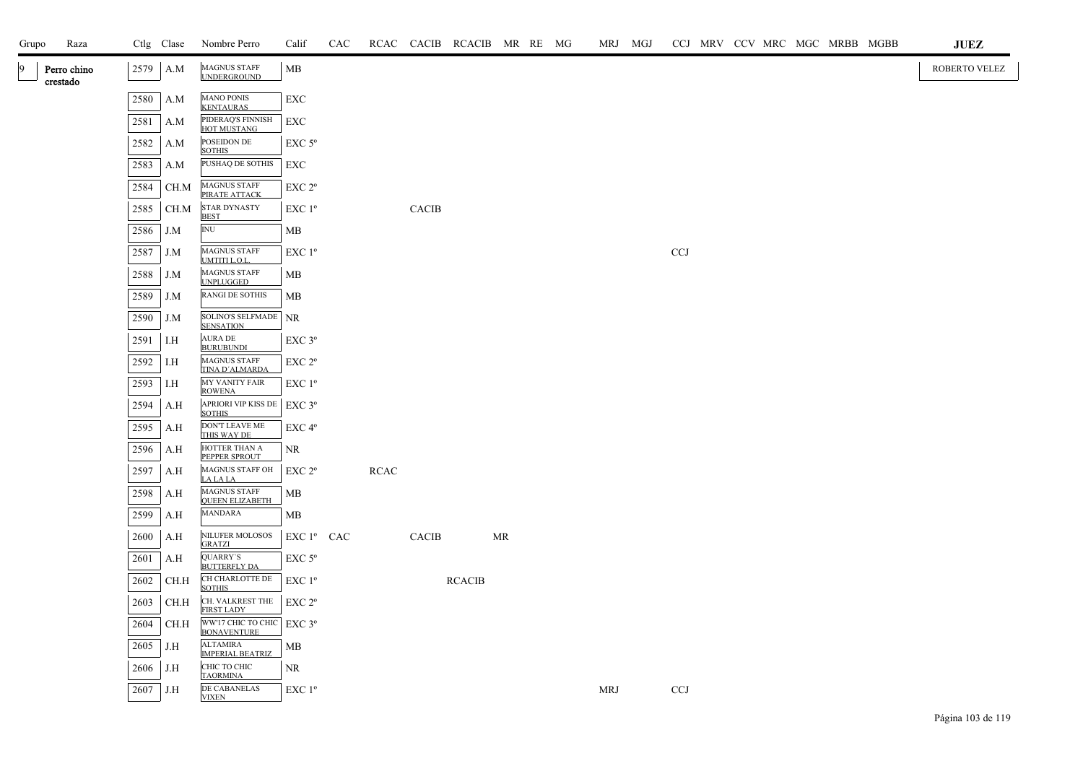| Grupo | Raza                    |      | Ctlg Clase | Nombre Perro                                  | Calif              | CAC |             |              | RCAC CACIB RCACIB MR RE MG |           |  | MRJ MGJ |            |  |  | CCJ MRV CCV MRC MGC MRBB MGBB |  | JUEZ          |  |
|-------|-------------------------|------|------------|-----------------------------------------------|--------------------|-----|-------------|--------------|----------------------------|-----------|--|---------|------------|--|--|-------------------------------|--|---------------|--|
|       | Perro chino<br>crestado | 2579 | A.M        | <b>MAGNUS STAFF</b><br><b>UNDERGROUND</b>     | MB                 |     |             |              |                            |           |  |         |            |  |  |                               |  | ROBERTO VELEZ |  |
|       |                         | 2580 | A.M        | <b>MANO PONIS</b><br><b>KENTAURAS</b>         | EXC                |     |             |              |                            |           |  |         |            |  |  |                               |  |               |  |
|       |                         | 2581 | A.M        | PIDERAQ'S FINNISH<br>HOT MUSTANG              | EXC                |     |             |              |                            |           |  |         |            |  |  |                               |  |               |  |
|       |                         | 2582 | A.M        | POSEIDON DE<br><b>SOTHIS</b>                  | $EXC$ 5 $\rm ^{o}$ |     |             |              |                            |           |  |         |            |  |  |                               |  |               |  |
|       |                         | 2583 | A.M        | PUSHAQ DE SOTHIS                              | EXC                |     |             |              |                            |           |  |         |            |  |  |                               |  |               |  |
|       |                         | 2584 | CH.M       | <b>MAGNUS STAFF</b><br>PIRATE ATTACK          | EXC 2 <sup>o</sup> |     |             |              |                            |           |  |         |            |  |  |                               |  |               |  |
|       |                         | 2585 | CH.M       | <b>STAR DYNASTY</b><br><b>BEST</b>            | $EXC1^{\circ}$     |     |             | <b>CACIB</b> |                            |           |  |         |            |  |  |                               |  |               |  |
|       |                         | 2586 | J.M        | $\mathbb{N} \mathbb{U}$                       | МB                 |     |             |              |                            |           |  |         |            |  |  |                               |  |               |  |
|       |                         | 2587 | J.M        | <b>MAGNUS STAFF</b><br>UMTITI L.O.L.          | EXC1 <sup>o</sup>  |     |             |              |                            |           |  |         | <b>CCJ</b> |  |  |                               |  |               |  |
|       |                         | 2588 | J.M        | <b>MAGNUS STAFF</b><br><b>UNPLUGGED</b>       | MB                 |     |             |              |                            |           |  |         |            |  |  |                               |  |               |  |
|       |                         | 2589 | J.M        | RANGI DE SOTHIS                               | MB                 |     |             |              |                            |           |  |         |            |  |  |                               |  |               |  |
|       |                         | 2590 | J.M        | SOLINO'S SELFMADE<br><b>SENSATION</b>         | <b>NR</b>          |     |             |              |                            |           |  |         |            |  |  |                               |  |               |  |
|       |                         | 2591 | I.H        | <b>AURA DE</b><br><b>BURUBUNDI</b>            | EXC 3°             |     |             |              |                            |           |  |         |            |  |  |                               |  |               |  |
|       |                         | 2592 | I.H        | MAGNUS STAFF<br>TINA D'ALMARDA                | EXC 2 <sup>o</sup> |     |             |              |                            |           |  |         |            |  |  |                               |  |               |  |
|       |                         | 2593 | I.H        | <b>MY VANITY FAIR</b><br><b>ROWENA</b>        | EXC 1°             |     |             |              |                            |           |  |         |            |  |  |                               |  |               |  |
|       |                         | 2594 | A.H        | <b>APRIORI VIP KISS DE</b><br><b>SOTHIS</b>   | EXC 3°             |     |             |              |                            |           |  |         |            |  |  |                               |  |               |  |
|       |                         | 2595 | A.H        | <b>DON'T LEAVE ME</b><br>THIS WAY DE          | EXC <sub>4°</sub>  |     |             |              |                            |           |  |         |            |  |  |                               |  |               |  |
|       |                         | 2596 | A.H        | HOTTER THAN A<br>PEPPER SPROUT                | <b>NR</b>          |     |             |              |                            |           |  |         |            |  |  |                               |  |               |  |
|       |                         | 2597 | A.H        | MAGNUS STAFF OH<br>LA LA LA                   | EXC 2 <sup>o</sup> |     | <b>RCAC</b> |              |                            |           |  |         |            |  |  |                               |  |               |  |
|       |                         | 2598 | A.H        | <b>MAGNUS STAFF</b><br><b>QUEEN ELIZABETH</b> | MB                 |     |             |              |                            |           |  |         |            |  |  |                               |  |               |  |
|       |                         | 2599 | A.H        | <b>MANDARA</b>                                | МB                 |     |             |              |                            |           |  |         |            |  |  |                               |  |               |  |
|       |                         | 2600 | A.H        | NILUFER MOLOSOS<br><b>GRATZI</b>              | $EXC1^{\circ}$ CAC |     |             | CACIB        |                            | <b>MR</b> |  |         |            |  |  |                               |  |               |  |
|       |                         | 2601 | A.H        | QUARRY'S<br><b>BUTTERFLY DA</b>               | $EXC$ 5 $\rm ^{o}$ |     |             |              |                            |           |  |         |            |  |  |                               |  |               |  |
|       |                         | 2602 | CH.H       | CH CHARLOTTE DE<br><b>SOTHIS</b>              | $EXC1^{\circ}$     |     |             |              | <b>RCACIB</b>              |           |  |         |            |  |  |                               |  |               |  |
|       |                         | 2603 | CH.H       | CH. VALKREST THE<br><b>FIRST LADY</b>         | EXC 2 <sup>o</sup> |     |             |              |                            |           |  |         |            |  |  |                               |  |               |  |
|       |                         | 2604 | CH.H       | WW'17 CHIC TO CHIC<br>BONAVENTURE             | EXC 3°             |     |             |              |                            |           |  |         |            |  |  |                               |  |               |  |
|       |                         | 2605 | J.H        | <b>ALTAMIRA</b><br><b>IMPERIAL BEATRIZ</b>    | MB                 |     |             |              |                            |           |  |         |            |  |  |                               |  |               |  |
|       |                         | 2606 | J.H        | СНІС ТО СНІС<br><b>TAORMINA</b>               | <b>NR</b>          |     |             |              |                            |           |  |         |            |  |  |                               |  |               |  |
|       |                         | 2607 | J.H        | DE CABANELAS<br><b>VIXEN</b>                  | EXC 1 <sup>o</sup> |     |             |              |                            |           |  | MRJ     | <b>CCJ</b> |  |  |                               |  |               |  |
|       |                         |      |            |                                               |                    |     |             |              |                            |           |  |         |            |  |  |                               |  |               |  |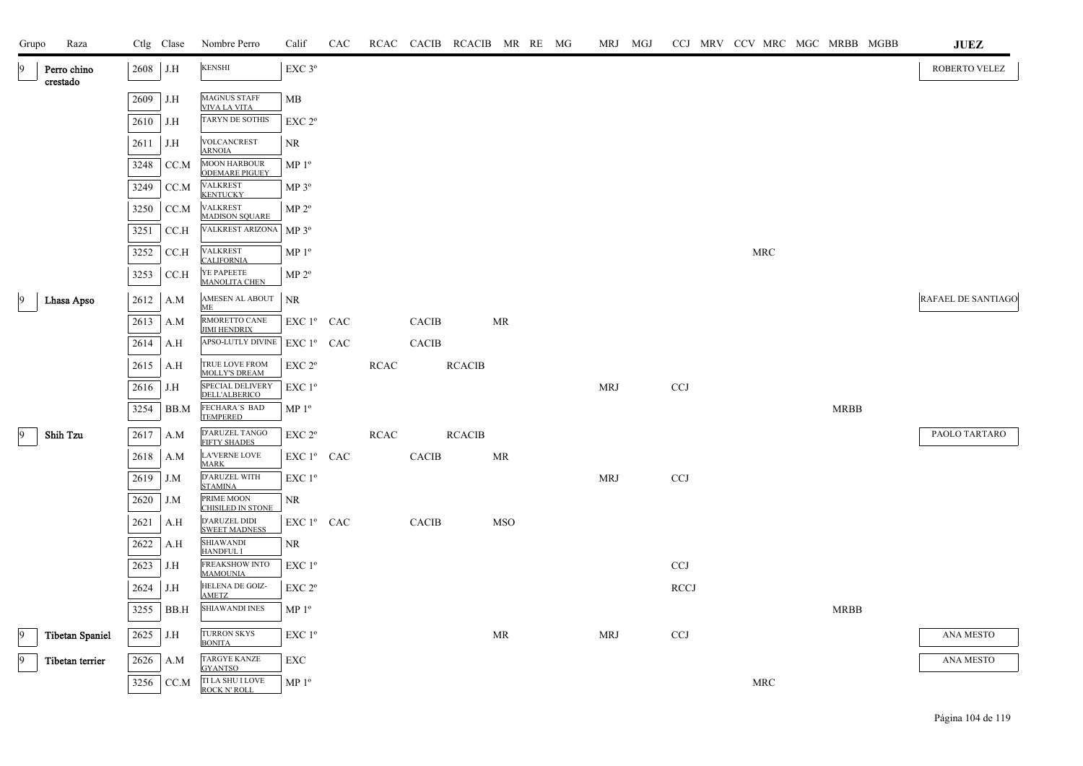| Grupo | Raza                    |          | Ctlg Clase | Nombre Perro                                              | Calif                  | CAC |             |              | RCAC CACIB RCACIB MR RE MG |            |  | MRJ MGJ    |             |  |                      |             | CCJ MRV CCV MRC MGC MRBB MGBB | JUEZ               |
|-------|-------------------------|----------|------------|-----------------------------------------------------------|------------------------|-----|-------------|--------------|----------------------------|------------|--|------------|-------------|--|----------------------|-------------|-------------------------------|--------------------|
|       | Perro chino<br>crestado | 2608 J.H |            | <b>KENSHI</b>                                             | $\rm EXC$ $3^{\rm o}$  |     |             |              |                            |            |  |            |             |  |                      |             |                               | ROBERTO VELEZ      |
|       |                         | 2609     | J.H        | <b>MAGNUS STAFF</b><br><b>VIVA LA VITA</b>                | MB                     |     |             |              |                            |            |  |            |             |  |                      |             |                               |                    |
|       |                         | 2610     | J.H        | <b>TARYN DE SOTHIS</b>                                    | EXC 2 <sup>o</sup>     |     |             |              |                            |            |  |            |             |  |                      |             |                               |                    |
|       |                         | 2611     | J.H        | VOLCANCREST<br><b>ARNOIA</b>                              | NR                     |     |             |              |                            |            |  |            |             |  |                      |             |                               |                    |
|       |                         | 3248     | CC.M       | <b>MOON HARBOUR</b><br><b>ODEMARE PIGUEY</b>              | MP <sup>0</sup>        |     |             |              |                            |            |  |            |             |  |                      |             |                               |                    |
|       |                         | 3249     | CC.M       | <b>VALKREST</b><br><b>KENTUCKY</b>                        | MP 3 <sup>o</sup>      |     |             |              |                            |            |  |            |             |  |                      |             |                               |                    |
|       |                         | 3250     | CC.M       | <b>VALKREST</b>                                           | MP 2 <sup>o</sup>      |     |             |              |                            |            |  |            |             |  |                      |             |                               |                    |
|       |                         | 3251     | CCA        | <b>MADISON SQUARE</b><br>VALKREST ARIZONA MP 3º           |                        |     |             |              |                            |            |  |            |             |  |                      |             |                               |                    |
|       |                         | 3252     | CC.H       | VALKREST                                                  | MP <sup>0</sup>        |     |             |              |                            |            |  |            |             |  | $\operatorname{MRC}$ |             |                               |                    |
|       |                         | 3253     | CCA        | <b>CALIFORNIA</b><br>YE PAPEETE<br><b>MANOLITA CHEN</b>   | MP 2 <sup>o</sup>      |     |             |              |                            |            |  |            |             |  |                      |             |                               |                    |
|       | Lhasa Apso              | 2612     | A.M        | AMESEN AL ABOUT                                           | <b>NR</b>              |     |             |              |                            |            |  |            |             |  |                      |             |                               | RAFAEL DE SANTIAGO |
|       |                         | 2613     | A.M        | ME<br>RMORETTO CANE                                       | EXC 1 <sup>°</sup> CAC |     |             | CACIB        |                            | MR         |  |            |             |  |                      |             |                               |                    |
|       |                         | 2614     | A.H        | <b>JIMI HENDRIX</b><br>APSO-LUTLY DIVINE                  | EXC 1 <sup>°</sup> CAC |     |             | <b>CACIB</b> |                            |            |  |            |             |  |                      |             |                               |                    |
|       |                         | 2615     | A.H        | TRUE LOVE FROM<br><b>MOLLY'S DREAM</b>                    | EXC 2 <sup>o</sup>     |     | <b>RCAC</b> |              | <b>RCACIB</b>              |            |  |            |             |  |                      |             |                               |                    |
|       |                         | 2616     | J.H        | SPECIAL DELIVERY<br><b>DELL'ALBERICO</b>                  | $EXC1^{\circ}$         |     |             |              |                            |            |  | MRJ        | <b>CCJ</b>  |  |                      |             |                               |                    |
|       |                         | 3254     | BB.M       | FECHARA'S BAD<br><b>TEMPERED</b>                          | MP <sup>0</sup>        |     |             |              |                            |            |  |            |             |  |                      | <b>MRBB</b> |                               |                    |
|       | Shih Tzu                | 2617     | A.M        | D'ARUZEL TANGO                                            | EXC 2 <sup>o</sup>     |     | RCAC        |              | <b>RCACIB</b>              |            |  |            |             |  |                      |             |                               | PAOLO TARTARO      |
|       |                         | 2618     | A.M        | <b>FIFTY SHADES</b><br><b>LA'VERNE LOVE</b>               | $EXC1^{\circ}$ CAC     |     |             | CACIB        |                            | MR         |  |            |             |  |                      |             |                               |                    |
|       |                         | 2619     | J.M        | <b>MARK</b><br>D'ARUZEL WITH<br><b>STAMINA</b>            | $EXC1^{\circ}$         |     |             |              |                            |            |  | MRJ        | <b>CCJ</b>  |  |                      |             |                               |                    |
|       |                         | 2620     | J.M        | PRIME MOON<br><b>CHISILED IN STONE</b>                    | NR                     |     |             |              |                            |            |  |            |             |  |                      |             |                               |                    |
|       |                         | 2621     | A.H        | D'ARUZEL DIDI<br><b>SWEET MADNESS</b>                     | EXC 1º CAC             |     |             | CACIB        |                            | <b>MSO</b> |  |            |             |  |                      |             |                               |                    |
|       |                         | 2622     | A.H        | SHIAWANDI<br><b>HANDFUL I</b>                             | NR                     |     |             |              |                            |            |  |            |             |  |                      |             |                               |                    |
|       |                         | 2623     | J.H        | FREAKSHOW INTO<br><b>MAMOUNIA</b>                         | EXC 1 <sup>o</sup>     |     |             |              |                            |            |  |            | <b>CCJ</b>  |  |                      |             |                               |                    |
|       |                         | 2624     | J.H        | HELENA DE GOIZ-<br><b>AMETZ</b>                           | $EXC 2^{\circ}$        |     |             |              |                            |            |  |            | <b>RCCJ</b> |  |                      |             |                               |                    |
|       |                         | 3255     | BB.H       | <b>SHIAWANDI INES</b>                                     | MP <sup>0</sup>        |     |             |              |                            |            |  |            |             |  |                      | <b>MRBB</b> |                               |                    |
| 9     | <b>Tibetan Spaniel</b>  | 2625     | J.H        | <b>TURRON SKYS</b><br><b>BONITA</b>                       | EXC 1 <sup>o</sup>     |     |             |              |                            | MR         |  | <b>MRJ</b> | <b>CCJ</b>  |  |                      |             |                               | ANA MESTO          |
| 9     | Tibetan terrier         | 2626     | A.M        | <b>TARGYE KANZE</b>                                       | EXC                    |     |             |              |                            |            |  |            |             |  |                      |             |                               | ANA MESTO          |
|       |                         | 3256     | CC.M       | <b>GYANTSO</b><br>TI LA SHU I LOVE<br><b>ROCK N' ROLL</b> | MP <sup>0</sup>        |     |             |              |                            |            |  |            |             |  | <b>MRC</b>           |             |                               |                    |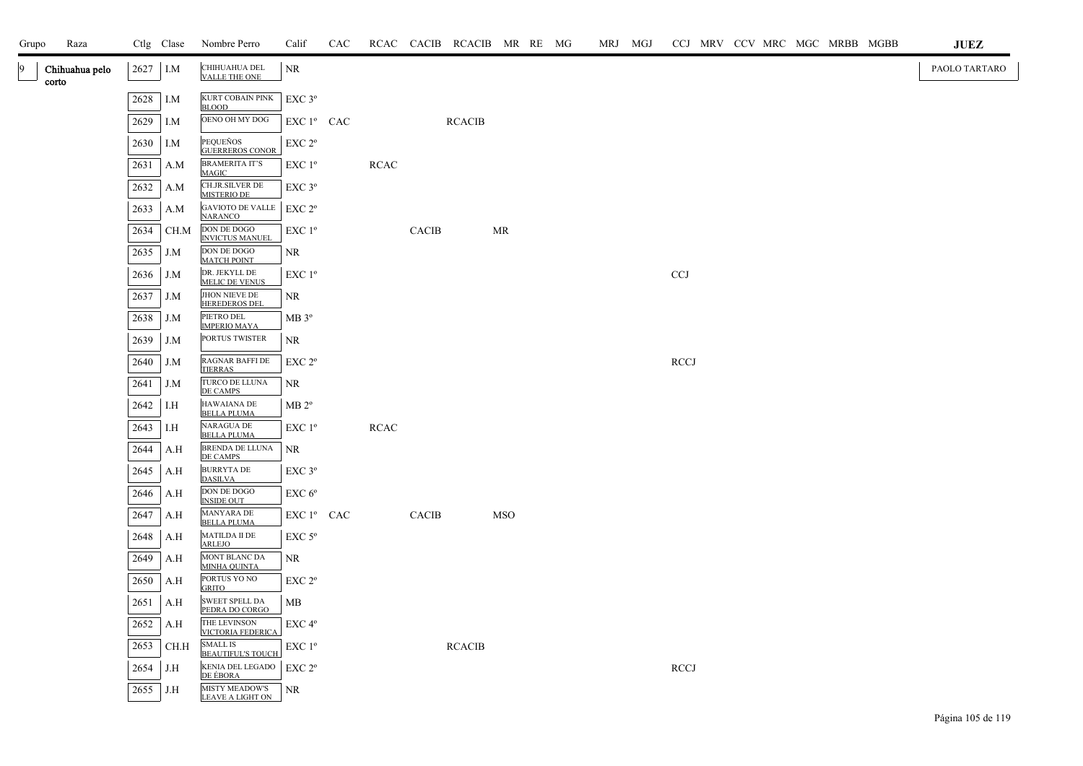| Grupo | Raza                    |      | Ctlg Clase | Nombre Perro                                | Calif                                        | CAC |             |              | RCAC CACIB RCACIB MR RE MG |            |  | MRJ MGJ |             |  |  |  | CCJ MRV CCV MRC MGC MRBB MGBB | <b>JUEZ</b>   |
|-------|-------------------------|------|------------|---------------------------------------------|----------------------------------------------|-----|-------------|--------------|----------------------------|------------|--|---------|-------------|--|--|--|-------------------------------|---------------|
| 19    | Chihuahua pelo<br>corto | 2627 | I.M        | CHIHUAHUA DEL<br>VALLE THE ONE              | NR.                                          |     |             |              |                            |            |  |         |             |  |  |  |                               | PAOLO TARTARO |
|       |                         | 2628 | I.M        | KURT COBAIN PINK<br><b>BLOOD</b>            | EXC 3°                                       |     |             |              |                            |            |  |         |             |  |  |  |                               |               |
|       |                         | 2629 | I.M        | OENO OH MY DOG                              | EXC 1º CAC                                   |     |             |              | <b>RCACIB</b>              |            |  |         |             |  |  |  |                               |               |
|       |                         | 2630 | I.M        | PEQUEÑOS<br><b>GUERREROS CONOR</b>          | EXC 2 <sup>o</sup>                           |     |             |              |                            |            |  |         |             |  |  |  |                               |               |
|       |                         | 2631 | A.M        | <b>BRAMERITA IT'S</b><br>MAGIC              | $EXC1^{\circ}$                               |     | <b>RCAC</b> |              |                            |            |  |         |             |  |  |  |                               |               |
|       |                         | 2632 | A.M        | CH.JR.SILVER DE<br><b>MISTERIO DE</b>       | $EXC$ $3^{\circ}$                            |     |             |              |                            |            |  |         |             |  |  |  |                               |               |
|       |                         | 2633 | A.M        | <b>GAVIOTO DE VALLE</b><br><b>NARANCO</b>   | EXC 2 <sup>o</sup>                           |     |             |              |                            |            |  |         |             |  |  |  |                               |               |
|       |                         | 2634 | CH.M       | DON DE DOGO<br><b>INVICTUS MANUEL</b>       | $EXC1^{\circ}$                               |     |             | <b>CACIB</b> |                            | MR         |  |         |             |  |  |  |                               |               |
|       |                         | 2635 | J.M        | DON DE DOGO<br><b>MATCH POINT</b>           | NR                                           |     |             |              |                            |            |  |         |             |  |  |  |                               |               |
|       |                         | 2636 | J.M        | DR. JEKYLL DE<br><b>MELIC DE VENUS</b>      | $EXC1^{\circ}$                               |     |             |              |                            |            |  |         | <b>CCJ</b>  |  |  |  |                               |               |
|       |                         | 2637 | J.M        | JHON NIEVE DE<br><b>HEREDEROS DEL</b>       | NR.                                          |     |             |              |                            |            |  |         |             |  |  |  |                               |               |
|       |                         | 2638 | J.M        | PIETRO DEL<br><b>IMPERIO MAYA</b>           | MB 3 <sup>o</sup>                            |     |             |              |                            |            |  |         |             |  |  |  |                               |               |
|       |                         | 2639 | J.M        | PORTUS TWISTER                              | <b>NR</b>                                    |     |             |              |                            |            |  |         |             |  |  |  |                               |               |
|       |                         | 2640 | J.M        | RAGNAR BAFFI DE<br><b>TIERRAS</b>           | EXC 2 <sup>o</sup>                           |     |             |              |                            |            |  |         | <b>RCCJ</b> |  |  |  |                               |               |
|       |                         | 2641 | J.M        | TURCO DE LLUNA<br>DE CAMPS                  | <b>NR</b>                                    |     |             |              |                            |            |  |         |             |  |  |  |                               |               |
|       |                         | 2642 | I.H        | <b>HAWAIANA DE</b><br><b>BELLA PLUMA</b>    | $MB 2^{\circ}$                               |     |             |              |                            |            |  |         |             |  |  |  |                               |               |
|       |                         | 2643 | I.H        | <b>NARAGUA DE</b><br><b>BELLA PLUMA</b>     | EXC 1 <sup>o</sup>                           |     | <b>RCAC</b> |              |                            |            |  |         |             |  |  |  |                               |               |
|       |                         | 2644 | A.H        | BRENDA DE LLUNA<br>DE CAMPS                 | <b>NR</b>                                    |     |             |              |                            |            |  |         |             |  |  |  |                               |               |
|       |                         | 2645 | A.H        | <b>BURRYTA DE</b><br><b>DASILVA</b>         | $EXC$ $3^{\circ}$                            |     |             |              |                            |            |  |         |             |  |  |  |                               |               |
|       |                         | 2646 | A.H        | DON DE DOGO<br><b>INSIDE OUT</b>            | EXC 6 <sup>o</sup>                           |     |             |              |                            |            |  |         |             |  |  |  |                               |               |
|       |                         | 2647 | A.H        | MANYARA DE<br><b>BELLA PLUMA</b>            | EXC 1º CAC                                   |     |             | CACIB        |                            | <b>MSO</b> |  |         |             |  |  |  |                               |               |
|       |                         | 2648 | A.H        | MATILDA II DE<br>ARLEJO                     | $EXC$ 5 $^{\circ}$                           |     |             |              |                            |            |  |         |             |  |  |  |                               |               |
|       |                         | 2649 | A.H        | MONT BLANC DA<br>MINHA QUINTA               | NR                                           |     |             |              |                            |            |  |         |             |  |  |  |                               |               |
|       |                         | 2650 | A.H        | PORTUS YO NO<br><b>GRITO</b>                | EXC 2 <sup>o</sup>                           |     |             |              |                            |            |  |         |             |  |  |  |                               |               |
|       |                         | 2651 | A.H        | SWEET SPELL DA<br>PEDRA DO CORGO            | MB                                           |     |             |              |                            |            |  |         |             |  |  |  |                               |               |
|       |                         | 2652 | A.H        | THE LEVINSON<br><b>VICTORIA FEDERICA</b>    | EXC 4°                                       |     |             |              |                            |            |  |         |             |  |  |  |                               |               |
|       |                         | 2653 | CH.H       | <b>SMALL IS</b><br><b>BEAUTIFUL'S TOUCH</b> | EXC 1 <sup>o</sup>                           |     |             |              | <b>RCACIB</b>              |            |  |         |             |  |  |  |                               |               |
|       |                         | 2654 | J.H        | KENIA DEL LEGADO<br><u>DE ÉBORA</u>         | $\ensuremath{\mathrm{EXC}}$ $2^{\mathrm{o}}$ |     |             |              |                            |            |  |         | <b>RCCJ</b> |  |  |  |                               |               |
|       |                         | 2655 | J.H        | MISTY MEADOW'S<br><b>LEAVE A LIGHT ON</b>   | NR                                           |     |             |              |                            |            |  |         |             |  |  |  |                               |               |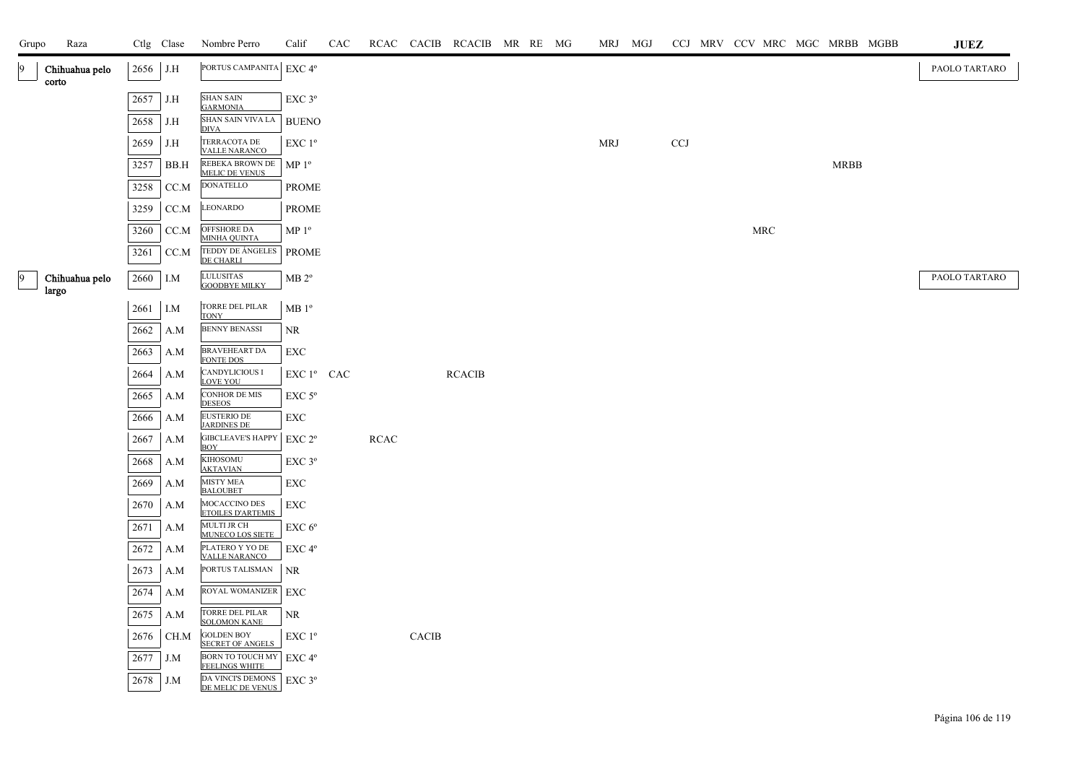| Grupo | Raza                    |            | Ctlg Clase | Nombre Perro                                        | Calif              | CAC |      |              | RCAC CACIB RCACIB MR RE MG |  | MRJ MGJ    |            |     |  | CCJ MRV CCV MRC MGC MRBB MGBB | <b>JUEZ</b>   |
|-------|-------------------------|------------|------------|-----------------------------------------------------|--------------------|-----|------|--------------|----------------------------|--|------------|------------|-----|--|-------------------------------|---------------|
| 9     | Chihuahua pelo<br>corto | $2656$ J.H |            | PORTUS CAMPANITA   EXC 4°                           |                    |     |      |              |                            |  |            |            |     |  |                               | PAOLO TARTARO |
|       |                         | 2657       | J.H        | <b>SHAN SAIN</b>                                    | EXC 3°             |     |      |              |                            |  |            |            |     |  |                               |               |
|       |                         | 2658       | J.H        | <b>GARMONIA</b><br>SHAN SAIN VIVA LA<br><b>DIVA</b> | <b>BUENO</b>       |     |      |              |                            |  |            |            |     |  |                               |               |
|       |                         | 2659       | J.H        | TERRACOTA DE<br><b>VALLE NARANCO</b>                | EXC 1 <sup>o</sup> |     |      |              |                            |  | <b>MRJ</b> | <b>CCJ</b> |     |  |                               |               |
|       |                         | 3257       | BB.H       | REBEKA BROWN DE<br><b>MELIC DE VENUS</b>            | MP <sup>0</sup>    |     |      |              |                            |  |            |            |     |  | <b>MRBB</b>                   |               |
|       |                         | 3258       | CC.M       | <b>DONATELLO</b>                                    | PROME              |     |      |              |                            |  |            |            |     |  |                               |               |
|       |                         | 3259       | CC.M       | LEONARDO                                            | <b>PROME</b>       |     |      |              |                            |  |            |            |     |  |                               |               |
|       |                         | 3260       | CC.M       | OFFSHORE DA<br>MINHA QUINTA                         | MP <sup>0</sup>    |     |      |              |                            |  |            |            | MRC |  |                               |               |
|       |                         | 3261       | CC.M       | TEDDY DE ÁNGELES<br><b>DE CHARLI</b>                | <b>PROME</b>       |     |      |              |                            |  |            |            |     |  |                               |               |
| 19    | Chihuahua pelo<br>largo | 2660       | I.M        | LULUSITAS<br><b>GOODBYE MILKY</b>                   | $MB 2^{\circ}$     |     |      |              |                            |  |            |            |     |  |                               | PAOLO TARTARO |
|       |                         | 2661       | I.M        | TORRE DEL PILAR<br><b>TONY</b>                      | $MB1^{\circ}$      |     |      |              |                            |  |            |            |     |  |                               |               |
|       |                         | 2662       | A.M        | <b>BENNY BENASSI</b>                                | <b>NR</b>          |     |      |              |                            |  |            |            |     |  |                               |               |
|       |                         | 2663       | A.M        | BRAVEHEART DA<br><b>FONTE DOS</b>                   | EXC                |     |      |              |                            |  |            |            |     |  |                               |               |
|       |                         | 2664       | A.M        | <b>CANDYLICIOUS I</b><br><b>LOVE YOU</b>            | EXC 1º CAC         |     |      |              | <b>RCACIB</b>              |  |            |            |     |  |                               |               |
|       |                         | 2665       | A.M        | <b>CONHOR DE MIS</b><br><b>DESEOS</b>               | $EXC$ 5 $^{\circ}$ |     |      |              |                            |  |            |            |     |  |                               |               |
|       |                         | 2666       | A.M        | EUSTERIO DE<br><b>JARDINES DE</b>                   | EXC                |     |      |              |                            |  |            |            |     |  |                               |               |
|       |                         | 2667       | A.M        | <b>GIBCLEAVE'S HAPPY</b><br><b>BOY</b>              | EXC 2 <sup>o</sup> |     | RCAC |              |                            |  |            |            |     |  |                               |               |
|       |                         | 2668       | A.M        | <b>KIHOSOMU</b><br><b>AKTAVIAN</b>                  | EXC 3°             |     |      |              |                            |  |            |            |     |  |                               |               |
|       |                         | 2669       | A.M        | <b>MISTY MEA</b><br><b>BALOUBET</b>                 | EXC                |     |      |              |                            |  |            |            |     |  |                               |               |
|       |                         | 2670       | A.M        | MOCACCINO DES<br><b>ETOILES D'ARTEMIS</b>           | EXC                |     |      |              |                            |  |            |            |     |  |                               |               |
|       |                         | 2671       | A.M        | MULTI JR CH<br>MUNECO LOS SIETE                     | EXC 6 <sup>o</sup> |     |      |              |                            |  |            |            |     |  |                               |               |
|       |                         | 2672       | A.M        | PLATERO Y YO DE<br><b>VALLE NARANCO</b>             | EXC 4 <sup>o</sup> |     |      |              |                            |  |            |            |     |  |                               |               |
|       |                         | 2673       | A.M        | PORTUS TALISMAN                                     | NR                 |     |      |              |                            |  |            |            |     |  |                               |               |
|       |                         | 2674       | A.M        | ROYAL WOMANIZER                                     | EXC                |     |      |              |                            |  |            |            |     |  |                               |               |
|       |                         | 2675       | A.M        | TORRE DEL PILAR<br><b>SOLOMON KANE</b>              | NR                 |     |      |              |                            |  |            |            |     |  |                               |               |
|       |                         | 2676       | CH.M       | <b>GOLDEN BOY</b><br><b>SECRET OF ANGELS</b>        | EXC 1°             |     |      | <b>CACIB</b> |                            |  |            |            |     |  |                               |               |
|       |                         | 2677       | J.M        | BORN TO TOUCH MY EXC 4°<br><b>FEELINGS WHITE</b>    |                    |     |      |              |                            |  |            |            |     |  |                               |               |
|       |                         | 2678       | J.M        | DA VINCI'S DEMONS<br>DE MELIC DE VENUS              | EXC 3°             |     |      |              |                            |  |            |            |     |  |                               |               |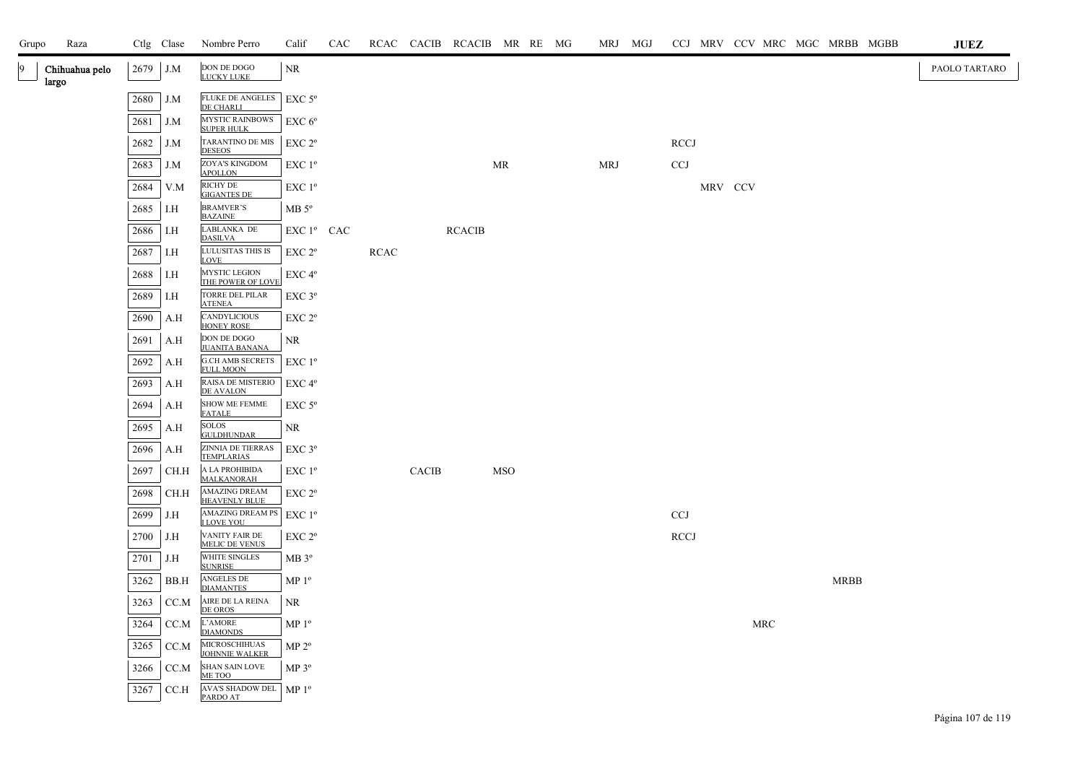| Grupo | Raza                    |      | Ctlg Clase | Nombre Perro                                                | Calif              | CAC |      |              | RCAC CACIB RCACIB MR RE MG |            |  |            | MRJ MGJ |                           |         |            |  |             | CCJ MRV CCV MRC MGC MRBB MGBB | $\mathbf{J}\mathbf{U}\mathbf{E}\mathbf{Z}$ |  |
|-------|-------------------------|------|------------|-------------------------------------------------------------|--------------------|-----|------|--------------|----------------------------|------------|--|------------|---------|---------------------------|---------|------------|--|-------------|-------------------------------|--------------------------------------------|--|
| 9     | Chihuahua pelo<br>largo | 2679 | J.M        | $\operatorname{DON}$ DE $\operatorname{DOGO}$<br>LUCKY LUKE | $\rm NR$           |     |      |              |                            |            |  |            |         |                           |         |            |  |             |                               | PAOLO TARTARO                              |  |
|       |                         | 2680 | J.M        | <b>FLUKE DE ANGELES</b><br>DE CHARLI                        | $EXC$ 5°           |     |      |              |                            |            |  |            |         |                           |         |            |  |             |                               |                                            |  |
|       |                         | 2681 | J.M        | <b>MYSTIC RAINBOWS</b><br><b>SUPER HULK</b>                 | $EXC 6^{\circ}$    |     |      |              |                            |            |  |            |         |                           |         |            |  |             |                               |                                            |  |
|       |                         | 2682 | J.M        | TARANTINO DE MIS<br><b>DESEOS</b>                           | EXC 2 <sup>o</sup> |     |      |              |                            |            |  |            |         | <b>RCCJ</b>               |         |            |  |             |                               |                                            |  |
|       |                         | 2683 | J.M        | <b>ZOYA'S KINGDOM</b><br><b>APOLLON</b>                     | EXC 1 <sup>o</sup> |     |      |              |                            | MR         |  | <b>MRJ</b> |         | $\ensuremath{\text{CCJ}}$ |         |            |  |             |                               |                                            |  |
|       |                         | 2684 | V.M        | RICHY DE<br><b>GIGANTES DE</b>                              | $EXC1^{\circ}$     |     |      |              |                            |            |  |            |         |                           | MRV CCV |            |  |             |                               |                                            |  |
|       |                         | 2685 | I.H        | <b>BRAMVER'S</b><br><b>BAZAINE</b>                          | $MB 5^{\circ}$     |     |      |              |                            |            |  |            |         |                           |         |            |  |             |                               |                                            |  |
|       |                         | 2686 | I.H        | LABLANKA DE<br><b>DASILVA</b>                               | EXC 1º CAC         |     |      |              | <b>RCACIB</b>              |            |  |            |         |                           |         |            |  |             |                               |                                            |  |
|       |                         | 2687 | I.H        | LULUSITAS THIS IS<br>LOVE                                   | EXC 2 <sup>o</sup> |     | RCAC |              |                            |            |  |            |         |                           |         |            |  |             |                               |                                            |  |
|       |                         | 2688 | I.H        | MYSTIC LEGION<br>THE POWER OF LOVE                          | EXC 4°             |     |      |              |                            |            |  |            |         |                           |         |            |  |             |                               |                                            |  |
|       |                         | 2689 | I.H        | TORRE DEL PILAR<br><b>ATENEA</b>                            | EXC 3°             |     |      |              |                            |            |  |            |         |                           |         |            |  |             |                               |                                            |  |
|       |                         | 2690 | A.H        | CANDYLICIOUS<br>HONEY ROSE                                  | EXC 2 <sup>o</sup> |     |      |              |                            |            |  |            |         |                           |         |            |  |             |                               |                                            |  |
|       |                         | 2691 | A.H        | DON DE DOGO<br><b>JUANITA BANANA</b>                        | <b>NR</b>          |     |      |              |                            |            |  |            |         |                           |         |            |  |             |                               |                                            |  |
|       |                         | 2692 | A.H        | <b>G.CH AMB SECRETS</b><br><b>FULL MOON</b>                 | $EXC1^{\circ}$     |     |      |              |                            |            |  |            |         |                           |         |            |  |             |                               |                                            |  |
|       |                         | 2693 | A.H        | RAISA DE MISTERIO<br><b>DE AVALON</b>                       | EXC 4 <sup>o</sup> |     |      |              |                            |            |  |            |         |                           |         |            |  |             |                               |                                            |  |
|       |                         | 2694 | A.H        | <b>SHOW ME FEMME</b><br><b>FATALE</b>                       | $EXC$ 5°           |     |      |              |                            |            |  |            |         |                           |         |            |  |             |                               |                                            |  |
|       |                         | 2695 | A.H        | <b>SOLOS</b><br><b>GULDHUNDAR</b>                           | <b>NR</b>          |     |      |              |                            |            |  |            |         |                           |         |            |  |             |                               |                                            |  |
|       |                         | 2696 | A.H        | ZINNIA DE TIERRAS<br><b>TEMPLARIAS</b>                      | EXC 3°             |     |      |              |                            |            |  |            |         |                           |         |            |  |             |                               |                                            |  |
|       |                         | 2697 | CH.H       | A LA PROHIBIDA<br>MALKANORAH                                | $EXC1^{\circ}$     |     |      | <b>CACIB</b> |                            | <b>MSO</b> |  |            |         |                           |         |            |  |             |                               |                                            |  |
|       |                         | 2698 | CH.H       | <b>AMAZING DREAM</b><br><b>HEAVENLY BLUE</b>                | EXC 2 <sup>o</sup> |     |      |              |                            |            |  |            |         |                           |         |            |  |             |                               |                                            |  |
|       |                         | 2699 | J.H        | AMAZING DREAM PS<br><b>I LOVE YOU</b>                       | $EXC1^{\circ}$     |     |      |              |                            |            |  |            |         | <b>CCJ</b>                |         |            |  |             |                               |                                            |  |
|       |                         | 2700 | J.H        | VANITY FAIR DE<br><b>MELIC DE VENUS</b>                     | EXC 2 <sup>o</sup> |     |      |              |                            |            |  |            |         | <b>RCCJ</b>               |         |            |  |             |                               |                                            |  |
|       |                         | 2701 | J.H        | WHITE SINGLES<br><b>SUNRISE</b>                             | MB 3 <sup>o</sup>  |     |      |              |                            |            |  |            |         |                           |         |            |  |             |                               |                                            |  |
|       |                         | 3262 | BB.H       | ANGELES DE<br><b>DIAMANTES</b>                              | MP <sup>0</sup>    |     |      |              |                            |            |  |            |         |                           |         |            |  | <b>MRBB</b> |                               |                                            |  |
|       |                         | 3263 | CC.M       | AIRE DE LA REINA<br>DE OROS                                 | NR.                |     |      |              |                            |            |  |            |         |                           |         |            |  |             |                               |                                            |  |
|       |                         | 3264 | CC.M       | L'AMORE<br><b>DIAMONDS</b>                                  | MP <sup>0</sup>    |     |      |              |                            |            |  |            |         |                           |         | <b>MRC</b> |  |             |                               |                                            |  |
|       |                         | 3265 | CC.M       | MICROSCHIHUAS<br>JOHNNIE WALKER                             | MP 2 <sup>o</sup>  |     |      |              |                            |            |  |            |         |                           |         |            |  |             |                               |                                            |  |
|       |                         | 3266 | CC.M       | SHAN SAIN LOVE<br>ME TOO                                    | $MP 3^{\circ}$     |     |      |              |                            |            |  |            |         |                           |         |            |  |             |                               |                                            |  |
|       |                         | 3267 | CC.H       | <b>AVA'S SHADOW DEL</b><br>PARDO AT                         | MP <sup>0</sup>    |     |      |              |                            |            |  |            |         |                           |         |            |  |             |                               |                                            |  |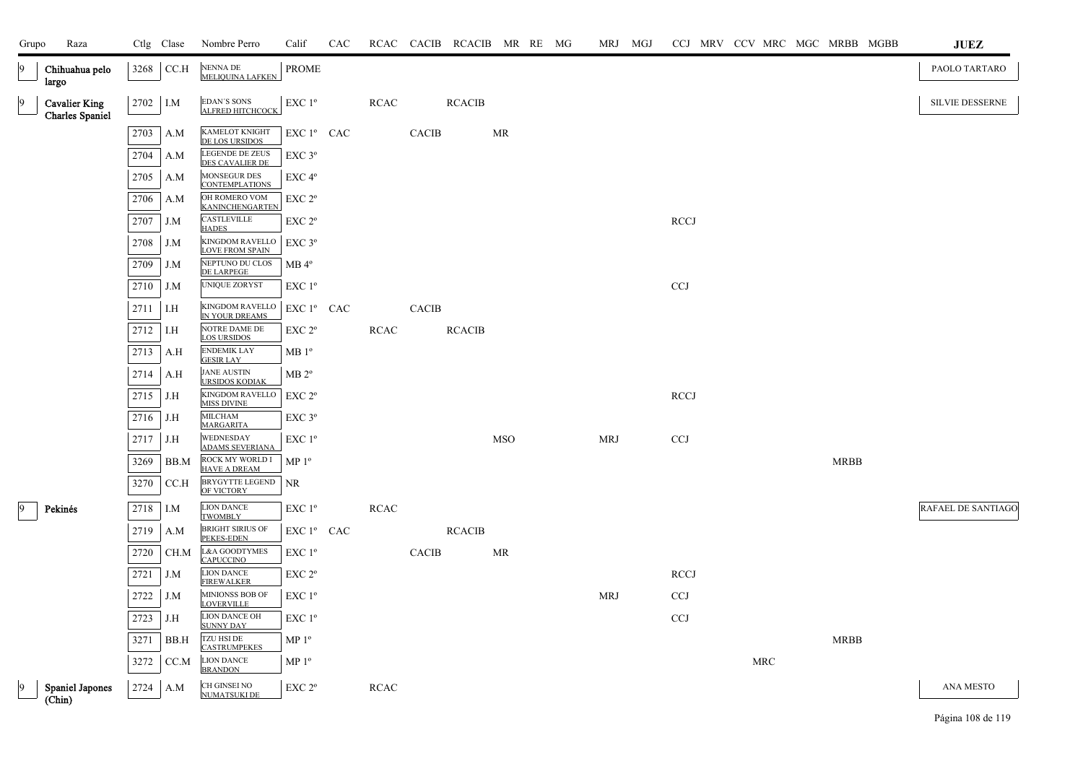| Grupo | Raza                                           |          | Ctlg Clase | Nombre Perro                                     | Calif              | CAC |             |              | RCAC CACIB RCACIB MR RE MG |            |  | MRJ MGJ    |                           |  |            |             | CCJ MRV CCV MRC MGC MRBB MGBB | <b>JUEZ</b>               |
|-------|------------------------------------------------|----------|------------|--------------------------------------------------|--------------------|-----|-------------|--------------|----------------------------|------------|--|------------|---------------------------|--|------------|-------------|-------------------------------|---------------------------|
|       | Chihuahua pelo<br>largo                        | 3268     | CC.H       | NENNA DE<br><b>MELIQUINA LAFKEN</b>              | PROME              |     |             |              |                            |            |  |            |                           |  |            |             |                               | PAOLO TARTARO             |
|       | <b>Cavalier King</b><br><b>Charles Spaniel</b> | 2702 I.M |            | <b>EDAN'S SONS</b><br>ALFRED HITCHCOCK           | EXC 1 <sup>o</sup> |     | RCAC        |              | <b>RCACIB</b>              |            |  |            |                           |  |            |             |                               | <b>SILVIE DESSERNE</b>    |
|       |                                                | 2703     | A.M        | <b>KAMELOT KNIGHT</b><br>DE LOS URSIDOS          | EXC 1º CAC         |     |             | <b>CACIB</b> |                            | MR         |  |            |                           |  |            |             |                               |                           |
|       |                                                | 2704     | A.M        | LEGENDE DE ZEUS<br>DES CAVALIER DE               | $EXC$ $3^{\circ}$  |     |             |              |                            |            |  |            |                           |  |            |             |                               |                           |
|       |                                                | 2705     | A.M        | MONSEGUR DES<br><b>CONTEMPLATIONS</b>            | $EXC 4^{\circ}$    |     |             |              |                            |            |  |            |                           |  |            |             |                               |                           |
|       |                                                | 2706     | A.M        | OH ROMERO VOM<br>KANINCHENGARTEN                 | EXC 2°             |     |             |              |                            |            |  |            |                           |  |            |             |                               |                           |
|       |                                                | 2707     | J.M        | CASTLEVILLE<br><b>HADES</b>                      | $EXC 2^{\circ}$    |     |             |              |                            |            |  |            | <b>RCCJ</b>               |  |            |             |                               |                           |
|       |                                                | 2708     | J.M        | <b>KINGDOM RAVELLO</b><br><b>LOVE FROM SPAIN</b> | $EXC$ 3°           |     |             |              |                            |            |  |            |                           |  |            |             |                               |                           |
|       |                                                | 2709     | J.M        | NEPTUNO DU CLOS<br><b>DE LARPEGE</b>             | $MB 4^{\circ}$     |     |             |              |                            |            |  |            |                           |  |            |             |                               |                           |
|       |                                                | 2710     | J.M        | UNIQUE ZORYST                                    | $EXC1^{\circ}$     |     |             |              |                            |            |  |            | $\ensuremath{\text{CCJ}}$ |  |            |             |                               |                           |
|       |                                                | 2711     | I.H        | <b>KINGDOM RAVELLO</b><br>IN YOUR DREAMS         | $EXC1^{\circ}$ CAC |     |             | CACIB        |                            |            |  |            |                           |  |            |             |                               |                           |
|       |                                                | 2712     | I.H        | NOTRE DAME DE<br>LOS URSIDOS                     | $EXC 2^{\circ}$    |     | <b>RCAC</b> |              | <b>RCACIB</b>              |            |  |            |                           |  |            |             |                               |                           |
|       |                                                | 2713     | A.H        | <b>ENDEMIK LAY</b><br><b>GESIR LAY</b>           | $MB1^{\circ}$      |     |             |              |                            |            |  |            |                           |  |            |             |                               |                           |
|       |                                                | 2714     | A.H        | JANE AUSTIN<br><b>URSIDOS KODIAK</b>             | MB 2 <sup>o</sup>  |     |             |              |                            |            |  |            |                           |  |            |             |                               |                           |
|       |                                                | 2715     | J.H        | KINGDOM RAVELLO<br><b>MISS DIVINE</b>            | EXC 2 <sup>o</sup> |     |             |              |                            |            |  |            | <b>RCCJ</b>               |  |            |             |                               |                           |
|       |                                                | 2716     | J.H        | <b>MILCHAM</b><br>MARGARITA                      | $EXC$ 3 $^{\circ}$ |     |             |              |                            |            |  |            |                           |  |            |             |                               |                           |
|       |                                                | 2717     | J.H        | WEDNESDAY<br><b>ADAMS SEVERIANA</b>              | EXC 1 <sup>o</sup> |     |             |              |                            | <b>MSO</b> |  | <b>MRJ</b> | CCJ                       |  |            |             |                               |                           |
|       |                                                | 3269     | BB.M       | ROCK MY WORLD I<br><b>HAVE A DREAM</b>           | MP <sup>0</sup>    |     |             |              |                            |            |  |            |                           |  |            | <b>MRBB</b> |                               |                           |
|       |                                                | 3270     | CCA        | <b>BRYGYTTE LEGEND</b><br>OF VICTORY             | <b>NR</b>          |     |             |              |                            |            |  |            |                           |  |            |             |                               |                           |
|       | Pekinés                                        | 2718     | I.M        | <b>LION DANCE</b><br><b>TWOMBLY</b>              | EXC 1 <sup>o</sup> |     | <b>RCAC</b> |              |                            |            |  |            |                           |  |            |             |                               | <b>RAFAEL DE SANTIAGO</b> |
|       |                                                | 2719     | A.M        | <b>BRIGHT SIRIUS OF</b><br>PEKES-EDEN            | EXC 1º CAC         |     |             |              | <b>RCACIB</b>              |            |  |            |                           |  |            |             |                               |                           |
|       |                                                | 2720     | CH.M       | L&A GOODTYMES<br><b>CAPUCCINO</b>                | $EXC1^{\circ}$     |     |             | <b>CACIB</b> |                            | MR         |  |            |                           |  |            |             |                               |                           |
|       |                                                | 2721     | J.M        | <b>LION DANCE</b><br><b>FIREWALKER</b>           | $EXC 2^{\circ}$    |     |             |              |                            |            |  |            | <b>RCCJ</b>               |  |            |             |                               |                           |
|       |                                                | 2722     | J.M        | MINIONSS BOB OF<br><b>LOVERVILLE</b>             | $EXC1^{\circ}$     |     |             |              |                            |            |  | <b>MRJ</b> | <b>CCJ</b>                |  |            |             |                               |                           |
|       |                                                | 2723     | J.H        | <b>LION DANCE OH</b><br><b>SUNNY DAY</b>         | $EXC1^{\circ}$     |     |             |              |                            |            |  |            | <b>CCJ</b>                |  |            |             |                               |                           |
|       |                                                | 3271     | BB.H       | TZU HSI DE<br><b>CASTRUMPEKES</b>                | MP <sup>0</sup>    |     |             |              |                            |            |  |            |                           |  |            | MRBB        |                               |                           |
|       |                                                | 3272     | CC.M       | <b>LION DANCE</b><br><b>BRANDON</b>              | MP 1 <sup>o</sup>  |     |             |              |                            |            |  |            |                           |  | <b>MRC</b> |             |                               |                           |
|       | <b>Spaniel Japones</b><br>$(\text{Chin})$      | 2724     | A.M        | CH GINSEI NO<br><b>NUMATSUKI DE</b>              | EXC 2 <sup>o</sup> |     | <b>RCAC</b> |              |                            |            |  |            |                           |  |            |             |                               | ANA MESTO                 |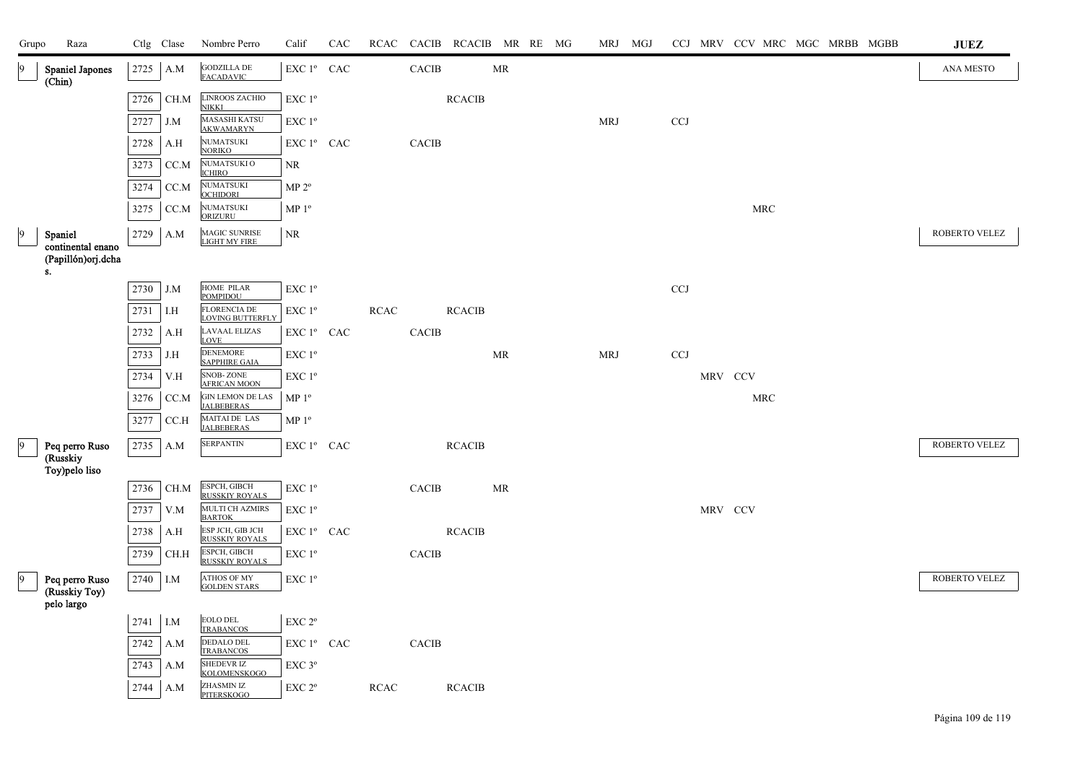| Grupo     | Raza                                          |          | Ctlg Clase | Nombre Perro                                    | Calif                  | CAC |             |              | RCAC CACIB RCACIB MR RE MG |    |  | MRJ MGJ    |            |         |                      |  | CCJ MRV CCV MRC MGC MRBB MGBB | JUEZ          |
|-----------|-----------------------------------------------|----------|------------|-------------------------------------------------|------------------------|-----|-------------|--------------|----------------------------|----|--|------------|------------|---------|----------------------|--|-------------------------------|---------------|
| 9         | <b>Spaniel Japones</b><br>(Chin)              | 2725     | A.M        | GODZILLA DE<br>FACADAVIC                        | EXC 1º CAC             |     |             | CACIB        |                            | MR |  |            |            |         |                      |  |                               | ANA MESTO     |
|           |                                               | 2726     | CH.M       | LINROOS ZACHIO<br><b>NIKKI</b>                  | EXC 1 <sup>o</sup>     |     |             |              | <b>RCACIB</b>              |    |  |            |            |         |                      |  |                               |               |
|           |                                               | 2727     | J.M        | <b>MASASHI KATSU</b><br><b>AKWAMARYN</b>        | EXC 1 <sup>°</sup>     |     |             |              |                            |    |  | <b>MRJ</b> | <b>CCJ</b> |         |                      |  |                               |               |
|           |                                               | 2728     | A.H        | <b>NUMATSUKI</b><br><b>NORIKO</b>               | EXC 1° CAC             |     |             | <b>CACIB</b> |                            |    |  |            |            |         |                      |  |                               |               |
|           |                                               | 3273     | CC.M       | NUMATSUKI O<br><b>ICHIRO</b>                    | NR                     |     |             |              |                            |    |  |            |            |         |                      |  |                               |               |
|           |                                               | 3274     | CC.M       | NUMATSUKI<br><b>OCHIDORI</b>                    | MP 2 <sup>o</sup>      |     |             |              |                            |    |  |            |            |         |                      |  |                               |               |
|           |                                               | 3275     | CC.M       | NUMATSUKI<br>ORIZURU                            | MP <sup>0</sup>        |     |             |              |                            |    |  |            |            |         | MRC                  |  |                               |               |
| $\vert$ 9 | Spaniel<br>continental enano                  | 2729     | A.M        | MAGIC SUNRISE<br>LIGHT MY FIRE                  | $\rm NR$               |     |             |              |                            |    |  |            |            |         |                      |  |                               | ROBERTO VELEZ |
|           | (Papillón)orj.dcha<br>s.                      |          |            |                                                 |                        |     |             |              |                            |    |  |            |            |         |                      |  |                               |               |
|           |                                               | 2730     | J.M        | HOME PILAR<br><b>POMPIDOU</b>                   | EXC 1 <sup>o</sup>     |     |             |              |                            |    |  |            | CCJ        |         |                      |  |                               |               |
|           |                                               | 2731     | I.H        | <b>FLORENCIA DE</b><br><b>LOVING BUTTERFI</b>   | EXC 1°                 |     | RCAC        |              | <b>RCACIB</b>              |    |  |            |            |         |                      |  |                               |               |
|           |                                               | 2732     | A.H        | <b>LAVAAL ELIZAS</b><br>LOVE                    | EXC 1º CAC             |     |             | CACIB        |                            |    |  |            |            |         |                      |  |                               |               |
|           |                                               | 2733     | J.H        | <b>DENEMORE</b><br><b>SAPPHIRE GAIA</b>         | EXC 1 <sup>o</sup>     |     |             |              |                            | MR |  | <b>MRJ</b> | <b>CCJ</b> |         |                      |  |                               |               |
|           |                                               | 2734     | V.H        | <b>SNOB-ZONE</b><br><b>AFRICAN MOON</b>         | EXC 1 <sup>o</sup>     |     |             |              |                            |    |  |            |            | MRV CCV |                      |  |                               |               |
|           |                                               | 3276     | CC.M       | ${\rm GIN}$ LEMON DE LAS<br><b>JALBEBERAS</b>   | MP <sup>0</sup>        |     |             |              |                            |    |  |            |            |         | $\operatorname{MRC}$ |  |                               |               |
|           |                                               | 3277     | CC.H       | MAITAI DE LAS<br><b>JALBEBERAS</b>              | MP 1 <sup>o</sup>      |     |             |              |                            |    |  |            |            |         |                      |  |                               |               |
| 9         | Peq perro Ruso                                | 2735     | A.M        | <b>SERPANTIN</b>                                | EXC 1º CAC             |     |             |              | <b>RCACIB</b>              |    |  |            |            |         |                      |  |                               | ROBERTO VELEZ |
|           | (Russkiy<br>Toy)pelo liso                     |          |            |                                                 |                        |     |             |              |                            |    |  |            |            |         |                      |  |                               |               |
|           |                                               | 2736     | CH.M       | ESPCH, GIBCH<br><b>RUSSKIY ROYALS</b>           | EXC 1 <sup>o</sup>     |     |             | CACIB        |                            | MR |  |            |            |         |                      |  |                               |               |
|           |                                               | 2737     | V.M        | MULTI CH AZMIRS<br><b>BARTOK</b>                | EXC 1 <sup>o</sup>     |     |             |              |                            |    |  |            |            | MRV CCV |                      |  |                               |               |
|           |                                               | 2738     | A.H        | ESP JCH, GIB JCH<br><b>RUSSKIY ROYALS</b>       | EXC 1º CAC             |     |             |              | <b>RCACIB</b>              |    |  |            |            |         |                      |  |                               |               |
|           |                                               | 2739     | CH.H       | ESPCH, GIBCH<br><b>RUSSKIY ROYALS</b>           | EXC 1 <sup>o</sup>     |     |             | <b>CACIB</b> |                            |    |  |            |            |         |                      |  |                               |               |
| 9         | Peq perro Ruso<br>(Russkiy Toy)<br>pelo largo | 2740 I.M |            | <b>ATHOS OF MY</b><br><b>GOLDEN STARS</b>       | EXC 1 <sup>o</sup>     |     |             |              |                            |    |  |            |            |         |                      |  |                               | ROBERTO VELEZ |
|           |                                               | 2741     | I.M        | EOLO DEL                                        | EXC 2°                 |     |             |              |                            |    |  |            |            |         |                      |  |                               |               |
|           |                                               | 2742     | A.M        | <b>TRABANCOS</b><br>DEDALO DEL<br>TRABANCOS     | EXC 1 <sup>°</sup> CAC |     |             | CACIB        |                            |    |  |            |            |         |                      |  |                               |               |
|           |                                               | 2743     | A.M        | <b>SHEDEVR IZ</b>                               | EXC <sub>3°</sub>      |     |             |              |                            |    |  |            |            |         |                      |  |                               |               |
|           |                                               | 2744     | A.M        | KOLOMENSKOGO<br>ZHASMIN IZ<br><b>PITERSKOGO</b> | EXC 2 <sup>o</sup>     |     | <b>RCAC</b> |              | <b>RCACIB</b>              |    |  |            |            |         |                      |  |                               |               |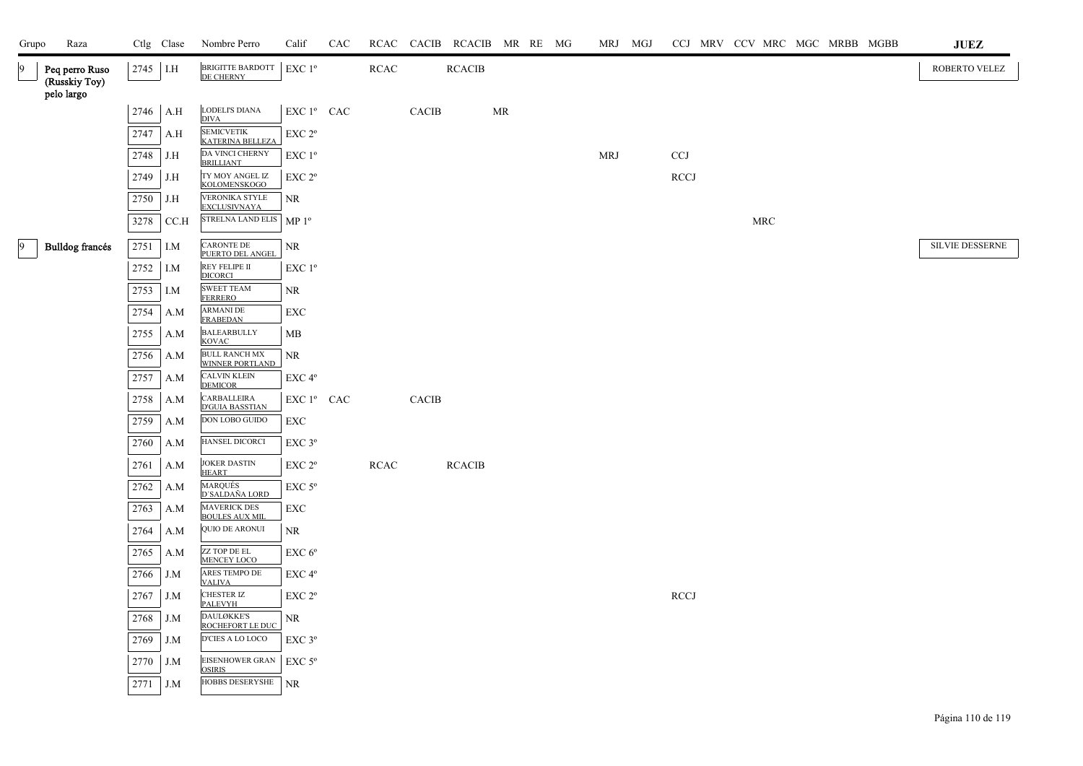| Grupo           | Raza                                          |      | Ctlg Clase | Nombre Perro                                 | Calif                                        | CAC |             |       | RCAC CACIB RCACIB MR RE MG |    |  | MRJ MGJ    | CCJ MRV CCV MRC MGC MRBB MGBB |     |  |  | <b>JUEZ</b>     |
|-----------------|-----------------------------------------------|------|------------|----------------------------------------------|----------------------------------------------|-----|-------------|-------|----------------------------|----|--|------------|-------------------------------|-----|--|--|-----------------|
| 9               | Peq perro Ruso<br>(Russkiy Toy)<br>pelo largo | 2745 | I.H        | BRIGITTE BARDOTT<br>DE CHERNY                | EXC 1°                                       |     | <b>RCAC</b> |       | <b>RCACIB</b>              |    |  |            |                               |     |  |  | ROBERTO VELEZ   |
|                 |                                               | 2746 | A.H        | LODELI'S DIANA                               | EXC 1º CAC                                   |     |             | CACIB |                            | MR |  |            |                               |     |  |  |                 |
|                 |                                               | 2747 | A.H        | <b>DIVA</b><br><b>SEMICVETIK</b>             | EXC 2 <sup>o</sup>                           |     |             |       |                            |    |  |            |                               |     |  |  |                 |
|                 |                                               | 2748 | J.H        | <b>KATERINA BELLEZA</b><br>DA VINCI CHERNY   | EXC 1 <sup>o</sup>                           |     |             |       |                            |    |  | <b>MRJ</b> | CCJ                           |     |  |  |                 |
|                 |                                               |      |            | <b>BRILLIANT</b><br>TY MOY ANGEL IZ          | $\ensuremath{\mathrm{EXC}}$ $2^{\mathrm{o}}$ |     |             |       |                            |    |  |            | <b>RCCJ</b>                   |     |  |  |                 |
|                 |                                               | 2749 | J.H        | <b>KOLOMENSKOGO</b><br>VERONIKA STYLE        |                                              |     |             |       |                            |    |  |            |                               |     |  |  |                 |
|                 |                                               | 2750 | J.H        | <b>EXCLUSIVNAYA</b>                          | NR.                                          |     |             |       |                            |    |  |            |                               |     |  |  |                 |
|                 |                                               | 3278 | CCA        | STRELNA LAND ELIS                            | MP 1 <sup>o</sup>                            |     |             |       |                            |    |  |            |                               | MRC |  |  |                 |
| $\vert 9 \vert$ | Bulldog francés                               | 2751 | I.M        | <b>CARONTE DE</b><br>PUERTO DEL ANGEL        | <b>NR</b>                                    |     |             |       |                            |    |  |            |                               |     |  |  | SILVIE DESSERNE |
|                 |                                               | 2752 | I.M        | REY FELIPE II<br><b>DICORCI</b>              | $EXC1^{\circ}$                               |     |             |       |                            |    |  |            |                               |     |  |  |                 |
|                 |                                               | 2753 | I.M        | <b>SWEET TEAM</b><br><b>FERRERO</b>          | NR.                                          |     |             |       |                            |    |  |            |                               |     |  |  |                 |
|                 |                                               | 2754 | A.M        | <b>ARMANI DE</b><br><b>FRABEDAN</b>          | EXC                                          |     |             |       |                            |    |  |            |                               |     |  |  |                 |
|                 |                                               | 2755 | A.M        | <b>BALEARBULLY</b><br><b>KOVAC</b>           | MB                                           |     |             |       |                            |    |  |            |                               |     |  |  |                 |
|                 |                                               | 2756 | A.M        | <b>BULL RANCH MX</b><br>WINNER PORTLAND      | NR                                           |     |             |       |                            |    |  |            |                               |     |  |  |                 |
|                 |                                               | 2757 | A.M        | <b>CALVIN KLEIN</b><br><b>DEMICOR</b>        | EXC 4 <sup>o</sup>                           |     |             |       |                            |    |  |            |                               |     |  |  |                 |
|                 |                                               | 2758 | A.M        | CARBALLEIRA<br><b>D'GUIA BASSTIAN</b>        | EXC 1º CAC                                   |     |             | CACIB |                            |    |  |            |                               |     |  |  |                 |
|                 |                                               | 2759 | A.M        | $\overline{\text{DON}}$ LOBO GUIDO           | EXC                                          |     |             |       |                            |    |  |            |                               |     |  |  |                 |
|                 |                                               | 2760 | A.M        | HANSEL DICORCI                               | $EXC$ $3^{\circ}$                            |     |             |       |                            |    |  |            |                               |     |  |  |                 |
|                 |                                               | 2761 | A.M        | <b>JOKER DASTIN</b><br><b>HEART</b>          | EXC 2 <sup>o</sup>                           |     | <b>RCAC</b> |       | <b>RCACIB</b>              |    |  |            |                               |     |  |  |                 |
|                 |                                               | 2762 | A.M        | MARQUÉS<br><u>D'SALDAÑA LORD</u>             | EXC <sub>5°</sub>                            |     |             |       |                            |    |  |            |                               |     |  |  |                 |
|                 |                                               | 2763 | A.M        | <b>MAVERICK DES</b><br><b>BOULES AUX MIL</b> | EXC                                          |     |             |       |                            |    |  |            |                               |     |  |  |                 |
|                 |                                               | 2764 | A.M        | <b>QUIO DE ARONUI</b>                        | NR                                           |     |             |       |                            |    |  |            |                               |     |  |  |                 |
|                 |                                               | 2765 | A.M        | ZZ TOP DE EL                                 | EXC 6 <sup>o</sup>                           |     |             |       |                            |    |  |            |                               |     |  |  |                 |
|                 |                                               | 2766 | J.M        | <b>MENCEY LOCO</b><br>ARES TEMPO DE          | EXC 4 <sup>o</sup>                           |     |             |       |                            |    |  |            |                               |     |  |  |                 |
|                 |                                               | 2767 | J.M        | <b>VALIVA</b><br><b>CHESTER IZ</b>           | $\ensuremath{\mathrm{EXC}}$ $2^{\mathrm{o}}$ |     |             |       |                            |    |  |            | RCCJ                          |     |  |  |                 |
|                 |                                               | 2768 | J.M        | <b>PALEVYH</b><br>DAULØKKE'S                 | NR.                                          |     |             |       |                            |    |  |            |                               |     |  |  |                 |
|                 |                                               | 2769 | J.M        | ROCHEFORT LE DUC<br>D'CIES A LO LOCO         | $EXC$ $3^{\circ}$                            |     |             |       |                            |    |  |            |                               |     |  |  |                 |
|                 |                                               | 2770 | J.M        | <b>EISENHOWER GRAN</b>                       | $EXC$ 5°                                     |     |             |       |                            |    |  |            |                               |     |  |  |                 |
|                 |                                               | 2771 | J.M        | <b>OSIRIS</b><br><b>HOBBS DESERYSHE</b>      | <b>NR</b>                                    |     |             |       |                            |    |  |            |                               |     |  |  |                 |
|                 |                                               |      |            |                                              |                                              |     |             |       |                            |    |  |            |                               |     |  |  |                 |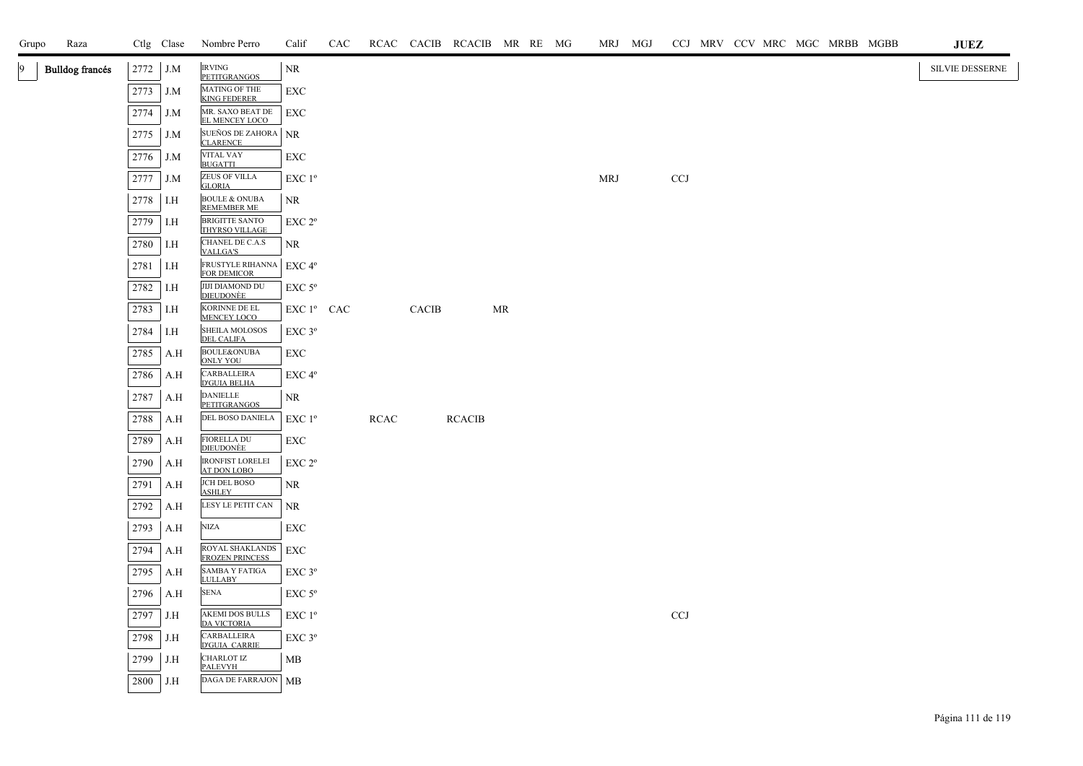| Grupo | Raza                   |      | Ctlg Clase | Nombre Perro                                 | Calif                  | CAC |             |              | RCAC CACIB RCACIB MR RE MG |           |  | MRJ MGJ    |            |  |  | CCJ MRV CCV MRC MGC MRBB MGBB | <b>JUEZ</b>     |
|-------|------------------------|------|------------|----------------------------------------------|------------------------|-----|-------------|--------------|----------------------------|-----------|--|------------|------------|--|--|-------------------------------|-----------------|
| 9.    | <b>Bulldog</b> francés | 2772 | J.M        | <b>IRVING</b><br><b>PETITGRANGOS</b>         | NR                     |     |             |              |                            |           |  |            |            |  |  |                               | SILVIE DESSERNE |
|       |                        | 2773 | J.M        | MATING OF THE<br><b>KING FEDERER</b>         | EXC                    |     |             |              |                            |           |  |            |            |  |  |                               |                 |
|       |                        | 2774 | J.M        | MR. SAXO BEAT DE<br>EL MENCEY LOCO           | EXC                    |     |             |              |                            |           |  |            |            |  |  |                               |                 |
|       |                        | 2775 | J.M        | SUEÑOS DE ZAHORA<br><b>CLARENCE</b>          | <b>NR</b>              |     |             |              |                            |           |  |            |            |  |  |                               |                 |
|       |                        | 2776 | J.M        | <b>VITAL VAY</b><br><b>BUGATTI</b>           | EXC                    |     |             |              |                            |           |  |            |            |  |  |                               |                 |
|       |                        | 2777 | J.M        | <b>ZEUS OF VILLA</b><br><b>GLORIA</b>        | EXC 1 <sup>o</sup>     |     |             |              |                            |           |  | <b>MRJ</b> | <b>CCJ</b> |  |  |                               |                 |
|       |                        | 2778 | I.H        | <b>BOULE &amp; ONUBA</b><br>REMEMBER ME      | NR                     |     |             |              |                            |           |  |            |            |  |  |                               |                 |
|       |                        | 2779 | I.H        | BRIGITTE SANTO<br>THYRSO VILLAGE             | $EXC 2^{\circ}$        |     |             |              |                            |           |  |            |            |  |  |                               |                 |
|       |                        | 2780 | I.H        | CHANEL DE C.A.S<br>VALLGA'S                  | NR                     |     |             |              |                            |           |  |            |            |  |  |                               |                 |
|       |                        | 2781 | I.H        | FRUSTYLE RIHANNA<br><b>FOR DEMICOR</b>       | $EXC 4^{\circ}$        |     |             |              |                            |           |  |            |            |  |  |                               |                 |
|       |                        | 2782 | I.H        | <b>JIJI DIAMOND DU<br/>DIEUDONÈE</b>         | $EXC$ 5 $^{\circ}$     |     |             |              |                            |           |  |            |            |  |  |                               |                 |
|       |                        | 2783 | I.H        | KORINNE DE EL<br><b>MENCEY LOCO</b>          | EXC 1 <sup>°</sup> CAC |     |             | <b>CACIB</b> |                            | <b>MR</b> |  |            |            |  |  |                               |                 |
|       |                        | 2784 | I.H        | SHEILA MOLOSOS<br><b>DEL CALIFA</b>          | EXC 3°                 |     |             |              |                            |           |  |            |            |  |  |                               |                 |
|       |                        | 2785 | A.H        | BOULE&ONUBA<br><b>ONLY YOU</b>               | EXC                    |     |             |              |                            |           |  |            |            |  |  |                               |                 |
|       |                        | 2786 | A.H        | CARBALLEIRA<br><b>D'GUIA BELHA</b>           | EXC 4°                 |     |             |              |                            |           |  |            |            |  |  |                               |                 |
|       |                        | 2787 | A.H        | <b>DANIELLE</b><br><b>PETITGRANGOS</b>       | NR                     |     |             |              |                            |           |  |            |            |  |  |                               |                 |
|       |                        | 2788 | A.H        | DEL BOSO DANIELA                             | $EXC1^{\circ}$         |     | <b>RCAC</b> |              | <b>RCACIB</b>              |           |  |            |            |  |  |                               |                 |
|       |                        | 2789 | A.H        | <b>FIORELLA DU</b><br><b>DIEUDONÈE</b>       | EXC                    |     |             |              |                            |           |  |            |            |  |  |                               |                 |
|       |                        | 2790 | A.H        | IRONFIST LORELEI<br>AT DON LOBO              | EXC 2°                 |     |             |              |                            |           |  |            |            |  |  |                               |                 |
|       |                        | 2791 | A.H        | JCH DEL BOSO<br><b>ASHLEY</b>                | NR                     |     |             |              |                            |           |  |            |            |  |  |                               |                 |
|       |                        | 2792 | A.H        | LESY LE PETIT CAN                            | NR                     |     |             |              |                            |           |  |            |            |  |  |                               |                 |
|       |                        | 2793 | A.H        | <b>NIZA</b>                                  | EXC                    |     |             |              |                            |           |  |            |            |  |  |                               |                 |
|       |                        | 2794 | A.H        | ROYAL SHAKLANDS<br>FROZEN PRINCESS           | EXC                    |     |             |              |                            |           |  |            |            |  |  |                               |                 |
|       |                        | 2795 | A.H        | <b>SAMBA Y FATIGA</b><br><b>LULLABY</b>      | $EXC$ $3^{\circ}$      |     |             |              |                            |           |  |            |            |  |  |                               |                 |
|       |                        | 2796 | A.H        | <b>SENA</b>                                  | $EXC$ 5 $^{\circ}$     |     |             |              |                            |           |  |            |            |  |  |                               |                 |
|       |                        | 2797 | J.H        | <b>AKEMI DOS BULLS</b><br><b>DA VICTORIA</b> | $EXC1^{\circ}$         |     |             |              |                            |           |  |            | CCJ        |  |  |                               |                 |
|       |                        | 2798 | J.H        | <b>CARBALLEIRA</b><br><b>D'GUIA CARRIE</b>   | EXC 3°                 |     |             |              |                            |           |  |            |            |  |  |                               |                 |
|       |                        | 2799 | J.H        | <b>CHARLOT IZ</b><br><b>PALEVYH</b>          | MB                     |     |             |              |                            |           |  |            |            |  |  |                               |                 |
|       |                        | 2800 | J.H        | DAGA DE FARRAJON   MB                        |                        |     |             |              |                            |           |  |            |            |  |  |                               |                 |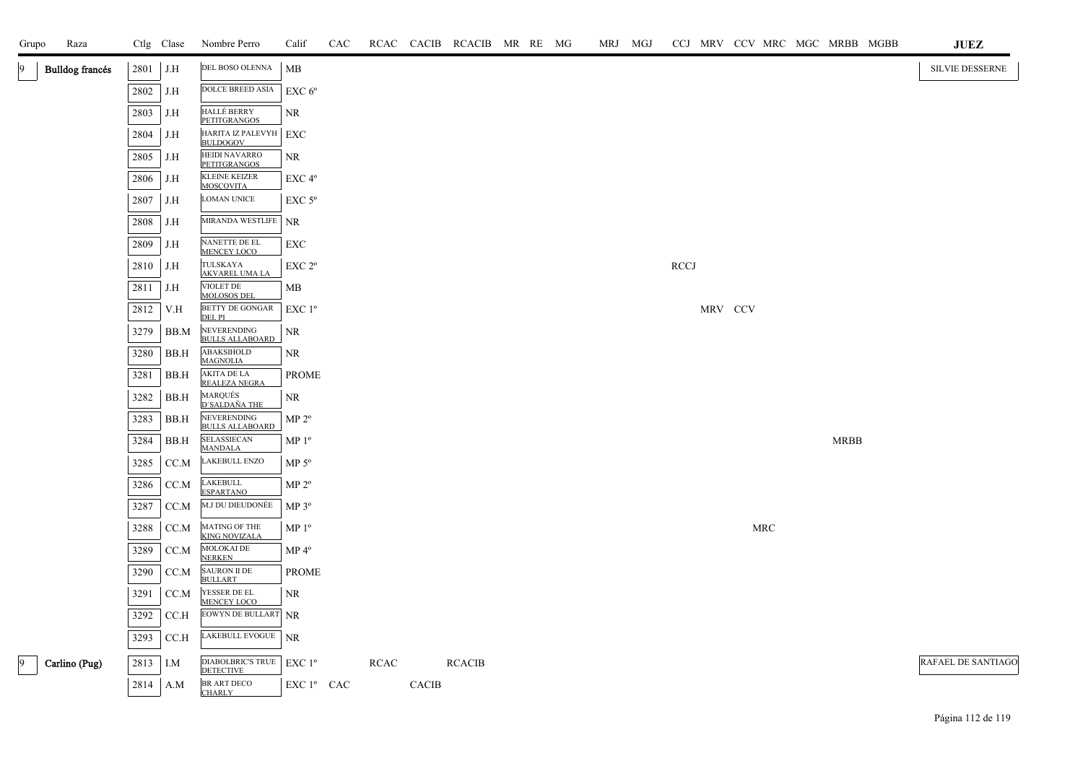| Grupo | Raza                   |      | Ctlg Clase    | Nombre Perro                                 | Calif              | CAC |             |              | RCAC CACIB RCACIB MR RE MG |  |  | MRJ MGJ |             |         |     |             | CCJ MRV CCV MRC MGC MRBB MGBB | <b>JUEZ</b>               |
|-------|------------------------|------|---------------|----------------------------------------------|--------------------|-----|-------------|--------------|----------------------------|--|--|---------|-------------|---------|-----|-------------|-------------------------------|---------------------------|
| 19    | <b>Bulldog francés</b> | 2801 | J.H           | DEL BOSO OLENNA                              | МB                 |     |             |              |                            |  |  |         |             |         |     |             |                               | SILVIE DESSERNE           |
|       |                        | 2802 | J.H           | DOLCE BREED ASIA                             | EXC 6 <sup>o</sup> |     |             |              |                            |  |  |         |             |         |     |             |                               |                           |
|       |                        | 2803 | J.H           | <b>HALLÉ BERRY</b><br>PETITGRANGOS           | NR                 |     |             |              |                            |  |  |         |             |         |     |             |                               |                           |
|       |                        | 2804 | J.H           | HARITA IZ PALEVYH EXC<br><b>BULDOGOV</b>     |                    |     |             |              |                            |  |  |         |             |         |     |             |                               |                           |
|       |                        | 2805 | J.H           | HEIDI NAVARRO<br><b>PETITGRANGOS</b>         | NR                 |     |             |              |                            |  |  |         |             |         |     |             |                               |                           |
|       |                        | 2806 | J.H           | <b>KLEINE KEIZER</b><br><b>MOSCOVITA</b>     | EXC 4°             |     |             |              |                            |  |  |         |             |         |     |             |                               |                           |
|       |                        | 2807 | J.H           | <b>LOMAN UNICE</b>                           | $EXC$ 5 $\rm ^{o}$ |     |             |              |                            |  |  |         |             |         |     |             |                               |                           |
|       |                        | 2808 | J.H           | <b>MIRANDA WESTLIFE</b>                      | <b>NR</b>          |     |             |              |                            |  |  |         |             |         |     |             |                               |                           |
|       |                        | 2809 | J.H           | NANETTE DE EL<br>MENCEY LOCO                 | EXC                |     |             |              |                            |  |  |         |             |         |     |             |                               |                           |
|       |                        | 2810 | J.H           | TULSKAYA<br><b>AKVAREL UMA LA</b>            | EXC 2 <sup>o</sup> |     |             |              |                            |  |  |         | <b>RCCJ</b> |         |     |             |                               |                           |
|       |                        | 2811 | J.H           | VIOLET DE<br><b>MOLOSOS DEL</b>              | MВ                 |     |             |              |                            |  |  |         |             |         |     |             |                               |                           |
|       |                        | 2812 | V.H           | BETTY DE GONGAR<br>DEL PI                    | EXC 1 <sup>o</sup> |     |             |              |                            |  |  |         |             | MRV CCV |     |             |                               |                           |
|       |                        | 3279 | BB.M          | NEVERENDING<br><b>BULLS ALLABOARD</b>        | NR                 |     |             |              |                            |  |  |         |             |         |     |             |                               |                           |
|       |                        | 3280 | BB.H          | ABAKSIHOLD<br><b>MAGNOLIA</b>                | NR                 |     |             |              |                            |  |  |         |             |         |     |             |                               |                           |
|       |                        | 3281 | BB.H          | AKITA DE LA<br>REALEZA NEGRA                 | <b>PROME</b>       |     |             |              |                            |  |  |         |             |         |     |             |                               |                           |
|       |                        | 3282 | BB.H          | MARQUÉS<br>D'SALDAÑA THE                     | <b>NR</b>          |     |             |              |                            |  |  |         |             |         |     |             |                               |                           |
|       |                        | 3283 | BB.H          | NEVERENDING<br><b>BULLS ALLABOARD</b>        | $MP 2^{\circ}$     |     |             |              |                            |  |  |         |             |         |     |             |                               |                           |
|       |                        | 3284 | $_{\rm BB.H}$ | SELASSIECAN<br><b>MANDALA</b>                | $MP 1^{\circ}$     |     |             |              |                            |  |  |         |             |         |     | <b>MRBB</b> |                               |                           |
|       |                        | 3285 | CC.M          | LAKEBULL ENZO                                | MP $5^{\rm o}$     |     |             |              |                            |  |  |         |             |         |     |             |                               |                           |
|       |                        | 3286 | CC.M          | <b>LAKEBULL</b><br><b>ESPARTANO</b>          | MP 2 <sup>o</sup>  |     |             |              |                            |  |  |         |             |         |     |             |                               |                           |
|       |                        | 3287 | CC.M          | M.J DU DIEUDONÉE                             | MP $3^{\rm o}$     |     |             |              |                            |  |  |         |             |         |     |             |                               |                           |
|       |                        | 3288 | CC.M          | MATING OF THE<br><b>KING NOVIZALA</b>        | MP 1 <sup>o</sup>  |     |             |              |                            |  |  |         |             |         | MRC |             |                               |                           |
|       |                        | 3289 | CC.M          | MOLOKAI DE<br><b>NERKEN</b>                  | $MP 4^{\circ}$     |     |             |              |                            |  |  |         |             |         |     |             |                               |                           |
|       |                        | 3290 | CC.M          | <b>SAURON II DE</b><br><b>BULLART</b>        | <b>PROME</b>       |     |             |              |                            |  |  |         |             |         |     |             |                               |                           |
|       |                        | 3291 | CC.M          | YESSER DE EL<br><b>MENCEY LOCO</b>           | $\rm NR$           |     |             |              |                            |  |  |         |             |         |     |             |                               |                           |
|       |                        | 3292 | CCA           | EOWYN DE BULLART NR                          |                    |     |             |              |                            |  |  |         |             |         |     |             |                               |                           |
|       |                        | 3293 | CCA           | LAKEBULL EVOGUE NR                           |                    |     |             |              |                            |  |  |         |             |         |     |             |                               |                           |
| 19    | Carlino (Pug)          | 2813 | I.M           | <b>DIABOLBRIC'S TRUE</b><br><b>DETECTIVE</b> | $EXC1^{\circ}$     |     | <b>RCAC</b> |              | <b>RCACIB</b>              |  |  |         |             |         |     |             |                               | <b>RAFAEL DE SANTIAGO</b> |
|       |                        | 2814 | A.M           | <b>BR ART DECO</b><br><b>CHARLY</b>          | EXC 1º CAC         |     |             | <b>CACIB</b> |                            |  |  |         |             |         |     |             |                               |                           |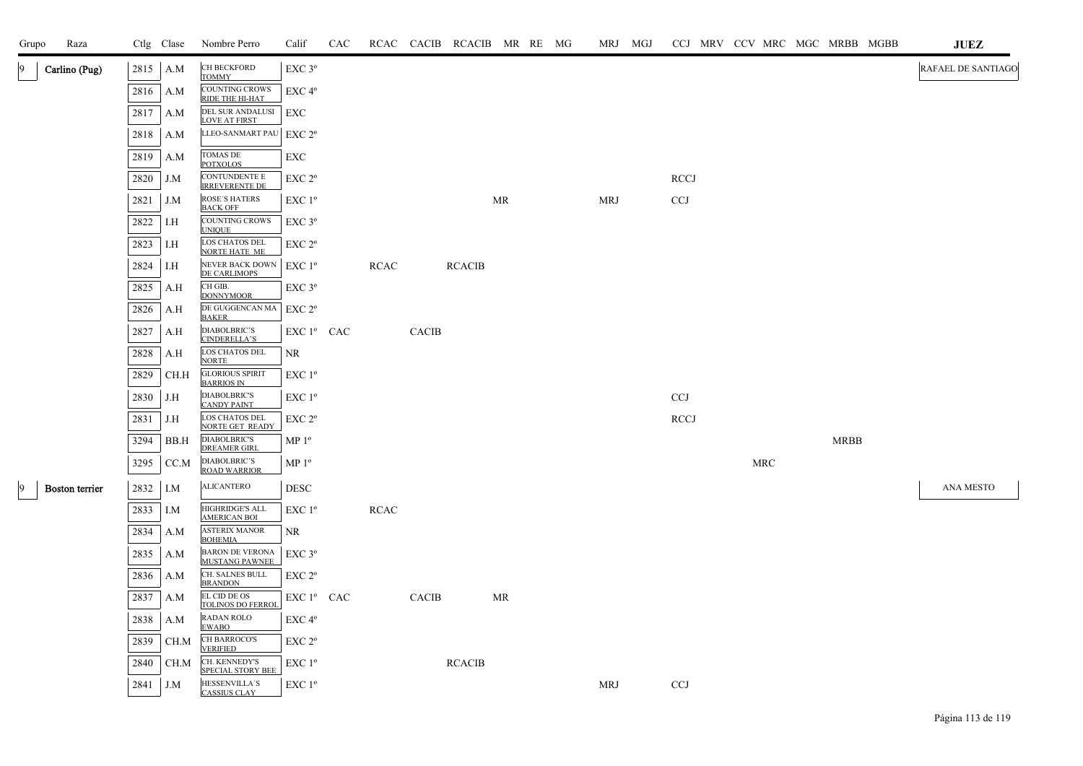| Grupo | Raza                  |      | Ctlg Clase | Nombre Perro                                             | Calif                  | CAC |             |              | RCAC CACIB RCACIB MR RE MG |    |  |            | MRJ MGJ |             | CCJ MRV CCV MRC MGC MRBB MGBB |            |             |  | JUEZ               |
|-------|-----------------------|------|------------|----------------------------------------------------------|------------------------|-----|-------------|--------------|----------------------------|----|--|------------|---------|-------------|-------------------------------|------------|-------------|--|--------------------|
|       | Carlino (Pug)         | 2815 | A.M        | CH BECKFORD                                              | $EXC$ $3^{\circ}$      |     |             |              |                            |    |  |            |         |             |                               |            |             |  | RAFAEL DE SANTIAGO |
|       |                       | 2816 | A.M        | <b>TOMMY</b><br><b>COUNTING CROWS</b><br>RIDE THE HI-HAT | $EXC 4^{\circ}$        |     |             |              |                            |    |  |            |         |             |                               |            |             |  |                    |
|       |                       | 2817 | A.M        | DEL SUR ANDALUSI<br><b>LOVE AT FIRST</b>                 | EXC                    |     |             |              |                            |    |  |            |         |             |                               |            |             |  |                    |
|       |                       | 2818 | A.M        | LLEO-SANMART PAU                                         | EXC 2 <sup>o</sup>     |     |             |              |                            |    |  |            |         |             |                               |            |             |  |                    |
|       |                       | 2819 | A.M        | <b>TOMAS DE</b><br><b>POTXOLOS</b>                       | EXC                    |     |             |              |                            |    |  |            |         |             |                               |            |             |  |                    |
|       |                       | 2820 | J.M        | CONTUNDENTE E<br><b>IRREVERENTE DE</b>                   | EXC 2 <sup>o</sup>     |     |             |              |                            |    |  |            |         | <b>RCCJ</b> |                               |            |             |  |                    |
|       |                       | 2821 | J.M        | <b>ROSE'S HATERS</b><br><b>BACK OFF</b>                  | $EXC1^{\circ}$         |     |             |              |                            | MR |  | <b>MRJ</b> |         | <b>CCJ</b>  |                               |            |             |  |                    |
|       |                       | 2822 | I.H        | <b>COUNTING CROWS</b><br><b>UNIQUE</b>                   | $EXC$ 3 $^{\circ}$     |     |             |              |                            |    |  |            |         |             |                               |            |             |  |                    |
|       |                       | 2823 | I.H        | LOS CHATOS DEL<br><b>NORTE HATE ME</b>                   | EXC 2 <sup>o</sup>     |     |             |              |                            |    |  |            |         |             |                               |            |             |  |                    |
|       |                       | 2824 | I.H        | NEVER BACK DOWN<br>DE CARLIMOPS                          | $EXC1^{\circ}$         |     | <b>RCAC</b> |              | <b>RCACIB</b>              |    |  |            |         |             |                               |            |             |  |                    |
|       |                       | 2825 | A.H        | CH GIB.<br><b>DONNYMOOR</b>                              | $EXC$ $3^{\circ}$      |     |             |              |                            |    |  |            |         |             |                               |            |             |  |                    |
|       |                       | 2826 | A.H        | DE GUGGENCAN MA<br><b>BAKER</b>                          | EXC 2 <sup>o</sup>     |     |             |              |                            |    |  |            |         |             |                               |            |             |  |                    |
|       |                       | 2827 | A.H        | DIABOLBRIC'S<br><b>CINDERELLA'S</b>                      | $EXC1^{\circ}$ CAC     |     |             | CACIB        |                            |    |  |            |         |             |                               |            |             |  |                    |
|       |                       | 2828 | A.H        | LOS CHATOS DEL<br><b>NORTE</b>                           | NR                     |     |             |              |                            |    |  |            |         |             |                               |            |             |  |                    |
|       |                       | 2829 | CH.H       | <b>GLORIOUS SPIRIT</b><br><b>BARRIOS IN</b>              | $EXC1^{\circ}$         |     |             |              |                            |    |  |            |         |             |                               |            |             |  |                    |
|       |                       | 2830 | J.H        | <b>DIABOLBRIC'S</b><br><b>CANDY PAINT</b>                | EXC 1 <sup>o</sup>     |     |             |              |                            |    |  |            |         | <b>CCJ</b>  |                               |            |             |  |                    |
|       |                       | 2831 | J.H        | LOS CHATOS DEL<br>NORTE GET READY                        | EXC 2 <sup>o</sup>     |     |             |              |                            |    |  |            |         | <b>RCCJ</b> |                               |            |             |  |                    |
|       |                       | 3294 | BB.H       | <b>DIABOLBRIC'S</b><br><b>DREAMER GIRL</b>               | MP <sup>0</sup>        |     |             |              |                            |    |  |            |         |             |                               |            | <b>MRBB</b> |  |                    |
|       |                       | 3295 | CC.M       | <b>DIABOLBRIC'S</b><br><b>ROAD WARRIOR</b>               | MP 1 <sup>o</sup>      |     |             |              |                            |    |  |            |         |             |                               | <b>MRC</b> |             |  |                    |
| 9     | <b>Boston</b> terrier | 2832 | I.M        | <b>ALICANTERO</b>                                        | <b>DESC</b>            |     |             |              |                            |    |  |            |         |             |                               |            |             |  | ANA MESTO          |
|       |                       | 2833 | I.M        | <b>HIGHRIDGE'S ALL</b><br><b>AMERICAN BOL</b>            | $EXC1^{\circ}$         |     | <b>RCAC</b> |              |                            |    |  |            |         |             |                               |            |             |  |                    |
|       |                       | 2834 | A.M        | <b>ASTERIX MANOR</b><br><b>BOHEMIA</b>                   | <b>NR</b>              |     |             |              |                            |    |  |            |         |             |                               |            |             |  |                    |
|       |                       | 2835 | A.M        | <b>BARON DE VERONA</b><br><b>MUSTANG PAWNEE</b>          | $EXC$ $3^{\circ}$      |     |             |              |                            |    |  |            |         |             |                               |            |             |  |                    |
|       |                       | 2836 | A.M        | CH. SALNES BULL<br><b>BRANDON</b>                        | EXC 2 <sup>o</sup>     |     |             |              |                            |    |  |            |         |             |                               |            |             |  |                    |
|       |                       | 2837 | A.M        | EL CID DE OS<br><b>TOLINOS DO FERROI</b>                 | EXC 1 <sup>°</sup> CAC |     |             | <b>CACIB</b> |                            | MR |  |            |         |             |                               |            |             |  |                    |
|       |                       | 2838 | A.M        | RADAN ROLO<br><b>EWABO</b>                               | EXC 4°                 |     |             |              |                            |    |  |            |         |             |                               |            |             |  |                    |
|       |                       | 2839 | CH.M       | <b>CH BARROCO'S</b><br><b>VERIFIED</b>                   | EXC 2 <sup>o</sup>     |     |             |              |                            |    |  |            |         |             |                               |            |             |  |                    |
|       |                       | 2840 | CH.M       | CH. KENNEDY'S<br><b>SPECIAL STORY BEE</b>                | EXC 1 <sup>o</sup>     |     |             |              | <b>RCACIB</b>              |    |  |            |         |             |                               |            |             |  |                    |
|       |                       | 2841 | J.M        | HESSENVILLA'S<br><b>CASSIUS CLAY</b>                     | $EXC1^{\circ}$         |     |             |              |                            |    |  | MRJ        |         | <b>CCJ</b>  |                               |            |             |  |                    |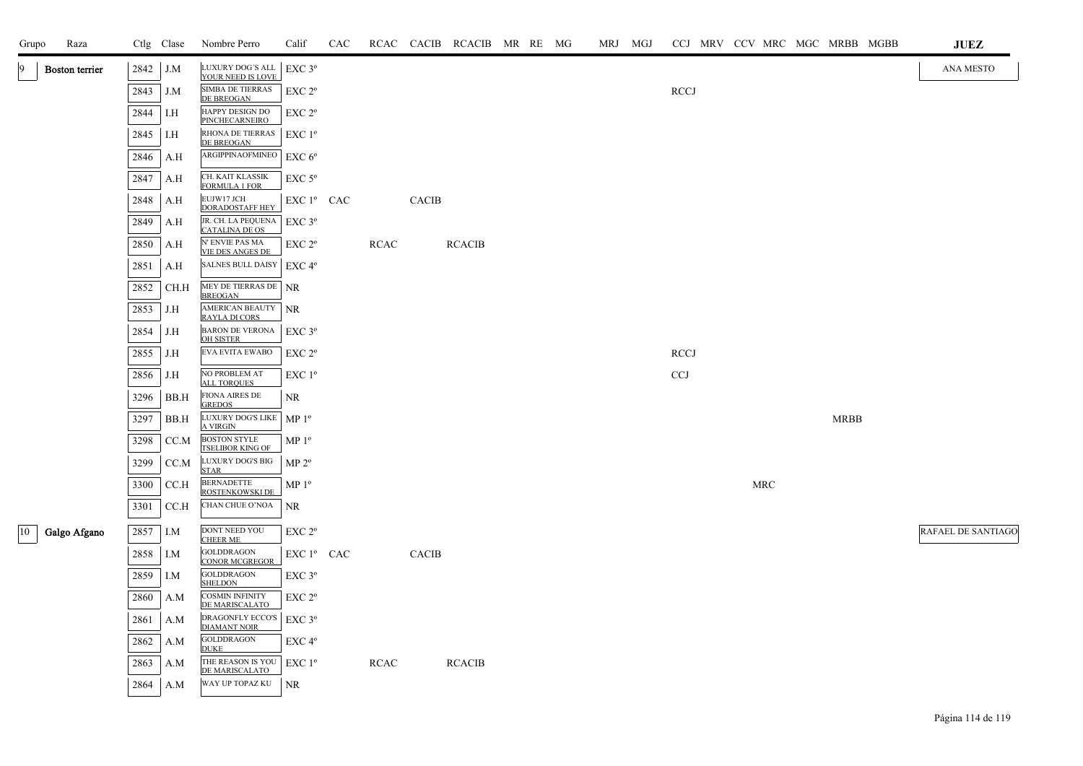| Grupo        | Raza           |      | Ctlg Clase | Nombre Perro                                                 | Calif              | CAC |             |              | RCAC CACIB RCACIB MR RE MG |  |  | MRJ MGJ |             |  |     |             | CCJ MRV CCV MRC MGC MRBB MGBB | <b>JUEZ</b>               |
|--------------|----------------|------|------------|--------------------------------------------------------------|--------------------|-----|-------------|--------------|----------------------------|--|--|---------|-------------|--|-----|-------------|-------------------------------|---------------------------|
|              | Boston terrier | 2842 | J.M        | LUXURY DOG'S ALL<br>YOUR NEED IS LOVE                        | EXC 3°             |     |             |              |                            |  |  |         |             |  |     |             |                               | <b>ANA MESTO</b>          |
|              |                | 2843 | J.M        | SIMBA DE TIERRAS<br>DE BREOGAN                               | EXC <sub>2°</sub>  |     |             |              |                            |  |  |         | <b>RCCJ</b> |  |     |             |                               |                           |
|              |                | 2844 | I.H        | HAPPY DESIGN DO<br><b>PINCHECARNEIRO</b>                     | EXC 2°             |     |             |              |                            |  |  |         |             |  |     |             |                               |                           |
|              |                | 2845 | I.H        | RHONA DE TIERRAS   EXC 1º<br>DE BREOGAN                      |                    |     |             |              |                            |  |  |         |             |  |     |             |                               |                           |
|              |                | 2846 | A.H        | ARGIPPINAOFMINEO                                             | EXC 6 <sup>o</sup> |     |             |              |                            |  |  |         |             |  |     |             |                               |                           |
|              |                | 2847 | A.H        | CH. KAIT KLASSIK                                             | EXC <sub>5°</sub>  |     |             |              |                            |  |  |         |             |  |     |             |                               |                           |
|              |                | 2848 | A.H        | <b>FORMULA 1 FOR</b><br>EUJW17 JCH<br><b>DORADOSTAFF HEY</b> | EXC 1º CAC         |     |             | <b>CACIB</b> |                            |  |  |         |             |  |     |             |                               |                           |
|              |                | 2849 | A.H        | JR. CH. LA PEQUENA<br><b>CATALINA DE OS</b>                  | $EXC$ 3°           |     |             |              |                            |  |  |         |             |  |     |             |                               |                           |
|              |                | 2850 | A.H        | N' ENVIE PAS MA                                              | EXC 2°             |     | <b>RCAC</b> |              | <b>RCACIB</b>              |  |  |         |             |  |     |             |                               |                           |
|              |                | 2851 | A.H        | <b>VIE DES ANGES DE</b><br>SALNES BULL DAISY   EXC 4°        |                    |     |             |              |                            |  |  |         |             |  |     |             |                               |                           |
|              |                | 2852 | CH.H       | MEY DE TIERRAS DE NR                                         |                    |     |             |              |                            |  |  |         |             |  |     |             |                               |                           |
|              |                | 2853 | J.H        | <b>BREOGAN</b><br>AMERICAN BEAUTY NR                         |                    |     |             |              |                            |  |  |         |             |  |     |             |                               |                           |
|              |                | 2854 | J.H        | <b>RAYLA DI CORS</b><br>BARON DE VERONA<br>OH SISTER         | $EXC$ $3^{\circ}$  |     |             |              |                            |  |  |         |             |  |     |             |                               |                           |
|              |                | 2855 | J.H        | EVA EVITA EWABO                                              | EXC 2 <sup>o</sup> |     |             |              |                            |  |  |         | <b>RCCJ</b> |  |     |             |                               |                           |
|              |                | 2856 | J.H        | NO PROBLEM AT<br><b>ALL TORQUES</b>                          | EXC 1 <sup>°</sup> |     |             |              |                            |  |  |         | <b>CCJ</b>  |  |     |             |                               |                           |
|              |                | 3296 | BB.H       | <b>FIONA AIRES DE</b><br><b>GREDOS</b>                       | NR.                |     |             |              |                            |  |  |         |             |  |     |             |                               |                           |
|              |                | 3297 | BB.H       | LUXURY DOG'S LIKE<br><b>A VIRGIN</b>                         | MP <sup>0</sup>    |     |             |              |                            |  |  |         |             |  |     | <b>MRBB</b> |                               |                           |
|              |                | 3298 | CC.M       | <b>BOSTON STYLE</b><br><b>TSELIBOR KING OF</b>               | $MP 1^{\circ}$     |     |             |              |                            |  |  |         |             |  |     |             |                               |                           |
|              |                | 3299 | CC.M       | LUXURY DOG'S BIG<br><b>STAR</b>                              | MP 2 <sup>o</sup>  |     |             |              |                            |  |  |         |             |  |     |             |                               |                           |
|              |                | 3300 | CC.H       | <b>BERNADETTE</b><br>ROSTENKOWSKI DE                         | $MP 1^{\circ}$     |     |             |              |                            |  |  |         |             |  | MRC |             |                               |                           |
|              |                | 3301 | CC.H       | CHAN CHUE O'NOA                                              | <b>NR</b>          |     |             |              |                            |  |  |         |             |  |     |             |                               |                           |
| $ 10\rangle$ | Galgo Afgano   | 2857 | I.M        | DONT NEED YOU                                                | EXC <sub>2°</sub>  |     |             |              |                            |  |  |         |             |  |     |             |                               | <b>RAFAEL DE SANTIAGO</b> |
|              |                | 2858 | I.M        | <b>CHEER ME</b><br><b>GOLDDRAGON</b>                         | EXC 1º CAC         |     |             | <b>CACIB</b> |                            |  |  |         |             |  |     |             |                               |                           |
|              |                | 2859 | I.M        | <b>CONOR MCGREGOR</b><br><b>GOLDDRAGON</b><br><b>SHELDON</b> | EXC <sub>3°</sub>  |     |             |              |                            |  |  |         |             |  |     |             |                               |                           |
|              |                | 2860 | A.M        | <b>COSMIN INFINITY</b>                                       | EXC 2 <sup>o</sup> |     |             |              |                            |  |  |         |             |  |     |             |                               |                           |
|              |                | 2861 | A.M        | DE MARISCALATO<br>DRAGONFLY ECCO'S                           | $EXC$ $3^{\circ}$  |     |             |              |                            |  |  |         |             |  |     |             |                               |                           |
|              |                | 2862 | A.M        | <b>DIAMANT NOIR</b><br><b>GOLDDRAGON</b>                     | EXC <sub>4°</sub>  |     |             |              |                            |  |  |         |             |  |     |             |                               |                           |
|              |                | 2863 | A.M        | <b>DUKE</b><br>THE REASON IS YOU                             | $EXC1^{\circ}$     |     | <b>RCAC</b> |              | <b>RCACIB</b>              |  |  |         |             |  |     |             |                               |                           |
|              |                | 2864 | A.M        | DE MARISCALATO<br>WAY UP TOPAZ KU                            | N <sub>R</sub>     |     |             |              |                            |  |  |         |             |  |     |             |                               |                           |

Página 114 de 119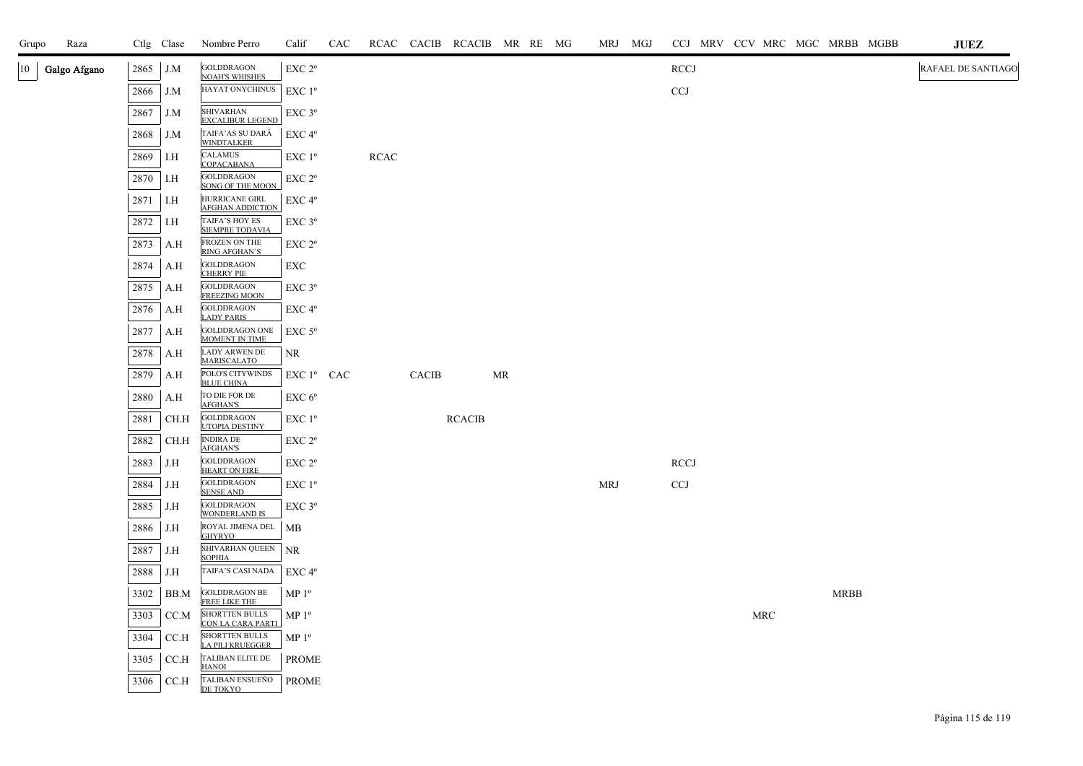| Grupo  | Raza         |      | Ctlg Clase | Nombre Perro                                      | Calif              | CAC |      |       | RCAC CACIB RCACIB MR RE MG |    |  | MRJ MGJ    | CCJ MRV CCV MRC MGC MRBB MGBB |            |             | <b>JUEZ</b>        |
|--------|--------------|------|------------|---------------------------------------------------|--------------------|-----|------|-------|----------------------------|----|--|------------|-------------------------------|------------|-------------|--------------------|
| $10-1$ | Galgo Afgano | 2865 | J.M        | <b>GOLDDRAGON</b><br><b>NOAH'S WHISHES</b>        | EXC 2 <sup>o</sup> |     |      |       |                            |    |  |            | <b>RCCJ</b>                   |            |             | RAFAEL DE SANTIAGO |
|        |              | 2866 | J.M        | HAYAT ONYCHINUS                                   | EXC 1 <sup>o</sup> |     |      |       |                            |    |  |            | <b>CCJ</b>                    |            |             |                    |
|        |              | 2867 | J.M        | <b>SHIVARHAN</b><br><b>EXCALIBUR LEGEND</b>       | $EXC$ $3^{\circ}$  |     |      |       |                            |    |  |            |                               |            |             |                    |
|        |              | 2868 | J.M        | TAIFA'AS SU DARÁ<br><b>WINDTALKER</b>             | $EXC 4^{\circ}$    |     |      |       |                            |    |  |            |                               |            |             |                    |
|        |              | 2869 | I.H        | <b>CALAMUS</b><br>COPACABANA                      | EXC 1 <sup>o</sup> |     | RCAC |       |                            |    |  |            |                               |            |             |                    |
|        |              | 2870 | I.H        | <b>GOLDDRAGON</b><br><b>SONG OF THE MOON</b>      | $EXC 2^{\circ}$    |     |      |       |                            |    |  |            |                               |            |             |                    |
|        |              | 2871 | I.H        | HURRICANE GIRL<br><b>AFGHAN ADDICTION</b>         | EXC 4°             |     |      |       |                            |    |  |            |                               |            |             |                    |
|        |              | 2872 | I.H        | TAIFA'S HOY ES<br><b>SIEMPRE TODAVIA</b>          | EXC 3 <sup>o</sup> |     |      |       |                            |    |  |            |                               |            |             |                    |
|        |              | 2873 | A.H        | FROZEN ON THE<br><b>RING AFGHAN'S</b>             | $EXC 2^{\circ}$    |     |      |       |                            |    |  |            |                               |            |             |                    |
|        |              | 2874 | A.H        | <b>GOLDDRAGON</b><br><b>CHERRY PIE</b>            | EXC                |     |      |       |                            |    |  |            |                               |            |             |                    |
|        |              | 2875 | A.H        | <b>GOLDDRAGON</b><br><b>FREEZING MOON</b>         | $EXC$ $3^{\circ}$  |     |      |       |                            |    |  |            |                               |            |             |                    |
|        |              | 2876 | A.H        | <b>GOLDDRAGON</b><br><b>LADY PARIS</b>            | EXC 4°             |     |      |       |                            |    |  |            |                               |            |             |                    |
|        |              | 2877 | A.H        | GOLDDRAGON ONE MOMENT IN TIME                     | $EXC$ 5 $^{\circ}$ |     |      |       |                            |    |  |            |                               |            |             |                    |
|        |              | 2878 | A.H        | LADY ARWEN DE<br><b>MARISCALATO</b>               | NR                 |     |      |       |                            |    |  |            |                               |            |             |                    |
|        |              | 2879 | A.H        | POLO'S CITYWINDS<br><b>BLUE CHINA</b>             | EXC 1º CAC         |     |      | CACIB |                            | MR |  |            |                               |            |             |                    |
|        |              | 2880 | A.H        | TO DIE FOR DE<br><b>AFGHAN'S</b>                  | EXC 6 <sup>o</sup> |     |      |       |                            |    |  |            |                               |            |             |                    |
|        |              | 2881 | CH.H       | <b>GOLDDRAGON</b><br>UTOPIA DESTINY               | EXC 1 <sup>o</sup> |     |      |       | <b>RCACIB</b>              |    |  |            |                               |            |             |                    |
|        |              | 2882 | CH.H       | <b>INDIRA DE</b><br><b>AFGHAN'S</b>               | $EXC 2^{\circ}$    |     |      |       |                            |    |  |            |                               |            |             |                    |
|        |              | 2883 | J.H        | <b>GOLDDRAGON</b><br><b>HEART ON FIRE</b>         | EXC 2°             |     |      |       |                            |    |  |            | <b>RCCJ</b>                   |            |             |                    |
|        |              | 2884 | J.H        | <b>GOLDDRAGON</b><br><b>SENSE AND</b>             | $EXC1^{\circ}$     |     |      |       |                            |    |  | <b>MRJ</b> | <b>CCJ</b>                    |            |             |                    |
|        |              | 2885 | J.H        | <b>GOLDDRAGON</b><br><b>WONDERLAND IS</b>         | EXC 3 <sup>o</sup> |     |      |       |                            |    |  |            |                               |            |             |                    |
|        |              | 2886 | J.H        | ROYAL JIMENA DEL<br>GHYRYO                        | MB                 |     |      |       |                            |    |  |            |                               |            |             |                    |
|        |              | 2887 | J.H        | SHIVARHAN QUEEN<br><b>SOPHIA</b>                  | NR                 |     |      |       |                            |    |  |            |                               |            |             |                    |
|        |              | 2888 | J.H        | TAIFA'S CASI NADA                                 | $EXC 4^{\circ}$    |     |      |       |                            |    |  |            |                               |            |             |                    |
|        |              | 3302 | BB.M       | GOLDDRAGON BE<br>FREE LIKE THE                    | MP <sup>0</sup>    |     |      |       |                            |    |  |            |                               |            | <b>MRBB</b> |                    |
|        |              | 3303 | CC.M       | <b>SHORTTEN BULLS</b><br><b>CON LA CARA PARTI</b> | MP <sup>0</sup>    |     |      |       |                            |    |  |            |                               | <b>MRC</b> |             |                    |
|        |              | 3304 | CC.H       | SHORTTEN BULLS<br><b>LA PILI KRUEGGER</b>         | MP <sup>0</sup>    |     |      |       |                            |    |  |            |                               |            |             |                    |
|        |              | 3305 | CC.H       | TALIBAN ELITE DE<br>HANOI                         | <b>PROME</b>       |     |      |       |                            |    |  |            |                               |            |             |                    |
|        |              | 3306 | CC.H       | TALIBAN ENSUEÑO<br>DE TOKYO                       | <b>PROME</b>       |     |      |       |                            |    |  |            |                               |            |             |                    |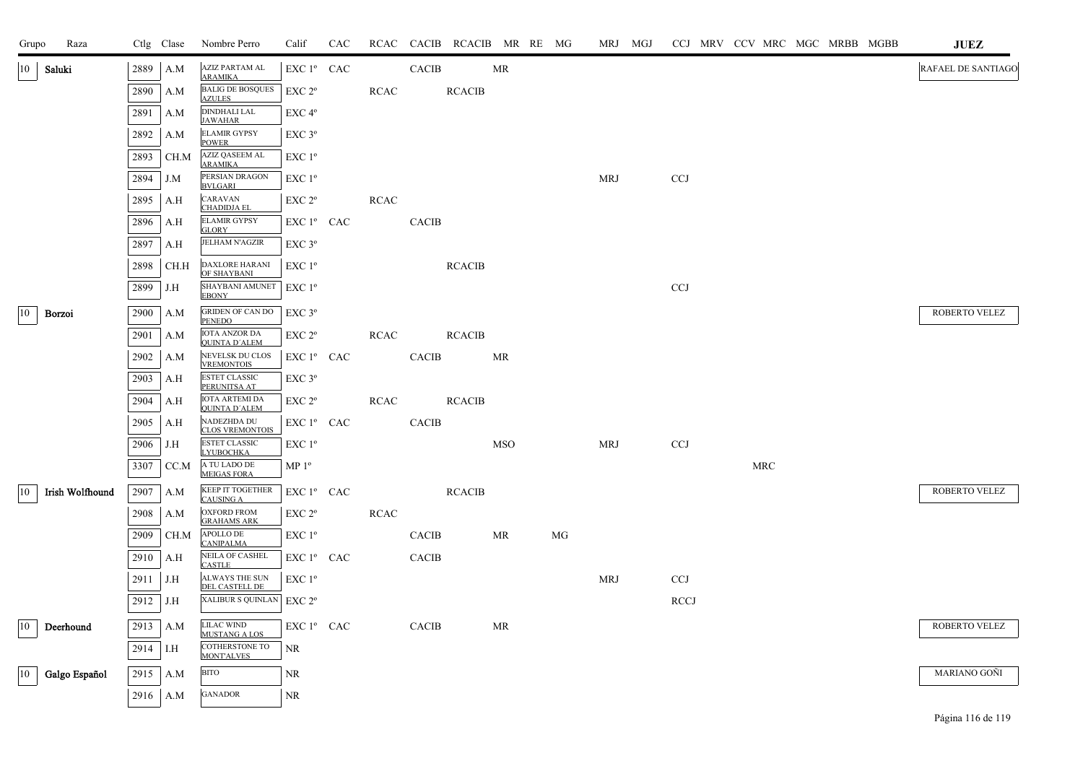| Grupo        | Raza                   |      | Ctlg Clase  | Nombre Perro                                  | Calif              | CAC |             |              | RCAC CACIB RCACIB MR RE MG |                                   |    | MRJ MGJ    |             |  |     |  | CCJ MRV CCV MRC MGC MRBB MGBB | <b>JUEZ</b>        |
|--------------|------------------------|------|-------------|-----------------------------------------------|--------------------|-----|-------------|--------------|----------------------------|-----------------------------------|----|------------|-------------|--|-----|--|-------------------------------|--------------------|
| 10           | Saluki                 | 2889 | A.M         | AZIZ PARTAM AL<br><b>ARAMIKA</b>              | EXC 1º CAC         |     |             | <b>CACIB</b> |                            | MR                                |    |            |             |  |     |  |                               | RAFAEL DE SANTIAGO |
|              |                        | 2890 | A.M         | <b>BALIG DE BOSQUES</b><br><b>AZULES</b>      | EXC 2 <sup>o</sup> |     | RCAC        |              | <b>RCACIB</b>              |                                   |    |            |             |  |     |  |                               |                    |
|              |                        | 2891 | A.M         | <b>DINDHALI LAL</b><br><b>JAWAHAR</b>         | EXC 4°             |     |             |              |                            |                                   |    |            |             |  |     |  |                               |                    |
|              |                        | 2892 | A.M         | <b>ELAMIR GYPSY</b><br><b>POWER</b>           | $EXC$ $3^{\circ}$  |     |             |              |                            |                                   |    |            |             |  |     |  |                               |                    |
|              |                        | 2893 | CH.M        | <b>AZIZ QASEEM AL</b><br><b>ARAMIKA</b>       | EXC 1 <sup>o</sup> |     |             |              |                            |                                   |    |            |             |  |     |  |                               |                    |
|              |                        | 2894 | J.M         | PERSIAN DRAGON<br><b>BVLGARI</b>              | EXC 1 <sup>o</sup> |     |             |              |                            |                                   |    | <b>MRJ</b> | <b>CCJ</b>  |  |     |  |                               |                    |
|              |                        | 2895 | A.H         | CARAVAN<br><b>CHADIDJA EL</b>                 | EXC 2 <sup>o</sup> |     | RCAC        |              |                            |                                   |    |            |             |  |     |  |                               |                    |
|              |                        | 2896 | A.H         | <b>ELAMIR GYPSY</b><br><b>GLORY</b>           | $EXC1^{\circ}$ CAC |     |             | <b>CACIB</b> |                            |                                   |    |            |             |  |     |  |                               |                    |
|              |                        | 2897 | A.H         | <b>JELHAM N'AGZIR</b>                         | $EXC$ 3 $^{\circ}$ |     |             |              |                            |                                   |    |            |             |  |     |  |                               |                    |
|              |                        | 2898 | CH.H        | <b>DAXLORE HARANI</b><br>OF SHAYBANI          | $EXC1^{\circ}$     |     |             |              | <b>RCACIB</b>              |                                   |    |            |             |  |     |  |                               |                    |
|              |                        | 2899 | J.H         | SHAYBANI AMUNET<br><b>EBONY</b>               | $EXC1^{\circ}$     |     |             |              |                            |                                   |    |            | <b>CCJ</b>  |  |     |  |                               |                    |
| $ 10\rangle$ | Borzoi                 | 2900 | A.M         | <b>GRIDEN OF CAN DO</b><br>PENEDO             | $EXC$ 3 $^{\circ}$ |     |             |              |                            |                                   |    |            |             |  |     |  |                               | ROBERTO VELEZ      |
|              |                        | 2901 | A.M         | <b>IOTA ANZOR DA</b><br><b>QUINTA D'ALEM</b>  | EXC 2 <sup>o</sup> |     | <b>RCAC</b> |              | <b>RCACIB</b>              |                                   |    |            |             |  |     |  |                               |                    |
|              |                        | 2902 | A.M         | NEVELSK DU CLOS<br><b>VREMONTOIS</b>          | EXC 1º CAC         |     |             | <b>CACIB</b> |                            | MR                                |    |            |             |  |     |  |                               |                    |
|              |                        | 2903 | A.H         | <b>ESTET CLASSIC</b><br>PERUNITSA AT          | $EXC$ 3°           |     |             |              |                            |                                   |    |            |             |  |     |  |                               |                    |
|              |                        | 2904 | A.H         | <b>IOTA ARTEMI DA</b><br><b>QUINTA D'ALEM</b> | EXC 2 <sup>o</sup> |     | <b>RCAC</b> |              | <b>RCACIB</b>              |                                   |    |            |             |  |     |  |                               |                    |
|              |                        | 2905 | A.H         | NADEZHDA DU<br><b>CLOS VREMONTOIS</b>         | EXC 1º CAC         |     |             | <b>CACIB</b> |                            |                                   |    |            |             |  |     |  |                               |                    |
|              |                        | 2906 | J.H         | <b>ESTET CLASSIC</b><br><b>LYUBOCHKA</b>      | EXC 1 <sup>o</sup> |     |             |              |                            | <b>MSO</b>                        |    | <b>MRJ</b> | <b>CCJ</b>  |  |     |  |                               |                    |
|              |                        | 3307 | CC.M        | A TU LADO DE<br><b>MEIGAS FORA</b>            | $MP 1^{\circ}$     |     |             |              |                            |                                   |    |            |             |  | MRC |  |                               |                    |
| 10           | <b>Irish Wolfhound</b> | 2907 | A.M         | <b>KEEP IT TOGETHER</b><br><b>CAUSING A</b>   | $EXC1o$ CAC        |     |             |              | <b>RCACIB</b>              |                                   |    |            |             |  |     |  |                               | ROBERTO VELEZ      |
|              |                        | 2908 | A.M         | <b>OXFORD FROM</b><br><b>GRAHAMS ARK</b>      | EXC 2 <sup>o</sup> |     | <b>RCAC</b> |              |                            |                                   |    |            |             |  |     |  |                               |                    |
|              |                        | 2909 | CH.M        | APOLLO DE<br><b>CANIPALMA</b>                 | EXC 1 <sup>o</sup> |     |             | <b>CACIB</b> |                            | MR                                | MG |            |             |  |     |  |                               |                    |
|              |                        | 2910 | A.H         | NEILA OF CASHEL<br>CASTLE                     | $EXC1^{\circ}$ CAC |     |             | <b>CACIB</b> |                            |                                   |    |            |             |  |     |  |                               |                    |
|              |                        | 2911 | J.H         | ALWAYS THE SUN<br>DEL CASTELL DE              | $EXC1^{\circ}$     |     |             |              |                            |                                   |    | MRJ        | <b>CCJ</b>  |  |     |  |                               |                    |
|              |                        | 2912 | $\vert$ J.H | XALIBUR S QUINLAN   EXC 2°                    |                    |     |             |              |                            |                                   |    |            | <b>RCCJ</b> |  |     |  |                               |                    |
| 10           | Deerhound              | 2913 | A.M         | <b>LILAC WIND</b><br><b>MUSTANG A LOS</b>     | EXC 1º CAC         |     |             | CACIB        |                            | $\ensuremath{\mathsf{MR}}\xspace$ |    |            |             |  |     |  |                               | ROBERTO VELEZ      |
|              |                        | 2914 | 1.H         | COTHERSTONE TO<br>MONTALVES                   | <b>NR</b>          |     |             |              |                            |                                   |    |            |             |  |     |  |                               |                    |
| 10           | Galgo Español          | 2915 | A.M         | <b>BITO</b>                                   | $\rm NR$           |     |             |              |                            |                                   |    |            |             |  |     |  |                               | MARIANO GOÑI       |
|              |                        | 2916 | A.M         | <b>GANADOR</b>                                | $\rm NR$           |     |             |              |                            |                                   |    |            |             |  |     |  |                               |                    |
|              |                        |      |             |                                               |                    |     |             |              |                            |                                   |    |            |             |  |     |  |                               |                    |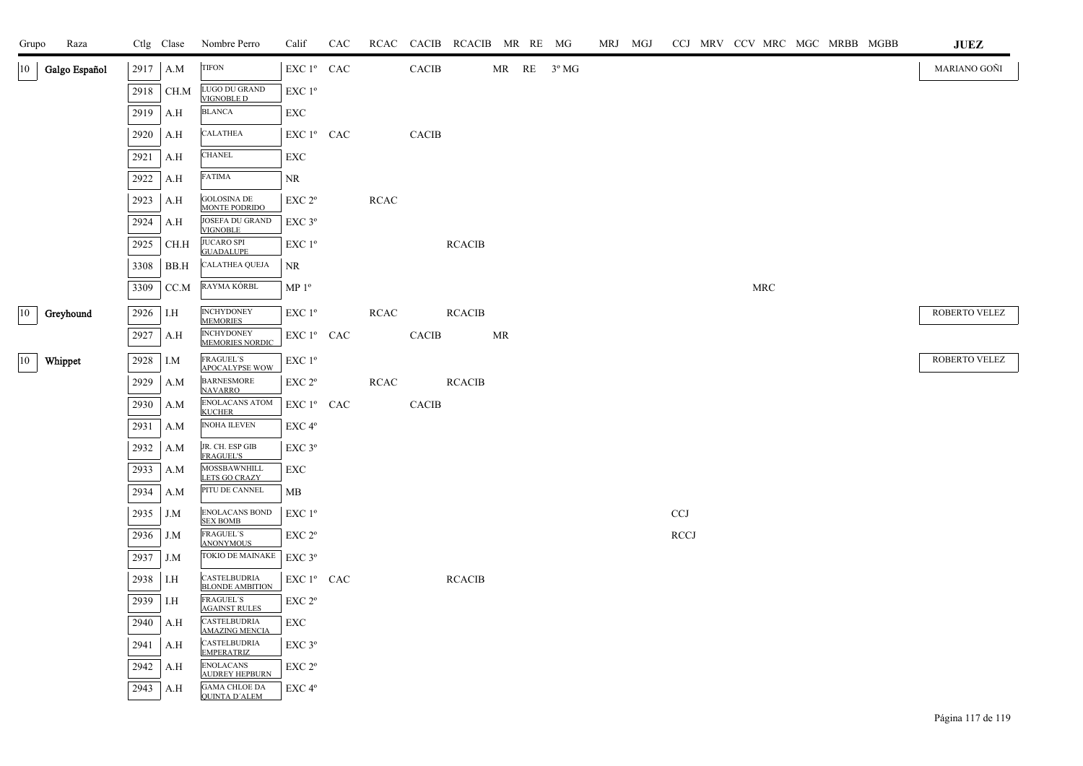| Grupo | Raza             |      | Ctlg Clase | Nombre Perro                                 | Calif                                          | CAC |             |                        |               | RCAC CACIB RCACIB MR RE MG |  | MRJ MGJ |                           | CCJ MRV CCV MRC MGC MRBB MGBB |                      |  |  | $\mathbf{J}\mathbf{U}\mathbf{E}\mathbf{Z}$ |
|-------|------------------|------|------------|----------------------------------------------|------------------------------------------------|-----|-------------|------------------------|---------------|----------------------------|--|---------|---------------------------|-------------------------------|----------------------|--|--|--------------------------------------------|
|       | 10 Galgo Español | 2917 | A.M        | <b>TIFON</b>                                 | $\mathop{\hbox{\rm EXC}}$ $1^{\circ}$ $\;$ CAC |     |             | $\operatorname{CACIB}$ |               | $MR$ RE $3^{\circ} MG$     |  |         |                           |                               |                      |  |  | MARIANO GOÑI                               |
|       |                  | 2918 | CH.M       | LUGO DU GRAND<br>VIGNOBLE D                  | EXC 1 <sup>o</sup>                             |     |             |                        |               |                            |  |         |                           |                               |                      |  |  |                                            |
|       |                  | 2919 | A.H        | <b>BLANCA</b>                                | EXC                                            |     |             |                        |               |                            |  |         |                           |                               |                      |  |  |                                            |
|       |                  | 2920 | A.H        | <b>CALATHEA</b>                              | EXC 1 <sup>°</sup> CAC                         |     |             | CACIB                  |               |                            |  |         |                           |                               |                      |  |  |                                            |
|       |                  | 2921 | A.H        | <b>CHANEL</b>                                | EXC                                            |     |             |                        |               |                            |  |         |                           |                               |                      |  |  |                                            |
|       |                  | 2922 | A.H        | FATIMA                                       | NR.                                            |     |             |                        |               |                            |  |         |                           |                               |                      |  |  |                                            |
|       |                  | 2923 | A.H        | <b>GOLOSINA DE</b><br><b>MONTE PODRIDO</b>   | EXC 2°                                         |     | <b>RCAC</b> |                        |               |                            |  |         |                           |                               |                      |  |  |                                            |
|       |                  | 2924 | A.H        | JOSEFA DU GRAND<br><b>VIGNOBLE</b>           | EXC 3°                                         |     |             |                        |               |                            |  |         |                           |                               |                      |  |  |                                            |
|       |                  | 2925 | CH.H       | <b>JUCARO SPI</b><br><b>GUADALUPE</b>        | EXC 1 <sup>o</sup>                             |     |             |                        | <b>RCACIB</b> |                            |  |         |                           |                               |                      |  |  |                                            |
|       |                  | 3308 | BB.H       | <b>CALATHEA QUEJA</b>                        | NR                                             |     |             |                        |               |                            |  |         |                           |                               |                      |  |  |                                            |
|       |                  | 3309 | CC.M       | RAYMA KÓRBL                                  | MP <sup>0</sup>                                |     |             |                        |               |                            |  |         |                           |                               | $\operatorname{MRC}$ |  |  |                                            |
| 10    | Greyhound        | 2926 | I.H        | <b>INCHYDONEY</b><br><b>MEMORIES</b>         | EXC 1 <sup>o</sup>                             |     | <b>RCAC</b> |                        | <b>RCACIB</b> |                            |  |         |                           |                               |                      |  |  | ROBERTO VELEZ                              |
|       |                  | 2927 | A.H        | <b>INCHYDONEY</b><br><b>MEMORIES NORDIC</b>  | EXC 1º CAC                                     |     |             | CACIB                  |               | MR                         |  |         |                           |                               |                      |  |  |                                            |
| 10    | Whippet          | 2928 | I.M        | FRAGUEL'S<br>APOCALYPSE WOW                  | EXC 1°                                         |     |             |                        |               |                            |  |         |                           |                               |                      |  |  | ROBERTO VELEZ                              |
|       |                  | 2929 | A.M        | <b>BARNESMORE</b><br><b>NAVARRO</b>          | EXC 2°                                         |     | <b>RCAC</b> |                        | <b>RCACIB</b> |                            |  |         |                           |                               |                      |  |  |                                            |
|       |                  | 2930 | A.M        | ENOLACANS ATOM<br><b>KUCHER</b>              | EXC 1º CAC                                     |     |             | $\mbox{CACIB}$         |               |                            |  |         |                           |                               |                      |  |  |                                            |
|       |                  | 2931 | A.M        | <b>INOHA ILEVEN</b>                          | EXC 4°                                         |     |             |                        |               |                            |  |         |                           |                               |                      |  |  |                                            |
|       |                  | 2932 | A.M        | JR. CH. ESP GIB<br><b>FRAGUEL'S</b>          | EXC <sub>3°</sub>                              |     |             |                        |               |                            |  |         |                           |                               |                      |  |  |                                            |
|       |                  | 2933 | A.M        | MOSSBAWNHILL<br>LETS GO CRAZY                | EXC                                            |     |             |                        |               |                            |  |         |                           |                               |                      |  |  |                                            |
|       |                  | 2934 | A.M        | PITU DE CANNEL                               | MB                                             |     |             |                        |               |                            |  |         |                           |                               |                      |  |  |                                            |
|       |                  | 2935 | J.M        | <b>ENOLACANS BOND</b><br><b>SEX BOMB</b>     | $EXC1^{\circ}$                                 |     |             |                        |               |                            |  |         | $\ensuremath{\text{CCJ}}$ |                               |                      |  |  |                                            |
|       |                  | 2936 | J.M        | <b>FRAGUEL'S</b><br><b>ANONYMOUS</b>         | $EXC 2^{\circ}$                                |     |             |                        |               |                            |  |         | <b>RCCJ</b>               |                               |                      |  |  |                                            |
|       |                  | 2937 | J.M        | TOKIO DE MAINAKE                             | EXC 3°                                         |     |             |                        |               |                            |  |         |                           |                               |                      |  |  |                                            |
|       |                  | 2938 | I.H        | CASTELBUDRIA<br><b>BLONDE AMBITION</b>       | EXC 1 <sup>°</sup> CAC                         |     |             |                        | <b>RCACIB</b> |                            |  |         |                           |                               |                      |  |  |                                            |
|       |                  | 2939 | I.H        | <b>FRAGUEL'S</b><br><b>AGAINST RULES</b>     | EXC 2°                                         |     |             |                        |               |                            |  |         |                           |                               |                      |  |  |                                            |
|       |                  | 2940 | A.H        | CASTELBUDRIA<br><b>AMAZING MENCL</b>         | <b>EXC</b>                                     |     |             |                        |               |                            |  |         |                           |                               |                      |  |  |                                            |
|       |                  | 2941 | A.H        | CASTELBUDRIA<br><b>EMPERATRIZ</b>            | EXC <sub>3°</sub>                              |     |             |                        |               |                            |  |         |                           |                               |                      |  |  |                                            |
|       |                  | 2942 | A.H        | <b>ENOLACANS</b><br><b>AUDREY HEPBURN</b>    | EXC <sub>2°</sub>                              |     |             |                        |               |                            |  |         |                           |                               |                      |  |  |                                            |
|       |                  | 2943 | A.H        | <b>GAMA CHLOE DA</b><br><b>QUINTA D'ALEM</b> | EXC 4°                                         |     |             |                        |               |                            |  |         |                           |                               |                      |  |  |                                            |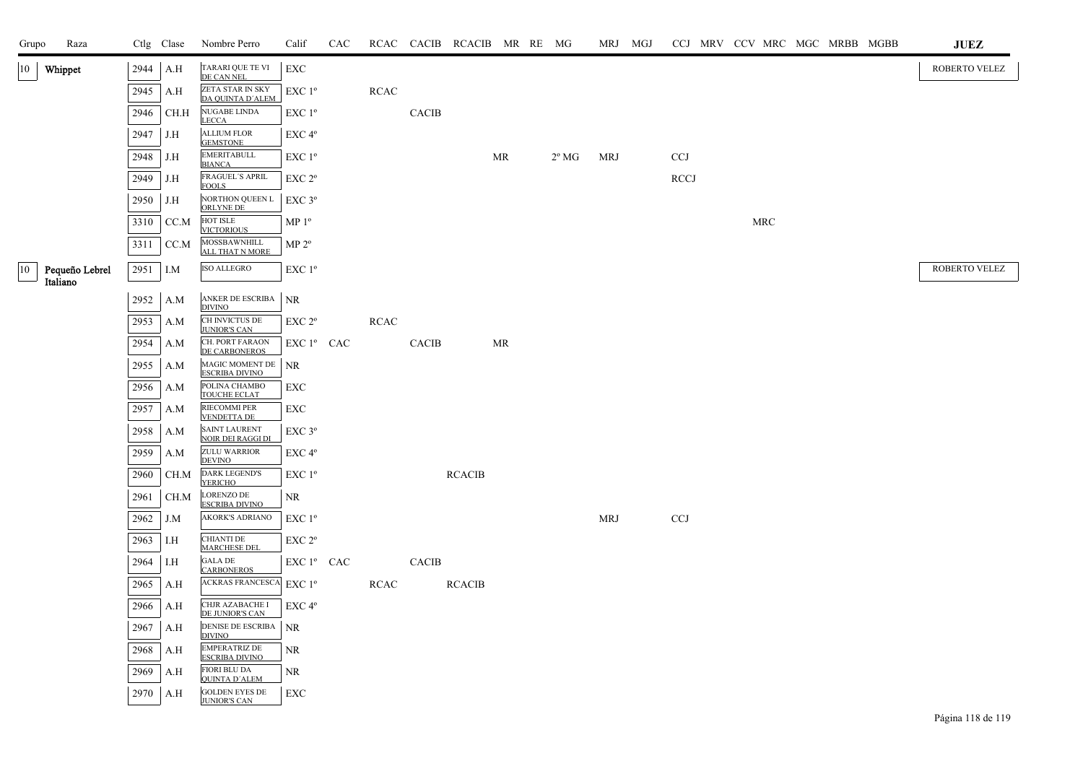| Grupo | Raza                       |      | Ctlg Clase | Nombre Perro                                            | Calif                                 | CAC |             |              | RCAC CACIB RCACIB MR RE MG |    |                | MRJ MGJ    |            |  |     |  | CCJ MRV CCV MRC MGC MRBB MGBB | ${\bf JUEZ}$  |
|-------|----------------------------|------|------------|---------------------------------------------------------|---------------------------------------|-----|-------------|--------------|----------------------------|----|----------------|------------|------------|--|-----|--|-------------------------------|---------------|
| 10    | Whippet                    | 2944 | A.H        | TARARI QUE TE VI<br>DE CAN NEL                          | <b>EXC</b>                            |     |             |              |                            |    |                |            |            |  |     |  |                               | ROBERTO VELEZ |
|       |                            | 2945 | A.H        | ZETA STAR IN SKY<br>DA QUINTA D'ALEM                    | EXC 1°                                |     | $\sf RCAC$  |              |                            |    |                |            |            |  |     |  |                               |               |
|       |                            | 2946 | CH.H       | NUGABE LINDA<br><b>LECCA</b>                            | EXC 1 <sup>o</sup>                    |     |             | <b>CACIB</b> |                            |    |                |            |            |  |     |  |                               |               |
|       |                            | 2947 | J.H        | <b>ALLIUM FLOR</b><br><b>GEMSTONE</b>                   | EXC <sub>4°</sub>                     |     |             |              |                            |    |                |            |            |  |     |  |                               |               |
|       |                            | 2948 | J.H        | <b>EMERITABULL</b><br><b>BIANCA</b>                     | EXC 1 <sup>o</sup>                    |     |             |              |                            | MR | $2^{\circ}$ MG | <b>MRJ</b> | <b>CCJ</b> |  |     |  |                               |               |
|       |                            | 2949 | J.H        | FRAGUEL'S APRIL<br><b>FOOLS</b>                         | EXC 2 <sup>o</sup>                    |     |             |              |                            |    |                |            | RCCJ       |  |     |  |                               |               |
|       |                            | 2950 | J.H        | NORTHON QUEEN L<br>ORLYNE DE                            | $EXC$ $3^{\circ}$                     |     |             |              |                            |    |                |            |            |  |     |  |                               |               |
|       |                            | 3310 | CC.M       | HOT ISLE<br><b>VICTORIOUS</b>                           | MP <sup>0</sup>                       |     |             |              |                            |    |                |            |            |  | MRC |  |                               |               |
|       |                            | 3311 | CC.M       | MOSSBAWNHILL<br>ALL THAT N MORE                         | $MP 2^o$                              |     |             |              |                            |    |                |            |            |  |     |  |                               |               |
| 10    | Pequeño Lebrel<br>Italiano | 2951 | I.M        | <b>ISO ALLEGRO</b>                                      | EXC 1 <sup>o</sup>                    |     |             |              |                            |    |                |            |            |  |     |  |                               | ROBERTO VELEZ |
|       |                            | 2952 | A.M        | ANKER DE ESCRIBA                                        | <b>NR</b>                             |     |             |              |                            |    |                |            |            |  |     |  |                               |               |
|       |                            | 2953 | A.M        | <b>DIVINO</b><br>CH INVICTUS DE                         | EXC 2°                                |     | <b>RCAC</b> |              |                            |    |                |            |            |  |     |  |                               |               |
|       |                            | 2954 | A.M        | <b>JUNIOR'S CAN</b><br>CH. PORT FARAON<br>DE CARBONEROS | $EXC1^{\circ}$ CAC                    |     |             | CACIB        |                            | MR |                |            |            |  |     |  |                               |               |
|       |                            | 2955 | A.M        | MAGIC MOMENT DE<br><b>ESCRIBA DIVINO</b>                | NR                                    |     |             |              |                            |    |                |            |            |  |     |  |                               |               |
|       |                            | 2956 | A.M        | POLINA CHAMBO<br>TOUCHE ECLAT                           | EXC                                   |     |             |              |                            |    |                |            |            |  |     |  |                               |               |
|       |                            | 2957 | A.M        | RIECOMMI PER<br><b>VENDETTA DE</b>                      | EXC                                   |     |             |              |                            |    |                |            |            |  |     |  |                               |               |
|       |                            | 2958 | A.M        | <b>SAINT LAURENT</b><br><b>NOIR DEI RAGGI DI</b>        | EXC 3°                                |     |             |              |                            |    |                |            |            |  |     |  |                               |               |
|       |                            | 2959 | A.M        | ZULU WARRIOR<br><b>DEVINO</b>                           | EXC 4°                                |     |             |              |                            |    |                |            |            |  |     |  |                               |               |
|       |                            | 2960 | CH.M       | <b>DARK LEGEND'S</b><br><b>YERICHO</b>                  | EXC 1 <sup>o</sup>                    |     |             |              | <b>RCACIB</b>              |    |                |            |            |  |     |  |                               |               |
|       |                            | 2961 | CH.M       | <b>LORENZO DE</b><br><b>ESCRIBA DIVINO</b>              | NR                                    |     |             |              |                            |    |                |            |            |  |     |  |                               |               |
|       |                            | 2962 | J.M        | <b>AKORK'S ADRIANO</b>                                  | $EXC1^{\circ}$                        |     |             |              |                            |    |                | <b>MRJ</b> | CCJ        |  |     |  |                               |               |
|       |                            | 2963 | I.H        | <b>CHIANTI DE</b><br><b>MARCHESE DEL</b>                | EXC 2 <sup>o</sup>                    |     |             |              |                            |    |                |            |            |  |     |  |                               |               |
|       |                            | 2964 | I.H        | GALA DE<br><b>CARBONEROS</b>                            | ${\rm EXC}$ $1^{\rm o}$ $\;$ CAC $\;$ |     |             | <b>CACIB</b> |                            |    |                |            |            |  |     |  |                               |               |
|       |                            | 2965 | A.H        | <b>ACKRAS FRANCESCA</b>                                 | EXC 1 <sup>o</sup>                    |     | <b>RCAC</b> |              | <b>RCACIB</b>              |    |                |            |            |  |     |  |                               |               |
|       |                            | 2966 | A.H        | CHJR AZABACHE I<br>DE JUNIOR'S CAN                      | EXC 4 <sup>o</sup>                    |     |             |              |                            |    |                |            |            |  |     |  |                               |               |
|       |                            | 2967 | A.H        | DENISE DE ESCRIBA<br><b>DIVINO</b>                      | NR                                    |     |             |              |                            |    |                |            |            |  |     |  |                               |               |
|       |                            | 2968 | A.H        | <b>EMPERATRIZ DE</b><br><b>ESCRIBA DIVINO</b>           | NR                                    |     |             |              |                            |    |                |            |            |  |     |  |                               |               |
|       |                            | 2969 | A.H        | FIORI BLU DA<br><b>QUINTA D'ALEM</b>                    | NR                                    |     |             |              |                            |    |                |            |            |  |     |  |                               |               |
|       |                            | 2970 | A.H        | <b>GOLDEN EYES DE</b><br><b>JUNIOR'S CAN</b>            | EXC                                   |     |             |              |                            |    |                |            |            |  |     |  |                               |               |